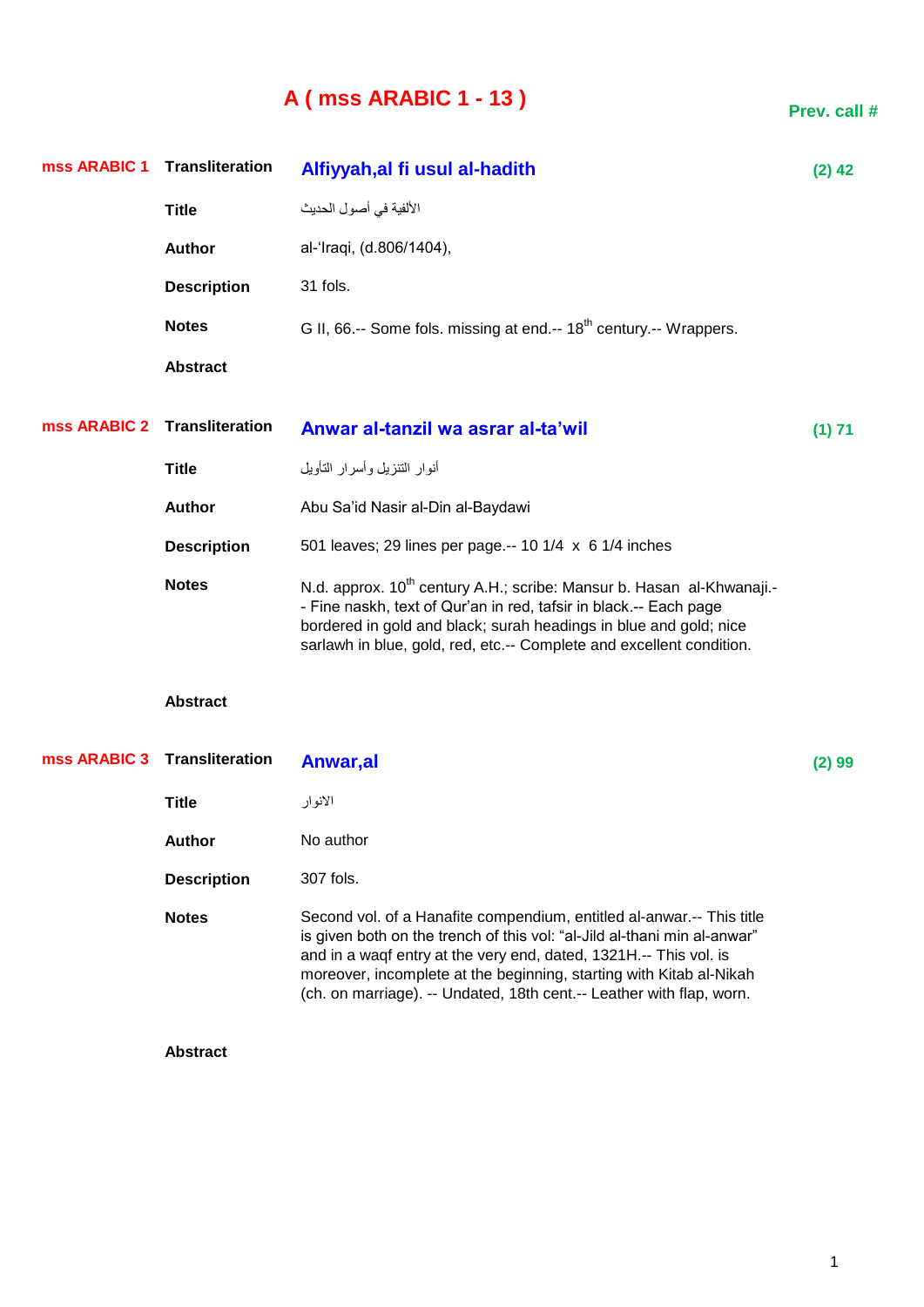## **A ( mss ARABIC 1 - 13 )**

**Prev. call #**

| mss ARABIC 1 | <b>Transliteration</b>       | Alfiyyah, al fi usul al-hadith                                                                                                                                                                                                                                                                                                                                        | $(2)$ 42 |
|--------------|------------------------------|-----------------------------------------------------------------------------------------------------------------------------------------------------------------------------------------------------------------------------------------------------------------------------------------------------------------------------------------------------------------------|----------|
|              | <b>Title</b>                 | الألفية في أصول الحديث                                                                                                                                                                                                                                                                                                                                                |          |
|              | <b>Author</b>                | al-'Iraqi, (d.806/1404),                                                                                                                                                                                                                                                                                                                                              |          |
|              | <b>Description</b>           | 31 fols.                                                                                                                                                                                                                                                                                                                                                              |          |
|              | <b>Notes</b>                 | G II, 66 .-- Some fols. missing at end .-- 18 <sup>th</sup> century .-- Wrappers.                                                                                                                                                                                                                                                                                     |          |
|              | <b>Abstract</b>              |                                                                                                                                                                                                                                                                                                                                                                       |          |
| mss ARABIC 2 | <b>Transliteration</b>       | Anwar al-tanzil wa asrar al-ta'wil                                                                                                                                                                                                                                                                                                                                    | (1) 71   |
|              | <b>Title</b>                 | أنوار التنزيل وأسرار التأويل                                                                                                                                                                                                                                                                                                                                          |          |
|              | <b>Author</b>                | Abu Sa'id Nasir al-Din al-Baydawi                                                                                                                                                                                                                                                                                                                                     |          |
|              | <b>Description</b>           | 501 leaves; 29 lines per page.-- 10 1/4 x 6 1/4 inches                                                                                                                                                                                                                                                                                                                |          |
|              | <b>Notes</b>                 | N.d. approx. 10 <sup>th</sup> century A.H.; scribe: Mansur b. Hasan al-Khwanaji.-<br>- Fine naskh, text of Qur'an in red, tafsir in black.-- Each page<br>bordered in gold and black; surah headings in blue and gold; nice<br>sarlawh in blue, gold, red, etc.-- Complete and excellent condition.                                                                   |          |
|              | <b>Abstract</b>              |                                                                                                                                                                                                                                                                                                                                                                       |          |
|              | mss ARABIC 3 Transliteration | Anwar,al                                                                                                                                                                                                                                                                                                                                                              | (2) 99   |
|              | <b>Title</b>                 | الانوار                                                                                                                                                                                                                                                                                                                                                               |          |
|              | <b>Author</b>                | No author                                                                                                                                                                                                                                                                                                                                                             |          |
|              | <b>Description</b>           | 307 fols.                                                                                                                                                                                                                                                                                                                                                             |          |
|              | <b>Notes</b>                 | Second vol. of a Hanafite compendium, entitled al-anwar.-- This title<br>is given both on the trench of this vol: "al-Jild al-thani min al-anwar"<br>and in a waqf entry at the very end, dated, 1321H.-- This vol. is<br>moreover, incomplete at the beginning, starting with Kitab al-Nikah<br>(ch. on marriage). -- Undated, 18th cent.-- Leather with flap, worn. |          |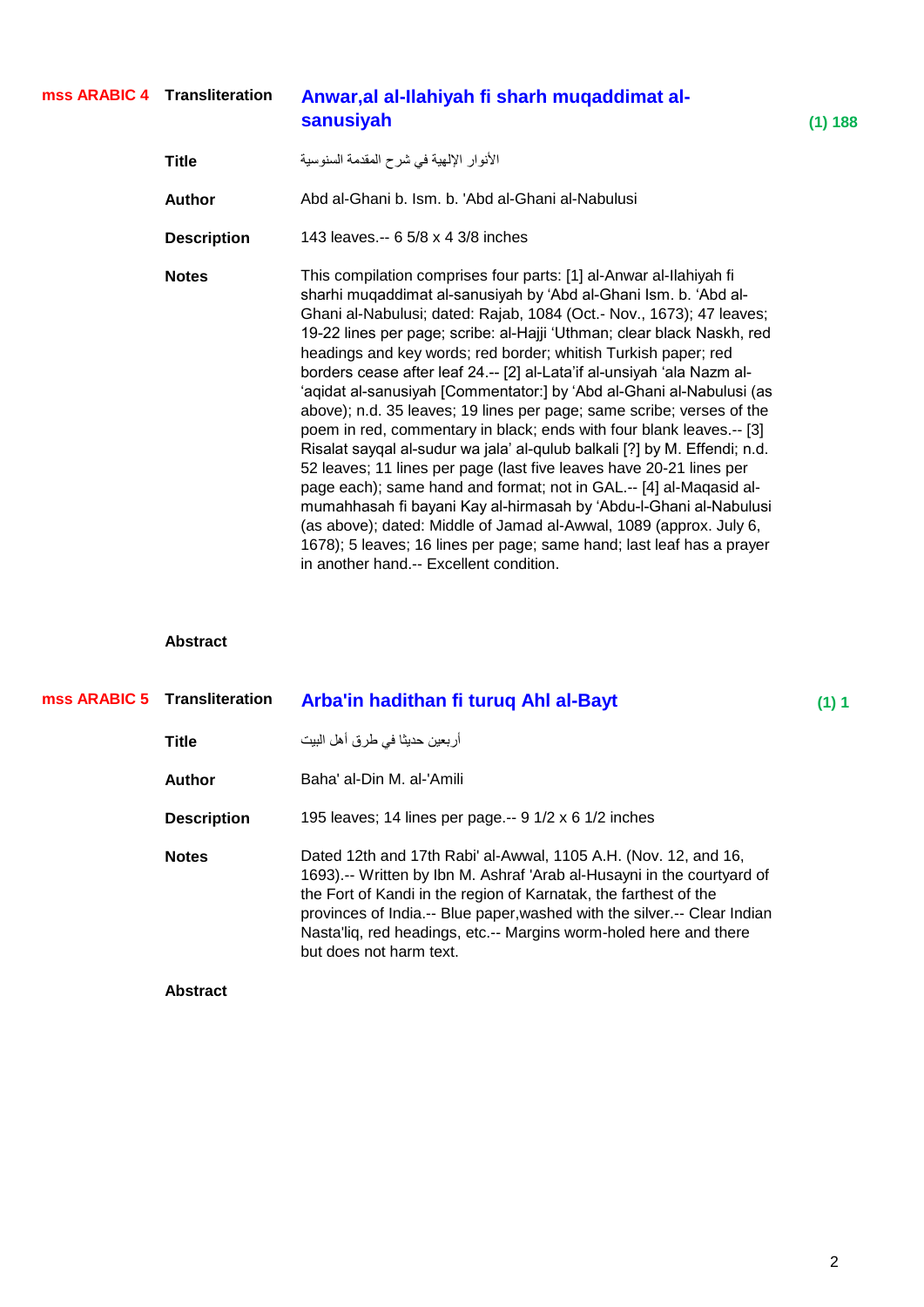#### Anwar,al al-Ilahiyah fi sharh muqaddimat al**sanusiyah (1) 188 mss ARABIC 4**

| Title              | الأنوار الإلهية في شرح المقدمة السنوسية                                                                                                                                                                                                                                                                                                                                                                                                                                                                                                                                                                                                                                                                                                                                                                                                                                                                                                                                                                                                                                                                                                                |
|--------------------|--------------------------------------------------------------------------------------------------------------------------------------------------------------------------------------------------------------------------------------------------------------------------------------------------------------------------------------------------------------------------------------------------------------------------------------------------------------------------------------------------------------------------------------------------------------------------------------------------------------------------------------------------------------------------------------------------------------------------------------------------------------------------------------------------------------------------------------------------------------------------------------------------------------------------------------------------------------------------------------------------------------------------------------------------------------------------------------------------------------------------------------------------------|
| Author             | Abd al-Ghani b. Ism. b. 'Abd al-Ghani al-Nabulusi                                                                                                                                                                                                                                                                                                                                                                                                                                                                                                                                                                                                                                                                                                                                                                                                                                                                                                                                                                                                                                                                                                      |
| <b>Description</b> | 143 leaves.-- 6 5/8 x 4 3/8 inches                                                                                                                                                                                                                                                                                                                                                                                                                                                                                                                                                                                                                                                                                                                                                                                                                                                                                                                                                                                                                                                                                                                     |
| <b>Notes</b>       | This compilation comprises four parts: [1] al-Anwar al-Ilahiyah fi<br>sharhi muqaddimat al-sanusiyah by 'Abd al-Ghani Ism. b. 'Abd al-<br>Ghani al-Nabulusi; dated: Rajab, 1084 (Oct.- Nov., 1673); 47 leaves;<br>19-22 lines per page; scribe: al-Hajji 'Uthman; clear black Naskh, red<br>headings and key words; red border; whitish Turkish paper; red<br>borders cease after leaf 24.-- [2] al-Lata'if al-unsiyah 'ala Nazm al-<br>'aqidat al-sanusiyah [Commentator:] by 'Abd al-Ghani al-Nabulusi (as<br>above); n.d. 35 leaves; 19 lines per page; same scribe; verses of the<br>poem in red, commentary in black; ends with four blank leaves.-- [3]<br>Risalat sayqal al-sudur wa jala' al-qulub balkali [?] by M. Effendi; n.d.<br>52 leaves; 11 lines per page (last five leaves have 20-21 lines per<br>page each); same hand and format; not in GAL.-- [4] al-Maqasid al-<br>mumahhasah fi bayani Kay al-hirmasah by 'Abdu-l-Ghani al-Nabulusi<br>(as above); dated: Middle of Jamad al-Awwal, 1089 (approx. July 6,<br>1678); 5 leaves; 16 lines per page; same hand; last leaf has a prayer<br>in another hand.-- Excellent condition. |

| mss ARABIC 5 Transliteration | Arba'in hadithan fi turuq Ahl al-Bayt                                                                                                                                                                                                                                                                                                                                                     | (1) 1 |
|------------------------------|-------------------------------------------------------------------------------------------------------------------------------------------------------------------------------------------------------------------------------------------------------------------------------------------------------------------------------------------------------------------------------------------|-------|
| <b>Title</b>                 | أربعين حديثا في طرق أهل البيت                                                                                                                                                                                                                                                                                                                                                             |       |
| Author                       | Baha' al-Din M. al-'Amili                                                                                                                                                                                                                                                                                                                                                                 |       |
| <b>Description</b>           | 195 leaves; 14 lines per page.-- 9 1/2 x 6 1/2 inches                                                                                                                                                                                                                                                                                                                                     |       |
| <b>Notes</b>                 | Dated 12th and 17th Rabi' al-Awwal, 1105 A.H. (Nov. 12, and 16,<br>1693).-- Written by Ibn M. Ashraf 'Arab al-Husayni in the courtyard of<br>the Fort of Kandi in the region of Karnatak, the farthest of the<br>provinces of India.-- Blue paper, washed with the silver.-- Clear Indian<br>Nastallig, red headings, etc.-- Margins worm-holed here and there<br>but does not harm text. |       |
| <b>Abstract</b>              |                                                                                                                                                                                                                                                                                                                                                                                           |       |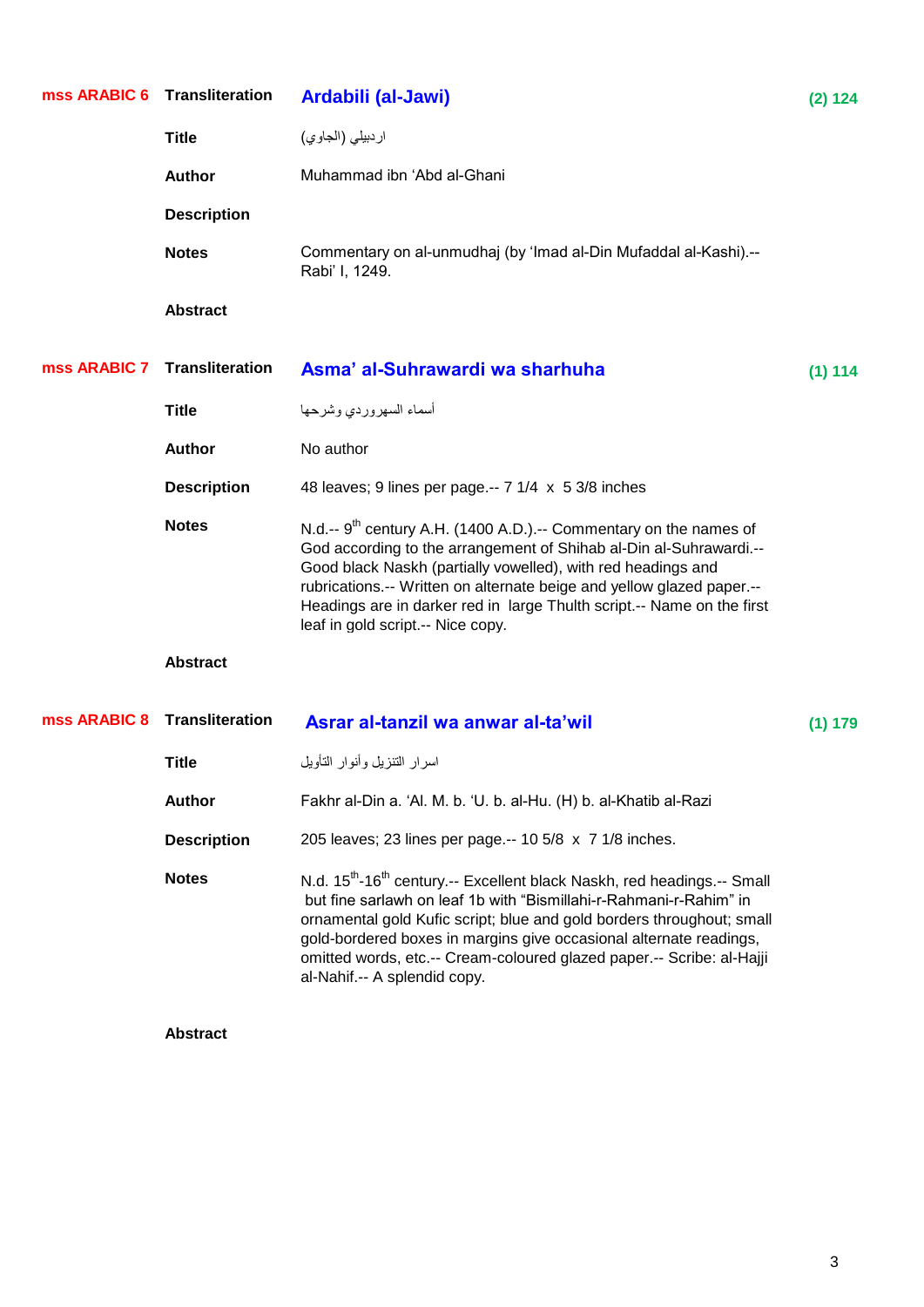| mss ARABIC 6 | <b>Transliteration</b> | Ardabili (al-Jawi)                                                                                                                                                                                                                                                                                                                                                                                                            | (2) 124 |
|--------------|------------------------|-------------------------------------------------------------------------------------------------------------------------------------------------------------------------------------------------------------------------------------------------------------------------------------------------------------------------------------------------------------------------------------------------------------------------------|---------|
|              | <b>Title</b>           | اردبيلي (الجاوي)                                                                                                                                                                                                                                                                                                                                                                                                              |         |
|              | <b>Author</b>          | Muhammad ibn 'Abd al-Ghani                                                                                                                                                                                                                                                                                                                                                                                                    |         |
|              | <b>Description</b>     |                                                                                                                                                                                                                                                                                                                                                                                                                               |         |
|              | <b>Notes</b>           | Commentary on al-unmudhaj (by 'Imad al-Din Mufaddal al-Kashi).--<br>Rabi' I, 1249.                                                                                                                                                                                                                                                                                                                                            |         |
|              | <b>Abstract</b>        |                                                                                                                                                                                                                                                                                                                                                                                                                               |         |
| mss ARABIC 7 | <b>Transliteration</b> | Asma' al-Suhrawardi wa sharhuha                                                                                                                                                                                                                                                                                                                                                                                               | (1) 114 |
|              | <b>Title</b>           | أسماء السهروردي وشرحها                                                                                                                                                                                                                                                                                                                                                                                                        |         |
|              | <b>Author</b>          | No author                                                                                                                                                                                                                                                                                                                                                                                                                     |         |
|              | <b>Description</b>     | 48 leaves; 9 lines per page.-- 7 1/4 x 5 3/8 inches                                                                                                                                                                                                                                                                                                                                                                           |         |
|              | <b>Notes</b>           | N.d.-- $9^{th}$ century A.H. (1400 A.D.).-- Commentary on the names of<br>God according to the arrangement of Shihab al-Din al-Suhrawardi.--<br>Good black Naskh (partially vowelled), with red headings and<br>rubrications.-- Written on alternate beige and yellow glazed paper.--<br>Headings are in darker red in large Thulth script.-- Name on the first<br>leaf in gold script.-- Nice copy.                          |         |
|              | <b>Abstract</b>        |                                                                                                                                                                                                                                                                                                                                                                                                                               |         |
| mss ARABIC 8 | <b>Transliteration</b> | Asrar al-tanzil wa anwar al-ta'wil                                                                                                                                                                                                                                                                                                                                                                                            | (1) 179 |
|              | <b>Title</b>           | اسرار التنزيل وأنوار التأويل                                                                                                                                                                                                                                                                                                                                                                                                  |         |
|              | <b>Author</b>          | Fakhr al-Din a. 'Al. M. b. 'U. b. al-Hu. (H) b. al-Khatib al-Razi                                                                                                                                                                                                                                                                                                                                                             |         |
|              | <b>Description</b>     | 205 leaves; 23 lines per page.-- 10 5/8 x 7 1/8 inches.                                                                                                                                                                                                                                                                                                                                                                       |         |
|              | <b>Notes</b>           | N.d. 15 <sup>th</sup> -16 <sup>th</sup> century.-- Excellent black Naskh, red headings.-- Small<br>but fine sarlawh on leaf 1b with "Bismillahi-r-Rahmani-r-Rahim" in<br>ornamental gold Kufic script; blue and gold borders throughout; small<br>gold-bordered boxes in margins give occasional alternate readings,<br>omitted words, etc.-- Cream-coloured glazed paper.-- Scribe: al-Hajji<br>al-Nahif.-- A splendid copy. |         |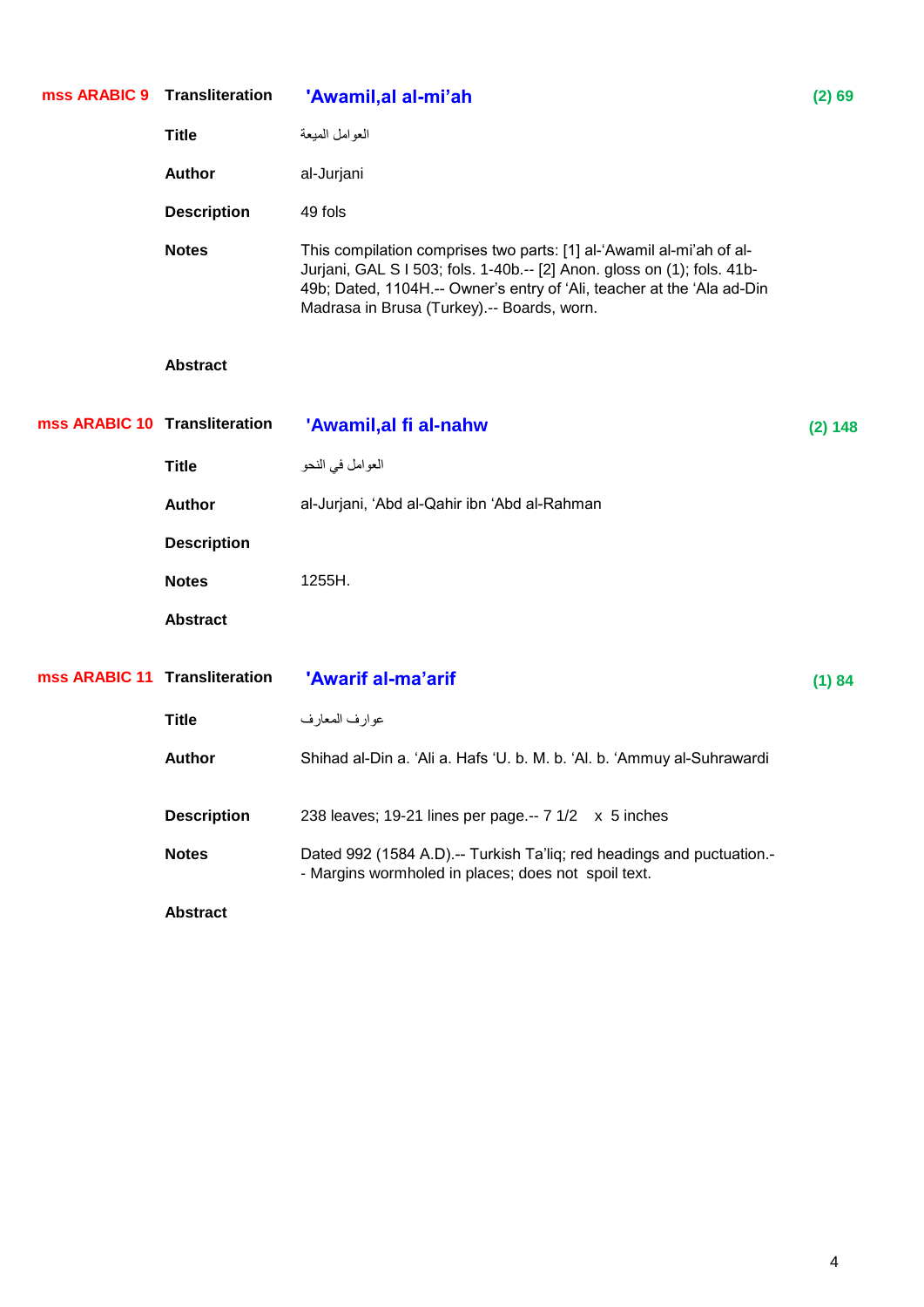| mss ARABIC 9                  | <b>Transliteration</b> | 'Awamil, al al-mi'ah                                                                                                                                                                                                                                                    | (2) 69  |
|-------------------------------|------------------------|-------------------------------------------------------------------------------------------------------------------------------------------------------------------------------------------------------------------------------------------------------------------------|---------|
|                               | <b>Title</b>           | العوامل المبعة                                                                                                                                                                                                                                                          |         |
|                               | <b>Author</b>          | al-Jurjani                                                                                                                                                                                                                                                              |         |
|                               | <b>Description</b>     | 49 fols                                                                                                                                                                                                                                                                 |         |
|                               | <b>Notes</b>           | This compilation comprises two parts: [1] al-'Awamil al-mi'ah of al-<br>Jurjani, GAL S I 503; fols. 1-40b.-- [2] Anon. gloss on (1); fols. 41b-<br>49b; Dated, 1104H.-- Owner's entry of 'Ali, teacher at the 'Ala ad-Din<br>Madrasa in Brusa (Turkey).-- Boards, worn. |         |
|                               | <b>Abstract</b>        |                                                                                                                                                                                                                                                                         |         |
| mss ARABIC 10 Transliteration |                        | 'Awamil, al fi al-nahw                                                                                                                                                                                                                                                  | (2) 148 |
|                               | <b>Title</b>           | العوامل في النحو                                                                                                                                                                                                                                                        |         |
|                               | <b>Author</b>          | al-Jurjani, 'Abd al-Qahir ibn 'Abd al-Rahman                                                                                                                                                                                                                            |         |
|                               | <b>Description</b>     |                                                                                                                                                                                                                                                                         |         |
|                               | <b>Notes</b>           | 1255H.                                                                                                                                                                                                                                                                  |         |
|                               | <b>Abstract</b>        |                                                                                                                                                                                                                                                                         |         |
| mss ARABIC 11 Transliteration |                        | 'Awarif al-ma'arif                                                                                                                                                                                                                                                      | (1) 84  |
|                               | <b>Title</b>           | عوارف المعارف                                                                                                                                                                                                                                                           |         |
|                               | <b>Author</b>          | Shihad al-Din a. 'Ali a. Hafs 'U. b. M. b. 'Al. b. 'Ammuy al-Suhrawardi                                                                                                                                                                                                 |         |
|                               | <b>Description</b>     | 238 leaves; 19-21 lines per page.-- 7 1/2 x 5 inches                                                                                                                                                                                                                    |         |
|                               | <b>Notes</b>           | Dated 992 (1584 A.D).-- Turkish Ta'liq; red headings and puctuation.-<br>- Margins wormholed in places; does not spoil text.                                                                                                                                            |         |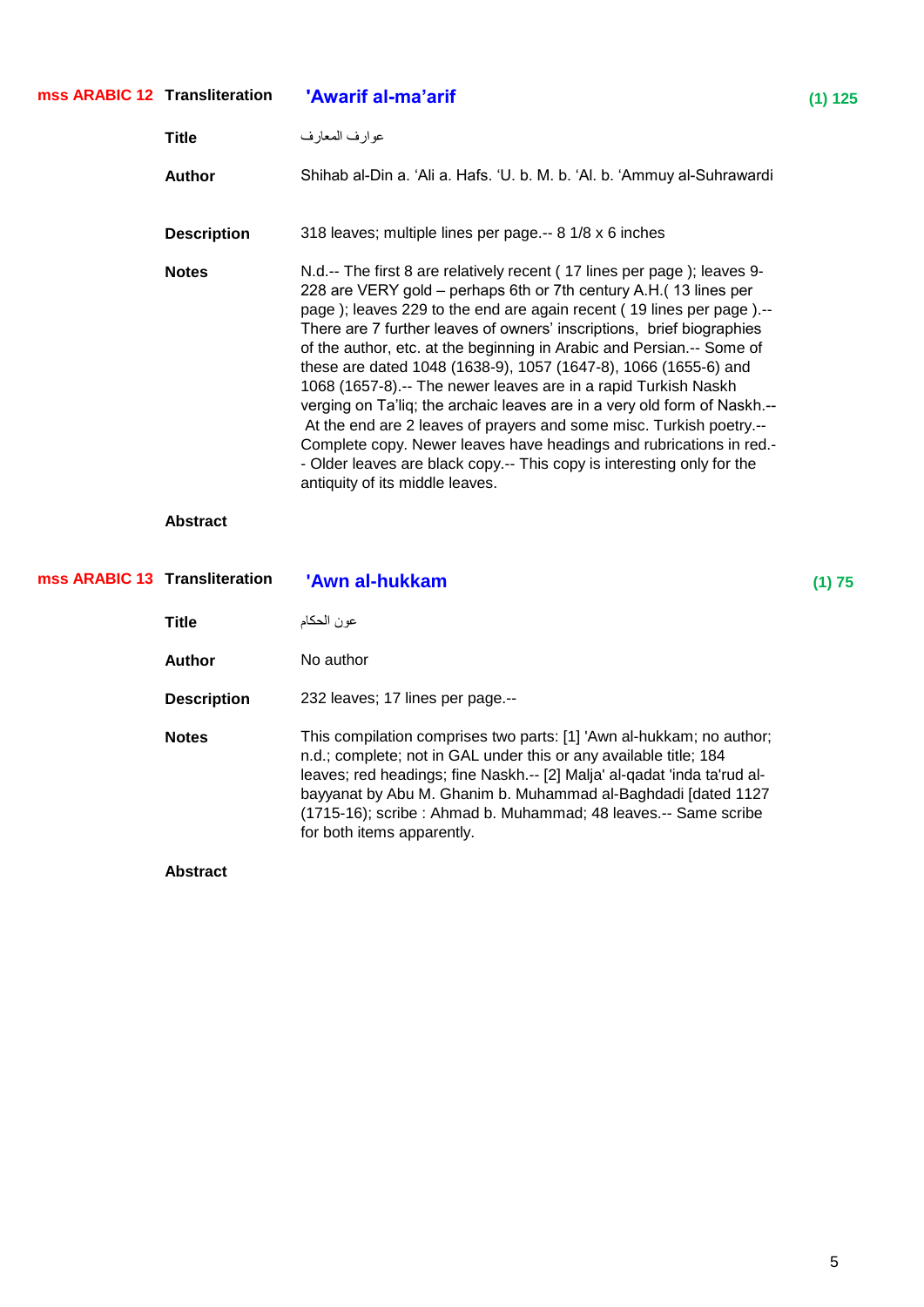| mss ARABIC 12 Transliteration |                    | 'Awarif al-ma'arif                                                                                                                                                                                                                                                                                                                                                                                                                                                                                                                                                                                                                                                                                                                                                                                                                                 | (1) 125 |
|-------------------------------|--------------------|----------------------------------------------------------------------------------------------------------------------------------------------------------------------------------------------------------------------------------------------------------------------------------------------------------------------------------------------------------------------------------------------------------------------------------------------------------------------------------------------------------------------------------------------------------------------------------------------------------------------------------------------------------------------------------------------------------------------------------------------------------------------------------------------------------------------------------------------------|---------|
|                               | <b>Title</b>       | عوارف المعارف                                                                                                                                                                                                                                                                                                                                                                                                                                                                                                                                                                                                                                                                                                                                                                                                                                      |         |
|                               | <b>Author</b>      | Shihab al-Din a. 'Ali a. Hafs. 'U. b. M. b. 'Al. b. 'Ammuy al-Suhrawardi                                                                                                                                                                                                                                                                                                                                                                                                                                                                                                                                                                                                                                                                                                                                                                           |         |
|                               | <b>Description</b> | 318 leaves; multiple lines per page.-- 8 1/8 x 6 inches                                                                                                                                                                                                                                                                                                                                                                                                                                                                                                                                                                                                                                                                                                                                                                                            |         |
|                               | <b>Notes</b>       | N.d.-- The first 8 are relatively recent (17 lines per page); leaves 9-<br>228 are VERY gold - perhaps 6th or 7th century A.H.(13 lines per<br>page); leaves 229 to the end are again recent (19 lines per page).--<br>There are 7 further leaves of owners' inscriptions, brief biographies<br>of the author, etc. at the beginning in Arabic and Persian.-- Some of<br>these are dated 1048 (1638-9), 1057 (1647-8), 1066 (1655-6) and<br>1068 (1657-8) .-- The newer leaves are in a rapid Turkish Naskh<br>verging on Ta'liq; the archaic leaves are in a very old form of Naskh.--<br>At the end are 2 leaves of prayers and some misc. Turkish poetry.--<br>Complete copy. Newer leaves have headings and rubrications in red.-<br>- Older leaves are black copy.-- This copy is interesting only for the<br>antiquity of its middle leaves. |         |
|                               | <b>Abstract</b>    |                                                                                                                                                                                                                                                                                                                                                                                                                                                                                                                                                                                                                                                                                                                                                                                                                                                    |         |
| mss ARABIC 13 Transliteration |                    | 'Awn al-hukkam                                                                                                                                                                                                                                                                                                                                                                                                                                                                                                                                                                                                                                                                                                                                                                                                                                     | (1) 75  |
|                               | <b>Title</b>       | عون الحكام                                                                                                                                                                                                                                                                                                                                                                                                                                                                                                                                                                                                                                                                                                                                                                                                                                         |         |
|                               | <b>Author</b>      | No author                                                                                                                                                                                                                                                                                                                                                                                                                                                                                                                                                                                                                                                                                                                                                                                                                                          |         |
|                               | <b>Description</b> | 232 leaves; 17 lines per page.--                                                                                                                                                                                                                                                                                                                                                                                                                                                                                                                                                                                                                                                                                                                                                                                                                   |         |
|                               | <b>Notes</b>       | This compilation comprises two parts: [1] 'Awn al-hukkam; no author;<br>n.d.; complete; not in GAL under this or any available title; 184<br>leaves; red headings; fine Naskh.-- [2] Malja' al-qadat 'inda ta'rud al-<br>bayyanat by Abu M. Ghanim b. Muhammad al-Baghdadi [dated 1127<br>(1715-16); scribe : Ahmad b. Muhammad; 48 leaves.-- Same scribe<br>for both items apparently.                                                                                                                                                                                                                                                                                                                                                                                                                                                            |         |
|                               |                    |                                                                                                                                                                                                                                                                                                                                                                                                                                                                                                                                                                                                                                                                                                                                                                                                                                                    |         |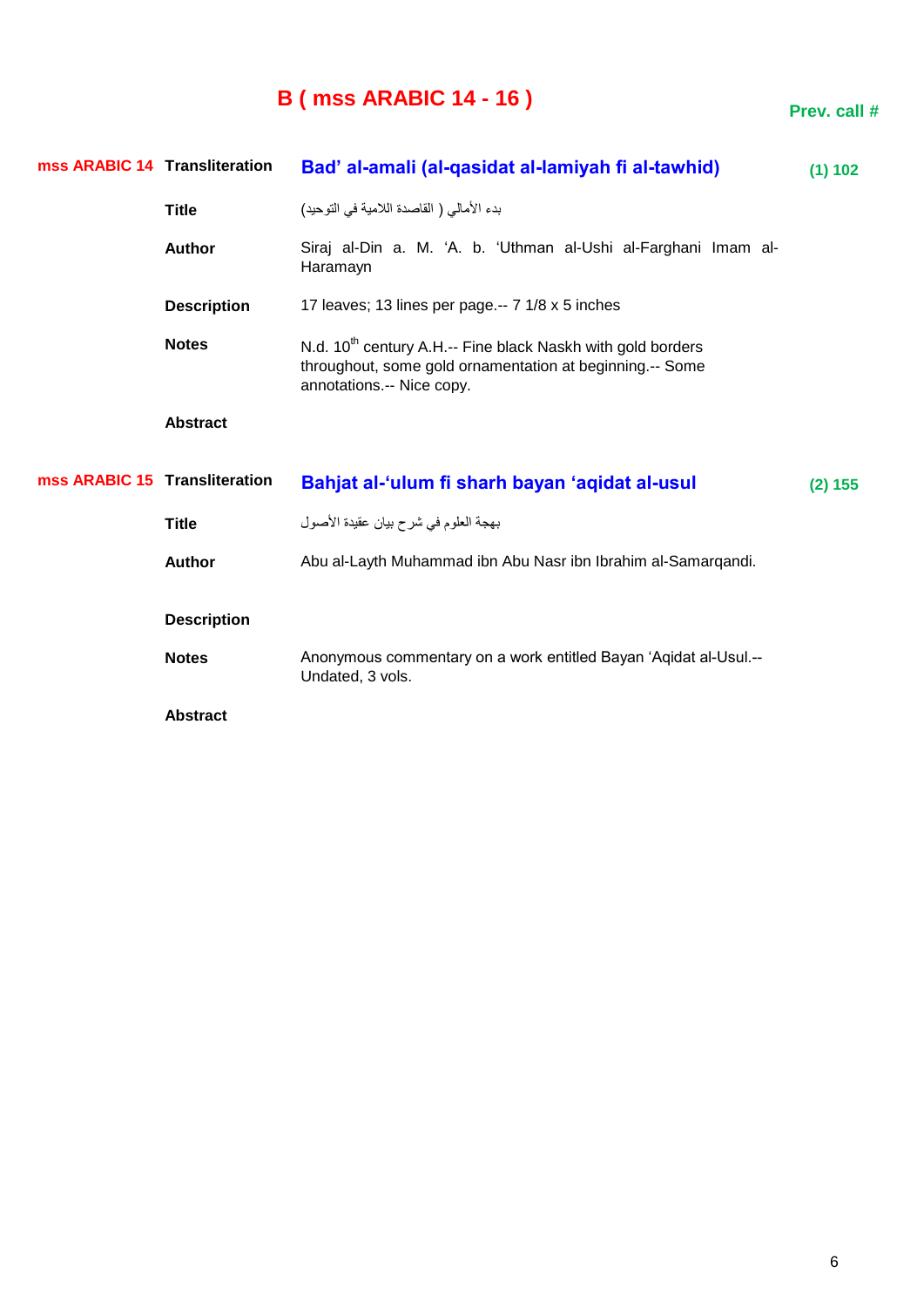## **B ( mss ARABIC 14 - 16 )**

| mss ARABIC 14 Transliteration |                    | Bad' al-amali (al-qasidat al-lamiyah fi al-tawhid)                                                                                                               | (1) 102 |
|-------------------------------|--------------------|------------------------------------------------------------------------------------------------------------------------------------------------------------------|---------|
|                               | <b>Title</b>       | بدء الأمالي ( القاصدة اللامية في التوحيد)                                                                                                                        |         |
|                               | <b>Author</b>      | Siraj al-Din a. M. 'A. b. 'Uthman al-Ushi al-Farghani Imam al-<br>Haramayn                                                                                       |         |
|                               | <b>Description</b> | 17 leaves; 13 lines per page.-- 7 1/8 x 5 inches                                                                                                                 |         |
|                               | <b>Notes</b>       | N.d. 10 <sup>th</sup> century A.H.-- Fine black Naskh with gold borders<br>throughout, some gold ornamentation at beginning.-- Some<br>annotations.-- Nice copy. |         |
|                               | <b>Abstract</b>    |                                                                                                                                                                  |         |
| mss ARABIC 15 Transliteration |                    | Bahjat al-'ulum fi sharh bayan 'aqidat al-usul                                                                                                                   | (2) 155 |
|                               | <b>Title</b>       | بهجة العلوم في شرح بيان عقيدة الأصول                                                                                                                             |         |
|                               | <b>Author</b>      | Abu al-Layth Muhammad ibn Abu Nasr ibn Ibrahim al-Samargandi.                                                                                                    |         |
|                               | <b>Description</b> |                                                                                                                                                                  |         |
|                               | <b>Notes</b>       | Anonymous commentary on a work entitled Bayan 'Aqidat al-Usul.--<br>Undated, 3 vols.                                                                             |         |
|                               |                    |                                                                                                                                                                  |         |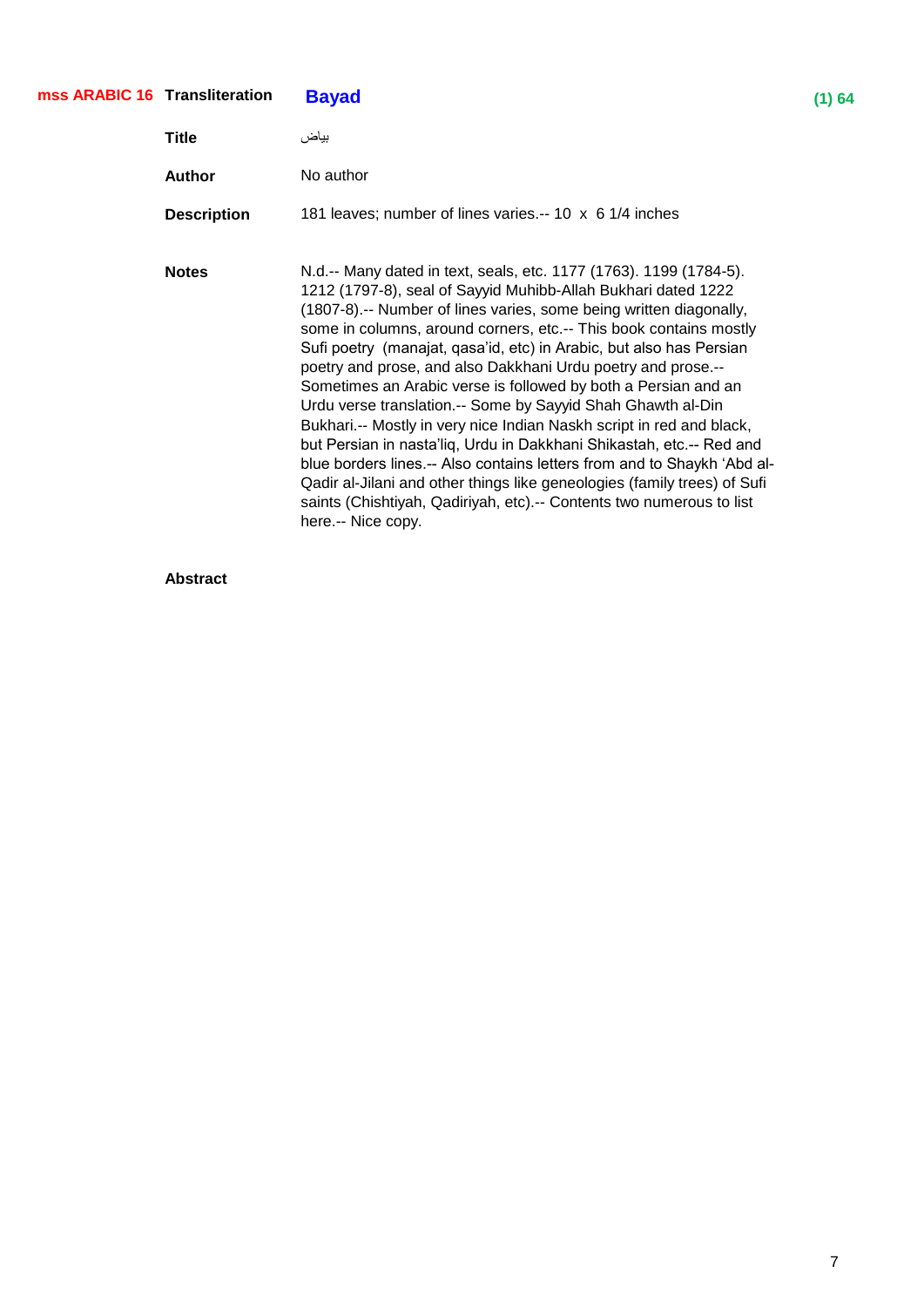### **Transliteration Bayad (1) 64 mss ARABIC 16**

| Title              | بباض                                                                                                                                                                                                                                                                                                                                                                                                                                                                                                                                                                                                                                                                                                                                                                                                                                                                                                                                                        |
|--------------------|-------------------------------------------------------------------------------------------------------------------------------------------------------------------------------------------------------------------------------------------------------------------------------------------------------------------------------------------------------------------------------------------------------------------------------------------------------------------------------------------------------------------------------------------------------------------------------------------------------------------------------------------------------------------------------------------------------------------------------------------------------------------------------------------------------------------------------------------------------------------------------------------------------------------------------------------------------------|
| Author             | No author                                                                                                                                                                                                                                                                                                                                                                                                                                                                                                                                                                                                                                                                                                                                                                                                                                                                                                                                                   |
| <b>Description</b> | 181 leaves; number of lines varies.-- 10 x 6 1/4 inches                                                                                                                                                                                                                                                                                                                                                                                                                                                                                                                                                                                                                                                                                                                                                                                                                                                                                                     |
| <b>Notes</b>       | N.d.-- Many dated in text, seals, etc. 1177 (1763). 1199 (1784-5).<br>1212 (1797-8), seal of Sayyid Muhibb-Allah Bukhari dated 1222<br>(1807-8).-- Number of lines varies, some being written diagonally,<br>some in columns, around corners, etc.-- This book contains mostly<br>Sufi poetry (manajat, qasa'id, etc) in Arabic, but also has Persian<br>poetry and prose, and also Dakkhani Urdu poetry and prose.--<br>Sometimes an Arabic verse is followed by both a Persian and an<br>Urdu verse translation.-- Some by Sayyid Shah Ghawth al-Din<br>Bukhari.-- Mostly in very nice Indian Naskh script in red and black,<br>but Persian in nasta'liq, Urdu in Dakkhani Shikastah, etc.-- Red and<br>blue borders lines.-- Also contains letters from and to Shaykh 'Abd al-<br>Qadir al-Jilani and other things like geneologies (family trees) of Sufi<br>saints (Chishtiyah, Qadiriyah, etc).-- Contents two numerous to list<br>here.-- Nice copy. |

#### **Abstract**

7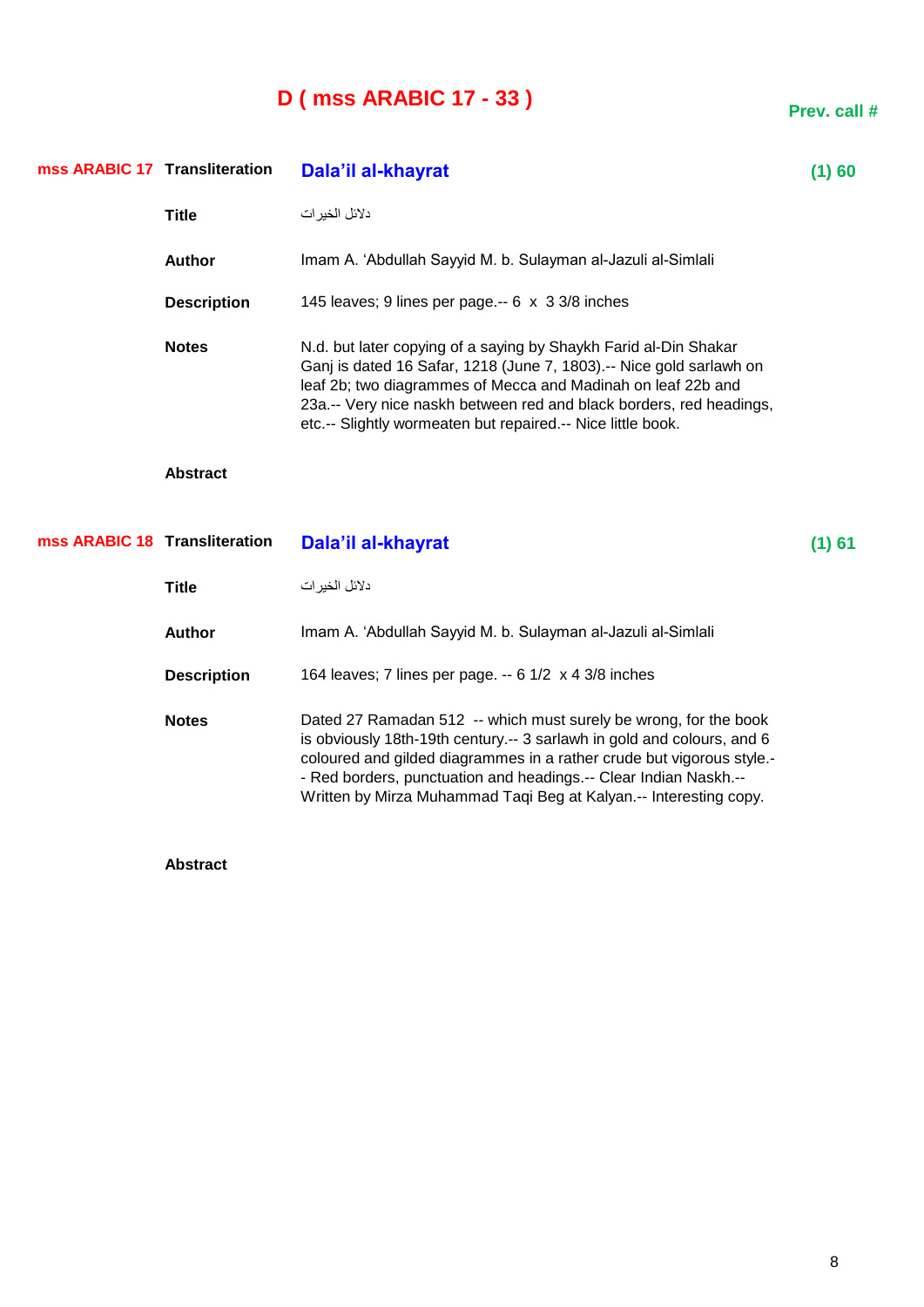## **D ( mss ARABIC 17 - 33 )**

| mss ARABIC 17 Transliteration |                    | Dala'il al-khayrat                                                                                                                                                                                                                                                                                                                                           | (1)60    |
|-------------------------------|--------------------|--------------------------------------------------------------------------------------------------------------------------------------------------------------------------------------------------------------------------------------------------------------------------------------------------------------------------------------------------------------|----------|
|                               | <b>Title</b>       | دلائل الخير ات                                                                                                                                                                                                                                                                                                                                               |          |
|                               | <b>Author</b>      | Imam A. 'Abdullah Sayyid M. b. Sulayman al-Jazuli al-Simlali                                                                                                                                                                                                                                                                                                 |          |
|                               | <b>Description</b> | 145 leaves; 9 lines per page.-- 6 x 3 3/8 inches                                                                                                                                                                                                                                                                                                             |          |
|                               | <b>Notes</b>       | N.d. but later copying of a saying by Shaykh Farid al-Din Shakar<br>Ganj is dated 16 Safar, 1218 (June 7, 1803).-- Nice gold sarlawh on<br>leaf 2b; two diagrammes of Mecca and Madinah on leaf 22b and<br>23a.-- Very nice naskh between red and black borders, red headings,<br>etc.-- Slightly wormeaten but repaired.-- Nice little book.                |          |
|                               | <b>Abstract</b>    |                                                                                                                                                                                                                                                                                                                                                              |          |
| mss ARABIC 18 Transliteration |                    | Dala'il al-khayrat                                                                                                                                                                                                                                                                                                                                           | $(1)$ 61 |
|                               | <b>Title</b>       | دلائل الخير ات                                                                                                                                                                                                                                                                                                                                               |          |
|                               | <b>Author</b>      | Imam A. 'Abdullah Sayyid M. b. Sulayman al-Jazuli al-Simlali                                                                                                                                                                                                                                                                                                 |          |
|                               | <b>Description</b> | 164 leaves; 7 lines per page. -- 6 1/2 x 4 3/8 inches                                                                                                                                                                                                                                                                                                        |          |
|                               | <b>Notes</b>       | Dated 27 Ramadan 512 -- which must surely be wrong, for the book<br>is obviously 18th-19th century.-- 3 sarlawh in gold and colours, and 6<br>coloured and gilded diagrammes in a rather crude but vigorous style.-<br>- Red borders, punctuation and headings.-- Clear Indian Naskh.--<br>Written by Mirza Muhammad Taqi Beg at Kalyan.-- Interesting copy. |          |

**Abstract**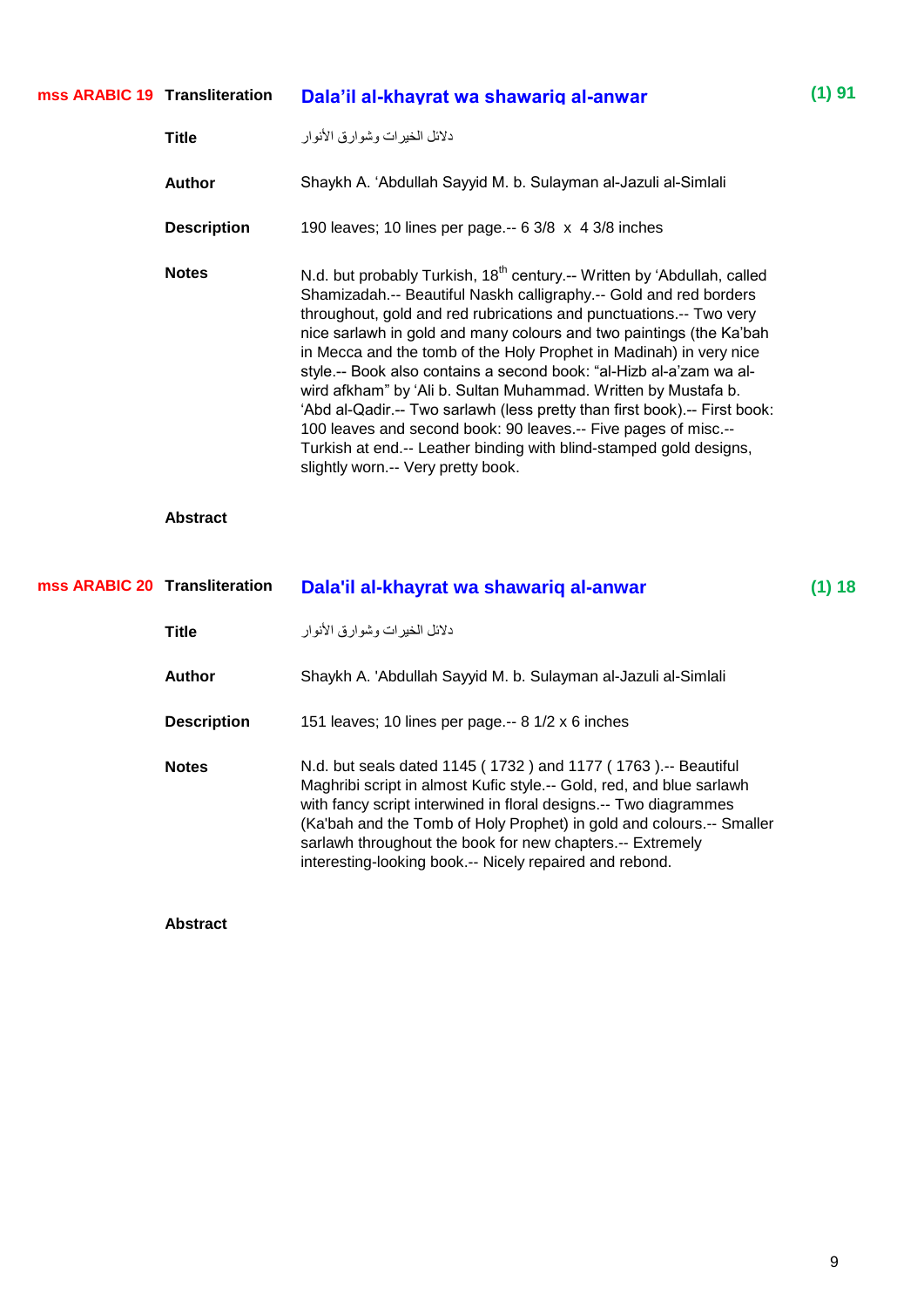| mss ARABIC 19 Transliteration | Dala'il al-khayrat wa shawarig al-anwar | $(1)$ 91 |
|-------------------------------|-----------------------------------------|----------|
|                               |                                         |          |

| Title              | دلائل الخير ات وشوار ق الأنوار                                                                                                                                                                                                                                                                                                                                                                                                                                                                                                                                                                                                                                                                                                                                                  |
|--------------------|---------------------------------------------------------------------------------------------------------------------------------------------------------------------------------------------------------------------------------------------------------------------------------------------------------------------------------------------------------------------------------------------------------------------------------------------------------------------------------------------------------------------------------------------------------------------------------------------------------------------------------------------------------------------------------------------------------------------------------------------------------------------------------|
| Author             | Shaykh A. 'Abdullah Sayyid M. b. Sulayman al-Jazuli al-Simlali                                                                                                                                                                                                                                                                                                                                                                                                                                                                                                                                                                                                                                                                                                                  |
| <b>Description</b> | 190 leaves; 10 lines per page.-- $63/8 \times 43/8$ inches                                                                                                                                                                                                                                                                                                                                                                                                                                                                                                                                                                                                                                                                                                                      |
| <b>Notes</b>       | N.d. but probably Turkish, 18 <sup>th</sup> century.-- Written by 'Abdullah, called<br>Shamizadah.-- Beautiful Naskh calligraphy.-- Gold and red borders<br>throughout, gold and red rubrications and punctuations.-- Two very<br>nice sarlawh in gold and many colours and two paintings (the Ka'bah<br>in Mecca and the tomb of the Holy Prophet in Madinah) in very nice<br>style.-- Book also contains a second book: "al-Hizb al-a'zam wa al-<br>wird afkham" by 'Ali b. Sultan Muhammad. Written by Mustafa b.<br>'Abd al-Qadir.-- Two sarlawh (less pretty than first book).-- First book:<br>100 leaves and second book: 90 leaves.-- Five pages of misc.--<br>Turkish at end.-- Leather binding with blind-stamped gold designs,<br>slightly worn.-- Very pretty book. |

| mss ARABIC 20 Transliteration |                    | Dala'il al-khayrat wa shawariq al-anwar                                                                                                                                                                                                                                                                                                                                                                   | (1) 18 |
|-------------------------------|--------------------|-----------------------------------------------------------------------------------------------------------------------------------------------------------------------------------------------------------------------------------------------------------------------------------------------------------------------------------------------------------------------------------------------------------|--------|
|                               | <b>Title</b>       | دلائل الخير ات وشوار ق الأنوار                                                                                                                                                                                                                                                                                                                                                                            |        |
|                               | Author             | Shaykh A. 'Abdullah Sayyid M. b. Sulayman al-Jazuli al-Simlali                                                                                                                                                                                                                                                                                                                                            |        |
|                               | <b>Description</b> | 151 leaves; 10 lines per page.-- 8 1/2 x 6 inches                                                                                                                                                                                                                                                                                                                                                         |        |
|                               | <b>Notes</b>       | N.d. but seals dated 1145 (1732) and 1177 (1763).-- Beautiful<br>Maghribi script in almost Kufic style.-- Gold, red, and blue sarlawh<br>with fancy script interwined in floral designs.-- Two diagrammes<br>(Ka'bah and the Tomb of Holy Prophet) in gold and colours.-- Smaller<br>sarlawh throughout the book for new chapters.-- Extremely<br>interesting-looking book.-- Nicely repaired and rebond. |        |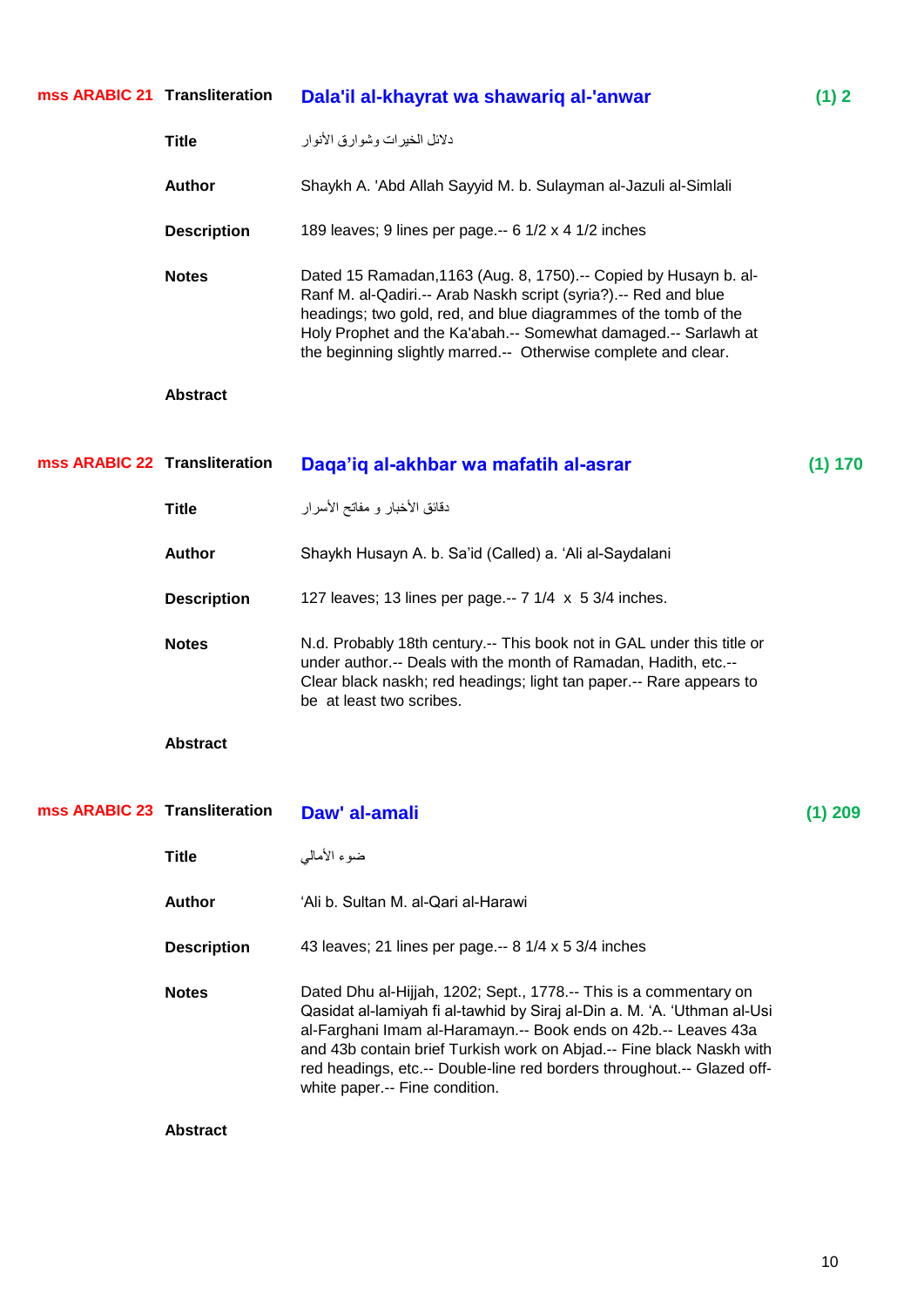| mss ARABIC 21 Transliteration |                    | Dala'il al-khayrat wa shawariq al-'anwar                                                                                                                                                                                                                                                                                                                                                            | (1) 2     |
|-------------------------------|--------------------|-----------------------------------------------------------------------------------------------------------------------------------------------------------------------------------------------------------------------------------------------------------------------------------------------------------------------------------------------------------------------------------------------------|-----------|
|                               | <b>Title</b>       | دلائل الخيرات وشوارق الأنوار                                                                                                                                                                                                                                                                                                                                                                        |           |
|                               | <b>Author</b>      | Shaykh A. 'Abd Allah Sayyid M. b. Sulayman al-Jazuli al-Simlali                                                                                                                                                                                                                                                                                                                                     |           |
|                               | <b>Description</b> | 189 leaves; 9 lines per page.-- 6 1/2 x 4 1/2 inches                                                                                                                                                                                                                                                                                                                                                |           |
|                               | <b>Notes</b>       | Dated 15 Ramadan, 1163 (Aug. 8, 1750).-- Copied by Husayn b. al-<br>Ranf M. al-Qadiri.-- Arab Naskh script (syria?).-- Red and blue<br>headings; two gold, red, and blue diagrammes of the tomb of the<br>Holy Prophet and the Ka'abah.-- Somewhat damaged.-- Sarlawh at<br>the beginning slightly marred.-- Otherwise complete and clear.                                                          |           |
|                               | <b>Abstract</b>    |                                                                                                                                                                                                                                                                                                                                                                                                     |           |
| mss ARABIC 22 Transliteration |                    | Daga'ig al-akhbar wa mafatih al-asrar                                                                                                                                                                                                                                                                                                                                                               | (1) 170   |
|                               | <b>Title</b>       | دقائق الأخبار و مفاتح الأسرار                                                                                                                                                                                                                                                                                                                                                                       |           |
|                               | <b>Author</b>      | Shaykh Husayn A. b. Sa'id (Called) a. 'Ali al-Saydalani                                                                                                                                                                                                                                                                                                                                             |           |
|                               | <b>Description</b> | 127 leaves; 13 lines per page.-- 7 1/4 x 5 3/4 inches.                                                                                                                                                                                                                                                                                                                                              |           |
|                               | <b>Notes</b>       | N.d. Probably 18th century.-- This book not in GAL under this title or<br>under author.-- Deals with the month of Ramadan, Hadith, etc.--<br>Clear black naskh; red headings; light tan paper.-- Rare appears to<br>be at least two scribes.                                                                                                                                                        |           |
|                               | <b>Abstract</b>    |                                                                                                                                                                                                                                                                                                                                                                                                     |           |
| mss ARABIC 23 Transliteration |                    | Daw' al-amali                                                                                                                                                                                                                                                                                                                                                                                       | $(1)$ 209 |
|                               | <b>Title</b>       | ضوء الأمالي                                                                                                                                                                                                                                                                                                                                                                                         |           |
|                               | <b>Author</b>      | 'Ali b. Sultan M. al-Qari al-Harawi                                                                                                                                                                                                                                                                                                                                                                 |           |
|                               |                    |                                                                                                                                                                                                                                                                                                                                                                                                     |           |
|                               | <b>Description</b> | 43 leaves; 21 lines per page .-- 8 1/4 x 5 3/4 inches                                                                                                                                                                                                                                                                                                                                               |           |
|                               | <b>Notes</b>       | Dated Dhu al-Hijjah, 1202; Sept., 1778.-- This is a commentary on<br>Qasidat al-lamiyah fi al-tawhid by Siraj al-Din a. M. 'A. 'Uthman al-Usi<br>al-Farghani Imam al-Haramayn.-- Book ends on 42b.-- Leaves 43a<br>and 43b contain brief Turkish work on Abjad.-- Fine black Naskh with<br>red headings, etc.-- Double-line red borders throughout.-- Glazed off-<br>white paper.-- Fine condition. |           |
|                               | <b>Abstract</b>    |                                                                                                                                                                                                                                                                                                                                                                                                     |           |

10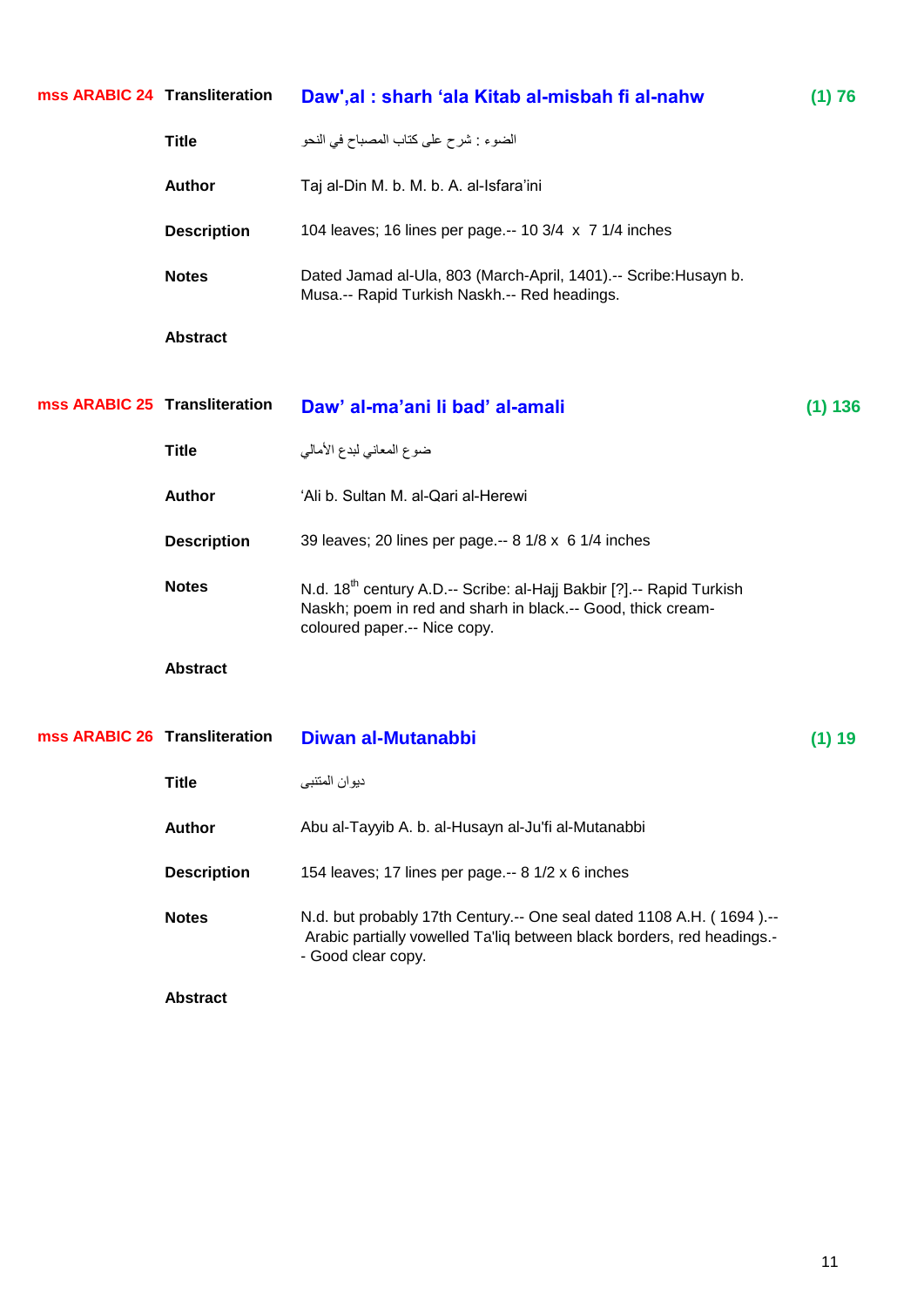| mss ARABIC 24 Transliteration |                    | Daw', al: sharh 'ala Kitab al-misbah fi al-nahw                                                                                                                                 | (1) 76   |
|-------------------------------|--------------------|---------------------------------------------------------------------------------------------------------------------------------------------------------------------------------|----------|
|                               | <b>Title</b>       | الضوء : شرح على كتاب المصباح في النحو                                                                                                                                           |          |
|                               | <b>Author</b>      | Taj al-Din M. b. M. b. A. al-Isfara'ini                                                                                                                                         |          |
|                               | <b>Description</b> | 104 leaves; 16 lines per page.-- 10 3/4 x 7 1/4 inches                                                                                                                          |          |
|                               | <b>Notes</b>       | Dated Jamad al-Ula, 803 (March-April, 1401).-- Scribe: Husayn b.<br>Musa .-- Rapid Turkish Naskh .-- Red headings.                                                              |          |
|                               | <b>Abstract</b>    |                                                                                                                                                                                 |          |
|                               |                    |                                                                                                                                                                                 |          |
| mss ARABIC 25 Transliteration |                    | Daw' al-ma'ani li bad' al-amali                                                                                                                                                 | (1) 136  |
|                               | <b>Title</b>       | ضوع المعاني لبدع الأمالي                                                                                                                                                        |          |
|                               | Author             | 'Ali b. Sultan M. al-Qari al-Herewi                                                                                                                                             |          |
|                               | <b>Description</b> | 39 leaves; 20 lines per page.-- 8 1/8 x 6 1/4 inches                                                                                                                            |          |
|                               | <b>Notes</b>       | N.d. 18 <sup>th</sup> century A.D.-- Scribe: al-Hajj Bakbir [?].-- Rapid Turkish<br>Naskh; poem in red and sharh in black.-- Good, thick cream-<br>coloured paper.-- Nice copy. |          |
|                               | <b>Abstract</b>    |                                                                                                                                                                                 |          |
| mss ARABIC 26 Transliteration |                    | Diwan al-Mutanabbi                                                                                                                                                              | $(1)$ 19 |
|                               | <b>Title</b>       | ديوان المنتبى                                                                                                                                                                   |          |
|                               | <b>Author</b>      | Abu al-Tayyib A. b. al-Husayn al-Ju'fi al-Mutanabbi                                                                                                                             |          |
|                               | <b>Description</b> | 154 leaves; 17 lines per page.-- 8 1/2 x 6 inches                                                                                                                               |          |
|                               | <b>Notes</b>       | N.d. but probably 17th Century.-- One seal dated 1108 A.H. (1694).--<br>Arabic partially vowelled Ta'liq between black borders, red headings.-<br>- Good clear copy.            |          |
|                               | <b>Abstract</b>    |                                                                                                                                                                                 |          |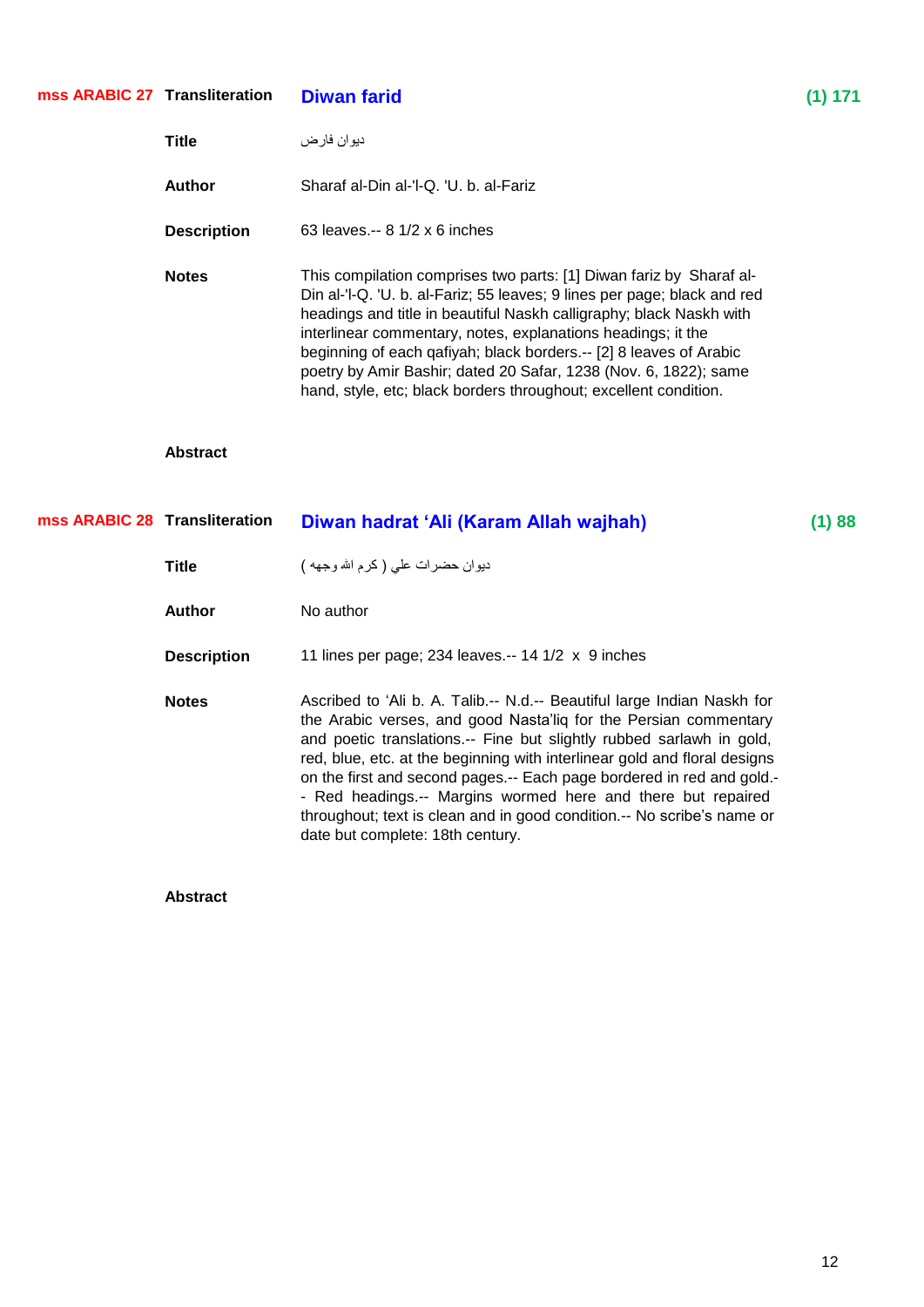|                               | mss ARABIC 27 Transliteration | <b>Diwan farid</b>                                                                                                                                                                                                                                                                                                                                                                                                                                                                                   | (1) 171 |
|-------------------------------|-------------------------------|------------------------------------------------------------------------------------------------------------------------------------------------------------------------------------------------------------------------------------------------------------------------------------------------------------------------------------------------------------------------------------------------------------------------------------------------------------------------------------------------------|---------|
|                               | <b>Title</b>                  | ديو ان فار ض                                                                                                                                                                                                                                                                                                                                                                                                                                                                                         |         |
|                               | <b>Author</b>                 | Sharaf al-Din al-'l-Q. 'U. b. al-Fariz                                                                                                                                                                                                                                                                                                                                                                                                                                                               |         |
|                               | <b>Description</b>            | 63 leaves.-- 8 1/2 x 6 inches                                                                                                                                                                                                                                                                                                                                                                                                                                                                        |         |
|                               | <b>Notes</b>                  | This compilation comprises two parts: [1] Diwan fariz by Sharaf al-<br>Din al-'l-Q. 'U. b. al-Fariz; 55 leaves; 9 lines per page; black and red<br>headings and title in beautiful Naskh calligraphy; black Naskh with<br>interlinear commentary, notes, explanations headings; it the<br>beginning of each qafiyah; black borders.-- [2] 8 leaves of Arabic<br>poetry by Amir Bashir; dated 20 Safar, 1238 (Nov. 6, 1822); same<br>hand, style, etc; black borders throughout; excellent condition. |         |
|                               | <b>Abstract</b>               |                                                                                                                                                                                                                                                                                                                                                                                                                                                                                                      |         |
|                               |                               |                                                                                                                                                                                                                                                                                                                                                                                                                                                                                                      |         |
| mss ARABIC 28 Transliteration |                               | Diwan hadrat 'Ali (Karam Allah wajhah)                                                                                                                                                                                                                                                                                                                                                                                                                                                               | (1) 88  |
|                               | <b>Title</b>                  | ديوان حضرات على (كرم الله وجهه )                                                                                                                                                                                                                                                                                                                                                                                                                                                                     |         |
|                               | <b>Author</b>                 | No author                                                                                                                                                                                                                                                                                                                                                                                                                                                                                            |         |
|                               | <b>Description</b>            | 11 lines per page; 234 leaves.-- 14 1/2 x 9 inches                                                                                                                                                                                                                                                                                                                                                                                                                                                   |         |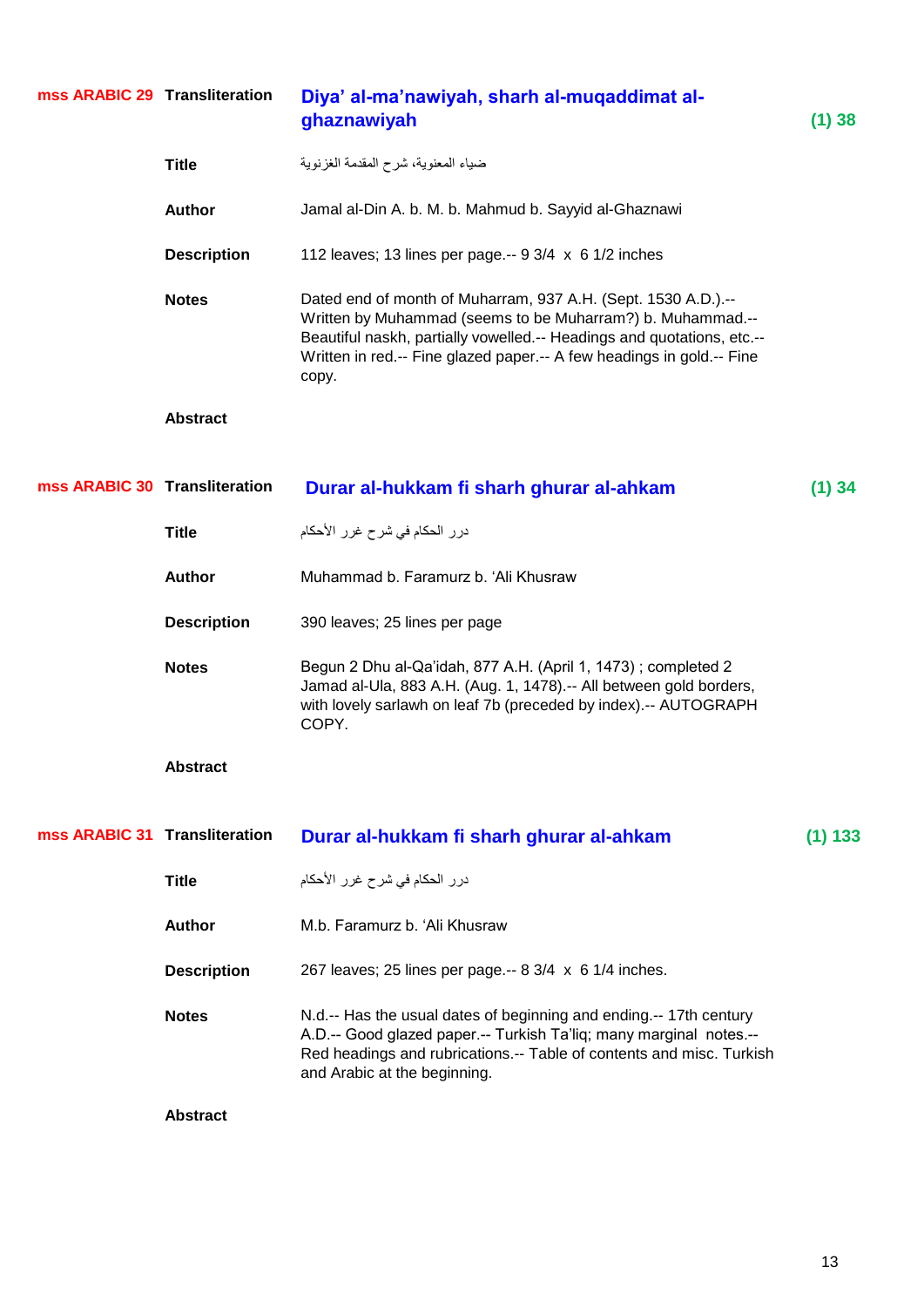| mss ARABIC 29 Transliteration |                    | Diya' al-ma'nawiyah, sharh al-muqaddimat al-<br>ghaznawiyah                                                                                                                                                                                                                             | $(1)$ 38  |
|-------------------------------|--------------------|-----------------------------------------------------------------------------------------------------------------------------------------------------------------------------------------------------------------------------------------------------------------------------------------|-----------|
|                               | <b>Title</b>       | ضياء المعنوية، شرح المقدمة الغزنوية                                                                                                                                                                                                                                                     |           |
|                               | <b>Author</b>      | Jamal al-Din A. b. M. b. Mahmud b. Sayyid al-Ghaznawi                                                                                                                                                                                                                                   |           |
|                               | <b>Description</b> | 112 leaves; 13 lines per page.-- $9 \frac{3}{4} \times 6 \frac{1}{2}$ inches                                                                                                                                                                                                            |           |
|                               | <b>Notes</b>       | Dated end of month of Muharram, 937 A.H. (Sept. 1530 A.D.).--<br>Written by Muhammad (seems to be Muharram?) b. Muhammad.--<br>Beautiful naskh, partially vowelled.-- Headings and quotations, etc.--<br>Written in red.-- Fine glazed paper.-- A few headings in gold.-- Fine<br>copy. |           |
|                               | <b>Abstract</b>    |                                                                                                                                                                                                                                                                                         |           |
| mss ARABIC 30 Transliteration |                    | Durar al-hukkam fi sharh ghurar al-ahkam                                                                                                                                                                                                                                                | $(1)$ 34  |
|                               | <b>Title</b>       | درر الحكام في شرح غرر الأحكام                                                                                                                                                                                                                                                           |           |
|                               | <b>Author</b>      | Muhammad b. Faramurz b. 'Ali Khusraw                                                                                                                                                                                                                                                    |           |
|                               | <b>Description</b> | 390 leaves; 25 lines per page                                                                                                                                                                                                                                                           |           |
|                               | <b>Notes</b>       | Begun 2 Dhu al-Qa'idah, 877 A.H. (April 1, 1473); completed 2<br>Jamad al-Ula, 883 A.H. (Aug. 1, 1478).-- All between gold borders,<br>with lovely sarlawh on leaf 7b (preceded by index).-- AUTOGRAPH<br>COPY.                                                                         |           |
|                               | <b>Abstract</b>    |                                                                                                                                                                                                                                                                                         |           |
| mss ARABIC 31 Transliteration |                    | Durar al-hukkam fi sharh ghurar al-ahkam                                                                                                                                                                                                                                                | $(1)$ 133 |
|                               | <b>Title</b>       | درر الحكام في شرح غرر الأحكام                                                                                                                                                                                                                                                           |           |
|                               | <b>Author</b>      | M.b. Faramurz b. 'Ali Khusraw                                                                                                                                                                                                                                                           |           |
|                               | <b>Description</b> | 267 leaves; 25 lines per page.-- 8 3/4 x 6 1/4 inches.                                                                                                                                                                                                                                  |           |
|                               | <b>Notes</b>       | N.d.-- Has the usual dates of beginning and ending.-- 17th century<br>A.D.-- Good glazed paper.-- Turkish Ta'liq; many marginal notes.--<br>Red headings and rubrications.-- Table of contents and misc. Turkish<br>and Arabic at the beginning.                                        |           |
|                               | <b>Abstract</b>    |                                                                                                                                                                                                                                                                                         |           |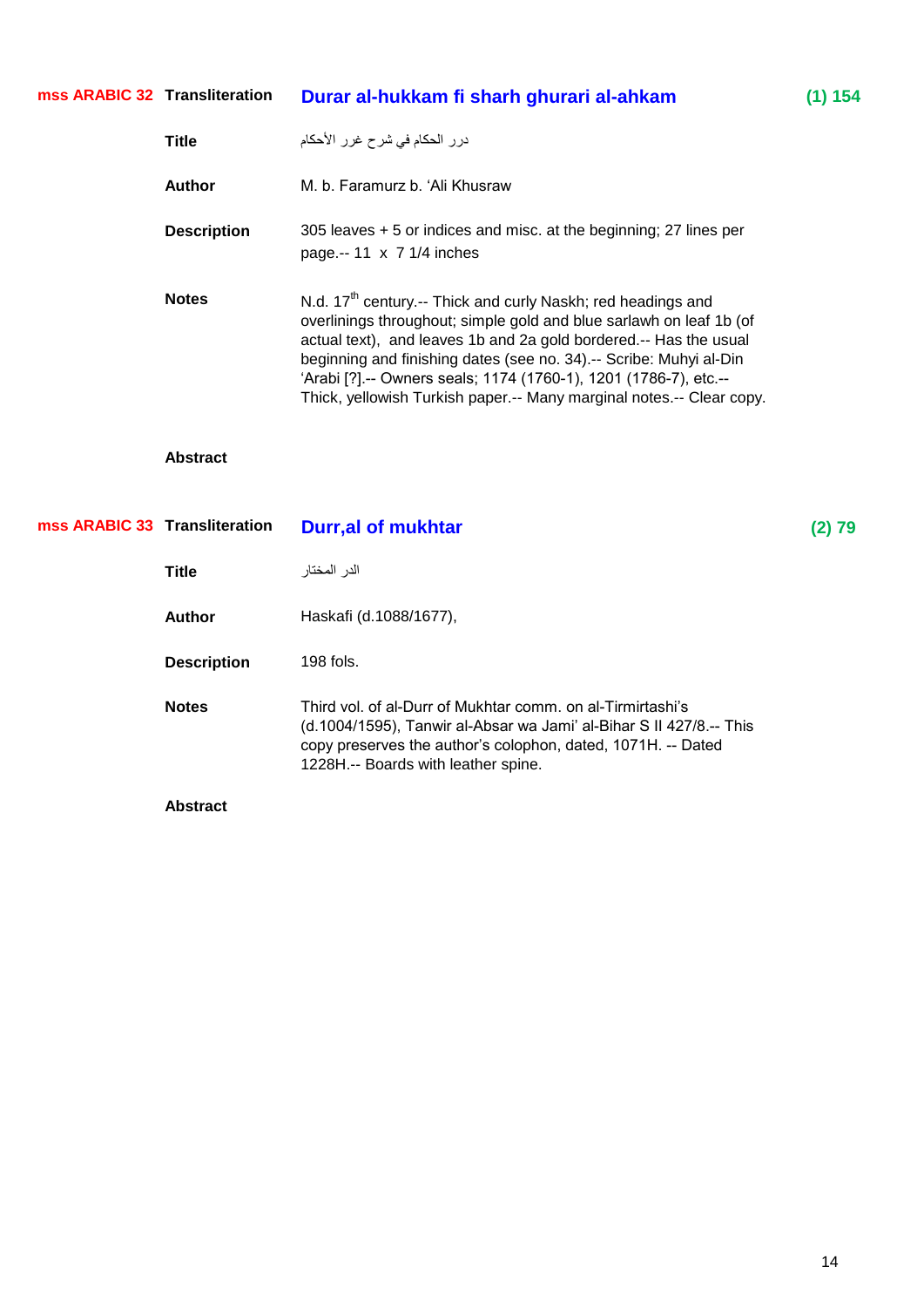| mss ARABIC 32 Transliteration |                    | Durar al-hukkam fi sharh ghurari al-ahkam                                                                                                                                                                                                                                                                                                                                                                                                 | (1) 154 |
|-------------------------------|--------------------|-------------------------------------------------------------------------------------------------------------------------------------------------------------------------------------------------------------------------------------------------------------------------------------------------------------------------------------------------------------------------------------------------------------------------------------------|---------|
|                               | <b>Title</b>       | درر الحكام في شرح غرر الأحكام                                                                                                                                                                                                                                                                                                                                                                                                             |         |
|                               | <b>Author</b>      | M. b. Faramurz b. 'Ali Khusraw                                                                                                                                                                                                                                                                                                                                                                                                            |         |
|                               | <b>Description</b> | 305 leaves + 5 or indices and misc. at the beginning; 27 lines per<br>page.-- 11 x 7 1/4 inches                                                                                                                                                                                                                                                                                                                                           |         |
|                               | <b>Notes</b>       | N.d. 17 <sup>th</sup> century.-- Thick and curly Naskh; red headings and<br>overlinings throughout; simple gold and blue sarlawh on leaf 1b (of<br>actual text), and leaves 1b and 2a gold bordered.-- Has the usual<br>beginning and finishing dates (see no. 34) .-- Scribe: Muhyi al-Din<br>'Arabi [?] .-- Owners seals; 1174 (1760-1), 1201 (1786-7), etc .--<br>Thick, yellowish Turkish paper.-- Many marginal notes.-- Clear copy. |         |
|                               | <b>Abstract</b>    |                                                                                                                                                                                                                                                                                                                                                                                                                                           |         |
| mss ARABIC 33 Transliteration |                    | <b>Durr, al of mukhtar</b>                                                                                                                                                                                                                                                                                                                                                                                                                | (2) 79  |
|                               | <b>Title</b>       | الدر المختار                                                                                                                                                                                                                                                                                                                                                                                                                              |         |
|                               | <b>Author</b>      | Haskafi (d.1088/1677),                                                                                                                                                                                                                                                                                                                                                                                                                    |         |
|                               | <b>Description</b> | 198 fols.                                                                                                                                                                                                                                                                                                                                                                                                                                 |         |
|                               | <b>Notes</b>       | Third vol. of al-Durr of Mukhtar comm. on al-Tirmirtashi's<br>(d.1004/1595), Tanwir al-Absar wa Jami' al-Bihar S II 427/8.-- This<br>copy preserves the author's colophon, dated, 1071H. -- Dated<br>1228H.-- Boards with leather spine.                                                                                                                                                                                                  |         |
|                               | <b>Abstract</b>    |                                                                                                                                                                                                                                                                                                                                                                                                                                           |         |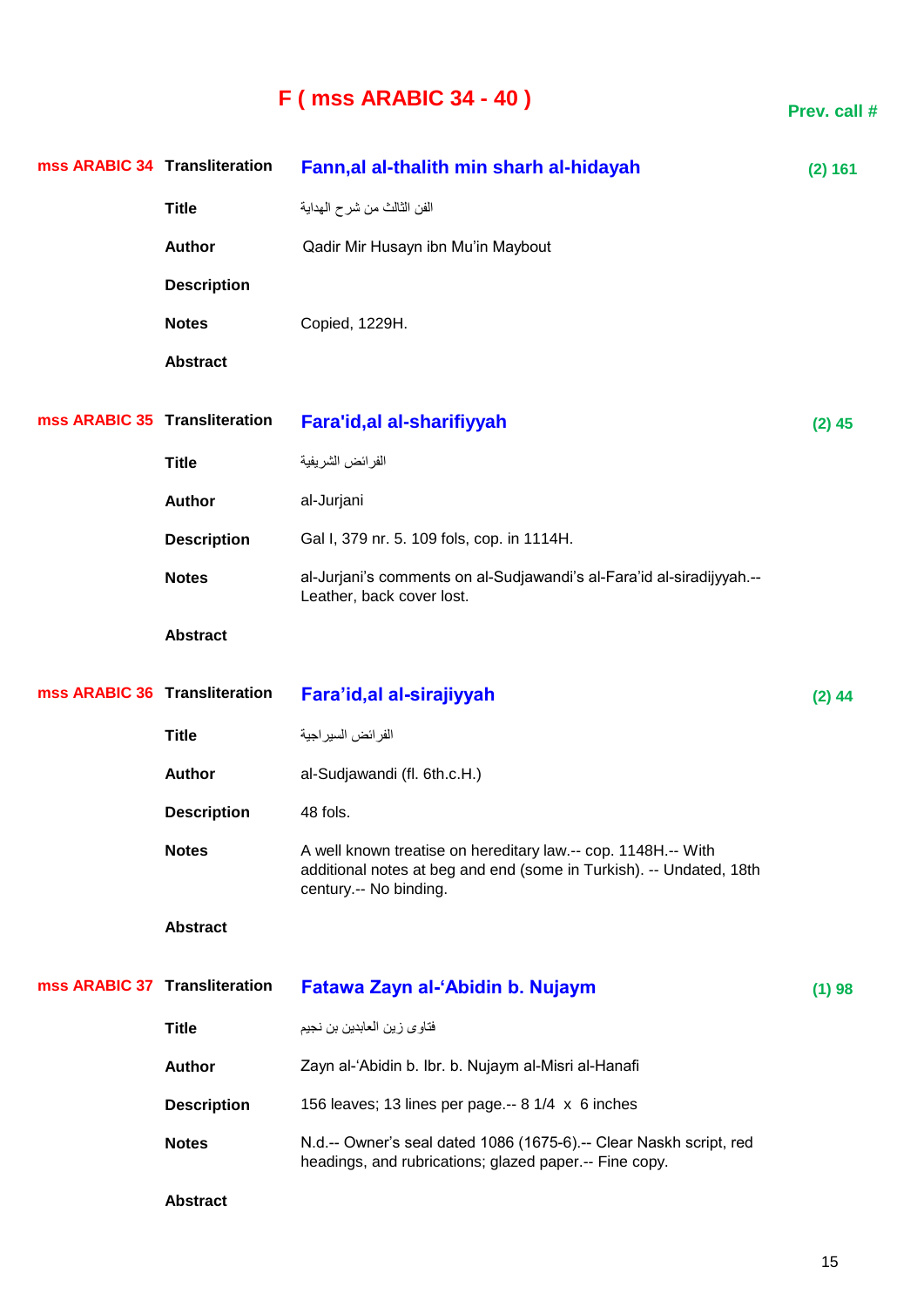# **F ( mss ARABIC 34 - 40 )**

| mss ARABIC 34 Transliteration |                    | Fann, al al-thalith min sharh al-hidayah                                                                                                                       | (2) 161  |
|-------------------------------|--------------------|----------------------------------------------------------------------------------------------------------------------------------------------------------------|----------|
|                               | <b>Title</b>       | الفن الثالث من شرح المداية                                                                                                                                     |          |
|                               | <b>Author</b>      | Qadir Mir Husayn ibn Mu'in Maybout                                                                                                                             |          |
|                               | <b>Description</b> |                                                                                                                                                                |          |
|                               | <b>Notes</b>       | Copied, 1229H.                                                                                                                                                 |          |
|                               | <b>Abstract</b>    |                                                                                                                                                                |          |
| mss ARABIC 35 Transliteration |                    | Fara'id, al al-sharifiyyah                                                                                                                                     | $(2)$ 45 |
|                               | <b>Title</b>       | الفر ائض الشريفية                                                                                                                                              |          |
|                               | <b>Author</b>      | al-Jurjani                                                                                                                                                     |          |
|                               | <b>Description</b> | Gal I, 379 nr. 5. 109 fols, cop. in 1114H.                                                                                                                     |          |
|                               | <b>Notes</b>       | al-Jurjani's comments on al-Sudjawandi's al-Fara'id al-siradijyyah.--<br>Leather, back cover lost.                                                             |          |
|                               | <b>Abstract</b>    |                                                                                                                                                                |          |
|                               |                    |                                                                                                                                                                |          |
| mss ARABIC 36 Transliteration |                    | Fara'id, al al-sirajiyyah                                                                                                                                      | $(2)$ 44 |
|                               | <b>Title</b>       | الفر ائض السير اجية                                                                                                                                            |          |
|                               | <b>Author</b>      | al-Sudjawandi (fl. 6th.c.H.)                                                                                                                                   |          |
|                               | <b>Description</b> | 48 fols.                                                                                                                                                       |          |
|                               | <b>Notes</b>       | A well known treatise on hereditary law.-- cop. 1148H.-- With<br>additional notes at beg and end (some in Turkish). -- Undated, 18th<br>century.-- No binding. |          |
|                               | <b>Abstract</b>    |                                                                                                                                                                |          |
| mss ARABIC 37 Transliteration |                    | Fatawa Zayn al-'Abidin b. Nujaym                                                                                                                               | (1) 98   |
|                               | <b>Title</b>       | فتاوى زين العابدين بن نجيم                                                                                                                                     |          |
|                               | <b>Author</b>      | Zayn al-'Abidin b. Ibr. b. Nujaym al-Misri al-Hanafi                                                                                                           |          |
|                               | <b>Description</b> | 156 leaves; 13 lines per page.-- 8 1/4 x 6 inches                                                                                                              |          |
|                               | <b>Notes</b>       | N.d.-- Owner's seal dated 1086 (1675-6).-- Clear Naskh script, red<br>headings, and rubrications; glazed paper .-- Fine copy.                                  |          |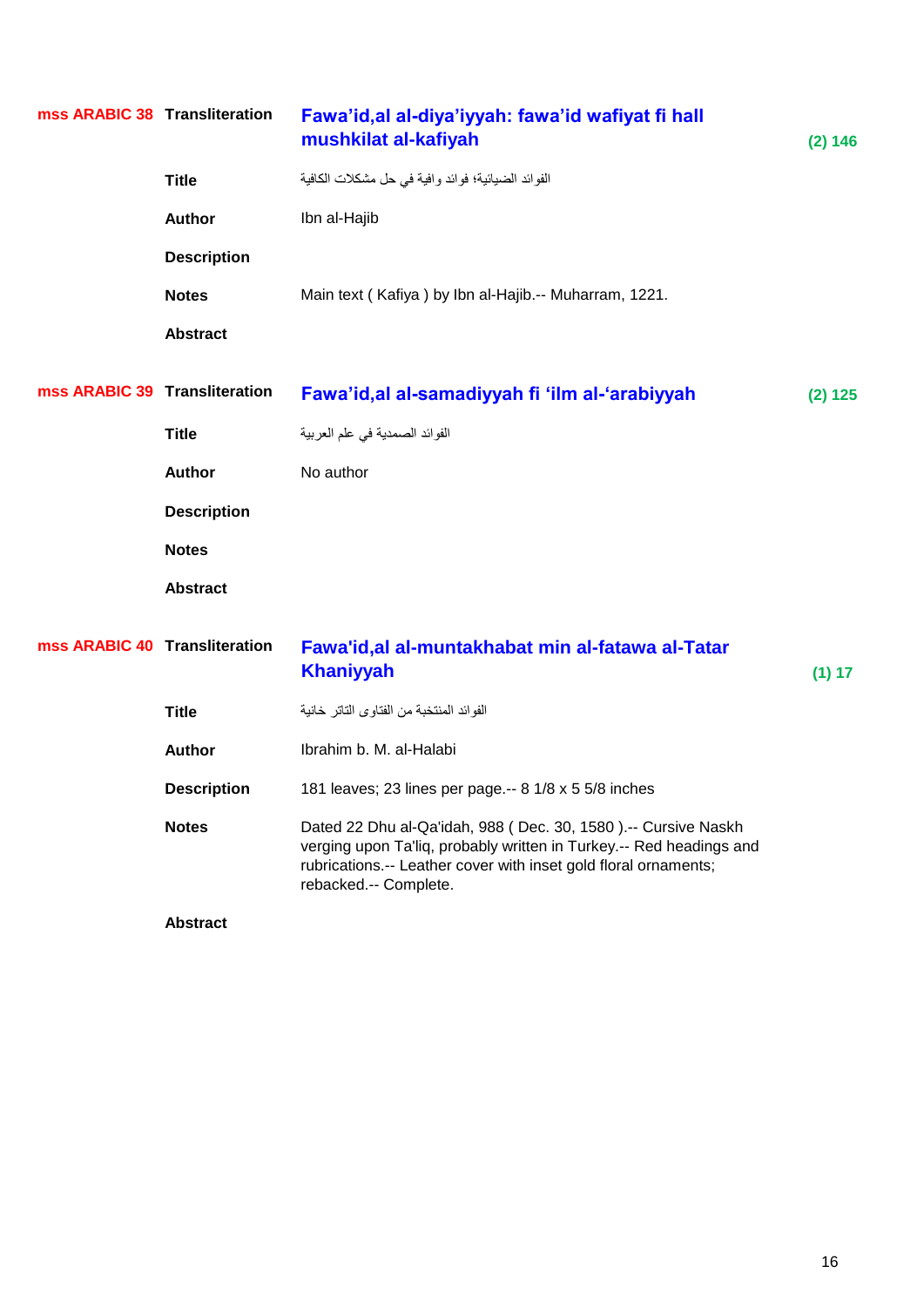| mss ARABIC 38 Transliteration |                    | Fawa'id, al al-diya'iyyah: fawa'id wafiyat fi hall<br>mushkilat al-kafiyah                                                                                                                                                       | (2) 146 |
|-------------------------------|--------------------|----------------------------------------------------------------------------------------------------------------------------------------------------------------------------------------------------------------------------------|---------|
|                               | <b>Title</b>       | الفوائد الضيائية؛ فوائد وافية في حل مشكلات الكافية                                                                                                                                                                               |         |
|                               | <b>Author</b>      | Ibn al-Hajib                                                                                                                                                                                                                     |         |
|                               | <b>Description</b> |                                                                                                                                                                                                                                  |         |
|                               | <b>Notes</b>       | Main text (Kafiya) by Ibn al-Hajib.-- Muharram, 1221.                                                                                                                                                                            |         |
|                               | <b>Abstract</b>    |                                                                                                                                                                                                                                  |         |
| mss ARABIC 39 Transliteration |                    | Fawa'id, al al-samadiyyah fi 'ilm al-'arabiyyah                                                                                                                                                                                  | (2) 125 |
|                               | <b>Title</b>       | الفوائد الصمدية في علم العربية                                                                                                                                                                                                   |         |
|                               |                    |                                                                                                                                                                                                                                  |         |
|                               | <b>Author</b>      | No author                                                                                                                                                                                                                        |         |
|                               | <b>Description</b> |                                                                                                                                                                                                                                  |         |
|                               | <b>Notes</b>       |                                                                                                                                                                                                                                  |         |
|                               | <b>Abstract</b>    |                                                                                                                                                                                                                                  |         |
| mss ARABIC 40 Transliteration |                    | Fawa'id, al al-muntakhabat min al-fatawa al-Tatar<br><b>Khaniyyah</b>                                                                                                                                                            | (1) 17  |
|                               | <b>Title</b>       | الفوائد المنتخبة من الفتاوى التاتر خانية                                                                                                                                                                                         |         |
|                               | <b>Author</b>      | Ibrahim b. M. al-Halabi                                                                                                                                                                                                          |         |
|                               | <b>Description</b> | 181 leaves; 23 lines per page.-- 8 1/8 x 5 5/8 inches                                                                                                                                                                            |         |
|                               | <b>Notes</b>       | Dated 22 Dhu al-Qa'idah, 988 (Dec. 30, 1580).-- Cursive Naskh<br>verging upon Ta'liq, probably written in Turkey.-- Red headings and<br>rubrications.-- Leather cover with inset gold floral ornaments;<br>rebacked.-- Complete. |         |
|                               |                    |                                                                                                                                                                                                                                  |         |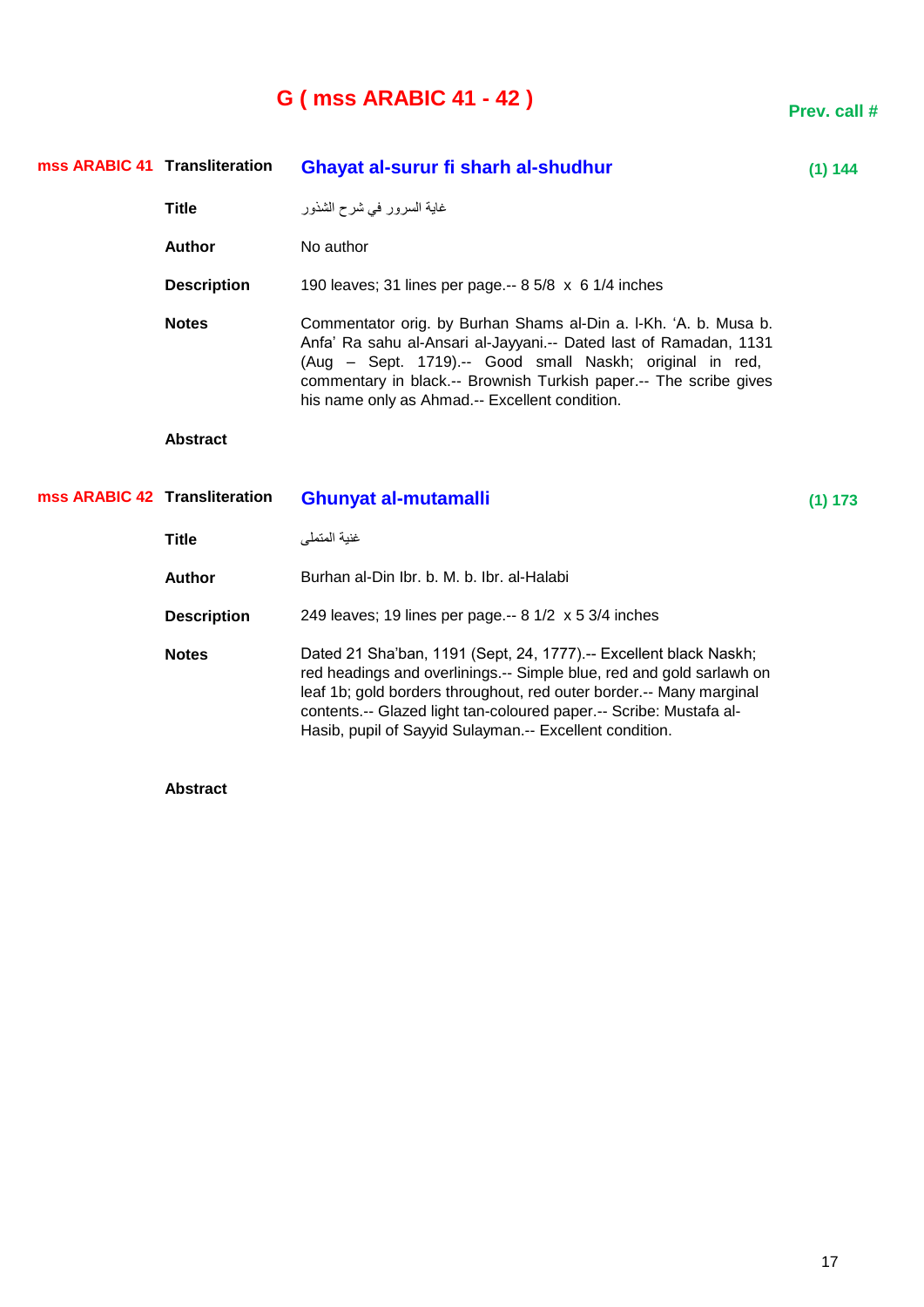## **G ( mss ARABIC 41 - 42 )**

**Prev. call #**

|                               | mss ARABIC 41 Transliteration | Ghayat al-surur fi sharh al-shudhur                                                                                                                                                                                                                                                                                      | (1) 144 |
|-------------------------------|-------------------------------|--------------------------------------------------------------------------------------------------------------------------------------------------------------------------------------------------------------------------------------------------------------------------------------------------------------------------|---------|
|                               | <b>Title</b>                  | غاية السرور في شرح الشذور                                                                                                                                                                                                                                                                                                |         |
|                               | <b>Author</b>                 | No author                                                                                                                                                                                                                                                                                                                |         |
|                               | <b>Description</b>            | 190 leaves; 31 lines per page.-- 8 5/8 x 6 1/4 inches                                                                                                                                                                                                                                                                    |         |
|                               | <b>Notes</b>                  | Commentator orig. by Burhan Shams al-Din a. I-Kh. 'A. b. Musa b.<br>Anfa' Ra sahu al-Ansari al-Jayyani.-- Dated last of Ramadan, 1131<br>(Aug - Sept. 1719).-- Good small Naskh; original in red,<br>commentary in black.-- Brownish Turkish paper.-- The scribe gives<br>his name only as Ahmad.-- Excellent condition. |         |
|                               | <b>Abstract</b>               |                                                                                                                                                                                                                                                                                                                          |         |
|                               |                               |                                                                                                                                                                                                                                                                                                                          |         |
| mss ARABIC 42 Transliteration |                               | <b>Ghunyat al-mutamalli</b>                                                                                                                                                                                                                                                                                              | (1) 173 |
|                               | <b>Title</b>                  | غنية المتملي                                                                                                                                                                                                                                                                                                             |         |
|                               | <b>Author</b>                 | Burhan al-Din Ibr. b. M. b. Ibr. al-Halabi                                                                                                                                                                                                                                                                               |         |
|                               | <b>Description</b>            | 249 leaves; 19 lines per page.-- 8 1/2 x 5 3/4 inches                                                                                                                                                                                                                                                                    |         |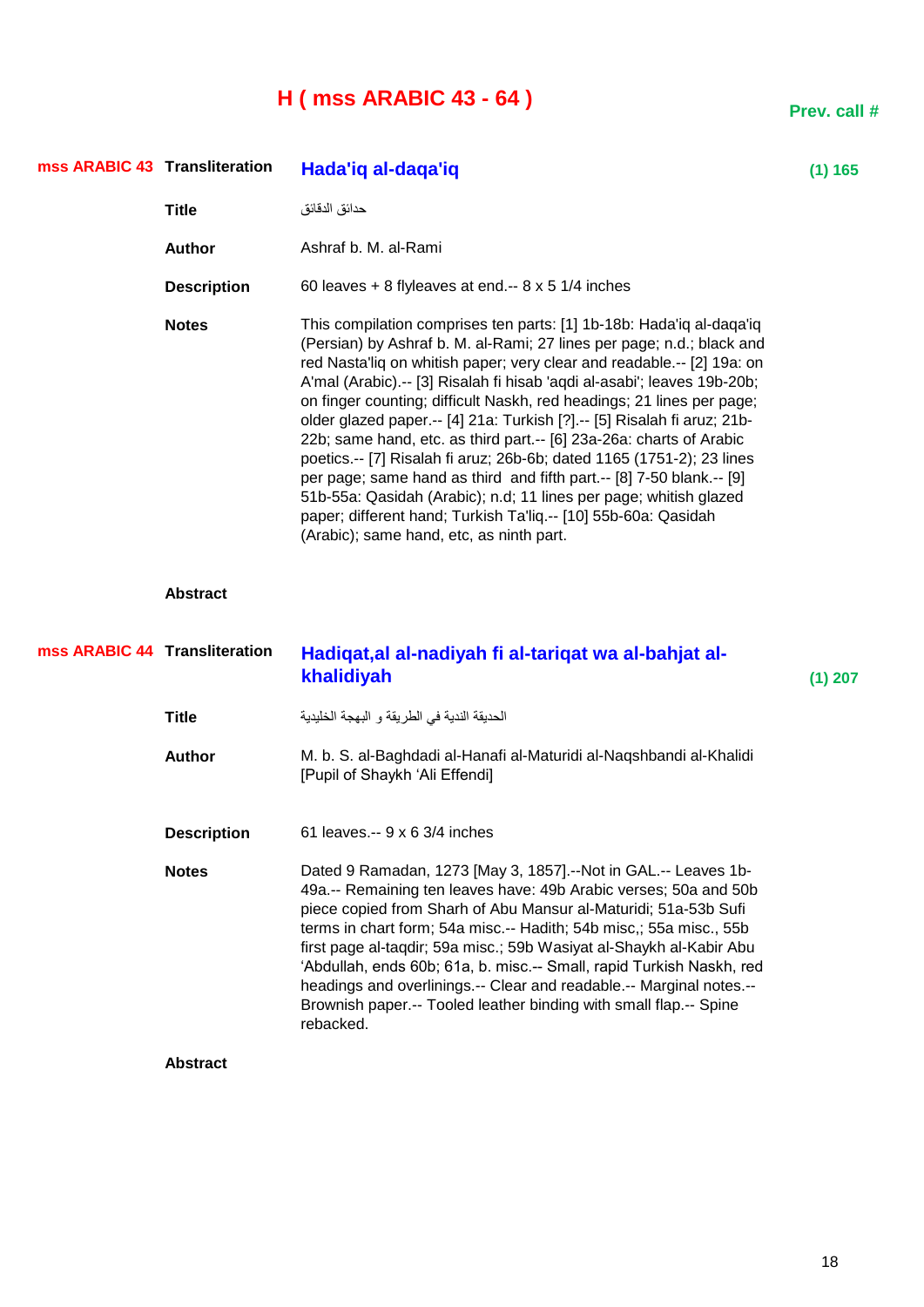## **H ( mss ARABIC 43 - 64 )**

| mss ARABIC 43 Transliteration |                               | Hada'iq al-daqa'iq                                                                                                                                                                                                                                                                                                                                                                                                                                                                                                                                                                                                                                                                                                                                                                                                                                                 | (1) 165   |
|-------------------------------|-------------------------------|--------------------------------------------------------------------------------------------------------------------------------------------------------------------------------------------------------------------------------------------------------------------------------------------------------------------------------------------------------------------------------------------------------------------------------------------------------------------------------------------------------------------------------------------------------------------------------------------------------------------------------------------------------------------------------------------------------------------------------------------------------------------------------------------------------------------------------------------------------------------|-----------|
|                               | <b>Title</b>                  | حدائق الدقائق                                                                                                                                                                                                                                                                                                                                                                                                                                                                                                                                                                                                                                                                                                                                                                                                                                                      |           |
|                               | <b>Author</b>                 | Ashraf b. M. al-Rami                                                                                                                                                                                                                                                                                                                                                                                                                                                                                                                                                                                                                                                                                                                                                                                                                                               |           |
|                               | <b>Description</b>            | 60 leaves + 8 flyleaves at end.-- $8 \times 5$ 1/4 inches                                                                                                                                                                                                                                                                                                                                                                                                                                                                                                                                                                                                                                                                                                                                                                                                          |           |
|                               | <b>Notes</b>                  | This compilation comprises ten parts: [1] 1b-18b: Hada'iq al-daqa'iq<br>(Persian) by Ashraf b. M. al-Rami; 27 lines per page; n.d.; black and<br>red Nasta'liq on whitish paper; very clear and readable .-- [2] 19a: on<br>A'mal (Arabic).-- [3] Risalah fi hisab 'aqdi al-asabi'; leaves 19b-20b;<br>on finger counting; difficult Naskh, red headings; 21 lines per page;<br>older glazed paper.-- [4] 21a: Turkish [?].-- [5] Risalah fi aruz; 21b-<br>22b; same hand, etc. as third part.-- [6] 23a-26a: charts of Arabic<br>poetics.-- [7] Risalah fi aruz; 26b-6b; dated 1165 (1751-2); 23 lines<br>per page; same hand as third and fifth part.-- [8] 7-50 blank.-- [9]<br>51b-55a: Qasidah (Arabic); n.d; 11 lines per page; whitish glazed<br>paper; different hand; Turkish Ta'liq.-- [10] 55b-60a: Qasidah<br>(Arabic); same hand, etc, as ninth part. |           |
|                               | <b>Abstract</b>               |                                                                                                                                                                                                                                                                                                                                                                                                                                                                                                                                                                                                                                                                                                                                                                                                                                                                    |           |
|                               |                               |                                                                                                                                                                                                                                                                                                                                                                                                                                                                                                                                                                                                                                                                                                                                                                                                                                                                    |           |
|                               | mss ARABIC 44 Transliteration | Hadiqat, al al-nadiyah fi al-tariqat wa al-bahjat al-<br>khalidiyah                                                                                                                                                                                                                                                                                                                                                                                                                                                                                                                                                                                                                                                                                                                                                                                                | $(1)$ 207 |
|                               | <b>Title</b>                  | الحديقة الندية في الطريقة و البهجة الخليدية                                                                                                                                                                                                                                                                                                                                                                                                                                                                                                                                                                                                                                                                                                                                                                                                                        |           |
|                               | Author                        | M. b. S. al-Baghdadi al-Hanafi al-Maturidi al-Naqshbandi al-Khalidi<br>[Pupil of Shaykh 'Ali Effendi]                                                                                                                                                                                                                                                                                                                                                                                                                                                                                                                                                                                                                                                                                                                                                              |           |
|                               | <b>Description</b>            | 61 leaves.-- 9 x 6 3/4 inches                                                                                                                                                                                                                                                                                                                                                                                                                                                                                                                                                                                                                                                                                                                                                                                                                                      |           |
|                               | <b>Notes</b>                  | Dated 9 Ramadan, 1273 [May 3, 1857].--Not in GAL.-- Leaves 1b-<br>49a.-- Remaining ten leaves have: 49b Arabic verses; 50a and 50b<br>piece copied from Sharh of Abu Mansur al-Maturidi; 51a-53b Sufi<br>terms in chart form; 54a misc.-- Hadith; 54b misc,; 55a misc., 55b<br>first page al-taqdir; 59a misc.; 59b Wasiyat al-Shaykh al-Kabir Abu<br>'Abdullah, ends 60b; 61a, b. misc.-- Small, rapid Turkish Naskh, red<br>headings and overlinings.-- Clear and readable.-- Marginal notes.--<br>Brownish paper.-- Tooled leather binding with small flap.-- Spine<br>rebacked.                                                                                                                                                                                                                                                                                |           |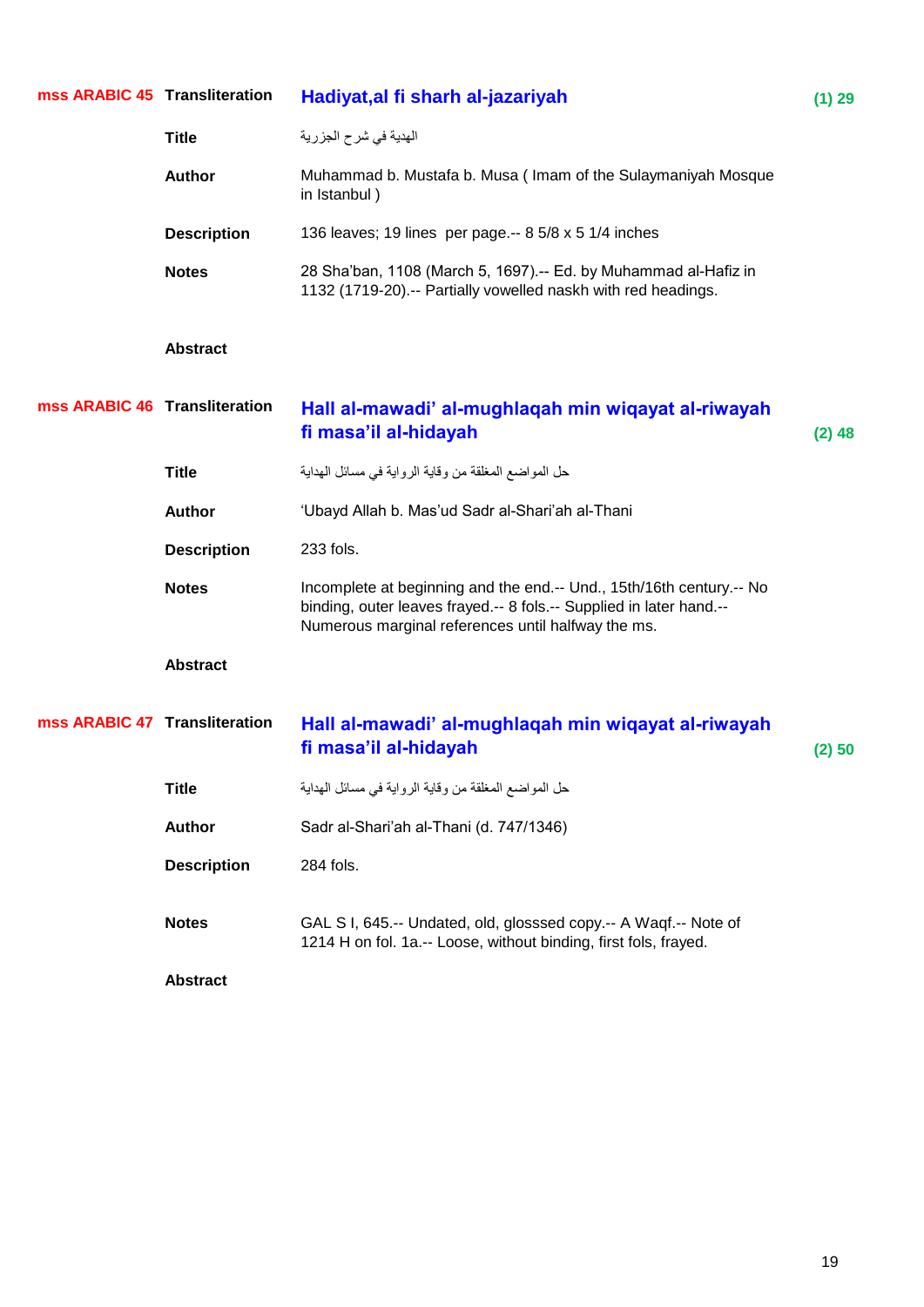| mss ARABIC 45 Transliteration |                    | Hadiyat, al fi sharh al-jazariyah                                                                                                                                                                 | (1) 29   |
|-------------------------------|--------------------|---------------------------------------------------------------------------------------------------------------------------------------------------------------------------------------------------|----------|
|                               | <b>Title</b>       | الهدية في شرح الجزرية                                                                                                                                                                             |          |
|                               | <b>Author</b>      | Muhammad b. Mustafa b. Musa (Imam of the Sulaymaniyah Mosque<br>in Istanbul)                                                                                                                      |          |
|                               | <b>Description</b> | 136 leaves; 19 lines per page.-- 8 5/8 x 5 1/4 inches                                                                                                                                             |          |
|                               | <b>Notes</b>       | 28 Sha'ban, 1108 (March 5, 1697).-- Ed. by Muhammad al-Hafiz in<br>1132 (1719-20) .-- Partially vowelled naskh with red headings.                                                                 |          |
|                               | <b>Abstract</b>    |                                                                                                                                                                                                   |          |
| mss ARABIC 46 Transliteration |                    | Hall al-mawadi' al-mughlaqah min wiqayat al-riwayah<br>fi masa'il al-hidayah                                                                                                                      | $(2)$ 48 |
|                               | <b>Title</b>       | حل المواضع المغلقة من وقاية الرواية في مسائل الهداية                                                                                                                                              |          |
|                               | Author             | 'Ubayd Allah b. Mas'ud Sadr al-Shari'ah al-Thani                                                                                                                                                  |          |
|                               | <b>Description</b> | 233 fols.                                                                                                                                                                                         |          |
|                               | <b>Notes</b>       | Incomplete at beginning and the end.-- Und., 15th/16th century.-- No<br>binding, outer leaves frayed.-- 8 fols.-- Supplied in later hand.--<br>Numerous marginal references until halfway the ms. |          |
|                               | <b>Abstract</b>    |                                                                                                                                                                                                   |          |
| mss ARABIC 47 Transliteration |                    | Hall al-mawadi' al-mughlaqah min wiqayat al-riwayah<br>fi masa'il al-hidayah                                                                                                                      | (2) 50   |
|                               | <b>Title</b>       | حل المواضع المغلقة من وقاية الرواية في مسائل الهداية                                                                                                                                              |          |
|                               | <b>Author</b>      | Sadr al-Shari'ah al-Thani (d. 747/1346)                                                                                                                                                           |          |
|                               | <b>Description</b> | 284 fols.                                                                                                                                                                                         |          |
|                               | <b>Notes</b>       | GAL S I, 645 .-- Undated, old, glosssed copy .-- A Waqf .-- Note of<br>1214 H on fol. 1a .-- Loose, without binding, first fols, frayed.                                                          |          |
|                               | <b>Abstract</b>    |                                                                                                                                                                                                   |          |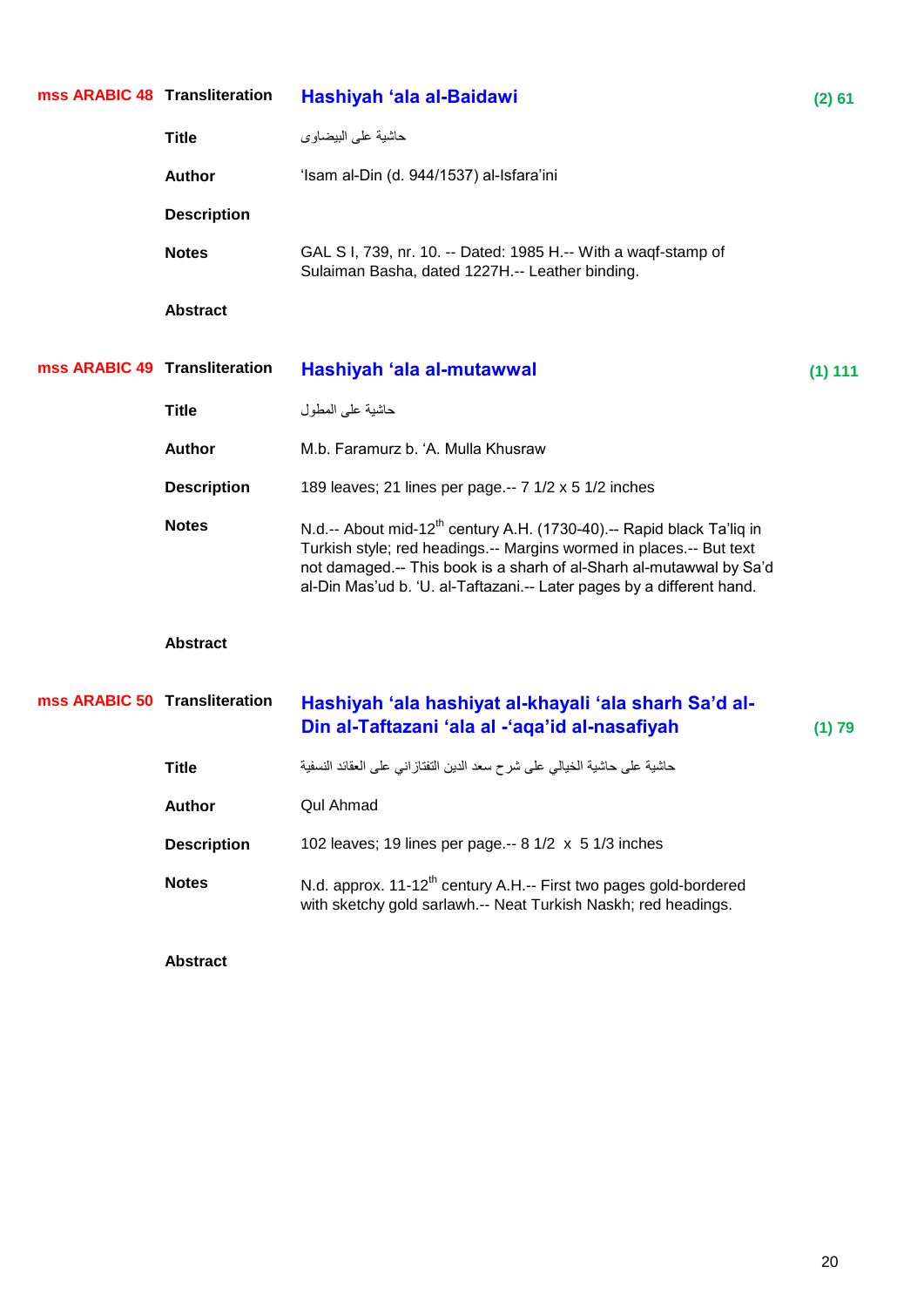| mss ARABIC 48 Transliteration |                    | Hashiyah 'ala al-Baidawi                                                                                                                                                                                                                                                                                 | (2) 61  |
|-------------------------------|--------------------|----------------------------------------------------------------------------------------------------------------------------------------------------------------------------------------------------------------------------------------------------------------------------------------------------------|---------|
|                               | <b>Title</b>       | حاشية على البيضاوي                                                                                                                                                                                                                                                                                       |         |
|                               | <b>Author</b>      | 'Isam al-Din (d. 944/1537) al-Isfara'ini                                                                                                                                                                                                                                                                 |         |
|                               | <b>Description</b> |                                                                                                                                                                                                                                                                                                          |         |
|                               | <b>Notes</b>       | GAL S I, 739, nr. 10. -- Dated: 1985 H.-- With a waqf-stamp of<br>Sulaiman Basha, dated 1227H.-- Leather binding.                                                                                                                                                                                        |         |
|                               | <b>Abstract</b>    |                                                                                                                                                                                                                                                                                                          |         |
| mss ARABIC 49 Transliteration |                    | Hashiyah 'ala al-mutawwal                                                                                                                                                                                                                                                                                | (1) 111 |
|                               | <b>Title</b>       | حاشية على المطول                                                                                                                                                                                                                                                                                         |         |
|                               | <b>Author</b>      | M.b. Faramurz b. 'A. Mulla Khusraw                                                                                                                                                                                                                                                                       |         |
|                               | <b>Description</b> | 189 leaves; 21 lines per page.-- 7 1/2 x 5 1/2 inches                                                                                                                                                                                                                                                    |         |
|                               | <b>Notes</b>       | N.d.-- About mid-12 <sup>th</sup> century A.H. (1730-40).-- Rapid black Ta'liq in<br>Turkish style; red headings.-- Margins wormed in places.-- But text<br>not damaged.-- This book is a sharh of al-Sharh al-mutawwal by Sa'd<br>al-Din Mas'ud b. 'U. al-Taftazani.-- Later pages by a different hand. |         |
|                               | <b>Abstract</b>    |                                                                                                                                                                                                                                                                                                          |         |
| mss ARABIC 50 Transliteration |                    | Hashiyah 'ala hashiyat al-khayali 'ala sharh Sa'd al-<br>Din al-Taftazani 'ala al -'aqa'id al-nasafiyah                                                                                                                                                                                                  | (1) 79  |
|                               | <b>Title</b>       | حاشية على حاشية الخيالي على شرح سعد الدين التفتاز اني على العقائد النسفية                                                                                                                                                                                                                                |         |
|                               | <b>Author</b>      | <b>Qul Ahmad</b>                                                                                                                                                                                                                                                                                         |         |
|                               | <b>Description</b> | 102 leaves; 19 lines per page.-- 8 1/2 x 5 1/3 inches                                                                                                                                                                                                                                                    |         |
|                               | <b>Notes</b>       | N.d. approx. 11-12 <sup>th</sup> century A.H.-- First two pages gold-bordered<br>with sketchy gold sarlawh.-- Neat Turkish Naskh; red headings.                                                                                                                                                          |         |
|                               | <b>Abstract</b>    |                                                                                                                                                                                                                                                                                                          |         |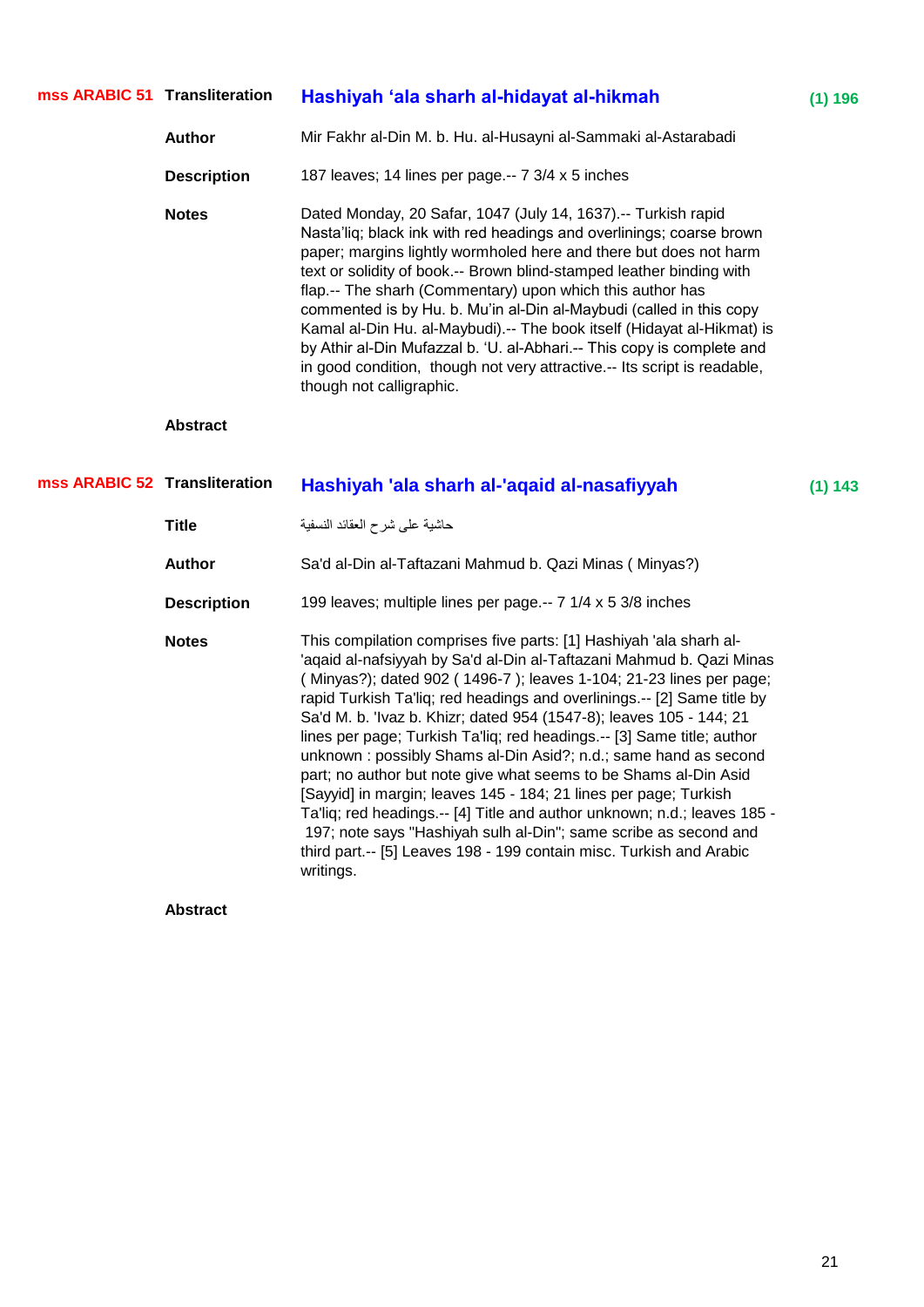| mss ARABIC 51 Transliteration |                    | Hashiyah 'ala sharh al-hidayat al-hikmah                                                                                                                                                                                                                                                                                                                                                                                                                                                                                                                                                                                                                                           | (1) 196 |
|-------------------------------|--------------------|------------------------------------------------------------------------------------------------------------------------------------------------------------------------------------------------------------------------------------------------------------------------------------------------------------------------------------------------------------------------------------------------------------------------------------------------------------------------------------------------------------------------------------------------------------------------------------------------------------------------------------------------------------------------------------|---------|
|                               | <b>Author</b>      | Mir Fakhr al-Din M. b. Hu. al-Husayni al-Sammaki al-Astarabadi                                                                                                                                                                                                                                                                                                                                                                                                                                                                                                                                                                                                                     |         |
|                               | <b>Description</b> | 187 leaves; 14 lines per page.-- 7 3/4 x 5 inches                                                                                                                                                                                                                                                                                                                                                                                                                                                                                                                                                                                                                                  |         |
|                               | <b>Notes</b>       | Dated Monday, 20 Safar, 1047 (July 14, 1637).-- Turkish rapid<br>Nasta'liq; black ink with red headings and overlinings; coarse brown<br>paper; margins lightly wormholed here and there but does not harm<br>text or solidity of book.-- Brown blind-stamped leather binding with<br>flap.-- The sharh (Commentary) upon which this author has<br>commented is by Hu. b. Mu'in al-Din al-Maybudi (called in this copy<br>Kamal al-Din Hu. al-Maybudi).-- The book itself (Hidayat al-Hikmat) is<br>by Athir al-Din Mufazzal b. 'U. al-Abhari.-- This copy is complete and<br>in good condition, though not very attractive.-- Its script is readable,<br>though not calligraphic. |         |
|                               | <b>Abstract</b>    |                                                                                                                                                                                                                                                                                                                                                                                                                                                                                                                                                                                                                                                                                    |         |
| mss ARABIC 52 Transliteration |                    | Hashiyah 'ala sharh al-'aqaid al-nasafiyyah                                                                                                                                                                                                                                                                                                                                                                                                                                                                                                                                                                                                                                        | (1) 143 |
|                               | <b>Title</b>       | حاشية على شرح العقائد النسفية                                                                                                                                                                                                                                                                                                                                                                                                                                                                                                                                                                                                                                                      |         |
|                               | <b>Author</b>      | Sa'd al-Din al-Taftazani Mahmud b. Qazi Minas (Minyas?)                                                                                                                                                                                                                                                                                                                                                                                                                                                                                                                                                                                                                            |         |
|                               | <b>Description</b> | 199 leaves; multiple lines per page.-- 7 1/4 x 5 3/8 inches                                                                                                                                                                                                                                                                                                                                                                                                                                                                                                                                                                                                                        |         |
|                               | <b>Notes</b>       | This compilation comprises five parts: [1] Hashiyah 'ala sharh al-<br>'aqaid al-nafsiyyah by Sa'd al-Din al-Taftazani Mahmud b. Qazi Minas<br>(Minyas?); dated 902 (1496-7); leaves 1-104; 21-23 lines per page;<br>ropid Turkich Tolliau red beodings and overlinings - [0] Came title by                                                                                                                                                                                                                                                                                                                                                                                         |         |

rapid Turkish Ta'liq; red headings and overlinings.-- [2] Same title by Sa'd M. b. 'Ivaz b. Khizr; dated 954 (1547-8); leaves 105 - 144; 21 lines per page; Turkish Ta'liq; red headings.-- [3] Same title; author unknown : possibly Shams al-Din Asid?; n.d.; same hand as second part; no author but note give what seems to be Shams al-Din Asid [Sayyid] in margin; leaves 145 - 184; 21 lines per page; Turkish Ta'liq; red headings.-- [4] Title and author unknown; n.d.; leaves 185 - 197; note says "Hashiyah sulh al-Din"; same scribe as second and third part.-- [5] Leaves 198 - 199 contain misc. Turkish and Arabic writings.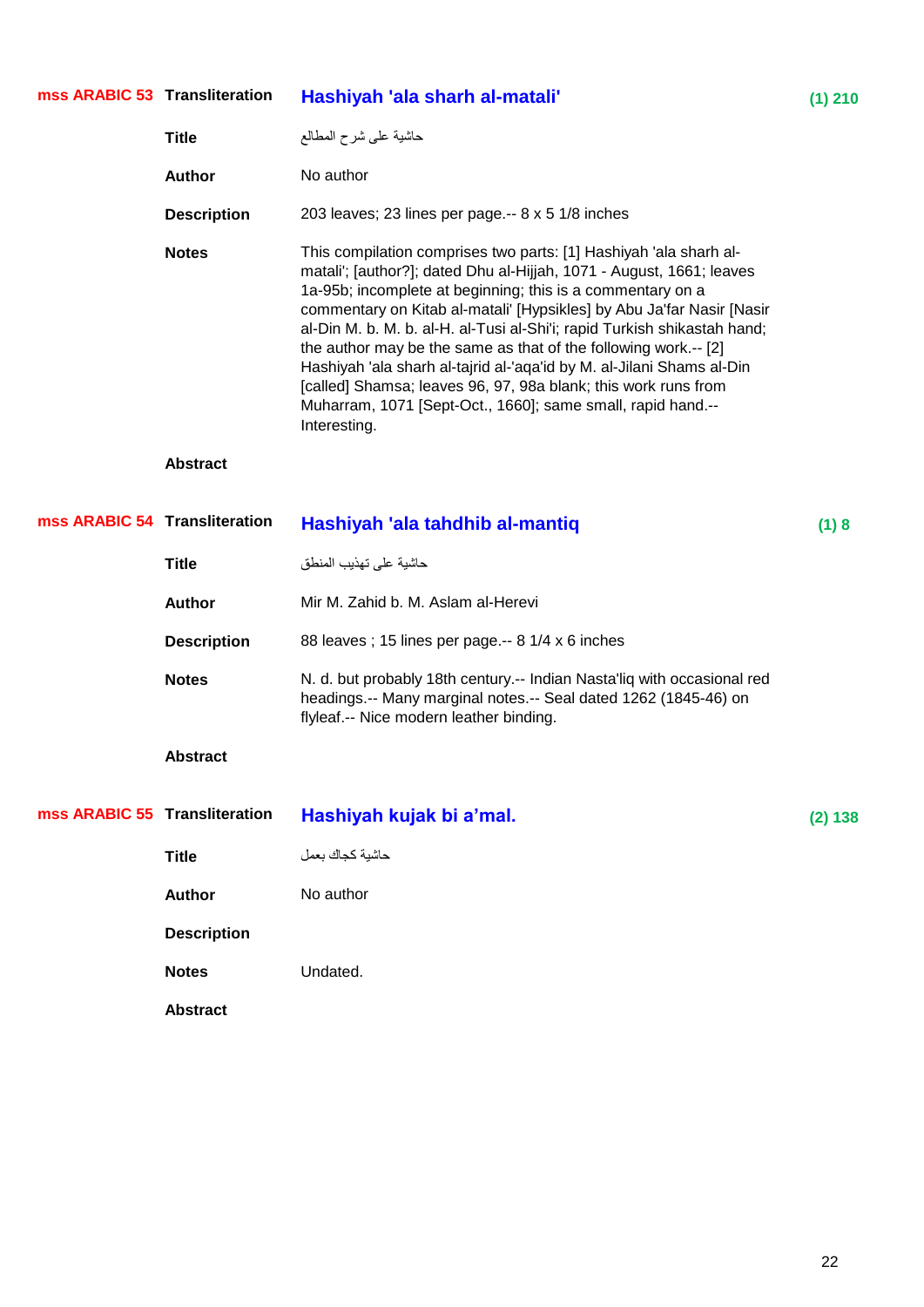| mss ARABIC 53 Transliteration |                    | Hashiyah 'ala sharh al-matali'                                                                                                                                                                                                                                                                                                                                                                                                                                                                                                                                                                                                                            | $(1)$ 210 |
|-------------------------------|--------------------|-----------------------------------------------------------------------------------------------------------------------------------------------------------------------------------------------------------------------------------------------------------------------------------------------------------------------------------------------------------------------------------------------------------------------------------------------------------------------------------------------------------------------------------------------------------------------------------------------------------------------------------------------------------|-----------|
|                               | <b>Title</b>       | حاشية علىى شرح المطالع                                                                                                                                                                                                                                                                                                                                                                                                                                                                                                                                                                                                                                    |           |
|                               | <b>Author</b>      | No author                                                                                                                                                                                                                                                                                                                                                                                                                                                                                                                                                                                                                                                 |           |
|                               | <b>Description</b> | 203 leaves; 23 lines per page.-- 8 x 5 1/8 inches                                                                                                                                                                                                                                                                                                                                                                                                                                                                                                                                                                                                         |           |
|                               | <b>Notes</b>       | This compilation comprises two parts: [1] Hashiyah 'ala sharh al-<br>matali'; [author?]; dated Dhu al-Hijjah, 1071 - August, 1661; leaves<br>1a-95b; incomplete at beginning; this is a commentary on a<br>commentary on Kitab al-matali' [Hypsikles] by Abu Ja'far Nasir [Nasir<br>al-Din M. b. M. b. al-H. al-Tusi al-Shi'i; rapid Turkish shikastah hand;<br>the author may be the same as that of the following work.-- [2]<br>Hashiyah 'ala sharh al-tajrid al-'aqa'id by M. al-Jilani Shams al-Din<br>[called] Shamsa; leaves 96, 97, 98a blank; this work runs from<br>Muharram, 1071 [Sept-Oct., 1660]; same small, rapid hand.--<br>Interesting. |           |
|                               | <b>Abstract</b>    |                                                                                                                                                                                                                                                                                                                                                                                                                                                                                                                                                                                                                                                           |           |
| mss ARABIC 54 Transliteration |                    | Hashiyah 'ala tahdhib al-mantiq                                                                                                                                                                                                                                                                                                                                                                                                                                                                                                                                                                                                                           | (1)8      |
|                               | <b>Title</b>       | حاشية على تهذيب المنطق                                                                                                                                                                                                                                                                                                                                                                                                                                                                                                                                                                                                                                    |           |
|                               | <b>Author</b>      | Mir M. Zahid b. M. Aslam al-Herevi                                                                                                                                                                                                                                                                                                                                                                                                                                                                                                                                                                                                                        |           |
|                               | <b>Description</b> | 88 leaves; 15 lines per page .-- 8 1/4 x 6 inches                                                                                                                                                                                                                                                                                                                                                                                                                                                                                                                                                                                                         |           |
|                               | <b>Notes</b>       | N. d. but probably 18th century.-- Indian Nasta'liq with occasional red<br>headings.-- Many marginal notes.-- Seal dated 1262 (1845-46) on<br>flyleaf.-- Nice modern leather binding.                                                                                                                                                                                                                                                                                                                                                                                                                                                                     |           |
|                               | <b>Abstract</b>    |                                                                                                                                                                                                                                                                                                                                                                                                                                                                                                                                                                                                                                                           |           |
| mss ARABIC 55 Transliteration |                    | Hashiyah kujak bi a'mal.                                                                                                                                                                                                                                                                                                                                                                                                                                                                                                                                                                                                                                  | (2) 138   |
|                               | <b>Title</b>       | حاشية كجاك بعمل                                                                                                                                                                                                                                                                                                                                                                                                                                                                                                                                                                                                                                           |           |
|                               | <b>Author</b>      | No author                                                                                                                                                                                                                                                                                                                                                                                                                                                                                                                                                                                                                                                 |           |
|                               | <b>Description</b> |                                                                                                                                                                                                                                                                                                                                                                                                                                                                                                                                                                                                                                                           |           |
|                               | <b>Notes</b>       | Undated.                                                                                                                                                                                                                                                                                                                                                                                                                                                                                                                                                                                                                                                  |           |
|                               | <b>Abstract</b>    |                                                                                                                                                                                                                                                                                                                                                                                                                                                                                                                                                                                                                                                           |           |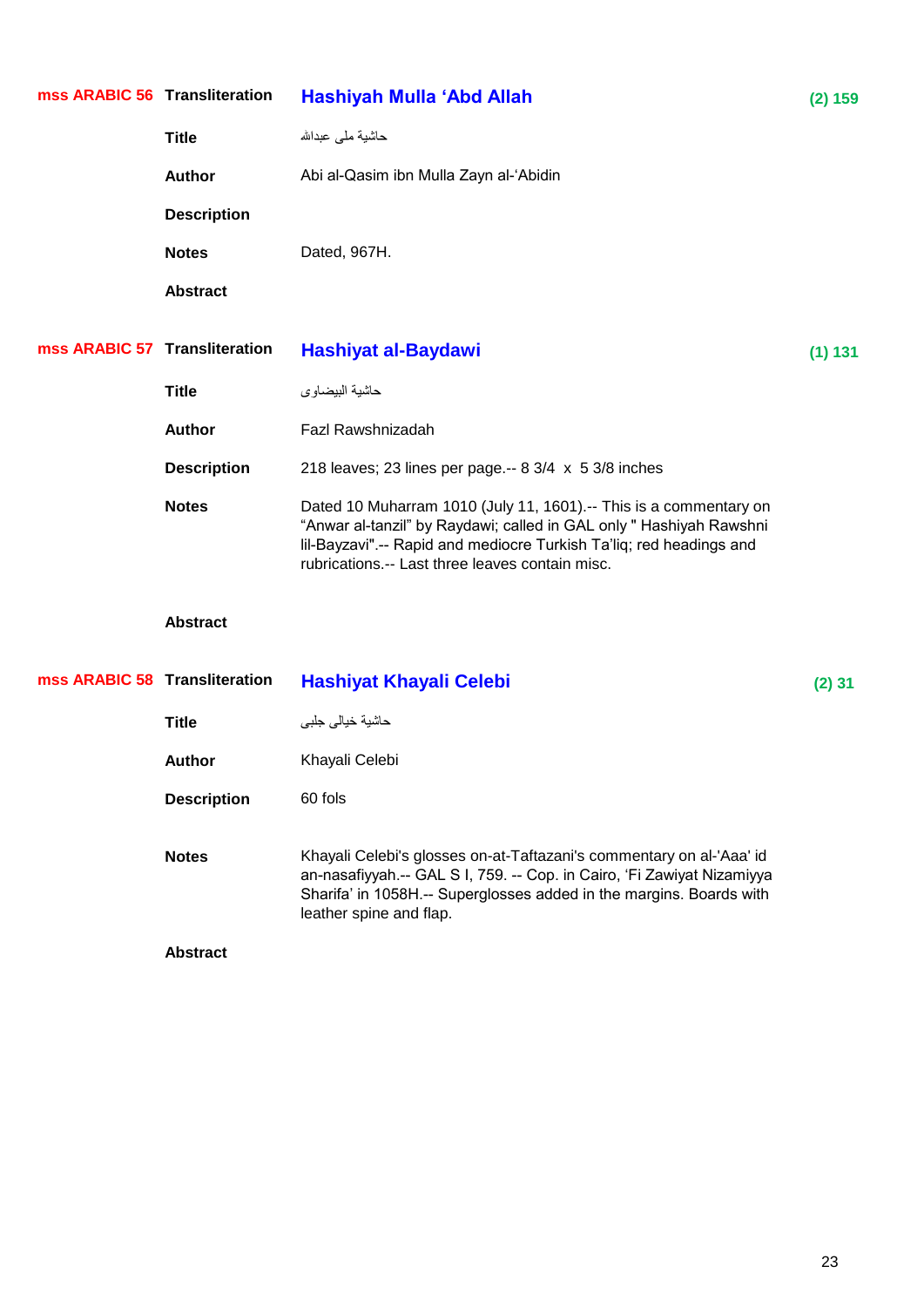| mss ARABIC 56 Transliteration |                    | Hashiyah Mulla 'Abd Allah                                                                                                                                                                                                                                          | (2) 159  |
|-------------------------------|--------------------|--------------------------------------------------------------------------------------------------------------------------------------------------------------------------------------------------------------------------------------------------------------------|----------|
|                               | <b>Title</b>       | حاشية ملى عبدالله                                                                                                                                                                                                                                                  |          |
|                               | <b>Author</b>      | Abi al-Qasim ibn Mulla Zayn al-'Abidin                                                                                                                                                                                                                             |          |
|                               | <b>Description</b> |                                                                                                                                                                                                                                                                    |          |
|                               | <b>Notes</b>       | Dated, 967H.                                                                                                                                                                                                                                                       |          |
|                               | <b>Abstract</b>    |                                                                                                                                                                                                                                                                    |          |
| mss ARABIC 57 Transliteration |                    | Hashiyat al-Baydawi                                                                                                                                                                                                                                                | (1) 131  |
|                               | <b>Title</b>       | حاشية البيضاوي                                                                                                                                                                                                                                                     |          |
|                               | <b>Author</b>      | Fazl Rawshnizadah                                                                                                                                                                                                                                                  |          |
|                               | <b>Description</b> | 218 leaves; 23 lines per page.-- $8 \frac{3}{4} \times 5 \frac{3}{8}$ inches                                                                                                                                                                                       |          |
|                               | <b>Notes</b>       | Dated 10 Muharram 1010 (July 11, 1601).-- This is a commentary on<br>"Anwar al-tanzil" by Raydawi; called in GAL only " Hashiyah Rawshni<br>lil-Bayzavi".-- Rapid and mediocre Turkish Ta'liq; red headings and<br>rubrications.-- Last three leaves contain misc. |          |
|                               | <b>Abstract</b>    |                                                                                                                                                                                                                                                                    |          |
| mss ARABIC 58 Transliteration |                    | <b>Hashiyat Khayali Celebi</b>                                                                                                                                                                                                                                     | $(2)$ 31 |
|                               | <b>Title</b>       | حاشية خيالى جلبى                                                                                                                                                                                                                                                   |          |
|                               | <b>Author</b>      | Khayali Celebi                                                                                                                                                                                                                                                     |          |
|                               | <b>Description</b> | 60 fols                                                                                                                                                                                                                                                            |          |
|                               | <b>Notes</b>       | Khayali Celebi's glosses on-at-Taftazani's commentary on al-'Aaa' id<br>an-nasafiyyah.-- GAL S I, 759. -- Cop. in Cairo, 'Fi Zawiyat Nizamiyya<br>Sharifa' in 1058H.-- Superglosses added in the margins. Boards with                                              |          |

leather spine and flap.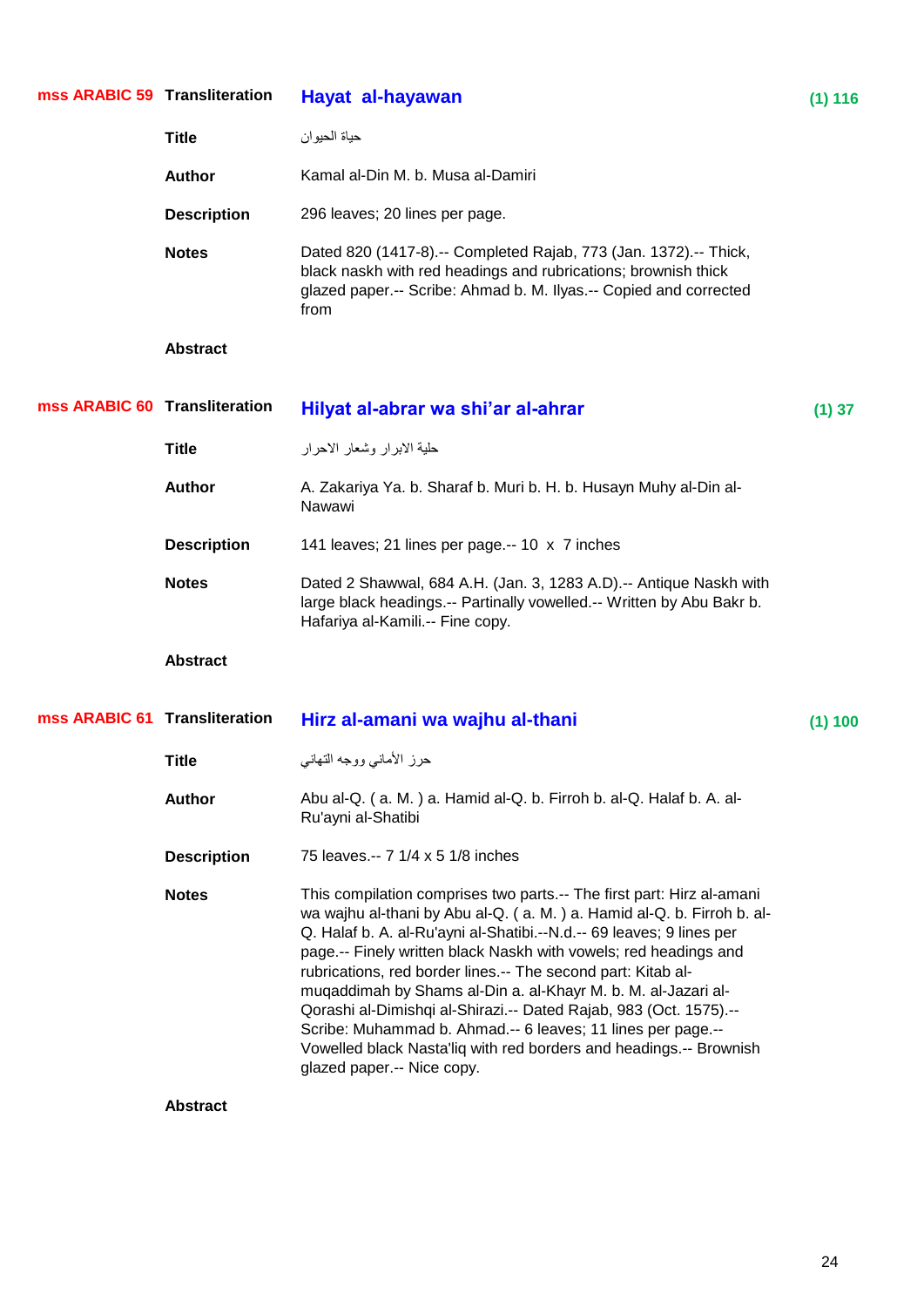| mss ARABIC 59 Transliteration |                    | Hayat al-hayawan                                                                                                                                                                                                                                                                                                                                                                                                                                                                                                                                                                                                                                                     | (1) 116 |
|-------------------------------|--------------------|----------------------------------------------------------------------------------------------------------------------------------------------------------------------------------------------------------------------------------------------------------------------------------------------------------------------------------------------------------------------------------------------------------------------------------------------------------------------------------------------------------------------------------------------------------------------------------------------------------------------------------------------------------------------|---------|
|                               | <b>Title</b>       | حياة الحيوان                                                                                                                                                                                                                                                                                                                                                                                                                                                                                                                                                                                                                                                         |         |
|                               | <b>Author</b>      | Kamal al-Din M. b. Musa al-Damiri                                                                                                                                                                                                                                                                                                                                                                                                                                                                                                                                                                                                                                    |         |
|                               | <b>Description</b> | 296 leaves; 20 lines per page.                                                                                                                                                                                                                                                                                                                                                                                                                                                                                                                                                                                                                                       |         |
|                               | <b>Notes</b>       | Dated 820 (1417-8).-- Completed Rajab, 773 (Jan. 1372).-- Thick,<br>black naskh with red headings and rubrications; brownish thick<br>glazed paper.-- Scribe: Ahmad b. M. Ilyas.-- Copied and corrected<br>from                                                                                                                                                                                                                                                                                                                                                                                                                                                      |         |
|                               | <b>Abstract</b>    |                                                                                                                                                                                                                                                                                                                                                                                                                                                                                                                                                                                                                                                                      |         |
| mss ARABIC 60 Transliteration |                    | Hilyat al-abrar wa shi'ar al-ahrar                                                                                                                                                                                                                                                                                                                                                                                                                                                                                                                                                                                                                                   | (1) 37  |
|                               | <b>Title</b>       | حلية الابرار وشعار الاحرار                                                                                                                                                                                                                                                                                                                                                                                                                                                                                                                                                                                                                                           |         |
|                               | <b>Author</b>      | A. Zakariya Ya. b. Sharaf b. Muri b. H. b. Husayn Muhy al-Din al-<br>Nawawi                                                                                                                                                                                                                                                                                                                                                                                                                                                                                                                                                                                          |         |
|                               | <b>Description</b> | 141 leaves; 21 lines per page.-- 10 x 7 inches                                                                                                                                                                                                                                                                                                                                                                                                                                                                                                                                                                                                                       |         |
|                               | <b>Notes</b>       | Dated 2 Shawwal, 684 A.H. (Jan. 3, 1283 A.D).-- Antique Naskh with<br>large black headings.-- Partinally vowelled.-- Written by Abu Bakr b.<br>Hafariya al-Kamili.-- Fine copy.                                                                                                                                                                                                                                                                                                                                                                                                                                                                                      |         |
|                               | <b>Abstract</b>    |                                                                                                                                                                                                                                                                                                                                                                                                                                                                                                                                                                                                                                                                      |         |
| mss ARABIC 61 Transliteration |                    | Hirz al-amani wa wajhu al-thani                                                                                                                                                                                                                                                                                                                                                                                                                                                                                                                                                                                                                                      | (1) 100 |
|                               | <b>Title</b>       | حرز الأماني ووجه التهاني                                                                                                                                                                                                                                                                                                                                                                                                                                                                                                                                                                                                                                             |         |
|                               | <b>Author</b>      | Abu al-Q. (a. M.) a. Hamid al-Q. b. Firroh b. al-Q. Halaf b. A. al-<br>Ru'ayni al-Shatibi                                                                                                                                                                                                                                                                                                                                                                                                                                                                                                                                                                            |         |
|                               | <b>Description</b> | 75 leaves.-- 7 1/4 x 5 1/8 inches                                                                                                                                                                                                                                                                                                                                                                                                                                                                                                                                                                                                                                    |         |
|                               | <b>Notes</b>       | This compilation comprises two parts.-- The first part: Hirz al-amani<br>wa wajhu al-thani by Abu al-Q. (a. M.) a. Hamid al-Q. b. Firroh b. al-<br>Q. Halaf b. A. al-Ru'ayni al-Shatibi.--N.d.-- 69 leaves; 9 lines per<br>page.-- Finely written black Naskh with vowels; red headings and<br>rubrications, red border lines.-- The second part: Kitab al-<br>muqaddimah by Shams al-Din a. al-Khayr M. b. M. al-Jazari al-<br>Qorashi al-Dimishqi al-Shirazi.-- Dated Rajab, 983 (Oct. 1575).--<br>Scribe: Muhammad b. Ahmad.-- 6 leaves; 11 lines per page.--<br>Vowelled black Nasta'liq with red borders and headings.-- Brownish<br>glazed paper.-- Nice copy. |         |
|                               | <b>Abstract</b>    |                                                                                                                                                                                                                                                                                                                                                                                                                                                                                                                                                                                                                                                                      |         |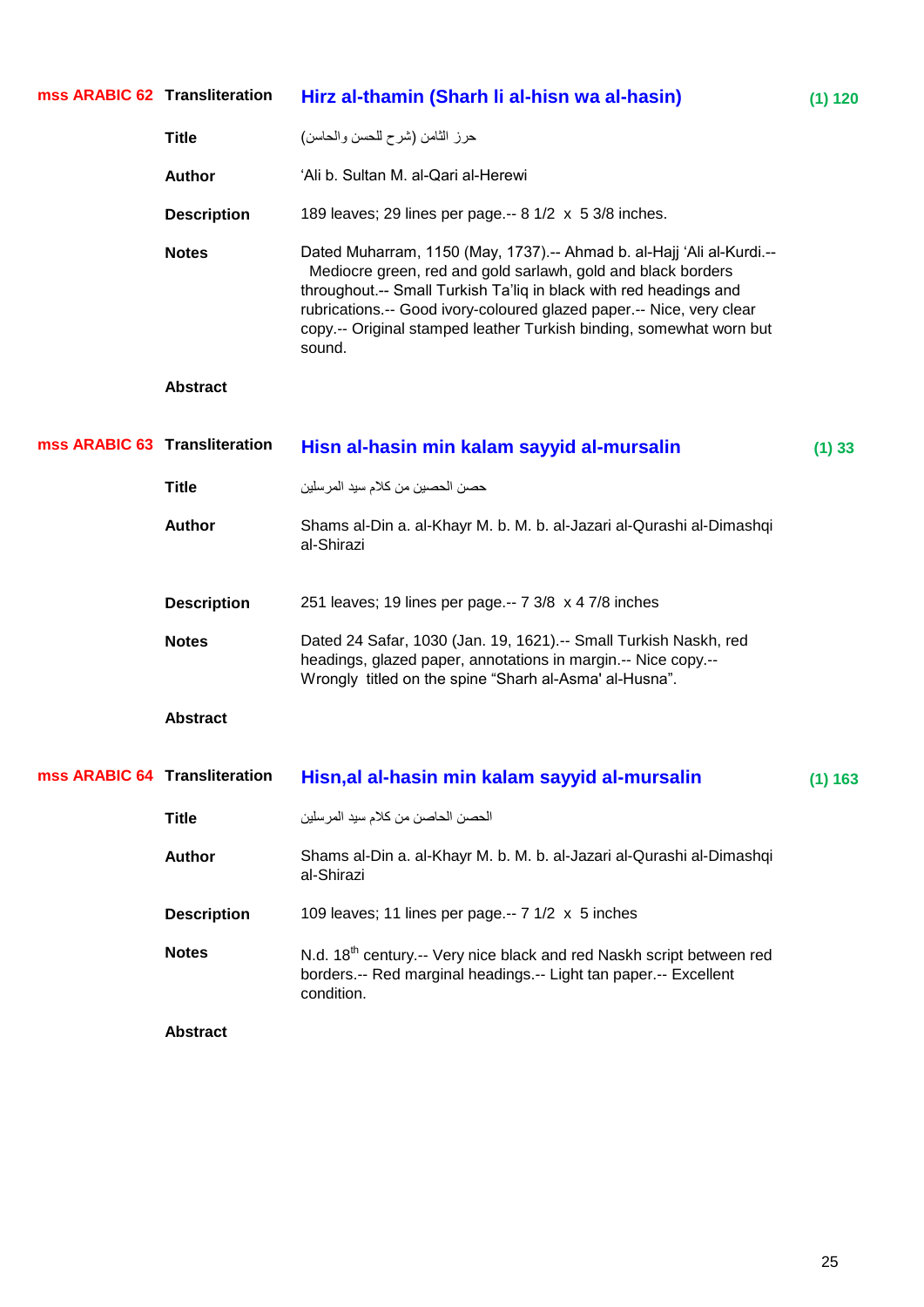| mss ARABIC 62 Transliteration |                    | Hirz al-thamin (Sharh li al-hisn wa al-hasin)                                                                                                                                                                                                                                                                                                                       | (1) 120 |
|-------------------------------|--------------------|---------------------------------------------------------------------------------------------------------------------------------------------------------------------------------------------------------------------------------------------------------------------------------------------------------------------------------------------------------------------|---------|
|                               | <b>Title</b>       | حرز الثامن (شرح للحسن والحاسن)                                                                                                                                                                                                                                                                                                                                      |         |
|                               | <b>Author</b>      | 'Ali b. Sultan M. al-Qari al-Herewi                                                                                                                                                                                                                                                                                                                                 |         |
|                               | <b>Description</b> | 189 leaves; 29 lines per page.-- 8 1/2 x 5 3/8 inches.                                                                                                                                                                                                                                                                                                              |         |
|                               | <b>Notes</b>       | Dated Muharram, 1150 (May, 1737).-- Ahmad b. al-Hajj 'Ali al-Kurdi.--<br>Mediocre green, red and gold sarlawh, gold and black borders<br>throughout.-- Small Turkish Ta'liq in black with red headings and<br>rubrications.-- Good ivory-coloured glazed paper.-- Nice, very clear<br>copy.-- Original stamped leather Turkish binding, somewhat worn but<br>sound. |         |
|                               | <b>Abstract</b>    |                                                                                                                                                                                                                                                                                                                                                                     |         |
| mss ARABIC 63 Transliteration |                    | Hisn al-hasin min kalam sayyid al-mursalin                                                                                                                                                                                                                                                                                                                          | (1) 33  |
|                               | <b>Title</b>       | حصن الحصبين من كلام سيد المرسلين                                                                                                                                                                                                                                                                                                                                    |         |
|                               | <b>Author</b>      | Shams al-Din a. al-Khayr M. b. M. b. al-Jazari al-Qurashi al-Dimashqi<br>al-Shirazi                                                                                                                                                                                                                                                                                 |         |
|                               | <b>Description</b> | 251 leaves; 19 lines per page.-- 7 3/8 x 4 7/8 inches                                                                                                                                                                                                                                                                                                               |         |
|                               | <b>Notes</b>       | Dated 24 Safar, 1030 (Jan. 19, 1621).-- Small Turkish Naskh, red<br>headings, glazed paper, annotations in margin.-- Nice copy.--<br>Wrongly titled on the spine "Sharh al-Asma' al-Husna".                                                                                                                                                                         |         |
|                               | <b>Abstract</b>    |                                                                                                                                                                                                                                                                                                                                                                     |         |
| mss ARABIC 64 Transliteration |                    | Hisn, al al-hasin min kalam sayyid al-mursalin                                                                                                                                                                                                                                                                                                                      | (1) 163 |
|                               | <b>Title</b>       | الحصن الحاصن من كلام سيد المرسلين                                                                                                                                                                                                                                                                                                                                   |         |
|                               | Author             | Shams al-Din a. al-Khayr M. b. M. b. al-Jazari al-Qurashi al-Dimashqi<br>al-Shirazi                                                                                                                                                                                                                                                                                 |         |
|                               | <b>Description</b> | 109 leaves; 11 lines per page.-- 7 1/2 x 5 inches                                                                                                                                                                                                                                                                                                                   |         |
|                               | <b>Notes</b>       | N.d. 18 <sup>th</sup> century.-- Very nice black and red Naskh script between red<br>borders.-- Red marginal headings.-- Light tan paper.-- Excellent<br>condition.                                                                                                                                                                                                 |         |
|                               | <b>Abstract</b>    |                                                                                                                                                                                                                                                                                                                                                                     |         |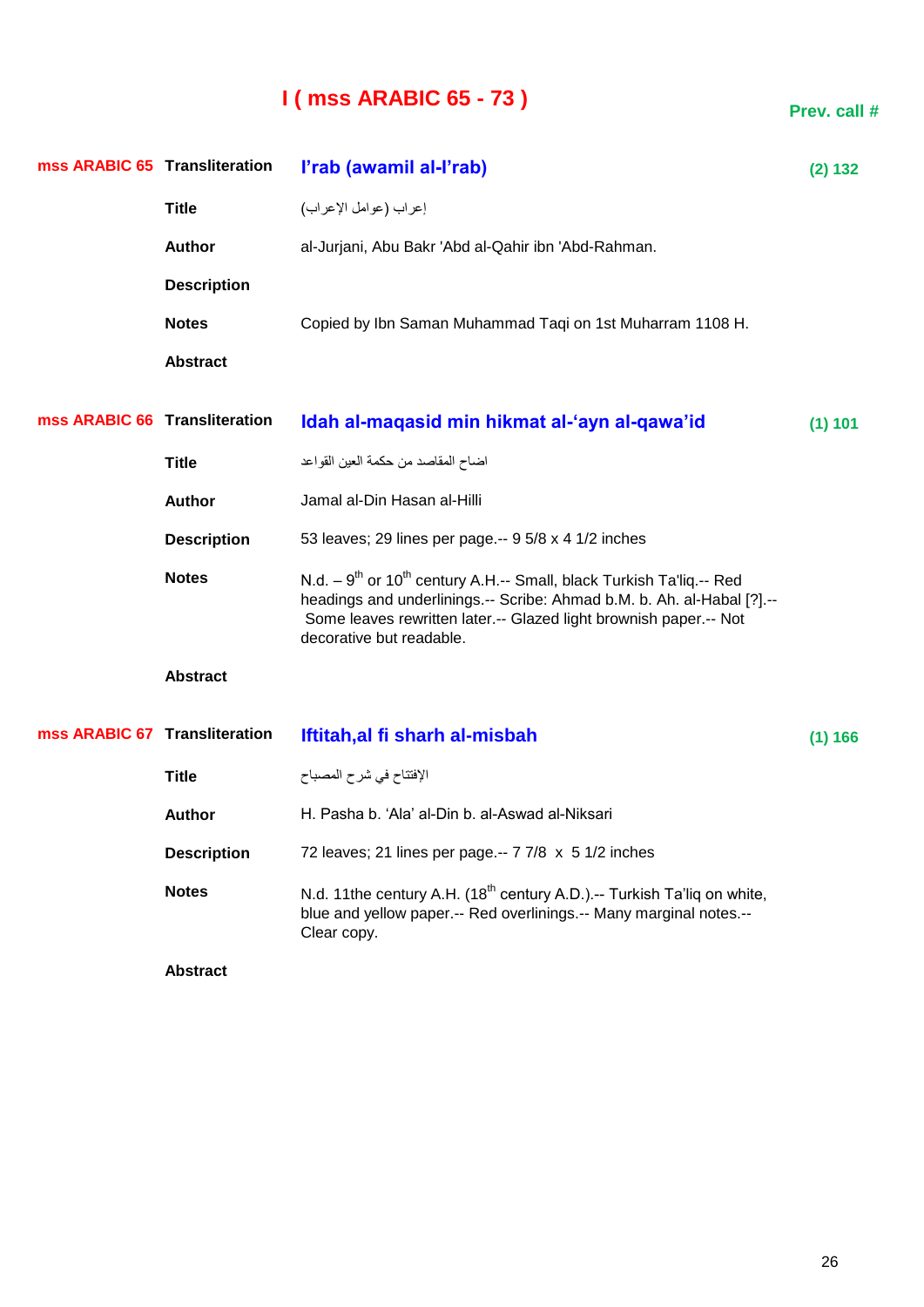## **I ( mss ARABIC 65 - 73 )**

| mss ARABIC 65 Transliteration |                    | l'rab (awamil al-l'rab)                                                                                                                                                                                                                                         | (2) 132 |
|-------------------------------|--------------------|-----------------------------------------------------------------------------------------------------------------------------------------------------------------------------------------------------------------------------------------------------------------|---------|
|                               | <b>Title</b>       | إعراب (عوامل الإعراب)                                                                                                                                                                                                                                           |         |
|                               | <b>Author</b>      | al-Jurjani, Abu Bakr 'Abd al-Qahir ibn 'Abd-Rahman.                                                                                                                                                                                                             |         |
|                               | <b>Description</b> |                                                                                                                                                                                                                                                                 |         |
|                               | <b>Notes</b>       | Copied by Ibn Saman Muhammad Taqi on 1st Muharram 1108 H.                                                                                                                                                                                                       |         |
|                               | <b>Abstract</b>    |                                                                                                                                                                                                                                                                 |         |
| mss ARABIC 66 Transliteration |                    | Idah al-maqasid min hikmat al-'ayn al-qawa'id                                                                                                                                                                                                                   | (1) 101 |
|                               | <b>Title</b>       | اضاح المقاصد من حكمة العين القواعد                                                                                                                                                                                                                              |         |
|                               | <b>Author</b>      | Jamal al-Din Hasan al-Hilli                                                                                                                                                                                                                                     |         |
|                               | <b>Description</b> | 53 leaves; 29 lines per page.-- 9 5/8 x 4 1/2 inches                                                                                                                                                                                                            |         |
|                               | <b>Notes</b>       | N.d. $-9^{th}$ or 10 <sup>th</sup> century A.H.-- Small, black Turkish Ta'liq.-- Red<br>headings and underlinings.-- Scribe: Ahmad b.M. b. Ah. al-Habal [?].--<br>Some leaves rewritten later.-- Glazed light brownish paper.-- Not<br>decorative but readable. |         |
|                               | <b>Abstract</b>    |                                                                                                                                                                                                                                                                 |         |
| mss ARABIC 67 Transliteration |                    | Iftitah, al fi sharh al-misbah                                                                                                                                                                                                                                  | (1) 166 |
|                               | <b>Title</b>       | الإفتتاح في شرح المصباح                                                                                                                                                                                                                                         |         |
|                               | <b>Author</b>      | H. Pasha b. 'Ala' al-Din b. al-Aswad al-Niksari                                                                                                                                                                                                                 |         |
|                               | <b>Description</b> | 72 leaves; 21 lines per page.-- 7 7/8 x 5 1/2 inches                                                                                                                                                                                                            |         |
|                               | <b>Notes</b>       | N.d. 11the century A.H. (18 <sup>th</sup> century A.D.).-- Turkish Ta'liq on white,<br>blue and yellow paper.-- Red overlinings.-- Many marginal notes.--<br>Clear copy.                                                                                        |         |
|                               | <b>Abstract</b>    |                                                                                                                                                                                                                                                                 |         |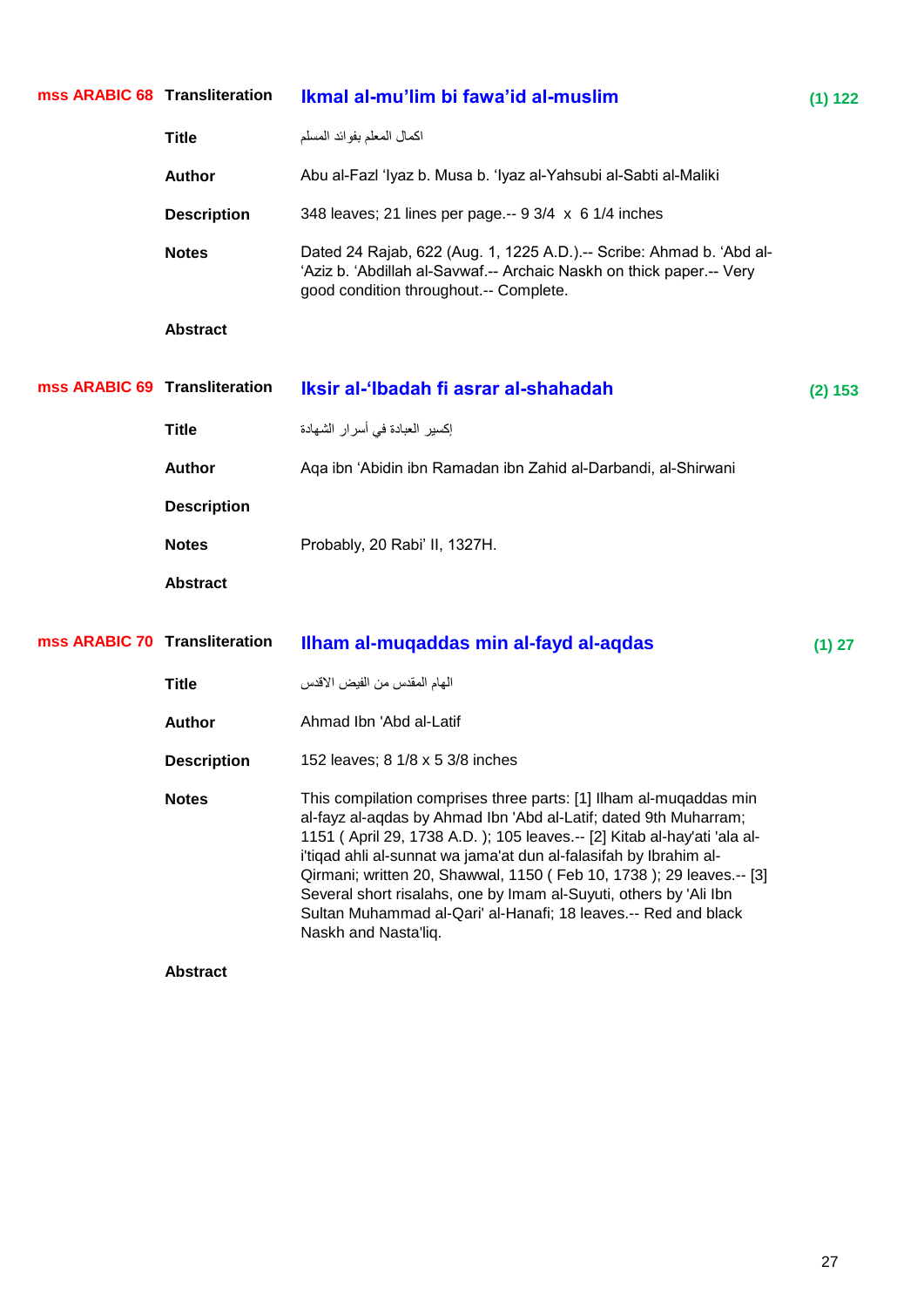| mss ARABIC 68 Transliteration |                    | Ikmal al-mu'lim bi fawa'id al-muslim                                                                                                                                                                                                                                                                                                                                                                                                                                                                                        | (1) 122 |
|-------------------------------|--------------------|-----------------------------------------------------------------------------------------------------------------------------------------------------------------------------------------------------------------------------------------------------------------------------------------------------------------------------------------------------------------------------------------------------------------------------------------------------------------------------------------------------------------------------|---------|
|                               | <b>Title</b>       | اكمال المعلم بفوائد المسلم                                                                                                                                                                                                                                                                                                                                                                                                                                                                                                  |         |
|                               | <b>Author</b>      | Abu al-Fazl 'Iyaz b. Musa b. 'Iyaz al-Yahsubi al-Sabti al-Maliki                                                                                                                                                                                                                                                                                                                                                                                                                                                            |         |
|                               | <b>Description</b> | 348 leaves; 21 lines per page .-- 9 3/4 x 6 1/4 inches                                                                                                                                                                                                                                                                                                                                                                                                                                                                      |         |
|                               | <b>Notes</b>       | Dated 24 Rajab, 622 (Aug. 1, 1225 A.D.).-- Scribe: Ahmad b. 'Abd al-<br>'Aziz b. 'Abdillah al-Savwaf.-- Archaic Naskh on thick paper.-- Very<br>good condition throughout.-- Complete.                                                                                                                                                                                                                                                                                                                                      |         |
|                               | <b>Abstract</b>    |                                                                                                                                                                                                                                                                                                                                                                                                                                                                                                                             |         |
| mss ARABIC 69 Transliteration |                    | Iksir al-'Ibadah fi asrar al-shahadah                                                                                                                                                                                                                                                                                                                                                                                                                                                                                       | (2) 153 |
|                               | <b>Title</b>       | إكسير العبادة في أسرار الشهادة                                                                                                                                                                                                                                                                                                                                                                                                                                                                                              |         |
|                               | <b>Author</b>      | Aga ibn 'Abidin ibn Ramadan ibn Zahid al-Darbandi, al-Shirwani                                                                                                                                                                                                                                                                                                                                                                                                                                                              |         |
|                               | <b>Description</b> |                                                                                                                                                                                                                                                                                                                                                                                                                                                                                                                             |         |
|                               | <b>Notes</b>       | Probably, 20 Rabi' II, 1327H.                                                                                                                                                                                                                                                                                                                                                                                                                                                                                               |         |
|                               | <b>Abstract</b>    |                                                                                                                                                                                                                                                                                                                                                                                                                                                                                                                             |         |
| mss ARABIC 70 Transliteration |                    | Ilham al-muqaddas min al-fayd al-aqdas                                                                                                                                                                                                                                                                                                                                                                                                                                                                                      | (1) 27  |
|                               | <b>Title</b>       | الهام المقدس من الفيض الاقدس                                                                                                                                                                                                                                                                                                                                                                                                                                                                                                |         |
|                               | <b>Author</b>      | Ahmad Ibn 'Abd al-Latif                                                                                                                                                                                                                                                                                                                                                                                                                                                                                                     |         |
|                               | <b>Description</b> | 152 leaves; 8 1/8 x 5 3/8 inches                                                                                                                                                                                                                                                                                                                                                                                                                                                                                            |         |
|                               | <b>Notes</b>       | This compilation comprises three parts: [1] Ilham al-muqaddas min<br>al-fayz al-aqdas by Ahmad Ibn 'Abd al-Latif; dated 9th Muharram;<br>1151 (April 29, 1738 A.D.); 105 leaves.-- [2] Kitab al-hay'ati 'ala al-<br>i'tiqad ahli al-sunnat wa jama'at dun al-falasifah by Ibrahim al-<br>Qirmani; written 20, Shawwal, 1150 (Feb 10, 1738); 29 leaves.-- [3]<br>Several short risalahs, one by Imam al-Suyuti, others by 'Ali Ibn<br>Sultan Muhammad al-Qari' al-Hanafi; 18 leaves.-- Red and black<br>Naskh and Nasta'liq. |         |
|                               | <b>Abstract</b>    |                                                                                                                                                                                                                                                                                                                                                                                                                                                                                                                             |         |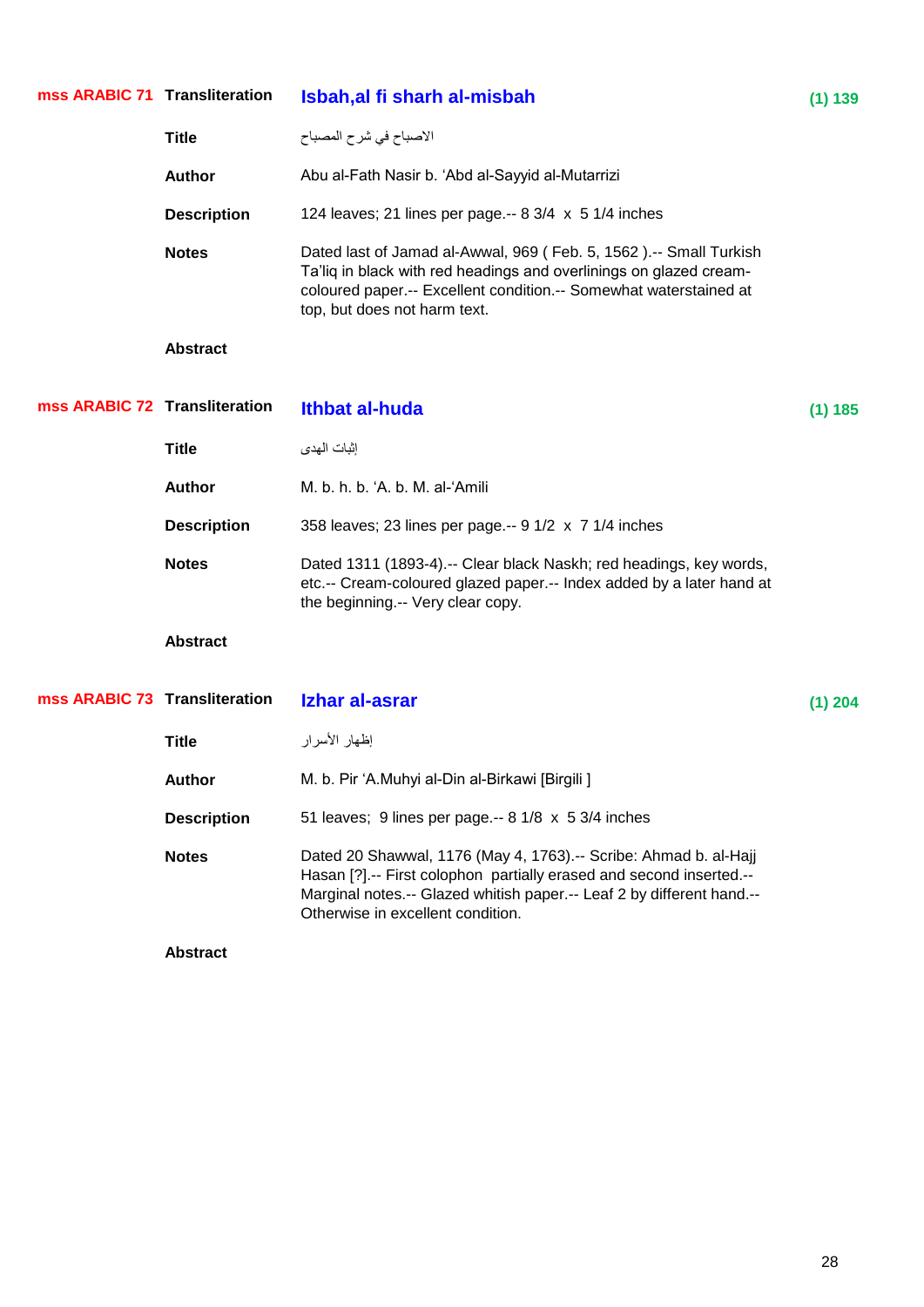| mss ARABIC 71 Transliteration |                    | Isbah, al fi sharh al-misbah                                                                                                                                                                                                                            | (1) 139   |
|-------------------------------|--------------------|---------------------------------------------------------------------------------------------------------------------------------------------------------------------------------------------------------------------------------------------------------|-----------|
|                               | <b>Title</b>       | الاصباح في شرح المصباح                                                                                                                                                                                                                                  |           |
|                               | <b>Author</b>      | Abu al-Fath Nasir b. 'Abd al-Sayyid al-Mutarrizi                                                                                                                                                                                                        |           |
|                               | <b>Description</b> | 124 leaves; 21 lines per page.-- $8 \frac{3}{4} \times 5 \frac{1}{4}$ inches                                                                                                                                                                            |           |
|                               | <b>Notes</b>       | Dated last of Jamad al-Awwal, 969 (Feb. 5, 1562).-- Small Turkish<br>Ta'liq in black with red headings and overlinings on glazed cream-<br>coloured paper.-- Excellent condition.-- Somewhat waterstained at<br>top, but does not harm text.            |           |
|                               | <b>Abstract</b>    |                                                                                                                                                                                                                                                         |           |
| mss ARABIC 72 Transliteration |                    | <b>Ithbat al-huda</b>                                                                                                                                                                                                                                   | (1) 185   |
|                               | <b>Title</b>       | إثبات الهدى                                                                                                                                                                                                                                             |           |
|                               | <b>Author</b>      | M. b. h. b. 'A. b. M. al-'Amili                                                                                                                                                                                                                         |           |
|                               | <b>Description</b> | 358 leaves; 23 lines per page .-- 9 1/2 x 7 1/4 inches                                                                                                                                                                                                  |           |
|                               | <b>Notes</b>       | Dated 1311 (1893-4).-- Clear black Naskh; red headings, key words,<br>etc.-- Cream-coloured glazed paper.-- Index added by a later hand at<br>the beginning -- Very clear copy.                                                                         |           |
|                               | <b>Abstract</b>    |                                                                                                                                                                                                                                                         |           |
| mss ARABIC 73 Transliteration |                    | Izhar al-asrar                                                                                                                                                                                                                                          | $(1)$ 204 |
|                               | <b>Title</b>       | إظهار الأسرار                                                                                                                                                                                                                                           |           |
|                               | <b>Author</b>      | M. b. Pir 'A.Muhyi al-Din al-Birkawi [Birgili ]                                                                                                                                                                                                         |           |
|                               | <b>Description</b> | 51 leaves; 9 lines per page.-- 8 1/8 x 5 3/4 inches                                                                                                                                                                                                     |           |
|                               | <b>Notes</b>       | Dated 20 Shawwal, 1176 (May 4, 1763).-- Scribe: Ahmad b. al-Hajj<br>Hasan [?] .-- First colophon partially erased and second inserted .--<br>Marginal notes.-- Glazed whitish paper.-- Leaf 2 by different hand.--<br>Otherwise in excellent condition. |           |
|                               | <b>Abstract</b>    |                                                                                                                                                                                                                                                         |           |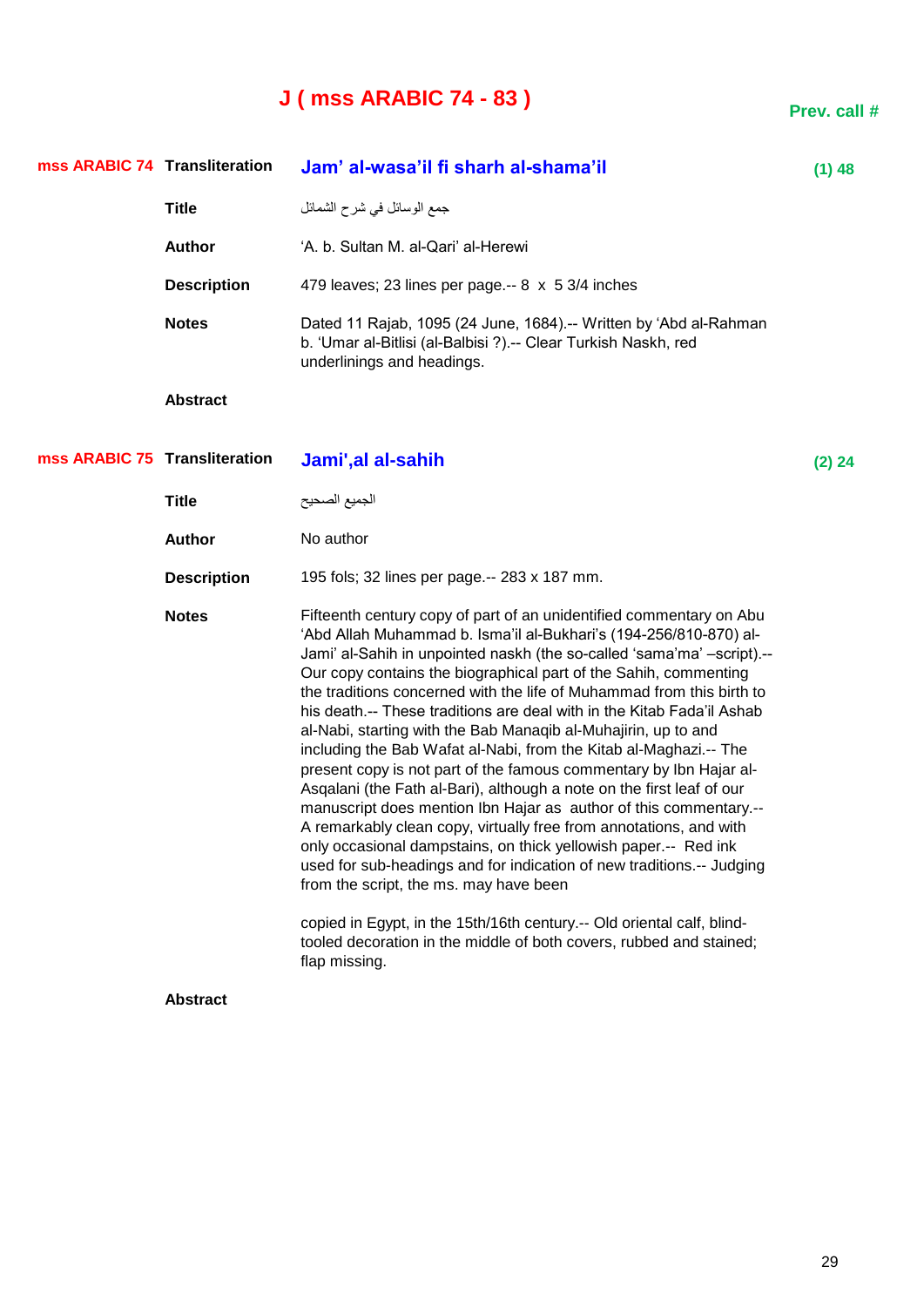### **J ( mss ARABIC 74 - 83 )**

**Transliteration Jam' al-wasa'il fi sharh al-shama'il (1) 48** جّغ اٌٛعائً فٟ ششح اٌشّائً **Title Author 4. b. Sultan M. al-Qari' al-Herewi Description** 479 leaves; 23 lines per page.-- 8 x 5 3/4 inches **Notes** Dated 11 Rajab, 1095 (24 June, 1684).-- Written by 'Abd al-Rahman b. ‗Umar al-Bitlisi (al-Balbisi ?).-- Clear Turkish Naskh, red underlinings and headings. **Abstract Transliteration Jami',al al-sahih (2) 24** الجميع الصحيح العاملية **Title Author** No author **Description** 195 fols; 32 lines per page.-- 283 x 187 mm. **Notes** Fifteenth century copy of part of an unidentified commentary on Abu ‗Abd Allah Muhammad b. Isma'il al-Bukhari's (194-256/810-870) al-Jami' al-Sahih in unpointed naskh (the so-called 'sama'ma' -script).--Our copy contains the biographical part of the Sahih, commenting the traditions concerned with the life of Muhammad from this birth to his death.-- These traditions are deal with in the Kitab Fada'il Ashab al-Nabi, starting with the Bab Manaqib al-Muhajirin, up to and including the Bab Wafat al-Nabi, from the Kitab al-Maghazi.-- The present copy is not part of the famous commentary by Ibn Hajar al-Asqalani (the Fath al-Bari), although a note on the first leaf of our manuscript does mention Ibn Hajar as author of this commentary.-- A remarkably clean copy, virtually free from annotations, and with only occasional dampstains, on thick yellowish paper.-- Red ink used for sub-headings and for indication of new traditions.-- Judging from the script, the ms. may have been copied in Egypt, in the 15th/16th century.-- Old oriental calf, blindtooled decoration in the middle of both covers, rubbed and stained; flap missing. **Abstract mss ARABIC 74 mss ARABIC 75**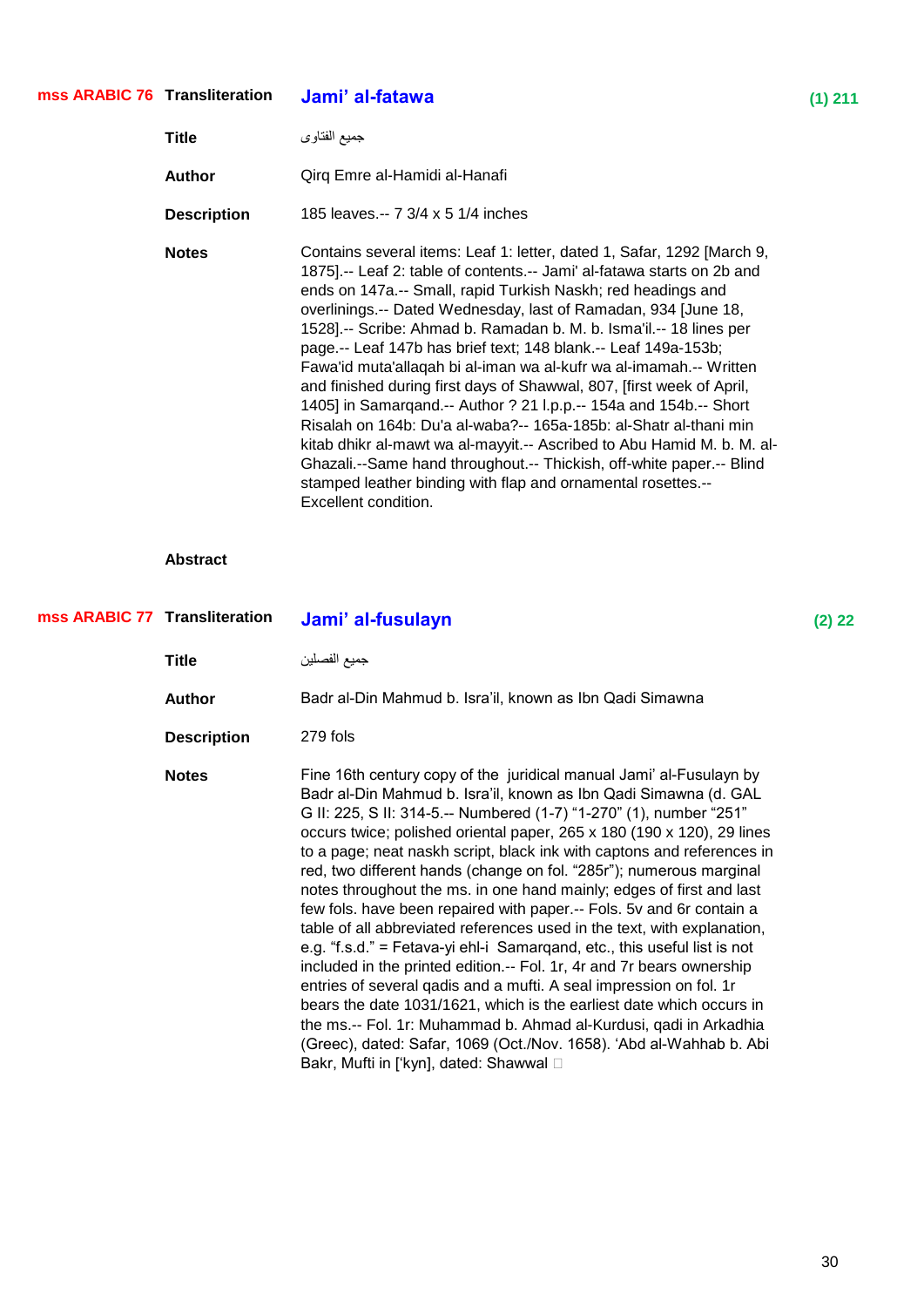#### **Transliteration Jami' al-fatawa (1) 211 mss ARABIC 76**

| Title              | جميع الفتاوي                                                                                                                                                                                                                                                                                                                                                                                                                                                                                                                                                                                                                                                                                                                                                                                                                                                                                                                                                 |
|--------------------|--------------------------------------------------------------------------------------------------------------------------------------------------------------------------------------------------------------------------------------------------------------------------------------------------------------------------------------------------------------------------------------------------------------------------------------------------------------------------------------------------------------------------------------------------------------------------------------------------------------------------------------------------------------------------------------------------------------------------------------------------------------------------------------------------------------------------------------------------------------------------------------------------------------------------------------------------------------|
| Author             | Qirq Emre al-Hamidi al-Hanafi                                                                                                                                                                                                                                                                                                                                                                                                                                                                                                                                                                                                                                                                                                                                                                                                                                                                                                                                |
| <b>Description</b> | 185 leaves.-- 7 3/4 x 5 1/4 inches                                                                                                                                                                                                                                                                                                                                                                                                                                                                                                                                                                                                                                                                                                                                                                                                                                                                                                                           |
| <b>Notes</b>       | Contains several items: Leaf 1: letter, dated 1, Safar, 1292 [March 9,<br>1875].-- Leaf 2: table of contents.-- Jami' al-fatawa starts on 2b and<br>ends on 147a.-- Small, rapid Turkish Naskh; red headings and<br>overlinings.-- Dated Wednesday, last of Ramadan, 934 June 18,<br>1528].-- Scribe: Ahmad b. Ramadan b. M. b. Isma'il.-- 18 lines per<br>page.-- Leaf 147b has brief text; 148 blank.-- Leaf 149a-153b;<br>Fawa'id muta'allagah bi al-iman wa al-kufr wa al-imamah.-- Written<br>and finished during first days of Shawwal, 807, [first week of April,<br>1405] in Samargand.-- Author ? 21 I.p.p.-- 154a and 154b.-- Short<br>Risalah on 164b: Du'a al-waba?-- 165a-185b: al-Shatr al-thani min<br>kitab dhikr al-mawt wa al-mayyit.-- Ascribed to Abu Hamid M. b. M. al-<br>Ghazali.--Same hand throughout.-- Thickish, off-white paper.-- Blind<br>stamped leather binding with flap and ornamental rosettes.--<br>Excellent condition. |

| mss ARABIC 77 Transliteration |                    | Jami' al-fusulayn                                                                                                                                                                                                                                                                                                                                                                                                                                                                                                                                                                                                                                                                                                                                                                                                                                                                                                                                                                                                                                                                                                                                             | $(2)$ 22 |
|-------------------------------|--------------------|---------------------------------------------------------------------------------------------------------------------------------------------------------------------------------------------------------------------------------------------------------------------------------------------------------------------------------------------------------------------------------------------------------------------------------------------------------------------------------------------------------------------------------------------------------------------------------------------------------------------------------------------------------------------------------------------------------------------------------------------------------------------------------------------------------------------------------------------------------------------------------------------------------------------------------------------------------------------------------------------------------------------------------------------------------------------------------------------------------------------------------------------------------------|----------|
|                               | Title              | جميع الفصلين                                                                                                                                                                                                                                                                                                                                                                                                                                                                                                                                                                                                                                                                                                                                                                                                                                                                                                                                                                                                                                                                                                                                                  |          |
|                               | <b>Author</b>      | Badr al-Din Mahmud b. Isra'il, known as Ibn Qadi Simawna                                                                                                                                                                                                                                                                                                                                                                                                                                                                                                                                                                                                                                                                                                                                                                                                                                                                                                                                                                                                                                                                                                      |          |
|                               | <b>Description</b> | 279 fols                                                                                                                                                                                                                                                                                                                                                                                                                                                                                                                                                                                                                                                                                                                                                                                                                                                                                                                                                                                                                                                                                                                                                      |          |
|                               | <b>Notes</b>       | Fine 16th century copy of the juridical manual Jami' al-Fusulayn by<br>Badr al-Din Mahmud b. Isra'il, known as Ibn Qadi Simawna (d. GAL<br>G II: 225, S II: 314-5.-- Numbered (1-7) "1-270" (1), number "251"<br>occurs twice; polished oriental paper, 265 x 180 (190 x 120), 29 lines<br>to a page; neat naskh script, black ink with captons and references in<br>red, two different hands (change on fol. "285r"); numerous marginal<br>notes throughout the ms. in one hand mainly; edges of first and last<br>few fols. have been repaired with paper.-- Fols. 5v and 6r contain a<br>table of all abbreviated references used in the text, with explanation,<br>e.g. "f.s.d." = Fetava-yi ehl-i Samargand, etc., this useful list is not<br>included in the printed edition.-- Fol. 1r, 4r and 7r bears ownership<br>entries of several gadis and a mufti. A seal impression on fol. 1r<br>bears the date 1031/1621, which is the earliest date which occurs in<br>the ms.-- Fol. 1r: Muhammad b. Ahmad al-Kurdusi, qadi in Arkadhia<br>(Greec), dated: Safar, 1069 (Oct./Nov. 1658). 'Abd al-Wahhab b. Abi<br>Bakr, Mufti in ['kyn], dated: Shawwal □ |          |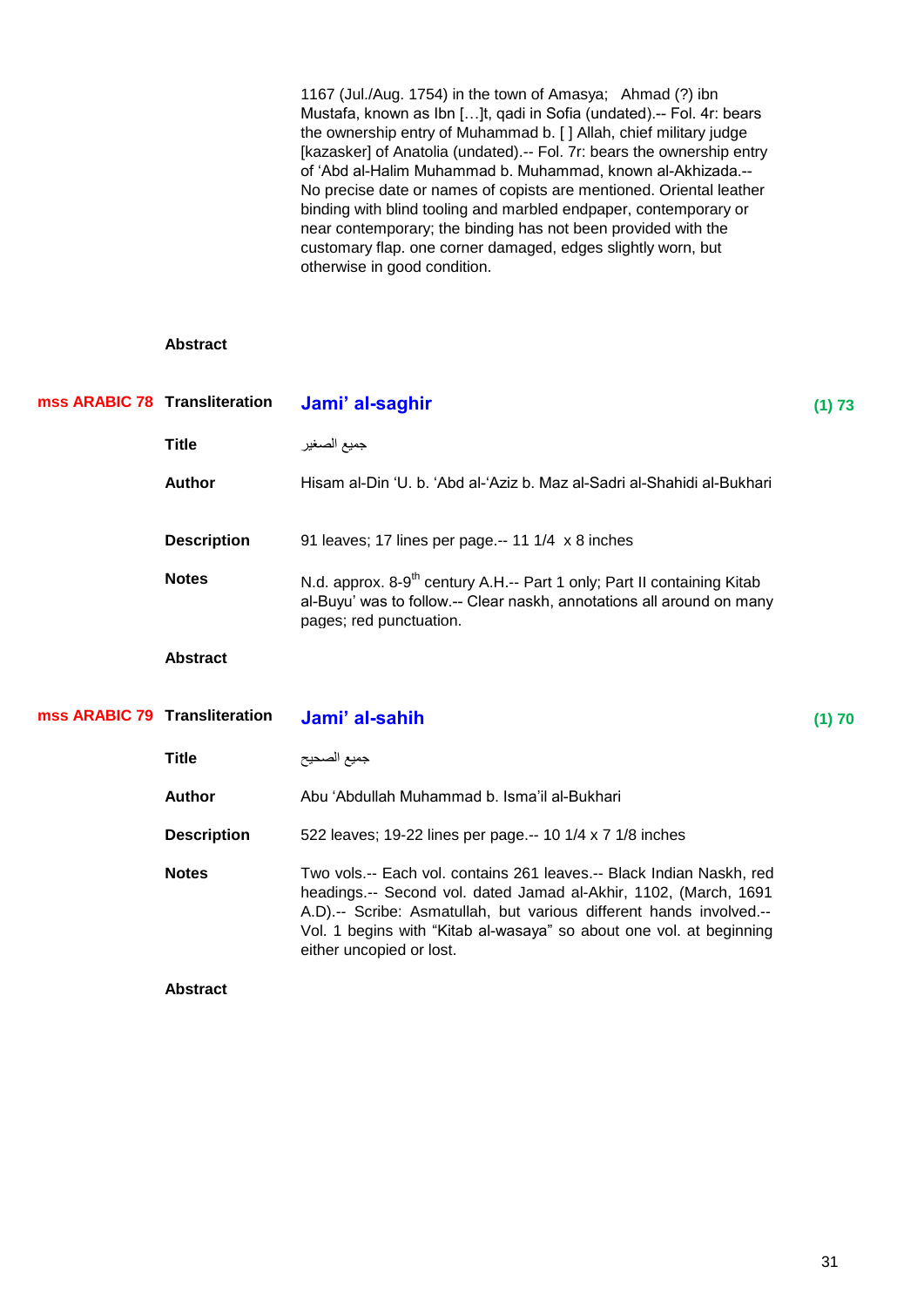1167 (Jul./Aug. 1754) in the town of Amasya; Ahmad (?) ibn Mustafa, known as Ibn […]t, qadi in Sofia (undated).-- Fol. 4r: bears the ownership entry of Muhammad b. [ ] Allah, chief military judge [kazasker] of Anatolia (undated).-- Fol. 7r: bears the ownership entry of ‗Abd al-Halim Muhammad b. Muhammad, known al-Akhizada.-- No precise date or names of copists are mentioned. Oriental leather binding with blind tooling and marbled endpaper, contemporary or near contemporary; the binding has not been provided with the customary flap. one corner damaged, edges slightly worn, but otherwise in good condition.

| mss ARABIC 78 Transliteration |                    | Jami' al-saghir                                                                                                                                                                                                                                                                                                    | (1) 73 |
|-------------------------------|--------------------|--------------------------------------------------------------------------------------------------------------------------------------------------------------------------------------------------------------------------------------------------------------------------------------------------------------------|--------|
|                               | <b>Title</b>       | جميع الصغير                                                                                                                                                                                                                                                                                                        |        |
|                               | <b>Author</b>      | Hisam al-Din 'U, b. 'Abd al-'Aziz b. Maz al-Sadri al-Shahidi al-Bukhari                                                                                                                                                                                                                                            |        |
|                               | <b>Description</b> | 91 leaves; 17 lines per page.-- 11 1/4 x 8 inches                                                                                                                                                                                                                                                                  |        |
|                               | <b>Notes</b>       | N.d. approx. 8-9 <sup>th</sup> century A.H.-- Part 1 only; Part II containing Kitab<br>al-Buyu' was to follow.-- Clear naskh, annotations all around on many<br>pages; red punctuation.                                                                                                                            |        |
|                               | <b>Abstract</b>    |                                                                                                                                                                                                                                                                                                                    |        |
| mss ARABIC 79 Transliteration |                    | Jami' al-sahih                                                                                                                                                                                                                                                                                                     | (1) 70 |
|                               | <b>Title</b>       | جميع الصحيح                                                                                                                                                                                                                                                                                                        |        |
|                               |                    |                                                                                                                                                                                                                                                                                                                    |        |
|                               | Author             | Abu 'Abdullah Muhammad b. Isma'il al-Bukhari                                                                                                                                                                                                                                                                       |        |
|                               | <b>Description</b> | 522 leaves; 19-22 lines per page.-- 10 1/4 x 7 1/8 inches                                                                                                                                                                                                                                                          |        |
|                               | <b>Notes</b>       | Two vols.-- Each vol. contains 261 leaves.-- Black Indian Naskh, red<br>headings.-- Second vol. dated Jamad al-Akhir, 1102, (March, 1691<br>A.D).-- Scribe: Asmatullah, but various different hands involved.--<br>Vol. 1 begins with "Kitab al-wasaya" so about one vol. at beginning<br>either uncopied or lost. |        |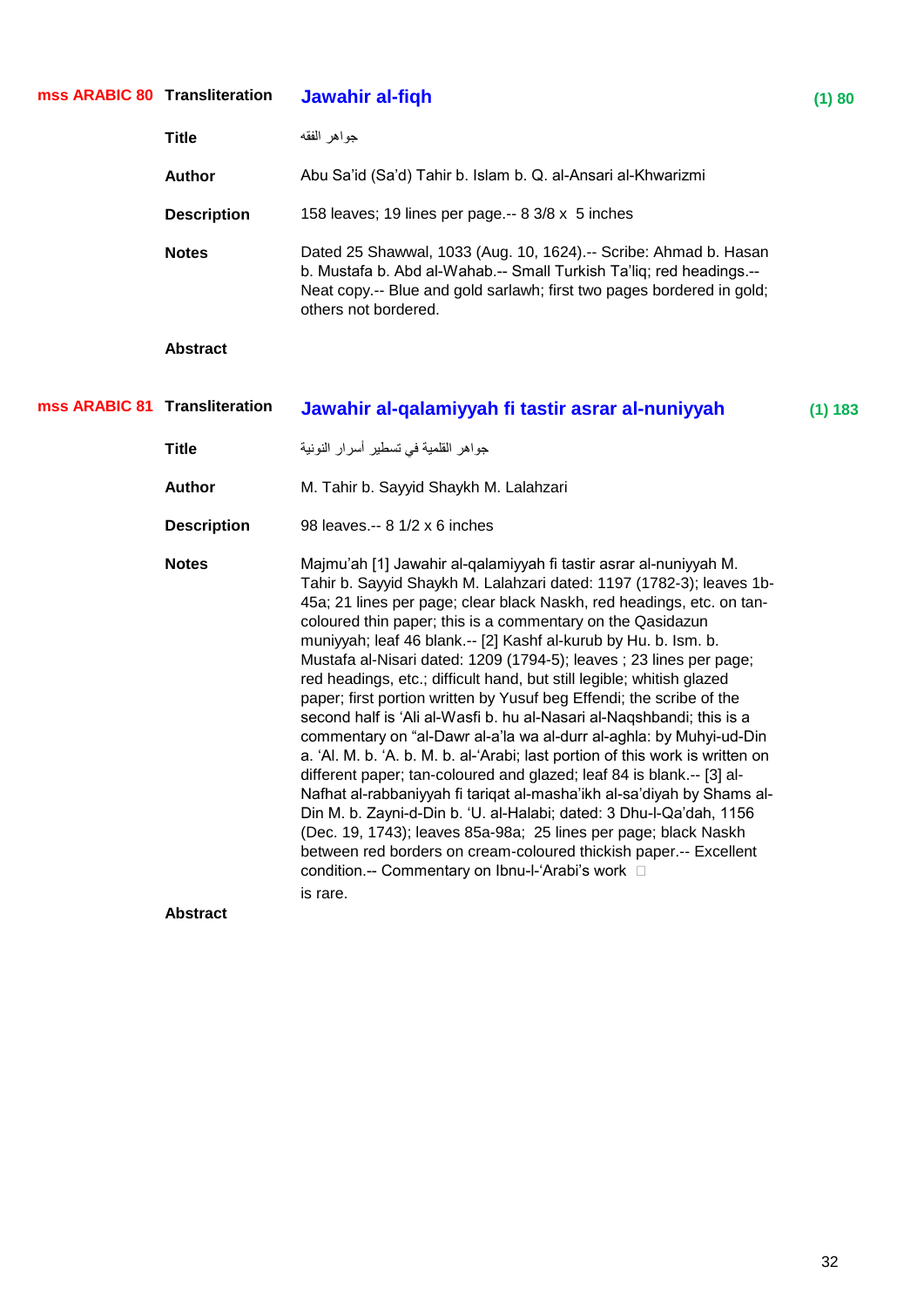| mss ARABIC 80 Transliteration |                                 | Jawahir al-fiqh                                                                                                                                                                                                                                                                                                                                                                                                                                                                                                                                                                                                                                                                                                                                                                                                                                                                                                                                                                                                                                                                                                                                                                                                                                         | (1) 80  |
|-------------------------------|---------------------------------|---------------------------------------------------------------------------------------------------------------------------------------------------------------------------------------------------------------------------------------------------------------------------------------------------------------------------------------------------------------------------------------------------------------------------------------------------------------------------------------------------------------------------------------------------------------------------------------------------------------------------------------------------------------------------------------------------------------------------------------------------------------------------------------------------------------------------------------------------------------------------------------------------------------------------------------------------------------------------------------------------------------------------------------------------------------------------------------------------------------------------------------------------------------------------------------------------------------------------------------------------------|---------|
|                               | <b>Title</b>                    | جواهر الفقه                                                                                                                                                                                                                                                                                                                                                                                                                                                                                                                                                                                                                                                                                                                                                                                                                                                                                                                                                                                                                                                                                                                                                                                                                                             |         |
|                               | <b>Author</b>                   | Abu Sa'id (Sa'd) Tahir b. Islam b. Q. al-Ansari al-Khwarizmi                                                                                                                                                                                                                                                                                                                                                                                                                                                                                                                                                                                                                                                                                                                                                                                                                                                                                                                                                                                                                                                                                                                                                                                            |         |
|                               | <b>Description</b>              | 158 leaves; 19 lines per page.-- 8 3/8 x 5 inches                                                                                                                                                                                                                                                                                                                                                                                                                                                                                                                                                                                                                                                                                                                                                                                                                                                                                                                                                                                                                                                                                                                                                                                                       |         |
|                               | <b>Notes</b>                    | Dated 25 Shawwal, 1033 (Aug. 10, 1624).-- Scribe: Ahmad b. Hasan<br>b. Mustafa b. Abd al-Wahab.-- Small Turkish Ta'liq; red headings.--<br>Neat copy .-- Blue and gold sarlawh; first two pages bordered in gold;<br>others not bordered.                                                                                                                                                                                                                                                                                                                                                                                                                                                                                                                                                                                                                                                                                                                                                                                                                                                                                                                                                                                                               |         |
|                               | <b>Abstract</b>                 |                                                                                                                                                                                                                                                                                                                                                                                                                                                                                                                                                                                                                                                                                                                                                                                                                                                                                                                                                                                                                                                                                                                                                                                                                                                         |         |
| mss ARABIC 81 Transliteration |                                 | Jawahir al-qalamiyyah fi tastir asrar al-nuniyyah                                                                                                                                                                                                                                                                                                                                                                                                                                                                                                                                                                                                                                                                                                                                                                                                                                                                                                                                                                                                                                                                                                                                                                                                       | (1) 183 |
|                               | <b>Title</b>                    | جواهر القلمية في تسطير أسرار النونية                                                                                                                                                                                                                                                                                                                                                                                                                                                                                                                                                                                                                                                                                                                                                                                                                                                                                                                                                                                                                                                                                                                                                                                                                    |         |
|                               | <b>Author</b>                   | M. Tahir b. Sayyid Shaykh M. Lalahzari                                                                                                                                                                                                                                                                                                                                                                                                                                                                                                                                                                                                                                                                                                                                                                                                                                                                                                                                                                                                                                                                                                                                                                                                                  |         |
|                               | <b>Description</b>              | 98 leaves.-- 8 1/2 x 6 inches                                                                                                                                                                                                                                                                                                                                                                                                                                                                                                                                                                                                                                                                                                                                                                                                                                                                                                                                                                                                                                                                                                                                                                                                                           |         |
|                               | <b>Notes</b><br><b>Abstract</b> | Majmu'ah [1] Jawahir al-qalamiyyah fi tastir asrar al-nuniyyah M.<br>Tahir b. Sayyid Shaykh M. Lalahzari dated: 1197 (1782-3); leaves 1b-<br>45a; 21 lines per page; clear black Naskh, red headings, etc. on tan-<br>coloured thin paper; this is a commentary on the Qasidazun<br>muniyyah; leaf 46 blank.-- [2] Kashf al-kurub by Hu. b. Ism. b.<br>Mustafa al-Nisari dated: 1209 (1794-5); leaves ; 23 lines per page;<br>red headings, etc.; difficult hand, but still legible; whitish glazed<br>paper; first portion written by Yusuf beg Effendi; the scribe of the<br>second half is 'Ali al-Wasfi b. hu al-Nasari al-Naqshbandi; this is a<br>commentary on "al-Dawr al-a'la wa al-durr al-aghla: by Muhyi-ud-Din<br>a. 'Al. M. b. 'A. b. M. b. al-'Arabi; last portion of this work is written on<br>different paper; tan-coloured and glazed; leaf 84 is blank.-- [3] al-<br>Nafhat al-rabbaniyyah fi tariqat al-masha'ikh al-sa'diyah by Shams al-<br>Din M. b. Zayni-d-Din b. 'U. al-Halabi; dated: 3 Dhu-l-Qa'dah, 1156<br>(Dec. 19, 1743); leaves 85a-98a; 25 lines per page; black Naskh<br>between red borders on cream-coloured thickish paper.-- Excellent<br>condition.-- Commentary on Ibnu-I-'Arabi's work $\square$<br>is rare. |         |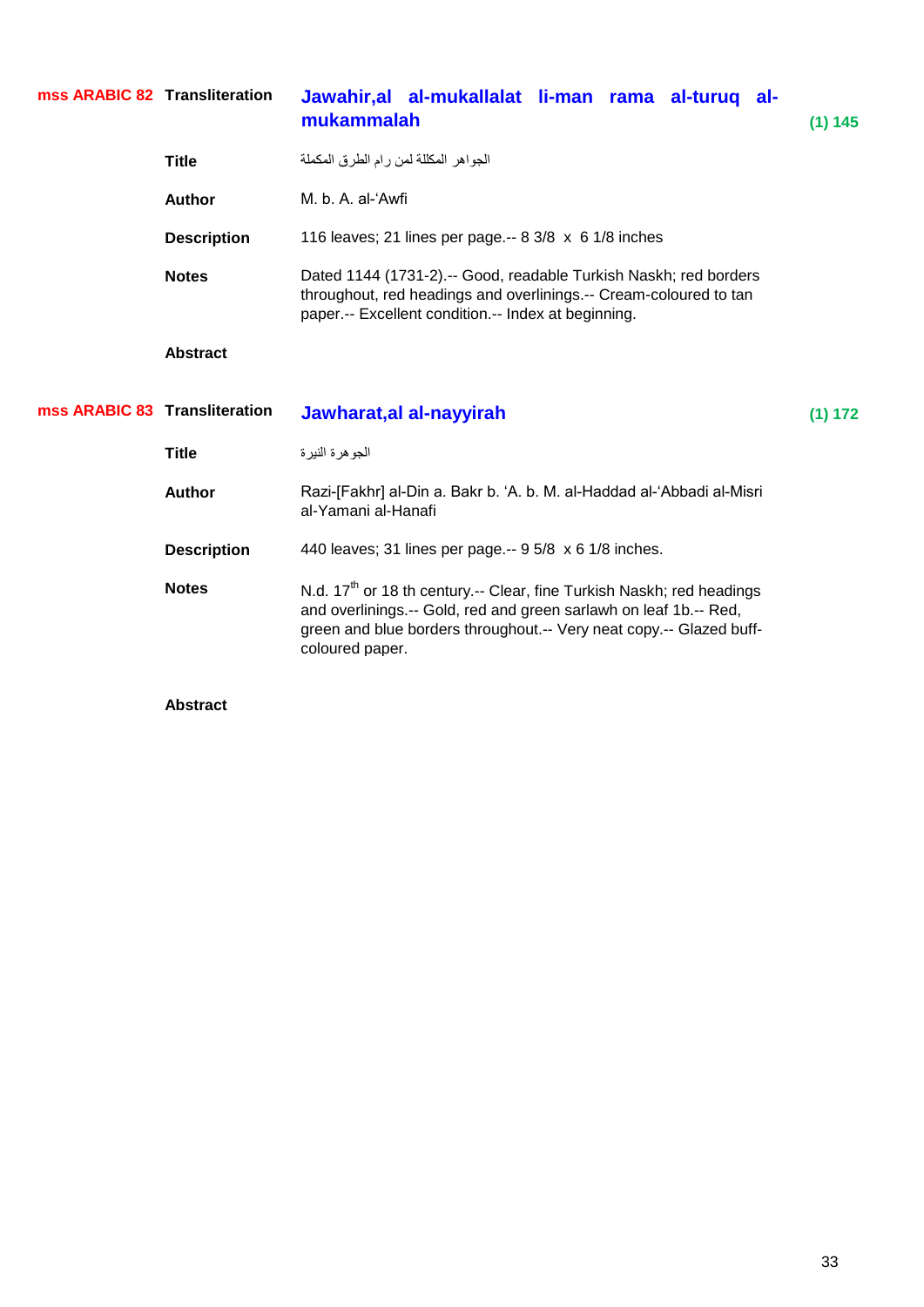| mss ARABIC 82 Transliteration |                    | Jawahir, al al-mukallalat li-man rama al-turuq al-<br>mukammalah                                                                                                                             | (1) 145 |
|-------------------------------|--------------------|----------------------------------------------------------------------------------------------------------------------------------------------------------------------------------------------|---------|
|                               | <b>Title</b>       | الجواهر المكللة لمن رام الطرق المكملة                                                                                                                                                        |         |
|                               | Author             | M. b. A. al-'Awfi                                                                                                                                                                            |         |
|                               | <b>Description</b> | 116 leaves; 21 lines per page.-- 8 3/8 x 6 1/8 inches                                                                                                                                        |         |
|                               | <b>Notes</b>       | Dated 1144 (1731-2).-- Good, readable Turkish Naskh; red borders<br>throughout, red headings and overlinings.-- Cream-coloured to tan<br>paper.-- Excellent condition.-- Index at beginning. |         |
|                               | <b>Abstract</b>    |                                                                                                                                                                                              |         |
|                               |                    |                                                                                                                                                                                              |         |
| mss ARABIC 83 Transliteration |                    | Jawharat, al al-nayyirah                                                                                                                                                                     | (1) 172 |
|                               | <b>Title</b>       | الجوهرة النيرة                                                                                                                                                                               |         |
|                               | <b>Author</b>      | Razi-[Fakhr] al-Din a. Bakr b. 'A. b. M. al-Haddad al-'Abbadi al-Misri<br>al-Yamani al-Hanafi                                                                                                |         |
|                               | <b>Description</b> | 440 leaves; 31 lines per page.-- 9 5/8 x 6 1/8 inches.                                                                                                                                       |         |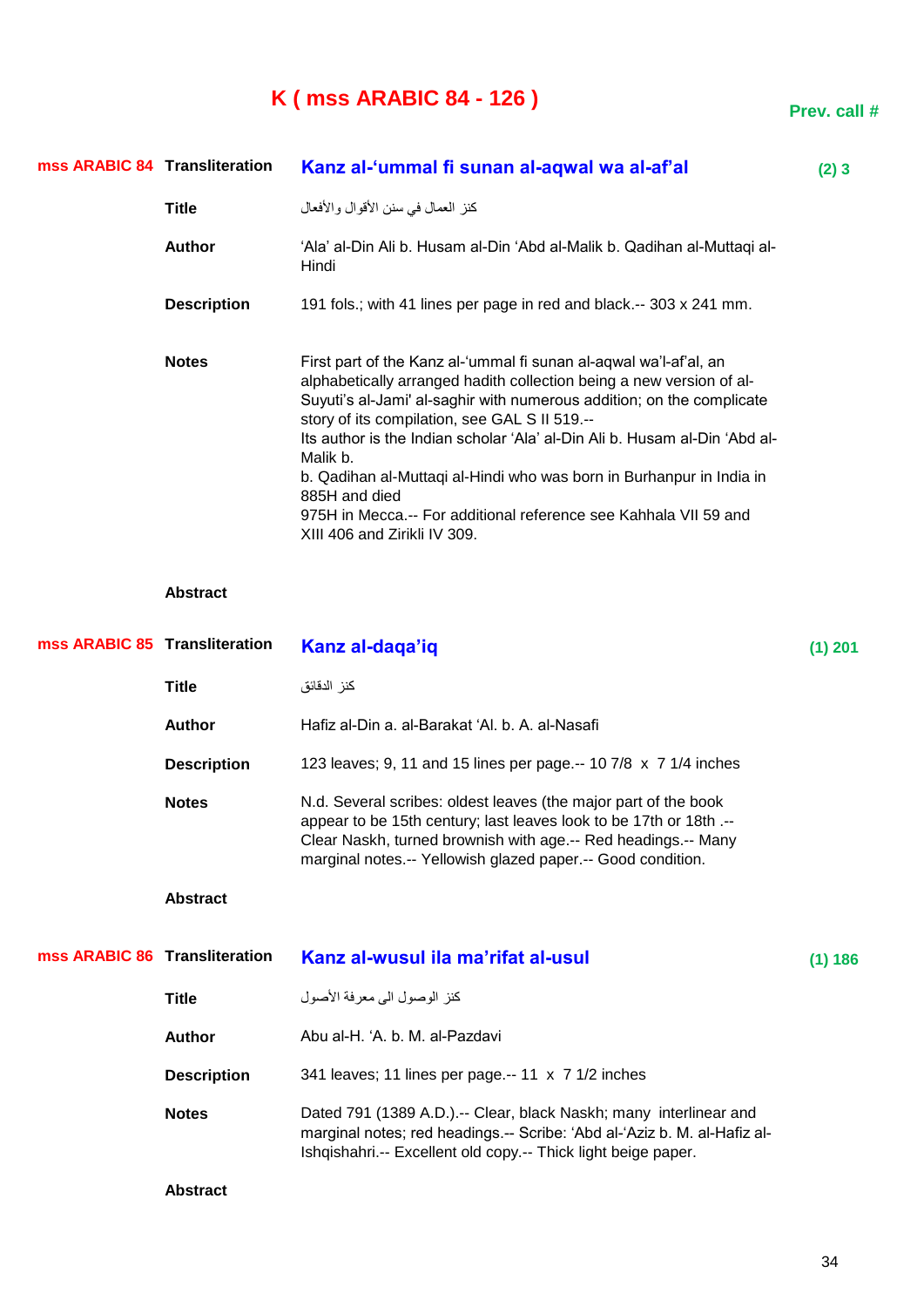## **K ( mss ARABIC 84 - 126 )**

| mss ARABIC 84 Transliteration |                    | Kanz al-'ummal fi sunan al-aqwal wa al-af'al                                                                                                                                                                                                                                                                                                                                                                                                                                                                                                               | (2)3 |
|-------------------------------|--------------------|------------------------------------------------------------------------------------------------------------------------------------------------------------------------------------------------------------------------------------------------------------------------------------------------------------------------------------------------------------------------------------------------------------------------------------------------------------------------------------------------------------------------------------------------------------|------|
|                               | Title              | كنز العمال في سنن الأقوال والأفعال                                                                                                                                                                                                                                                                                                                                                                                                                                                                                                                         |      |
|                               | <b>Author</b>      | 'Ala' al-Din Ali b. Husam al-Din 'Abd al-Malik b. Qadihan al-Muttaqi al-<br>Hindi                                                                                                                                                                                                                                                                                                                                                                                                                                                                          |      |
|                               | <b>Description</b> | 191 fols.; with 41 lines per page in red and black.-- 303 x 241 mm.                                                                                                                                                                                                                                                                                                                                                                                                                                                                                        |      |
|                               | <b>Notes</b>       | First part of the Kanz al-'ummal fi sunan al-agwal wa'l-af'al, an<br>alphabetically arranged hadith collection being a new version of al-<br>Suyuti's al-Jami' al-saghir with numerous addition; on the complicate<br>story of its compilation, see GAL S II 519.--<br>Its author is the Indian scholar 'Ala' al-Din Ali b. Husam al-Din 'Abd al-<br>Malik b.<br>b. Qadihan al-Muttaqi al-Hindi who was born in Burhanpur in India in<br>885H and died<br>975H in Mecca.-- For additional reference see Kahhala VII 59 and<br>XIII 406 and Zirikli IV 309. |      |

### **Abstract**

| mss ARABIC 85 Transliteration |                    | Kanz al-daga'iq                                                                                                                                                                                                                                                       | $(1)$ 201 |
|-------------------------------|--------------------|-----------------------------------------------------------------------------------------------------------------------------------------------------------------------------------------------------------------------------------------------------------------------|-----------|
|                               | <b>Title</b>       | كنز الدقائق                                                                                                                                                                                                                                                           |           |
|                               | <b>Author</b>      | Hafiz al-Din a. al-Barakat 'Al. b. A. al-Nasafi                                                                                                                                                                                                                       |           |
|                               | <b>Description</b> | 123 leaves; 9, 11 and 15 lines per page -- 10 7/8 x 7 1/4 inches                                                                                                                                                                                                      |           |
|                               | <b>Notes</b>       | N.d. Several scribes: oldest leaves (the major part of the book<br>appear to be 15th century; last leaves look to be 17th or 18th .--<br>Clear Naskh, turned brownish with age.-- Red headings.-- Many<br>marginal notes.-- Yellowish glazed paper.-- Good condition. |           |
|                               | <b>Abstract</b>    |                                                                                                                                                                                                                                                                       |           |
| mss ARABIC 86 Transliteration |                    | Kanz al-wusul ila ma'rifat al-usul                                                                                                                                                                                                                                    | (1) 186   |
|                               | <b>Title</b>       | كنز الوصول الى معر فة الأصول                                                                                                                                                                                                                                          |           |
|                               | <b>Author</b>      | Abu al-H. 'A. b. M. al-Pazdavi                                                                                                                                                                                                                                        |           |
|                               | <b>Description</b> | 341 leaves; 11 lines per page.-- 11 x 7 1/2 inches                                                                                                                                                                                                                    |           |
|                               | <b>Notes</b>       | Dated 791 (1389 A.D.).-- Clear, black Naskh; many interlinear and<br>marginal notes; red headings.-- Scribe: 'Abd al-'Aziz b. M. al-Hafiz al-<br>Ishqishahri.-- Excellent old copy.-- Thick light beige paper.                                                        |           |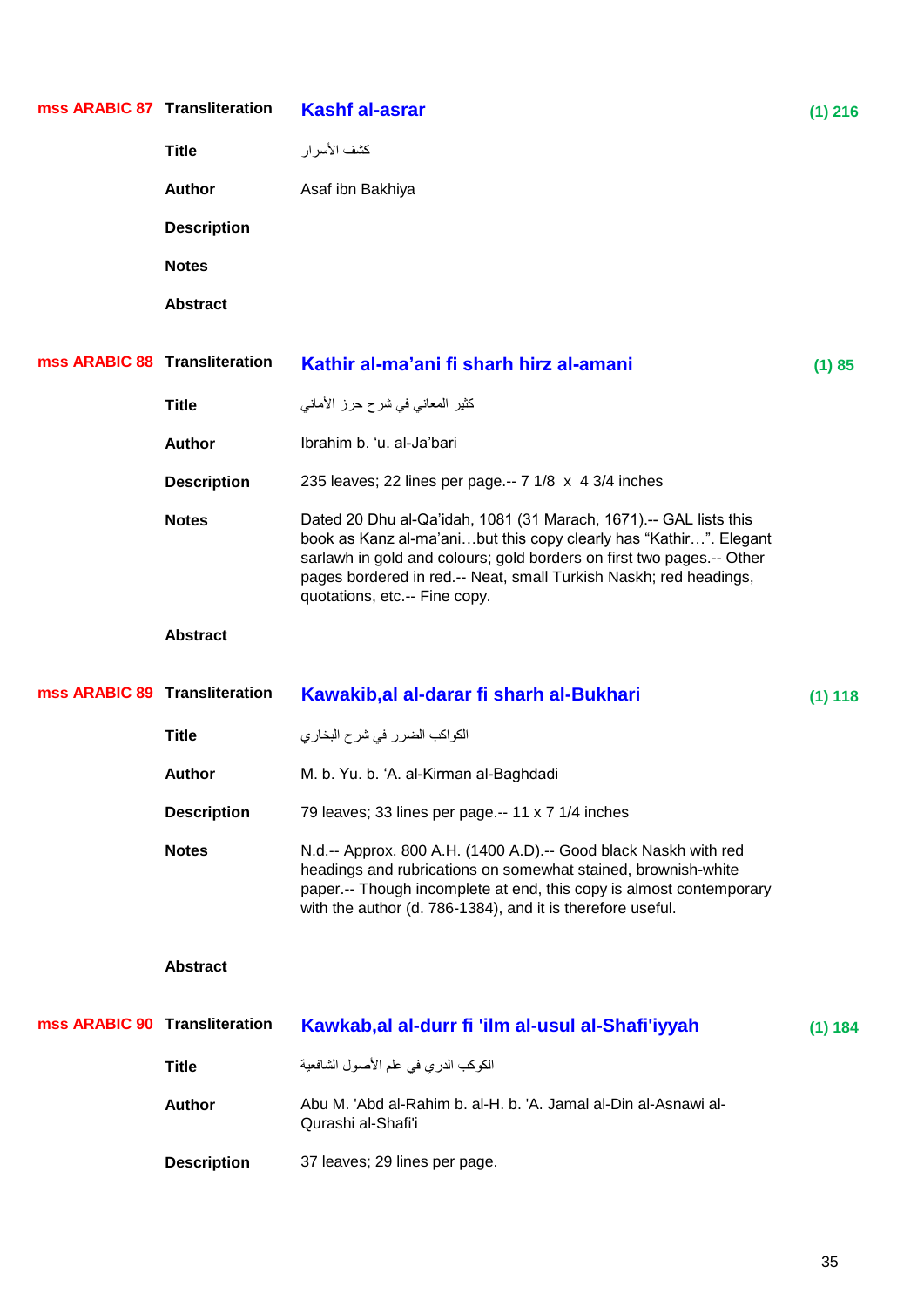| mss ARABIC 87 Transliteration |                    | <b>Kashf al-asrar</b>                                                                                                                                                                                                                                                                                                 | $(1)$ 216 |
|-------------------------------|--------------------|-----------------------------------------------------------------------------------------------------------------------------------------------------------------------------------------------------------------------------------------------------------------------------------------------------------------------|-----------|
|                               | <b>Title</b>       | كشف الأسر ار                                                                                                                                                                                                                                                                                                          |           |
|                               | <b>Author</b>      | Asaf ibn Bakhiya                                                                                                                                                                                                                                                                                                      |           |
|                               | <b>Description</b> |                                                                                                                                                                                                                                                                                                                       |           |
|                               | <b>Notes</b>       |                                                                                                                                                                                                                                                                                                                       |           |
|                               | <b>Abstract</b>    |                                                                                                                                                                                                                                                                                                                       |           |
| mss ARABIC 88 Transliteration |                    | Kathir al-ma'ani fi sharh hirz al-amani                                                                                                                                                                                                                                                                               | (1) 85    |
|                               | <b>Title</b>       | كثير المعانى فى شرح حرز الأمانى                                                                                                                                                                                                                                                                                       |           |
|                               | <b>Author</b>      | Ibrahim b. 'u. al-Ja'bari                                                                                                                                                                                                                                                                                             |           |
|                               | <b>Description</b> | 235 leaves; 22 lines per page .-- 7 1/8 x 4 3/4 inches                                                                                                                                                                                                                                                                |           |
|                               | <b>Notes</b>       | Dated 20 Dhu al-Qa'idah, 1081 (31 Marach, 1671).-- GAL lists this<br>book as Kanz al-ma'anibut this copy clearly has "Kathir". Elegant<br>sarlawh in gold and colours; gold borders on first two pages.-- Other<br>pages bordered in red.-- Neat, small Turkish Naskh; red headings,<br>quotations, etc.-- Fine copy. |           |
|                               |                    |                                                                                                                                                                                                                                                                                                                       |           |
|                               | <b>Abstract</b>    |                                                                                                                                                                                                                                                                                                                       |           |
| mss ARABIC 89 Transliteration |                    | Kawakib, al al-darar fi sharh al-Bukhari                                                                                                                                                                                                                                                                              | (1) 118   |
|                               | <b>Title</b>       | الكواكب الضرر في شرح البخاري                                                                                                                                                                                                                                                                                          |           |
|                               | <b>Author</b>      | M. b. Yu. b. 'A. al-Kirman al-Baghdadi                                                                                                                                                                                                                                                                                |           |
|                               | <b>Description</b> | 79 leaves; 33 lines per page.-- 11 x 7 1/4 inches                                                                                                                                                                                                                                                                     |           |
|                               | <b>Notes</b>       | N.d.-- Approx. 800 A.H. (1400 A.D).-- Good black Naskh with red<br>headings and rubrications on somewhat stained, brownish-white<br>paper.-- Though incomplete at end, this copy is almost contemporary<br>with the author (d. 786-1384), and it is therefore useful.                                                 |           |
|                               | <b>Abstract</b>    |                                                                                                                                                                                                                                                                                                                       |           |
| mss ARABIC 90 Transliteration |                    | Kawkab, al al-durr fi 'ilm al-usul al-Shafi'iyyah                                                                                                                                                                                                                                                                     | (1) 184   |
|                               | <b>Title</b>       | الكوكب الدري في علم الأصول الشافعية                                                                                                                                                                                                                                                                                   |           |
|                               | <b>Author</b>      | Abu M. 'Abd al-Rahim b. al-H. b. 'A. Jamal al-Din al-Asnawi al-<br>Qurashi al-Shafi'i                                                                                                                                                                                                                                 |           |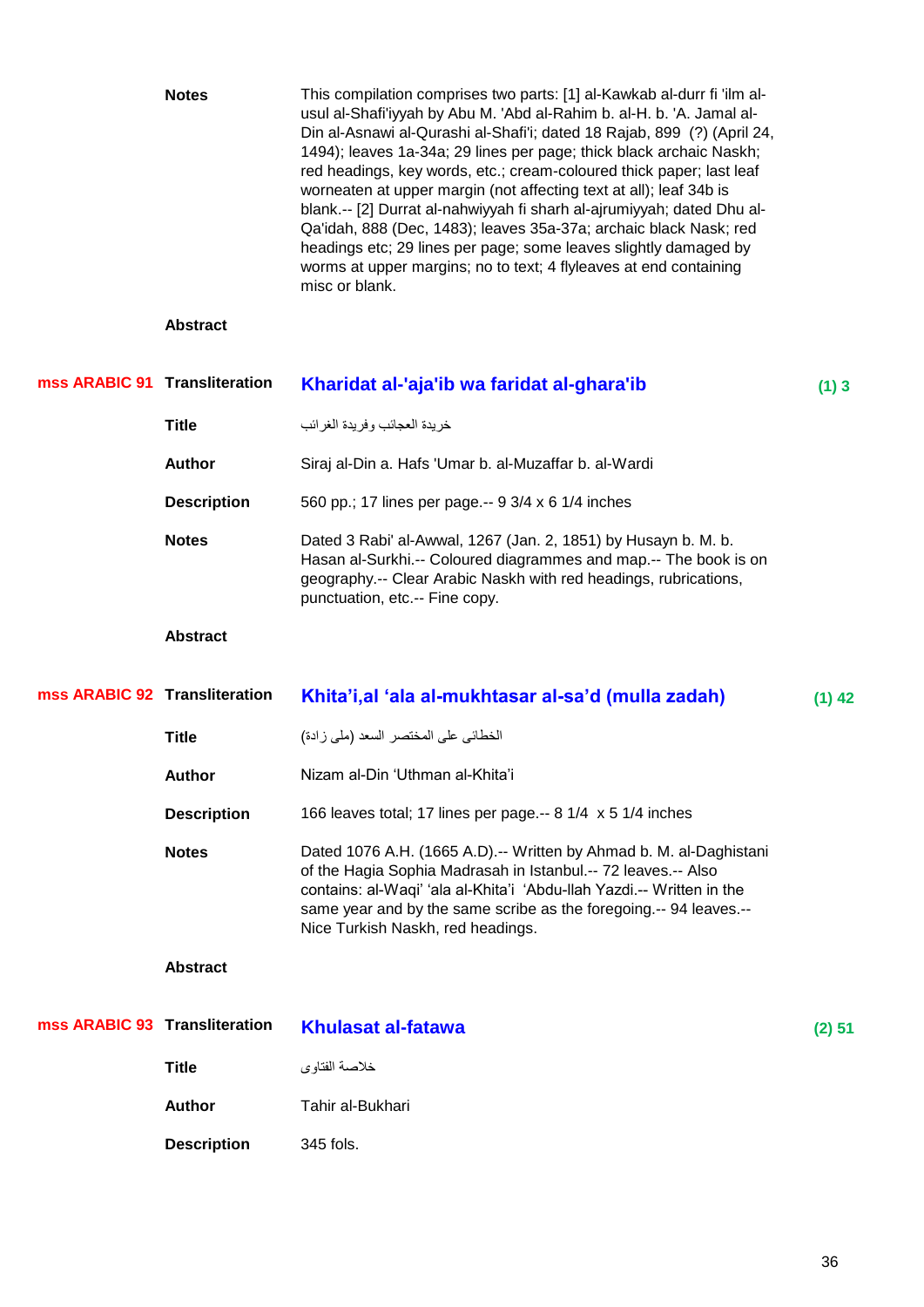|                               | <b>Notes</b>       | This compilation comprises two parts: [1] al-Kawkab al-durr fi 'ilm al-<br>usul al-Shafi'iyyah by Abu M. 'Abd al-Rahim b. al-H. b. 'A. Jamal al-<br>Din al-Asnawi al-Qurashi al-Shafi'i; dated 18 Rajab, 899 (?) (April 24,<br>1494); leaves 1a-34a; 29 lines per page; thick black archaic Naskh;<br>red headings, key words, etc.; cream-coloured thick paper; last leaf<br>worneaten at upper margin (not affecting text at all); leaf 34b is<br>blank.-- [2] Durrat al-nahwiyyah fi sharh al-ajrumiyyah; dated Dhu al-<br>Qa'idah, 888 (Dec, 1483); leaves 35a-37a; archaic black Nask; red<br>headings etc; 29 lines per page; some leaves slightly damaged by<br>worms at upper margins; no to text; 4 flyleaves at end containing<br>misc or blank. |          |
|-------------------------------|--------------------|------------------------------------------------------------------------------------------------------------------------------------------------------------------------------------------------------------------------------------------------------------------------------------------------------------------------------------------------------------------------------------------------------------------------------------------------------------------------------------------------------------------------------------------------------------------------------------------------------------------------------------------------------------------------------------------------------------------------------------------------------------|----------|
|                               | <b>Abstract</b>    |                                                                                                                                                                                                                                                                                                                                                                                                                                                                                                                                                                                                                                                                                                                                                            |          |
| mss ARABIC 91 Transliteration |                    | Kharidat al-'aja'ib wa faridat al-ghara'ib                                                                                                                                                                                                                                                                                                                                                                                                                                                                                                                                                                                                                                                                                                                 | (1)3     |
|                               | <b>Title</b>       | خريدة العجائب وفريدة الغرائب                                                                                                                                                                                                                                                                                                                                                                                                                                                                                                                                                                                                                                                                                                                               |          |
|                               | <b>Author</b>      | Siraj al-Din a. Hafs 'Umar b. al-Muzaffar b. al-Wardi                                                                                                                                                                                                                                                                                                                                                                                                                                                                                                                                                                                                                                                                                                      |          |
|                               | <b>Description</b> | 560 pp.; 17 lines per page.-- 9 3/4 x 6 1/4 inches                                                                                                                                                                                                                                                                                                                                                                                                                                                                                                                                                                                                                                                                                                         |          |
|                               | <b>Notes</b>       | Dated 3 Rabi' al-Awwal, 1267 (Jan. 2, 1851) by Husayn b. M. b.<br>Hasan al-Surkhi.-- Coloured diagrammes and map.-- The book is on<br>geography.-- Clear Arabic Naskh with red headings, rubrications,<br>punctuation, etc.-- Fine copy.                                                                                                                                                                                                                                                                                                                                                                                                                                                                                                                   |          |
|                               | <b>Abstract</b>    |                                                                                                                                                                                                                                                                                                                                                                                                                                                                                                                                                                                                                                                                                                                                                            |          |
|                               |                    |                                                                                                                                                                                                                                                                                                                                                                                                                                                                                                                                                                                                                                                                                                                                                            |          |
| mss ARABIC 92 Transliteration |                    | Khita'i, al 'ala al-mukhtasar al-sa'd (mulla zadah)                                                                                                                                                                                                                                                                                                                                                                                                                                                                                                                                                                                                                                                                                                        | $(1)$ 42 |
|                               | <b>Title</b>       | الخطائي على المختصر السعد (ملي زادة)                                                                                                                                                                                                                                                                                                                                                                                                                                                                                                                                                                                                                                                                                                                       |          |
|                               | Author             | Nizam al-Din 'Uthman al-Khita'i                                                                                                                                                                                                                                                                                                                                                                                                                                                                                                                                                                                                                                                                                                                            |          |
|                               | <b>Description</b> | 166 leaves total; 17 lines per page.-- 8 1/4 x 5 1/4 inches                                                                                                                                                                                                                                                                                                                                                                                                                                                                                                                                                                                                                                                                                                |          |
|                               | <b>Notes</b>       | Dated 1076 A.H. (1665 A.D).-- Written by Ahmad b. M. al-Daghistani<br>of the Hagia Sophia Madrasah in Istanbul.-- 72 leaves.-- Also<br>contains: al-Waqi' 'ala al-Khita'i 'Abdu-llah Yazdi.-- Written in the<br>same year and by the same scribe as the foregoing.-- 94 leaves.--<br>Nice Turkish Naskh, red headings.                                                                                                                                                                                                                                                                                                                                                                                                                                     |          |
|                               | <b>Abstract</b>    |                                                                                                                                                                                                                                                                                                                                                                                                                                                                                                                                                                                                                                                                                                                                                            |          |
| mss ARABIC 93 Transliteration |                    | <b>Khulasat al-fatawa</b>                                                                                                                                                                                                                                                                                                                                                                                                                                                                                                                                                                                                                                                                                                                                  | (2) 51   |
|                               | <b>Title</b>       | خلاصة الفتاوي                                                                                                                                                                                                                                                                                                                                                                                                                                                                                                                                                                                                                                                                                                                                              |          |
|                               | <b>Author</b>      | Tahir al-Bukhari                                                                                                                                                                                                                                                                                                                                                                                                                                                                                                                                                                                                                                                                                                                                           |          |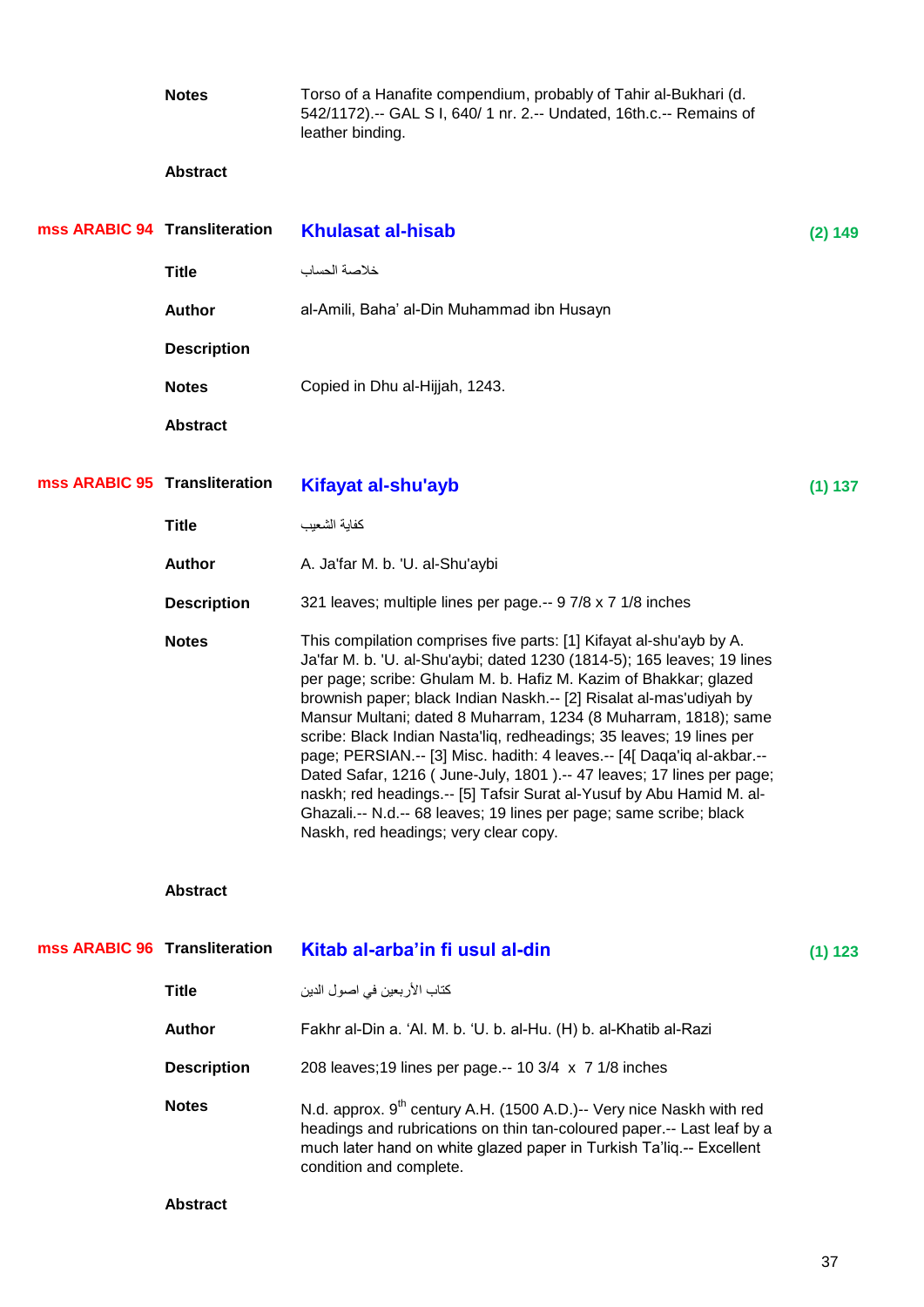**Notes** Torso of a Hanafite compendium, probably of Tahir al-Bukhari (d. 542/1172).-- GAL S I, 640/ 1 nr. 2.-- Undated, 16th.c.-- Remains of leather binding.

### **Abstract**

| mss ARABIC 94 Transliteration |                    | <b>Khulasat al-hisab</b>                                                                                                                                                                                                                                                                                                                                                                                                                                                                                                                                                                                                                                                                                                                                                     | (2) 149 |
|-------------------------------|--------------------|------------------------------------------------------------------------------------------------------------------------------------------------------------------------------------------------------------------------------------------------------------------------------------------------------------------------------------------------------------------------------------------------------------------------------------------------------------------------------------------------------------------------------------------------------------------------------------------------------------------------------------------------------------------------------------------------------------------------------------------------------------------------------|---------|
|                               | <b>Title</b>       | خلاصة الحساب                                                                                                                                                                                                                                                                                                                                                                                                                                                                                                                                                                                                                                                                                                                                                                 |         |
|                               | <b>Author</b>      | al-Amili, Baha' al-Din Muhammad ibn Husayn                                                                                                                                                                                                                                                                                                                                                                                                                                                                                                                                                                                                                                                                                                                                   |         |
|                               | <b>Description</b> |                                                                                                                                                                                                                                                                                                                                                                                                                                                                                                                                                                                                                                                                                                                                                                              |         |
|                               | <b>Notes</b>       | Copied in Dhu al-Hijjah, 1243.                                                                                                                                                                                                                                                                                                                                                                                                                                                                                                                                                                                                                                                                                                                                               |         |
|                               | <b>Abstract</b>    |                                                                                                                                                                                                                                                                                                                                                                                                                                                                                                                                                                                                                                                                                                                                                                              |         |
| mss ARABIC 95 Transliteration |                    | Kifayat al-shu'ayb                                                                                                                                                                                                                                                                                                                                                                                                                                                                                                                                                                                                                                                                                                                                                           | (1) 137 |
|                               | <b>Title</b>       | كفابة الشعبب                                                                                                                                                                                                                                                                                                                                                                                                                                                                                                                                                                                                                                                                                                                                                                 |         |
|                               | <b>Author</b>      | A. Ja'far M. b. 'U. al-Shu'aybi                                                                                                                                                                                                                                                                                                                                                                                                                                                                                                                                                                                                                                                                                                                                              |         |
|                               | <b>Description</b> | 321 leaves; multiple lines per page.-- 9 7/8 x 7 1/8 inches                                                                                                                                                                                                                                                                                                                                                                                                                                                                                                                                                                                                                                                                                                                  |         |
|                               | <b>Notes</b>       | This compilation comprises five parts: [1] Kifayat al-shu'ayb by A.<br>Ja'far M. b. 'U. al-Shu'aybi; dated 1230 (1814-5); 165 leaves; 19 lines<br>per page; scribe: Ghulam M. b. Hafiz M. Kazim of Bhakkar; glazed<br>brownish paper; black Indian Naskh.-- [2] Risalat al-mas'udiyah by<br>Mansur Multani; dated 8 Muharram, 1234 (8 Muharram, 1818); same<br>scribe: Black Indian Nasta'liq, redheadings; 35 leaves; 19 lines per<br>page; PERSIAN.-- [3] Misc. hadith: 4 leaves.-- [4[ Daqa'iq al-akbar.--<br>Dated Safar, 1216 (June-July, 1801).-- 47 leaves; 17 lines per page;<br>naskh; red headings.-- [5] Tafsir Surat al-Yusuf by Abu Hamid M. al-<br>Ghazali.-- N.d.-- 68 leaves; 19 lines per page; same scribe; black<br>Naskh, red headings; very clear copy. |         |
|                               | <b>Abstract</b>    |                                                                                                                                                                                                                                                                                                                                                                                                                                                                                                                                                                                                                                                                                                                                                                              |         |
| mss ARABIC 96 Transliteration |                    | Kitab al-arba'in fi usul al-din                                                                                                                                                                                                                                                                                                                                                                                                                                                                                                                                                                                                                                                                                                                                              | (1) 123 |
|                               | <b>Title</b>       | كتاب الأربعين في اصول الدين                                                                                                                                                                                                                                                                                                                                                                                                                                                                                                                                                                                                                                                                                                                                                  |         |

| <b>Author</b>      | Fakhr al-Din a. 'Al. M. b. 'U. b. al-Hu. (H) b. al-Khatib al-Razi |
|--------------------|-------------------------------------------------------------------|
| <b>Description</b> | 208 leaves; 19 lines per page -- 10 3/4 x 7 1/8 inches            |

**Notes** N.d. approx. 9<sup>th</sup> century A.H. (1500 A.D.)-- Very nice Naskh with red headings and rubrications on thin tan-coloured paper.-- Last leaf by a much later hand on white glazed paper in Turkish Ta'liq.-- Excellent condition and complete.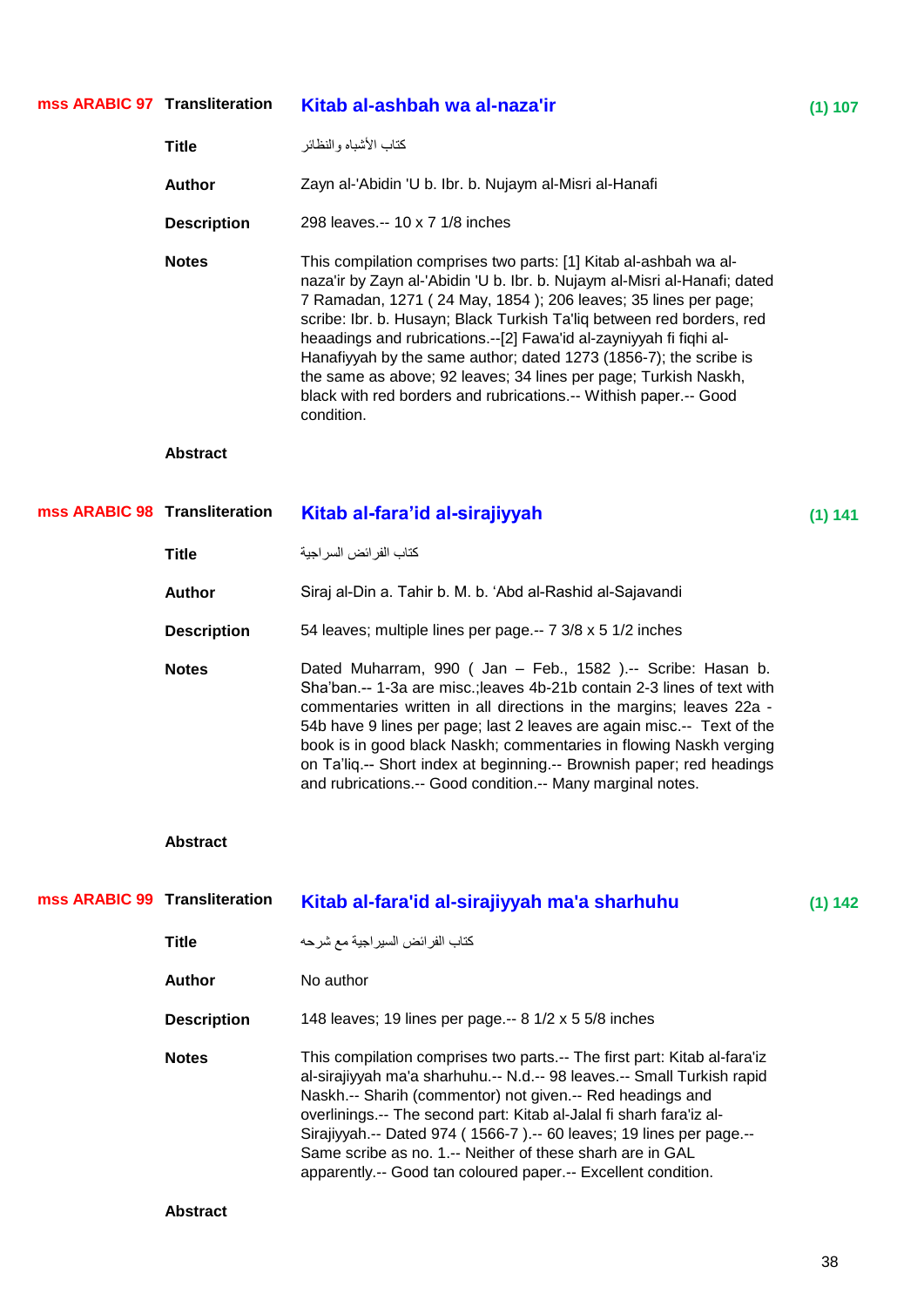| mss ARABIC 97 Transliteration |                    | Kitab al-ashbah wa al-naza'ir                                                                                                                                                                                                                                                                                                                                                                                                                                                                                                                                                            | (1) 107 |
|-------------------------------|--------------------|------------------------------------------------------------------------------------------------------------------------------------------------------------------------------------------------------------------------------------------------------------------------------------------------------------------------------------------------------------------------------------------------------------------------------------------------------------------------------------------------------------------------------------------------------------------------------------------|---------|
|                               | <b>Title</b>       | كتاب الأشباه والنظائر                                                                                                                                                                                                                                                                                                                                                                                                                                                                                                                                                                    |         |
|                               | <b>Author</b>      | Zayn al-'Abidin 'U b. Ibr. b. Nujaym al-Misri al-Hanafi                                                                                                                                                                                                                                                                                                                                                                                                                                                                                                                                  |         |
|                               | <b>Description</b> | 298 leaves.-- 10 x 7 1/8 inches                                                                                                                                                                                                                                                                                                                                                                                                                                                                                                                                                          |         |
|                               | <b>Notes</b>       | This compilation comprises two parts: [1] Kitab al-ashbah wa al-<br>naza'ir by Zayn al-'Abidin 'U b. Ibr. b. Nujaym al-Misri al-Hanafi; dated<br>7 Ramadan, 1271 (24 May, 1854); 206 leaves; 35 lines per page;<br>scribe: Ibr. b. Husayn; Black Turkish Ta'liq between red borders, red<br>heaadings and rubrications.--[2] Fawa'id al-zayniyyah fi fiqhi al-<br>Hanafiyyah by the same author; dated 1273 (1856-7); the scribe is<br>the same as above; 92 leaves; 34 lines per page; Turkish Naskh,<br>black with red borders and rubrications.-- Withish paper.-- Good<br>condition. |         |
|                               | <b>Abstract</b>    |                                                                                                                                                                                                                                                                                                                                                                                                                                                                                                                                                                                          |         |
| mss ARABIC 98 Transliteration |                    | Kitab al-fara'id al-sirajiyyah                                                                                                                                                                                                                                                                                                                                                                                                                                                                                                                                                           | (1) 141 |
|                               | <b>Title</b>       | كتاب الفر ائض السر اجية                                                                                                                                                                                                                                                                                                                                                                                                                                                                                                                                                                  |         |
|                               | <b>Author</b>      | Siraj al-Din a. Tahir b. M. b. 'Abd al-Rashid al-Sajavandi                                                                                                                                                                                                                                                                                                                                                                                                                                                                                                                               |         |
|                               | <b>Description</b> | 54 leaves; multiple lines per page.-- 7 3/8 x 5 1/2 inches                                                                                                                                                                                                                                                                                                                                                                                                                                                                                                                               |         |
|                               | <b>Notes</b>       | Dated Muharram, 990 (Jan - Feb., 1582).-- Scribe: Hasan b.<br>Sha'ban.-- 1-3a are misc.; leaves 4b-21b contain 2-3 lines of text with<br>commentaries written in all directions in the margins; leaves 22a -<br>54b have 9 lines per page; last 2 leaves are again misc .-- Text of the<br>book is in good black Naskh; commentaries in flowing Naskh verging<br>on Ta'liq.-- Short index at beginning.-- Brownish paper; red headings<br>and rubrications.-- Good condition.-- Many marginal notes.                                                                                     |         |
|                               | <b>Abstract</b>    |                                                                                                                                                                                                                                                                                                                                                                                                                                                                                                                                                                                          |         |
| mss ARABIC 99 Transliteration |                    | Kitab al-fara'id al-sirajiyyah ma'a sharhuhu                                                                                                                                                                                                                                                                                                                                                                                                                                                                                                                                             | (1) 142 |
|                               | <b>Title</b>       | كتاب الفر ائض السير اجية مع شرحه                                                                                                                                                                                                                                                                                                                                                                                                                                                                                                                                                         |         |
|                               | <b>Author</b>      | No author                                                                                                                                                                                                                                                                                                                                                                                                                                                                                                                                                                                |         |
|                               | <b>Description</b> | 148 leaves; 19 lines per page.-- 8 1/2 x 5 5/8 inches                                                                                                                                                                                                                                                                                                                                                                                                                                                                                                                                    |         |
|                               | <b>Notes</b>       | This compilation comprises two parts.-- The first part: Kitab al-fara'iz<br>al-sirajiyyah ma'a sharhuhu.-- N.d.-- 98 leaves.-- Small Turkish rapid<br>Naskh.-- Sharih (commentor) not given.-- Red headings and<br>overlinings.-- The second part: Kitab al-Jalal fi sharh fara'iz al-<br>Sirajiyyah.-- Dated 974 (1566-7).-- 60 leaves; 19 lines per page.--                                                                                                                                                                                                                            |         |

Same scribe as no. 1.-- Neither of these sharh are in GAL apparently.-- Good tan coloured paper.-- Excellent condition.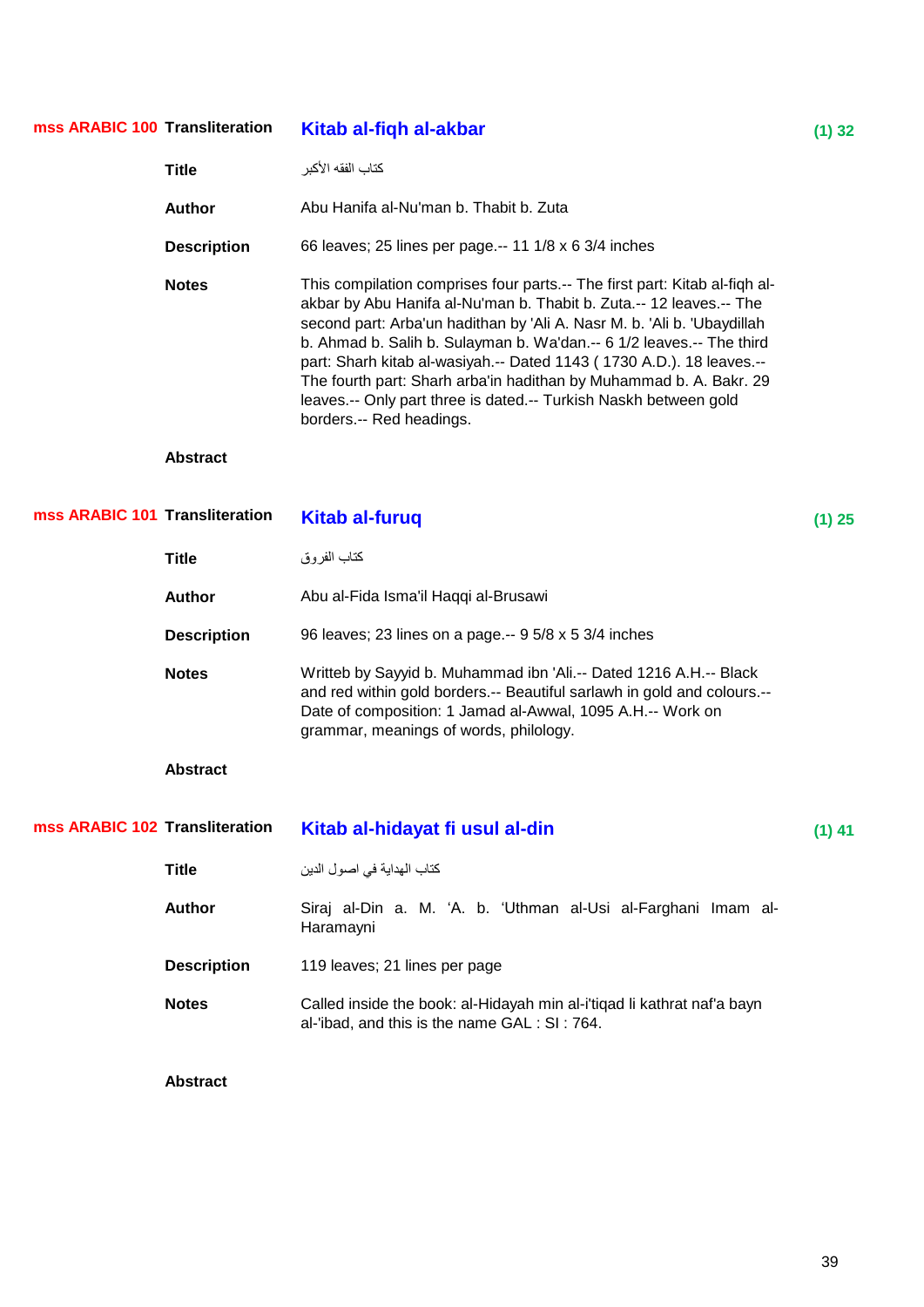| mss ARABIC 100 Transliteration |                    | Kitab al-fiqh al-akbar                                                                                                                                                                                                                                                                                                                                                                                                                                                                                                                             | $(1)$ 32 |
|--------------------------------|--------------------|----------------------------------------------------------------------------------------------------------------------------------------------------------------------------------------------------------------------------------------------------------------------------------------------------------------------------------------------------------------------------------------------------------------------------------------------------------------------------------------------------------------------------------------------------|----------|
|                                | <b>Title</b>       | كتاب الفقه الأكبر                                                                                                                                                                                                                                                                                                                                                                                                                                                                                                                                  |          |
|                                | <b>Author</b>      | Abu Hanifa al-Nu'man b. Thabit b. Zuta                                                                                                                                                                                                                                                                                                                                                                                                                                                                                                             |          |
|                                | <b>Description</b> | 66 leaves; 25 lines per page.-- 11 1/8 x 6 3/4 inches                                                                                                                                                                                                                                                                                                                                                                                                                                                                                              |          |
|                                | <b>Notes</b>       | This compilation comprises four parts.-- The first part: Kitab al-fiqh al-<br>akbar by Abu Hanifa al-Nu'man b. Thabit b. Zuta.-- 12 leaves.-- The<br>second part: Arba'un hadithan by 'Ali A. Nasr M. b. 'Ali b. 'Ubaydillah<br>b. Ahmad b. Salih b. Sulayman b. Wa'dan.-- 6 1/2 leaves.-- The third<br>part: Sharh kitab al-wasiyah.-- Dated 1143 (1730 A.D.). 18 leaves.--<br>The fourth part: Sharh arba'in hadithan by Muhammad b. A. Bakr. 29<br>leaves.-- Only part three is dated.-- Turkish Naskh between gold<br>borders.-- Red headings. |          |
|                                | <b>Abstract</b>    |                                                                                                                                                                                                                                                                                                                                                                                                                                                                                                                                                    |          |
| mss ARABIC 101 Transliteration |                    | <b>Kitab al-furuq</b>                                                                                                                                                                                                                                                                                                                                                                                                                                                                                                                              | $(1)$ 25 |
|                                | <b>Title</b>       | كتاب الفروق                                                                                                                                                                                                                                                                                                                                                                                                                                                                                                                                        |          |
|                                | <b>Author</b>      | Abu al-Fida Isma'il Haqqi al-Brusawi                                                                                                                                                                                                                                                                                                                                                                                                                                                                                                               |          |
|                                | <b>Description</b> | 96 leaves; 23 lines on a page.-- 9 5/8 x 5 3/4 inches                                                                                                                                                                                                                                                                                                                                                                                                                                                                                              |          |
|                                | <b>Notes</b>       | Writteb by Sayyid b. Muhammad ibn 'Ali.-- Dated 1216 A.H.-- Black<br>and red within gold borders.-- Beautiful sarlawh in gold and colours.--<br>Date of composition: 1 Jamad al-Awwal, 1095 A.H.-- Work on<br>grammar, meanings of words, philology.                                                                                                                                                                                                                                                                                               |          |
|                                | <b>Abstract</b>    |                                                                                                                                                                                                                                                                                                                                                                                                                                                                                                                                                    |          |
| mss ARABIC 102 Transliteration |                    | Kitab al-hidayat fi usul al-din                                                                                                                                                                                                                                                                                                                                                                                                                                                                                                                    | $(1)$ 41 |
|                                | <b>Title</b>       | كتاب الهداية في اصول الدين                                                                                                                                                                                                                                                                                                                                                                                                                                                                                                                         |          |
|                                | <b>Author</b>      | Siraj al-Din a. M. 'A. b. 'Uthman al-Usi al-Farghani Imam al-<br>Haramayni                                                                                                                                                                                                                                                                                                                                                                                                                                                                         |          |
|                                | <b>Description</b> | 119 leaves; 21 lines per page                                                                                                                                                                                                                                                                                                                                                                                                                                                                                                                      |          |
|                                | <b>Notes</b>       | Called inside the book: al-Hidayah min al-i'tiqad li kathrat naf'a bayn<br>al-'ibad, and this is the name GAL : SI : 764.                                                                                                                                                                                                                                                                                                                                                                                                                          |          |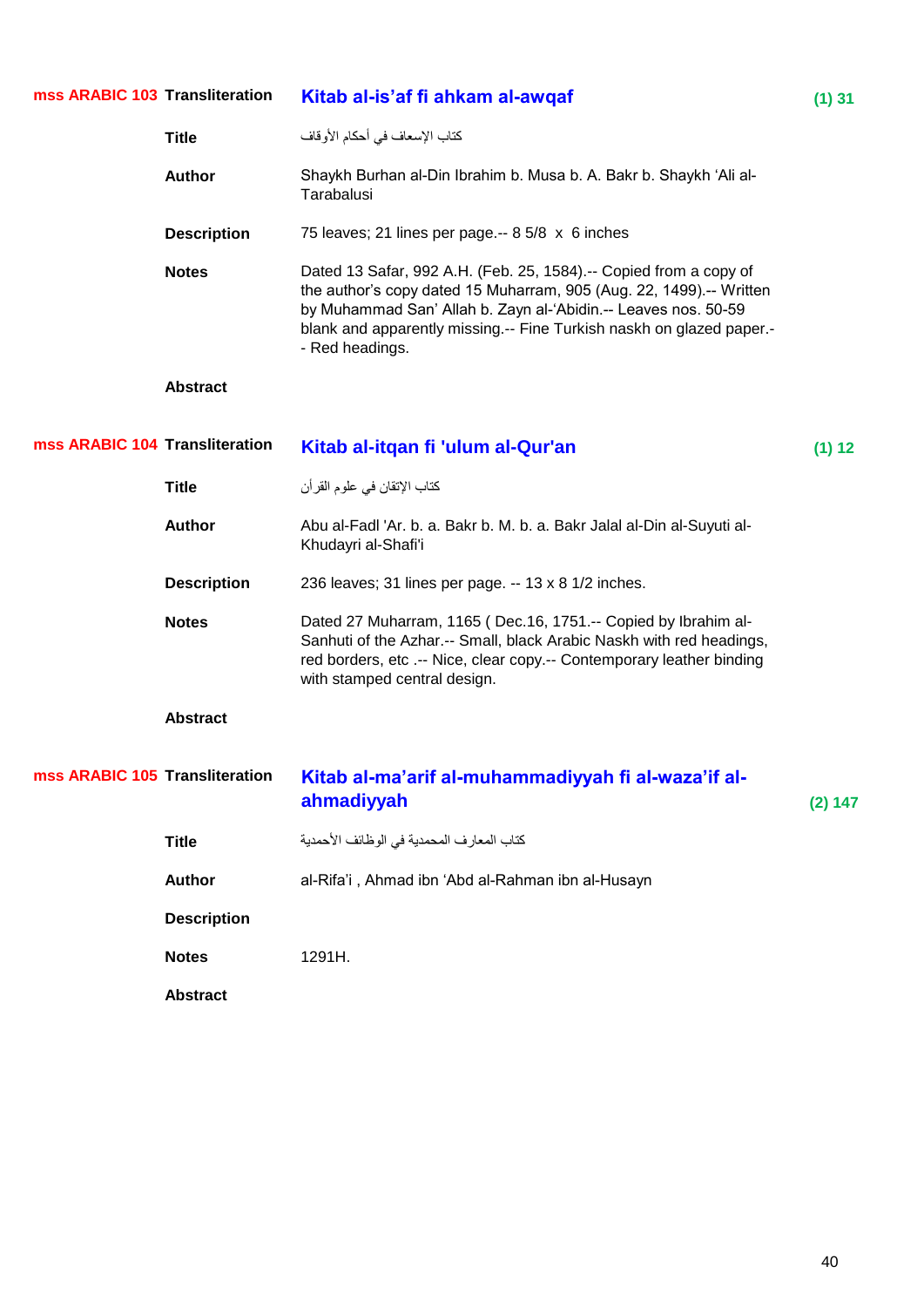| mss ARABIC 103 Transliteration |                    | Kitab al-is'af fi ahkam al-awqaf                                                                                                                                                                                                                                                                      | $(1)$ 31 |
|--------------------------------|--------------------|-------------------------------------------------------------------------------------------------------------------------------------------------------------------------------------------------------------------------------------------------------------------------------------------------------|----------|
|                                | <b>Title</b>       | كتاب الإسعاف في أحكام الأوقاف                                                                                                                                                                                                                                                                         |          |
|                                | <b>Author</b>      | Shaykh Burhan al-Din Ibrahim b. Musa b. A. Bakr b. Shaykh 'Ali al-<br>Tarabalusi                                                                                                                                                                                                                      |          |
|                                | <b>Description</b> | 75 leaves; 21 lines per page.-- 8 5/8 x 6 inches                                                                                                                                                                                                                                                      |          |
|                                | <b>Notes</b>       | Dated 13 Safar, 992 A.H. (Feb. 25, 1584).-- Copied from a copy of<br>the author's copy dated 15 Muharram, 905 (Aug. 22, 1499).-- Written<br>by Muhammad San' Allah b. Zayn al-'Abidin.-- Leaves nos. 50-59<br>blank and apparently missing.-- Fine Turkish naskh on glazed paper.-<br>- Red headings. |          |
|                                | <b>Abstract</b>    |                                                                                                                                                                                                                                                                                                       |          |
| mss ARABIC 104 Transliteration |                    | Kitab al-itqan fi 'ulum al-Qur'an                                                                                                                                                                                                                                                                     | (1) 12   |
|                                | <b>Title</b>       | كتاب الإتقان في علوم القر أن                                                                                                                                                                                                                                                                          |          |
|                                | <b>Author</b>      | Abu al-Fadl 'Ar. b. a. Bakr b. M. b. a. Bakr Jalal al-Din al-Suyuti al-<br>Khudayri al-Shafi'i                                                                                                                                                                                                        |          |
|                                | <b>Description</b> | 236 leaves; 31 lines per page. -- 13 x 8 1/2 inches.                                                                                                                                                                                                                                                  |          |
|                                | <b>Notes</b>       | Dated 27 Muharram, 1165 (Dec.16, 1751.-- Copied by Ibrahim al-<br>Sanhuti of the Azhar.-- Small, black Arabic Naskh with red headings,<br>red borders, etc .-- Nice, clear copy.-- Contemporary leather binding<br>with stamped central design.                                                       |          |
|                                | <b>Abstract</b>    |                                                                                                                                                                                                                                                                                                       |          |
| mss ARABIC 105 Transliteration |                    | Kitab al-ma'arif al-muhammadiyyah fi al-waza'if al-<br>ahmadiyyah                                                                                                                                                                                                                                     | (2) 147  |
|                                | <b>Title</b>       | كتاب المعار فالمحمدية في الوظائف الأحمدية                                                                                                                                                                                                                                                             |          |
|                                | <b>Author</b>      | al-Rifa'i, Ahmad ibn 'Abd al-Rahman ibn al-Husayn                                                                                                                                                                                                                                                     |          |
|                                | <b>Description</b> |                                                                                                                                                                                                                                                                                                       |          |
|                                | <b>Notes</b>       | 1291H.                                                                                                                                                                                                                                                                                                |          |
|                                | <b>Abstract</b>    |                                                                                                                                                                                                                                                                                                       |          |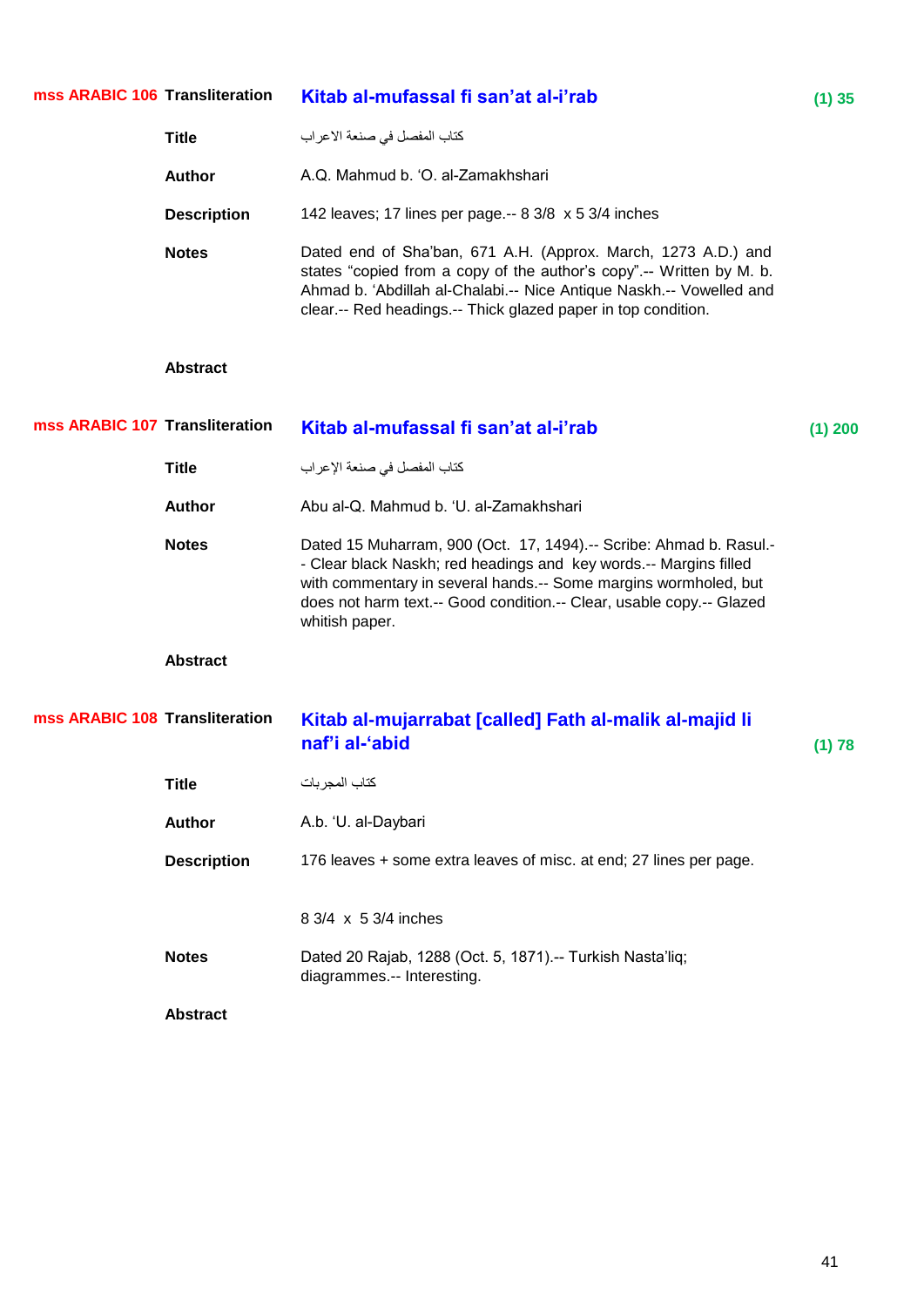| mss ARABIC 106 Transliteration |                    | Kitab al-mufassal fi san'at al-i'rab                                                                                                                                                                                                                                                                 | (1) 35    |
|--------------------------------|--------------------|------------------------------------------------------------------------------------------------------------------------------------------------------------------------------------------------------------------------------------------------------------------------------------------------------|-----------|
|                                | <b>Title</b>       | كتاب المفصل في صنعة الاعر اب                                                                                                                                                                                                                                                                         |           |
|                                | <b>Author</b>      | A.Q. Mahmud b. 'O. al-Zamakhshari                                                                                                                                                                                                                                                                    |           |
|                                | <b>Description</b> | 142 leaves; 17 lines per page.-- 8 3/8 x 5 3/4 inches                                                                                                                                                                                                                                                |           |
|                                | <b>Notes</b>       | Dated end of Sha'ban, 671 A.H. (Approx. March, 1273 A.D.) and<br>states "copied from a copy of the author's copy".-- Written by M. b.<br>Ahmad b. 'Abdillah al-Chalabi.-- Nice Antique Naskh.-- Vowelled and<br>clear.-- Red headings.-- Thick glazed paper in top condition.                        |           |
|                                | <b>Abstract</b>    |                                                                                                                                                                                                                                                                                                      |           |
| mss ARABIC 107 Transliteration |                    | Kitab al-mufassal fi san'at al-i'rab                                                                                                                                                                                                                                                                 | $(1)$ 200 |
|                                | <b>Title</b>       | كتاب المفصل في صنعة الإعراب                                                                                                                                                                                                                                                                          |           |
|                                | <b>Author</b>      | Abu al-Q. Mahmud b. 'U. al-Zamakhshari                                                                                                                                                                                                                                                               |           |
|                                | <b>Notes</b>       | Dated 15 Muharram, 900 (Oct. 17, 1494).-- Scribe: Ahmad b. Rasul.-<br>- Clear black Naskh; red headings and key words.-- Margins filled<br>with commentary in several hands.-- Some margins wormholed, but<br>does not harm text.-- Good condition.-- Clear, usable copy.-- Glazed<br>whitish paper. |           |
|                                | <b>Abstract</b>    |                                                                                                                                                                                                                                                                                                      |           |
| mss ARABIC 108 Transliteration |                    | Kitab al-mujarrabat [called] Fath al-malik al-majid li<br>naf'i al-'abid                                                                                                                                                                                                                             | (1) 78    |
|                                | <b>Title</b>       | كتاب المجربات                                                                                                                                                                                                                                                                                        |           |
|                                | <b>Author</b>      | A.b. 'U. al-Daybari                                                                                                                                                                                                                                                                                  |           |
|                                | <b>Description</b> | 176 leaves + some extra leaves of misc. at end; 27 lines per page.                                                                                                                                                                                                                                   |           |
|                                |                    | 8 3/4 x 5 3/4 inches                                                                                                                                                                                                                                                                                 |           |
|                                | <b>Notes</b>       | Dated 20 Rajab, 1288 (Oct. 5, 1871).-- Turkish Nasta'liq;<br>diagrammes.-- Interesting.                                                                                                                                                                                                              |           |
|                                | <b>Abstract</b>    |                                                                                                                                                                                                                                                                                                      |           |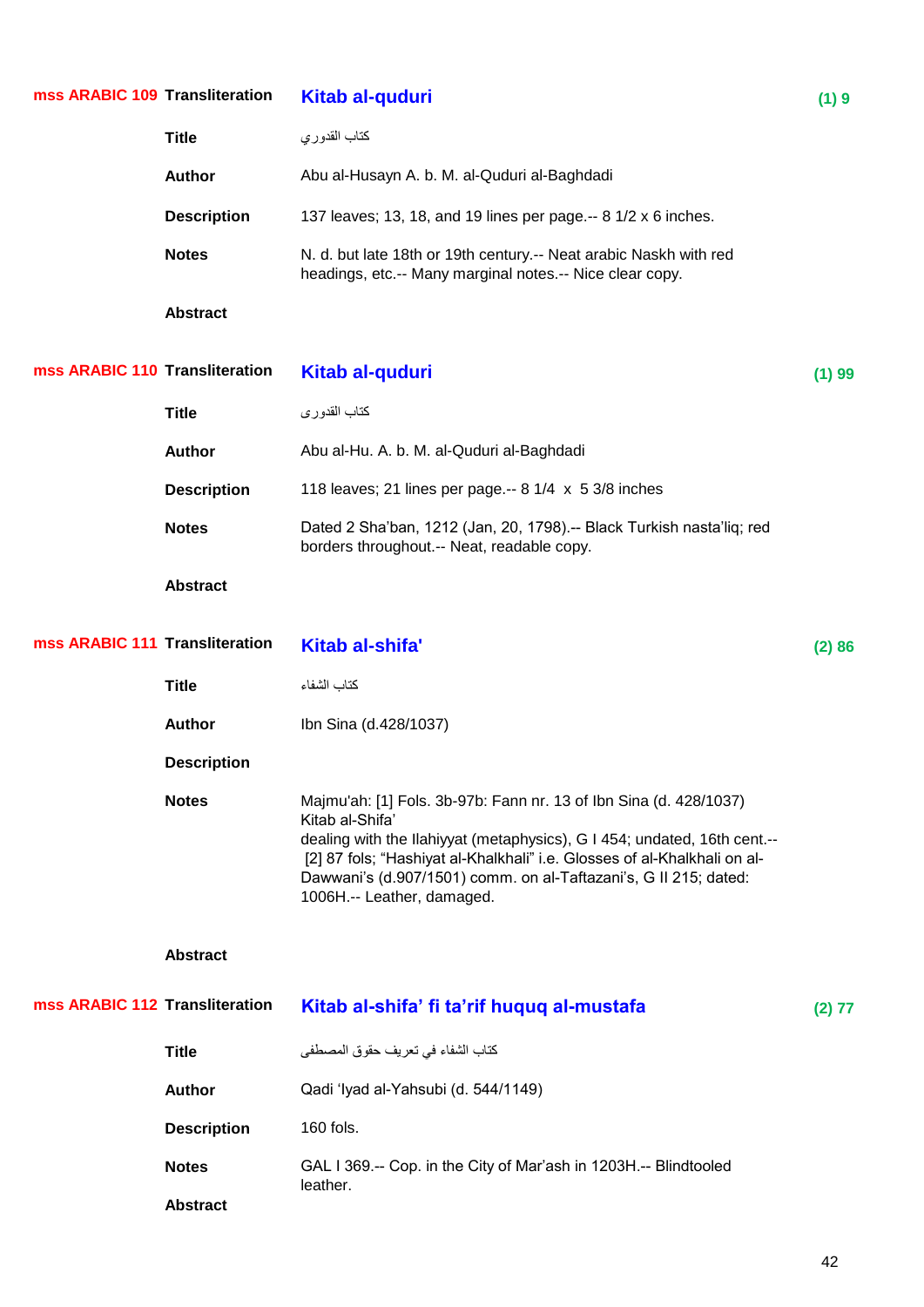| mss ARABIC 109 Transliteration |                                 | Kitab al-quduri                                                                                                                                                                                                                                                                                                                                | (1)9   |
|--------------------------------|---------------------------------|------------------------------------------------------------------------------------------------------------------------------------------------------------------------------------------------------------------------------------------------------------------------------------------------------------------------------------------------|--------|
|                                | <b>Title</b>                    | كتاب القدوري                                                                                                                                                                                                                                                                                                                                   |        |
|                                | <b>Author</b>                   | Abu al-Husayn A. b. M. al-Quduri al-Baghdadi                                                                                                                                                                                                                                                                                                   |        |
|                                | <b>Description</b>              | 137 leaves; 13, 18, and 19 lines per page -- 8 1/2 x 6 inches.                                                                                                                                                                                                                                                                                 |        |
|                                | <b>Notes</b>                    | N. d. but late 18th or 19th century.-- Neat arabic Naskh with red<br>headings, etc.-- Many marginal notes.-- Nice clear copy.                                                                                                                                                                                                                  |        |
|                                | <b>Abstract</b>                 |                                                                                                                                                                                                                                                                                                                                                |        |
| mss ARABIC 110 Transliteration |                                 | Kitab al-quduri                                                                                                                                                                                                                                                                                                                                | (1) 99 |
|                                | <b>Title</b>                    | كتاب القدوري                                                                                                                                                                                                                                                                                                                                   |        |
|                                | <b>Author</b>                   | Abu al-Hu. A. b. M. al-Quduri al-Baghdadi                                                                                                                                                                                                                                                                                                      |        |
|                                | <b>Description</b>              | 118 leaves; 21 lines per page.-- $8 \frac{1}{4} \times 5 \frac{3}{8}$ inches                                                                                                                                                                                                                                                                   |        |
|                                | <b>Notes</b>                    | Dated 2 Sha'ban, 1212 (Jan, 20, 1798).-- Black Turkish nasta'liq; red<br>borders throughout.-- Neat, readable copy.                                                                                                                                                                                                                            |        |
|                                | <b>Abstract</b>                 |                                                                                                                                                                                                                                                                                                                                                |        |
| mss ARABIC 111 Transliteration |                                 | Kitab al-shifa'                                                                                                                                                                                                                                                                                                                                | (2)86  |
|                                | <b>Title</b>                    | كتاب الشفاء                                                                                                                                                                                                                                                                                                                                    |        |
|                                | <b>Author</b>                   | Ibn Sina (d.428/1037)                                                                                                                                                                                                                                                                                                                          |        |
|                                | <b>Description</b>              |                                                                                                                                                                                                                                                                                                                                                |        |
|                                | <b>Notes</b>                    | Majmu'ah: [1] Fols. 3b-97b: Fann nr. 13 of Ibn Sina (d. 428/1037)<br>Kitab al-Shifa'<br>dealing with the Ilahiyyat (metaphysics), G I 454; undated, 16th cent.--<br>[2] 87 fols; "Hashiyat al-Khalkhali" i.e. Glosses of al-Khalkhali on al-<br>Dawwani's (d.907/1501) comm. on al-Taftazani's, G II 215; dated:<br>1006H.-- Leather, damaged. |        |
|                                | <b>Abstract</b>                 |                                                                                                                                                                                                                                                                                                                                                |        |
| mss ARABIC 112 Transliteration |                                 | Kitab al-shifa' fi ta'rif huquq al-mustafa                                                                                                                                                                                                                                                                                                     | (2) 77 |
|                                | <b>Title</b>                    | كتاب الشفاء في تعريف حقوق المصطفى                                                                                                                                                                                                                                                                                                              |        |
|                                | <b>Author</b>                   | Qadi 'Iyad al-Yahsubi (d. 544/1149)                                                                                                                                                                                                                                                                                                            |        |
|                                | <b>Description</b>              | 160 fols.                                                                                                                                                                                                                                                                                                                                      |        |
|                                | <b>Notes</b><br><b>Abstract</b> | GAL I 369.-- Cop. in the City of Mar'ash in 1203H.-- Blindtooled<br>leather.                                                                                                                                                                                                                                                                   |        |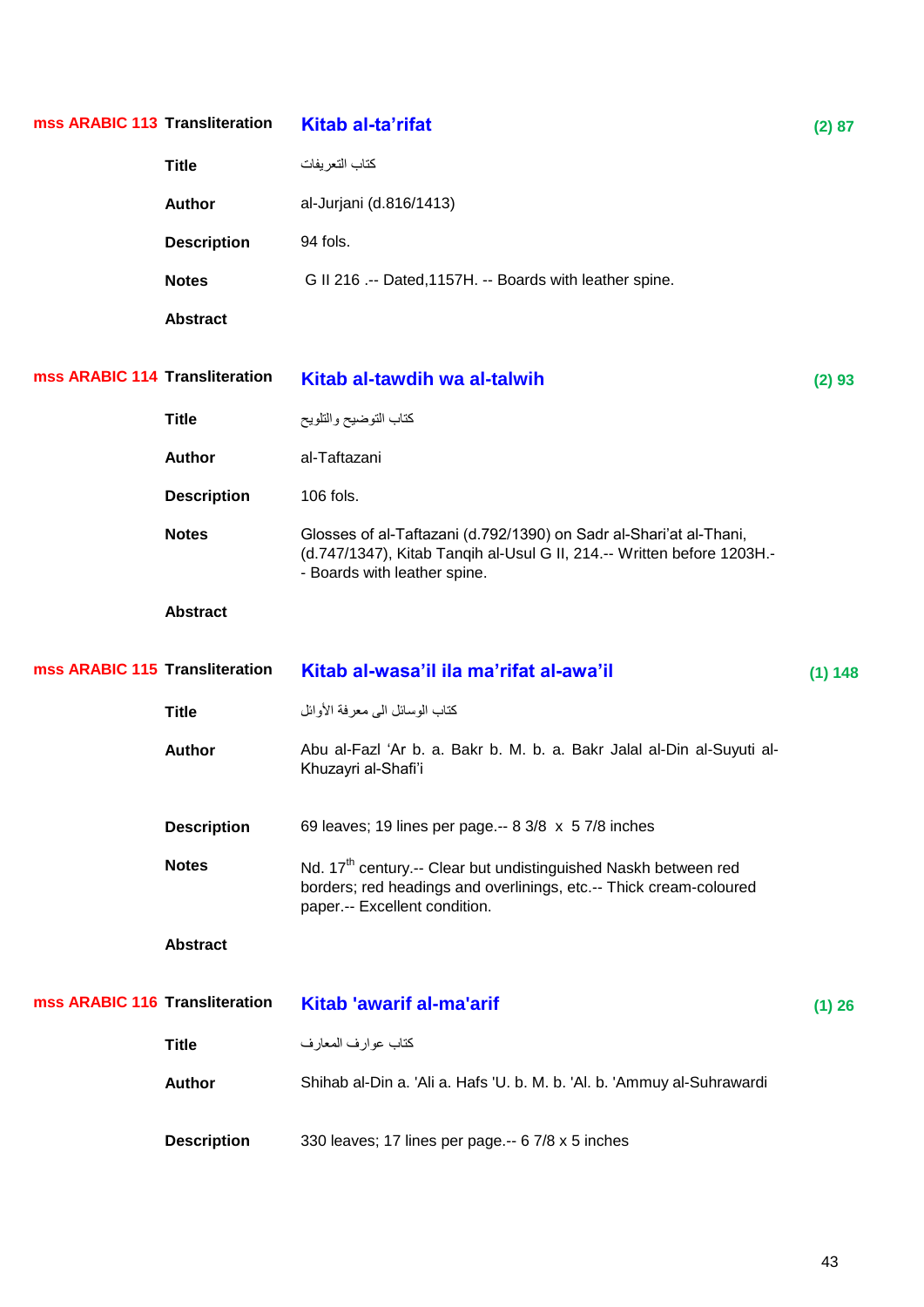| mss ARABIC 113 Transliteration |                    | Kitab al-ta'rifat                                                                                                                                                                  | (2) 87  |
|--------------------------------|--------------------|------------------------------------------------------------------------------------------------------------------------------------------------------------------------------------|---------|
|                                | <b>Title</b>       | كتاب التعريفات                                                                                                                                                                     |         |
|                                | <b>Author</b>      | al-Jurjani (d.816/1413)                                                                                                                                                            |         |
|                                | <b>Description</b> | 94 fols.                                                                                                                                                                           |         |
|                                | <b>Notes</b>       | G II 216 .-- Dated, 1157H. -- Boards with leather spine.                                                                                                                           |         |
|                                | <b>Abstract</b>    |                                                                                                                                                                                    |         |
| mss ARABIC 114 Transliteration |                    | Kitab al-tawdih wa al-talwih                                                                                                                                                       | (2) 93  |
|                                | <b>Title</b>       | كتاب التوضيح والتلويح                                                                                                                                                              |         |
|                                | <b>Author</b>      | al-Taftazani                                                                                                                                                                       |         |
|                                | <b>Description</b> | 106 fols.                                                                                                                                                                          |         |
|                                | <b>Notes</b>       | Glosses of al-Taftazani (d.792/1390) on Sadr al-Shari'at al-Thani,<br>(d.747/1347), Kitab Tanqih al-Usul G II, 214.-- Written before 1203H.-<br>- Boards with leather spine.       |         |
|                                | <b>Abstract</b>    |                                                                                                                                                                                    |         |
| mss ARABIC 115 Transliteration |                    | Kitab al-wasa'il ila ma'rifat al-awa'il                                                                                                                                            | (1) 148 |
|                                | <b>Title</b>       | كتاب الوسائل الى معرفة الأوائل                                                                                                                                                     |         |
|                                | <b>Author</b>      | Abu al-Fazl 'Ar b. a. Bakr b. M. b. a. Bakr Jalal al-Din al-Suyuti al-<br>Khuzayri al-Shafi'i                                                                                      |         |
|                                | <b>Description</b> | 69 leaves; 19 lines per page.-- 8 3/8 x 5 7/8 inches                                                                                                                               |         |
|                                | <b>Notes</b>       | Nd. 17 <sup>th</sup> century.-- Clear but undistinguished Naskh between red<br>borders; red headings and overlinings, etc.-- Thick cream-coloured<br>paper.-- Excellent condition. |         |
|                                | <b>Abstract</b>    |                                                                                                                                                                                    |         |
| mss ARABIC 116 Transliteration |                    | <b>Kitab 'awarif al-ma'arif</b>                                                                                                                                                    | (1) 26  |
|                                | <b>Title</b>       | كتاب عوارف المعارف                                                                                                                                                                 |         |
|                                | <b>Author</b>      | Shihab al-Din a. 'Ali a. Hafs 'U. b. M. b. 'Al. b. 'Ammuy al-Suhrawardi                                                                                                            |         |
|                                | <b>Description</b> | 330 leaves; 17 lines per page.-- 6 7/8 x 5 inches                                                                                                                                  |         |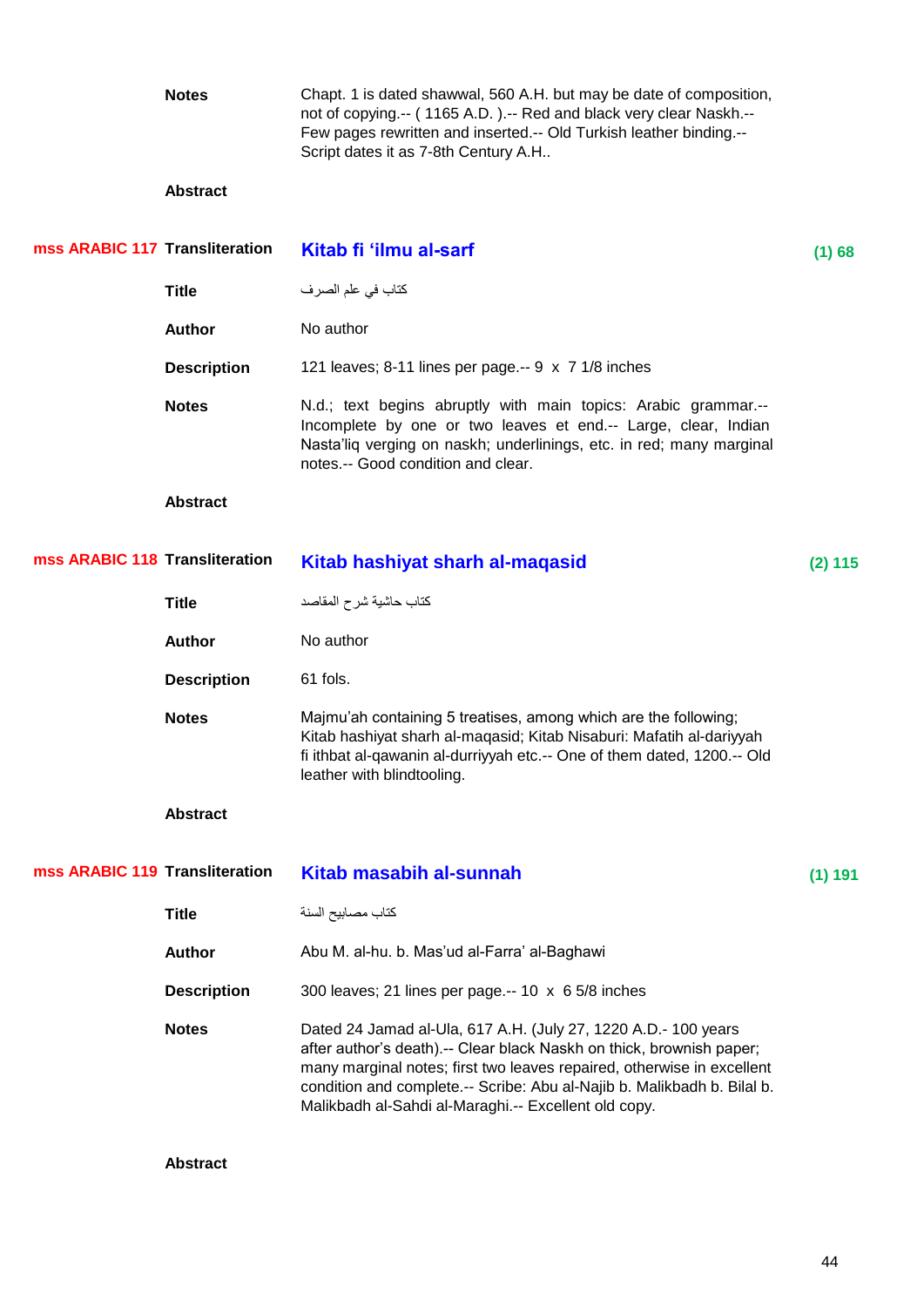|                                | <b>Notes</b>       | Chapt. 1 is dated shawwal, 560 A.H. but may be date of composition,<br>not of copying.-- (1165 A.D.).-- Red and black very clear Naskh.--<br>Few pages rewritten and inserted.-- Old Turkish leather binding.--<br>Script dates it as 7-8th Century A.H                                                                                             |           |
|--------------------------------|--------------------|-----------------------------------------------------------------------------------------------------------------------------------------------------------------------------------------------------------------------------------------------------------------------------------------------------------------------------------------------------|-----------|
|                                | <b>Abstract</b>    |                                                                                                                                                                                                                                                                                                                                                     |           |
| mss ARABIC 117 Transliteration |                    | Kitab fi 'ilmu al-sarf                                                                                                                                                                                                                                                                                                                              | (1) 68    |
|                                | <b>Title</b>       | كتاب في علم الصرف                                                                                                                                                                                                                                                                                                                                   |           |
|                                | <b>Author</b>      | No author                                                                                                                                                                                                                                                                                                                                           |           |
|                                | <b>Description</b> | 121 leaves; 8-11 lines per page.-- 9 x 7 1/8 inches                                                                                                                                                                                                                                                                                                 |           |
|                                | <b>Notes</b>       | N.d.; text begins abruptly with main topics: Arabic grammar.--<br>Incomplete by one or two leaves et end.-- Large, clear, Indian<br>Nasta'liq verging on naskh; underlinings, etc. in red; many marginal<br>notes.-- Good condition and clear.                                                                                                      |           |
|                                | <b>Abstract</b>    |                                                                                                                                                                                                                                                                                                                                                     |           |
| mss ARABIC 118 Transliteration |                    | Kitab hashiyat sharh al-maqasid                                                                                                                                                                                                                                                                                                                     | $(2)$ 115 |
|                                | <b>Title</b>       | كتاب حاشية شرح المقاصد                                                                                                                                                                                                                                                                                                                              |           |
|                                | <b>Author</b>      | No author                                                                                                                                                                                                                                                                                                                                           |           |
|                                | <b>Description</b> | 61 fols.                                                                                                                                                                                                                                                                                                                                            |           |
|                                | <b>Notes</b>       | Majmu'ah containing 5 treatises, among which are the following;<br>Kitab hashiyat sharh al-maqasid; Kitab Nisaburi: Mafatih al-dariyyah<br>fi ithbat al-qawanin al-durriyyah etc.-- One of them dated, 1200.-- Old<br>leather with blindtooling.                                                                                                    |           |
|                                | <b>Abstract</b>    |                                                                                                                                                                                                                                                                                                                                                     |           |
| mss ARABIC 119 Transliteration |                    | <b>Kitab masabih al-sunnah</b>                                                                                                                                                                                                                                                                                                                      | (1) 191   |
|                                | <b>Title</b>       | كتاب مصـابيح السنة                                                                                                                                                                                                                                                                                                                                  |           |
|                                | <b>Author</b>      | Abu M. al-hu. b. Mas'ud al-Farra' al-Baghawi                                                                                                                                                                                                                                                                                                        |           |
|                                | <b>Description</b> | 300 leaves; 21 lines per page.-- 10 x 6 5/8 inches                                                                                                                                                                                                                                                                                                  |           |
|                                | <b>Notes</b>       | Dated 24 Jamad al-Ula, 617 A.H. (July 27, 1220 A.D.- 100 years<br>after author's death).-- Clear black Naskh on thick, brownish paper;<br>many marginal notes; first two leaves repaired, otherwise in excellent<br>condition and complete.-- Scribe: Abu al-Najib b. Malikbadh b. Bilal b.<br>Malikbadh al-Sahdi al-Maraghi.-- Excellent old copy. |           |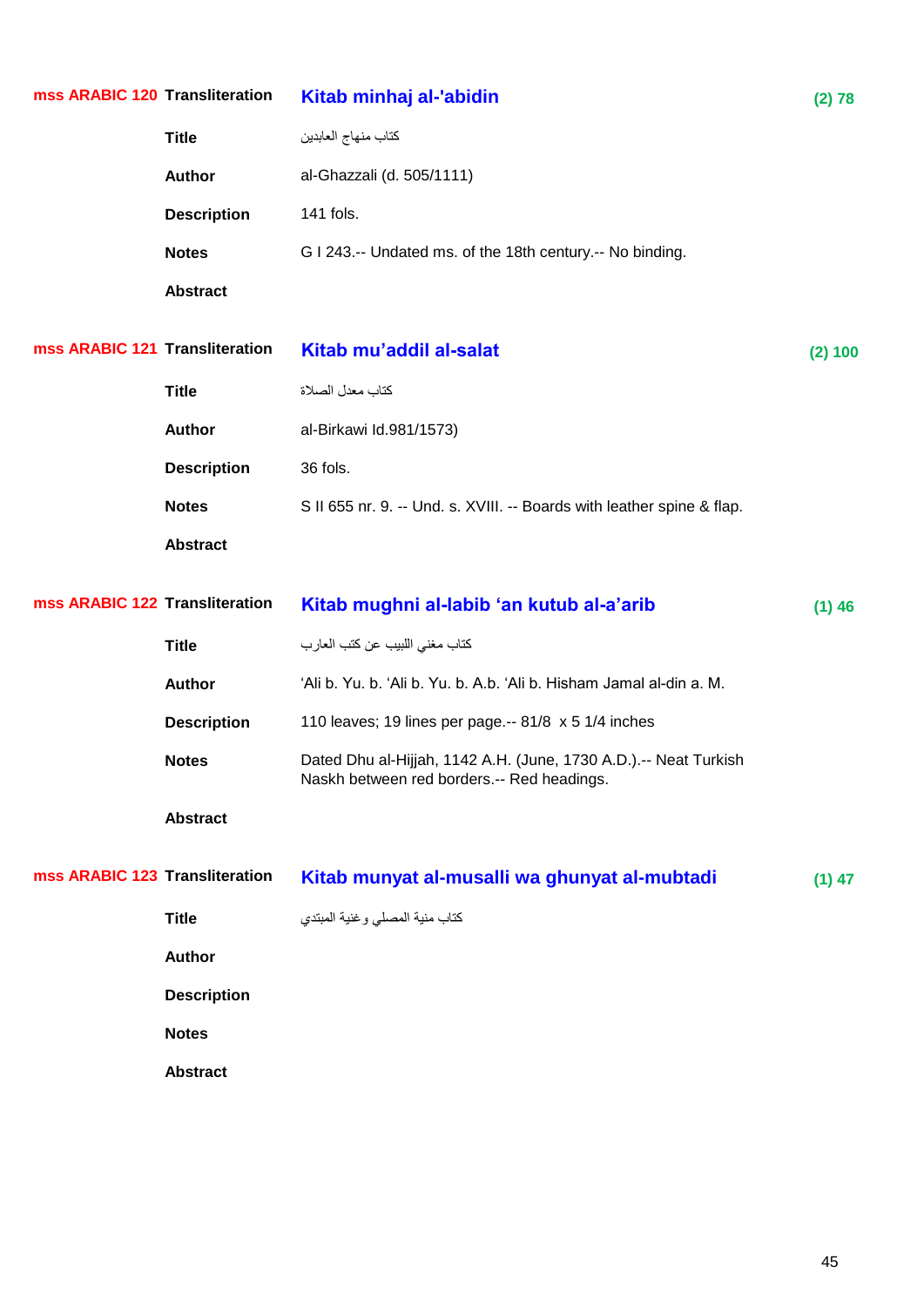| mss ARABIC 120 Transliteration |                    | Kitab minhaj al-'abidin                                                                                        | (2) 78   |
|--------------------------------|--------------------|----------------------------------------------------------------------------------------------------------------|----------|
|                                | <b>Title</b>       | كتاب منهاج العابدين                                                                                            |          |
|                                | <b>Author</b>      | al-Ghazzali (d. 505/1111)                                                                                      |          |
|                                | <b>Description</b> | 141 fols.                                                                                                      |          |
|                                | <b>Notes</b>       | G I 243.-- Undated ms. of the 18th century.-- No binding.                                                      |          |
|                                | <b>Abstract</b>    |                                                                                                                |          |
| mss ARABIC 121 Transliteration |                    | Kitab mu'addil al-salat                                                                                        | (2) 100  |
|                                | <b>Title</b>       | كتاب معدل الصلاة                                                                                               |          |
|                                | <b>Author</b>      | al-Birkawi Id.981/1573)                                                                                        |          |
|                                | <b>Description</b> | 36 fols.                                                                                                       |          |
|                                | <b>Notes</b>       | S II 655 nr. 9. -- Und. s. XVIII. -- Boards with leather spine & flap.                                         |          |
|                                | <b>Abstract</b>    |                                                                                                                |          |
|                                |                    |                                                                                                                |          |
| mss ARABIC 122 Transliteration |                    | Kitab mughni al-labib 'an kutub al-a'arib                                                                      | $(1)$ 46 |
|                                | <b>Title</b>       | كتاب مغنى اللبيب عن كتب العارب                                                                                 |          |
|                                | <b>Author</b>      | 'Ali b. Yu. b. 'Ali b. Yu. b. A.b. 'Ali b. Hisham Jamal al-din a. M.                                           |          |
|                                | <b>Description</b> | 110 leaves; 19 lines per page.-- 81/8 x 5 1/4 inches                                                           |          |
|                                | <b>Notes</b>       | Dated Dhu al-Hijjah, 1142 A.H. (June, 1730 A.D.).-- Neat Turkish<br>Naskh between red borders.-- Red headings. |          |
|                                | <b>Abstract</b>    |                                                                                                                |          |
| mss ARABIC 123 Transliteration |                    | Kitab munyat al-musalli wa ghunyat al-mubtadi                                                                  | $(1)$ 47 |
|                                | <b>Title</b>       | كتاب منية المصلى وغنية المبتدي                                                                                 |          |
|                                | <b>Author</b>      |                                                                                                                |          |
|                                | <b>Description</b> |                                                                                                                |          |
|                                | <b>Notes</b>       |                                                                                                                |          |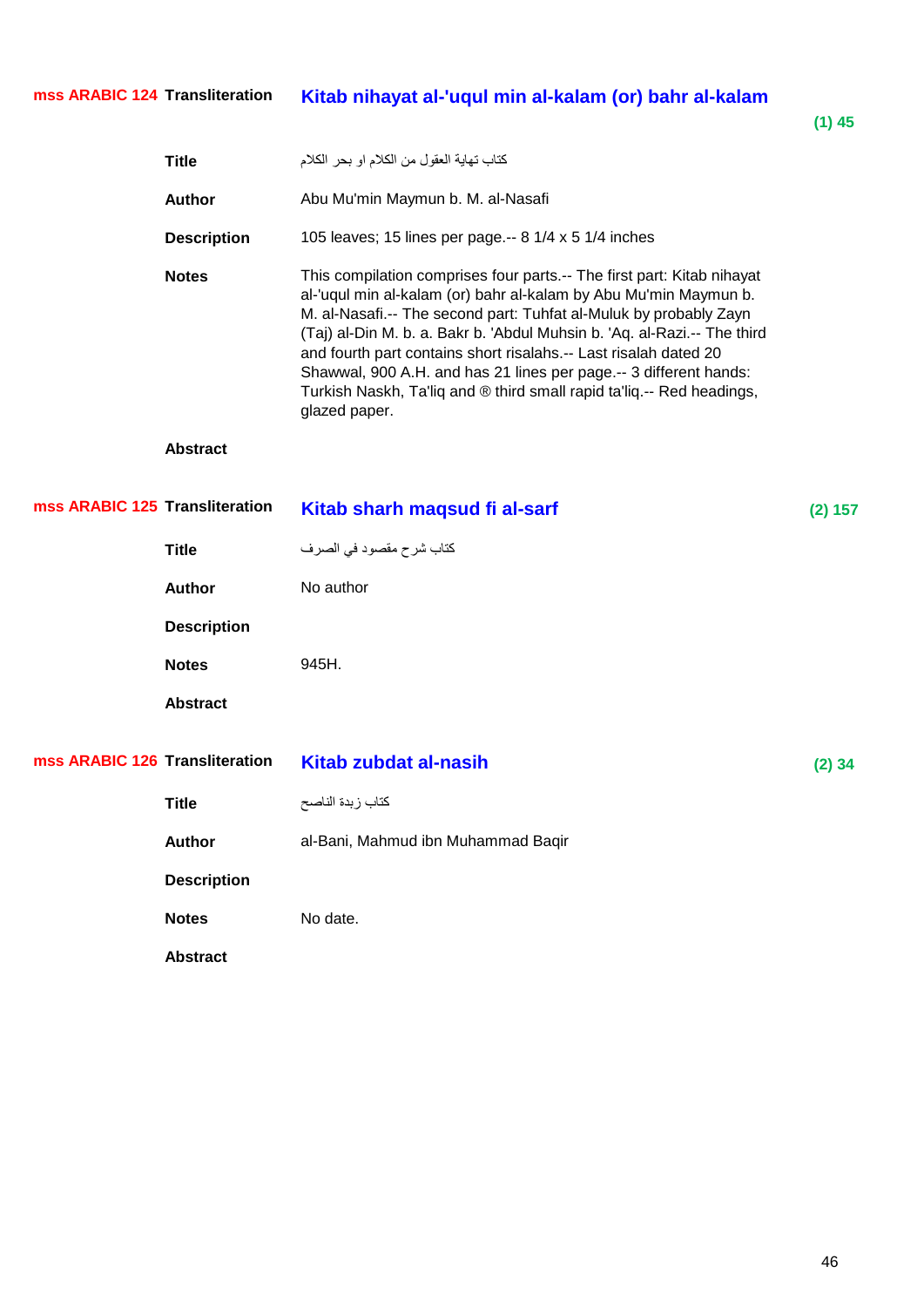**(1) 45**

|                                | <b>Title</b>       | كتاب تهاية العقول من الكلام او بحر الكلام                                                                                                                                                                                                                                                                                                                                                                                                                                                                                      |          |
|--------------------------------|--------------------|--------------------------------------------------------------------------------------------------------------------------------------------------------------------------------------------------------------------------------------------------------------------------------------------------------------------------------------------------------------------------------------------------------------------------------------------------------------------------------------------------------------------------------|----------|
|                                | <b>Author</b>      | Abu Mu'min Maymun b. M. al-Nasafi                                                                                                                                                                                                                                                                                                                                                                                                                                                                                              |          |
|                                | <b>Description</b> | 105 leaves; 15 lines per page.-- 8 1/4 x 5 1/4 inches                                                                                                                                                                                                                                                                                                                                                                                                                                                                          |          |
|                                | <b>Notes</b>       | This compilation comprises four parts.-- The first part: Kitab nihayat<br>al-'uqul min al-kalam (or) bahr al-kalam by Abu Mu'min Maymun b.<br>M. al-Nasafi.-- The second part: Tuhfat al-Muluk by probably Zayn<br>(Taj) al-Din M. b. a. Bakr b. 'Abdul Muhsin b. 'Aq. al-Razi.-- The third<br>and fourth part contains short risalahs.-- Last risalah dated 20<br>Shawwal, 900 A.H. and has 21 lines per page.-- 3 different hands:<br>Turkish Naskh, Ta'liq and ® third small rapid ta'liq.-- Red headings,<br>glazed paper. |          |
|                                | <b>Abstract</b>    |                                                                                                                                                                                                                                                                                                                                                                                                                                                                                                                                |          |
| mss ARABIC 125 Transliteration |                    | Kitab sharh maqsud fi al-sarf                                                                                                                                                                                                                                                                                                                                                                                                                                                                                                  | (2) 157  |
|                                | <b>Title</b>       | كتاب شرح مقصود في الصرف                                                                                                                                                                                                                                                                                                                                                                                                                                                                                                        |          |
|                                | <b>Author</b>      | No author                                                                                                                                                                                                                                                                                                                                                                                                                                                                                                                      |          |
|                                | <b>Description</b> |                                                                                                                                                                                                                                                                                                                                                                                                                                                                                                                                |          |
|                                | <b>Notes</b>       | 945H.                                                                                                                                                                                                                                                                                                                                                                                                                                                                                                                          |          |
|                                | <b>Abstract</b>    |                                                                                                                                                                                                                                                                                                                                                                                                                                                                                                                                |          |
| mss ARABIC 126 Transliteration |                    | <b>Kitab zubdat al-nasih</b>                                                                                                                                                                                                                                                                                                                                                                                                                                                                                                   | $(2)$ 34 |
|                                | <b>Title</b>       | كتاب زبدة الناصح                                                                                                                                                                                                                                                                                                                                                                                                                                                                                                               |          |
|                                | Author             | al-Bani, Mahmud ibn Muhammad Baqir                                                                                                                                                                                                                                                                                                                                                                                                                                                                                             |          |
|                                | <b>Description</b> |                                                                                                                                                                                                                                                                                                                                                                                                                                                                                                                                |          |
|                                | <b>Notes</b>       | No date.                                                                                                                                                                                                                                                                                                                                                                                                                                                                                                                       |          |
|                                | <b>Abstract</b>    |                                                                                                                                                                                                                                                                                                                                                                                                                                                                                                                                |          |
|                                |                    |                                                                                                                                                                                                                                                                                                                                                                                                                                                                                                                                |          |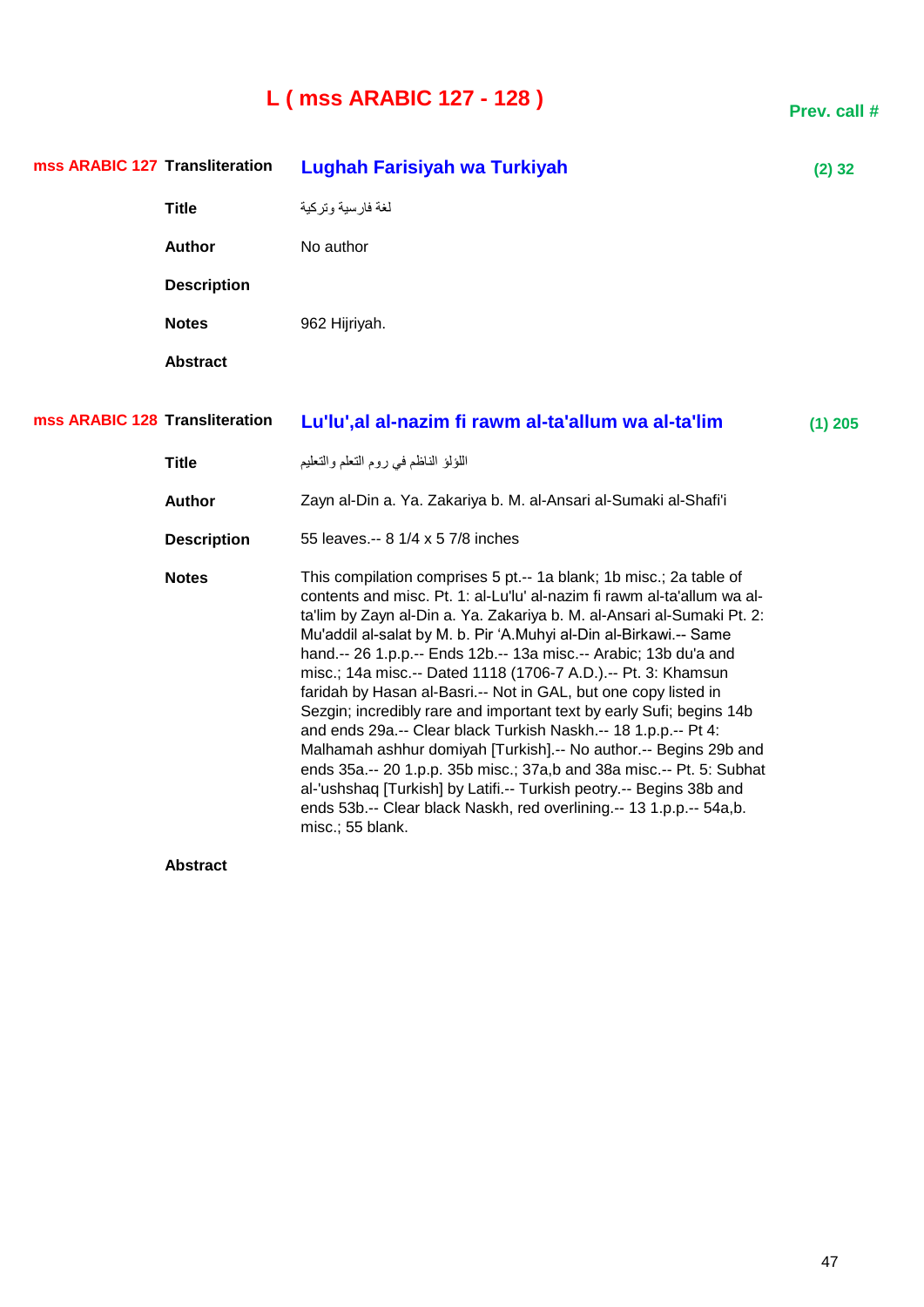# **L ( mss ARABIC 127 - 128 )**

**Prev. call #**

| mss ARABIC 127 Transliteration |                    | Lughah Farisiyah wa Turkiyah                                                                                                                                                                                                                                                                                                                                                                                                                                                                                                                                                                                                                                                                                                                                                                                                                                                                                                                                   | $(2)$ 32  |
|--------------------------------|--------------------|----------------------------------------------------------------------------------------------------------------------------------------------------------------------------------------------------------------------------------------------------------------------------------------------------------------------------------------------------------------------------------------------------------------------------------------------------------------------------------------------------------------------------------------------------------------------------------------------------------------------------------------------------------------------------------------------------------------------------------------------------------------------------------------------------------------------------------------------------------------------------------------------------------------------------------------------------------------|-----------|
|                                | <b>Title</b>       | لغة فارسية وتركية                                                                                                                                                                                                                                                                                                                                                                                                                                                                                                                                                                                                                                                                                                                                                                                                                                                                                                                                              |           |
|                                | Author             | No author                                                                                                                                                                                                                                                                                                                                                                                                                                                                                                                                                                                                                                                                                                                                                                                                                                                                                                                                                      |           |
|                                | <b>Description</b> |                                                                                                                                                                                                                                                                                                                                                                                                                                                                                                                                                                                                                                                                                                                                                                                                                                                                                                                                                                |           |
|                                | <b>Notes</b>       | 962 Hijriyah.                                                                                                                                                                                                                                                                                                                                                                                                                                                                                                                                                                                                                                                                                                                                                                                                                                                                                                                                                  |           |
|                                | <b>Abstract</b>    |                                                                                                                                                                                                                                                                                                                                                                                                                                                                                                                                                                                                                                                                                                                                                                                                                                                                                                                                                                |           |
| mss ARABIC 128 Transliteration |                    | Lu'lu', al al-nazim fi rawm al-ta'allum wa al-ta'lim                                                                                                                                                                                                                                                                                                                                                                                                                                                                                                                                                                                                                                                                                                                                                                                                                                                                                                           | $(1)$ 205 |
|                                | <b>Title</b>       | اللؤلؤ الناظم في روم التعلم والتعليم                                                                                                                                                                                                                                                                                                                                                                                                                                                                                                                                                                                                                                                                                                                                                                                                                                                                                                                           |           |
|                                | Author             | Zayn al-Din a. Ya. Zakariya b. M. al-Ansari al-Sumaki al-Shafi'i                                                                                                                                                                                                                                                                                                                                                                                                                                                                                                                                                                                                                                                                                                                                                                                                                                                                                               |           |
|                                | <b>Description</b> | 55 leaves.-- 8 1/4 x 5 7/8 inches                                                                                                                                                                                                                                                                                                                                                                                                                                                                                                                                                                                                                                                                                                                                                                                                                                                                                                                              |           |
|                                | <b>Notes</b>       | This compilation comprises 5 pt.-- 1a blank; 1b misc.; 2a table of<br>contents and misc. Pt. 1: al-Lu'lu' al-nazim fi rawm al-ta'allum wa al-<br>ta'lim by Zayn al-Din a. Ya. Zakariya b. M. al-Ansari al-Sumaki Pt. 2:<br>Mu'addil al-salat by M. b. Pir 'A.Muhyi al-Din al-Birkawi.-- Same<br>hand.-- 26 1.p.p.-- Ends 12b.-- 13a misc.-- Arabic; 13b du'a and<br>misc.; 14a misc.-- Dated 1118 (1706-7 A.D.).-- Pt. 3: Khamsun<br>faridah by Hasan al-Basri.-- Not in GAL, but one copy listed in<br>Sezgin; incredibly rare and important text by early Sufi; begins 14b<br>and ends 29a.-- Clear black Turkish Naskh.-- 18 1.p.p.-- Pt 4:<br>Malhamah ashhur domiyah [Turkish] .-- No author .-- Begins 29b and<br>ends 35a.-- 20 1.p.p. 35b misc.; 37a,b and 38a misc.-- Pt. 5: Subhat<br>al-'ushshaq [Turkish] by Latifi.-- Turkish peotry.-- Begins 38b and<br>ends 53b.-- Clear black Naskh, red overlining.-- 13 1.p.p.-- 54a,b.<br>misc.; 55 blank. |           |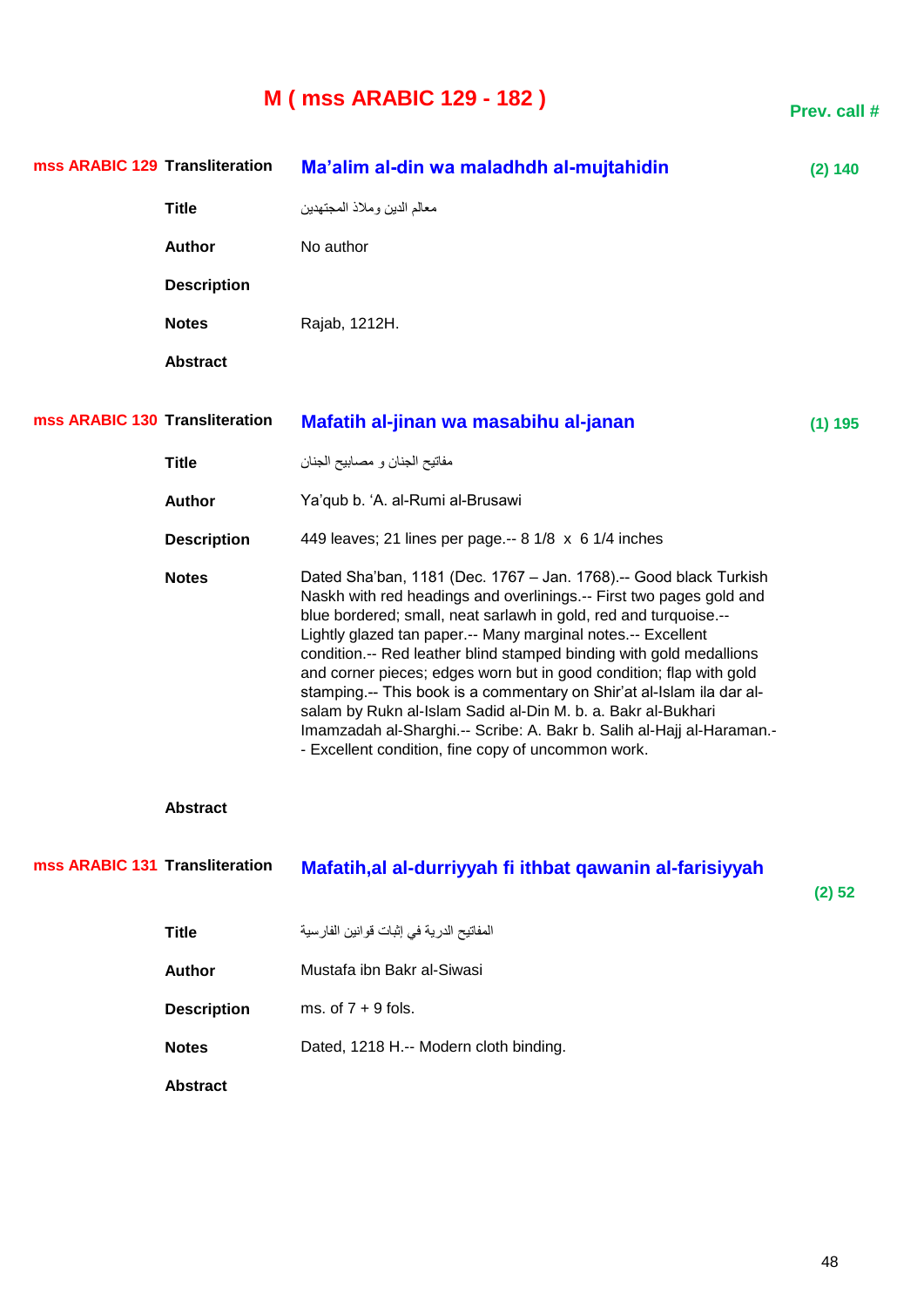# **M ( mss ARABIC 129 - 182 )**

| mss ARABIC 129 Transliteration |                    | Ma'alim al-din wa maladhdh al-mujtahidin                                                                                                                                                                                                                                                                                                                                                                                                                                                                                                                                                                                                                                                           | (2) 140 |
|--------------------------------|--------------------|----------------------------------------------------------------------------------------------------------------------------------------------------------------------------------------------------------------------------------------------------------------------------------------------------------------------------------------------------------------------------------------------------------------------------------------------------------------------------------------------------------------------------------------------------------------------------------------------------------------------------------------------------------------------------------------------------|---------|
|                                | <b>Title</b>       | معالم الدين وملاذ المجتهدين                                                                                                                                                                                                                                                                                                                                                                                                                                                                                                                                                                                                                                                                        |         |
|                                | <b>Author</b>      | No author                                                                                                                                                                                                                                                                                                                                                                                                                                                                                                                                                                                                                                                                                          |         |
|                                | <b>Description</b> |                                                                                                                                                                                                                                                                                                                                                                                                                                                                                                                                                                                                                                                                                                    |         |
|                                | <b>Notes</b>       | Rajab, 1212H.                                                                                                                                                                                                                                                                                                                                                                                                                                                                                                                                                                                                                                                                                      |         |
|                                | <b>Abstract</b>    |                                                                                                                                                                                                                                                                                                                                                                                                                                                                                                                                                                                                                                                                                                    |         |
| mss ARABIC 130 Transliteration |                    | Mafatih al-jinan wa masabihu al-janan                                                                                                                                                                                                                                                                                                                                                                                                                                                                                                                                                                                                                                                              | (1) 195 |
|                                | <b>Title</b>       | مفاتيح الجنان و مصابيح الجنان                                                                                                                                                                                                                                                                                                                                                                                                                                                                                                                                                                                                                                                                      |         |
|                                | Author             | Ya'qub b. 'A. al-Rumi al-Brusawi                                                                                                                                                                                                                                                                                                                                                                                                                                                                                                                                                                                                                                                                   |         |
|                                | <b>Description</b> | 449 leaves; 21 lines per page.-- 8 1/8 x 6 1/4 inches                                                                                                                                                                                                                                                                                                                                                                                                                                                                                                                                                                                                                                              |         |
|                                | <b>Notes</b>       | Dated Sha'ban, 1181 (Dec. 1767 - Jan. 1768).-- Good black Turkish<br>Naskh with red headings and overlinings.-- First two pages gold and<br>blue bordered; small, neat sarlawh in gold, red and turquoise.--<br>Lightly glazed tan paper.-- Many marginal notes.-- Excellent<br>condition.-- Red leather blind stamped binding with gold medallions<br>and corner pieces; edges worn but in good condition; flap with gold<br>stamping.-- This book is a commentary on Shir'at al-Islam ila dar al-<br>salam by Rukn al-Islam Sadid al-Din M. b. a. Bakr al-Bukhari<br>Imamzadah al-Sharghi.-- Scribe: A. Bakr b. Salih al-Hajj al-Haraman.-<br>- Excellent condition, fine copy of uncommon work. |         |

### **Abstract**

| mss ARABIC 131 Transliteration | Mafatih, al al-durriyyah fi ithbat qawanin al-farisiyyah |        |
|--------------------------------|----------------------------------------------------------|--------|
|                                |                                                          | (2) 52 |
| <b>Title</b>                   | المفاتيح الدرية في إثبات قوانين الفارسية                 |        |
| <b>Author</b>                  | Mustafa ibn Bakr al-Siwasi                               |        |
| <b>Description</b>             | ms. of $7 + 9$ fols.                                     |        |
| <b>Notes</b>                   | Dated, 1218 H.-- Modern cloth binding.                   |        |
| <b>Abstract</b>                |                                                          |        |

**Prev. call #**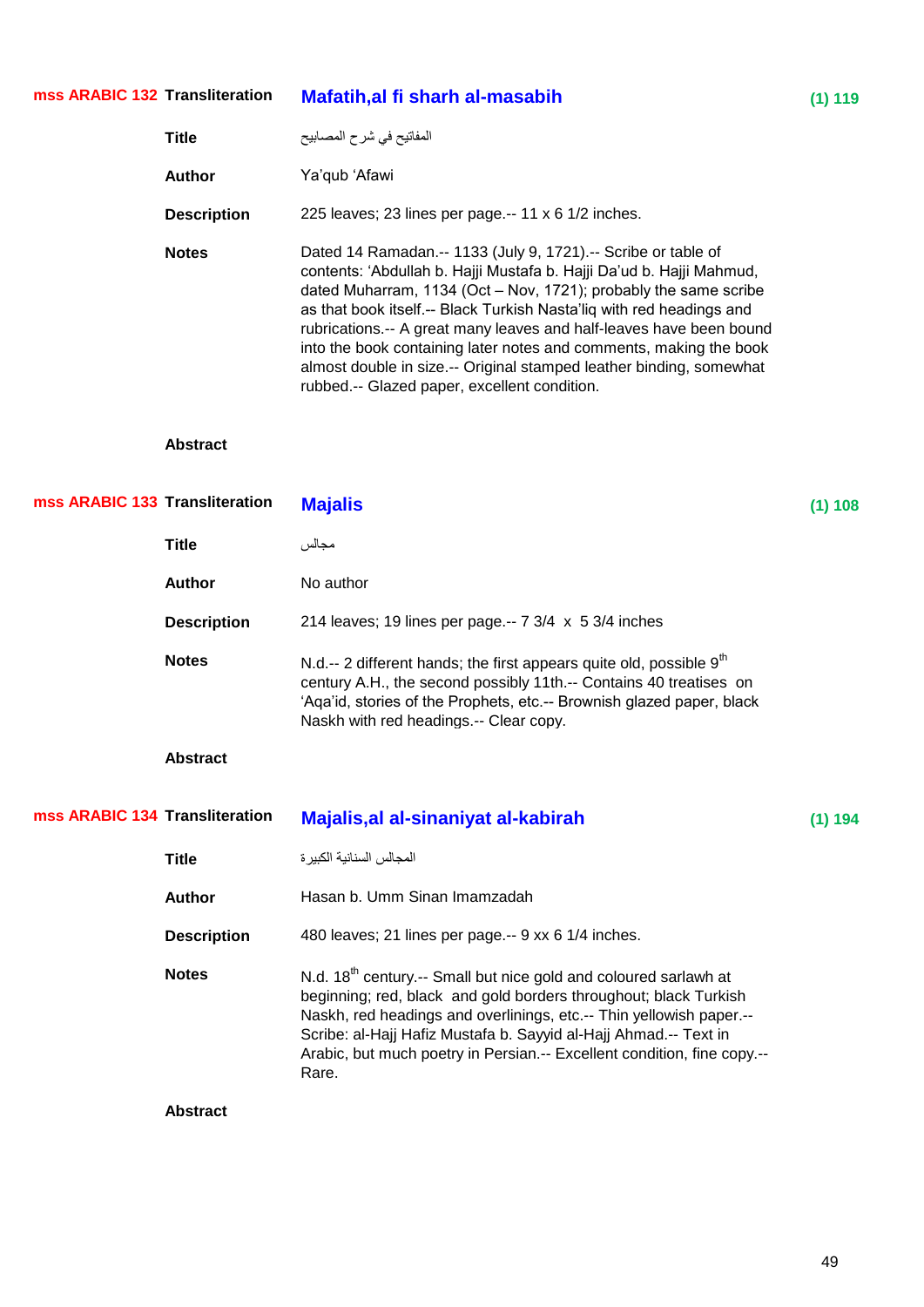#### **Mafatih,al fi sharh al-masabih (1)** 119 **mss ARABIC 132**

| Title              | المفاتيح في شرح المصابيح                                                                                                                                                                                                                                                                                                                                                                                                                                                                                                                              |
|--------------------|-------------------------------------------------------------------------------------------------------------------------------------------------------------------------------------------------------------------------------------------------------------------------------------------------------------------------------------------------------------------------------------------------------------------------------------------------------------------------------------------------------------------------------------------------------|
| Author             | Ya'qub 'Afawi                                                                                                                                                                                                                                                                                                                                                                                                                                                                                                                                         |
| <b>Description</b> | 225 leaves; 23 lines per page.-- 11 $\times$ 6 1/2 inches.                                                                                                                                                                                                                                                                                                                                                                                                                                                                                            |
| <b>Notes</b>       | Dated 14 Ramadan.-- 1133 (July 9, 1721).-- Scribe or table of<br>contents: 'Abdullah b. Hajji Mustafa b. Hajji Da'ud b. Hajji Mahmud,<br>dated Muharram, 1134 (Oct - Nov, 1721); probably the same scribe<br>as that book itself.-- Black Turkish Nasta'liq with red headings and<br>rubrications.-- A great many leaves and half-leaves have been bound<br>into the book containing later notes and comments, making the book<br>almost double in size.-- Original stamped leather binding, somewhat<br>rubbed.-- Glazed paper, excellent condition. |

| mss ARABIC 133 Transliteration |                    | <b>Majalis</b>                                                                                                                                                                                                                                                                                                                                                                  | (1) 108 |
|--------------------------------|--------------------|---------------------------------------------------------------------------------------------------------------------------------------------------------------------------------------------------------------------------------------------------------------------------------------------------------------------------------------------------------------------------------|---------|
|                                | <b>Title</b>       | مجالس                                                                                                                                                                                                                                                                                                                                                                           |         |
|                                | <b>Author</b>      | No author                                                                                                                                                                                                                                                                                                                                                                       |         |
|                                | <b>Description</b> | 214 leaves; 19 lines per page.-- $7 \frac{3}{4} \times 5 \frac{3}{4}$ inches                                                                                                                                                                                                                                                                                                    |         |
|                                | <b>Notes</b>       | N.d.-- 2 different hands; the first appears quite old, possible $9th$<br>century A.H., the second possibly 11th.-- Contains 40 treatises on<br>'Aga'id, stories of the Prophets, etc.-- Brownish glazed paper, black<br>Naskh with red headings.-- Clear copy.                                                                                                                  |         |
|                                | <b>Abstract</b>    |                                                                                                                                                                                                                                                                                                                                                                                 |         |
| mss ARABIC 134 Transliteration |                    | Majalis, al al-sinaniyat al-kabirah                                                                                                                                                                                                                                                                                                                                             | (1) 194 |
|                                | <b>Title</b>       | المجالس السنانية الكبير ة                                                                                                                                                                                                                                                                                                                                                       |         |
|                                | <b>Author</b>      | Hasan b. Umm Sinan Imamzadah                                                                                                                                                                                                                                                                                                                                                    |         |
|                                | <b>Description</b> | 480 leaves; 21 lines per page.-- 9 xx 6 1/4 inches.                                                                                                                                                                                                                                                                                                                             |         |
|                                | <b>Notes</b>       | N.d. 18 <sup>th</sup> century.-- Small but nice gold and coloured sarlawh at<br>beginning; red, black and gold borders throughout; black Turkish<br>Naskh, red headings and overlinings, etc.-- Thin yellowish paper.--<br>Scribe: al-Hajj Hafiz Mustafa b. Sayyid al-Hajj Ahmad.-- Text in<br>Arabic, but much poetry in Persian.-- Excellent condition, fine copy.--<br>Rare. |         |
|                                | <b>Abstract</b>    |                                                                                                                                                                                                                                                                                                                                                                                 |         |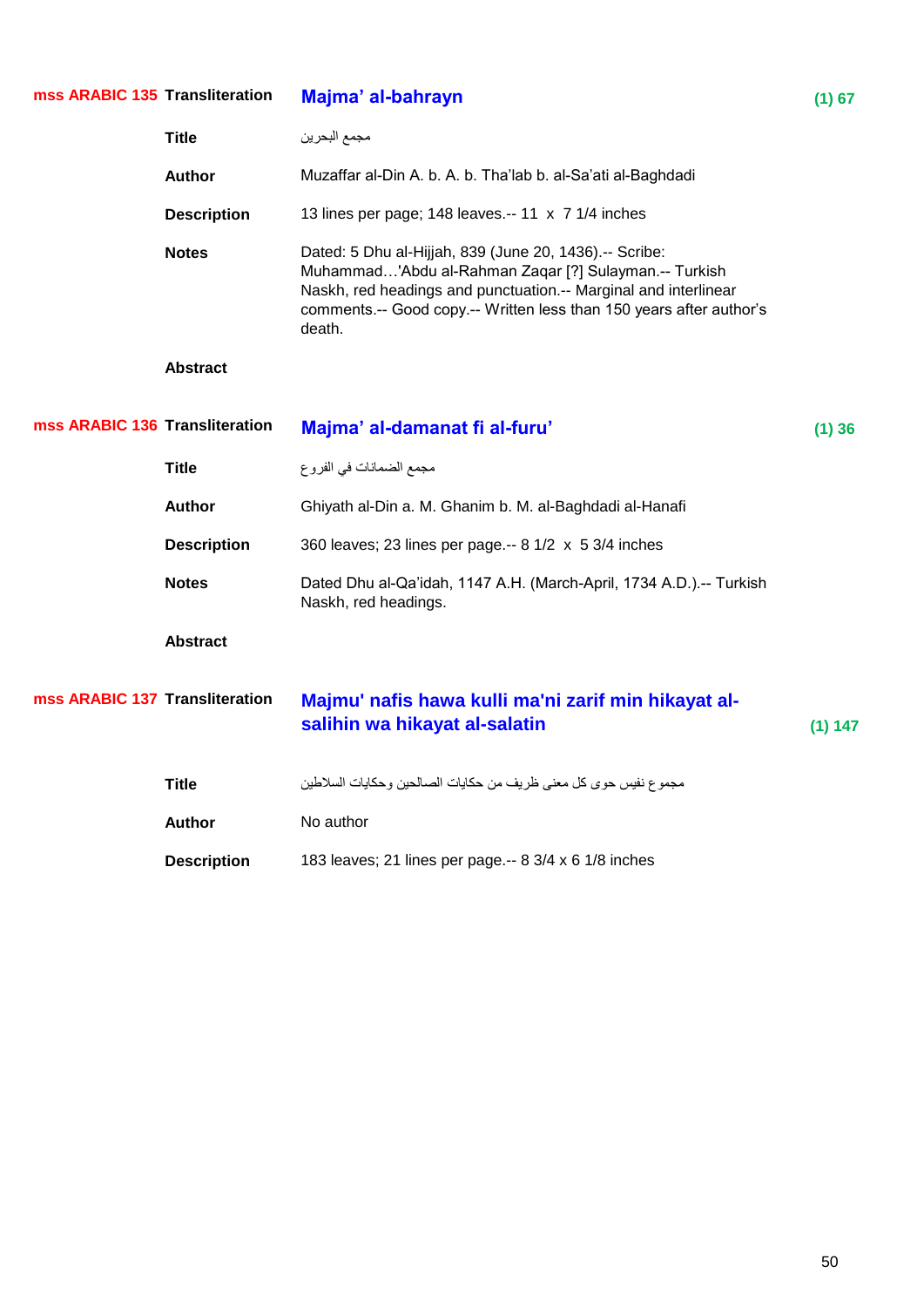| mss ARABIC 135 Transliteration |                    | Majma' al-bahrayn                                                                                                                                                                                                                                                   | (1) 67  |
|--------------------------------|--------------------|---------------------------------------------------------------------------------------------------------------------------------------------------------------------------------------------------------------------------------------------------------------------|---------|
|                                | <b>Title</b>       | مجمع البحرين                                                                                                                                                                                                                                                        |         |
|                                | <b>Author</b>      | Muzaffar al-Din A. b. A. b. Tha'lab b. al-Sa'ati al-Baghdadi                                                                                                                                                                                                        |         |
|                                | <b>Description</b> | 13 lines per page; 148 leaves.-- 11 x 7 1/4 inches                                                                                                                                                                                                                  |         |
|                                | <b>Notes</b>       | Dated: 5 Dhu al-Hijjah, 839 (June 20, 1436).-- Scribe:<br>Muhammad'Abdu al-Rahman Zaqar [?] Sulayman.-- Turkish<br>Naskh, red headings and punctuation.-- Marginal and interlinear<br>comments.-- Good copy.-- Written less than 150 years after author's<br>death. |         |
|                                | <b>Abstract</b>    |                                                                                                                                                                                                                                                                     |         |
| mss ARABIC 136 Transliteration |                    | Majma' al-damanat fi al-furu'                                                                                                                                                                                                                                       | (1)36   |
|                                | <b>Title</b>       | مجمع الضمانات في الفروع                                                                                                                                                                                                                                             |         |
|                                | <b>Author</b>      | Ghiyath al-Din a. M. Ghanim b. M. al-Baghdadi al-Hanafi                                                                                                                                                                                                             |         |
|                                | <b>Description</b> | 360 leaves; 23 lines per page .-- 8 1/2 x 5 3/4 inches                                                                                                                                                                                                              |         |
|                                | <b>Notes</b>       | Dated Dhu al-Qa'idah, 1147 A.H. (March-April, 1734 A.D.).-- Turkish<br>Naskh, red headings.                                                                                                                                                                         |         |
|                                | <b>Abstract</b>    |                                                                                                                                                                                                                                                                     |         |
| mss ARABIC 137 Transliteration |                    | Majmu' nafis hawa kulli ma'ni zarif min hikayat al-<br>salihin wa hikayat al-salatin                                                                                                                                                                                | (1) 147 |
|                                | <b>Title</b>       | مجموع نفيس حوى كل معنى ظريف من حكايات الصالحين وحكايات السلاطين                                                                                                                                                                                                     |         |
|                                | <b>Author</b>      | No author                                                                                                                                                                                                                                                           |         |
|                                | <b>Description</b> | 183 leaves; 21 lines per page.-- 8 3/4 x 6 1/8 inches                                                                                                                                                                                                               |         |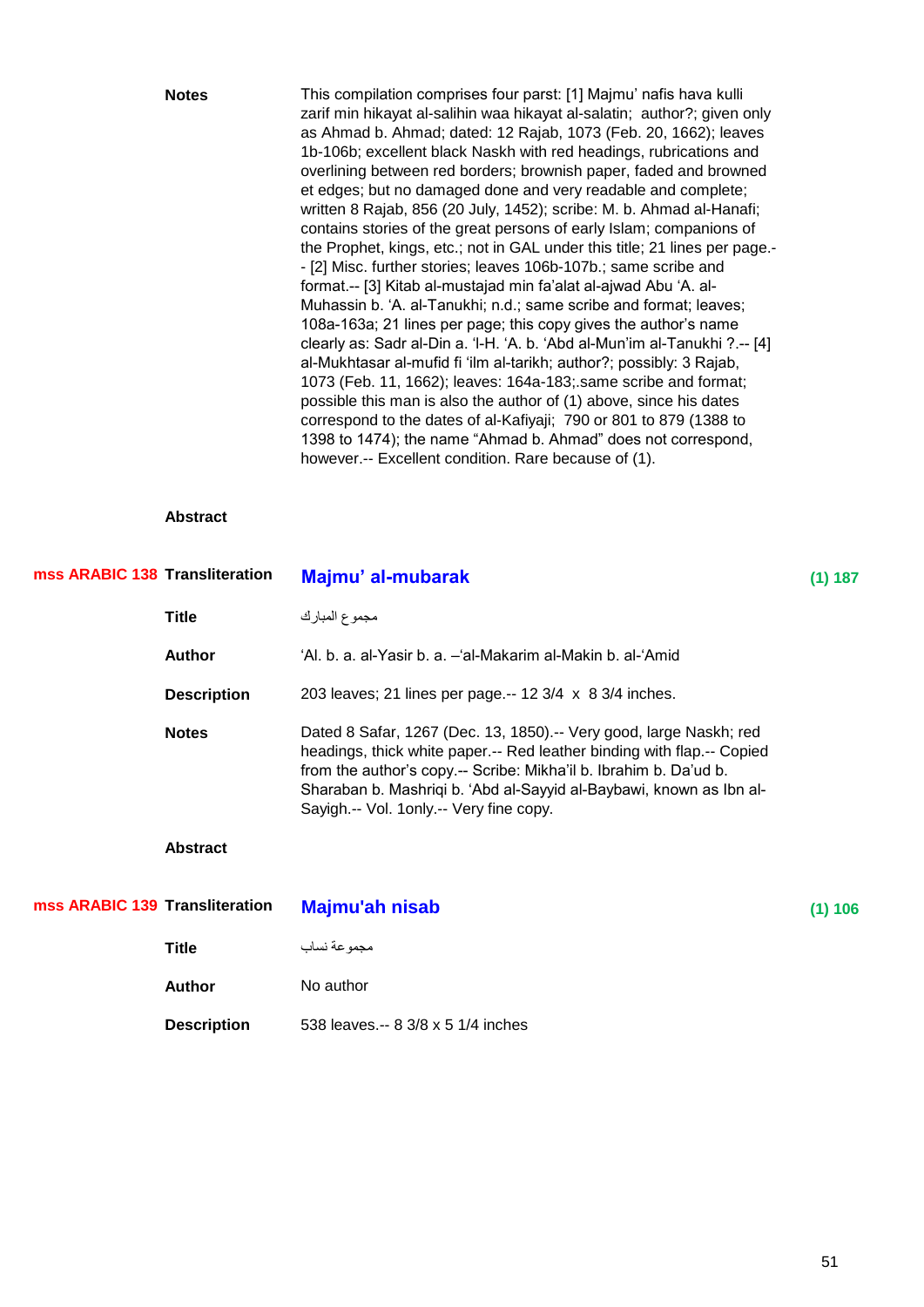| <b>Notes</b> | This compilation comprises four parst: [1] Majmu' nafis hava kulli         |
|--------------|----------------------------------------------------------------------------|
|              | zarif min hikayat al-salihin waa hikayat al-salatin; author?; given only   |
|              | as Ahmad b. Ahmad; dated: 12 Rajab, 1073 (Feb. 20, 1662); leaves           |
|              | 1b-106b; excellent black Naskh with red headings, rubrications and         |
|              | overlining between red borders; brownish paper, faded and browned          |
|              | et edges; but no damaged done and very readable and complete;              |
|              | written 8 Rajab, 856 (20 July, 1452); scribe: M. b. Ahmad al-Hanafi;       |
|              | contains stories of the great persons of early Islam; companions of        |
|              | the Prophet, kings, etc.; not in GAL under this title; 21 lines per page.- |
|              | - [2] Misc. further stories; leaves 106b-107b.; same scribe and            |
|              | format -- [3] Kitab al-mustajad min fa'alat al-ajwad Abu 'A. al-           |
|              | Muhassin b. 'A. al-Tanukhi; n.d.; same scribe and format; leaves;          |
|              | 108a-163a; 21 lines per page; this copy gives the author's name            |
|              | clearly as: Sadr al-Din a. 'I-H. 'A. b. 'Abd al-Mun'im al-Tanukhi ?.-- [4] |
|              | al-Mukhtasar al-mufid fi 'ilm al-tarikh; author?; possibly: 3 Rajab,       |
|              | 1073 (Feb. 11, 1662); leaves: 164a-183; same scribe and format;            |
|              | possible this man is also the author of (1) above, since his dates         |
|              | correspond to the dates of al-Kafiyaji; 790 or 801 to 879 (1388 to         |
|              | 1398 to 1474); the name "Ahmad b. Ahmad" does not correspond,              |
|              | however.-- Excellent condition. Rare because of (1).                       |

| mss ARABIC 138 Transliteration |                    | Majmu' al-mubarak                                                                                                                                                                                                                                                                                                                   | (1) 187 |
|--------------------------------|--------------------|-------------------------------------------------------------------------------------------------------------------------------------------------------------------------------------------------------------------------------------------------------------------------------------------------------------------------------------|---------|
|                                | <b>Title</b>       | مجموع المبارك                                                                                                                                                                                                                                                                                                                       |         |
|                                | Author             | 'Al. b. a. al-Yasir b. a. - 'al-Makarim al-Makin b. al-'Amid                                                                                                                                                                                                                                                                        |         |
|                                | <b>Description</b> | 203 leaves; 21 lines per page.-- 12 3/4 x 8 3/4 inches.                                                                                                                                                                                                                                                                             |         |
|                                | <b>Notes</b>       | Dated 8 Safar, 1267 (Dec. 13, 1850).-- Very good, large Naskh; red<br>headings, thick white paper.-- Red leather binding with flap.-- Copied<br>from the author's copy.-- Scribe: Mikha'il b. Ibrahim b. Da'ud b.<br>Sharaban b. Mashriqi b. 'Abd al-Sayyid al-Baybawi, known as Ibn al-<br>Sayigh.-- Vol. 1only.-- Very fine copy. |         |

| mss ARABIC 139 Transliteration | Majmu'ah nisab                     | (1) 106 |
|--------------------------------|------------------------------------|---------|
| Title                          | مجموعة نساب                        |         |
| <b>Author</b>                  | No author                          |         |
| <b>Description</b>             | 538 leaves.-- 8 3/8 x 5 1/4 inches |         |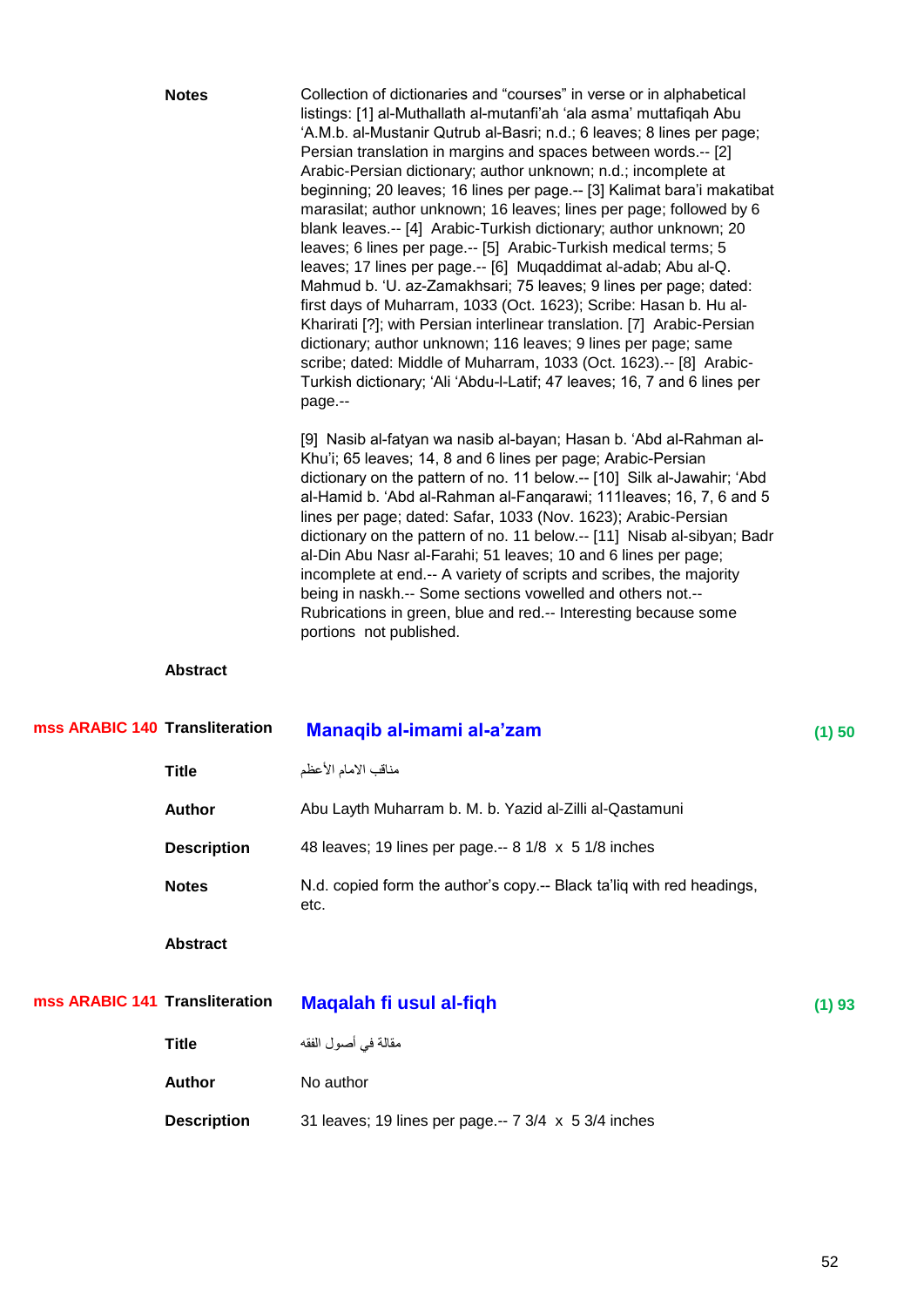|                                | <b>Notes</b>    | Collection of dictionaries and "courses" in verse or in alphabetical<br>listings: [1] al-Muthallath al-mutanfi'ah 'ala asma' muttafiqah Abu<br>'A.M.b. al-Mustanir Qutrub al-Basri; n.d.; 6 leaves; 8 lines per page;<br>Persian translation in margins and spaces between words.-- [2]<br>Arabic-Persian dictionary; author unknown; n.d.; incomplete at<br>beginning; 20 leaves; 16 lines per page.-- [3] Kalimat bara'i makatibat<br>marasilat; author unknown; 16 leaves; lines per page; followed by 6<br>blank leaves.-- [4] Arabic-Turkish dictionary; author unknown; 20<br>leaves; 6 lines per page.-- [5] Arabic-Turkish medical terms; 5<br>leaves; 17 lines per page.-- [6] Muqaddimat al-adab; Abu al-Q.<br>Mahmud b. 'U. az-Zamakhsari; 75 leaves; 9 lines per page; dated:<br>first days of Muharram, 1033 (Oct. 1623); Scribe: Hasan b. Hu al-<br>Kharirati [?]; with Persian interlinear translation. [7] Arabic-Persian<br>dictionary; author unknown; 116 leaves; 9 lines per page; same<br>scribe; dated: Middle of Muharram, 1033 (Oct. 1623).-- [8] Arabic-<br>Turkish dictionary; 'Ali 'Abdu-l-Latif; 47 leaves; 16, 7 and 6 lines per<br>page.--<br>[9] Nasib al-fatyan wa nasib al-bayan; Hasan b. 'Abd al-Rahman al-<br>Khu'i; 65 leaves; 14, 8 and 6 lines per page; Arabic-Persian<br>dictionary on the pattern of no. 11 below.-- [10] Silk al-Jawahir; 'Abd<br>al-Hamid b. 'Abd al-Rahman al-Fangarawi; 111leaves; 16, 7, 6 and 5<br>lines per page; dated: Safar, 1033 (Nov. 1623); Arabic-Persian<br>dictionary on the pattern of no. 11 below.-- [11] Nisab al-sibyan; Badr<br>al-Din Abu Nasr al-Farahi; 51 leaves; 10 and 6 lines per page;<br>incomplete at end.-- A variety of scripts and scribes, the majority<br>being in naskh.-- Some sections vowelled and others not.-- |          |
|--------------------------------|-----------------|---------------------------------------------------------------------------------------------------------------------------------------------------------------------------------------------------------------------------------------------------------------------------------------------------------------------------------------------------------------------------------------------------------------------------------------------------------------------------------------------------------------------------------------------------------------------------------------------------------------------------------------------------------------------------------------------------------------------------------------------------------------------------------------------------------------------------------------------------------------------------------------------------------------------------------------------------------------------------------------------------------------------------------------------------------------------------------------------------------------------------------------------------------------------------------------------------------------------------------------------------------------------------------------------------------------------------------------------------------------------------------------------------------------------------------------------------------------------------------------------------------------------------------------------------------------------------------------------------------------------------------------------------------------------------------------------------------------------------------------------------------------------------------------------------------------------|----------|
|                                |                 | Rubrications in green, blue and red.-- Interesting because some<br>portions not published.                                                                                                                                                                                                                                                                                                                                                                                                                                                                                                                                                                                                                                                                                                                                                                                                                                                                                                                                                                                                                                                                                                                                                                                                                                                                                                                                                                                                                                                                                                                                                                                                                                                                                                                          |          |
|                                | <b>Abstract</b> |                                                                                                                                                                                                                                                                                                                                                                                                                                                                                                                                                                                                                                                                                                                                                                                                                                                                                                                                                                                                                                                                                                                                                                                                                                                                                                                                                                                                                                                                                                                                                                                                                                                                                                                                                                                                                     |          |
| mss ARABIC 140 Transliteration |                 | Manaqib al-imami al-a'zam                                                                                                                                                                                                                                                                                                                                                                                                                                                                                                                                                                                                                                                                                                                                                                                                                                                                                                                                                                                                                                                                                                                                                                                                                                                                                                                                                                                                                                                                                                                                                                                                                                                                                                                                                                                           | $(1)$ 50 |
|                                | <b>Title</b>    | مناقب الامام الأعظم                                                                                                                                                                                                                                                                                                                                                                                                                                                                                                                                                                                                                                                                                                                                                                                                                                                                                                                                                                                                                                                                                                                                                                                                                                                                                                                                                                                                                                                                                                                                                                                                                                                                                                                                                                                                 |          |

| Author             | Abu Layth Muharram b. M. b. Yazid al-Zilli al-Qastamuni                       |
|--------------------|-------------------------------------------------------------------------------|
| <b>Description</b> | 48 leaves; 19 lines per page.-- 8 1/8 x 5 1/8 inches                          |
| <b>Notes</b>       | N.d. copied form the author's copy.-- Black ta'liq with red headings,<br>etc. |

| mss ARABIC 141 Transliteration | Magalah fi usul al-figh                              | (1)93 |
|--------------------------------|------------------------------------------------------|-------|
| Title                          | مقالة في أصول الفقه                                  |       |
| <b>Author</b>                  | No author                                            |       |
| <b>Description</b>             | 31 leaves; 19 lines per page.-- 7 3/4 x 5 3/4 inches |       |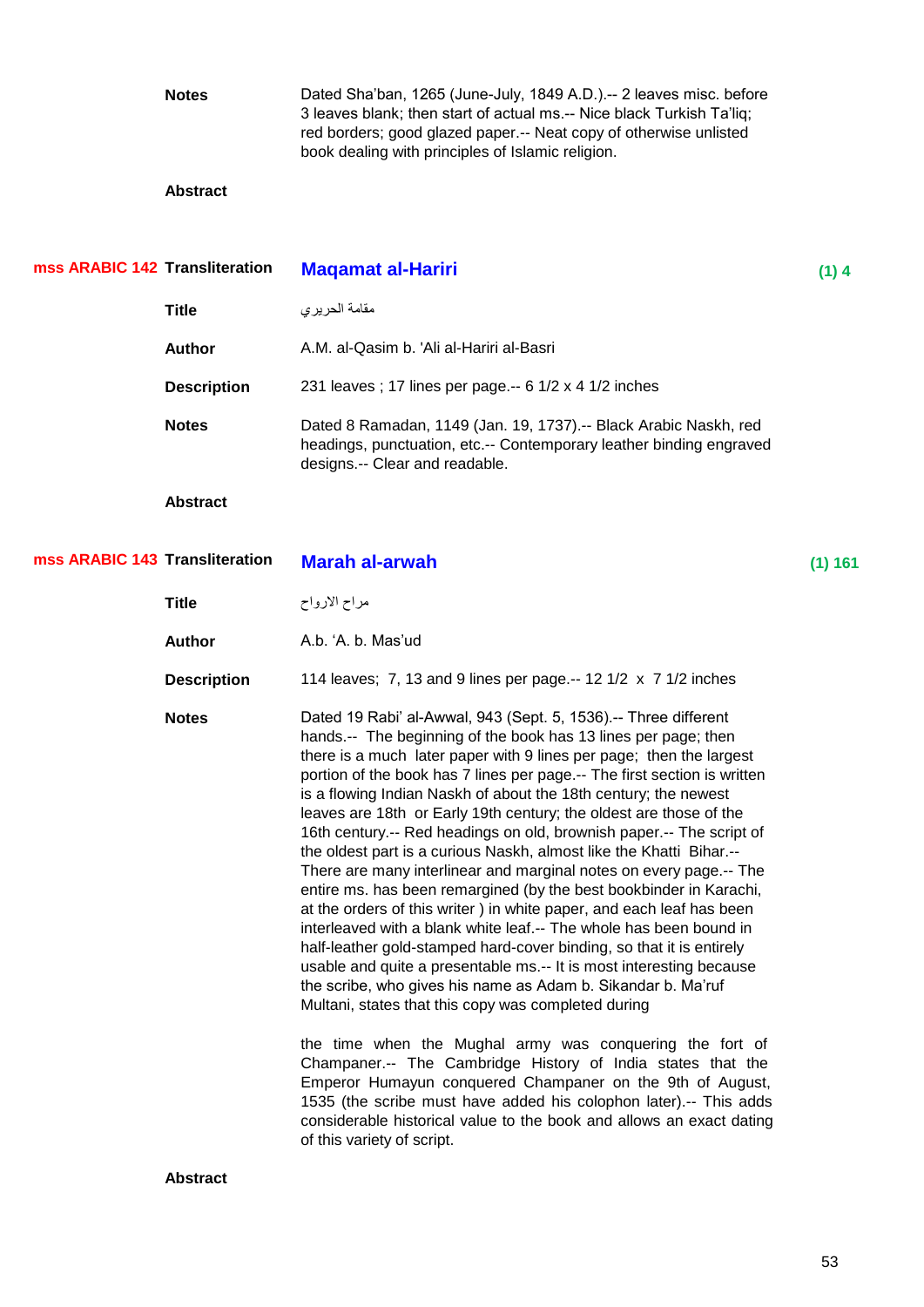**Notes** Dated Sha'ban, 1265 (June-July, 1849 A.D.).-- 2 leaves misc. before 3 leaves blank; then start of actual ms.-- Nice black Turkish Ta'liq; red borders; good glazed paper.-- Neat copy of otherwise unlisted book dealing with principles of Islamic religion. **Abstract Maqamat al-Hariri** (1) 4 ِماِح اٌذش٠شٞ **Title Author** A.M. al-Qasim b. 'Ali al-Hariri al-Basri **Description** 231 leaves ; 17 lines per page.-- 6 1/2 x 4 1/2 inches **Notes** Dated 8 Ramadan, 1149 (Jan. 19, 1737).-- Black Arabic Naskh, red headings, punctuation, etc.-- Contemporary leather binding engraved designs.-- Clear and readable. **Abstract Marah al-arwah** (1) 161 ِشاح االسٚاح **Title Author A.b.**  $A$ .b. Mas'ud **Description** 114 leaves; 7, 13 and 9 lines per page.-- 12 1/2 x 7 1/2 inches **Notes** Dated 19 Rabi' al-Awwal, 943 (Sept. 5, 1536).-- Three different hands.-- The beginning of the book has 13 lines per page; then there is a much later paper with 9 lines per page; then the largest portion of the book has 7 lines per page.-- The first section is written is a flowing Indian Naskh of about the 18th century; the newest leaves are 18th or Early 19th century; the oldest are those of the 16th century.-- Red headings on old, brownish paper.-- The script of the oldest part is a curious Naskh, almost like the Khatti Bihar.-- There are many interlinear and marginal notes on every page.-- The entire ms. has been remargined (by the best bookbinder in Karachi, at the orders of this writer ) in white paper, and each leaf has been interleaved with a blank white leaf.-- The whole has been bound in half-leather gold-stamped hard-cover binding, so that it is entirely usable and quite a presentable ms.-- It is most interesting because the scribe, who gives his name as Adam b. Sikandar b. Ma'ruf Multani, states that this copy was completed during the time when the Mughal army was conquering the fort of Champaner.-- The Cambridge History of India states that the Emperor Humayun conquered Champaner on the 9th of August, 1535 (the scribe must have added his colophon later).-- This adds considerable historical value to the book and allows an exact dating of this variety of script. **mss ARABIC 143 mss ARABIC 142**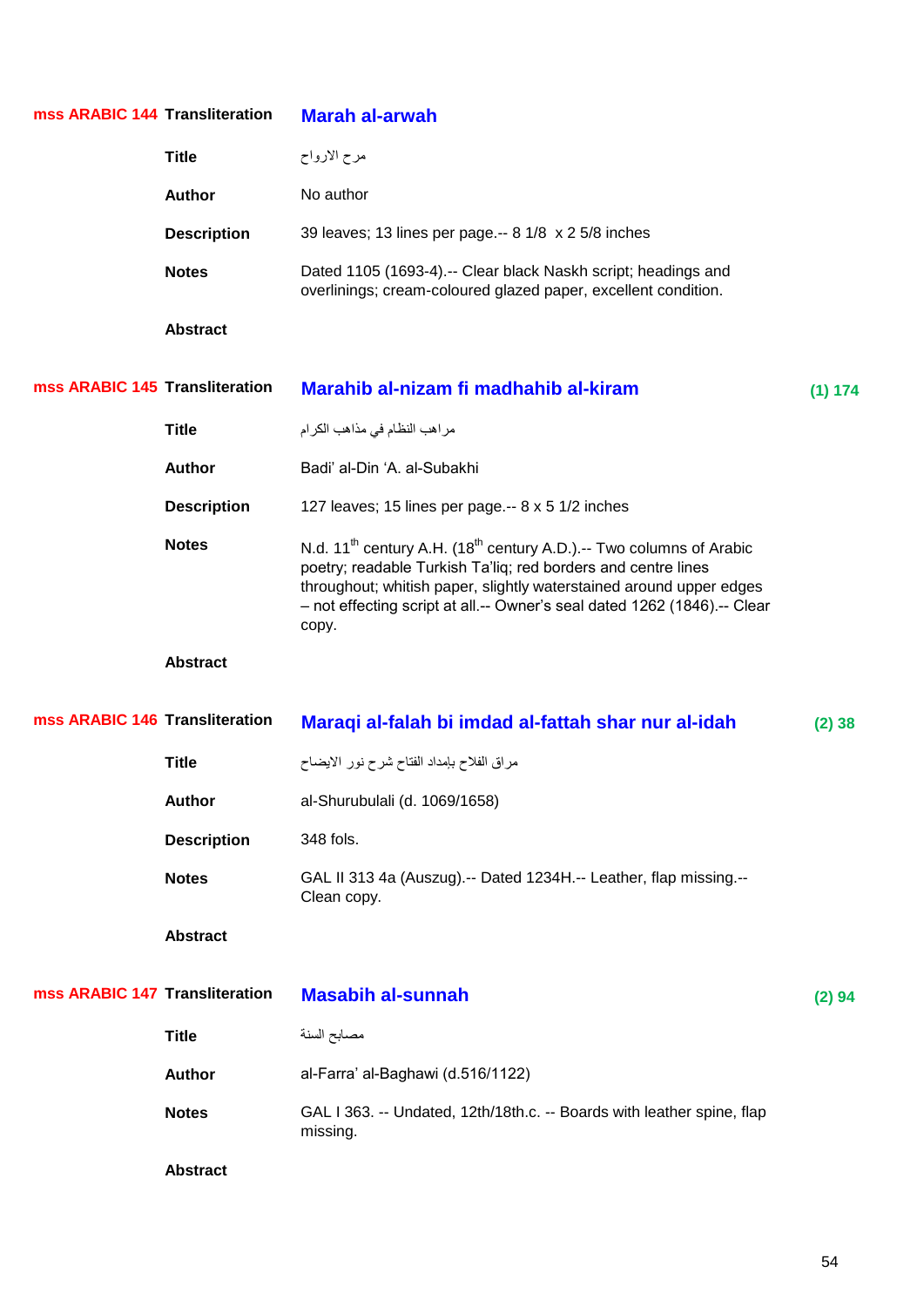| mss ARABIC 144 Transliteration |                    | <b>Marah al-arwah</b>                                                                                                                                                                                                                                                                                                    |         |
|--------------------------------|--------------------|--------------------------------------------------------------------------------------------------------------------------------------------------------------------------------------------------------------------------------------------------------------------------------------------------------------------------|---------|
|                                | <b>Title</b>       | مرح الارواح                                                                                                                                                                                                                                                                                                              |         |
|                                | <b>Author</b>      | No author                                                                                                                                                                                                                                                                                                                |         |
|                                | <b>Description</b> | 39 leaves; 13 lines per page.-- 8 1/8 x 2 5/8 inches                                                                                                                                                                                                                                                                     |         |
|                                | <b>Notes</b>       | Dated 1105 (1693-4).-- Clear black Naskh script; headings and<br>overlinings; cream-coloured glazed paper, excellent condition.                                                                                                                                                                                          |         |
|                                | <b>Abstract</b>    |                                                                                                                                                                                                                                                                                                                          |         |
| mss ARABIC 145 Transliteration |                    | Marahib al-nizam fi madhahib al-kiram                                                                                                                                                                                                                                                                                    | (1) 174 |
|                                | <b>Title</b>       | مراهب النظام في مذاهب الكرام                                                                                                                                                                                                                                                                                             |         |
|                                | <b>Author</b>      | Badi' al-Din 'A. al-Subakhi                                                                                                                                                                                                                                                                                              |         |
|                                | <b>Description</b> | 127 leaves; 15 lines per page.-- 8 x 5 1/2 inches                                                                                                                                                                                                                                                                        |         |
|                                | <b>Notes</b>       | N.d. 11 <sup>th</sup> century A.H. (18 <sup>th</sup> century A.D.).-- Two columns of Arabic<br>poetry; readable Turkish Ta'liq; red borders and centre lines<br>throughout; whitish paper, slightly waterstained around upper edges<br>- not effecting script at all.-- Owner's seal dated 1262 (1846).-- Clear<br>copy. |         |
|                                | <b>Abstract</b>    |                                                                                                                                                                                                                                                                                                                          |         |
| mss ARABIC 146 Transliteration |                    | Maraqi al-falah bi imdad al-fattah shar nur al-idah                                                                                                                                                                                                                                                                      | (2)38   |
|                                | <b>Title</b>       | مراق الفلاح بإمداد الفتاح شرح نور الايضاح                                                                                                                                                                                                                                                                                |         |
|                                | <b>Author</b>      | al-Shurubulali (d. 1069/1658)                                                                                                                                                                                                                                                                                            |         |
|                                | <b>Description</b> | 348 fols.                                                                                                                                                                                                                                                                                                                |         |
|                                | <b>Notes</b>       | GAL II 313 4a (Auszug).-- Dated 1234H.-- Leather, flap missing.--<br>Clean copy.                                                                                                                                                                                                                                         |         |
|                                | <b>Abstract</b>    |                                                                                                                                                                                                                                                                                                                          |         |
| mss ARABIC 147 Transliteration |                    | <b>Masabih al-sunnah</b>                                                                                                                                                                                                                                                                                                 | (2) 94  |
|                                | <b>Title</b>       | مصابح السنة                                                                                                                                                                                                                                                                                                              |         |
|                                | <b>Author</b>      | al-Farra' al-Baghawi (d.516/1122)                                                                                                                                                                                                                                                                                        |         |
|                                | <b>Notes</b>       | GAL I 363. -- Undated, 12th/18th.c. -- Boards with leather spine, flap<br>missing.                                                                                                                                                                                                                                       |         |
|                                | <b>Abstract</b>    |                                                                                                                                                                                                                                                                                                                          |         |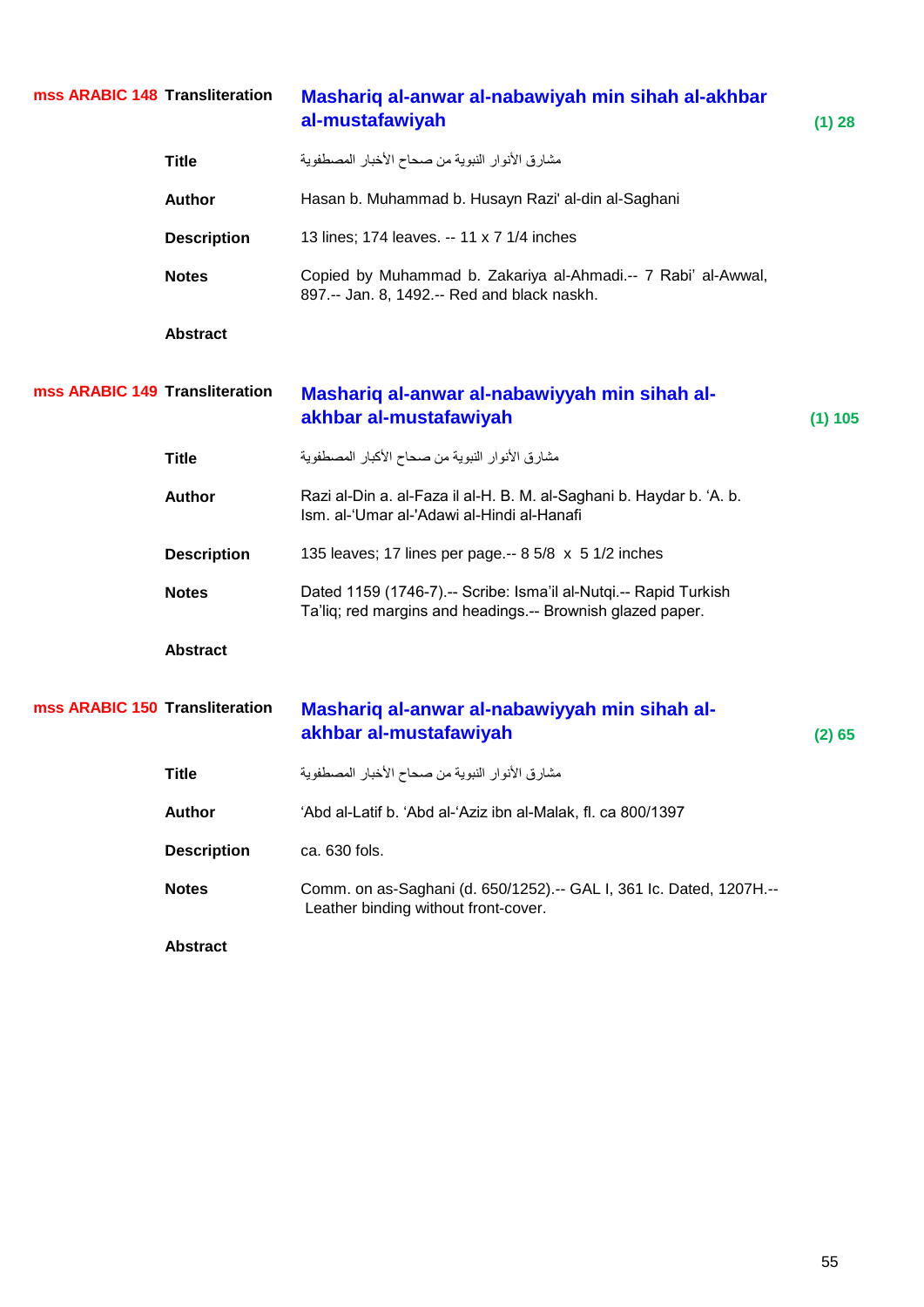| mss ARABIC 148 Transliteration |                    | Mashariq al-anwar al-nabawiyah min sihah al-akhbar<br>al-mustafawiyah                                                          | (1) 28  |
|--------------------------------|--------------------|--------------------------------------------------------------------------------------------------------------------------------|---------|
|                                | <b>Title</b>       | مشارق الأنوار النبوية من صحاح الأخبار المصطفوية                                                                                |         |
|                                | <b>Author</b>      | Hasan b. Muhammad b. Husayn Razi' al-din al-Saghani                                                                            |         |
|                                | <b>Description</b> | 13 lines; 174 leaves. -- 11 x 7 1/4 inches                                                                                     |         |
|                                | <b>Notes</b>       | Copied by Muhammad b. Zakariya al-Ahmadi.-- 7 Rabi' al-Awwal,<br>897.-- Jan. 8, 1492.-- Red and black naskh.                   |         |
|                                | <b>Abstract</b>    |                                                                                                                                |         |
| mss ARABIC 149 Transliteration |                    | Mashariq al-anwar al-nabawiyyah min sihah al-<br>akhbar al-mustafawiyah                                                        | (1) 105 |
|                                | <b>Title</b>       | مشارق الأنوار النبوية من صحاح الأكبار المصطفوية                                                                                |         |
|                                | <b>Author</b>      | Razi al-Din a. al-Faza il al-H. B. M. al-Saghani b. Haydar b. 'A. b.<br>Ism. al-'Umar al-'Adawi al-Hindi al-Hanafi             |         |
|                                | <b>Description</b> | 135 leaves; 17 lines per page.-- 8 5/8 x 5 1/2 inches                                                                          |         |
|                                | <b>Notes</b>       | Dated 1159 (1746-7).-- Scribe: Isma'il al-Nutqi.-- Rapid Turkish<br>Ta'liq; red margins and headings.-- Brownish glazed paper. |         |
|                                | <b>Abstract</b>    |                                                                                                                                |         |
| mss ARABIC 150 Transliteration |                    | Mashariq al-anwar al-nabawiyyah min sihah al-<br>akhbar al-mustafawiyah                                                        | (2) 65  |
|                                | <b>Title</b>       | مشارق الأنوار النبوية من صحاح الأخبار المصطفوية                                                                                |         |
|                                | <b>Author</b>      | 'Abd al-Latif b. 'Abd al-'Aziz ibn al-Malak, fl. ca 800/1397                                                                   |         |
|                                | <b>Description</b> | ca. 630 fols.                                                                                                                  |         |
|                                | <b>Notes</b>       | Comm. on as-Saghani (d. 650/1252).-- GAL I, 361 Ic. Dated, 1207H.--<br>Leather binding without front-cover.                    |         |
|                                | <b>Abstract</b>    |                                                                                                                                |         |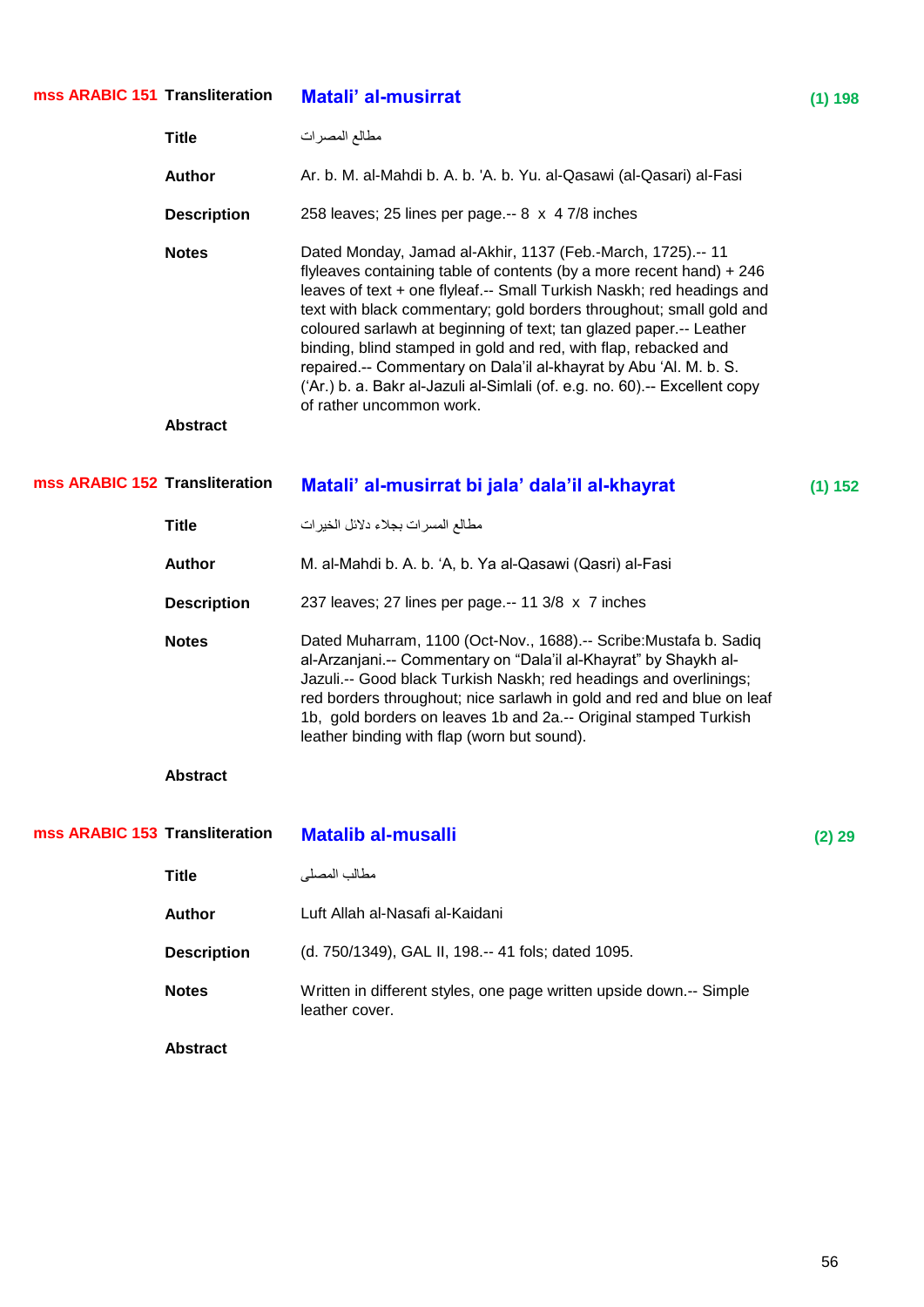| mss ARABIC 151 Transliteration |                    | <b>Matali' al-musirrat</b>                                                                                                                                                                                                                                                                                                                                                                                                                                                                                                                                                                                   | (1) 198 |
|--------------------------------|--------------------|--------------------------------------------------------------------------------------------------------------------------------------------------------------------------------------------------------------------------------------------------------------------------------------------------------------------------------------------------------------------------------------------------------------------------------------------------------------------------------------------------------------------------------------------------------------------------------------------------------------|---------|
|                                | <b>Title</b>       | مطالع المصرات                                                                                                                                                                                                                                                                                                                                                                                                                                                                                                                                                                                                |         |
|                                | <b>Author</b>      | Ar. b. M. al-Mahdi b. A. b. 'A. b. Yu. al-Qasawi (al-Qasari) al-Fasi                                                                                                                                                                                                                                                                                                                                                                                                                                                                                                                                         |         |
|                                | <b>Description</b> | 258 leaves; 25 lines per page .-- 8 x 4 7/8 inches                                                                                                                                                                                                                                                                                                                                                                                                                                                                                                                                                           |         |
|                                | <b>Notes</b>       | Dated Monday, Jamad al-Akhir, 1137 (Feb.-March, 1725).-- 11<br>flyleaves containing table of contents (by a more recent hand) + 246<br>leaves of text + one flyleaf.-- Small Turkish Naskh; red headings and<br>text with black commentary; gold borders throughout; small gold and<br>coloured sarlawh at beginning of text; tan glazed paper .-- Leather<br>binding, blind stamped in gold and red, with flap, rebacked and<br>repaired.-- Commentary on Dala'il al-khayrat by Abu 'Al. M. b. S.<br>('Ar.) b. a. Bakr al-Jazuli al-Simlali (of. e.g. no. 60).-- Excellent copy<br>of rather uncommon work. |         |
|                                | <b>Abstract</b>    |                                                                                                                                                                                                                                                                                                                                                                                                                                                                                                                                                                                                              |         |
| mss ARABIC 152 Transliteration |                    | Matali' al-musirrat bi jala' dala'il al-khayrat                                                                                                                                                                                                                                                                                                                                                                                                                                                                                                                                                              | (1) 152 |
|                                | <b>Title</b>       | مطالع المسرات بجلاء دلائل الخيرات                                                                                                                                                                                                                                                                                                                                                                                                                                                                                                                                                                            |         |
|                                | <b>Author</b>      | M. al-Mahdi b. A. b. 'A, b. Ya al-Qasawi (Qasri) al-Fasi                                                                                                                                                                                                                                                                                                                                                                                                                                                                                                                                                     |         |
|                                | <b>Description</b> | 237 leaves; 27 lines per page.-- 11 3/8 x 7 inches                                                                                                                                                                                                                                                                                                                                                                                                                                                                                                                                                           |         |
|                                | <b>Notes</b>       | Dated Muharram, 1100 (Oct-Nov., 1688).-- Scribe: Mustafa b. Sadiq<br>al-Arzanjani.-- Commentary on "Dala'il al-Khayrat" by Shaykh al-<br>Jazuli.-- Good black Turkish Naskh; red headings and overlinings;<br>red borders throughout; nice sarlawh in gold and red and blue on leaf<br>1b, gold borders on leaves 1b and 2a.-- Original stamped Turkish<br>leather binding with flap (worn but sound).                                                                                                                                                                                                       |         |
|                                | <b>Abstract</b>    |                                                                                                                                                                                                                                                                                                                                                                                                                                                                                                                                                                                                              |         |
| mss ARABIC 153 Transliteration |                    | <b>Matalib al-musalli</b>                                                                                                                                                                                                                                                                                                                                                                                                                                                                                                                                                                                    | (2) 29  |
|                                | <b>Title</b>       | مطالب المصلي                                                                                                                                                                                                                                                                                                                                                                                                                                                                                                                                                                                                 |         |
|                                | <b>Author</b>      | Luft Allah al-Nasafi al-Kaidani                                                                                                                                                                                                                                                                                                                                                                                                                                                                                                                                                                              |         |
|                                | <b>Description</b> | (d. 750/1349), GAL II, 198 .-- 41 fols; dated 1095.                                                                                                                                                                                                                                                                                                                                                                                                                                                                                                                                                          |         |
|                                | <b>Notes</b>       | Written in different styles, one page written upside down.-- Simple<br>leather cover.                                                                                                                                                                                                                                                                                                                                                                                                                                                                                                                        |         |
|                                | <b>Abstract</b>    |                                                                                                                                                                                                                                                                                                                                                                                                                                                                                                                                                                                                              |         |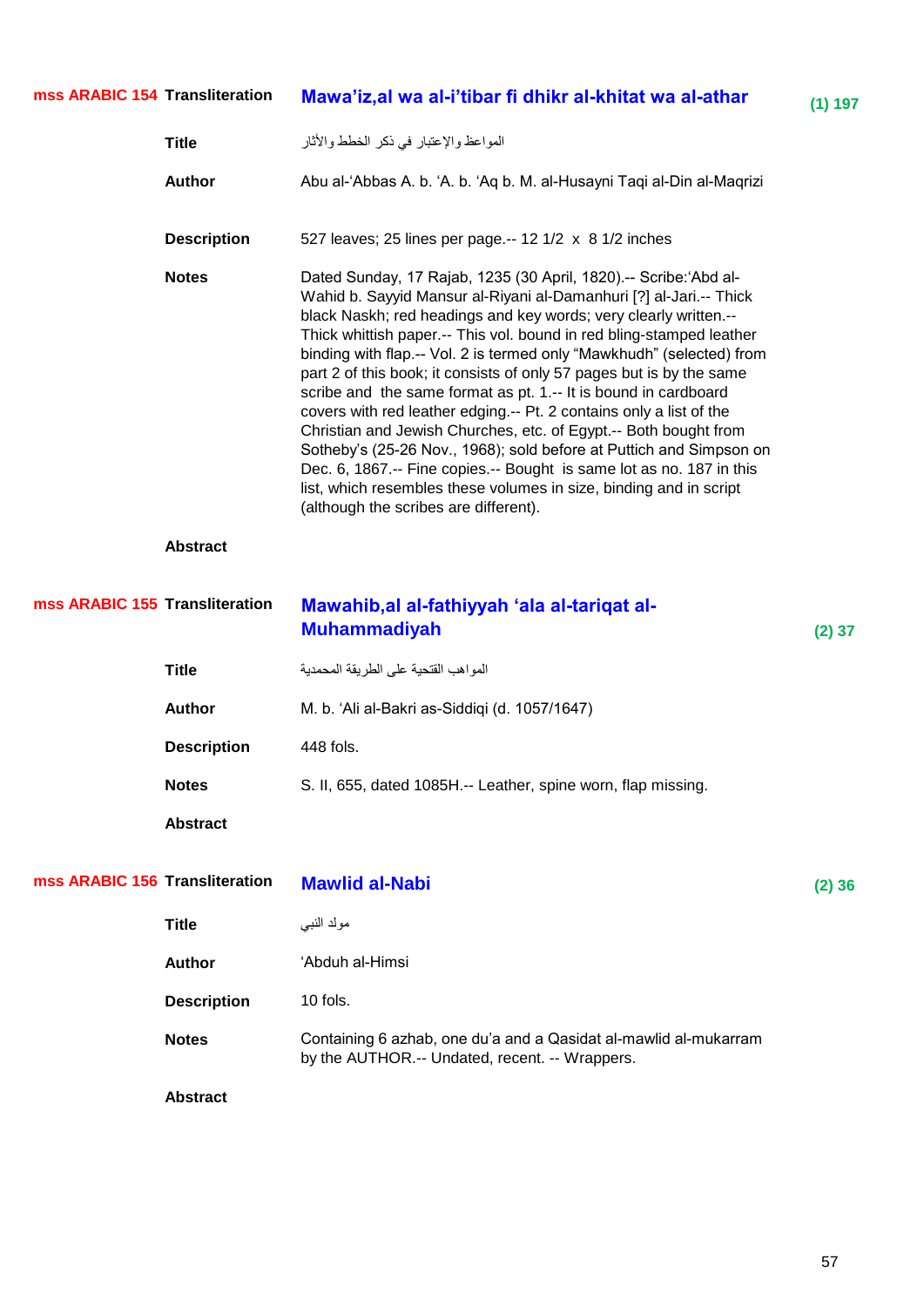| mss ARABIC 154 Transliteration |                    | Mawa'iz, al wa al-i'tibar fi dhikr al-khitat wa al-athar                                                                                                                                                                                                                                                                                                                                                                                                                                                                                                                                                                                                                                                                                                                                                                                                                                                         | (1) 197  |
|--------------------------------|--------------------|------------------------------------------------------------------------------------------------------------------------------------------------------------------------------------------------------------------------------------------------------------------------------------------------------------------------------------------------------------------------------------------------------------------------------------------------------------------------------------------------------------------------------------------------------------------------------------------------------------------------------------------------------------------------------------------------------------------------------------------------------------------------------------------------------------------------------------------------------------------------------------------------------------------|----------|
|                                | <b>Title</b>       | المواعظ والإعتبار في ذكر الخطط والأثار                                                                                                                                                                                                                                                                                                                                                                                                                                                                                                                                                                                                                                                                                                                                                                                                                                                                           |          |
|                                | <b>Author</b>      | Abu al-'Abbas A. b. 'A. b. 'Aq b. M. al-Husayni Taqi al-Din al-Maqrizi                                                                                                                                                                                                                                                                                                                                                                                                                                                                                                                                                                                                                                                                                                                                                                                                                                           |          |
|                                | <b>Description</b> | 527 leaves; 25 lines per page.-- 12 1/2 x 8 1/2 inches                                                                                                                                                                                                                                                                                                                                                                                                                                                                                                                                                                                                                                                                                                                                                                                                                                                           |          |
|                                | <b>Notes</b>       | Dated Sunday, 17 Rajab, 1235 (30 April, 1820).-- Scribe:'Abd al-<br>Wahid b. Sayyid Mansur al-Riyani al-Damanhuri [?] al-Jari.-- Thick<br>black Naskh; red headings and key words; very clearly written.--<br>Thick whittish paper.-- This vol. bound in red bling-stamped leather<br>binding with flap.-- Vol. 2 is termed only "Mawkhudh" (selected) from<br>part 2 of this book; it consists of only 57 pages but is by the same<br>scribe and the same format as pt. 1 .-- It is bound in cardboard<br>covers with red leather edging.-- Pt. 2 contains only a list of the<br>Christian and Jewish Churches, etc. of Egypt.-- Both bought from<br>Sotheby's (25-26 Nov., 1968); sold before at Puttich and Simpson on<br>Dec. 6, 1867.-- Fine copies.-- Bought is same lot as no. 187 in this<br>list, which resembles these volumes in size, binding and in script<br>(although the scribes are different). |          |
|                                | <b>Abstract</b>    |                                                                                                                                                                                                                                                                                                                                                                                                                                                                                                                                                                                                                                                                                                                                                                                                                                                                                                                  |          |
| mss ARABIC 155 Transliteration |                    | Mawahib, al al-fathiyyah 'ala al-tariqat al-<br><b>Muhammadiyah</b>                                                                                                                                                                                                                                                                                                                                                                                                                                                                                                                                                                                                                                                                                                                                                                                                                                              | $(2)$ 37 |
|                                | <b>Title</b>       | المواهب القتحية على الطريقة المحمدية                                                                                                                                                                                                                                                                                                                                                                                                                                                                                                                                                                                                                                                                                                                                                                                                                                                                             |          |
|                                | <b>Author</b>      | M. b. 'Ali al-Bakri as-Siddiqi (d. 1057/1647)                                                                                                                                                                                                                                                                                                                                                                                                                                                                                                                                                                                                                                                                                                                                                                                                                                                                    |          |
|                                | <b>Description</b> | 448 fols.                                                                                                                                                                                                                                                                                                                                                                                                                                                                                                                                                                                                                                                                                                                                                                                                                                                                                                        |          |
|                                | <b>Notes</b>       | S. II, 655, dated 1085H.-- Leather, spine worn, flap missing.                                                                                                                                                                                                                                                                                                                                                                                                                                                                                                                                                                                                                                                                                                                                                                                                                                                    |          |
|                                | <b>Abstract</b>    |                                                                                                                                                                                                                                                                                                                                                                                                                                                                                                                                                                                                                                                                                                                                                                                                                                                                                                                  |          |
| mss ARABIC 156 Transliteration |                    | <b>Mawlid al-Nabi</b>                                                                                                                                                                                                                                                                                                                                                                                                                                                                                                                                                                                                                                                                                                                                                                                                                                                                                            | (2)36    |
|                                | <b>Title</b>       | مولد النبي                                                                                                                                                                                                                                                                                                                                                                                                                                                                                                                                                                                                                                                                                                                                                                                                                                                                                                       |          |
|                                | <b>Author</b>      | 'Abduh al-Himsi                                                                                                                                                                                                                                                                                                                                                                                                                                                                                                                                                                                                                                                                                                                                                                                                                                                                                                  |          |
|                                | <b>Description</b> | 10 fols.                                                                                                                                                                                                                                                                                                                                                                                                                                                                                                                                                                                                                                                                                                                                                                                                                                                                                                         |          |
|                                | <b>Notes</b>       | Containing 6 azhab, one du'a and a Qasidat al-mawlid al-mukarram<br>by the AUTHOR.-- Undated, recent. -- Wrappers.                                                                                                                                                                                                                                                                                                                                                                                                                                                                                                                                                                                                                                                                                                                                                                                               |          |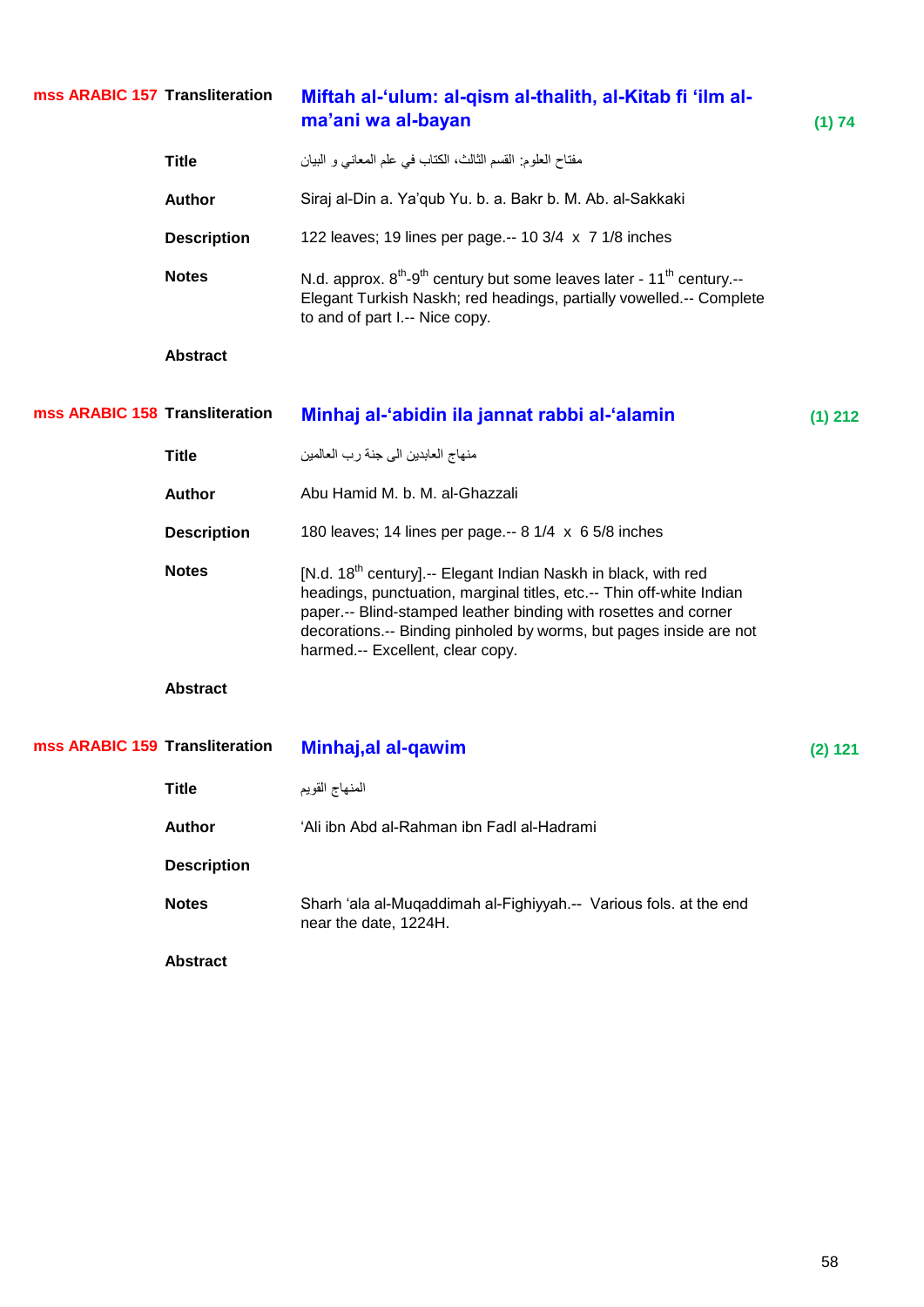| mss ARABIC 157 Transliteration |                    | Miftah al-'ulum: al-qism al-thalith, al-Kitab fi 'ilm al-<br>ma'ani wa al-bayan                                                                                                                                                                                                                                                 | (1) 74    |
|--------------------------------|--------------------|---------------------------------------------------------------------------------------------------------------------------------------------------------------------------------------------------------------------------------------------------------------------------------------------------------------------------------|-----------|
|                                | <b>Title</b>       | مفتاح العلوم: القسم الثالث، الكتاب في علم المعاني و البيان                                                                                                                                                                                                                                                                      |           |
|                                | <b>Author</b>      | Siraj al-Din a. Ya'qub Yu. b. a. Bakr b. M. Ab. al-Sakkaki                                                                                                                                                                                                                                                                      |           |
|                                | <b>Description</b> | 122 leaves; 19 lines per page.-- 10 3/4 x 7 1/8 inches                                                                                                                                                                                                                                                                          |           |
|                                | <b>Notes</b>       | N.d. approx. 8 <sup>th</sup> -9 <sup>th</sup> century but some leaves later - 11 <sup>th</sup> century.--<br>Elegant Turkish Naskh; red headings, partially vowelled.-- Complete<br>to and of part I .-- Nice copy.                                                                                                             |           |
|                                | <b>Abstract</b>    |                                                                                                                                                                                                                                                                                                                                 |           |
| mss ARABIC 158 Transliteration |                    | Minhaj al-'abidin ila jannat rabbi al-'alamin                                                                                                                                                                                                                                                                                   | $(1)$ 212 |
|                                | <b>Title</b>       | منهاج العابدين الى جنة رب العالمين                                                                                                                                                                                                                                                                                              |           |
|                                | <b>Author</b>      | Abu Hamid M. b. M. al-Ghazzali                                                                                                                                                                                                                                                                                                  |           |
|                                | <b>Description</b> | 180 leaves; 14 lines per page.-- 8 1/4 x 6 5/8 inches                                                                                                                                                                                                                                                                           |           |
|                                | <b>Notes</b>       | [N.d. 18 <sup>th</sup> century].-- Elegant Indian Naskh in black, with red<br>headings, punctuation, marginal titles, etc.-- Thin off-white Indian<br>paper.-- Blind-stamped leather binding with rosettes and corner<br>decorations.-- Binding pinholed by worms, but pages inside are not<br>harmed.-- Excellent, clear copy. |           |
|                                | <b>Abstract</b>    |                                                                                                                                                                                                                                                                                                                                 |           |
| mss ARABIC 159 Transliteration |                    | Minhaj, al al-gawim                                                                                                                                                                                                                                                                                                             | (2) 121   |
|                                | <b>Title</b>       | المنهاج القويم                                                                                                                                                                                                                                                                                                                  |           |
|                                | <b>Author</b>      | 'Ali ibn Abd al-Rahman ibn Fadl al-Hadrami                                                                                                                                                                                                                                                                                      |           |
|                                | <b>Description</b> |                                                                                                                                                                                                                                                                                                                                 |           |
|                                | <b>Notes</b>       | Sharh 'ala al-Muqaddimah al-Fighiyyah.-- Various fols. at the end<br>near the date, 1224H.                                                                                                                                                                                                                                      |           |
|                                | <b>Abstract</b>    |                                                                                                                                                                                                                                                                                                                                 |           |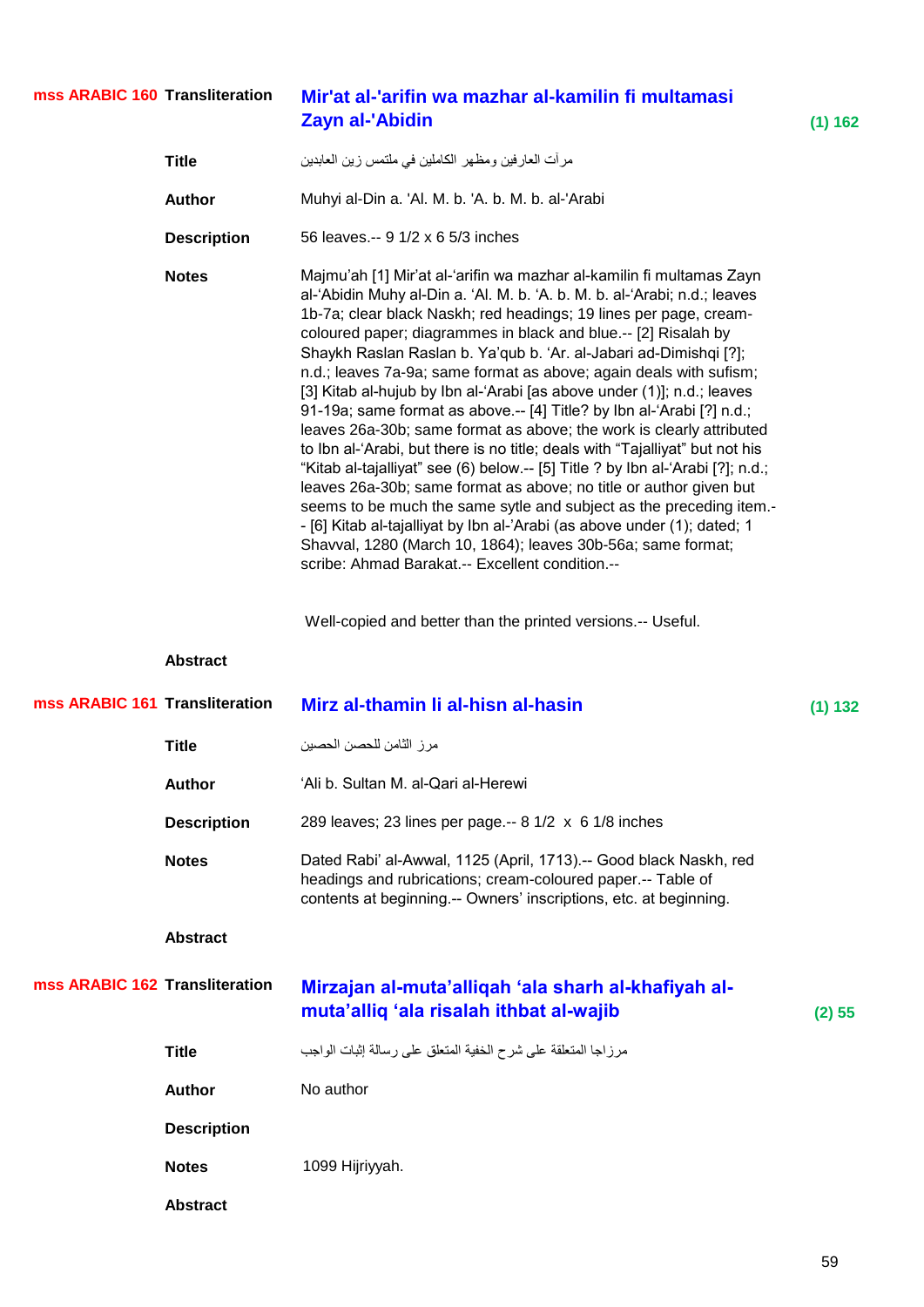#### **Transliteration Mir'at al-'arifin wa mazhar al-kamilin fi multamasi Zayn al-'Abidin (1) 162 mss ARABIC 160**

| <b>Title</b>       | مرأت العارفين ومظهر الكاملين في ملتمس زين العابدين                                                                                                                                                                                                                                                                                                                                                                                                                                                                                                                                                                                                                                                                                                                                                                                                                                                                                                                                                                                                                                                                                                                                                                                          |
|--------------------|---------------------------------------------------------------------------------------------------------------------------------------------------------------------------------------------------------------------------------------------------------------------------------------------------------------------------------------------------------------------------------------------------------------------------------------------------------------------------------------------------------------------------------------------------------------------------------------------------------------------------------------------------------------------------------------------------------------------------------------------------------------------------------------------------------------------------------------------------------------------------------------------------------------------------------------------------------------------------------------------------------------------------------------------------------------------------------------------------------------------------------------------------------------------------------------------------------------------------------------------|
| Author             | Muhyi al-Din a. 'Al. M. b. 'A. b. M. b. al-'Arabi                                                                                                                                                                                                                                                                                                                                                                                                                                                                                                                                                                                                                                                                                                                                                                                                                                                                                                                                                                                                                                                                                                                                                                                           |
| <b>Description</b> | 56 leaves.-- 9 1/2 x 6 5/3 inches                                                                                                                                                                                                                                                                                                                                                                                                                                                                                                                                                                                                                                                                                                                                                                                                                                                                                                                                                                                                                                                                                                                                                                                                           |
| <b>Notes</b>       | Majmu'ah [1] Mir'at al-'arifin wa mazhar al-kamilin fi multamas Zayn<br>al-'Abidin Muhy al-Din a. 'Al. M. b. 'A. b. M. b. al-'Arabi; n.d.; leaves<br>1b-7a; clear black Naskh; red headings; 19 lines per page, cream-<br>coloured paper; diagrammes in black and blue.-- [2] Risalah by<br>Shaykh Raslan Raslan b. Ya'qub b. 'Ar. al-Jabari ad-Dimishqi [?];<br>n.d.; leaves 7a-9a; same format as above; again deals with sufism;<br>[3] Kitab al-hujub by Ibn al-'Arabi [as above under (1)]; n.d.; leaves<br>91-19a; same format as above.-- [4] Title? by Ibn al-'Arabi [?] n.d.;<br>leaves 26a-30b; same format as above; the work is clearly attributed<br>to Ibn al-'Arabi, but there is no title; deals with "Tajalliyat" but not his<br>"Kitab al-tajalliyat" see (6) below.-- [5] Title ? by Ibn al-'Arabi [?]; n.d.;<br>leaves 26a-30b; same format as above; no title or author given but<br>seems to be much the same sytle and subject as the preceding item.-<br>- [6] Kitab al-tajalliyat by Ibn al-'Arabi (as above under (1); dated; 1<br>Shavval, 1280 (March 10, 1864); leaves 30b-56a; same format;<br>scribe: Ahmad Barakat.-- Excellent condition.--<br>Well-copied and better than the printed versions.-- Useful. |
| <b>Abstract</b>    |                                                                                                                                                                                                                                                                                                                                                                                                                                                                                                                                                                                                                                                                                                                                                                                                                                                                                                                                                                                                                                                                                                                                                                                                                                             |

| mss ARABIC 161 Transliteration |                    | Mirz al-thamin li al-hisn al-hasin                                                                                                                                                                    | (1) 132 |
|--------------------------------|--------------------|-------------------------------------------------------------------------------------------------------------------------------------------------------------------------------------------------------|---------|
|                                | <b>Title</b>       | مر ز الثامن للحصن الحصين                                                                                                                                                                              |         |
|                                | <b>Author</b>      | 'Ali b. Sultan M. al-Qari al-Herewi                                                                                                                                                                   |         |
|                                | <b>Description</b> | 289 leaves; 23 lines per page.-- 8 1/2 x 6 1/8 inches                                                                                                                                                 |         |
|                                | <b>Notes</b>       | Dated Rabi' al-Awwal, 1125 (April, 1713).-- Good black Naskh, red<br>headings and rubrications; cream-coloured paper.-- Table of<br>contents at beginning.-- Owners' inscriptions, etc. at beginning. |         |
|                                | <b>Abstract</b>    |                                                                                                                                                                                                       |         |
| mss ARABIC 162 Transliteration |                    | Mirzajan al-muta'alliqah 'ala sharh al-khafiyah al-<br>muta'alliq 'ala risalah ithbat al-wajib                                                                                                        | (2) 55  |
|                                | <b>Title</b>       | مرزاجا المتعلقة على شرح الخفية المتعلق على رسالة إثبات الواجب                                                                                                                                         |         |
|                                | <b>Author</b>      | No author                                                                                                                                                                                             |         |
|                                | <b>Description</b> |                                                                                                                                                                                                       |         |
|                                | <b>Notes</b>       | 1099 Hijriyyah.                                                                                                                                                                                       |         |
|                                | <b>Abstract</b>    |                                                                                                                                                                                                       |         |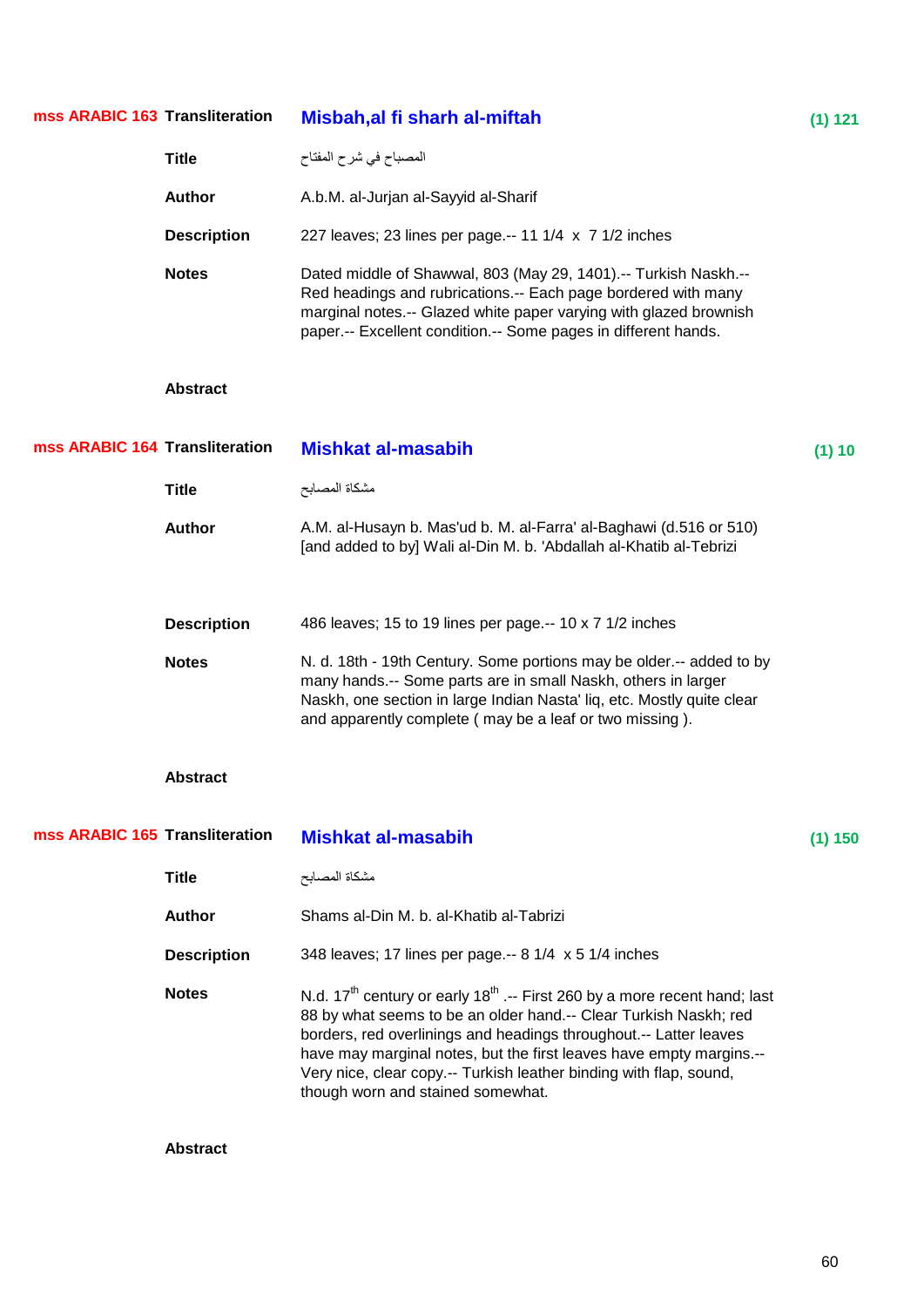| mss ARABIC 163 Transliteration |                    | Misbah, al fi sharh al-miftah                                                                                                                                                                                                                                                                                                                                                                                                | (1) 121   |
|--------------------------------|--------------------|------------------------------------------------------------------------------------------------------------------------------------------------------------------------------------------------------------------------------------------------------------------------------------------------------------------------------------------------------------------------------------------------------------------------------|-----------|
|                                | <b>Title</b>       | المصباح في شرح المفتاح                                                                                                                                                                                                                                                                                                                                                                                                       |           |
|                                | <b>Author</b>      | A.b.M. al-Jurjan al-Sayyid al-Sharif                                                                                                                                                                                                                                                                                                                                                                                         |           |
|                                | <b>Description</b> | 227 leaves; 23 lines per page.-- 11 1/4 x 7 1/2 inches                                                                                                                                                                                                                                                                                                                                                                       |           |
|                                | <b>Notes</b>       | Dated middle of Shawwal, 803 (May 29, 1401).-- Turkish Naskh.--<br>Red headings and rubrications.-- Each page bordered with many<br>marginal notes.-- Glazed white paper varying with glazed brownish<br>paper.-- Excellent condition.-- Some pages in different hands.                                                                                                                                                      |           |
|                                | <b>Abstract</b>    |                                                                                                                                                                                                                                                                                                                                                                                                                              |           |
| mss ARABIC 164 Transliteration |                    | <b>Mishkat al-masabih</b>                                                                                                                                                                                                                                                                                                                                                                                                    | (1) 10    |
|                                | <b>Title</b>       | مشكاة المصابح                                                                                                                                                                                                                                                                                                                                                                                                                |           |
|                                | <b>Author</b>      | A.M. al-Husayn b. Mas'ud b. M. al-Farra' al-Baghawi (d.516 or 510)<br>[and added to by] Wali al-Din M. b. 'Abdallah al-Khatib al-Tebrizi                                                                                                                                                                                                                                                                                     |           |
|                                | <b>Description</b> | 486 leaves; 15 to 19 lines per page.-- 10 x 7 1/2 inches                                                                                                                                                                                                                                                                                                                                                                     |           |
|                                | <b>Notes</b>       | N. d. 18th - 19th Century. Some portions may be older.-- added to by<br>many hands.-- Some parts are in small Naskh, others in larger<br>Naskh, one section in large Indian Nasta' liq, etc. Mostly quite clear<br>and apparently complete (may be a leaf or two missing).                                                                                                                                                   |           |
|                                | <b>Abstract</b>    |                                                                                                                                                                                                                                                                                                                                                                                                                              |           |
| mss ARABIC 165 Transliteration |                    | <b>Mishkat al-masabih</b>                                                                                                                                                                                                                                                                                                                                                                                                    | $(1)$ 150 |
|                                | <b>Title</b>       | مشكاة المصابح                                                                                                                                                                                                                                                                                                                                                                                                                |           |
|                                | <b>Author</b>      | Shams al-Din M. b. al-Khatib al-Tabrizi                                                                                                                                                                                                                                                                                                                                                                                      |           |
|                                | <b>Description</b> | 348 leaves; 17 lines per page.-- 8 1/4 x 5 1/4 inches                                                                                                                                                                                                                                                                                                                                                                        |           |
|                                | <b>Notes</b>       | N.d. 17 <sup>th</sup> century or early 18 <sup>th</sup> .-- First 260 by a more recent hand; last<br>88 by what seems to be an older hand.-- Clear Turkish Naskh; red<br>borders, red overlinings and headings throughout.-- Latter leaves<br>have may marginal notes, but the first leaves have empty margins.--<br>Very nice, clear copy.-- Turkish leather binding with flap, sound,<br>though worn and stained somewhat. |           |
|                                | <b>Abstract</b>    |                                                                                                                                                                                                                                                                                                                                                                                                                              |           |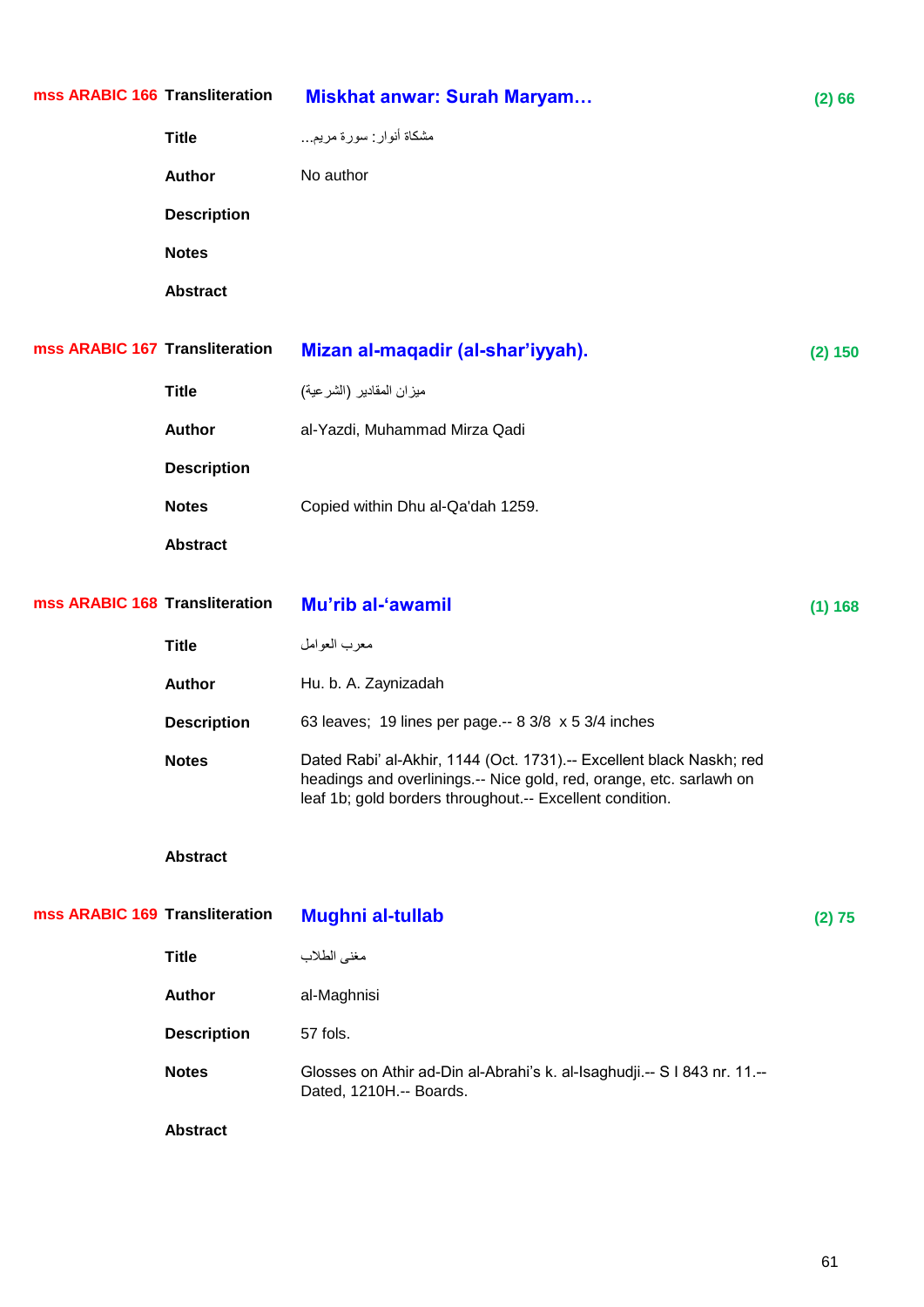| mss ARABIC 166 Transliteration |                    | <b>Miskhat anwar: Surah Maryam</b>                                                                                                                                                                      | (2) 66  |
|--------------------------------|--------------------|---------------------------------------------------------------------------------------------------------------------------------------------------------------------------------------------------------|---------|
|                                | <b>Title</b>       | مشكاة أنوار : سورة مريم                                                                                                                                                                                 |         |
|                                | <b>Author</b>      | No author                                                                                                                                                                                               |         |
|                                | <b>Description</b> |                                                                                                                                                                                                         |         |
|                                | <b>Notes</b>       |                                                                                                                                                                                                         |         |
|                                | <b>Abstract</b>    |                                                                                                                                                                                                         |         |
| mss ARABIC 167 Transliteration |                    | Mizan al-maqadir (al-shar'iyyah).                                                                                                                                                                       | (2) 150 |
|                                | <b>Title</b>       | ميزان المقادير (الشرعية)                                                                                                                                                                                |         |
|                                | <b>Author</b>      | al-Yazdi, Muhammad Mirza Qadi                                                                                                                                                                           |         |
|                                | <b>Description</b> |                                                                                                                                                                                                         |         |
|                                | <b>Notes</b>       | Copied within Dhu al-Qa'dah 1259.                                                                                                                                                                       |         |
|                                | <b>Abstract</b>    |                                                                                                                                                                                                         |         |
| mss ARABIC 168 Transliteration |                    | Mu'rib al-'awamil                                                                                                                                                                                       | (1) 168 |
|                                | <b>Title</b>       | معرب العوامل                                                                                                                                                                                            |         |
|                                | <b>Author</b>      | Hu. b. A. Zaynizadah                                                                                                                                                                                    |         |
|                                | <b>Description</b> | 63 leaves; 19 lines per page .-- 8 3/8 x 5 3/4 inches                                                                                                                                                   |         |
|                                | <b>Notes</b>       | Dated Rabi' al-Akhir, 1144 (Oct. 1731).-- Excellent black Naskh; red<br>headings and overlinings.-- Nice gold, red, orange, etc. sarlawh on<br>leaf 1b; gold borders throughout.-- Excellent condition. |         |
|                                | <b>Abstract</b>    |                                                                                                                                                                                                         |         |
| mss ARABIC 169 Transliteration |                    | <b>Mughni al-tullab</b>                                                                                                                                                                                 | (2) 75  |
|                                | <b>Title</b>       | مغنى الطلاب                                                                                                                                                                                             |         |
|                                | <b>Author</b>      | al-Maghnisi                                                                                                                                                                                             |         |
|                                | <b>Description</b> | 57 fols.                                                                                                                                                                                                |         |
|                                | <b>Notes</b>       | Glosses on Athir ad-Din al-Abrahi's k. al-Isaghudji.-- S I 843 nr. 11.--<br>Dated, 1210H.-- Boards.                                                                                                     |         |
|                                | <b>Abstract</b>    |                                                                                                                                                                                                         |         |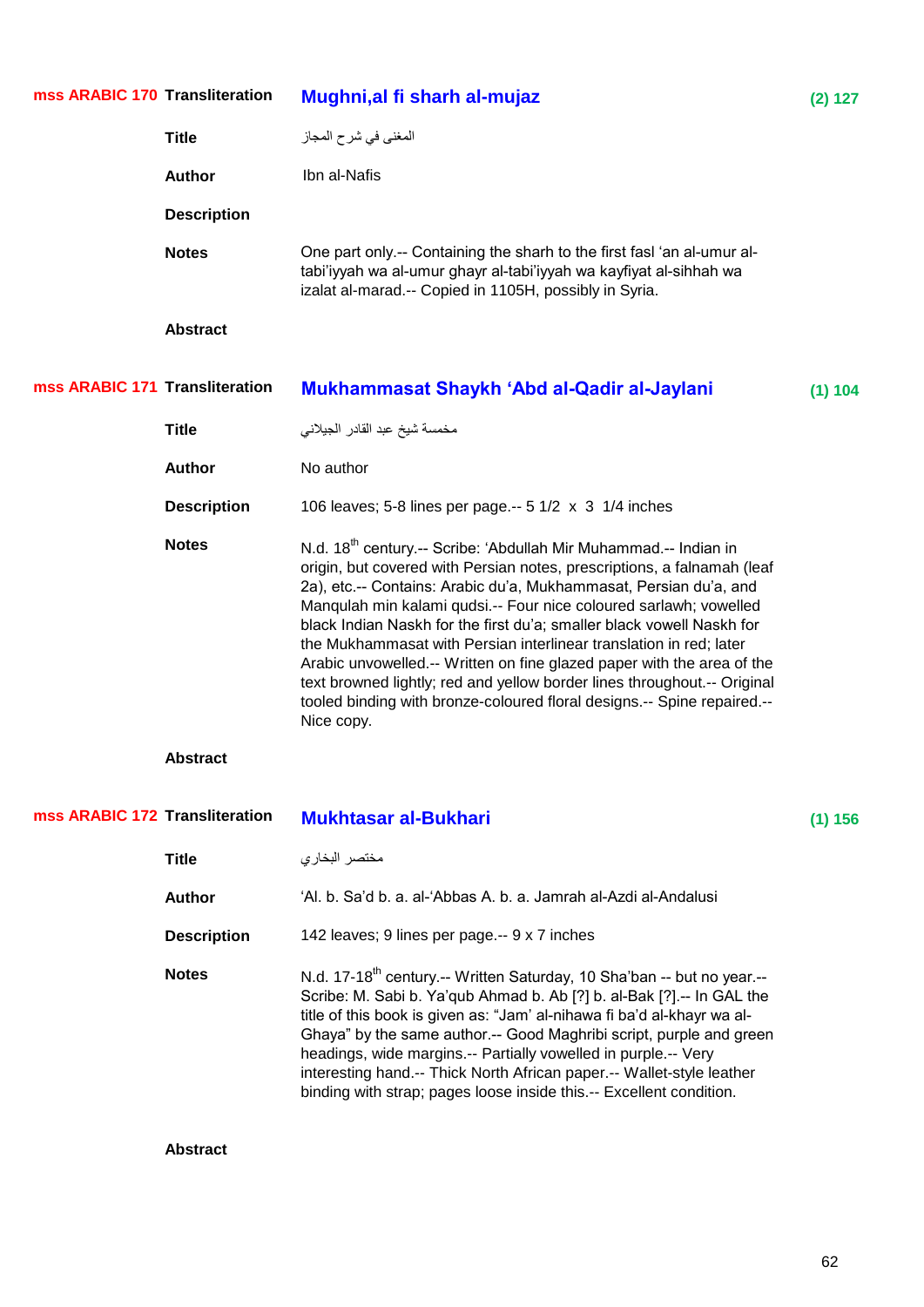| mss ARABIC 170 Transliteration |                    | Mughni, al fi sharh al-mujaz                                                                                                                                                                                                                                                                                                                                                                                                                                                                                                                                                                                                                                                                    | (2) 127 |
|--------------------------------|--------------------|-------------------------------------------------------------------------------------------------------------------------------------------------------------------------------------------------------------------------------------------------------------------------------------------------------------------------------------------------------------------------------------------------------------------------------------------------------------------------------------------------------------------------------------------------------------------------------------------------------------------------------------------------------------------------------------------------|---------|
|                                | <b>Title</b>       | المغني في شرح المجاز                                                                                                                                                                                                                                                                                                                                                                                                                                                                                                                                                                                                                                                                            |         |
|                                | <b>Author</b>      | Ibn al-Nafis                                                                                                                                                                                                                                                                                                                                                                                                                                                                                                                                                                                                                                                                                    |         |
|                                | <b>Description</b> |                                                                                                                                                                                                                                                                                                                                                                                                                                                                                                                                                                                                                                                                                                 |         |
|                                | <b>Notes</b>       | One part only.-- Containing the sharh to the first fasl 'an al-umur al-<br>tabi'iyyah wa al-umur ghayr al-tabi'iyyah wa kayfiyat al-sihhah wa<br>izalat al-marad.-- Copied in 1105H, possibly in Syria.                                                                                                                                                                                                                                                                                                                                                                                                                                                                                         |         |
|                                | <b>Abstract</b>    |                                                                                                                                                                                                                                                                                                                                                                                                                                                                                                                                                                                                                                                                                                 |         |
| mss ARABIC 171 Transliteration |                    | Mukhammasat Shaykh 'Abd al-Qadir al-Jaylani                                                                                                                                                                                                                                                                                                                                                                                                                                                                                                                                                                                                                                                     | (1) 104 |
|                                | <b>Title</b>       | مخمسة شيخ عبد القادر الجيلاني                                                                                                                                                                                                                                                                                                                                                                                                                                                                                                                                                                                                                                                                   |         |
|                                | <b>Author</b>      | No author                                                                                                                                                                                                                                                                                                                                                                                                                                                                                                                                                                                                                                                                                       |         |
|                                | <b>Description</b> | 106 leaves; 5-8 lines per page .-- 5 1/2 x 3 1/4 inches                                                                                                                                                                                                                                                                                                                                                                                                                                                                                                                                                                                                                                         |         |
|                                | <b>Notes</b>       | N.d. 18 <sup>th</sup> century.-- Scribe: 'Abdullah Mir Muhammad.-- Indian in<br>origin, but covered with Persian notes, prescriptions, a falnamah (leaf<br>2a), etc.-- Contains: Arabic du'a, Mukhammasat, Persian du'a, and<br>Manqulah min kalami qudsi.-- Four nice coloured sarlawh; vowelled<br>black Indian Naskh for the first du'a; smaller black vowell Naskh for<br>the Mukhammasat with Persian interlinear translation in red; later<br>Arabic unvowelled.-- Written on fine glazed paper with the area of the<br>text browned lightly; red and yellow border lines throughout.-- Original<br>tooled binding with bronze-coloured floral designs.-- Spine repaired.--<br>Nice copy. |         |
|                                | <b>Abstract</b>    |                                                                                                                                                                                                                                                                                                                                                                                                                                                                                                                                                                                                                                                                                                 |         |
| mss ARABIC 172 Transliteration |                    | <b>Mukhtasar al-Bukhari</b>                                                                                                                                                                                                                                                                                                                                                                                                                                                                                                                                                                                                                                                                     | (1) 156 |
|                                | <b>Title</b>       | مختصر البخاري                                                                                                                                                                                                                                                                                                                                                                                                                                                                                                                                                                                                                                                                                   |         |
|                                | <b>Author</b>      | 'Al. b. Sa'd b. a. al-'Abbas A. b. a. Jamrah al-Azdi al-Andalusi                                                                                                                                                                                                                                                                                                                                                                                                                                                                                                                                                                                                                                |         |
|                                | <b>Description</b> | 142 leaves; 9 lines per page.-- 9 x 7 inches                                                                                                                                                                                                                                                                                                                                                                                                                                                                                                                                                                                                                                                    |         |
|                                | <b>Notes</b>       | N.d. 17-18 <sup>th</sup> century.-- Written Saturday, 10 Sha'ban -- but no year.--<br>Scribe: M. Sabi b. Ya'qub Ahmad b. Ab [?] b. al-Bak [?].-- In GAL the<br>title of this book is given as: "Jam' al-nihawa fi ba'd al-khayr wa al-<br>Ghaya" by the same author.-- Good Maghribi script, purple and green<br>headings, wide margins.-- Partially vowelled in purple.-- Very<br>interesting hand.-- Thick North African paper.-- Wallet-style leather<br>binding with strap; pages loose inside this.-- Excellent condition.                                                                                                                                                                 |         |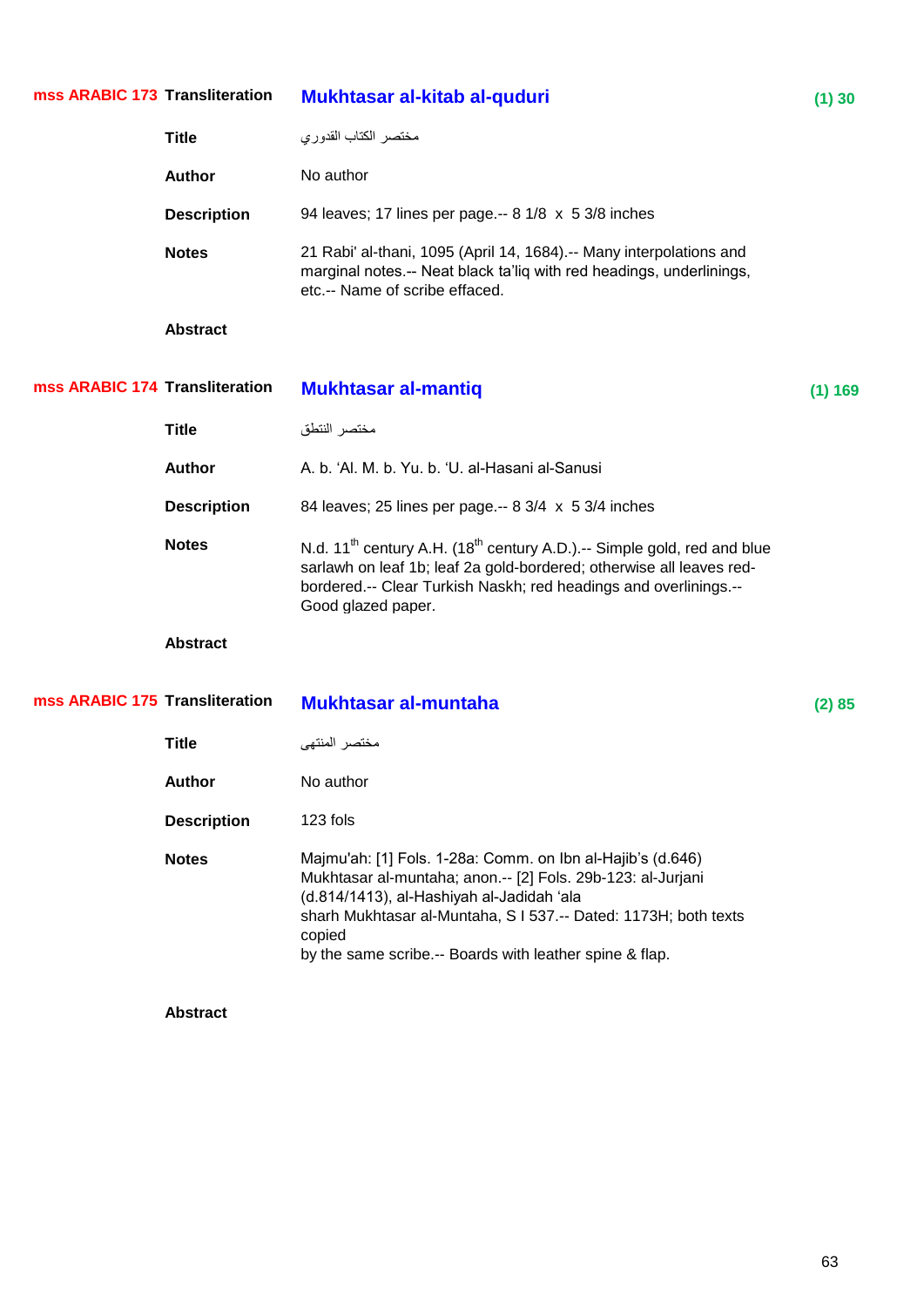| mss ARABIC 173 Transliteration |                    | Mukhtasar al-kitab al-quduri                                                                                                                                                                                                                                                                                    | (1)30   |
|--------------------------------|--------------------|-----------------------------------------------------------------------------------------------------------------------------------------------------------------------------------------------------------------------------------------------------------------------------------------------------------------|---------|
|                                | <b>Title</b>       | مختصر الكتاب القدوري                                                                                                                                                                                                                                                                                            |         |
|                                | <b>Author</b>      | No author                                                                                                                                                                                                                                                                                                       |         |
|                                | <b>Description</b> | 94 leaves; 17 lines per page.-- 8 1/8 x 5 3/8 inches                                                                                                                                                                                                                                                            |         |
|                                | <b>Notes</b>       | 21 Rabi' al-thani, 1095 (April 14, 1684).-- Many interpolations and<br>marginal notes.-- Neat black ta'liq with red headings, underlinings,<br>etc.-- Name of scribe effaced.                                                                                                                                   |         |
|                                | <b>Abstract</b>    |                                                                                                                                                                                                                                                                                                                 |         |
| mss ARABIC 174 Transliteration |                    | <b>Mukhtasar al-mantiq</b>                                                                                                                                                                                                                                                                                      | (1) 169 |
|                                | <b>Title</b>       | مختصر النتطق                                                                                                                                                                                                                                                                                                    |         |
|                                | <b>Author</b>      | A. b. 'Al. M. b. Yu. b. 'U. al-Hasani al-Sanusi                                                                                                                                                                                                                                                                 |         |
|                                | <b>Description</b> | 84 leaves; 25 lines per page.-- 8 3/4 x 5 3/4 inches                                                                                                                                                                                                                                                            |         |
|                                | <b>Notes</b>       | N.d. 11 <sup>th</sup> century A.H. (18 <sup>th</sup> century A.D.).-- Simple gold, red and blue<br>sarlawh on leaf 1b; leaf 2a gold-bordered; otherwise all leaves red-<br>bordered.-- Clear Turkish Naskh; red headings and overlinings.--<br>Good glazed paper.                                               |         |
|                                | <b>Abstract</b>    |                                                                                                                                                                                                                                                                                                                 |         |
| mss ARABIC 175 Transliteration |                    | <b>Mukhtasar al-muntaha</b>                                                                                                                                                                                                                                                                                     | (2) 85  |
|                                | <b>Title</b>       | مختصر المنتهى                                                                                                                                                                                                                                                                                                   |         |
|                                | <b>Author</b>      | No author                                                                                                                                                                                                                                                                                                       |         |
|                                | <b>Description</b> | 123 fols                                                                                                                                                                                                                                                                                                        |         |
|                                | <b>Notes</b>       | Majmu'ah: [1] Fols. 1-28a: Comm. on Ibn al-Hajib's (d.646)<br>Mukhtasar al-muntaha; anon.-- [2] Fols. 29b-123: al-Jurjani<br>(d.814/1413), al-Hashiyah al-Jadidah 'ala<br>sharh Mukhtasar al-Muntaha, S I 537 .-- Dated: 1173H; both texts<br>copied<br>by the same scribe.-- Boards with leather spine & flap. |         |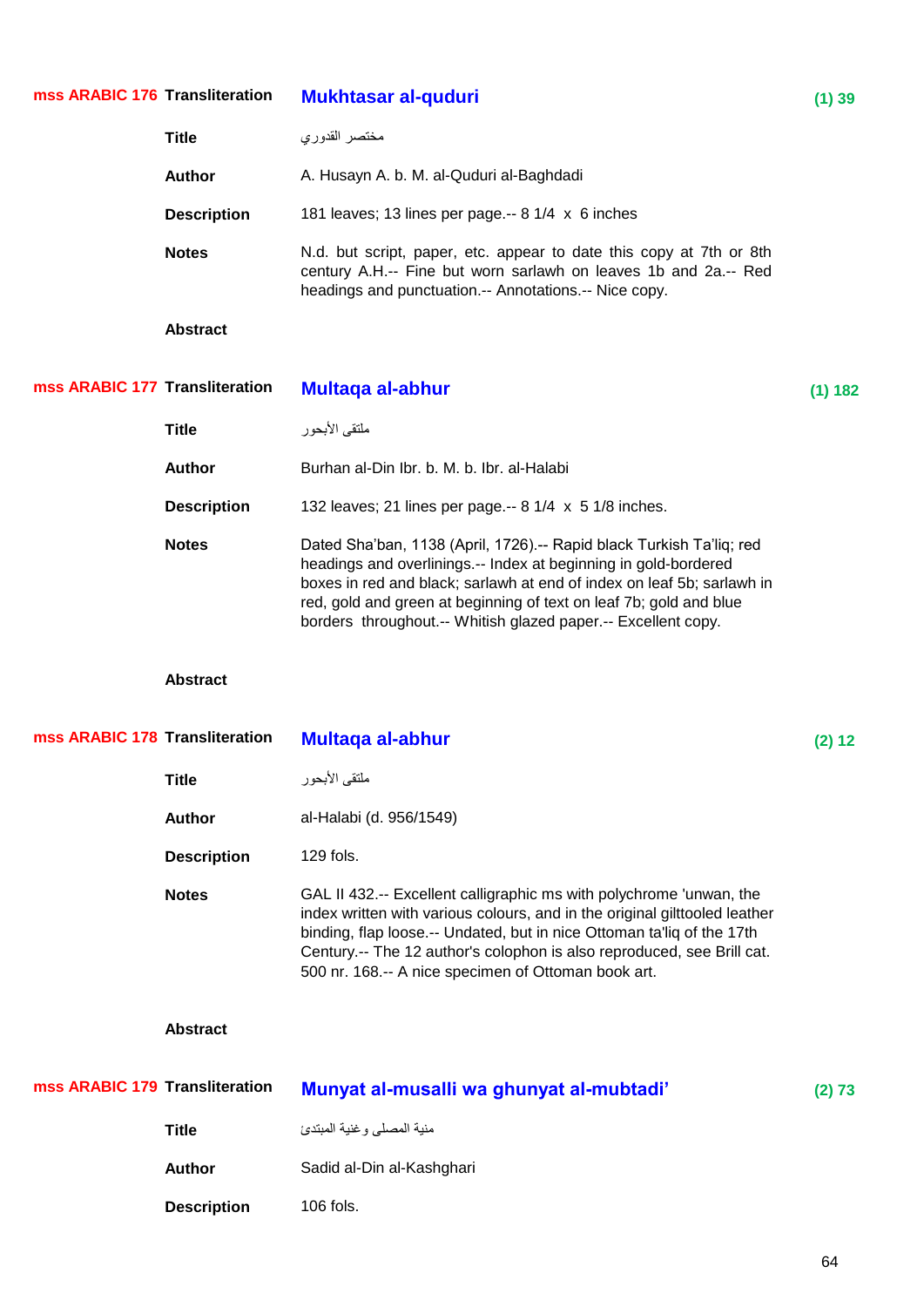| mss ARABIC 176 Transliteration |                    | <b>Mukhtasar al-quduri</b>                                                                                                                                                                                                                                                                                                                                    | (1) 39  |
|--------------------------------|--------------------|---------------------------------------------------------------------------------------------------------------------------------------------------------------------------------------------------------------------------------------------------------------------------------------------------------------------------------------------------------------|---------|
|                                | <b>Title</b>       | مختصر القدوري                                                                                                                                                                                                                                                                                                                                                 |         |
|                                | <b>Author</b>      | A. Husayn A. b. M. al-Quduri al-Baghdadi                                                                                                                                                                                                                                                                                                                      |         |
|                                | <b>Description</b> | 181 leaves; 13 lines per page.-- 8 1/4 x 6 inches                                                                                                                                                                                                                                                                                                             |         |
|                                | <b>Notes</b>       | N.d. but script, paper, etc. appear to date this copy at 7th or 8th<br>century A.H.-- Fine but worn sarlawh on leaves 1b and 2a.-- Red<br>headings and punctuation.-- Annotations.-- Nice copy.                                                                                                                                                               |         |
|                                | <b>Abstract</b>    |                                                                                                                                                                                                                                                                                                                                                               |         |
| mss ARABIC 177 Transliteration |                    | <b>Multaga al-abhur</b>                                                                                                                                                                                                                                                                                                                                       | (1) 182 |
|                                | <b>Title</b>       | ملتقى الأبحور                                                                                                                                                                                                                                                                                                                                                 |         |
|                                | <b>Author</b>      | Burhan al-Din Ibr. b. M. b. Ibr. al-Halabi                                                                                                                                                                                                                                                                                                                    |         |
|                                | <b>Description</b> | 132 leaves; 21 lines per page.-- 8 1/4 x 5 1/8 inches.                                                                                                                                                                                                                                                                                                        |         |
|                                | <b>Notes</b>       | Dated Sha'ban, 1138 (April, 1726).-- Rapid black Turkish Ta'liq; red<br>headings and overlinings.-- Index at beginning in gold-bordered<br>boxes in red and black; sarlawh at end of index on leaf 5b; sarlawh in<br>red, gold and green at beginning of text on leaf 7b; gold and blue<br>borders throughout.-- Whitish glazed paper.-- Excellent copy.      |         |
|                                |                    |                                                                                                                                                                                                                                                                                                                                                               |         |
|                                | <b>Abstract</b>    |                                                                                                                                                                                                                                                                                                                                                               |         |
| mss ARABIC 178 Transliteration |                    | <b>Multaga al-abhur</b>                                                                                                                                                                                                                                                                                                                                       | (2) 12  |
|                                | Title              | ملتقى الأبحور                                                                                                                                                                                                                                                                                                                                                 |         |
|                                | <b>Author</b>      | al-Halabi (d. 956/1549)                                                                                                                                                                                                                                                                                                                                       |         |
|                                | <b>Description</b> | 129 fols.                                                                                                                                                                                                                                                                                                                                                     |         |
|                                | <b>Notes</b>       | GAL II 432.-- Excellent calligraphic ms with polychrome 'unwan, the<br>index written with various colours, and in the original gilttooled leather<br>binding, flap loose.-- Undated, but in nice Ottoman ta'liq of the 17th<br>Century.-- The 12 author's colophon is also reproduced, see Brill cat.<br>500 nr. 168 .-- A nice specimen of Ottoman book art. |         |
|                                | <b>Abstract</b>    |                                                                                                                                                                                                                                                                                                                                                               |         |
| mss ARABIC 179 Transliteration |                    | Munyat al-musalli wa ghunyat al-mubtadi'                                                                                                                                                                                                                                                                                                                      | (2) 73  |
|                                | <b>Title</b>       | منية المصلى وغنية المبتدئ                                                                                                                                                                                                                                                                                                                                     |         |
|                                | <b>Author</b>      | Sadid al-Din al-Kashghari                                                                                                                                                                                                                                                                                                                                     |         |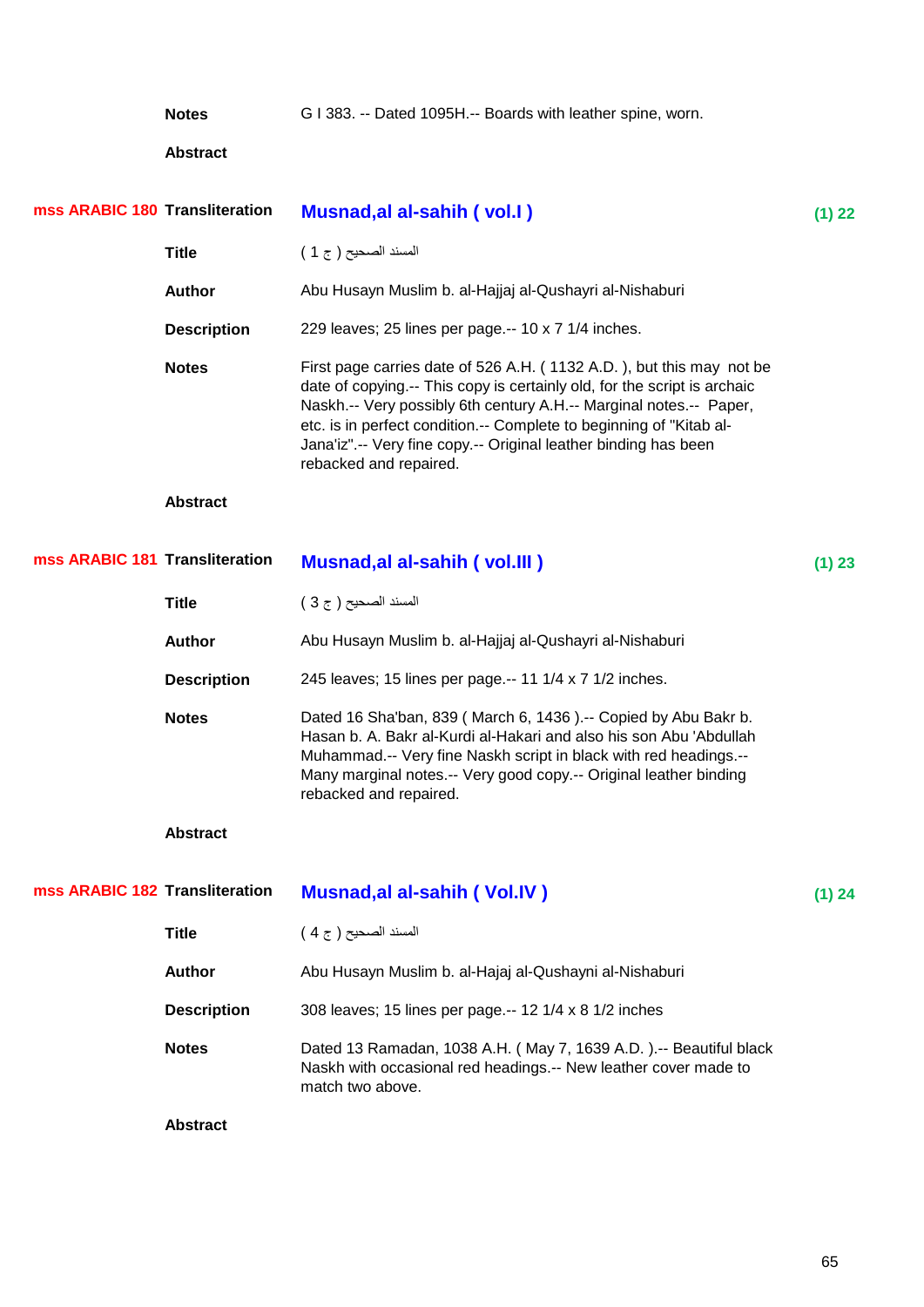**Notes** G I 383. -- Dated 1095H.-- Boards with leather spine, worn.

| mss ARABIC 180 Transliteration |                    | <b>Musnad, al al-sahih (vol.I)</b>                                                                                                                                                                                                                                                                                                                                                           | (1) 22 |
|--------------------------------|--------------------|----------------------------------------------------------------------------------------------------------------------------------------------------------------------------------------------------------------------------------------------------------------------------------------------------------------------------------------------------------------------------------------------|--------|
|                                | <b>Title</b>       | المسند الصحيح ( ج 1 )                                                                                                                                                                                                                                                                                                                                                                        |        |
|                                | <b>Author</b>      | Abu Husayn Muslim b. al-Hajjaj al-Qushayri al-Nishaburi                                                                                                                                                                                                                                                                                                                                      |        |
|                                | <b>Description</b> | 229 leaves; 25 lines per page .-- 10 x 7 1/4 inches.                                                                                                                                                                                                                                                                                                                                         |        |
|                                | <b>Notes</b>       | First page carries date of 526 A.H. (1132 A.D.), but this may not be<br>date of copying.-- This copy is certainly old, for the script is archaic<br>Naskh.-- Very possibly 6th century A.H.-- Marginal notes.-- Paper,<br>etc. is in perfect condition.-- Complete to beginning of "Kitab al-<br>Jana'iz" .-- Very fine copy .-- Original leather binding has been<br>rebacked and repaired. |        |
|                                | <b>Abstract</b>    |                                                                                                                                                                                                                                                                                                                                                                                              |        |
| mss ARABIC 181 Transliteration |                    | <b>Musnad, al al-sahih (vol. III)</b>                                                                                                                                                                                                                                                                                                                                                        | (1) 23 |
|                                | <b>Title</b>       | المسند الصحيح ( ج 3 )                                                                                                                                                                                                                                                                                                                                                                        |        |
|                                | <b>Author</b>      | Abu Husayn Muslim b. al-Hajjaj al-Qushayri al-Nishaburi                                                                                                                                                                                                                                                                                                                                      |        |
|                                | <b>Description</b> | 245 leaves; 15 lines per page.-- 11 1/4 x 7 1/2 inches.                                                                                                                                                                                                                                                                                                                                      |        |
|                                | <b>Notes</b>       | Dated 16 Sha'ban, 839 (March 6, 1436).-- Copied by Abu Bakr b.<br>Hasan b. A. Bakr al-Kurdi al-Hakari and also his son Abu 'Abdullah<br>Muhammad .-- Very fine Naskh script in black with red headings .--<br>Many marginal notes.-- Very good copy.-- Original leather binding<br>rebacked and repaired.                                                                                    |        |
|                                | <b>Abstract</b>    |                                                                                                                                                                                                                                                                                                                                                                                              |        |
| mss ARABIC 182 Transliteration |                    | <b>Musnad, al al-sahih (Vol.IV)</b>                                                                                                                                                                                                                                                                                                                                                          | (1) 24 |
|                                | <b>Title</b>       | المسند الصحيح ( ج 4 )                                                                                                                                                                                                                                                                                                                                                                        |        |
|                                | <b>Author</b>      | Abu Husayn Muslim b. al-Hajaj al-Qushayni al-Nishaburi                                                                                                                                                                                                                                                                                                                                       |        |
|                                | <b>Description</b> | 308 leaves; 15 lines per page.-- 12 1/4 x 8 1/2 inches                                                                                                                                                                                                                                                                                                                                       |        |
|                                | <b>Notes</b>       | Dated 13 Ramadan, 1038 A.H. (May 7, 1639 A.D.).-- Beautiful black<br>Naskh with occasional red headings.-- New leather cover made to<br>match two above.                                                                                                                                                                                                                                     |        |
|                                | <b>Abstract</b>    |                                                                                                                                                                                                                                                                                                                                                                                              |        |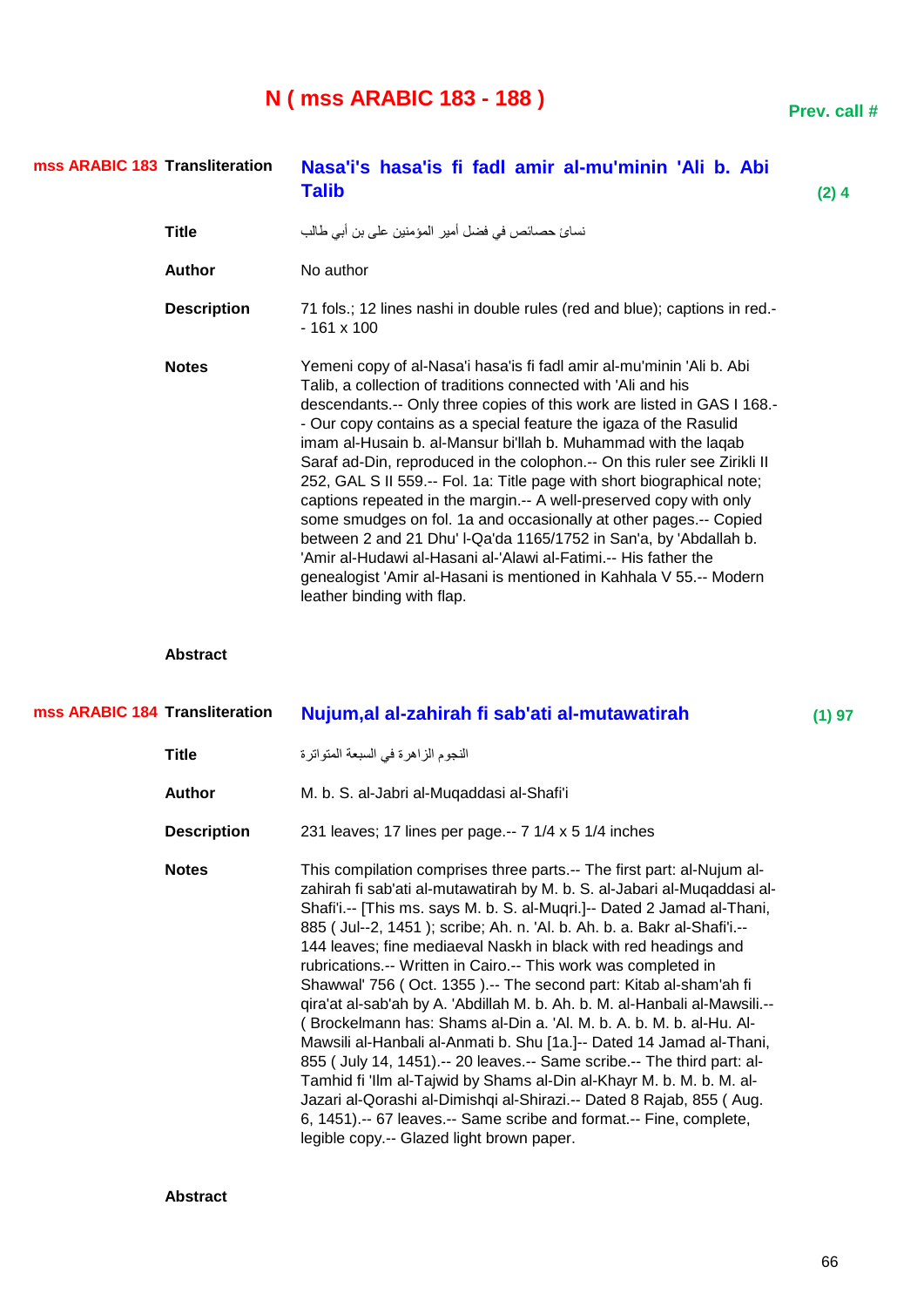## **N ( mss ARABIC 183 - 188 )**

| ı |
|---|

| mss ARABIC 183 Transliteration |                    | Nasa'i's hasa'is fi fadl amir al-mu'minin 'Ali b. Abi<br><b>Talib</b>                                                                                                                                                                                                                                                                                                                                                                                                                                                                                                                                                                                                                                                                                                                                                                                                                                  | $(2)$ 4 |
|--------------------------------|--------------------|--------------------------------------------------------------------------------------------------------------------------------------------------------------------------------------------------------------------------------------------------------------------------------------------------------------------------------------------------------------------------------------------------------------------------------------------------------------------------------------------------------------------------------------------------------------------------------------------------------------------------------------------------------------------------------------------------------------------------------------------------------------------------------------------------------------------------------------------------------------------------------------------------------|---------|
|                                | <b>Title</b>       | نسائ حصـائص في فضل أمير المؤمنين على بن أبي طـالب                                                                                                                                                                                                                                                                                                                                                                                                                                                                                                                                                                                                                                                                                                                                                                                                                                                      |         |
|                                | <b>Author</b>      | No author                                                                                                                                                                                                                                                                                                                                                                                                                                                                                                                                                                                                                                                                                                                                                                                                                                                                                              |         |
|                                | <b>Description</b> | 71 fols.; 12 lines nashi in double rules (red and blue); captions in red.-<br>$-161 \times 100$                                                                                                                                                                                                                                                                                                                                                                                                                                                                                                                                                                                                                                                                                                                                                                                                        |         |
|                                | <b>Notes</b>       | Yemeni copy of al-Nasa'i hasa'is fi fadl amir al-mu'minin 'Ali b. Abi<br>Talib, a collection of traditions connected with 'Ali and his<br>descendants.-- Only three copies of this work are listed in GAS I 168.-<br>- Our copy contains as a special feature the igaza of the Rasulid<br>imam al-Husain b. al-Mansur bi'llah b. Muhammad with the laqab<br>Saraf ad-Din, reproduced in the colophon.-- On this ruler see Zirikli II<br>252, GAL S II 559 .-- Fol. 1a: Title page with short biographical note;<br>captions repeated in the margin.-- A well-preserved copy with only<br>some smudges on fol. 1a and occasionally at other pages.-- Copied<br>between 2 and 21 Dhu' I-Qa'da 1165/1752 in San'a, by 'Abdallah b.<br>'Amir al-Hudawi al-Hasani al-'Alawi al-Fatimi.-- His father the<br>genealogist 'Amir al-Hasani is mentioned in Kahhala V 55.-- Modern<br>leather binding with flap. |         |
|                                | <b>Abstract</b>    |                                                                                                                                                                                                                                                                                                                                                                                                                                                                                                                                                                                                                                                                                                                                                                                                                                                                                                        |         |
| mss ARABIC 184 Transliteration |                    | Nujum, al al-zahirah fi sab'ati al-mutawatirah                                                                                                                                                                                                                                                                                                                                                                                                                                                                                                                                                                                                                                                                                                                                                                                                                                                         | (1) 97  |
|                                | <b>Title</b>       | النجوم الزاهرة في السبعة المتواترة                                                                                                                                                                                                                                                                                                                                                                                                                                                                                                                                                                                                                                                                                                                                                                                                                                                                     |         |
|                                | <b>Author</b>      | M. b. S. al-Jabri al-Muqaddasi al-Shafi'i                                                                                                                                                                                                                                                                                                                                                                                                                                                                                                                                                                                                                                                                                                                                                                                                                                                              |         |
|                                | <b>Description</b> | 231 leaves; 17 lines per page.-- 7 1/4 x 5 1/4 inches                                                                                                                                                                                                                                                                                                                                                                                                                                                                                                                                                                                                                                                                                                                                                                                                                                                  |         |
|                                | <b>Notes</b>       | This compilation comprises three parts.-- The first part: al-Nujum al-<br>zahirah fi sab'ati al-mutawatirah by M. b. S. al-Jabari al-Muqaddasi al-<br>Shafi'i.-- [This ms. says M. b. S. al-Muqri.]-- Dated 2 Jamad al-Thani,<br>885 (Jul--2, 1451); scribe; Ah. n. 'Al. b. Ah. b. a. Bakr al-Shafi'i.--<br>144 leaves; fine mediaeval Naskh in black with red headings and<br>rubrications.-- Written in Cairo.-- This work was completed in<br>Shawwal' 756 (Oct. 1355).-- The second part: Kitab al-sham'ah fi<br>qira'at al-sab'ah by A. 'Abdillah M. b. Ah. b. M. al-Hanbali al-Mawsili.--<br>(Brockelmann has: Shams al-Din a. 'Al. M. b. A. b. M. b. al-Hu. Al-<br>Mawsili al-Hanbali al-Anmati b. Shu [1a.]-- Dated 14 Jamad al-Thani,<br>855 ( July 14, 1451).-- 20 leaves.-- Same scribe.-- The third part: al-                                                                              |         |

Tamhid fi 'Ilm al-Tajwid by Shams al-Din al-Khayr M. b. M. b. M. al-Jazari al-Qorashi al-Dimishqi al-Shirazi.-- Dated 8 Rajab, 855 ( Aug. 6, 1451).-- 67 leaves.-- Same scribe and format.-- Fine, complete,

legible copy.-- Glazed light brown paper.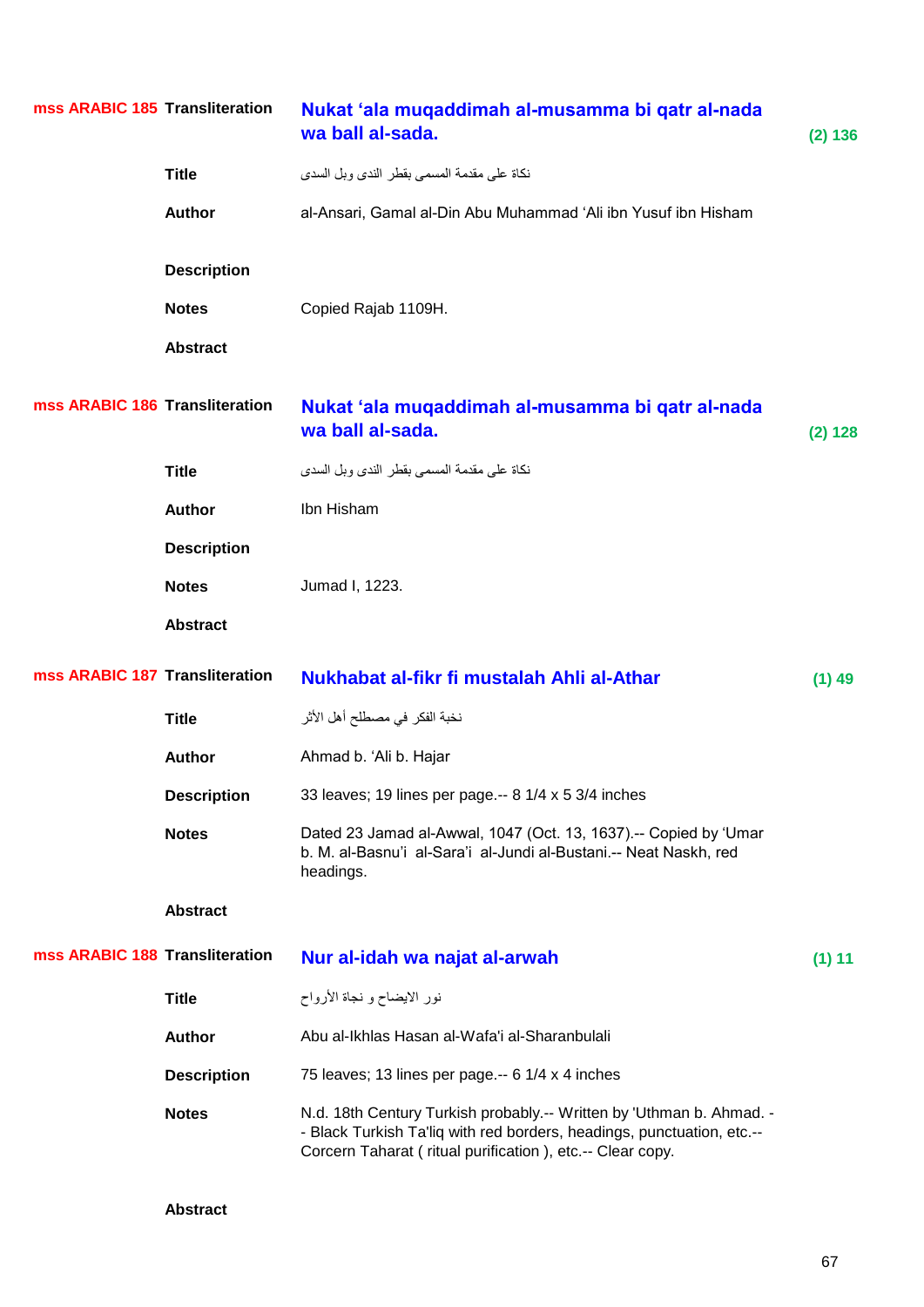| mss ARABIC 185 Transliteration |                    | Nukat 'ala muqaddimah al-musamma bi qatr al-nada<br>wa ball al-sada.                                                                                                                                        | (2) 136  |
|--------------------------------|--------------------|-------------------------------------------------------------------------------------------------------------------------------------------------------------------------------------------------------------|----------|
|                                | <b>Title</b>       | نكاة على مقدمة المسمى بقطر الندى وبل السدى                                                                                                                                                                  |          |
|                                | <b>Author</b>      | al-Ansari, Gamal al-Din Abu Muhammad 'Ali ibn Yusuf ibn Hisham                                                                                                                                              |          |
|                                | <b>Description</b> |                                                                                                                                                                                                             |          |
|                                | <b>Notes</b>       | Copied Rajab 1109H.                                                                                                                                                                                         |          |
|                                | <b>Abstract</b>    |                                                                                                                                                                                                             |          |
| mss ARABIC 186 Transliteration |                    | Nukat 'ala muqaddimah al-musamma bi qatr al-nada<br>wa ball al-sada.                                                                                                                                        | (2) 128  |
|                                | <b>Title</b>       | نكاة على مقدمة المسمى بقطر الندى وبل السدى                                                                                                                                                                  |          |
|                                | <b>Author</b>      | Ibn Hisham                                                                                                                                                                                                  |          |
|                                | <b>Description</b> |                                                                                                                                                                                                             |          |
|                                | <b>Notes</b>       | Jumad I, 1223.                                                                                                                                                                                              |          |
|                                | <b>Abstract</b>    |                                                                                                                                                                                                             |          |
| mss ARABIC 187 Transliteration |                    | Nukhabat al-fikr fi mustalah Ahli al-Athar                                                                                                                                                                  | $(1)$ 49 |
|                                | <b>Title</b>       | نخبة الفكر في مصطلح أهل الأثر                                                                                                                                                                               |          |
|                                | <b>Author</b>      | Ahmad b. 'Ali b. Hajar                                                                                                                                                                                      |          |
|                                | <b>Description</b> | 33 leaves; 19 lines per page .-- 8 1/4 x 5 3/4 inches                                                                                                                                                       |          |
|                                | <b>Notes</b>       | Dated 23 Jamad al-Awwal, 1047 (Oct. 13, 1637).-- Copied by 'Umar<br>b. M. al-Basnu'i al-Sara'i al-Jundi al-Bustani.-- Neat Naskh, red<br>headings.                                                          |          |
|                                | <b>Abstract</b>    |                                                                                                                                                                                                             |          |
| mss ARABIC 188 Transliteration |                    | Nur al-idah wa najat al-arwah                                                                                                                                                                               | (1) 11   |
|                                | <b>Title</b>       | نور الايضاح و نجاة الأرواح                                                                                                                                                                                  |          |
|                                | <b>Author</b>      | Abu al-Ikhlas Hasan al-Wafa'i al-Sharanbulali                                                                                                                                                               |          |
|                                | <b>Description</b> | 75 leaves; 13 lines per page.-- 6 1/4 x 4 inches                                                                                                                                                            |          |
|                                | <b>Notes</b>       | N.d. 18th Century Turkish probably.-- Written by 'Uthman b. Ahmad. -<br>- Black Turkish Ta'liq with red borders, headings, punctuation, etc.--<br>Corcern Taharat (ritual purification), etc.-- Clear copy. |          |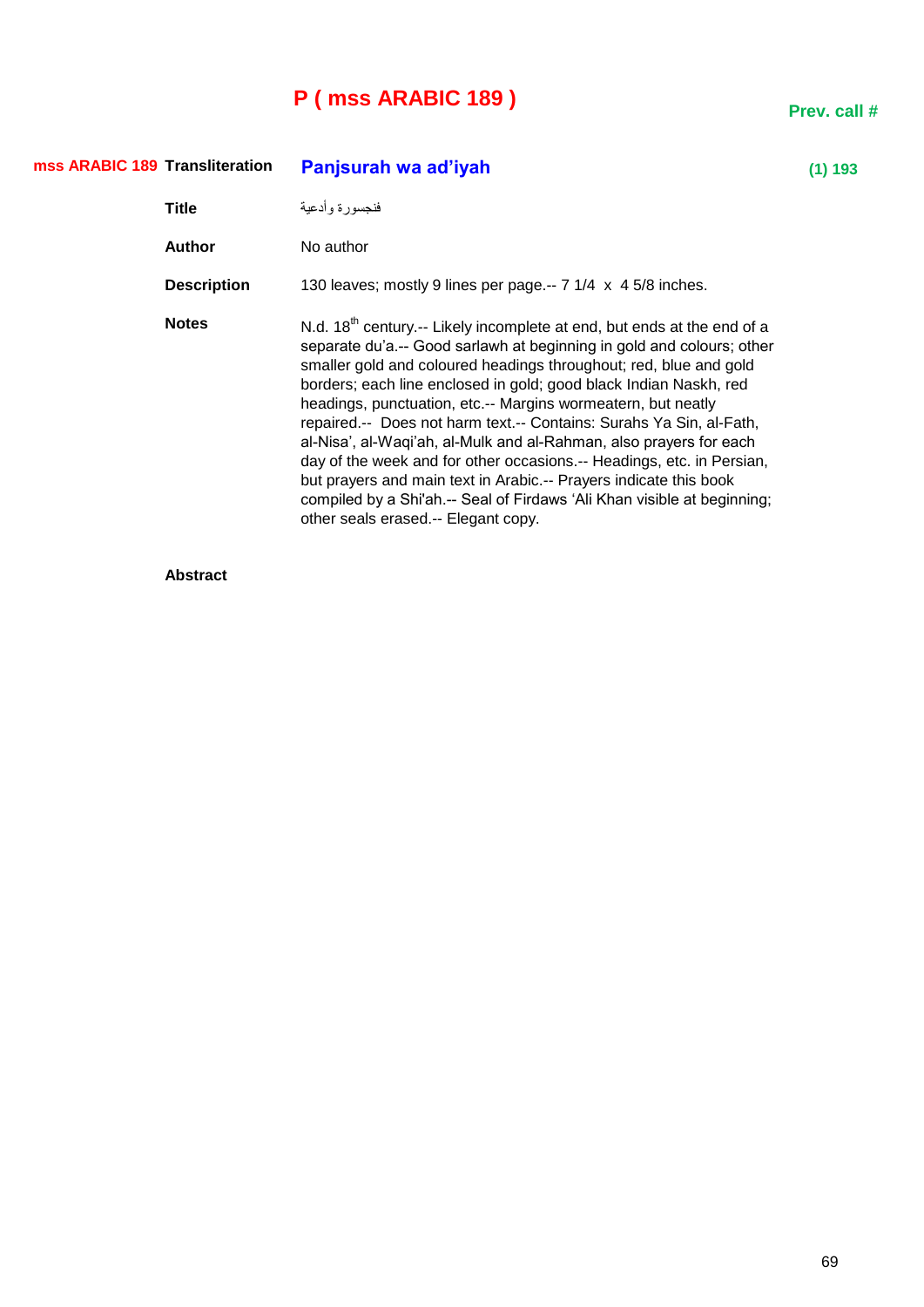# **P ( mss ARABIC 189 )**

| mss ARABIC 189 Transliteration |                    | Panjsurah wa ad'iyah                                                                                                                                                                                                                                                                                                                                                                                                                                                                                                                                                                                                                                                                                                                                                      | 193 ( |
|--------------------------------|--------------------|---------------------------------------------------------------------------------------------------------------------------------------------------------------------------------------------------------------------------------------------------------------------------------------------------------------------------------------------------------------------------------------------------------------------------------------------------------------------------------------------------------------------------------------------------------------------------------------------------------------------------------------------------------------------------------------------------------------------------------------------------------------------------|-------|
|                                | <b>Title</b>       | فنجسورة وأدعية                                                                                                                                                                                                                                                                                                                                                                                                                                                                                                                                                                                                                                                                                                                                                            |       |
|                                | <b>Author</b>      | No author                                                                                                                                                                                                                                                                                                                                                                                                                                                                                                                                                                                                                                                                                                                                                                 |       |
|                                | <b>Description</b> | 130 leaves; mostly 9 lines per page.-- 7 1/4 x 4 5/8 inches.                                                                                                                                                                                                                                                                                                                                                                                                                                                                                                                                                                                                                                                                                                              |       |
|                                | <b>Notes</b>       | N.d. $18th$ century.-- Likely incomplete at end, but ends at the end of a<br>separate du'a.-- Good sarlawh at beginning in gold and colours; other<br>smaller gold and coloured headings throughout; red, blue and gold<br>borders; each line enclosed in gold; good black Indian Naskh, red<br>headings, punctuation, etc.-- Margins wormeatern, but neatly<br>repaired.-- Does not harm text.-- Contains: Surahs Ya Sin, al-Fath,<br>al-Nisa', al-Waqi'ah, al-Mulk and al-Rahman, also prayers for each<br>day of the week and for other occasions.-- Headings, etc. in Persian,<br>but prayers and main text in Arabic.-- Prayers indicate this book<br>compiled by a Shi'ah.-- Seal of Firdaws 'Ali Khan visible at beginning;<br>other seals erased.-- Elegant copy. |       |

### **Abstract**

**Prev. call #**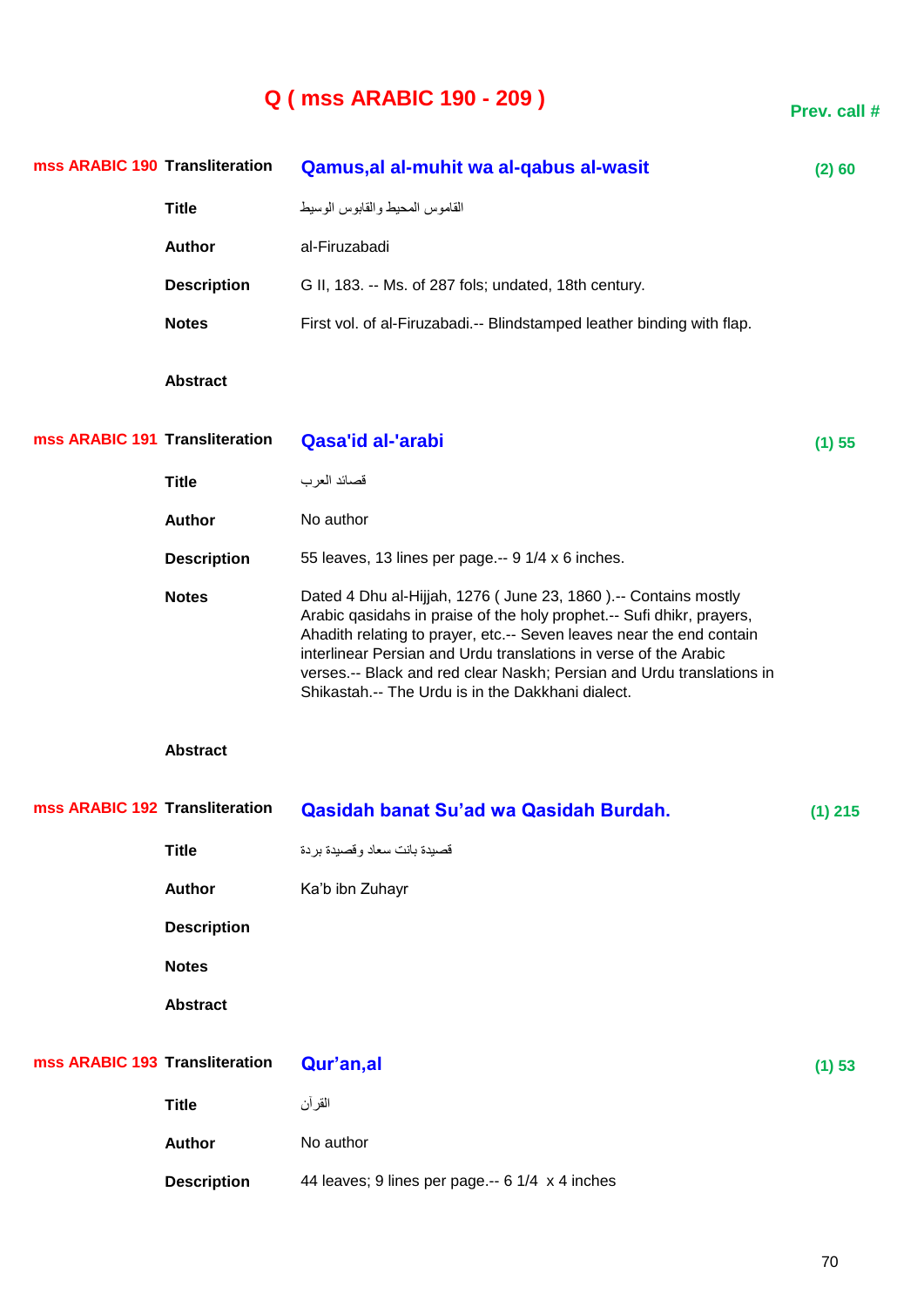# **Q ( mss ARABIC 190 - 209 )**

**Prev. call #**

| mss ARABIC 190 Transliteration |                    | Qamus, al al-muhit wa al-qabus al-wasit                                                                                                                                                                                                                                                                                                                                                                           | (2) 60    |
|--------------------------------|--------------------|-------------------------------------------------------------------------------------------------------------------------------------------------------------------------------------------------------------------------------------------------------------------------------------------------------------------------------------------------------------------------------------------------------------------|-----------|
|                                | <b>Title</b>       | القاموس المحيط والقابوس الوسيط                                                                                                                                                                                                                                                                                                                                                                                    |           |
|                                | <b>Author</b>      | al-Firuzabadi                                                                                                                                                                                                                                                                                                                                                                                                     |           |
|                                | <b>Description</b> | G II, 183. -- Ms. of 287 fols; undated, 18th century.                                                                                                                                                                                                                                                                                                                                                             |           |
|                                | <b>Notes</b>       | First vol. of al-Firuzabadi.-- Blindstamped leather binding with flap.                                                                                                                                                                                                                                                                                                                                            |           |
|                                | <b>Abstract</b>    |                                                                                                                                                                                                                                                                                                                                                                                                                   |           |
| mss ARABIC 191 Transliteration |                    | <b>Qasa'id al-'arabi</b>                                                                                                                                                                                                                                                                                                                                                                                          | (1) 55    |
|                                | <b>Title</b>       | قصائد العرب                                                                                                                                                                                                                                                                                                                                                                                                       |           |
|                                | <b>Author</b>      | No author                                                                                                                                                                                                                                                                                                                                                                                                         |           |
|                                | <b>Description</b> | 55 leaves, 13 lines per page.-- 9 1/4 x 6 inches.                                                                                                                                                                                                                                                                                                                                                                 |           |
|                                | <b>Notes</b>       | Dated 4 Dhu al-Hijjah, 1276 (June 23, 1860).-- Contains mostly<br>Arabic qasidahs in praise of the holy prophet.-- Sufi dhikr, prayers,<br>Ahadith relating to prayer, etc.-- Seven leaves near the end contain<br>interlinear Persian and Urdu translations in verse of the Arabic<br>verses.-- Black and red clear Naskh; Persian and Urdu translations in<br>Shikastah.-- The Urdu is in the Dakkhani dialect. |           |
|                                | <b>Abstract</b>    |                                                                                                                                                                                                                                                                                                                                                                                                                   |           |
| mss ARABIC 192 Transliteration |                    | Qasidah banat Su'ad wa Qasidah Burdah.                                                                                                                                                                                                                                                                                                                                                                            | $(1)$ 215 |
|                                | <b>Title</b>       | قصيدة بانت سعاد وقصيدة بردة                                                                                                                                                                                                                                                                                                                                                                                       |           |
|                                | <b>Author</b>      | Ka'b ibn Zuhayr                                                                                                                                                                                                                                                                                                                                                                                                   |           |
|                                | <b>Description</b> |                                                                                                                                                                                                                                                                                                                                                                                                                   |           |
|                                | <b>Notes</b>       |                                                                                                                                                                                                                                                                                                                                                                                                                   |           |
|                                | <b>Abstract</b>    |                                                                                                                                                                                                                                                                                                                                                                                                                   |           |
| mss ARABIC 193 Transliteration |                    | Qur'an,al                                                                                                                                                                                                                                                                                                                                                                                                         | (1) 53    |
|                                | <b>Title</b>       | القر آن                                                                                                                                                                                                                                                                                                                                                                                                           |           |
|                                | <b>Author</b>      | No author                                                                                                                                                                                                                                                                                                                                                                                                         |           |
|                                | <b>Description</b> | 44 leaves; 9 lines per page .-- 6 1/4 x 4 inches                                                                                                                                                                                                                                                                                                                                                                  |           |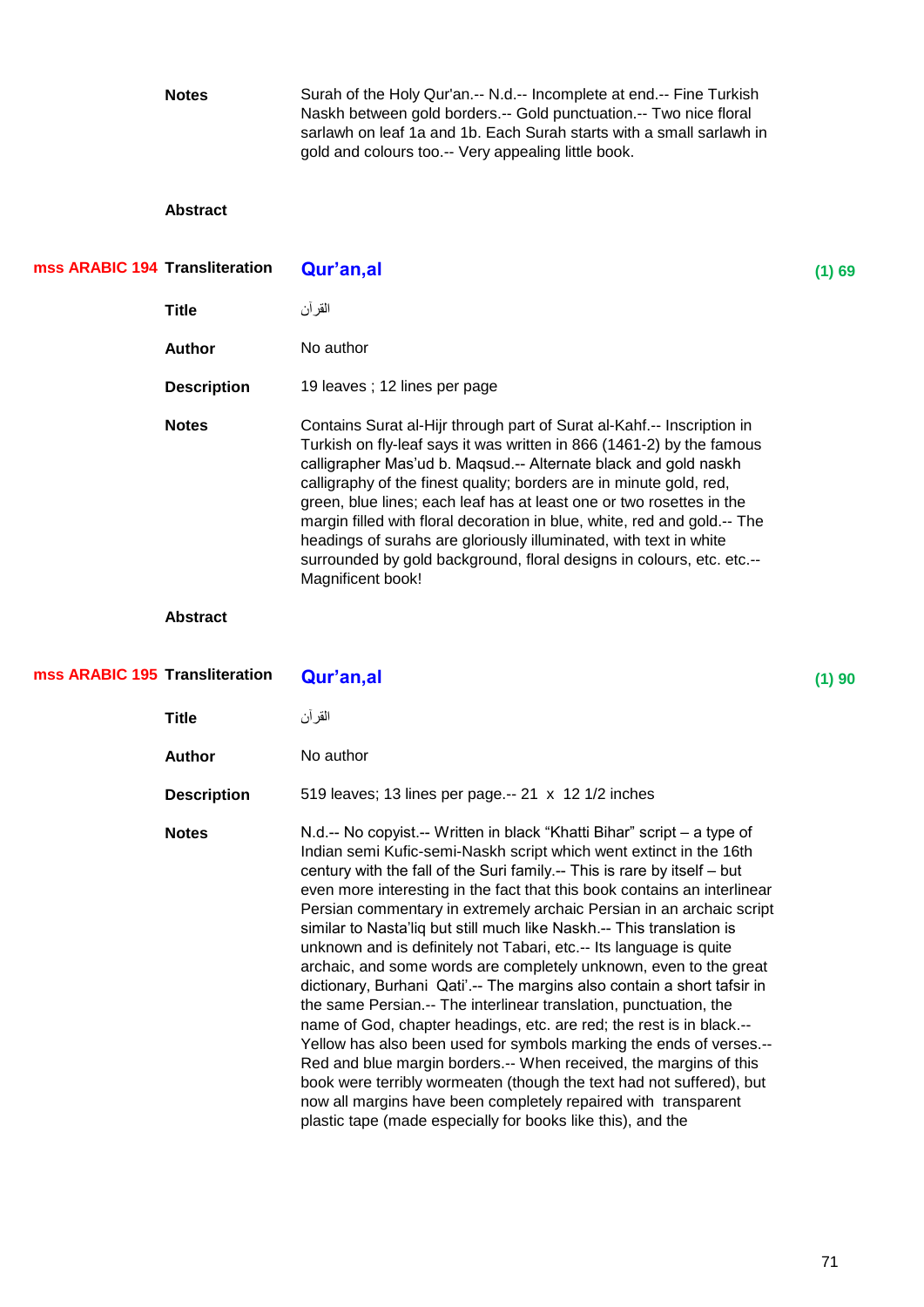**Notes** Surah of the Holy Qur'an.-- N.d.-- Incomplete at end.-- Fine Turkish Naskh between gold borders.-- Gold punctuation.-- Two nice floral sarlawh on leaf 1a and 1b. Each Surah starts with a small sarlawh in gold and colours too.-- Very appealing little book.

#### **Abstract**

| mss ARABIC 194 Transliteration |                    | Qur'an,al                                                                                                                                                                                                                                                                                                                                                                                                                                                                                                                                                                                                        | (1) 69 |
|--------------------------------|--------------------|------------------------------------------------------------------------------------------------------------------------------------------------------------------------------------------------------------------------------------------------------------------------------------------------------------------------------------------------------------------------------------------------------------------------------------------------------------------------------------------------------------------------------------------------------------------------------------------------------------------|--------|
|                                | <b>Title</b>       | القر آن                                                                                                                                                                                                                                                                                                                                                                                                                                                                                                                                                                                                          |        |
|                                | <b>Author</b>      | No author                                                                                                                                                                                                                                                                                                                                                                                                                                                                                                                                                                                                        |        |
|                                | <b>Description</b> | 19 leaves; 12 lines per page                                                                                                                                                                                                                                                                                                                                                                                                                                                                                                                                                                                     |        |
|                                | <b>Notes</b>       | Contains Surat al-Hijr through part of Surat al-Kahf.-- Inscription in<br>Turkish on fly-leaf says it was written in 866 (1461-2) by the famous<br>calligrapher Mas'ud b. Maqsud.-- Alternate black and gold naskh<br>calligraphy of the finest quality; borders are in minute gold, red,<br>green, blue lines; each leaf has at least one or two rosettes in the<br>margin filled with floral decoration in blue, white, red and gold.-- The<br>headings of surahs are gloriously illuminated, with text in white<br>surrounded by gold background, floral designs in colours, etc. etc.--<br>Magnificent book! |        |

| mss ARABIC 195 Transliteration<br>Qur'an,al                                                                                                                                                                                                                                                                                                                                                                                                                                                                                                                                                                                                                                                                                                                                                                                                                                                                                                                                                                                                                                                                                                                                    | (1)90 |
|--------------------------------------------------------------------------------------------------------------------------------------------------------------------------------------------------------------------------------------------------------------------------------------------------------------------------------------------------------------------------------------------------------------------------------------------------------------------------------------------------------------------------------------------------------------------------------------------------------------------------------------------------------------------------------------------------------------------------------------------------------------------------------------------------------------------------------------------------------------------------------------------------------------------------------------------------------------------------------------------------------------------------------------------------------------------------------------------------------------------------------------------------------------------------------|-------|
| القر آن                                                                                                                                                                                                                                                                                                                                                                                                                                                                                                                                                                                                                                                                                                                                                                                                                                                                                                                                                                                                                                                                                                                                                                        |       |
| No author                                                                                                                                                                                                                                                                                                                                                                                                                                                                                                                                                                                                                                                                                                                                                                                                                                                                                                                                                                                                                                                                                                                                                                      |       |
| 519 leaves; 13 lines per page.-- 21 x 12 1/2 inches                                                                                                                                                                                                                                                                                                                                                                                                                                                                                                                                                                                                                                                                                                                                                                                                                                                                                                                                                                                                                                                                                                                            |       |
| N.d.-- No copyist.-- Written in black "Khatti Bihar" script – a type of<br>Indian semi Kufic-semi-Naskh script which went extinct in the 16th<br>century with the fall of the Suri family.-- This is rare by itself - but<br>even more interesting in the fact that this book contains an interlinear<br>Persian commentary in extremely archaic Persian in an archaic script<br>similar to Nasta'liq but still much like Naskh.-- This translation is<br>unknown and is definitely not Tabari, etc.-- Its language is quite<br>archaic, and some words are completely unknown, even to the great<br>dictionary, Burhani Qati'.-- The margins also contain a short tafsir in<br>the same Persian.-- The interlinear translation, punctuation, the<br>name of God, chapter headings, etc. are red; the rest is in black.--<br>Yellow has also been used for symbols marking the ends of verses.--<br>Red and blue margin borders.-- When received, the margins of this<br>book were terribly wormeaten (though the text had not suffered), but<br>now all margins have been completely repaired with transparent<br>plastic tape (made especially for books like this), and the |       |
|                                                                                                                                                                                                                                                                                                                                                                                                                                                                                                                                                                                                                                                                                                                                                                                                                                                                                                                                                                                                                                                                                                                                                                                |       |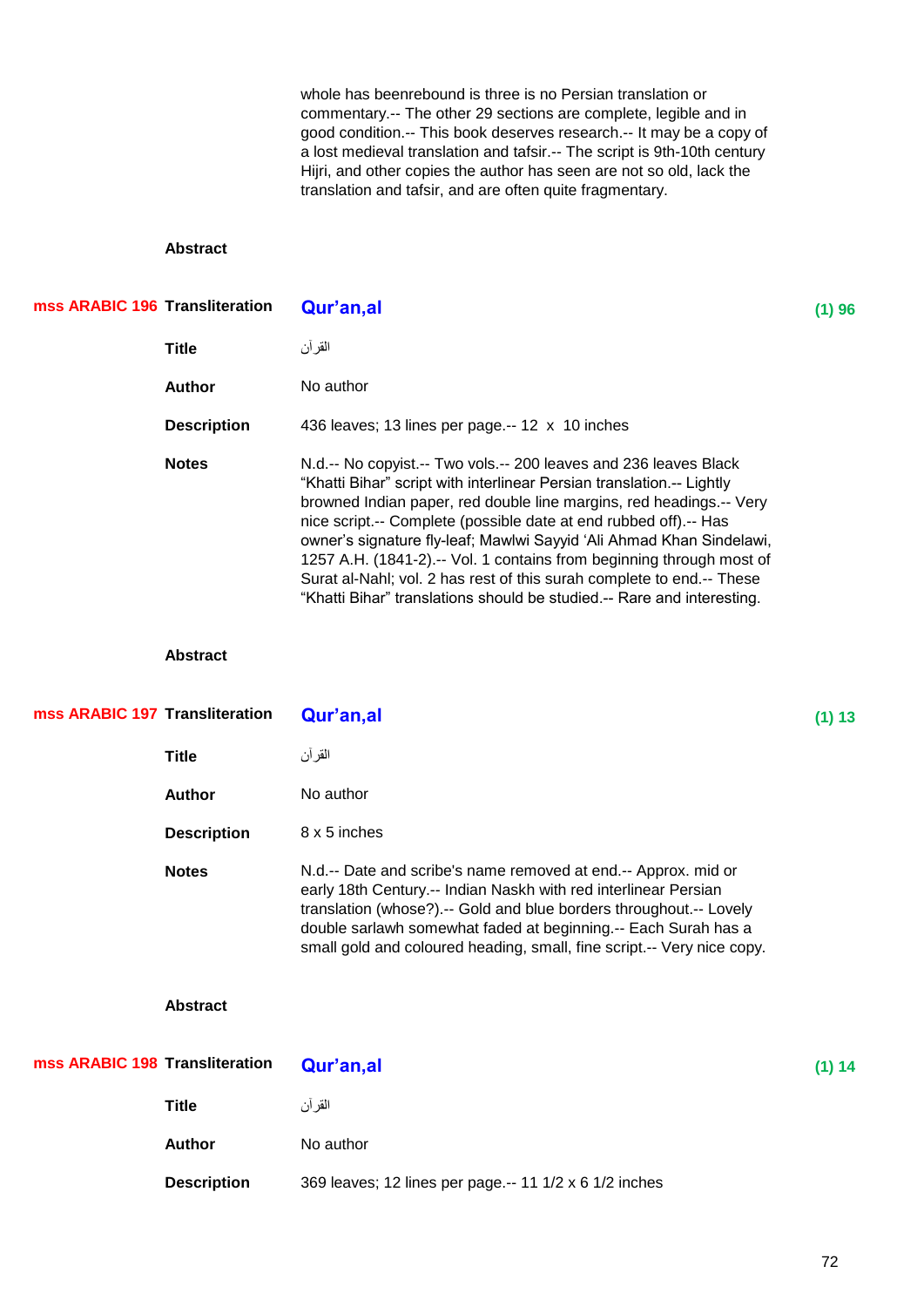whole has beenrebound is three is no Persian translation or commentary.-- The other 29 sections are complete, legible and in good condition.-- This book deserves research.-- It may be a copy of a lost medieval translation and tafsir.-- The script is 9th-10th century Hijri, and other copies the author has seen are not so old, lack the translation and tafsir, and are often quite fragmentary.

#### **Abstract**

| mss ARABIC 196 Transliteration |                    | Qur'an,al                                                                                                                                                                                                                                                                                                                                                                                                                                                                                                                                                                               | (1)96  |
|--------------------------------|--------------------|-----------------------------------------------------------------------------------------------------------------------------------------------------------------------------------------------------------------------------------------------------------------------------------------------------------------------------------------------------------------------------------------------------------------------------------------------------------------------------------------------------------------------------------------------------------------------------------------|--------|
|                                | <b>Title</b>       | القرآن                                                                                                                                                                                                                                                                                                                                                                                                                                                                                                                                                                                  |        |
|                                | <b>Author</b>      | No author                                                                                                                                                                                                                                                                                                                                                                                                                                                                                                                                                                               |        |
|                                | <b>Description</b> | 436 leaves; 13 lines per page.-- 12 x 10 inches                                                                                                                                                                                                                                                                                                                                                                                                                                                                                                                                         |        |
|                                | <b>Notes</b>       | N.d.-- No copyist.-- Two vols.-- 200 leaves and 236 leaves Black<br>"Khatti Bihar" script with interlinear Persian translation.-- Lightly<br>browned Indian paper, red double line margins, red headings.-- Very<br>nice script.-- Complete (possible date at end rubbed off).-- Has<br>owner's signature fly-leaf; Mawlwi Sayyid 'Ali Ahmad Khan Sindelawi,<br>1257 A.H. (1841-2).-- Vol. 1 contains from beginning through most of<br>Surat al-Nahl; vol. 2 has rest of this surah complete to end.-- These<br>"Khatti Bihar" translations should be studied.-- Rare and interesting. |        |
|                                | <b>Abstract</b>    |                                                                                                                                                                                                                                                                                                                                                                                                                                                                                                                                                                                         |        |
| mss ARABIC 197 Transliteration |                    | Qur'an,al                                                                                                                                                                                                                                                                                                                                                                                                                                                                                                                                                                               | (1) 13 |
|                                | <b>Title</b>       | القر آن                                                                                                                                                                                                                                                                                                                                                                                                                                                                                                                                                                                 |        |
|                                | <b>Author</b>      | No author                                                                                                                                                                                                                                                                                                                                                                                                                                                                                                                                                                               |        |
|                                | <b>Description</b> | 8 x 5 inches                                                                                                                                                                                                                                                                                                                                                                                                                                                                                                                                                                            |        |
|                                | <b>Notes</b>       | N.d.-- Date and scribe's name removed at end.-- Approx. mid or                                                                                                                                                                                                                                                                                                                                                                                                                                                                                                                          |        |

early 18th Century.-- Indian Naskh with red interlinear Persian translation (whose?).-- Gold and blue borders throughout.-- Lovely double sarlawh somewhat faded at beginning.-- Each Surah has a small gold and coloured heading, small, fine script.-- Very nice copy.

| mss ARABIC 198 Transliteration | Qur'an,al                                              | (1) 14 |
|--------------------------------|--------------------------------------------------------|--------|
| <b>Title</b>                   | القرآن                                                 |        |
| <b>Author</b>                  | No author                                              |        |
| <b>Description</b>             | 369 leaves; 12 lines per page.-- 11 1/2 x 6 1/2 inches |        |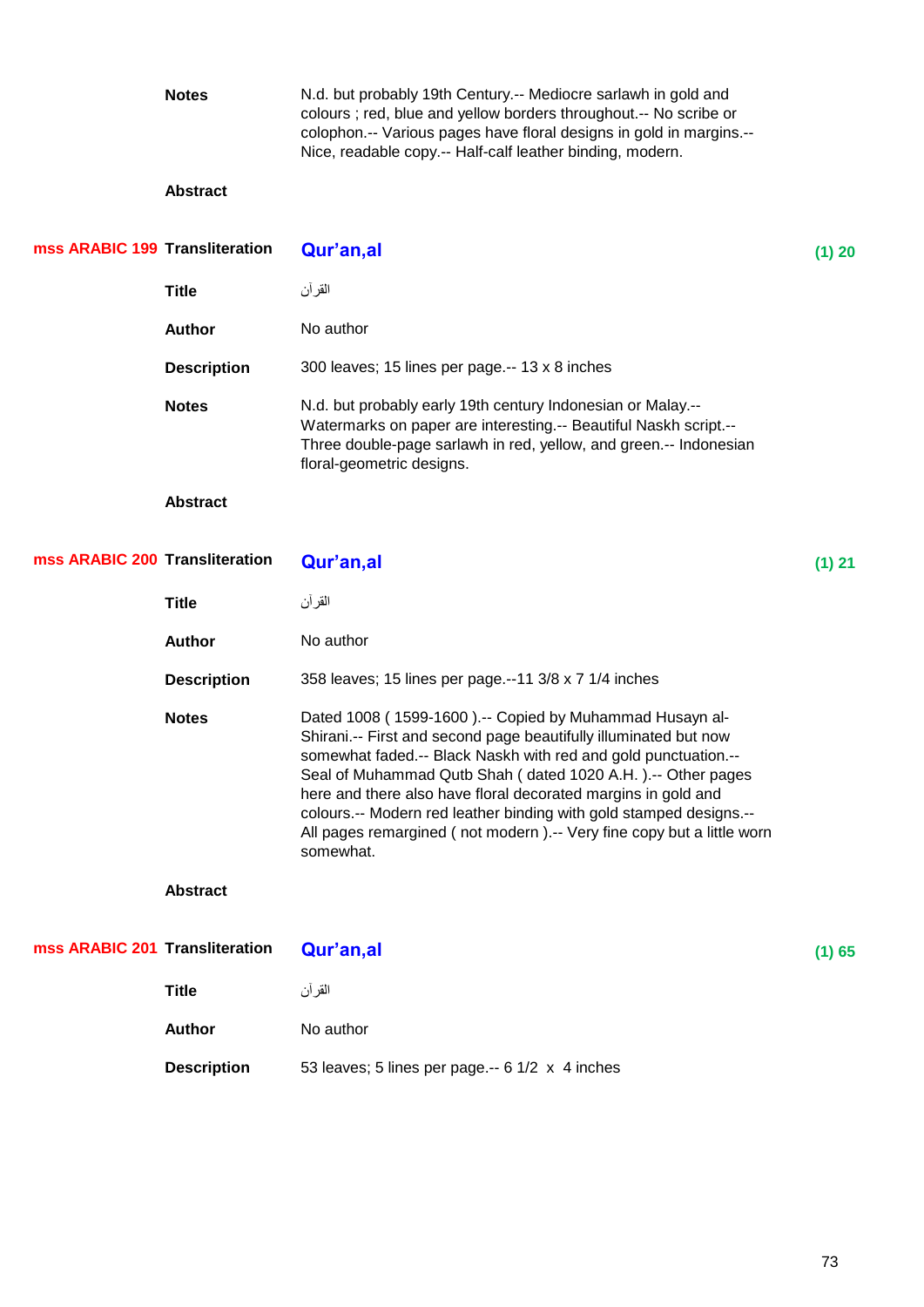|                                | <b>Notes</b>       | N.d. but probably 19th Century.-- Mediocre sarlawh in gold and<br>colours ; red, blue and yellow borders throughout.-- No scribe or<br>colophon.-- Various pages have floral designs in gold in margins.--<br>Nice, readable copy.-- Half-calf leather binding, modern.                                                                                                                                                                                                                   |          |
|--------------------------------|--------------------|-------------------------------------------------------------------------------------------------------------------------------------------------------------------------------------------------------------------------------------------------------------------------------------------------------------------------------------------------------------------------------------------------------------------------------------------------------------------------------------------|----------|
|                                | <b>Abstract</b>    |                                                                                                                                                                                                                                                                                                                                                                                                                                                                                           |          |
| mss ARABIC 199 Transliteration |                    | Qur'an,al                                                                                                                                                                                                                                                                                                                                                                                                                                                                                 | (1) 20   |
|                                | <b>Title</b>       | القر آن                                                                                                                                                                                                                                                                                                                                                                                                                                                                                   |          |
|                                | <b>Author</b>      | No author                                                                                                                                                                                                                                                                                                                                                                                                                                                                                 |          |
|                                | <b>Description</b> | 300 leaves; 15 lines per page.-- 13 x 8 inches                                                                                                                                                                                                                                                                                                                                                                                                                                            |          |
|                                | <b>Notes</b>       | N.d. but probably early 19th century Indonesian or Malay.--<br>Watermarks on paper are interesting.-- Beautiful Naskh script.--<br>Three double-page sarlawh in red, yellow, and green.-- Indonesian<br>floral-geometric designs.                                                                                                                                                                                                                                                         |          |
|                                | <b>Abstract</b>    |                                                                                                                                                                                                                                                                                                                                                                                                                                                                                           |          |
| mss ARABIC 200 Transliteration |                    | Qur'an, al                                                                                                                                                                                                                                                                                                                                                                                                                                                                                | $(1)$ 21 |
|                                | <b>Title</b>       | القر آن                                                                                                                                                                                                                                                                                                                                                                                                                                                                                   |          |
|                                | <b>Author</b>      | No author                                                                                                                                                                                                                                                                                                                                                                                                                                                                                 |          |
|                                | <b>Description</b> | 358 leaves; 15 lines per page.--11 3/8 x 7 1/4 inches                                                                                                                                                                                                                                                                                                                                                                                                                                     |          |
|                                | <b>Notes</b>       | Dated 1008 (1599-1600).-- Copied by Muhammad Husayn al-<br>Shirani.-- First and second page beautifully illuminated but now<br>somewhat faded.-- Black Naskh with red and gold punctuation.--<br>Seal of Muhammad Qutb Shah (dated 1020 A.H.).-- Other pages<br>here and there also have floral decorated margins in gold and<br>colours.-- Modern red leather binding with gold stamped designs.--<br>All pages remargined (not modern).-- Very fine copy but a little worn<br>somewhat. |          |
|                                | <b>Abstract</b>    |                                                                                                                                                                                                                                                                                                                                                                                                                                                                                           |          |
| mss ARABIC 201 Transliteration |                    | Qur'an,al                                                                                                                                                                                                                                                                                                                                                                                                                                                                                 | (1) 65   |
|                                | <b>Title</b>       | القر آن                                                                                                                                                                                                                                                                                                                                                                                                                                                                                   |          |
|                                | Author             | No author                                                                                                                                                                                                                                                                                                                                                                                                                                                                                 |          |
|                                | <b>Description</b> | 53 leaves; 5 lines per page .-- 6 1/2 x 4 inches                                                                                                                                                                                                                                                                                                                                                                                                                                          |          |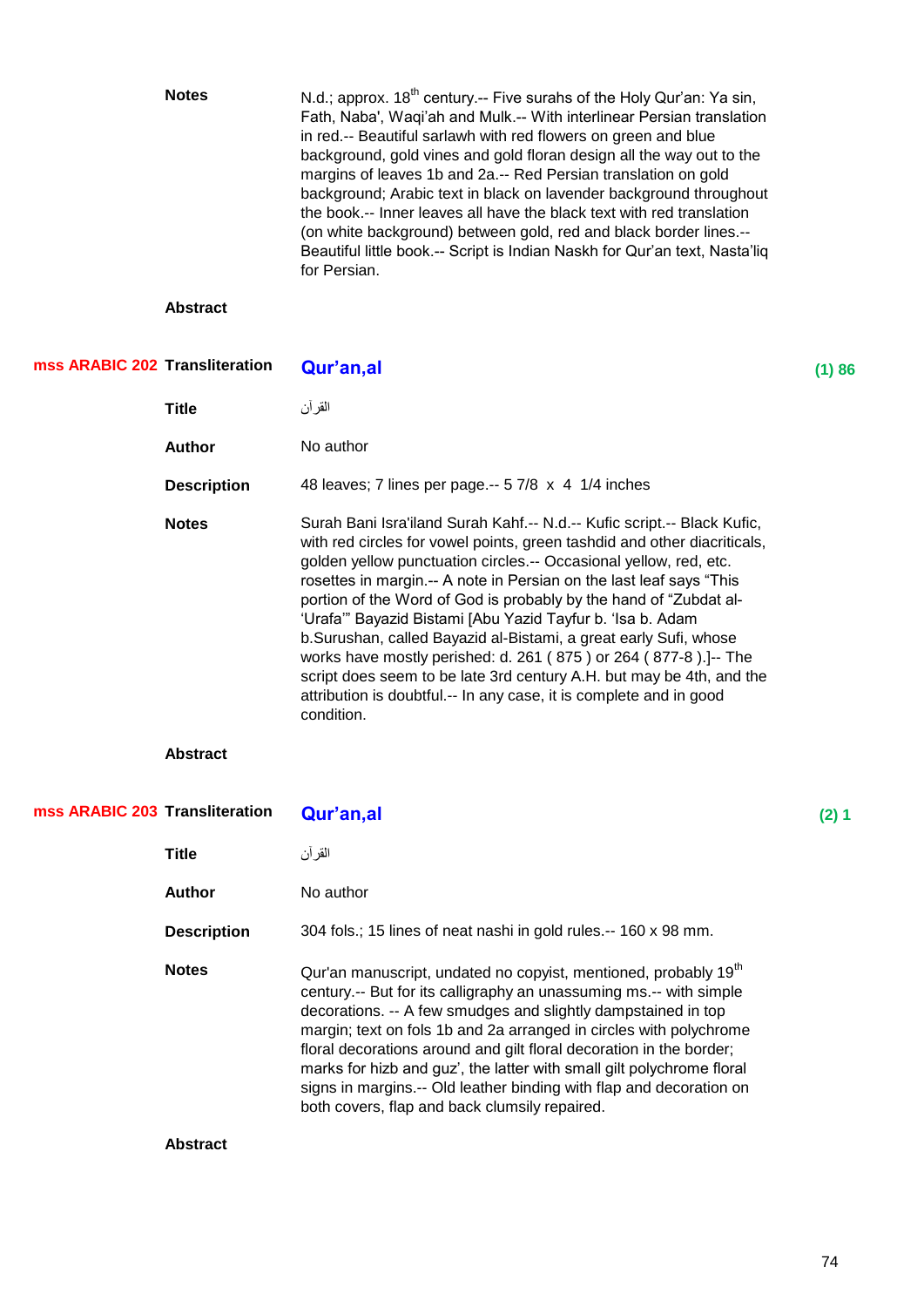|                                | <b>Notes</b>       | N.d.; approx. 18 <sup>th</sup> century.-- Five surahs of the Holy Qur'an: Ya sin,<br>Fath, Naba', Waqi'ah and Mulk.-- With interlinear Persian translation<br>in red.-- Beautiful sarlawh with red flowers on green and blue<br>background, gold vines and gold floran design all the way out to the<br>margins of leaves 1b and 2a.-- Red Persian translation on gold<br>background; Arabic text in black on lavender background throughout<br>the book.-- Inner leaves all have the black text with red translation<br>(on white background) between gold, red and black border lines.--<br>Beautiful little book.-- Script is Indian Naskh for Qur'an text, Nasta'liq<br>for Persian.                                             |       |
|--------------------------------|--------------------|--------------------------------------------------------------------------------------------------------------------------------------------------------------------------------------------------------------------------------------------------------------------------------------------------------------------------------------------------------------------------------------------------------------------------------------------------------------------------------------------------------------------------------------------------------------------------------------------------------------------------------------------------------------------------------------------------------------------------------------|-------|
|                                | <b>Abstract</b>    |                                                                                                                                                                                                                                                                                                                                                                                                                                                                                                                                                                                                                                                                                                                                      |       |
| mss ARABIC 202 Transliteration |                    | Qur'an,al                                                                                                                                                                                                                                                                                                                                                                                                                                                                                                                                                                                                                                                                                                                            | (1)86 |
|                                | <b>Title</b>       | القر آن                                                                                                                                                                                                                                                                                                                                                                                                                                                                                                                                                                                                                                                                                                                              |       |
|                                | <b>Author</b>      | No author                                                                                                                                                                                                                                                                                                                                                                                                                                                                                                                                                                                                                                                                                                                            |       |
|                                | <b>Description</b> | 48 leaves; 7 lines per page.-- 5 7/8 x 4 1/4 inches                                                                                                                                                                                                                                                                                                                                                                                                                                                                                                                                                                                                                                                                                  |       |
|                                | <b>Notes</b>       | Surah Bani Isra'iland Surah Kahf.-- N.d.-- Kufic script.-- Black Kufic,<br>with red circles for vowel points, green tashdid and other diacriticals,<br>golden yellow punctuation circles.-- Occasional yellow, red, etc.<br>rosettes in margin.-- A note in Persian on the last leaf says "This<br>portion of the Word of God is probably by the hand of "Zubdat al-<br>'Urafa" Bayazid Bistami [Abu Yazid Tayfur b. 'Isa b. Adam<br>b.Surushan, called Bayazid al-Bistami, a great early Sufi, whose<br>works have mostly perished: d. 261 (875) or 264 (877-8).]-- The<br>script does seem to be late 3rd century A.H. but may be 4th, and the<br>attribution is doubtful.-- In any case, it is complete and in good<br>condition. |       |
|                                | <b>Abstract</b>    |                                                                                                                                                                                                                                                                                                                                                                                                                                                                                                                                                                                                                                                                                                                                      |       |
| mss ARABIC 203 Transliteration |                    | Qur'an,al                                                                                                                                                                                                                                                                                                                                                                                                                                                                                                                                                                                                                                                                                                                            | (2) 1 |
|                                | <b>Title</b>       | القر آن                                                                                                                                                                                                                                                                                                                                                                                                                                                                                                                                                                                                                                                                                                                              |       |
|                                | <b>Author</b>      | No author                                                                                                                                                                                                                                                                                                                                                                                                                                                                                                                                                                                                                                                                                                                            |       |
|                                | <b>Description</b> | 304 fols.; 15 lines of neat nashi in gold rules.-- 160 x 98 mm.                                                                                                                                                                                                                                                                                                                                                                                                                                                                                                                                                                                                                                                                      |       |
|                                | <b>Notes</b>       | Qur'an manuscript, undated no copyist, mentioned, probably 19 <sup>th</sup><br>century .-- But for its calligraphy an unassuming ms .-- with simple<br>decorations. -- A few smudges and slightly dampstained in top<br>margin; text on fols 1b and 2a arranged in circles with polychrome<br>floral decorations around and gilt floral decoration in the border;<br>marks for hizb and guz', the latter with small gilt polychrome floral<br>signs in margins.-- Old leather binding with flap and decoration on<br>both covers, flap and back clumsily repaired.                                                                                                                                                                   |       |
|                                | <b>Abstract</b>    |                                                                                                                                                                                                                                                                                                                                                                                                                                                                                                                                                                                                                                                                                                                                      |       |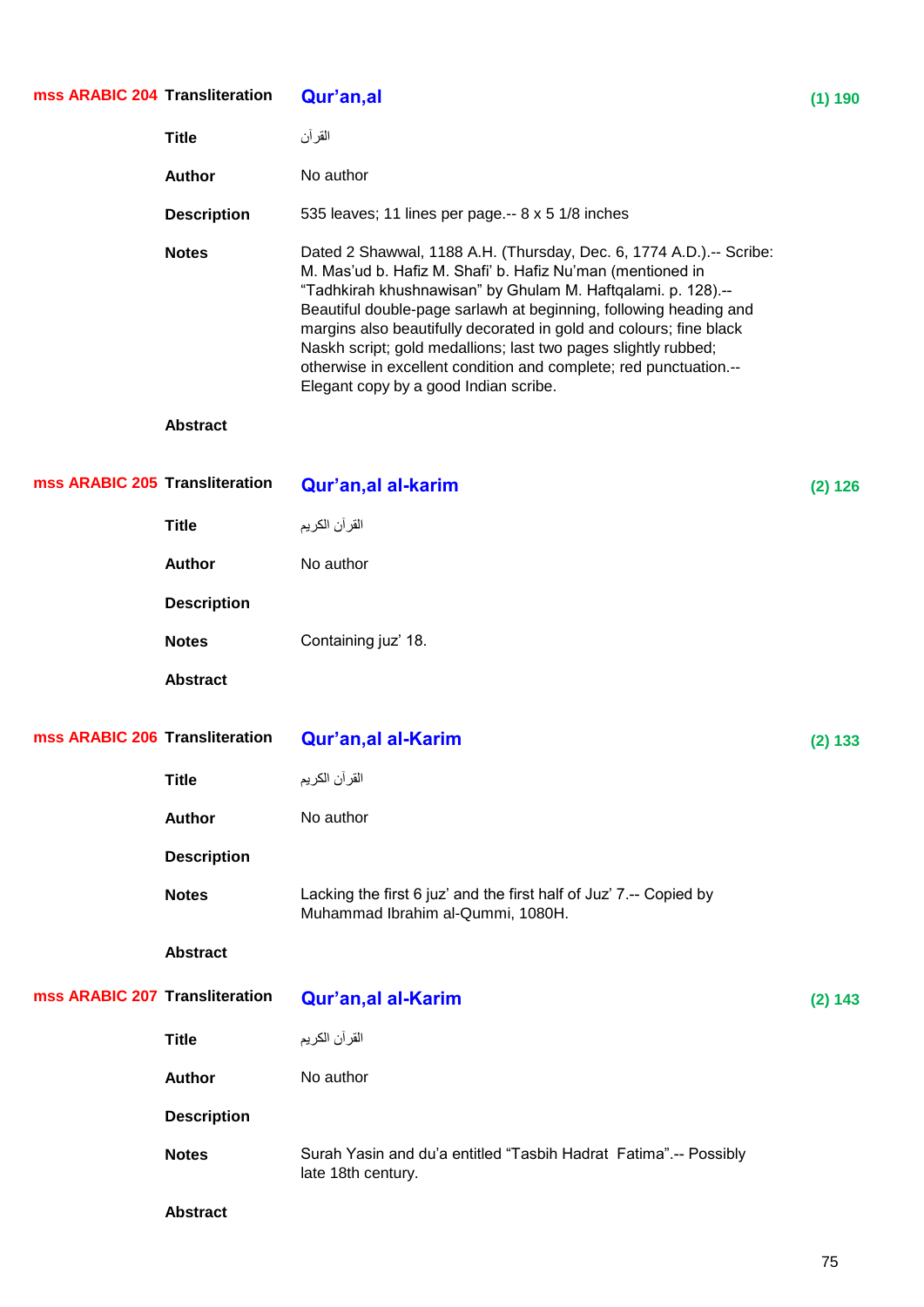| mss ARABIC 204 Transliteration |                    | Qur'an, al                                                                                                                                                                                                                                                                                                                                                                                                                                                                                                                    | (1) 190 |
|--------------------------------|--------------------|-------------------------------------------------------------------------------------------------------------------------------------------------------------------------------------------------------------------------------------------------------------------------------------------------------------------------------------------------------------------------------------------------------------------------------------------------------------------------------------------------------------------------------|---------|
|                                | <b>Title</b>       | القرآن                                                                                                                                                                                                                                                                                                                                                                                                                                                                                                                        |         |
|                                | <b>Author</b>      | No author                                                                                                                                                                                                                                                                                                                                                                                                                                                                                                                     |         |
|                                | <b>Description</b> | 535 leaves; 11 lines per page.-- 8 x 5 1/8 inches                                                                                                                                                                                                                                                                                                                                                                                                                                                                             |         |
|                                | <b>Notes</b>       | Dated 2 Shawwal, 1188 A.H. (Thursday, Dec. 6, 1774 A.D.) .-- Scribe:<br>M. Mas'ud b. Hafiz M. Shafi' b. Hafiz Nu'man (mentioned in<br>"Tadhkirah khushnawisan" by Ghulam M. Haftqalami. p. 128).--<br>Beautiful double-page sarlawh at beginning, following heading and<br>margins also beautifully decorated in gold and colours; fine black<br>Naskh script; gold medallions; last two pages slightly rubbed;<br>otherwise in excellent condition and complete; red punctuation.--<br>Elegant copy by a good Indian scribe. |         |
|                                | <b>Abstract</b>    |                                                                                                                                                                                                                                                                                                                                                                                                                                                                                                                               |         |
| mss ARABIC 205 Transliteration |                    | Qur'an, al al-karim                                                                                                                                                                                                                                                                                                                                                                                                                                                                                                           | (2) 126 |
|                                | <b>Title</b>       | القرآن الكريم                                                                                                                                                                                                                                                                                                                                                                                                                                                                                                                 |         |
|                                | <b>Author</b>      | No author                                                                                                                                                                                                                                                                                                                                                                                                                                                                                                                     |         |
|                                | <b>Description</b> |                                                                                                                                                                                                                                                                                                                                                                                                                                                                                                                               |         |
|                                | <b>Notes</b>       | Containing juz' 18.                                                                                                                                                                                                                                                                                                                                                                                                                                                                                                           |         |
|                                | <b>Abstract</b>    |                                                                                                                                                                                                                                                                                                                                                                                                                                                                                                                               |         |
| mss ARABIC 206 Transliteration |                    | Qur'an, al al-Karim                                                                                                                                                                                                                                                                                                                                                                                                                                                                                                           | (2) 133 |
|                                | <b>Title</b>       | القر آن الكريم                                                                                                                                                                                                                                                                                                                                                                                                                                                                                                                |         |
|                                | <b>Author</b>      | No author                                                                                                                                                                                                                                                                                                                                                                                                                                                                                                                     |         |
|                                | <b>Description</b> |                                                                                                                                                                                                                                                                                                                                                                                                                                                                                                                               |         |
|                                | <b>Notes</b>       | Lacking the first 6 juz' and the first half of Juz' 7.-- Copied by<br>Muhammad Ibrahim al-Qummi, 1080H.                                                                                                                                                                                                                                                                                                                                                                                                                       |         |
|                                | <b>Abstract</b>    |                                                                                                                                                                                                                                                                                                                                                                                                                                                                                                                               |         |
| mss ARABIC 207 Transliteration |                    | <b>Qur'an,al al-Karim</b>                                                                                                                                                                                                                                                                                                                                                                                                                                                                                                     | (2) 143 |
|                                | <b>Title</b>       | القرآن الكريم                                                                                                                                                                                                                                                                                                                                                                                                                                                                                                                 |         |
|                                | <b>Author</b>      | No author                                                                                                                                                                                                                                                                                                                                                                                                                                                                                                                     |         |
|                                | <b>Description</b> |                                                                                                                                                                                                                                                                                                                                                                                                                                                                                                                               |         |
|                                | <b>Notes</b>       | Surah Yasin and du'a entitled "Tasbih Hadrat Fatima".-- Possibly<br>late 18th century.                                                                                                                                                                                                                                                                                                                                                                                                                                        |         |
|                                | <b>Abstract</b>    |                                                                                                                                                                                                                                                                                                                                                                                                                                                                                                                               |         |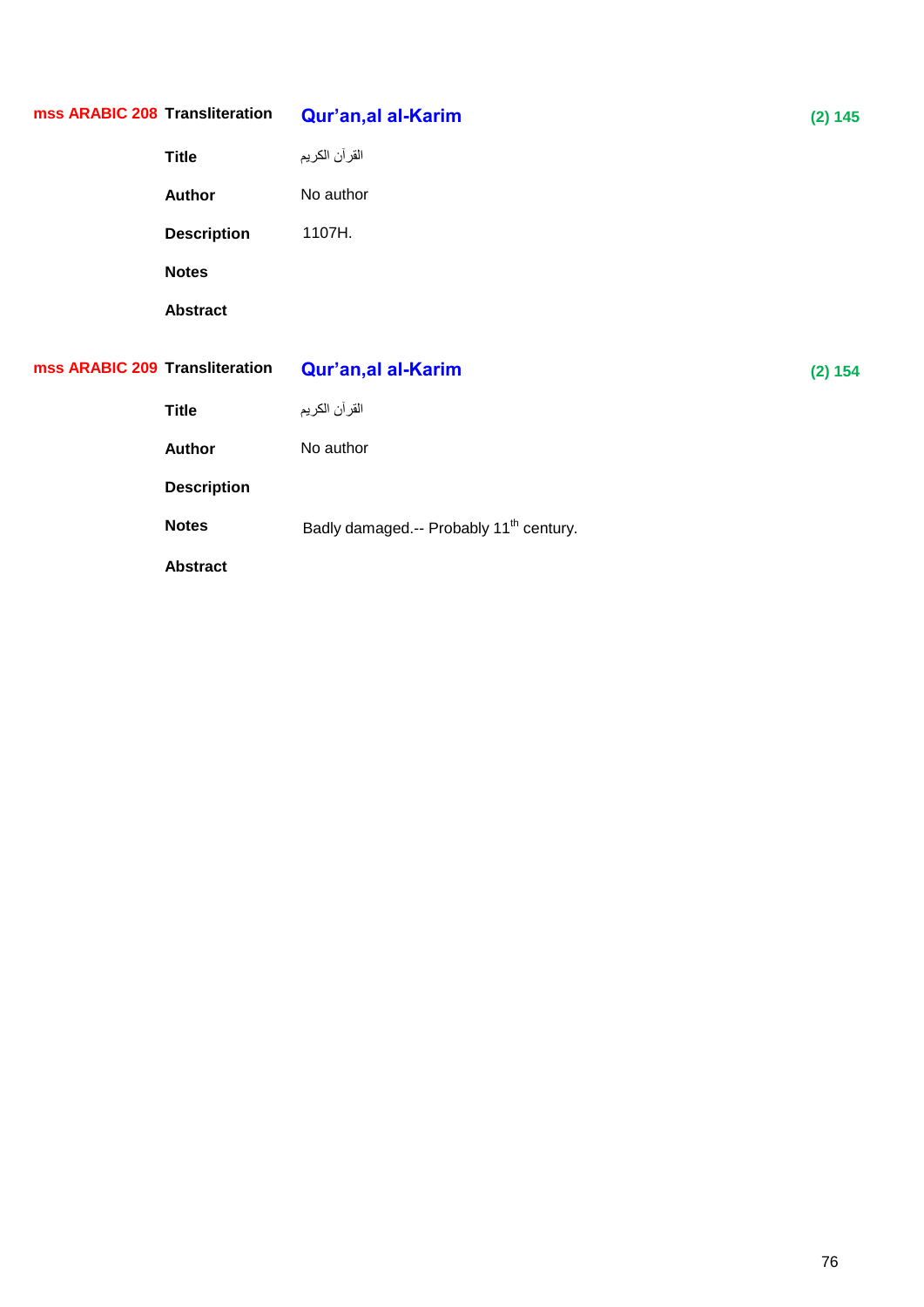| mss ARABIC 208 Transliteration |                    | Qur'an, al al-Karim                                 | (2) 145 |
|--------------------------------|--------------------|-----------------------------------------------------|---------|
|                                | <b>Title</b>       | القر آن الكريم                                      |         |
|                                | <b>Author</b>      | No author                                           |         |
|                                | <b>Description</b> | 1107H.                                              |         |
|                                | <b>Notes</b>       |                                                     |         |
|                                | <b>Abstract</b>    |                                                     |         |
| mss ARABIC 209 Transliteration |                    | Qur'an, al al-Karim                                 | (2) 154 |
|                                | <b>Title</b>       | القر آن الكريم                                      |         |
|                                | <b>Author</b>      | No author                                           |         |
|                                | <b>Description</b> |                                                     |         |
|                                | <b>Notes</b>       | Badly damaged.-- Probably 11 <sup>th</sup> century. |         |
|                                |                    |                                                     |         |
|                                | <b>Abstract</b>    |                                                     |         |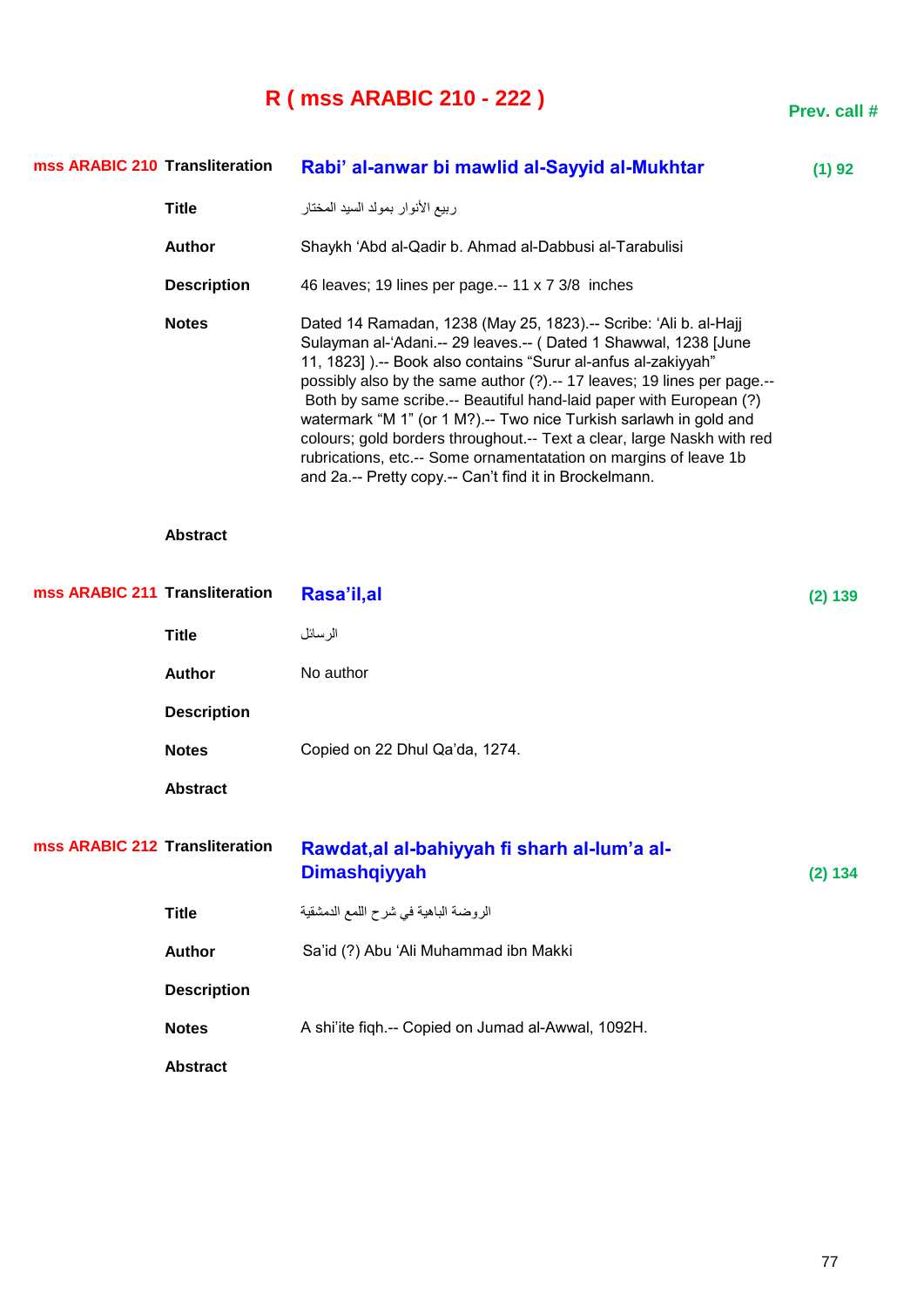# **R ( mss ARABIC 210 - 222 )**

| mss ARABIC 210 Transliteration |                    | Rabi' al-anwar bi mawlid al-Sayyid al-Mukhtar                                                                                                                                                                                                                                                                                                                                                                                                                                                                                                                                                                                          | (1) 92  |
|--------------------------------|--------------------|----------------------------------------------------------------------------------------------------------------------------------------------------------------------------------------------------------------------------------------------------------------------------------------------------------------------------------------------------------------------------------------------------------------------------------------------------------------------------------------------------------------------------------------------------------------------------------------------------------------------------------------|---------|
|                                | <b>Title</b>       | ربيع الأنوار بمولد السيد المختار                                                                                                                                                                                                                                                                                                                                                                                                                                                                                                                                                                                                       |         |
|                                | <b>Author</b>      | Shaykh 'Abd al-Qadir b. Ahmad al-Dabbusi al-Tarabulisi                                                                                                                                                                                                                                                                                                                                                                                                                                                                                                                                                                                 |         |
|                                | <b>Description</b> | 46 leaves; 19 lines per page.-- 11 x 7 3/8 inches                                                                                                                                                                                                                                                                                                                                                                                                                                                                                                                                                                                      |         |
|                                | <b>Notes</b>       | Dated 14 Ramadan, 1238 (May 25, 1823).-- Scribe: 'Ali b. al-Hajj<br>Sulayman al-'Adani.-- 29 leaves.-- (Dated 1 Shawwal, 1238 [June<br>11, 1823] ).-- Book also contains "Surur al-anfus al-zakiyyah"<br>possibly also by the same author (?) .-- 17 leaves; 19 lines per page .--<br>Both by same scribe.-- Beautiful hand-laid paper with European (?)<br>watermark "M 1" (or 1 M?) .-- Two nice Turkish sarlawh in gold and<br>colours; gold borders throughout.-- Text a clear, large Naskh with red<br>rubrications, etc.-- Some ornamentatation on margins of leave 1b<br>and 2a.-- Pretty copy.-- Can't find it in Brockelmann. |         |
|                                | <b>Abstract</b>    |                                                                                                                                                                                                                                                                                                                                                                                                                                                                                                                                                                                                                                        |         |
| mss ARABIC 211 Transliteration |                    | Rasa'il,al                                                                                                                                                                                                                                                                                                                                                                                                                                                                                                                                                                                                                             | (2) 139 |
|                                | <b>Title</b>       | الرسائل                                                                                                                                                                                                                                                                                                                                                                                                                                                                                                                                                                                                                                |         |
|                                | <b>Author</b>      | No author                                                                                                                                                                                                                                                                                                                                                                                                                                                                                                                                                                                                                              |         |
|                                | <b>Description</b> |                                                                                                                                                                                                                                                                                                                                                                                                                                                                                                                                                                                                                                        |         |
|                                | <b>Notes</b>       | Copied on 22 Dhul Qa'da, 1274.                                                                                                                                                                                                                                                                                                                                                                                                                                                                                                                                                                                                         |         |
|                                | <b>Abstract</b>    |                                                                                                                                                                                                                                                                                                                                                                                                                                                                                                                                                                                                                                        |         |
| mss ARABIC 212 Transliteration |                    | Rawdat, al al-bahiyyah fi sharh al-lum'a al-<br><b>Dimashqiyyah</b>                                                                                                                                                                                                                                                                                                                                                                                                                                                                                                                                                                    | (2) 134 |
|                                | <b>Title</b>       | الروضة الباهية في شرح اللمع الدمشقية                                                                                                                                                                                                                                                                                                                                                                                                                                                                                                                                                                                                   |         |
|                                | <b>Author</b>      | Sa'id (?) Abu 'Ali Muhammad ibn Makki                                                                                                                                                                                                                                                                                                                                                                                                                                                                                                                                                                                                  |         |
|                                | <b>Description</b> |                                                                                                                                                                                                                                                                                                                                                                                                                                                                                                                                                                                                                                        |         |
|                                | <b>Notes</b>       | A shi'ite fiqh.-- Copied on Jumad al-Awwal, 1092H.                                                                                                                                                                                                                                                                                                                                                                                                                                                                                                                                                                                     |         |
|                                | <b>Abstract</b>    |                                                                                                                                                                                                                                                                                                                                                                                                                                                                                                                                                                                                                                        |         |

**Prev. call #**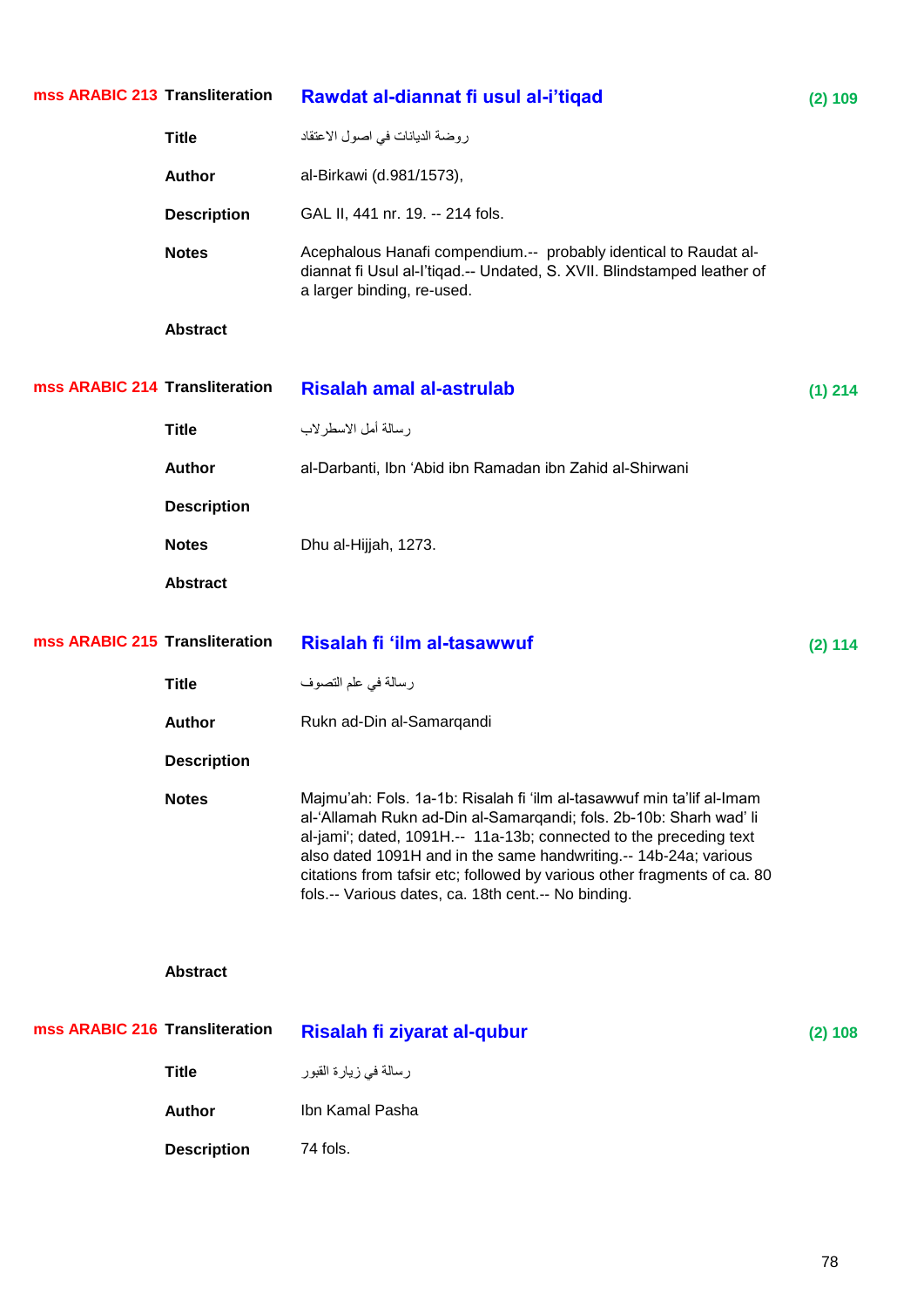| mss ARABIC 213 Transliteration |                    | Rawdat al-diannat fi usul al-i'tiqad                                                                                                                                                                                                                                                                                                                                                                                     | (2) 109   |
|--------------------------------|--------------------|--------------------------------------------------------------------------------------------------------------------------------------------------------------------------------------------------------------------------------------------------------------------------------------------------------------------------------------------------------------------------------------------------------------------------|-----------|
|                                | <b>Title</b>       | روضة الديانات في اصول الاعتقاد                                                                                                                                                                                                                                                                                                                                                                                           |           |
|                                | <b>Author</b>      | al-Birkawi (d.981/1573),                                                                                                                                                                                                                                                                                                                                                                                                 |           |
|                                | <b>Description</b> | GAL II, 441 nr. 19. -- 214 fols.                                                                                                                                                                                                                                                                                                                                                                                         |           |
|                                | <b>Notes</b>       | Acephalous Hanafi compendium.-- probably identical to Raudat al-<br>diannat fi Usul al-l'tiqad.-- Undated, S. XVII. Blindstamped leather of<br>a larger binding, re-used.                                                                                                                                                                                                                                                |           |
|                                | <b>Abstract</b>    |                                                                                                                                                                                                                                                                                                                                                                                                                          |           |
| mss ARABIC 214 Transliteration |                    | <b>Risalah amal al-astrulab</b>                                                                                                                                                                                                                                                                                                                                                                                          | $(1)$ 214 |
|                                | <b>Title</b>       | رسالة أمل الاسطرلاب                                                                                                                                                                                                                                                                                                                                                                                                      |           |
|                                | <b>Author</b>      | al-Darbanti, Ibn 'Abid ibn Ramadan ibn Zahid al-Shirwani                                                                                                                                                                                                                                                                                                                                                                 |           |
|                                | <b>Description</b> |                                                                                                                                                                                                                                                                                                                                                                                                                          |           |
|                                | <b>Notes</b>       | Dhu al-Hijjah, 1273.                                                                                                                                                                                                                                                                                                                                                                                                     |           |
|                                | <b>Abstract</b>    |                                                                                                                                                                                                                                                                                                                                                                                                                          |           |
| mss ARABIC 215 Transliteration |                    | Risalah fi 'ilm al-tasawwuf                                                                                                                                                                                                                                                                                                                                                                                              | (2) 114   |
|                                | <b>Title</b>       | رسالة في علم التصوف                                                                                                                                                                                                                                                                                                                                                                                                      |           |
|                                | <b>Author</b>      | Rukn ad-Din al-Samarqandi                                                                                                                                                                                                                                                                                                                                                                                                |           |
|                                | <b>Description</b> |                                                                                                                                                                                                                                                                                                                                                                                                                          |           |
|                                | <b>Notes</b>       | Majmu'ah: Fols. 1a-1b: Risalah fi 'ilm al-tasawwuf min ta'lif al-Imam<br>al-'Allamah Rukn ad-Din al-Samarqandi; fols. 2b-10b: Sharh wad' li<br>al-jami'; dated, 1091H.-- 11a-13b; connected to the preceding text<br>also dated 1091H and in the same handwriting.-- 14b-24a; various<br>citations from tafsir etc; followed by various other fragments of ca. 80<br>fols.-- Various dates, ca. 18th cent.-- No binding. |           |
|                                | <b>Abstract</b>    |                                                                                                                                                                                                                                                                                                                                                                                                                          |           |
| mss ARABIC 216 Transliteration |                    | Risalah fi ziyarat al-qubur                                                                                                                                                                                                                                                                                                                                                                                              | (2) 108   |
|                                | <b>Title</b>       | رسالة في زيارة القبور                                                                                                                                                                                                                                                                                                                                                                                                    |           |
|                                | <b>Author</b>      | Ibn Kamal Pasha                                                                                                                                                                                                                                                                                                                                                                                                          |           |
|                                | <b>Description</b> | 74 fols.                                                                                                                                                                                                                                                                                                                                                                                                                 |           |
|                                |                    |                                                                                                                                                                                                                                                                                                                                                                                                                          |           |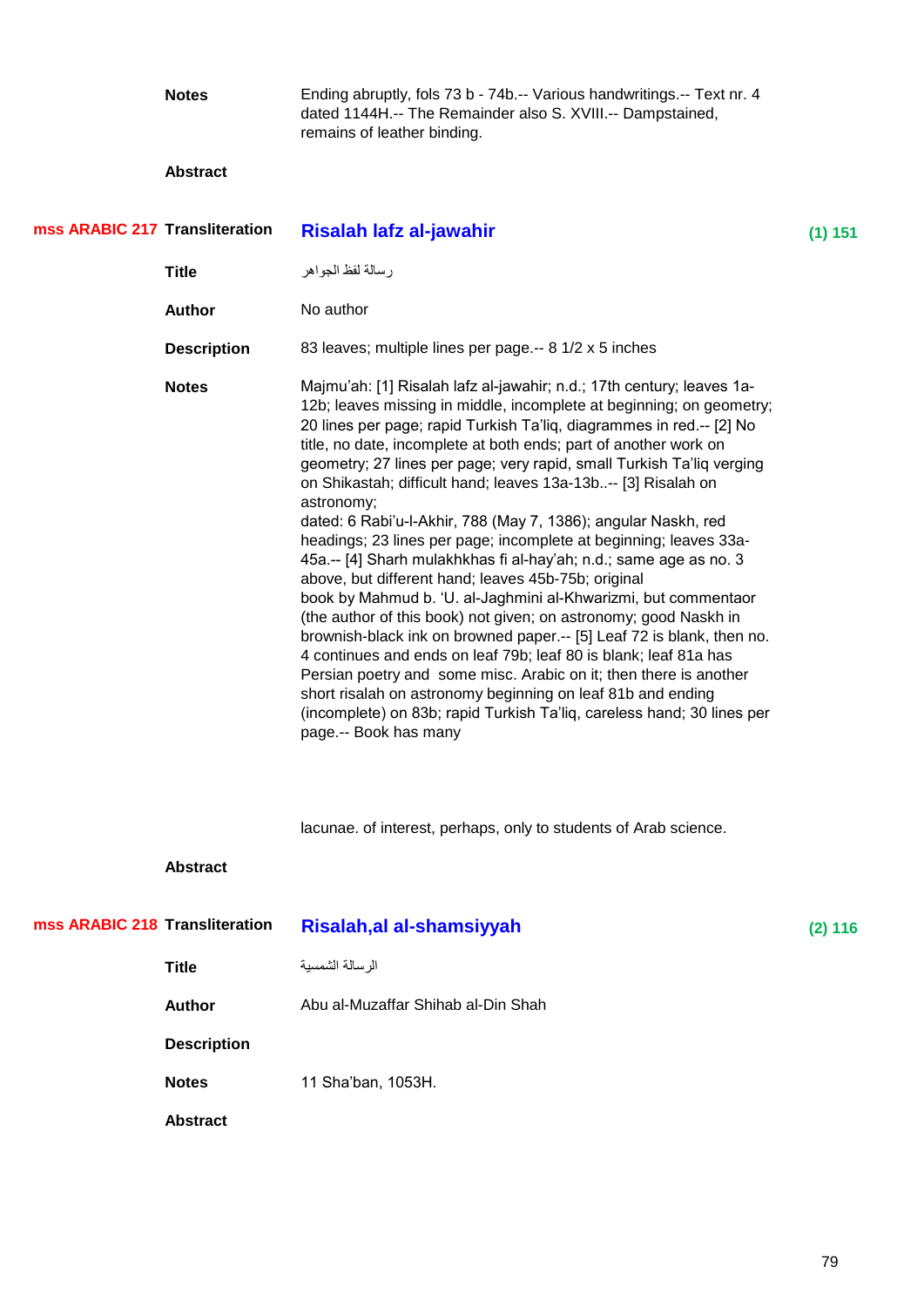**Notes** Ending abruptly, fols 73 b - 74b.-- Various handwritings.-- Text nr. 4 dated 1144H.-- The Remainder also S. XVIII.-- Dampstained, remains of leather binding.

| mss ARABIC 217 Transliteration |                    | Risalah lafz al-jawahir                                                                                                                                                                                                                                                                                                                                                                                                                                                                                                                                                                                                                                                                                                                                                                                                                                                                                                                                                                                                                                                                                                                                                                                                                        | $(1)$ 151 |
|--------------------------------|--------------------|------------------------------------------------------------------------------------------------------------------------------------------------------------------------------------------------------------------------------------------------------------------------------------------------------------------------------------------------------------------------------------------------------------------------------------------------------------------------------------------------------------------------------------------------------------------------------------------------------------------------------------------------------------------------------------------------------------------------------------------------------------------------------------------------------------------------------------------------------------------------------------------------------------------------------------------------------------------------------------------------------------------------------------------------------------------------------------------------------------------------------------------------------------------------------------------------------------------------------------------------|-----------|
|                                | <b>Title</b>       | ر سالة لفظ الجواهر                                                                                                                                                                                                                                                                                                                                                                                                                                                                                                                                                                                                                                                                                                                                                                                                                                                                                                                                                                                                                                                                                                                                                                                                                             |           |
|                                | <b>Author</b>      | No author                                                                                                                                                                                                                                                                                                                                                                                                                                                                                                                                                                                                                                                                                                                                                                                                                                                                                                                                                                                                                                                                                                                                                                                                                                      |           |
|                                | <b>Description</b> | 83 leaves; multiple lines per page.-- 8 1/2 x 5 inches                                                                                                                                                                                                                                                                                                                                                                                                                                                                                                                                                                                                                                                                                                                                                                                                                                                                                                                                                                                                                                                                                                                                                                                         |           |
|                                | <b>Notes</b>       | Majmu'ah: [1] Risalah lafz al-jawahir; n.d.; 17th century; leaves 1a-<br>12b; leaves missing in middle, incomplete at beginning; on geometry;<br>20 lines per page; rapid Turkish Ta'liq, diagrammes in red.-- [2] No<br>title, no date, incomplete at both ends; part of another work on<br>geometry; 27 lines per page; very rapid, small Turkish Ta'liq verging<br>on Shikastah; difficult hand; leaves 13a-13b-- [3] Risalah on<br>astronomy;<br>dated: 6 Rabi'u-l-Akhir, 788 (May 7, 1386); angular Naskh, red<br>headings; 23 lines per page; incomplete at beginning; leaves 33a-<br>45a.-- [4] Sharh mulakhkhas fi al-hay'ah; n.d.; same age as no. 3<br>above, but different hand; leaves 45b-75b; original<br>book by Mahmud b. 'U. al-Jaghmini al-Khwarizmi, but commentaor<br>(the author of this book) not given; on astronomy; good Naskh in<br>brownish-black ink on browned paper.-- [5] Leaf 72 is blank, then no.<br>4 continues and ends on leaf 79b; leaf 80 is blank; leaf 81a has<br>Persian poetry and some misc. Arabic on it; then there is another<br>short risalah on astronomy beginning on leaf 81b and ending<br>(incomplete) on 83b; rapid Turkish Ta'liq, careless hand; 30 lines per<br>page.-- Book has many |           |
|                                |                    | lacunae. of interest, perhaps, only to students of Arab science.                                                                                                                                                                                                                                                                                                                                                                                                                                                                                                                                                                                                                                                                                                                                                                                                                                                                                                                                                                                                                                                                                                                                                                               |           |
|                                | <b>Abstract</b>    |                                                                                                                                                                                                                                                                                                                                                                                                                                                                                                                                                                                                                                                                                                                                                                                                                                                                                                                                                                                                                                                                                                                                                                                                                                                |           |
| mss ARABIC 218 Transliteration |                    | Risalah, al al-shamsiyyah                                                                                                                                                                                                                                                                                                                                                                                                                                                                                                                                                                                                                                                                                                                                                                                                                                                                                                                                                                                                                                                                                                                                                                                                                      | $(2)$ 116 |
|                                | <b>Title</b>       | الرسالة الشمسية                                                                                                                                                                                                                                                                                                                                                                                                                                                                                                                                                                                                                                                                                                                                                                                                                                                                                                                                                                                                                                                                                                                                                                                                                                |           |
|                                | <b>Author</b>      | Abu al-Muzaffar Shihab al-Din Shah                                                                                                                                                                                                                                                                                                                                                                                                                                                                                                                                                                                                                                                                                                                                                                                                                                                                                                                                                                                                                                                                                                                                                                                                             |           |
|                                | <b>Description</b> |                                                                                                                                                                                                                                                                                                                                                                                                                                                                                                                                                                                                                                                                                                                                                                                                                                                                                                                                                                                                                                                                                                                                                                                                                                                |           |
|                                | <b>Notes</b>       | 11 Sha'ban, 1053H.                                                                                                                                                                                                                                                                                                                                                                                                                                                                                                                                                                                                                                                                                                                                                                                                                                                                                                                                                                                                                                                                                                                                                                                                                             |           |
|                                | <b>Abstract</b>    |                                                                                                                                                                                                                                                                                                                                                                                                                                                                                                                                                                                                                                                                                                                                                                                                                                                                                                                                                                                                                                                                                                                                                                                                                                                |           |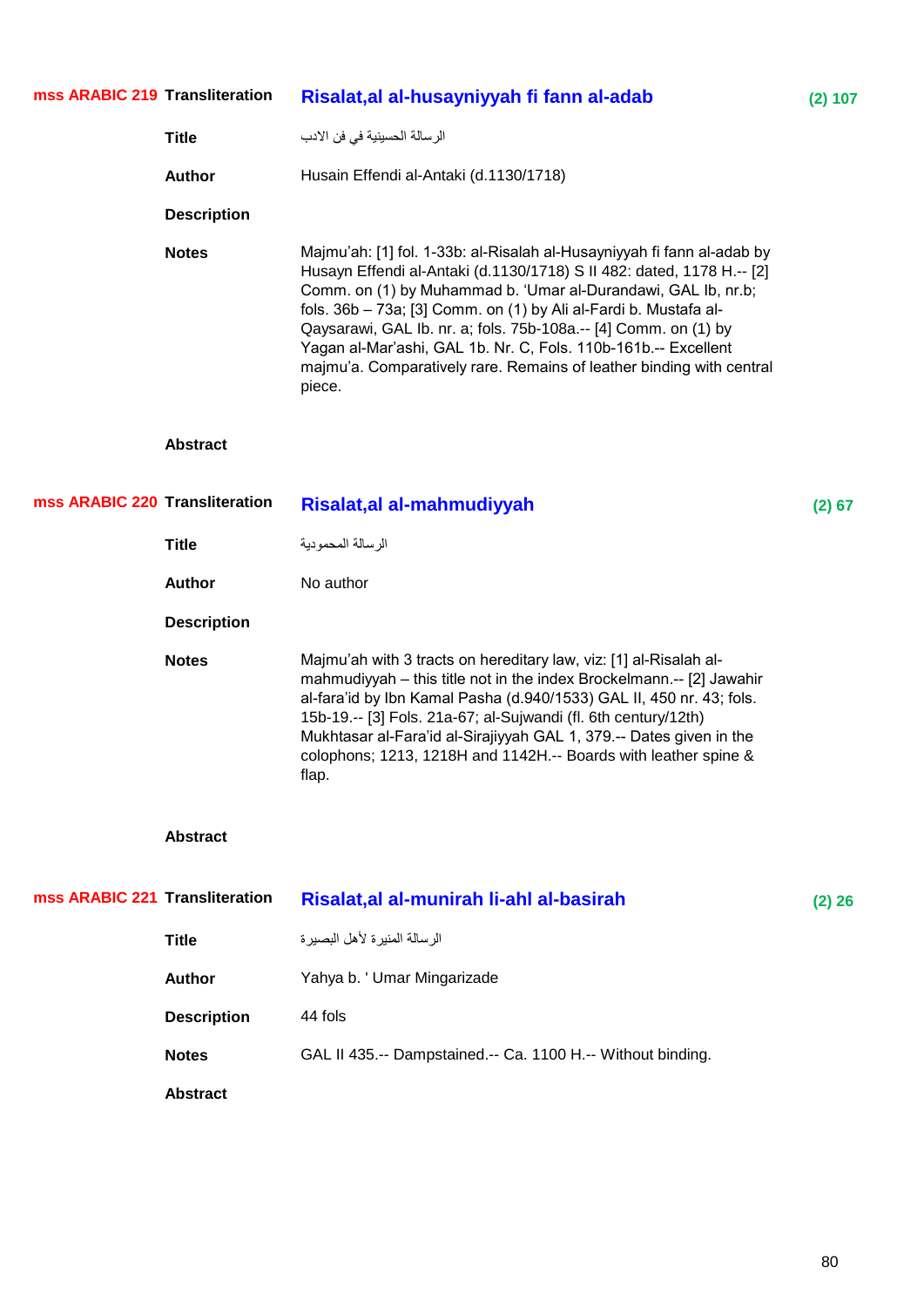| mss ARABIC 219 Transliteration |                    | Risalat, al al-husayniyyah fi fann al-adab                                                                                                                                                                                                                                                                                                                                                                                                                                                                  | (2) 107  |
|--------------------------------|--------------------|-------------------------------------------------------------------------------------------------------------------------------------------------------------------------------------------------------------------------------------------------------------------------------------------------------------------------------------------------------------------------------------------------------------------------------------------------------------------------------------------------------------|----------|
|                                | <b>Title</b>       | الرسالة الحسينية في فن الادب                                                                                                                                                                                                                                                                                                                                                                                                                                                                                |          |
|                                | <b>Author</b>      | Husain Effendi al-Antaki (d.1130/1718)                                                                                                                                                                                                                                                                                                                                                                                                                                                                      |          |
|                                | <b>Description</b> |                                                                                                                                                                                                                                                                                                                                                                                                                                                                                                             |          |
|                                | <b>Notes</b>       | Majmu'ah: [1] fol. 1-33b: al-Risalah al-Husayniyyah fi fann al-adab by<br>Husayn Effendi al-Antaki (d.1130/1718) S II 482: dated, 1178 H.-- [2]<br>Comm. on (1) by Muhammad b. 'Umar al-Durandawi, GAL Ib, nr.b;<br>fols. 36b - 73a; [3] Comm. on (1) by Ali al-Fardi b. Mustafa al-<br>Qaysarawi, GAL Ib. nr. a; fols. 75b-108a.-- [4] Comm. on (1) by<br>Yagan al-Mar'ashi, GAL 1b. Nr. C, Fols. 110b-161b.-- Excellent<br>majmu'a. Comparatively rare. Remains of leather binding with central<br>piece. |          |
|                                | <b>Abstract</b>    |                                                                                                                                                                                                                                                                                                                                                                                                                                                                                                             |          |
| mss ARABIC 220 Transliteration |                    | Risalat, al al-mahmudiyyah                                                                                                                                                                                                                                                                                                                                                                                                                                                                                  | $(2)$ 67 |
|                                | <b>Title</b>       | الرسالة المحمودية                                                                                                                                                                                                                                                                                                                                                                                                                                                                                           |          |
|                                | <b>Author</b>      | No author                                                                                                                                                                                                                                                                                                                                                                                                                                                                                                   |          |
|                                | <b>Description</b> |                                                                                                                                                                                                                                                                                                                                                                                                                                                                                                             |          |
|                                | <b>Notes</b>       | Majmu'ah with 3 tracts on hereditary law, viz: [1] al-Risalah al-<br>mahmudiyyah - this title not in the index Brockelmann.-- [2] Jawahir<br>al-fara'id by Ibn Kamal Pasha (d.940/1533) GAL II, 450 nr. 43; fols.<br>15b-19.-- [3] Fols. 21a-67; al-Sujwandi (fl. 6th century/12th)<br>Mukhtasar al-Fara'id al-Sirajiyyah GAL 1, 379.-- Dates given in the<br>colophons; 1213, 1218H and 1142H.-- Boards with leather spine &<br>flap.                                                                      |          |
|                                | <b>Abstract</b>    |                                                                                                                                                                                                                                                                                                                                                                                                                                                                                                             |          |
| mss ARABIC 221 Transliteration |                    | Risalat, al al-munirah li-ahl al-basirah                                                                                                                                                                                                                                                                                                                                                                                                                                                                    | $(2)$ 26 |
|                                | <b>Title</b>       | الرسالة المنيرة لأهل البصيرة                                                                                                                                                                                                                                                                                                                                                                                                                                                                                |          |
|                                | <b>Author</b>      | Yahya b. ' Umar Mingarizade                                                                                                                                                                                                                                                                                                                                                                                                                                                                                 |          |
|                                | <b>Description</b> | 44 fols                                                                                                                                                                                                                                                                                                                                                                                                                                                                                                     |          |
|                                | <b>Notes</b>       | GAL II 435.-- Dampstained.-- Ca. 1100 H.-- Without binding.                                                                                                                                                                                                                                                                                                                                                                                                                                                 |          |
|                                | <b>Abstract</b>    |                                                                                                                                                                                                                                                                                                                                                                                                                                                                                                             |          |
|                                |                    |                                                                                                                                                                                                                                                                                                                                                                                                                                                                                                             |          |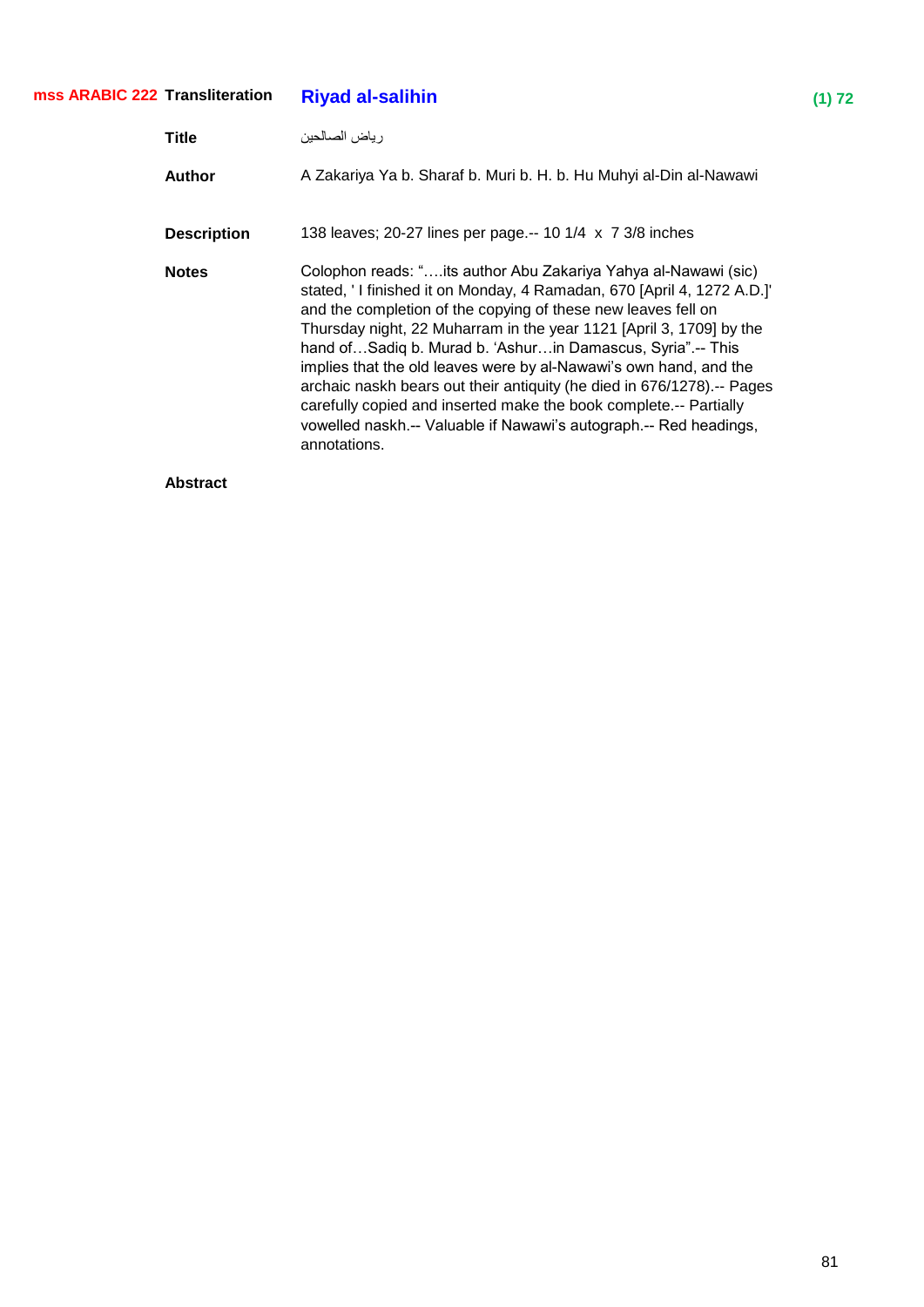## **Riyad al-salihin** (1) 72 ر ياض الصـالحين **Title Author** A Zakariya Ya b. Sharaf b. Muri b. H. b. Hu Muhyi al-Din al-Nawawi **Description** 138 leaves; 20-27 lines per page.-- 10 1/4 x 7 3/8 inches Notes **Notes** Colophon reads: "....its author Abu Zakariya Yahya al-Nawawi (sic) stated, ' I finished it on Monday, 4 Ramadan, 670 [April 4, 1272 A.D.]' and the completion of the copying of these new leaves fell on Thursday night, 22 Muharram in the year 1121 [April 3, 1709] by the hand of...Sadiq b. Murad b. 'Ashur...in Damascus, Syria".-- This implies that the old leaves were by al-Nawawi's own hand, and the archaic naskh bears out their antiquity (he died in 676/1278).-- Pages carefully copied and inserted make the book complete.-- Partially vowelled naskh.-- Valuable if Nawawi's autograph.-- Red headings, annotations. **mss ARABIC 222**

**Abstract**

### 81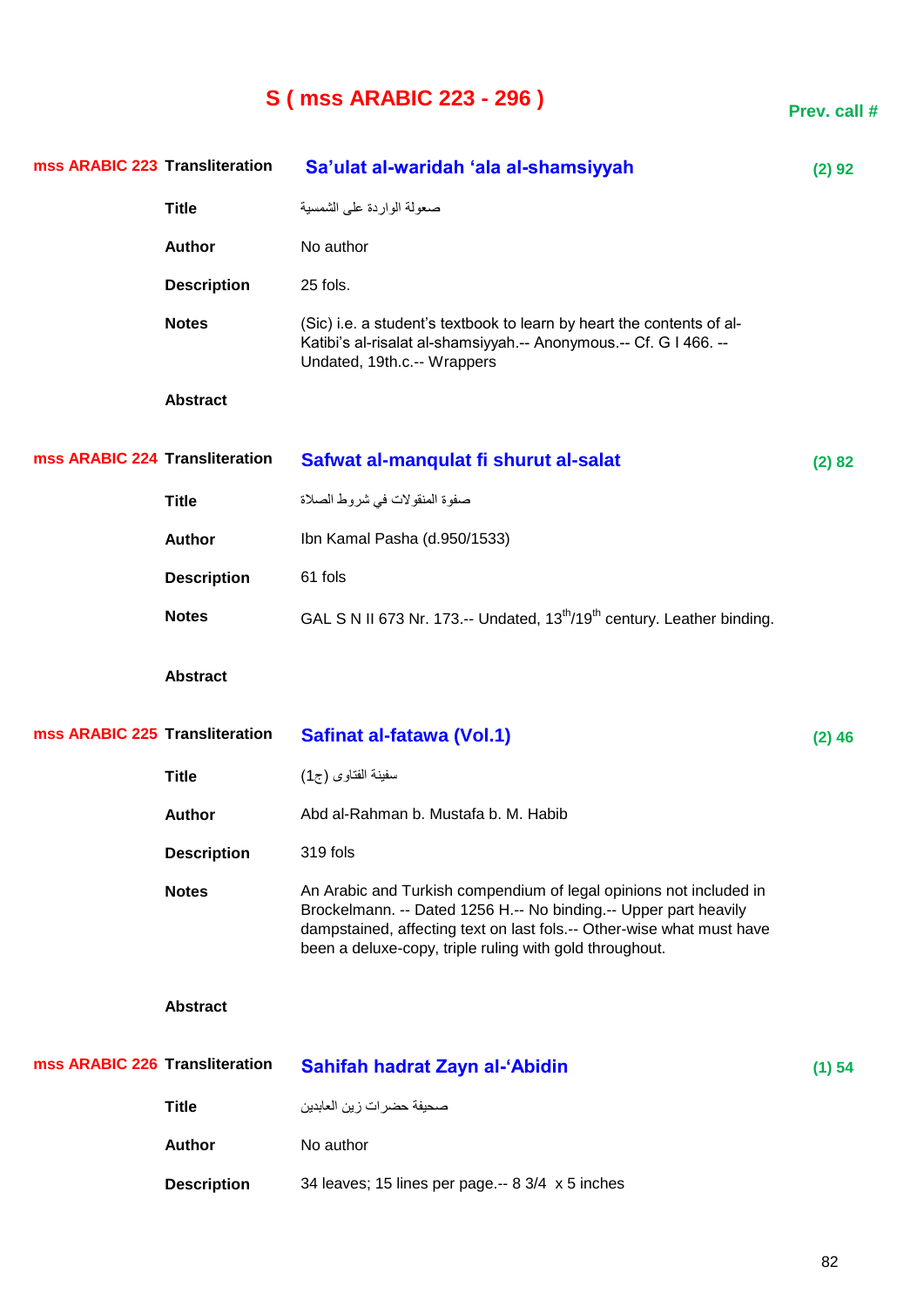# **S ( mss ARABIC 223 - 296 )**

**Prev. call #**

| mss ARABIC 223 Transliteration |                    | Sa'ulat al-waridah 'ala al-shamsiyyah                                                                                                                                                                                                                                      | (2) 92   |
|--------------------------------|--------------------|----------------------------------------------------------------------------------------------------------------------------------------------------------------------------------------------------------------------------------------------------------------------------|----------|
|                                | <b>Title</b>       | صعولة الواردة على الشمسية                                                                                                                                                                                                                                                  |          |
|                                | <b>Author</b>      | No author                                                                                                                                                                                                                                                                  |          |
|                                | <b>Description</b> | 25 fols.                                                                                                                                                                                                                                                                   |          |
|                                | <b>Notes</b>       | (Sic) i.e. a student's textbook to learn by heart the contents of al-<br>Katibi's al-risalat al-shamsiyyah.-- Anonymous.-- Cf. G I 466. --<br>Undated, 19th.c.-- Wrappers                                                                                                  |          |
|                                | <b>Abstract</b>    |                                                                                                                                                                                                                                                                            |          |
| mss ARABIC 224 Transliteration |                    | Safwat al-manqulat fi shurut al-salat                                                                                                                                                                                                                                      | (2) 82   |
|                                | <b>Title</b>       | صفوة المنقولات في شروط الصلاة                                                                                                                                                                                                                                              |          |
|                                | <b>Author</b>      | Ibn Kamal Pasha (d.950/1533)                                                                                                                                                                                                                                               |          |
|                                | <b>Description</b> | 61 fols                                                                                                                                                                                                                                                                    |          |
|                                | <b>Notes</b>       | GAL S N II 673 Nr. 173.-- Undated, 13 <sup>th</sup> /19 <sup>th</sup> century. Leather binding.                                                                                                                                                                            |          |
|                                | <b>Abstract</b>    |                                                                                                                                                                                                                                                                            |          |
| mss ARABIC 225 Transliteration |                    | Safinat al-fatawa (Vol.1)                                                                                                                                                                                                                                                  | $(2)$ 46 |
|                                | <b>Title</b>       | سفينة الفتاوى (ج1)                                                                                                                                                                                                                                                         |          |
|                                | <b>Author</b>      | Abd al-Rahman b. Mustafa b. M. Habib                                                                                                                                                                                                                                       |          |
|                                | <b>Description</b> | 319 fols                                                                                                                                                                                                                                                                   |          |
|                                | <b>Notes</b>       | An Arabic and Turkish compendium of legal opinions not included in<br>Brockelmann. -- Dated 1256 H.-- No binding.-- Upper part heavily<br>dampstained, affecting text on last fols.-- Other-wise what must have<br>been a deluxe-copy, triple ruling with gold throughout. |          |
|                                | <b>Abstract</b>    |                                                                                                                                                                                                                                                                            |          |
| mss ARABIC 226 Transliteration |                    | Sahifah hadrat Zayn al-'Abidin                                                                                                                                                                                                                                             | (1) 54   |
|                                | <b>Title</b>       | صحيفة حضر ات ز ين العابدين                                                                                                                                                                                                                                                 |          |
|                                | <b>Author</b>      | No author                                                                                                                                                                                                                                                                  |          |
|                                | <b>Description</b> | 34 leaves; 15 lines per page .-- 8 3/4 x 5 inches                                                                                                                                                                                                                          |          |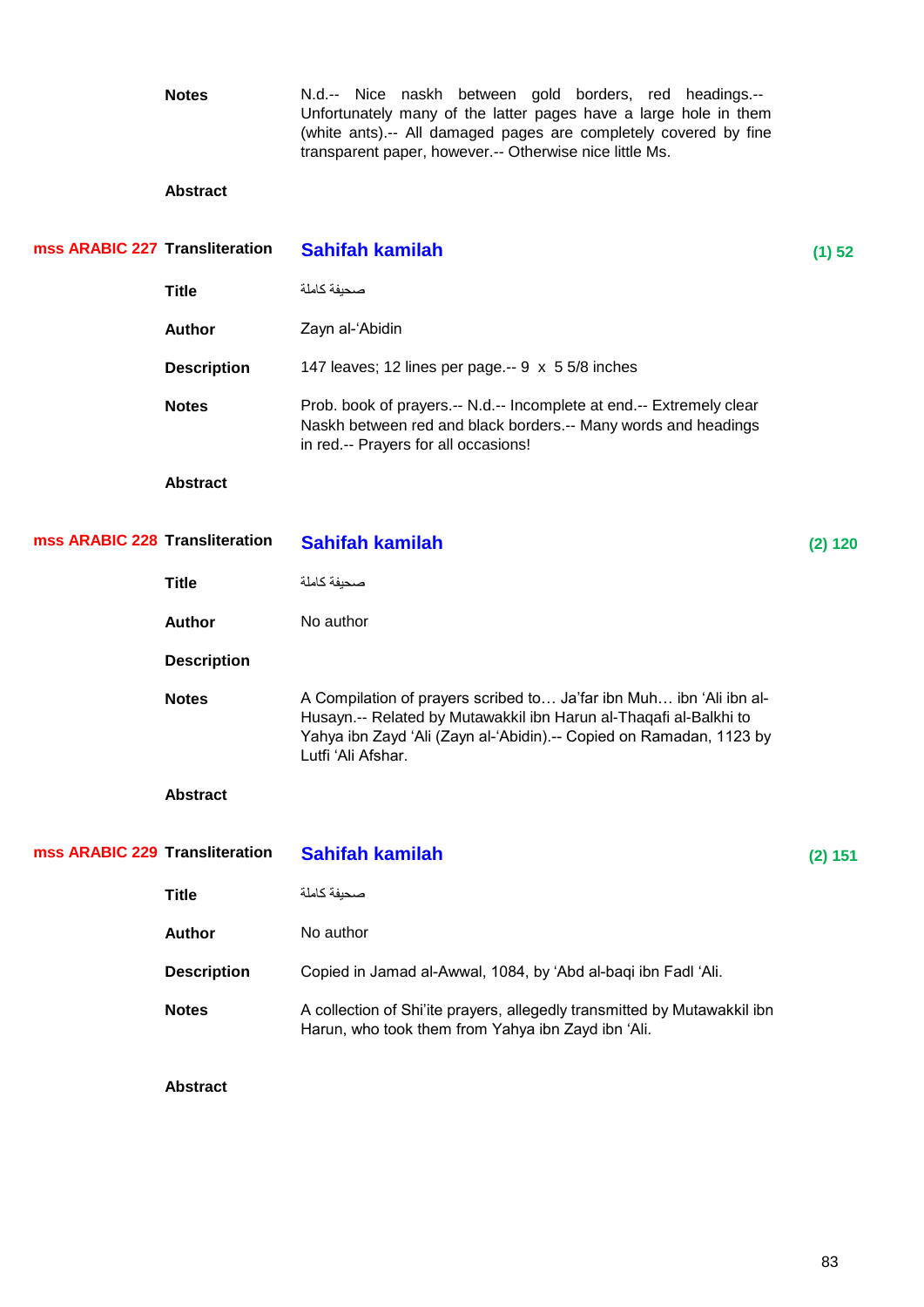**Notes** N.d.-- Nice naskh between gold borders, red headings.-- Unfortunately many of the latter pages have a large hole in them (white ants).-- All damaged pages are completely covered by fine transparent paper, however.-- Otherwise nice little Ms. **Abstract Transliteration Sahifah kamilah (1) 52** صحيفة كاملة العربي العالم العربي<br>العربي العالم **Author Zayn al-** 'Abidin **Description** 147 leaves; 12 lines per page.-- 9 x 5 5/8 inches Notes Prob. book of prayers.-- N.d.-- Incomplete at end.-- Extremely clear Naskh between red and black borders.-- Many words and headings in red.-- Prayers for all occasions! **Abstract Transfirmation Sahifah kamilah (2) 120** صحيفة كاملة **Title mss ARABIC 227 mss ARABIC 228**

| <b>Abstract</b>                |                                                                                                                                |         |
|--------------------------------|--------------------------------------------------------------------------------------------------------------------------------|---------|
| mss ARABIC 229 Transliteration | Sahifah kamilah                                                                                                                | (2) 151 |
| <b>Title</b>                   | صحنفة كاملة                                                                                                                    |         |
| <b>Author</b>                  | No author                                                                                                                      |         |
| <b>Description</b>             | Copied in Jamad al-Awwal, 1084, by 'Abd al-baqi ibn Fadl 'Ali.                                                                 |         |
| <b>Notes</b>                   | A collection of Shi'ite prayers, allegedly transmitted by Mutawakkil ibn<br>Harun, who took them from Yahya ibn Zayd ibn 'Ali. |         |
|                                |                                                                                                                                |         |

Notes A Compilation of prayers scribed to... Ja'far ibn Muh... ibn 'Ali ibn al-

Husayn.-- Related by Mutawakkil ibn Harun al-Thaqafi al-Balkhi to Yahya ibn Zayd 'Ali (Zayn al-'Abidin).-- Copied on Ramadan, 1123 by

**Abstract**

**Author** No author

Lutfi 'Ali Afshar.

**Description**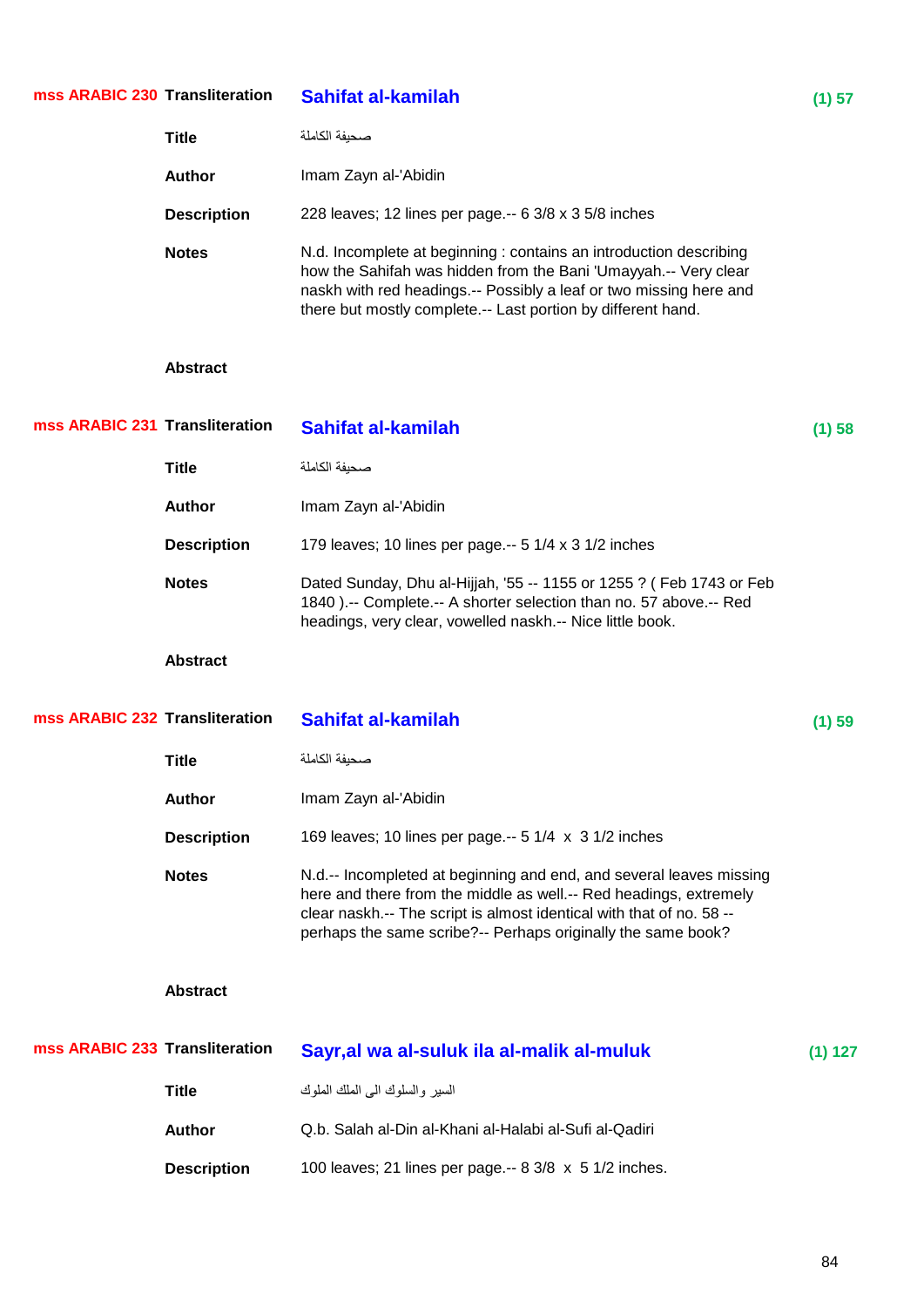| mss ARABIC 230 Transliteration |                    | <b>Sahifat al-kamilah</b>                                                                                                                                                                                                                                                        | (1) 57    |
|--------------------------------|--------------------|----------------------------------------------------------------------------------------------------------------------------------------------------------------------------------------------------------------------------------------------------------------------------------|-----------|
|                                | <b>Title</b>       | صحيفة الكاملة                                                                                                                                                                                                                                                                    |           |
|                                | <b>Author</b>      | Imam Zayn al-'Abidin                                                                                                                                                                                                                                                             |           |
|                                | <b>Description</b> | 228 leaves; 12 lines per page.-- 6 3/8 x 3 5/8 inches                                                                                                                                                                                                                            |           |
|                                | <b>Notes</b>       | N.d. Incomplete at beginning : contains an introduction describing<br>how the Sahifah was hidden from the Bani 'Umayyah.-- Very clear<br>naskh with red headings.-- Possibly a leaf or two missing here and<br>there but mostly complete.-- Last portion by different hand.      |           |
|                                | <b>Abstract</b>    |                                                                                                                                                                                                                                                                                  |           |
| mss ARABIC 231 Transliteration |                    | Sahifat al-kamilah                                                                                                                                                                                                                                                               | (1) 58    |
|                                | <b>Title</b>       | صحبفة الكاملة                                                                                                                                                                                                                                                                    |           |
|                                | <b>Author</b>      | Imam Zayn al-'Abidin                                                                                                                                                                                                                                                             |           |
|                                | <b>Description</b> | 179 leaves; 10 lines per page.-- 5 1/4 x 3 1/2 inches                                                                                                                                                                                                                            |           |
|                                | <b>Notes</b>       | Dated Sunday, Dhu al-Hijjah, '55 -- 1155 or 1255 ? ( Feb 1743 or Feb<br>1840 ).-- Complete.-- A shorter selection than no. 57 above.-- Red<br>headings, very clear, vowelled naskh.-- Nice little book.                                                                          |           |
|                                | <b>Abstract</b>    |                                                                                                                                                                                                                                                                                  |           |
| mss ARABIC 232 Transliteration |                    | Sahifat al-kamilah                                                                                                                                                                                                                                                               | (1) 59    |
|                                | <b>Title</b>       | صحيفة الكاملة                                                                                                                                                                                                                                                                    |           |
|                                | <b>Author</b>      | Imam Zayn al-'Abidin                                                                                                                                                                                                                                                             |           |
|                                | <b>Description</b> | 169 leaves; 10 lines per page.-- 5 1/4 x 3 1/2 inches                                                                                                                                                                                                                            |           |
|                                | <b>Notes</b>       | N.d.-- Incompleted at beginning and end, and several leaves missing<br>here and there from the middle as well.-- Red headings, extremely<br>clear naskh.-- The script is almost identical with that of no. 58 --<br>perhaps the same scribe?-- Perhaps originally the same book? |           |
|                                | <b>Abstract</b>    |                                                                                                                                                                                                                                                                                  |           |
| mss ARABIC 233 Transliteration |                    | Sayr, al wa al-suluk ila al-malik al-muluk                                                                                                                                                                                                                                       | $(1)$ 127 |
|                                | <b>Title</b>       | السير والسلوك المي الملك الملوك                                                                                                                                                                                                                                                  |           |
|                                | <b>Author</b>      | Q.b. Salah al-Din al-Khani al-Halabi al-Sufi al-Qadiri                                                                                                                                                                                                                           |           |
|                                | <b>Description</b> | 100 leaves; 21 lines per page.-- 8 3/8 x 5 1/2 inches.                                                                                                                                                                                                                           |           |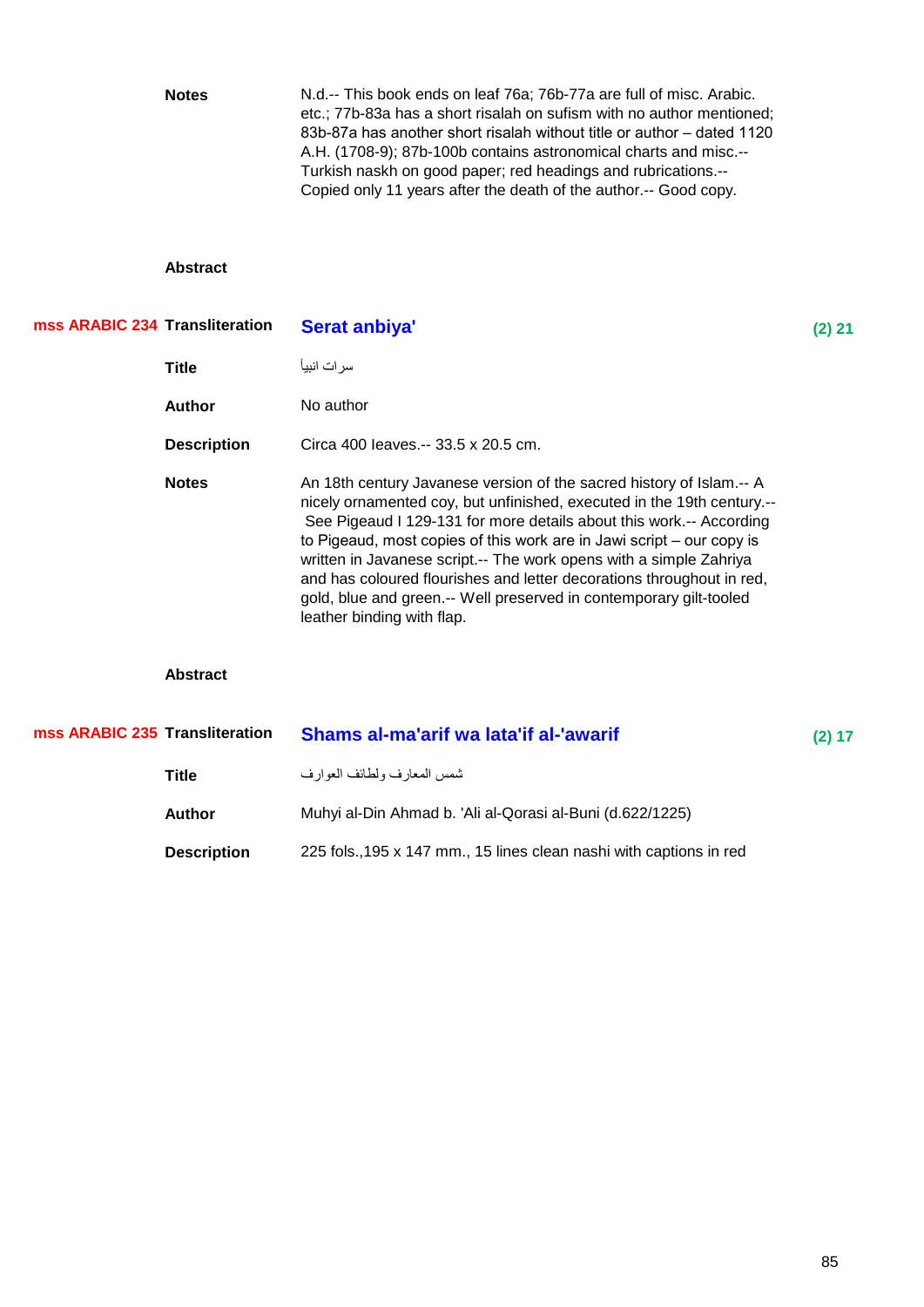|                                | <b>Notes</b>       | N.d.-- This book ends on leaf 76a; 76b-77a are full of misc. Arabic.<br>etc.; 77b-83a has a short risalah on sufism with no author mentioned;<br>83b-87a has another short risalah without title or author - dated 1120<br>A.H. (1708-9); 87b-100b contains astronomical charts and misc.--<br>Turkish naskh on good paper; red headings and rubrications.--<br>Copied only 11 years after the death of the author.-- Good copy.                                                                                                                  |          |
|--------------------------------|--------------------|---------------------------------------------------------------------------------------------------------------------------------------------------------------------------------------------------------------------------------------------------------------------------------------------------------------------------------------------------------------------------------------------------------------------------------------------------------------------------------------------------------------------------------------------------|----------|
|                                | <b>Abstract</b>    |                                                                                                                                                                                                                                                                                                                                                                                                                                                                                                                                                   |          |
| mss ARABIC 234 Transliteration |                    | <b>Serat anbiya'</b>                                                                                                                                                                                                                                                                                                                                                                                                                                                                                                                              | $(2)$ 21 |
|                                | Title              | سر ات انبیا                                                                                                                                                                                                                                                                                                                                                                                                                                                                                                                                       |          |
|                                | <b>Author</b>      | No author                                                                                                                                                                                                                                                                                                                                                                                                                                                                                                                                         |          |
|                                | <b>Description</b> | Circa 400 leaves.-- 33.5 x 20.5 cm.                                                                                                                                                                                                                                                                                                                                                                                                                                                                                                               |          |
|                                | <b>Notes</b>       | An 18th century Javanese version of the sacred history of Islam.-- A<br>nicely ornamented coy, but unfinished, executed in the 19th century.--<br>See Pigeaud I 129-131 for more details about this work.-- According<br>to Pigeaud, most copies of this work are in Jawi script – our copy is<br>written in Javanese script.-- The work opens with a simple Zahriya<br>and has coloured flourishes and letter decorations throughout in red,<br>gold, blue and green.-- Well preserved in contemporary gilt-tooled<br>leather binding with flap. |          |
|                                | <b>Abstract</b>    |                                                                                                                                                                                                                                                                                                                                                                                                                                                                                                                                                   |          |
| mss ARABIC 235 Transliteration |                    | Shams al-ma'arif wa lata'if al-'awarif                                                                                                                                                                                                                                                                                                                                                                                                                                                                                                            | (2) 17   |
|                                | <b>Title</b>       | شمس المعار ف و لطائف العو ار ف                                                                                                                                                                                                                                                                                                                                                                                                                                                                                                                    |          |
|                                | <b>Author</b>      | Muhyi al-Din Ahmad b. 'Ali al-Qorasi al-Buni (d.622/1225)                                                                                                                                                                                                                                                                                                                                                                                                                                                                                         |          |
|                                | <b>Description</b> | 225 fols., 195 x 147 mm., 15 lines clean nashi with captions in red                                                                                                                                                                                                                                                                                                                                                                                                                                                                               |          |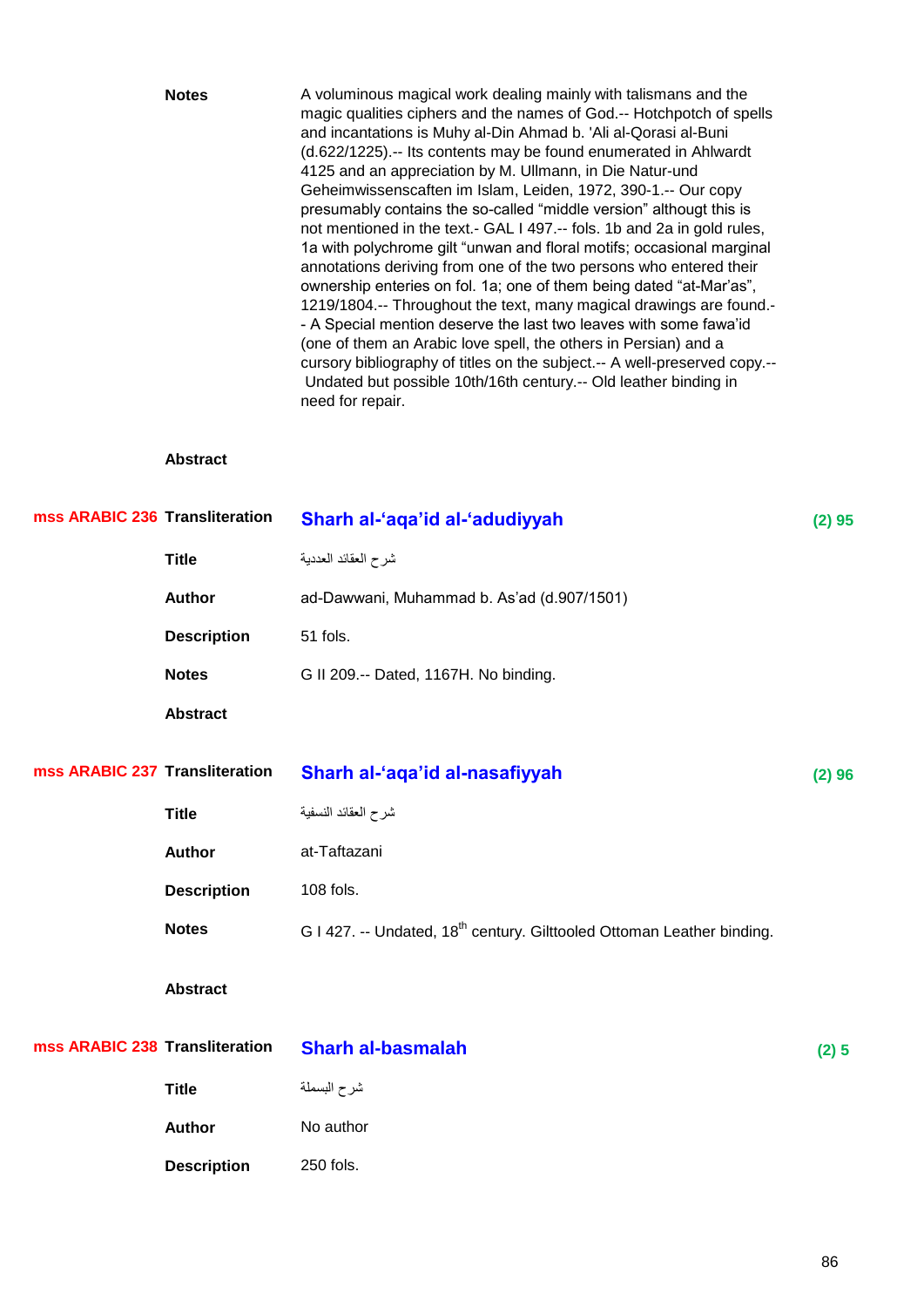|                                | <b>Notes</b>                   | A voluminous magical work dealing mainly with talismans and the<br>magic qualities ciphers and the names of God.-- Hotchpotch of spells<br>and incantations is Muhy al-Din Ahmad b. 'Ali al-Qorasi al-Buni<br>(d.622/1225).-- Its contents may be found enumerated in Ahlwardt<br>4125 and an appreciation by M. Ullmann, in Die Natur-und<br>Geheimwissenscaften im Islam, Leiden, 1972, 390-1.-- Our copy<br>presumably contains the so-called "middle version" althougt this is<br>not mentioned in the text.- GAL I 497.-- fols. 1b and 2a in gold rules,<br>1a with polychrome gilt "unwan and floral motifs; occasional marginal<br>annotations deriving from one of the two persons who entered their<br>ownership enteries on fol. 1a; one of them being dated "at-Mar'as",<br>1219/1804.-- Throughout the text, many magical drawings are found.-<br>- A Special mention deserve the last two leaves with some fawa'id<br>(one of them an Arabic love spell, the others in Persian) and a<br>cursory bibliography of titles on the subject.-- A well-preserved copy.--<br>Undated but possible 10th/16th century.-- Old leather binding in<br>need for repair. |        |
|--------------------------------|--------------------------------|-------------------------------------------------------------------------------------------------------------------------------------------------------------------------------------------------------------------------------------------------------------------------------------------------------------------------------------------------------------------------------------------------------------------------------------------------------------------------------------------------------------------------------------------------------------------------------------------------------------------------------------------------------------------------------------------------------------------------------------------------------------------------------------------------------------------------------------------------------------------------------------------------------------------------------------------------------------------------------------------------------------------------------------------------------------------------------------------------------------------------------------------------------------------------|--------|
|                                | <b>Abstract</b>                |                                                                                                                                                                                                                                                                                                                                                                                                                                                                                                                                                                                                                                                                                                                                                                                                                                                                                                                                                                                                                                                                                                                                                                         |        |
| mss ARABIC 236 Transliteration |                                | Sharh al-'aqa'id al-'adudiyyah                                                                                                                                                                                                                                                                                                                                                                                                                                                                                                                                                                                                                                                                                                                                                                                                                                                                                                                                                                                                                                                                                                                                          | (2) 95 |
|                                | <b>Title</b>                   | شرح العقائد العددية                                                                                                                                                                                                                                                                                                                                                                                                                                                                                                                                                                                                                                                                                                                                                                                                                                                                                                                                                                                                                                                                                                                                                     |        |
|                                | <b>Author</b>                  | ad-Dawwani, Muhammad b. As'ad (d.907/1501)                                                                                                                                                                                                                                                                                                                                                                                                                                                                                                                                                                                                                                                                                                                                                                                                                                                                                                                                                                                                                                                                                                                              |        |
|                                | <b>Description</b>             | 51 fols.                                                                                                                                                                                                                                                                                                                                                                                                                                                                                                                                                                                                                                                                                                                                                                                                                                                                                                                                                                                                                                                                                                                                                                |        |
|                                | <b>Notes</b>                   | G II 209.-- Dated, 1167H. No binding.                                                                                                                                                                                                                                                                                                                                                                                                                                                                                                                                                                                                                                                                                                                                                                                                                                                                                                                                                                                                                                                                                                                                   |        |
|                                | <b>Abstract</b>                |                                                                                                                                                                                                                                                                                                                                                                                                                                                                                                                                                                                                                                                                                                                                                                                                                                                                                                                                                                                                                                                                                                                                                                         |        |
|                                | mss ARABIC 237 Transliteration | Sharh al-'aqa'id al-nasafiyyah                                                                                                                                                                                                                                                                                                                                                                                                                                                                                                                                                                                                                                                                                                                                                                                                                                                                                                                                                                                                                                                                                                                                          | (2) 96 |
|                                | <b>Title</b>                   | شرح العقائد النسفية                                                                                                                                                                                                                                                                                                                                                                                                                                                                                                                                                                                                                                                                                                                                                                                                                                                                                                                                                                                                                                                                                                                                                     |        |
|                                | <b>Author</b>                  | at-Taftazani                                                                                                                                                                                                                                                                                                                                                                                                                                                                                                                                                                                                                                                                                                                                                                                                                                                                                                                                                                                                                                                                                                                                                            |        |
|                                | <b>Description</b>             | 108 fols.                                                                                                                                                                                                                                                                                                                                                                                                                                                                                                                                                                                                                                                                                                                                                                                                                                                                                                                                                                                                                                                                                                                                                               |        |
|                                | <b>Notes</b>                   | G I 427. -- Undated, 18 <sup>th</sup> century. Gilttooled Ottoman Leather binding.                                                                                                                                                                                                                                                                                                                                                                                                                                                                                                                                                                                                                                                                                                                                                                                                                                                                                                                                                                                                                                                                                      |        |
|                                | <b>Abstract</b>                |                                                                                                                                                                                                                                                                                                                                                                                                                                                                                                                                                                                                                                                                                                                                                                                                                                                                                                                                                                                                                                                                                                                                                                         |        |
| mss ARABIC 238 Transliteration |                                | <b>Sharh al-basmalah</b>                                                                                                                                                                                                                                                                                                                                                                                                                                                                                                                                                                                                                                                                                                                                                                                                                                                                                                                                                                                                                                                                                                                                                | (2) 5  |
|                                | <b>Title</b>                   | شرح البسملة                                                                                                                                                                                                                                                                                                                                                                                                                                                                                                                                                                                                                                                                                                                                                                                                                                                                                                                                                                                                                                                                                                                                                             |        |
|                                | <b>Author</b>                  | No author                                                                                                                                                                                                                                                                                                                                                                                                                                                                                                                                                                                                                                                                                                                                                                                                                                                                                                                                                                                                                                                                                                                                                               |        |
|                                | <b>Description</b>             | 250 fols.                                                                                                                                                                                                                                                                                                                                                                                                                                                                                                                                                                                                                                                                                                                                                                                                                                                                                                                                                                                                                                                                                                                                                               |        |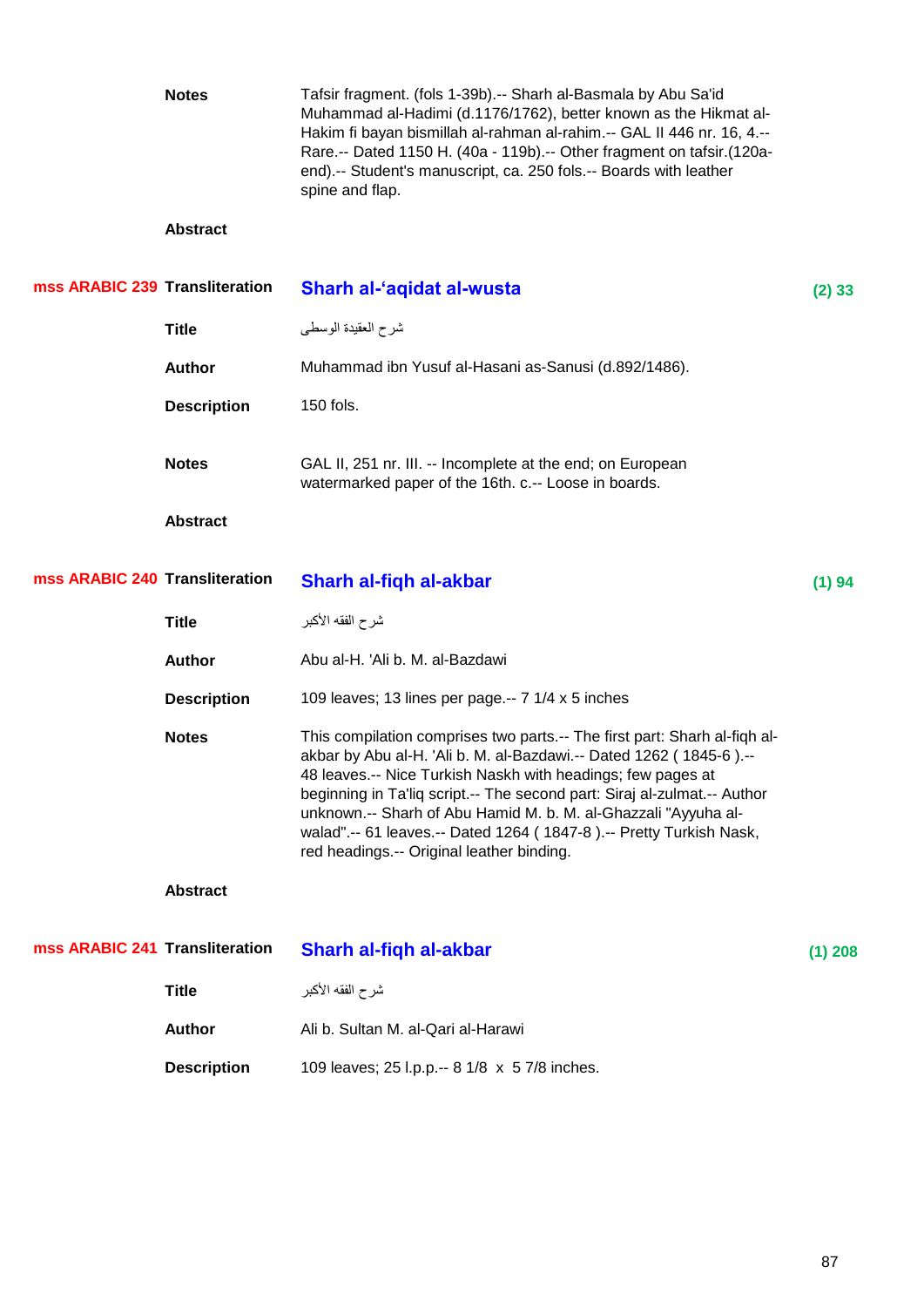|                                | <b>Notes</b>       | Tafsir fragment. (fols 1-39b).-- Sharh al-Basmala by Abu Sa'id<br>Muhammad al-Hadimi (d.1176/1762), better known as the Hikmat al-<br>Hakim fi bayan bismillah al-rahman al-rahim.-- GAL II 446 nr. 16, 4.--<br>Rare.-- Dated 1150 H. (40a - 119b).-- Other fragment on tafsir.(120a-<br>end).-- Student's manuscript, ca. 250 fols.-- Boards with leather<br>spine and flap.                                                                                                   |           |
|--------------------------------|--------------------|---------------------------------------------------------------------------------------------------------------------------------------------------------------------------------------------------------------------------------------------------------------------------------------------------------------------------------------------------------------------------------------------------------------------------------------------------------------------------------|-----------|
|                                | <b>Abstract</b>    |                                                                                                                                                                                                                                                                                                                                                                                                                                                                                 |           |
| mss ARABIC 239 Transliteration |                    | Sharh al-'aqidat al-wusta                                                                                                                                                                                                                                                                                                                                                                                                                                                       | $(2)$ 33  |
|                                | <b>Title</b>       | شرح العقيدة الوسطى                                                                                                                                                                                                                                                                                                                                                                                                                                                              |           |
|                                | <b>Author</b>      | Muhammad ibn Yusuf al-Hasani as-Sanusi (d.892/1486).                                                                                                                                                                                                                                                                                                                                                                                                                            |           |
|                                | <b>Description</b> | 150 fols.                                                                                                                                                                                                                                                                                                                                                                                                                                                                       |           |
|                                | <b>Notes</b>       | GAL II, 251 nr. III. -- Incomplete at the end; on European<br>watermarked paper of the 16th. c.-- Loose in boards.                                                                                                                                                                                                                                                                                                                                                              |           |
|                                | <b>Abstract</b>    |                                                                                                                                                                                                                                                                                                                                                                                                                                                                                 |           |
| mss ARABIC 240 Transliteration |                    | Sharh al-fiqh al-akbar                                                                                                                                                                                                                                                                                                                                                                                                                                                          | (1) 94    |
|                                | <b>Title</b>       | شرح الفقه الأكبر                                                                                                                                                                                                                                                                                                                                                                                                                                                                |           |
|                                | <b>Author</b>      | Abu al-H. 'Ali b. M. al-Bazdawi                                                                                                                                                                                                                                                                                                                                                                                                                                                 |           |
|                                | <b>Description</b> | 109 leaves; 13 lines per page.-- 7 1/4 x 5 inches                                                                                                                                                                                                                                                                                                                                                                                                                               |           |
|                                | <b>Notes</b>       | This compilation comprises two parts.-- The first part: Sharh al-fiqh al-<br>akbar by Abu al-H. 'Ali b. M. al-Bazdawi.-- Dated 1262 (1845-6).--<br>48 leaves.-- Nice Turkish Naskh with headings; few pages at<br>beginning in Ta'liq script.-- The second part: Siraj al-zulmat.-- Author<br>unknown.-- Sharh of Abu Hamid M. b. M. al-Ghazzali "Ayyuha al-<br>walad".-- 61 leaves.-- Dated 1264 (1847-8).-- Pretty Turkish Nask,<br>red headings.-- Original leather binding. |           |
|                                | <b>Abstract</b>    |                                                                                                                                                                                                                                                                                                                                                                                                                                                                                 |           |
| mss ARABIC 241 Transliteration |                    | Sharh al-fiqh al-akbar                                                                                                                                                                                                                                                                                                                                                                                                                                                          | $(1)$ 208 |
|                                | <b>Title</b>       | شرح الفقه الأكبر                                                                                                                                                                                                                                                                                                                                                                                                                                                                |           |
|                                | <b>Author</b>      | Ali b. Sultan M. al-Qari al-Harawi                                                                                                                                                                                                                                                                                                                                                                                                                                              |           |
|                                | <b>Description</b> | 109 leaves; 25 l.p.p.-- 8 1/8 x 5 7/8 inches.                                                                                                                                                                                                                                                                                                                                                                                                                                   |           |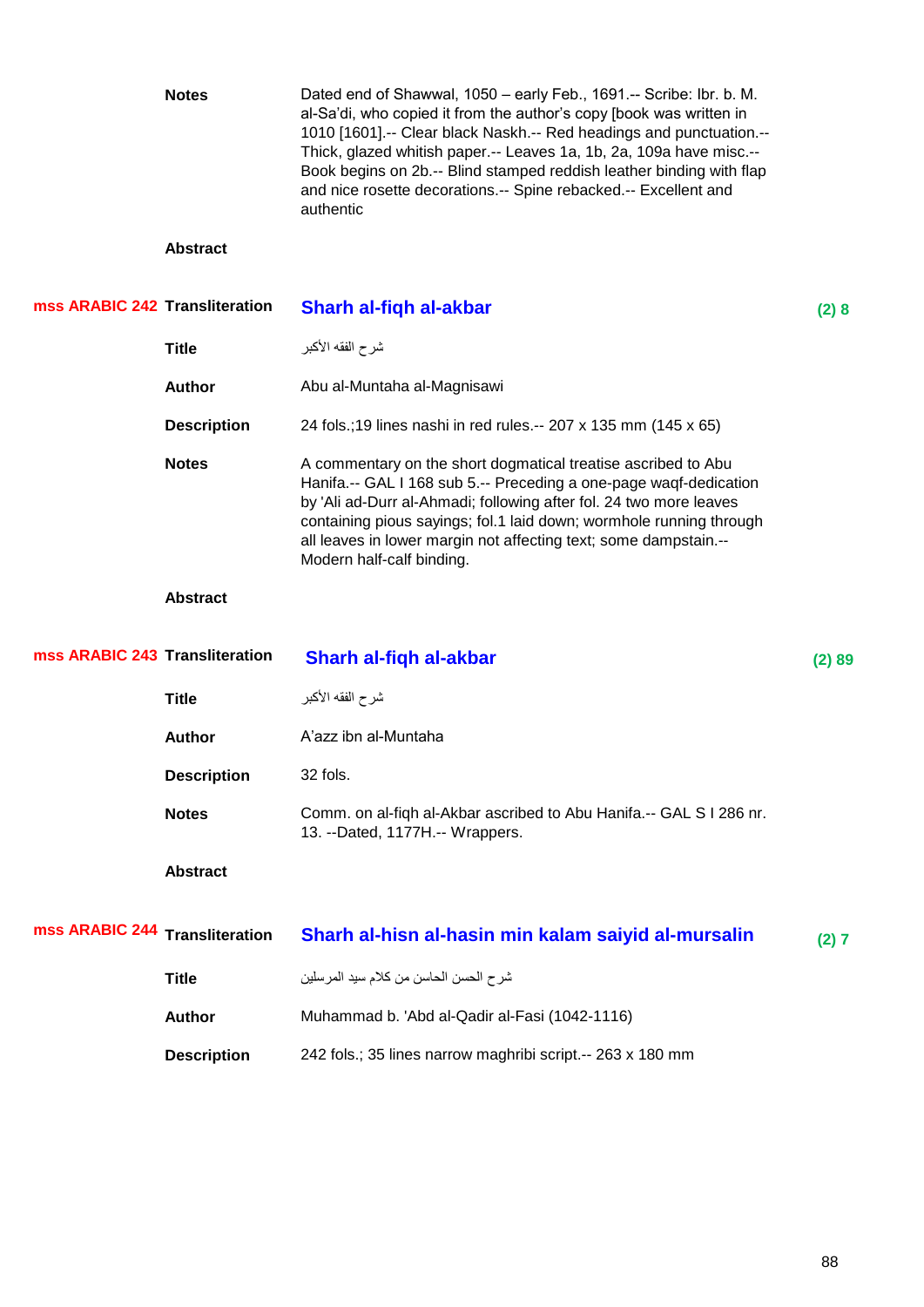|                                | <b>Notes</b>           | Dated end of Shawwal, 1050 - early Feb., 1691.-- Scribe: Ibr. b. M.<br>al-Sa'di, who copied it from the author's copy [book was written in<br>1010 [1601] .-- Clear black Naskh .-- Red headings and punctuation .--<br>Thick, glazed whitish paper.-- Leaves 1a, 1b, 2a, 109a have misc.--<br>Book begins on 2b.-- Blind stamped reddish leather binding with flap<br>and nice rosette decorations.-- Spine rebacked.-- Excellent and<br>authentic |        |
|--------------------------------|------------------------|-----------------------------------------------------------------------------------------------------------------------------------------------------------------------------------------------------------------------------------------------------------------------------------------------------------------------------------------------------------------------------------------------------------------------------------------------------|--------|
|                                | <b>Abstract</b>        |                                                                                                                                                                                                                                                                                                                                                                                                                                                     |        |
| mss ARABIC 242 Transliteration |                        | Sharh al-fiqh al-akbar                                                                                                                                                                                                                                                                                                                                                                                                                              | (2)8   |
|                                | <b>Title</b>           | شرح الفقه الأكبر                                                                                                                                                                                                                                                                                                                                                                                                                                    |        |
|                                | <b>Author</b>          | Abu al-Muntaha al-Magnisawi                                                                                                                                                                                                                                                                                                                                                                                                                         |        |
|                                | <b>Description</b>     | 24 fols.;19 lines nashi in red rules.-- 207 x 135 mm (145 x 65)                                                                                                                                                                                                                                                                                                                                                                                     |        |
|                                | <b>Notes</b>           | A commentary on the short dogmatical treatise ascribed to Abu<br>Hanifa.-- GAL I 168 sub 5.-- Preceding a one-page waqf-dedication<br>by 'Ali ad-Durr al-Ahmadi; following after fol. 24 two more leaves<br>containing pious sayings; fol.1 laid down; wormhole running through<br>all leaves in lower margin not affecting text; some dampstain.--<br>Modern half-calf binding.                                                                    |        |
|                                |                        |                                                                                                                                                                                                                                                                                                                                                                                                                                                     |        |
|                                | <b>Abstract</b>        |                                                                                                                                                                                                                                                                                                                                                                                                                                                     |        |
| mss ARABIC 243 Transliteration |                        | Sharh al-fiqh al-akbar                                                                                                                                                                                                                                                                                                                                                                                                                              | (2) 89 |
|                                | <b>Title</b>           | شرح الفقه الأكبر                                                                                                                                                                                                                                                                                                                                                                                                                                    |        |
|                                | <b>Author</b>          | A'azz ibn al-Muntaha                                                                                                                                                                                                                                                                                                                                                                                                                                |        |
|                                | <b>Description</b>     | 32 fols.                                                                                                                                                                                                                                                                                                                                                                                                                                            |        |
|                                | <b>Notes</b>           | Comm. on al-fiqh al-Akbar ascribed to Abu Hanifa.-- GAL S I 286 nr.<br>13. --Dated, 1177H.-- Wrappers.                                                                                                                                                                                                                                                                                                                                              |        |
|                                | <b>Abstract</b>        |                                                                                                                                                                                                                                                                                                                                                                                                                                                     |        |
| mss ARABIC 244                 | <b>Transliteration</b> | Sharh al-hisn al-hasin min kalam saiyid al-mursalin                                                                                                                                                                                                                                                                                                                                                                                                 | (2) 7  |
|                                | <b>Title</b>           | شر ح الحسن الحاسن من كلام سيد المرسلين                                                                                                                                                                                                                                                                                                                                                                                                              |        |
|                                | <b>Author</b>          | Muhammad b. 'Abd al-Qadir al-Fasi (1042-1116)                                                                                                                                                                                                                                                                                                                                                                                                       |        |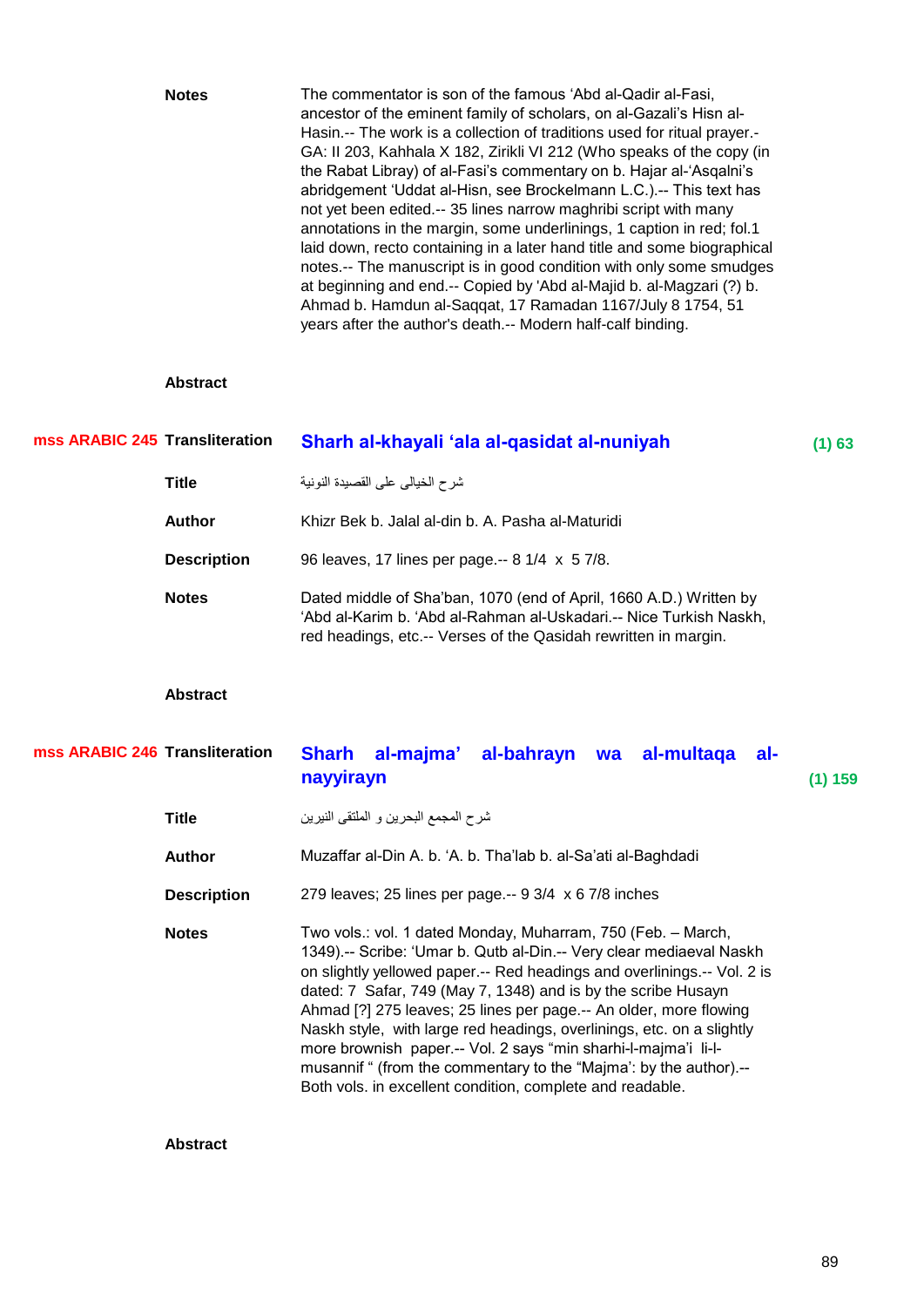| <b>Notes</b> | The commentator is son of the famous 'Abd al-Qadir al-Fasi,              |
|--------------|--------------------------------------------------------------------------|
|              | ancestor of the eminent family of scholars, on al-Gazali's Hisn al-      |
|              | Hasin.-- The work is a collection of traditions used for ritual prayer.- |
|              | GA: II 203, Kahhala X 182, Zirikli VI 212 (Who speaks of the copy (in    |
|              | the Rabat Libray) of al-Fasi's commentary on b. Hajar al-'Asgalni's      |
|              | abridgement 'Uddat al-Hisn, see Brockelmann L.C.).-- This text has       |
|              | not yet been edited.-- 35 lines narrow maghribi script with many         |
|              | annotations in the margin, some underlinings, 1 caption in red; fol.1    |
|              | laid down, recto containing in a later hand title and some biographical  |
|              | notes.-- The manuscript is in good condition with only some smudges      |
|              | at beginning and end.-- Copied by 'Abd al-Majid b. al-Magzari (?) b.     |
|              | Ahmad b. Hamdun al-Saqqat, 17 Ramadan 1167/July 8 1754, 51               |
|              | years after the author's death.-- Modern half-calf binding.              |

### **Abstract**

| mss ARABIC 245 Transliteration | Sharh al-khayali 'ala al-qasidat al-nuniyah                                                                                                                                                                 | $(1)$ 63 |
|--------------------------------|-------------------------------------------------------------------------------------------------------------------------------------------------------------------------------------------------------------|----------|
| Title                          | شرح الخيالي على القصيدة النونية                                                                                                                                                                             |          |
| <b>Author</b>                  | Khizr Bek b. Jalal al-din b. A. Pasha al-Maturidi                                                                                                                                                           |          |
| <b>Description</b>             | 96 leaves, 17 lines per page.-- 8 1/4 x 5 7/8.                                                                                                                                                              |          |
| <b>Notes</b>                   | Dated middle of Sha'ban, 1070 (end of April, 1660 A.D.) Written by<br>'Abd al-Karim b. 'Abd al-Rahman al-Uskadari.-- Nice Turkish Naskh,<br>red headings, etc.-- Verses of the Qasidah rewritten in margin. |          |

## **Abstract**

## **Transliteration Sharh al-majma' al-bahrayn wa al-multaqa alnayyirayn (1) 159 mss ARABIC 246**

| شرح المجمع البحرين و الملتقى النيرين<br>Title |  |
|-----------------------------------------------|--|
|-----------------------------------------------|--|

**Author** Muzaffar al-Din A. b. ‗A. b. Tha'lab b. al-Sa'ati al-Baghdadi

**Description** 279 leaves; 25 lines per page.-- 9 3/4 x 6 7/8 inches

Notes Two vols.: vol. 1 dated Monday, Muharram, 750 (Feb. - March, 1349).-- Scribe: ‗Umar b. Qutb al-Din.-- Very clear mediaeval Naskh on slightly yellowed paper.-- Red headings and overlinings.-- Vol. 2 is dated: 7 Safar, 749 (May 7, 1348) and is by the scribe Husayn Ahmad [?] 275 leaves; 25 lines per page.-- An older, more flowing Naskh style, with large red headings, overlinings, etc. on a slightly more brownish paper.-- Vol. 2 says "min sharhi-l-majma'i li-lmusannif " (from the commentary to the "Majma': by the author).--Both vols. in excellent condition, complete and readable.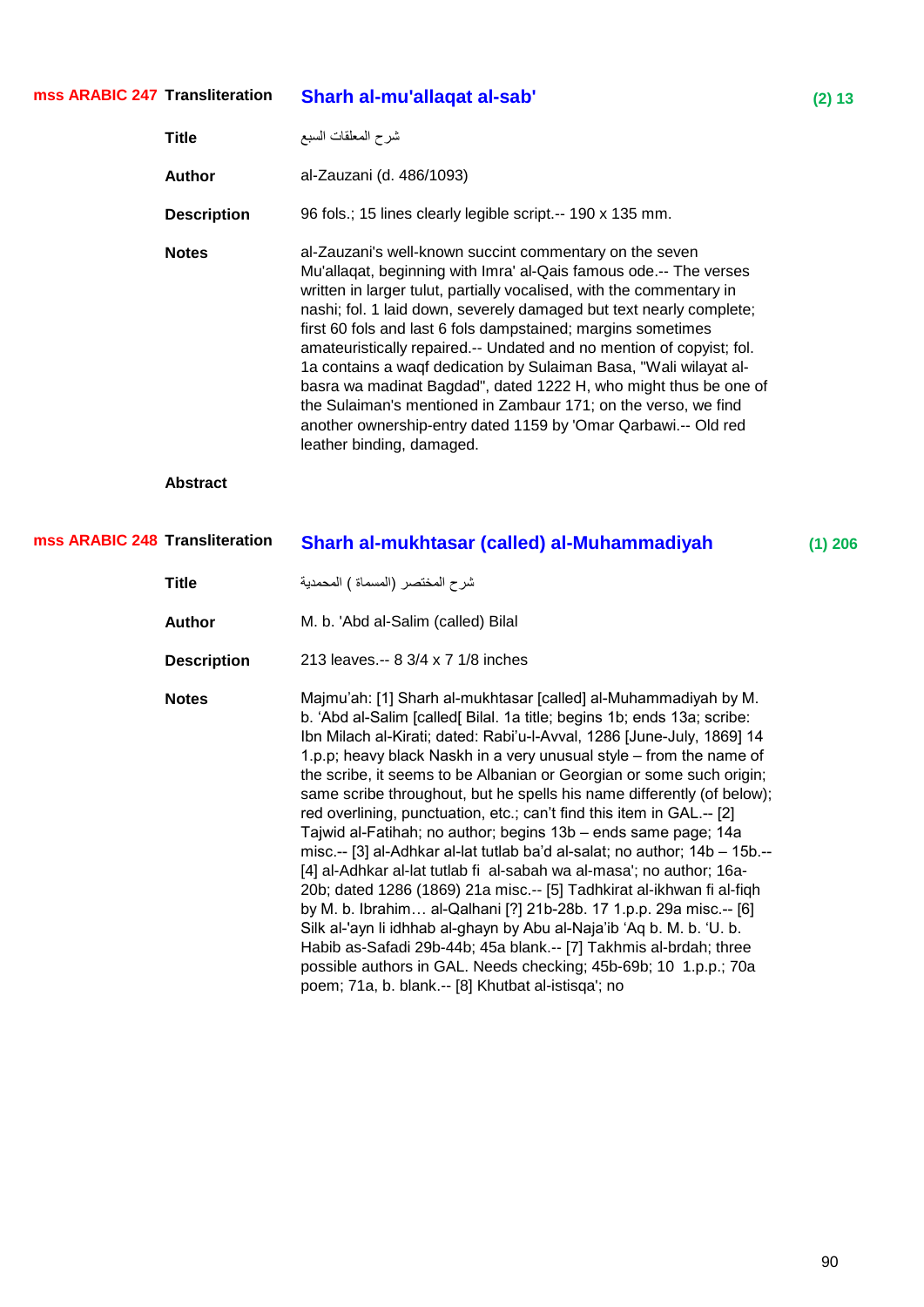## شرح المعلقات السبع **Title Author** al-Zauzani (d. 486/1093) **Description** 96 fols.; 15 lines clearly legible script.-- 190 x 135 mm. **Notes** al-Zauzani's well-known succint commentary on the seven Mu'allaqat, beginning with Imra' al-Qais famous ode.-- The verses written in larger tulut, partially vocalised, with the commentary in nashi; fol. 1 laid down, severely damaged but text nearly complete; first 60 fols and last 6 fols dampstained; margins sometimes amateuristically repaired.-- Undated and no mention of copyist; fol. 1a contains a waqf dedication by Sulaiman Basa, "Wali wilayat albasra wa madinat Bagdad", dated 1222 H, who might thus be one of the Sulaiman's mentioned in Zambaur 171; on the verso, we find another ownership-entry dated 1159 by 'Omar Qarbawi.-- Old red leather binding, damaged. **Abstract Transliteration Sharh al-mukhtasar (called) al-Muhammadiyah (1) 206** ششح اٌّخرظش (اٌّغّاج ) اٌّذّذ٠ح **Title Author** M. b. 'Abd al-Salim (called) Bilal **mss ARABIC 248**

**mss ARABIC 247**

**Description** 213 leaves.-- 8 3/4 x 7 1/8 inches

**Notes** Majmu'ah: [1] Sharh al-mukhtasar [called] al-Muhammadiyah by M. b. ‗Abd al-Salim [called[ Bilal. 1a title; begins 1b; ends 13a; scribe: Ibn Milach al-Kirati; dated: Rabi'u-l-Avval, 1286 [June-July, 1869] 14 1.p.p; heavy black Naskh in a very unusual style – from the name of the scribe, it seems to be Albanian or Georgian or some such origin; same scribe throughout, but he spells his name differently (of below); red overlining, punctuation, etc.; can't find this item in GAL.-- [2] Tajwid al-Fatihah; no author; begins 13b – ends same page; 14a misc.-- [3] al-Adhkar al-lat tutlab ba'd al-salat; no author; 14b – 15b.-- [4] al-Adhkar al-lat tutlab fi al-sabah wa al-masa'; no author; 16a-20b; dated 1286 (1869) 21a misc.-- [5] Tadhkirat al-ikhwan fi al-fiqh by M. b. Ibrahim… al-Qalhani [?] 21b-28b. 17 1.p.p. 29a misc.-- [6] Silk al-'ayn li idhhab al-ghayn by Abu al-Naja'ib 'Aq b. M. b. 'U. b. Habib as-Safadi 29b-44b; 45a blank.-- [7] Takhmis al-brdah; three possible authors in GAL. Needs checking; 45b-69b; 10 1.p.p.; 70a poem; 71a, b. blank.-- [8] Khutbat al-istisqa'; no

**Transfirmation Sharh al-mu'allaqat al-sab' (2) 13**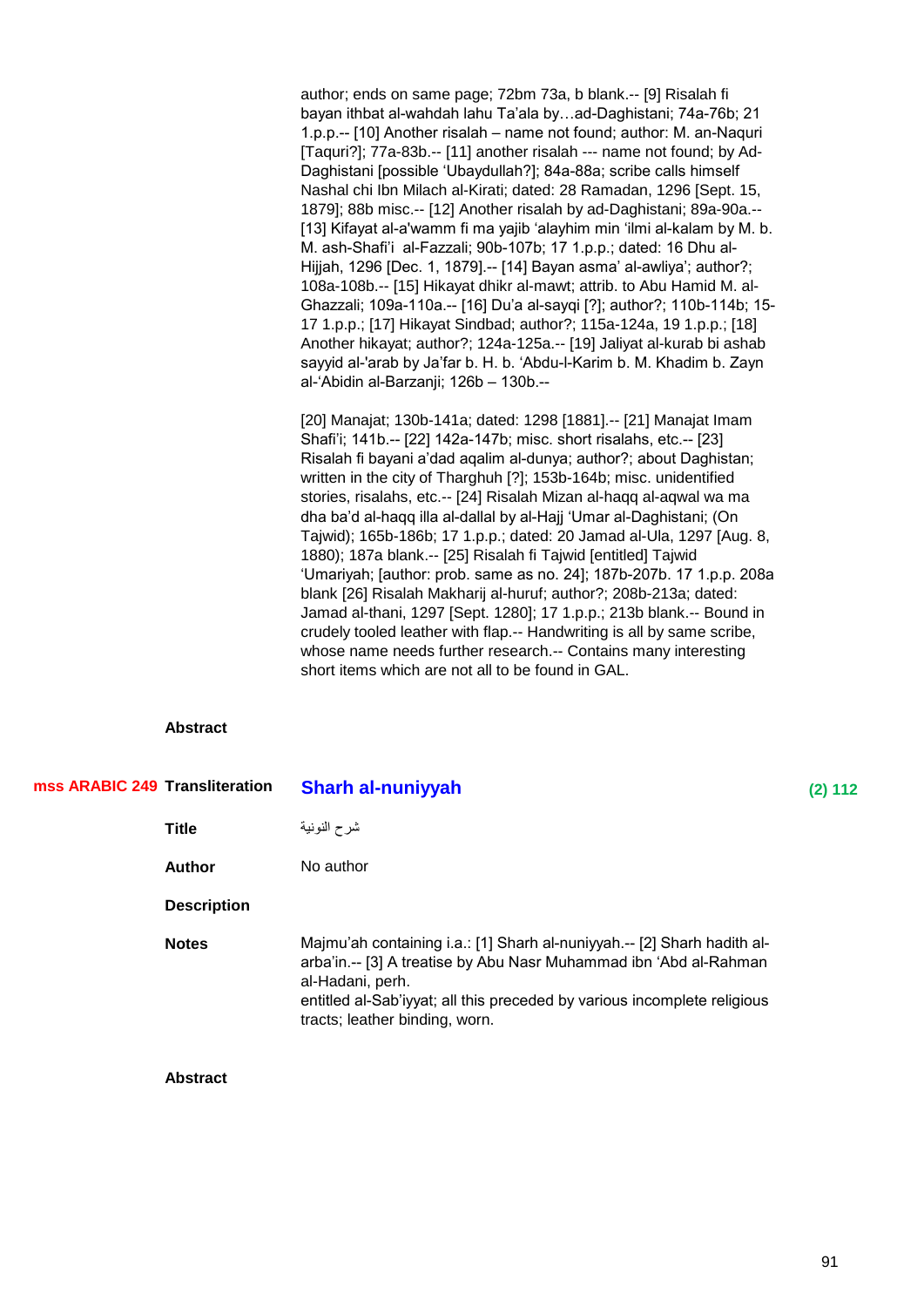author; ends on same page; 72bm 73a, b blank.-- [9] Risalah fi bayan ithbat al-wahdah lahu Ta'ala by…ad-Daghistani; 74a-76b; 21 1.p.p.-- [10] Another risalah – name not found; author: M. an-Naquri [Taquri?]; 77a-83b.-- [11] another risalah --- name not found; by Ad-Daghistani [possible 'Ubaydullah?]; 84a-88a; scribe calls himself Nashal chi Ibn Milach al-Kirati; dated: 28 Ramadan, 1296 [Sept. 15, 1879]; 88b misc.-- [12] Another risalah by ad-Daghistani; 89a-90a.-- [13] Kifayat al-a'wamm fi ma yajib 'alayhim min 'ilmi al-kalam by M. b. M. ash-Shafi'i al-Fazzali; 90b-107b; 17 1.p.p.; dated: 16 Dhu al-Hijjah, 1296 [Dec. 1, 1879].-- [14] Bayan asma' al-awliya'; author?; 108a-108b.-- [15] Hikayat dhikr al-mawt; attrib. to Abu Hamid M. al-Ghazzali; 109a-110a.-- [16] Du'a al-sayqi [?]; author?; 110b-114b; 15- 17 1.p.p.; [17] Hikayat Sindbad; author?; 115a-124a, 19 1.p.p.; [18] Another hikayat; author?; 124a-125a.-- [19] Jaliyat al-kurab bi ashab sayyid al-'arab by Ja'far b. H. b. 'Abdu-l-Karim b. M. Khadim b. Zayn al-‗Abidin al-Barzanji; 126b – 130b.--

[20] Manajat; 130b-141a; dated: 1298 [1881].-- [21] Manajat Imam Shafi'i; 141b.-- [22] 142a-147b; misc. short risalahs, etc.-- [23] Risalah fi bayani a'dad aqalim al-dunya; author?; about Daghistan; written in the city of Tharghuh [?]; 153b-164b; misc. unidentified stories, risalahs, etc.-- [24] Risalah Mizan al-haqq al-aqwal wa ma dha ba'd al-haqq illa al-dallal by al-Hajj ‗Umar al-Daghistani; (On Tajwid); 165b-186b; 17 1.p.p.; dated: 20 Jamad al-Ula, 1297 [Aug. 8, 1880); 187a blank.-- [25] Risalah fi Tajwid [entitled] Tajwid ‗Umariyah; [author: prob. same as no. 24]; 187b-207b. 17 1.p.p. 208a blank [26] Risalah Makharij al-huruf; author?; 208b-213a; dated: Jamad al-thani, 1297 [Sept. 1280]; 17 1.p.p.; 213b blank.-- Bound in crudely tooled leather with flap.-- Handwriting is all by same scribe, whose name needs further research.-- Contains many interesting short items which are not all to be found in GAL.

## **Abstract**

| mss ARABIC 249 Transliteration |                    | <b>Sharh al-nuniyyah</b>                                                                                                                                                                                                                                                       | (2) 112 |
|--------------------------------|--------------------|--------------------------------------------------------------------------------------------------------------------------------------------------------------------------------------------------------------------------------------------------------------------------------|---------|
|                                | <b>Title</b>       | شرح النونية                                                                                                                                                                                                                                                                    |         |
|                                | <b>Author</b>      | No author                                                                                                                                                                                                                                                                      |         |
|                                | <b>Description</b> |                                                                                                                                                                                                                                                                                |         |
|                                | <b>Notes</b>       | Majmu'ah containing i.a.: [1] Sharh al-nuniyyah.-- [2] Sharh hadith al-<br>arba'in.-- [3] A treatise by Abu Nasr Muhammad ibn 'Abd al-Rahman<br>al-Hadani, perh.<br>entitled al-Sab'iyyat; all this preceded by various incomplete religious<br>tracts; leather binding, worn. |         |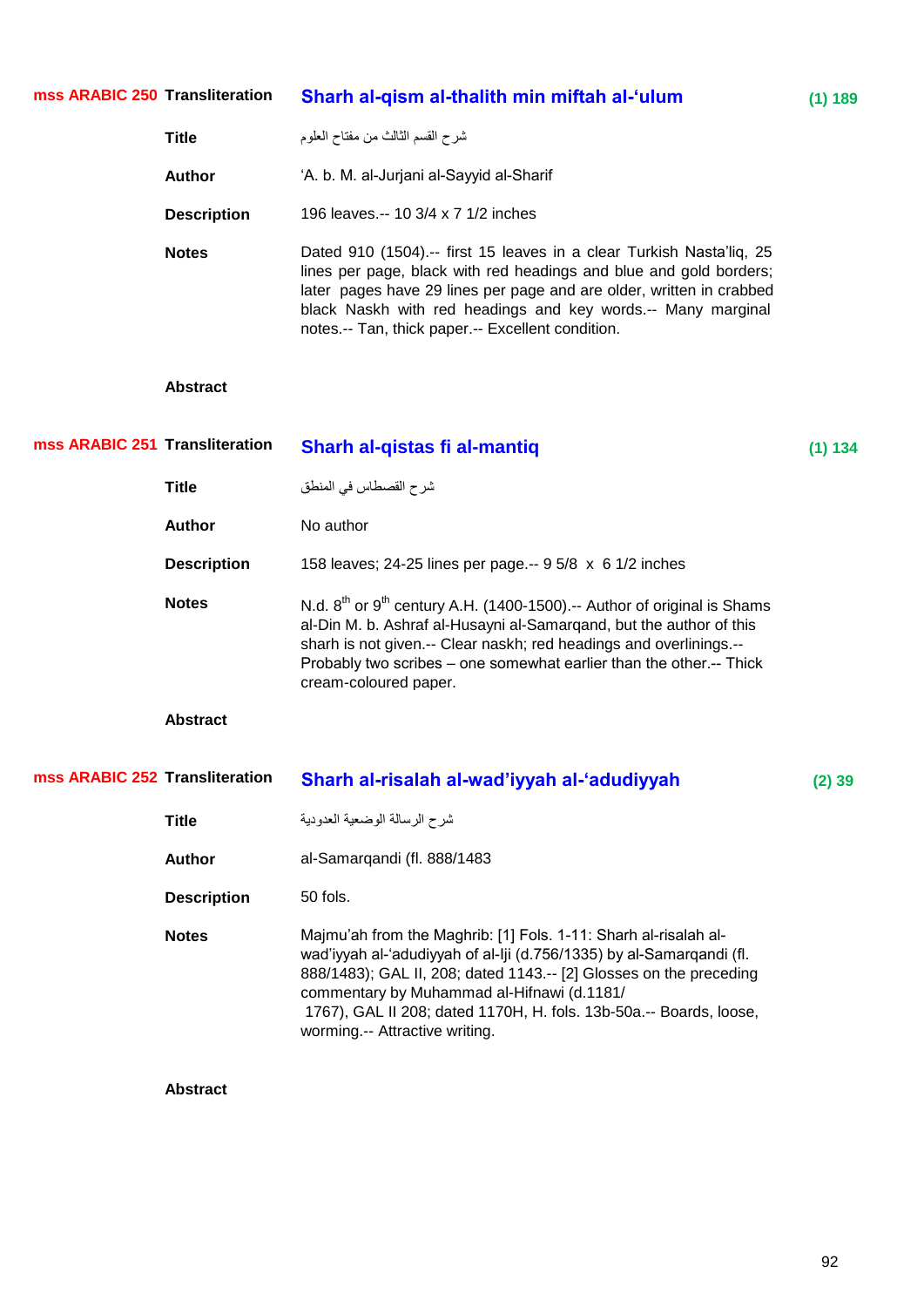#### **Transform al-thalith min miftah al-'ulum (1) 189 mss ARABIC 250**

| <b>Title</b>       | شرح القسم الثالث من مفتاح العلوم                                                                                                                                                                                                                                                                                                        |
|--------------------|-----------------------------------------------------------------------------------------------------------------------------------------------------------------------------------------------------------------------------------------------------------------------------------------------------------------------------------------|
| Author             | 'A. b. M. al-Jurjani al-Sayyid al-Sharif                                                                                                                                                                                                                                                                                                |
| <b>Description</b> | 196 leaves.-- 10 3/4 x 7 1/2 inches                                                                                                                                                                                                                                                                                                     |
| <b>Notes</b>       | Dated 910 (1504).-- first 15 leaves in a clear Turkish Nasta'liq, 25<br>lines per page, black with red headings and blue and gold borders;<br>later pages have 29 lines per page and are older, written in crabbed<br>black Naskh with red headings and key words.-- Many marginal<br>notes.-- Tan, thick paper.-- Excellent condition. |

## **Abstract**

| mss ARABIC 251 Transliteration |                    | Sharh al-qistas fi al-mantiq                                                                                                                                                                                                                                                                                                   | (1) 134  |
|--------------------------------|--------------------|--------------------------------------------------------------------------------------------------------------------------------------------------------------------------------------------------------------------------------------------------------------------------------------------------------------------------------|----------|
|                                | <b>Title</b>       | شرح القصطاس في المنطق                                                                                                                                                                                                                                                                                                          |          |
|                                | <b>Author</b>      | No author                                                                                                                                                                                                                                                                                                                      |          |
|                                | <b>Description</b> | 158 leaves; 24-25 lines per page.-- 9 5/8 x 6 1/2 inches                                                                                                                                                                                                                                                                       |          |
|                                | <b>Notes</b>       | N.d. $8^{th}$ or $9^{th}$ century A.H. (1400-1500).-- Author of original is Shams<br>al-Din M. b. Ashraf al-Husayni al-Samargand, but the author of this<br>sharh is not given.-- Clear naskh; red headings and overlinings.--<br>Probably two scribes – one somewhat earlier than the other.-- Thick<br>cream-coloured paper. |          |
|                                | <b>Abstract</b>    |                                                                                                                                                                                                                                                                                                                                |          |
|                                |                    |                                                                                                                                                                                                                                                                                                                                |          |
| mss ARABIC 252 Transliteration |                    | Sharh al-risalah al-wad'iyyah al-'adudiyyah                                                                                                                                                                                                                                                                                    | $(2)$ 39 |
|                                | <b>Title</b>       | شرح الرسالة الوضعية العدودية                                                                                                                                                                                                                                                                                                   |          |
|                                | <b>Author</b>      | al-Samarqandi (fl. 888/1483                                                                                                                                                                                                                                                                                                    |          |
|                                | <b>Description</b> | 50 fols.                                                                                                                                                                                                                                                                                                                       |          |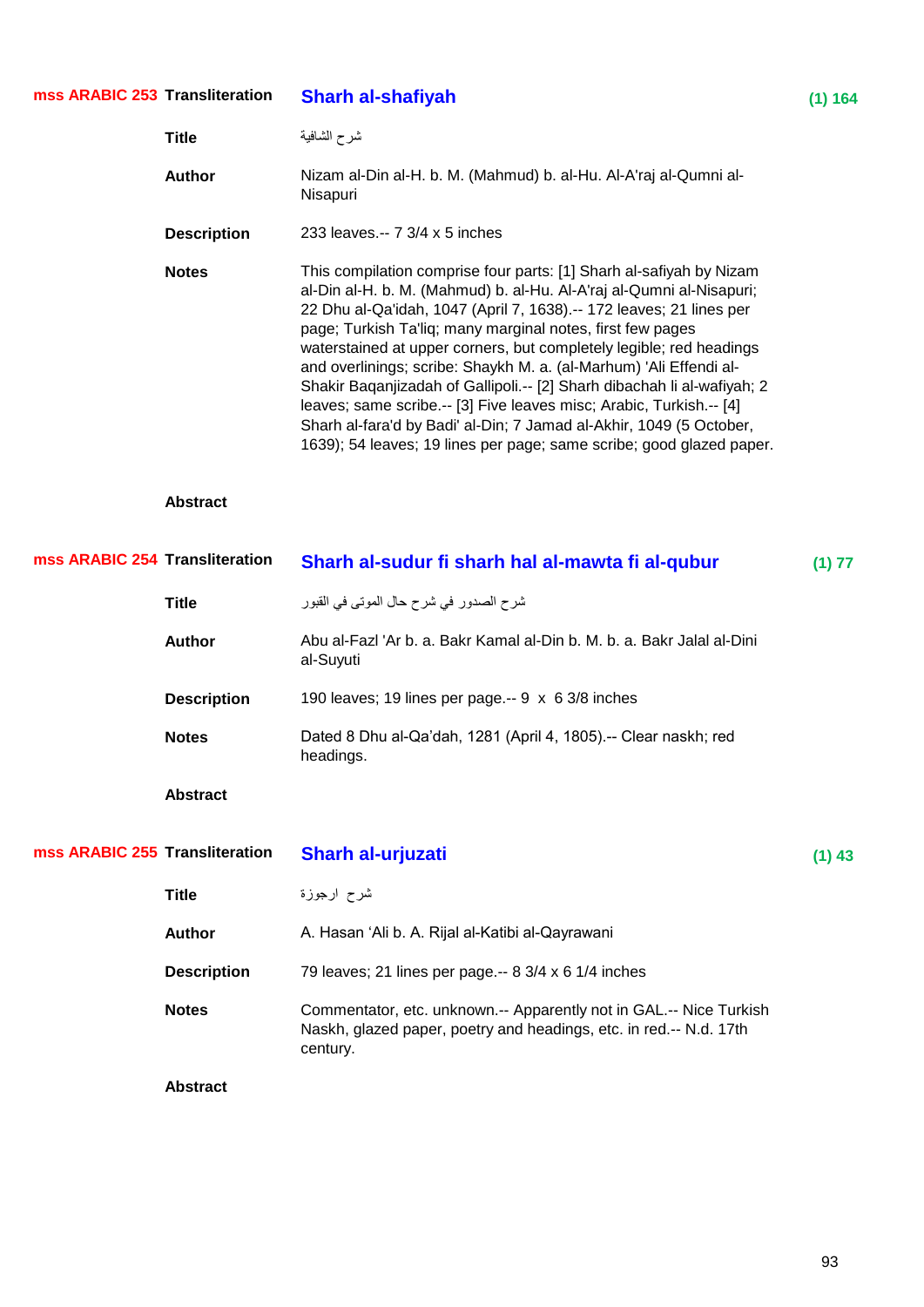#### **Transfirst Sharh al-shafiyah (1) 164 mss ARABIC 253**

|                                | <b>Title</b>       | شرح الشافية                                                                                                                                                                                                                                                                                                                                                                                                                                                                                                                                                                                                                                                                                                                    |          |
|--------------------------------|--------------------|--------------------------------------------------------------------------------------------------------------------------------------------------------------------------------------------------------------------------------------------------------------------------------------------------------------------------------------------------------------------------------------------------------------------------------------------------------------------------------------------------------------------------------------------------------------------------------------------------------------------------------------------------------------------------------------------------------------------------------|----------|
|                                | <b>Author</b>      | Nizam al-Din al-H. b. M. (Mahmud) b. al-Hu. Al-A'raj al-Qumni al-<br>Nisapuri                                                                                                                                                                                                                                                                                                                                                                                                                                                                                                                                                                                                                                                  |          |
|                                | <b>Description</b> | 233 leaves.-- 7 3/4 x 5 inches                                                                                                                                                                                                                                                                                                                                                                                                                                                                                                                                                                                                                                                                                                 |          |
|                                | <b>Notes</b>       | This compilation comprise four parts: [1] Sharh al-safiyah by Nizam<br>al-Din al-H. b. M. (Mahmud) b. al-Hu. Al-A'raj al-Qumni al-Nisapuri;<br>22 Dhu al-Qa'idah, 1047 (April 7, 1638).-- 172 leaves; 21 lines per<br>page; Turkish Ta'liq; many marginal notes, first few pages<br>waterstained at upper corners, but completely legible; red headings<br>and overlinings; scribe: Shaykh M. a. (al-Marhum) 'Ali Effendi al-<br>Shakir Baqanjizadah of Gallipoli.-- [2] Sharh dibachah li al-wafiyah; 2<br>leaves; same scribe.-- [3] Five leaves misc; Arabic, Turkish.-- [4]<br>Sharh al-fara'd by Badi' al-Din; 7 Jamad al-Akhir, 1049 (5 October,<br>1639); 54 leaves; 19 lines per page; same scribe; good glazed paper. |          |
|                                | <b>Abstract</b>    |                                                                                                                                                                                                                                                                                                                                                                                                                                                                                                                                                                                                                                                                                                                                |          |
| mss ARABIC 254 Transliteration |                    | Sharh al-sudur fi sharh hal al-mawta fi al-qubur                                                                                                                                                                                                                                                                                                                                                                                                                                                                                                                                                                                                                                                                               | (1) 77   |
|                                | <b>Title</b>       | شرح الصدور في شرح حال الموتي في القبور                                                                                                                                                                                                                                                                                                                                                                                                                                                                                                                                                                                                                                                                                         |          |
|                                | <b>Author</b>      | Abu al-Fazl 'Ar b. a. Bakr Kamal al-Din b. M. b. a. Bakr Jalal al-Dini<br>al-Suyuti                                                                                                                                                                                                                                                                                                                                                                                                                                                                                                                                                                                                                                            |          |
|                                | <b>Description</b> | 190 leaves; 19 lines per page .-- 9 x 6 3/8 inches                                                                                                                                                                                                                                                                                                                                                                                                                                                                                                                                                                                                                                                                             |          |
|                                | <b>Notes</b>       | Dated 8 Dhu al-Qa'dah, 1281 (April 4, 1805).-- Clear naskh; red<br>headings.                                                                                                                                                                                                                                                                                                                                                                                                                                                                                                                                                                                                                                                   |          |
|                                | <b>Abstract</b>    |                                                                                                                                                                                                                                                                                                                                                                                                                                                                                                                                                                                                                                                                                                                                |          |
| mss ARABIC 255 Transliteration |                    | Sharh al-urjuzati                                                                                                                                                                                                                                                                                                                                                                                                                                                                                                                                                                                                                                                                                                              | $(1)$ 43 |
|                                | <b>Title</b>       | شرح ارجوزة                                                                                                                                                                                                                                                                                                                                                                                                                                                                                                                                                                                                                                                                                                                     |          |
|                                | <b>Author</b>      | A. Hasan 'Ali b. A. Rijal al-Katibi al-Qayrawani                                                                                                                                                                                                                                                                                                                                                                                                                                                                                                                                                                                                                                                                               |          |
|                                | <b>Description</b> | 79 leaves; 21 lines per page.-- 8 3/4 x 6 1/4 inches                                                                                                                                                                                                                                                                                                                                                                                                                                                                                                                                                                                                                                                                           |          |

Notes **Commentator, etc. unknown.-- Apparently not in GAL.-- Nice Turkish** Naskh, glazed paper, poetry and headings, etc. in red.-- N.d. 17th century.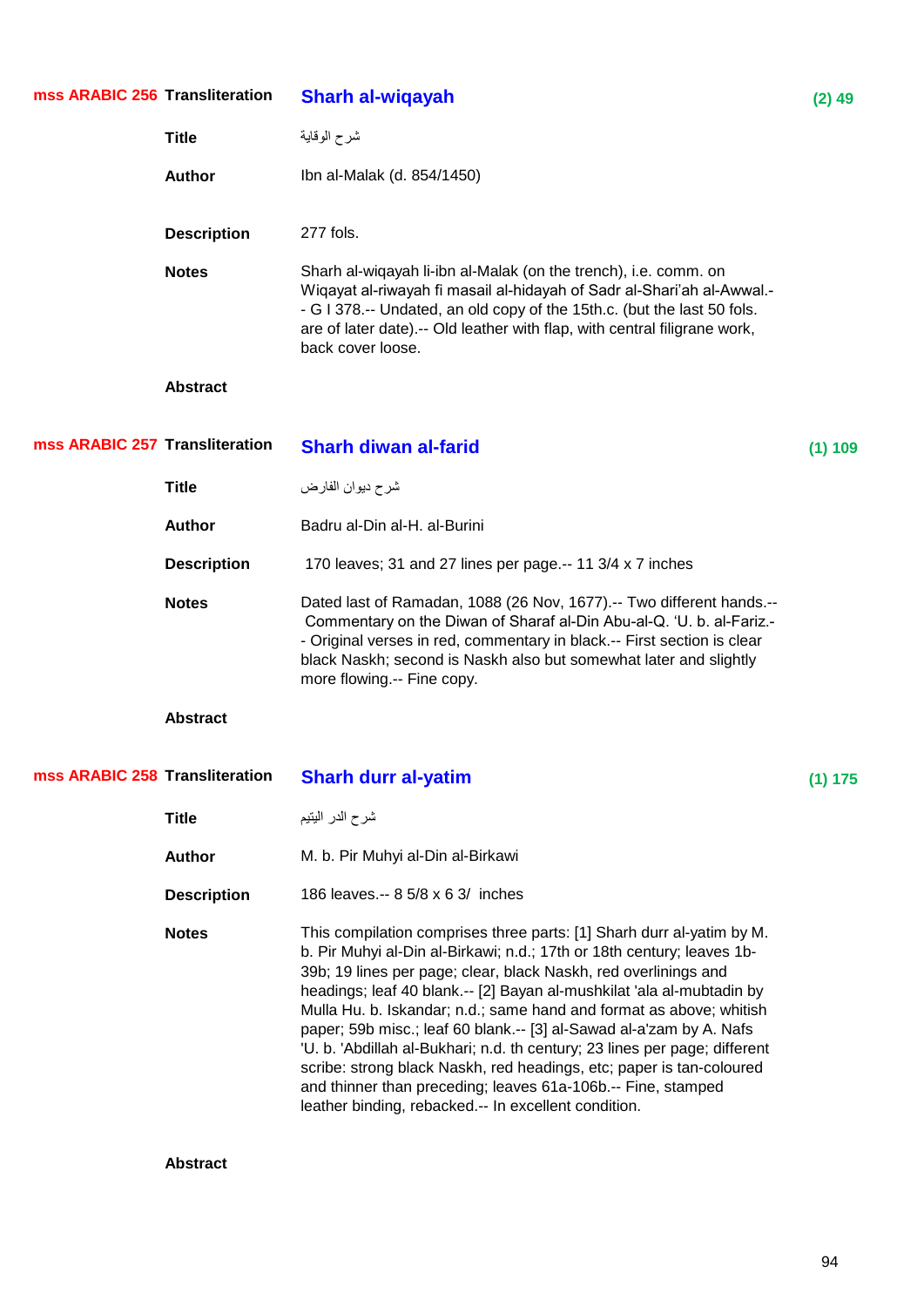| mss ARABIC 256 Transliteration |                    | <b>Sharh al-wiqayah</b>                                                                                                                                                                                                                                                                                                                                                                                                                                                                                                                                                                                                                                                                                                 | $(2)$ 49 |
|--------------------------------|--------------------|-------------------------------------------------------------------------------------------------------------------------------------------------------------------------------------------------------------------------------------------------------------------------------------------------------------------------------------------------------------------------------------------------------------------------------------------------------------------------------------------------------------------------------------------------------------------------------------------------------------------------------------------------------------------------------------------------------------------------|----------|
|                                | <b>Title</b>       | شرح الوقاية                                                                                                                                                                                                                                                                                                                                                                                                                                                                                                                                                                                                                                                                                                             |          |
|                                | <b>Author</b>      | Ibn al-Malak (d. 854/1450)                                                                                                                                                                                                                                                                                                                                                                                                                                                                                                                                                                                                                                                                                              |          |
|                                | <b>Description</b> | 277 fols.                                                                                                                                                                                                                                                                                                                                                                                                                                                                                                                                                                                                                                                                                                               |          |
|                                | <b>Notes</b>       | Sharh al-wiqayah li-ibn al-Malak (on the trench), i.e. comm. on<br>Wiqayat al-riwayah fi masail al-hidayah of Sadr al-Shari'ah al-Awwal.-<br>- G I 378 .-- Undated, an old copy of the 15th.c. (but the last 50 fols.<br>are of later date).-- Old leather with flap, with central filigrane work,<br>back cover loose.                                                                                                                                                                                                                                                                                                                                                                                                 |          |
|                                | <b>Abstract</b>    |                                                                                                                                                                                                                                                                                                                                                                                                                                                                                                                                                                                                                                                                                                                         |          |
| mss ARABIC 257 Transliteration |                    | <b>Sharh diwan al-farid</b>                                                                                                                                                                                                                                                                                                                                                                                                                                                                                                                                                                                                                                                                                             | (1) 109  |
|                                | <b>Title</b>       | شرح ديوان الفارض                                                                                                                                                                                                                                                                                                                                                                                                                                                                                                                                                                                                                                                                                                        |          |
|                                | <b>Author</b>      | Badru al-Din al-H. al-Burini                                                                                                                                                                                                                                                                                                                                                                                                                                                                                                                                                                                                                                                                                            |          |
|                                | <b>Description</b> | 170 leaves; 31 and 27 lines per page.-- 11 3/4 x 7 inches                                                                                                                                                                                                                                                                                                                                                                                                                                                                                                                                                                                                                                                               |          |
|                                | <b>Notes</b>       | Dated last of Ramadan, 1088 (26 Nov, 1677).-- Two different hands.--<br>Commentary on the Diwan of Sharaf al-Din Abu-al-Q. 'U. b. al-Fariz.-<br>- Original verses in red, commentary in black.-- First section is clear<br>black Naskh; second is Naskh also but somewhat later and slightly<br>more flowing.-- Fine copy.                                                                                                                                                                                                                                                                                                                                                                                              |          |
|                                | <b>Abstract</b>    |                                                                                                                                                                                                                                                                                                                                                                                                                                                                                                                                                                                                                                                                                                                         |          |
| mss ARABIC 258 Transliteration |                    | <b>Sharh durr al-yatim</b>                                                                                                                                                                                                                                                                                                                                                                                                                                                                                                                                                                                                                                                                                              | (1) 175  |
|                                | <b>Title</b>       | شرح الدر اليتيم                                                                                                                                                                                                                                                                                                                                                                                                                                                                                                                                                                                                                                                                                                         |          |
|                                | <b>Author</b>      | M. b. Pir Muhyi al-Din al-Birkawi                                                                                                                                                                                                                                                                                                                                                                                                                                                                                                                                                                                                                                                                                       |          |
|                                | <b>Description</b> | 186 leaves.-- 8 5/8 x 6 3/ inches                                                                                                                                                                                                                                                                                                                                                                                                                                                                                                                                                                                                                                                                                       |          |
|                                | <b>Notes</b>       | This compilation comprises three parts: [1] Sharh durr al-yatim by M.<br>b. Pir Muhyi al-Din al-Birkawi; n.d.; 17th or 18th century; leaves 1b-<br>39b; 19 lines per page; clear, black Naskh, red overlinings and<br>headings; leaf 40 blank.-- [2] Bayan al-mushkilat 'ala al-mubtadin by<br>Mulla Hu. b. Iskandar; n.d.; same hand and format as above; whitish<br>paper; 59b misc.; leaf 60 blank.-- [3] al-Sawad al-a'zam by A. Nafs<br>'U. b. 'Abdillah al-Bukhari; n.d. th century; 23 lines per page; different<br>scribe: strong black Naskh, red headings, etc; paper is tan-coloured<br>and thinner than preceding; leaves 61a-106b.-- Fine, stamped<br>leather binding, rebacked.-- In excellent condition. |          |
|                                | <b>Abstract</b>    |                                                                                                                                                                                                                                                                                                                                                                                                                                                                                                                                                                                                                                                                                                                         |          |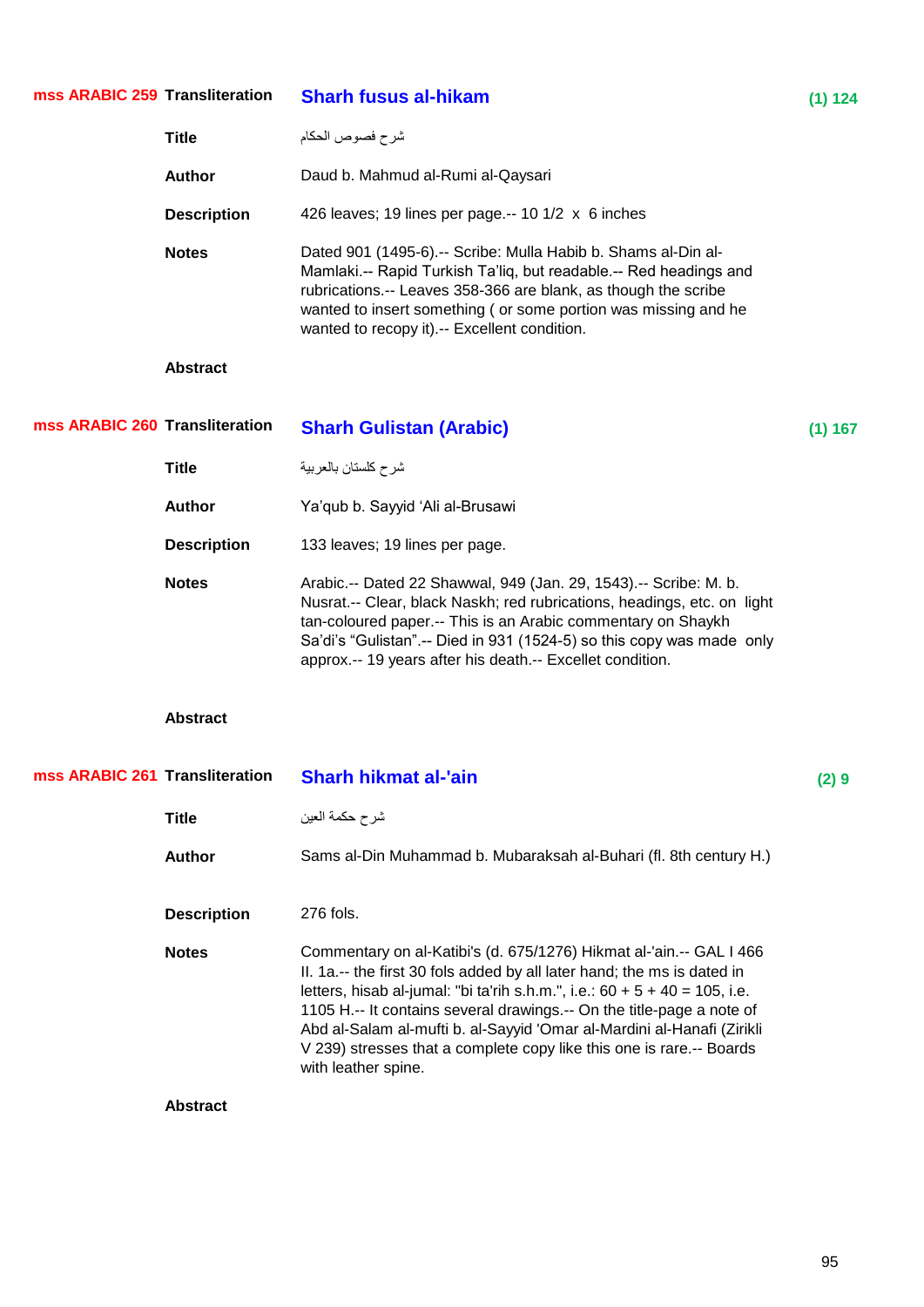| mss ARABIC 259 Transliteration |                    | <b>Sharh fusus al-hikam</b>                                                                                                                                                                                                                                                                                                                                                                                                                                                         | (1) 124 |
|--------------------------------|--------------------|-------------------------------------------------------------------------------------------------------------------------------------------------------------------------------------------------------------------------------------------------------------------------------------------------------------------------------------------------------------------------------------------------------------------------------------------------------------------------------------|---------|
|                                | <b>Title</b>       | شرح فصوص الحكام                                                                                                                                                                                                                                                                                                                                                                                                                                                                     |         |
|                                | <b>Author</b>      | Daud b. Mahmud al-Rumi al-Qaysari                                                                                                                                                                                                                                                                                                                                                                                                                                                   |         |
|                                | <b>Description</b> | 426 leaves; 19 lines per page.-- 10 1/2 x 6 inches                                                                                                                                                                                                                                                                                                                                                                                                                                  |         |
|                                | <b>Notes</b>       | Dated 901 (1495-6).-- Scribe: Mulla Habib b. Shams al-Din al-<br>Mamlaki.-- Rapid Turkish Ta'liq, but readable.-- Red headings and<br>rubrications.-- Leaves 358-366 are blank, as though the scribe<br>wanted to insert something (or some portion was missing and he<br>wanted to recopy it).-- Excellent condition.                                                                                                                                                              |         |
|                                | <b>Abstract</b>    |                                                                                                                                                                                                                                                                                                                                                                                                                                                                                     |         |
| mss ARABIC 260 Transliteration |                    | <b>Sharh Gulistan (Arabic)</b>                                                                                                                                                                                                                                                                                                                                                                                                                                                      | (1) 167 |
|                                | <b>Title</b>       | شرح كلستان بالعربية                                                                                                                                                                                                                                                                                                                                                                                                                                                                 |         |
|                                | <b>Author</b>      | Ya'qub b. Sayyid 'Ali al-Brusawi                                                                                                                                                                                                                                                                                                                                                                                                                                                    |         |
|                                | <b>Description</b> | 133 leaves; 19 lines per page.                                                                                                                                                                                                                                                                                                                                                                                                                                                      |         |
|                                | <b>Notes</b>       | Arabic.-- Dated 22 Shawwal, 949 (Jan. 29, 1543).-- Scribe: M. b.<br>Nusrat.-- Clear, black Naskh; red rubrications, headings, etc. on light<br>tan-coloured paper.-- This is an Arabic commentary on Shaykh<br>Sa'di's "Gulistan".-- Died in 931 (1524-5) so this copy was made only<br>approx.-- 19 years after his death.-- Excellet condition.                                                                                                                                   |         |
|                                | <b>Abstract</b>    |                                                                                                                                                                                                                                                                                                                                                                                                                                                                                     |         |
| mss ARABIC 261 Transliteration |                    | <b>Sharh hikmat al-'ain</b>                                                                                                                                                                                                                                                                                                                                                                                                                                                         | (2)9    |
|                                | <b>Title</b>       | شرح حكمة العين                                                                                                                                                                                                                                                                                                                                                                                                                                                                      |         |
|                                | <b>Author</b>      | Sams al-Din Muhammad b. Mubaraksah al-Buhari (fl. 8th century H.)                                                                                                                                                                                                                                                                                                                                                                                                                   |         |
|                                | <b>Description</b> | 276 fols.                                                                                                                                                                                                                                                                                                                                                                                                                                                                           |         |
|                                | <b>Notes</b>       | Commentary on al-Katibi's (d. 675/1276) Hikmat al-'ain.-- GAL I 466<br>II. 1a.-- the first 30 fols added by all later hand; the ms is dated in<br>letters, hisab al-jumal: "bi ta'rih s.h.m.", i.e.: $60 + 5 + 40 = 105$ , i.e.<br>1105 H .-- It contains several drawings .-- On the title-page a note of<br>Abd al-Salam al-mufti b. al-Sayyid 'Omar al-Mardini al-Hanafi (Zirikli<br>V 239) stresses that a complete copy like this one is rare.-- Boards<br>with leather spine. |         |
|                                | <b>Abstract</b>    |                                                                                                                                                                                                                                                                                                                                                                                                                                                                                     |         |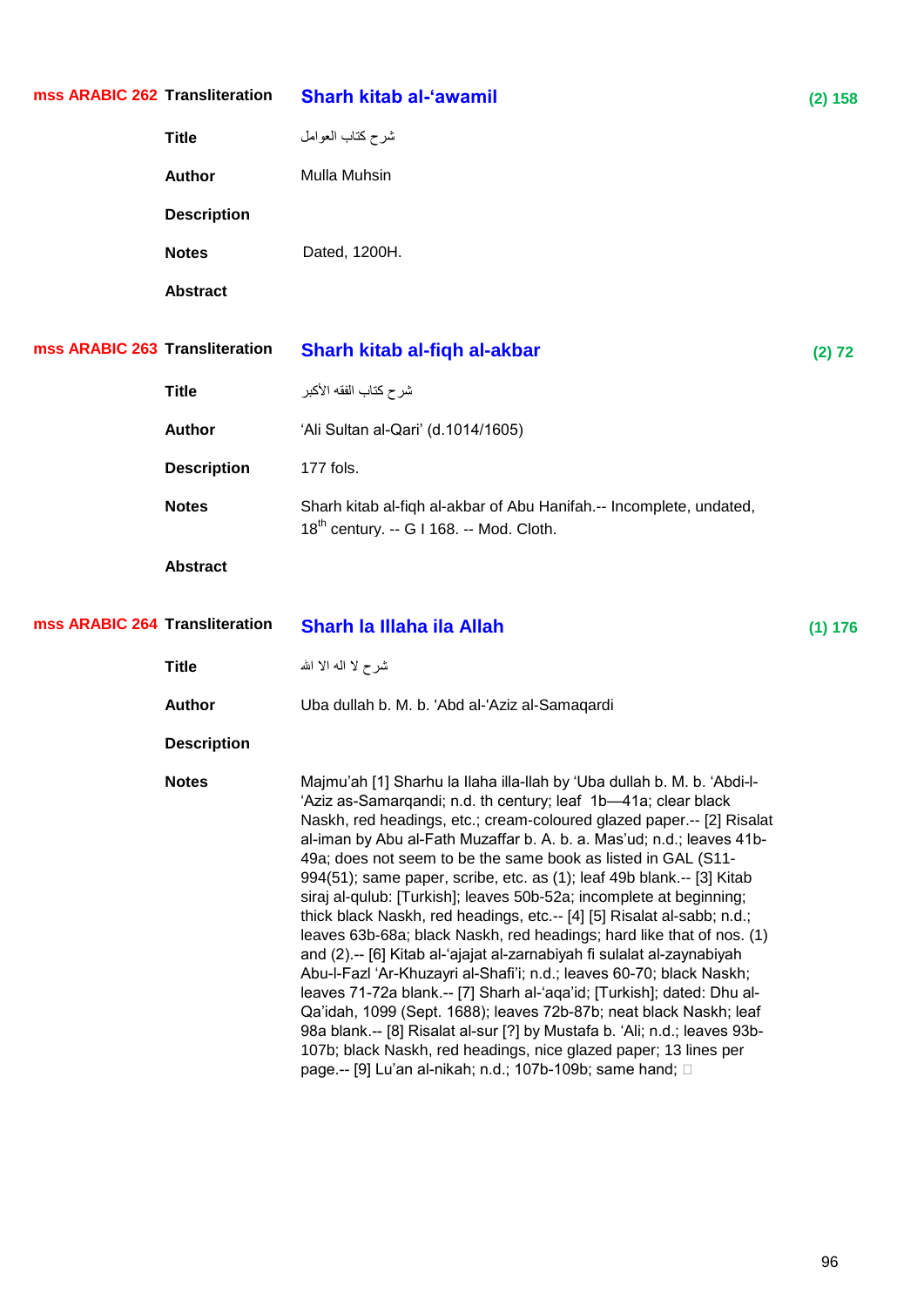| mss ARABIC 262 Transliteration |                    | <b>Sharh kitab al-'awamil</b>                                                                                                                                                                                                                                                                                                                                                                                                                                                                                                                                                                                                                                                                                                                                                                                                                                                                                                                                                                                                                                                                                                                                                    | (2) 158 |
|--------------------------------|--------------------|----------------------------------------------------------------------------------------------------------------------------------------------------------------------------------------------------------------------------------------------------------------------------------------------------------------------------------------------------------------------------------------------------------------------------------------------------------------------------------------------------------------------------------------------------------------------------------------------------------------------------------------------------------------------------------------------------------------------------------------------------------------------------------------------------------------------------------------------------------------------------------------------------------------------------------------------------------------------------------------------------------------------------------------------------------------------------------------------------------------------------------------------------------------------------------|---------|
|                                | <b>Title</b>       | شرح كتاب العوامل                                                                                                                                                                                                                                                                                                                                                                                                                                                                                                                                                                                                                                                                                                                                                                                                                                                                                                                                                                                                                                                                                                                                                                 |         |
|                                | <b>Author</b>      | Mulla Muhsin                                                                                                                                                                                                                                                                                                                                                                                                                                                                                                                                                                                                                                                                                                                                                                                                                                                                                                                                                                                                                                                                                                                                                                     |         |
|                                | <b>Description</b> |                                                                                                                                                                                                                                                                                                                                                                                                                                                                                                                                                                                                                                                                                                                                                                                                                                                                                                                                                                                                                                                                                                                                                                                  |         |
|                                | <b>Notes</b>       | Dated, 1200H.                                                                                                                                                                                                                                                                                                                                                                                                                                                                                                                                                                                                                                                                                                                                                                                                                                                                                                                                                                                                                                                                                                                                                                    |         |
|                                | <b>Abstract</b>    |                                                                                                                                                                                                                                                                                                                                                                                                                                                                                                                                                                                                                                                                                                                                                                                                                                                                                                                                                                                                                                                                                                                                                                                  |         |
| mss ARABIC 263 Transliteration |                    | Sharh kitab al-fiqh al-akbar                                                                                                                                                                                                                                                                                                                                                                                                                                                                                                                                                                                                                                                                                                                                                                                                                                                                                                                                                                                                                                                                                                                                                     | (2) 72  |
|                                | <b>Title</b>       | شر ح كتاب الفقه الأكبر                                                                                                                                                                                                                                                                                                                                                                                                                                                                                                                                                                                                                                                                                                                                                                                                                                                                                                                                                                                                                                                                                                                                                           |         |
|                                | <b>Author</b>      | 'Ali Sultan al-Qari' (d.1014/1605)                                                                                                                                                                                                                                                                                                                                                                                                                                                                                                                                                                                                                                                                                                                                                                                                                                                                                                                                                                                                                                                                                                                                               |         |
|                                | <b>Description</b> | 177 fols.                                                                                                                                                                                                                                                                                                                                                                                                                                                                                                                                                                                                                                                                                                                                                                                                                                                                                                                                                                                                                                                                                                                                                                        |         |
|                                | <b>Notes</b>       | Sharh kitab al-fiqh al-akbar of Abu Hanifah.-- Incomplete, undated,<br>18 <sup>th</sup> century. -- G I 168. -- Mod. Cloth.                                                                                                                                                                                                                                                                                                                                                                                                                                                                                                                                                                                                                                                                                                                                                                                                                                                                                                                                                                                                                                                      |         |
|                                | <b>Abstract</b>    |                                                                                                                                                                                                                                                                                                                                                                                                                                                                                                                                                                                                                                                                                                                                                                                                                                                                                                                                                                                                                                                                                                                                                                                  |         |
| mss ARABIC 264 Transliteration |                    | Sharh la Illaha ila Allah                                                                                                                                                                                                                                                                                                                                                                                                                                                                                                                                                                                                                                                                                                                                                                                                                                                                                                                                                                                                                                                                                                                                                        | (1) 176 |
|                                | <b>Title</b>       | شرح لا اله الا الله                                                                                                                                                                                                                                                                                                                                                                                                                                                                                                                                                                                                                                                                                                                                                                                                                                                                                                                                                                                                                                                                                                                                                              |         |
|                                | <b>Author</b>      | Uba dullah b. M. b. 'Abd al-'Aziz al-Samaqardi                                                                                                                                                                                                                                                                                                                                                                                                                                                                                                                                                                                                                                                                                                                                                                                                                                                                                                                                                                                                                                                                                                                                   |         |
|                                | <b>Description</b> |                                                                                                                                                                                                                                                                                                                                                                                                                                                                                                                                                                                                                                                                                                                                                                                                                                                                                                                                                                                                                                                                                                                                                                                  |         |
|                                | <b>Notes</b>       | Majmu'ah [1] Sharhu la Ilaha illa-llah by 'Uba dullah b. M. b. 'Abdi-l-<br>'Aziz as-Samarqandi; n.d. th century; leaf 1b-41a; clear black<br>Naskh, red headings, etc.; cream-coloured glazed paper.-- [2] Risalat<br>al-iman by Abu al-Fath Muzaffar b. A. b. a. Mas'ud; n.d.; leaves 41b-<br>49a; does not seem to be the same book as listed in GAL (S11-<br>994(51); same paper, scribe, etc. as (1); leaf 49b blank.-- [3] Kitab<br>siraj al-qulub: [Turkish]; leaves 50b-52a; incomplete at beginning;<br>thick black Naskh, red headings, etc.-- [4] [5] Risalat al-sabb; n.d.;<br>leaves 63b-68a; black Naskh, red headings; hard like that of nos. (1)<br>and (2) .-- [6] Kitab al-'ajajat al-zarnabiyah fi sulalat al-zaynabiyah<br>Abu-I-Fazl 'Ar-Khuzayri al-Shafi'i; n.d.; leaves 60-70; black Naskh;<br>leaves 71-72a blank.-- [7] Sharh al-'aqa'id; [Turkish]; dated: Dhu al-<br>Qa'idah, 1099 (Sept. 1688); leaves 72b-87b; neat black Naskh; leaf<br>98a blank.-- [8] Risalat al-sur [?] by Mustafa b. 'Ali; n.d.; leaves 93b-<br>107b; black Naskh, red headings, nice glazed paper; 13 lines per<br>page.-- [9] Lu'an al-nikah; n.d.; 107b-109b; same hand; □ |         |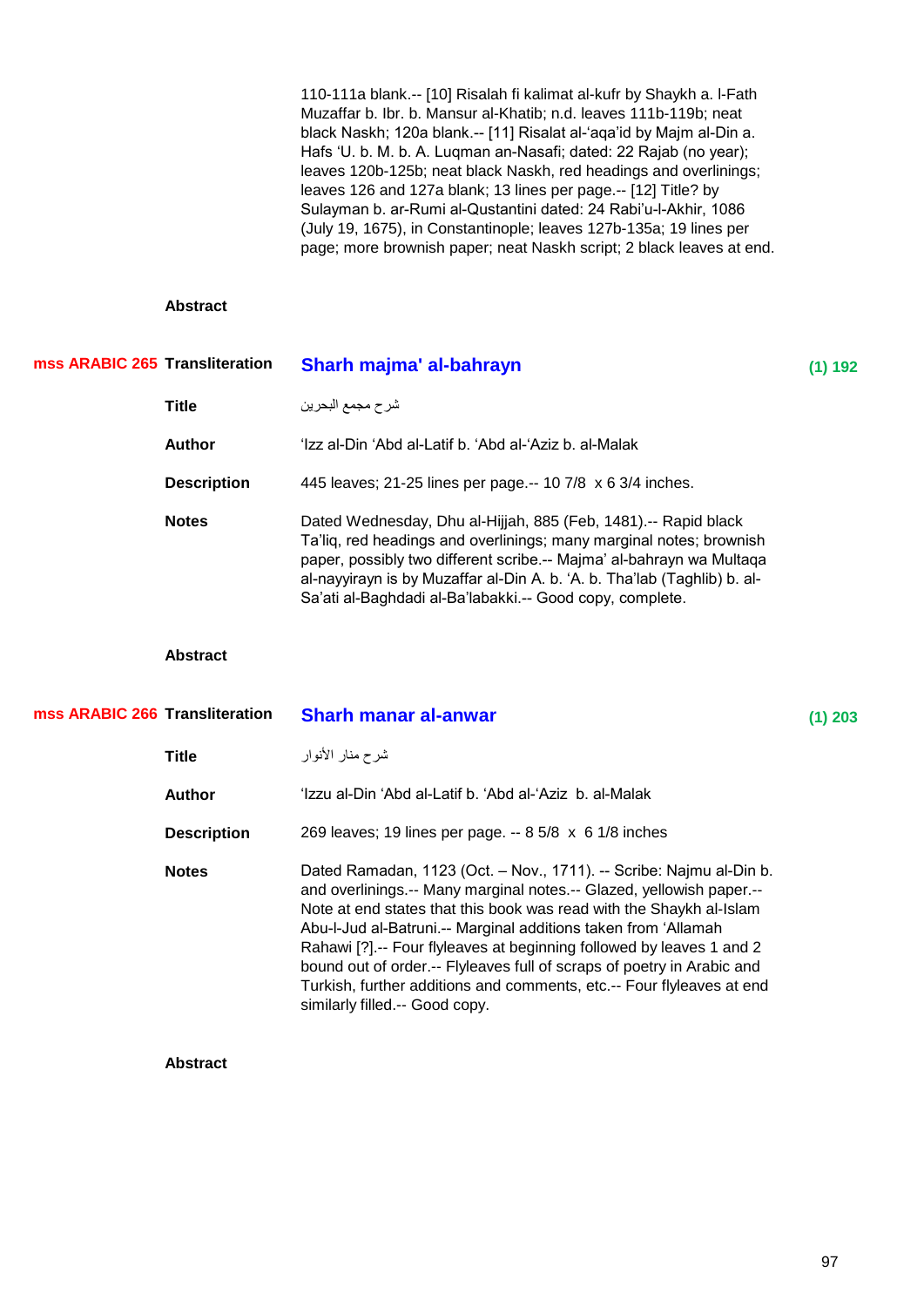110-111a blank.-- [10] Risalah fi kalimat al-kufr by Shaykh a. l-Fath Muzaffar b. Ibr. b. Mansur al-Khatib; n.d. leaves 111b-119b; neat black Naskh; 120a blank.-- [11] Risalat al-'aqa'id by Majm al-Din a. Hafs 'U. b. M. b. A. Lugman an-Nasafi; dated: 22 Rajab (no year); leaves 120b-125b; neat black Naskh, red headings and overlinings; leaves 126 and 127a blank; 13 lines per page.-- [12] Title? by Sulayman b. ar-Rumi al-Qustantini dated: 24 Rabi'u-l-Akhir, 1086 (July 19, 1675), in Constantinople; leaves 127b-135a; 19 lines per page; more brownish paper; neat Naskh script; 2 black leaves at end.

## **Abstract**

| mss ARABIC 265 Transliteration |                    | Sharh majma' al-bahrayn                                                                                                                                                                                                                                                                                                                               | (1) 192   |
|--------------------------------|--------------------|-------------------------------------------------------------------------------------------------------------------------------------------------------------------------------------------------------------------------------------------------------------------------------------------------------------------------------------------------------|-----------|
|                                | Title              | شرح مجمع البحرين                                                                                                                                                                                                                                                                                                                                      |           |
|                                | <b>Author</b>      | 'Izz al-Din 'Abd al-Latif b. 'Abd al-'Aziz b. al-Malak                                                                                                                                                                                                                                                                                                |           |
|                                | <b>Description</b> | 445 leaves; 21-25 lines per page.-- 10 7/8 x 6 3/4 inches.                                                                                                                                                                                                                                                                                            |           |
|                                | <b>Notes</b>       | Dated Wednesday, Dhu al-Hijjah, 885 (Feb, 1481).-- Rapid black<br>Ta'liq, red headings and overlinings; many marginal notes; brownish<br>paper, possibly two different scribe.-- Majma' al-bahrayn wa Multaqa<br>al-nayyirayn is by Muzaffar al-Din A. b. 'A. b. Tha'lab (Taghlib) b. al-<br>Sa'ati al-Baghdadi al-Ba'labakki.-- Good copy, complete. |           |
|                                | <b>Abstract</b>    |                                                                                                                                                                                                                                                                                                                                                       |           |
| mss ARABIC 266 Transliteration |                    | <b>Sharh manar al-anwar</b>                                                                                                                                                                                                                                                                                                                           | $(1)$ 203 |
|                                | <b>Title</b>       | شرح منار الأنوار                                                                                                                                                                                                                                                                                                                                      |           |
|                                | <b>Author</b>      | 'Izzu al-Din 'Abd al-Latif b. 'Abd al-'Aziz b. al-Malak                                                                                                                                                                                                                                                                                               |           |
|                                | <b>Description</b> | 269 leaves; 19 lines per page. -- 8 5/8 x 6 1/8 inches                                                                                                                                                                                                                                                                                                |           |

**Notes** Dated Ramadan, 1123 (Oct. – Nov., 1711). -- Scribe: Najmu al-Din b. and overlinings.-- Many marginal notes.-- Glazed, yellowish paper.-- Note at end states that this book was read with the Shaykh al-Islam Abu-l-Jud al-Batruni.-- Marginal additions taken from ‗Allamah Rahawi [?].-- Four flyleaves at beginning followed by leaves 1 and 2 bound out of order.-- Flyleaves full of scraps of poetry in Arabic and Turkish, further additions and comments, etc.-- Four flyleaves at end similarly filled.-- Good copy.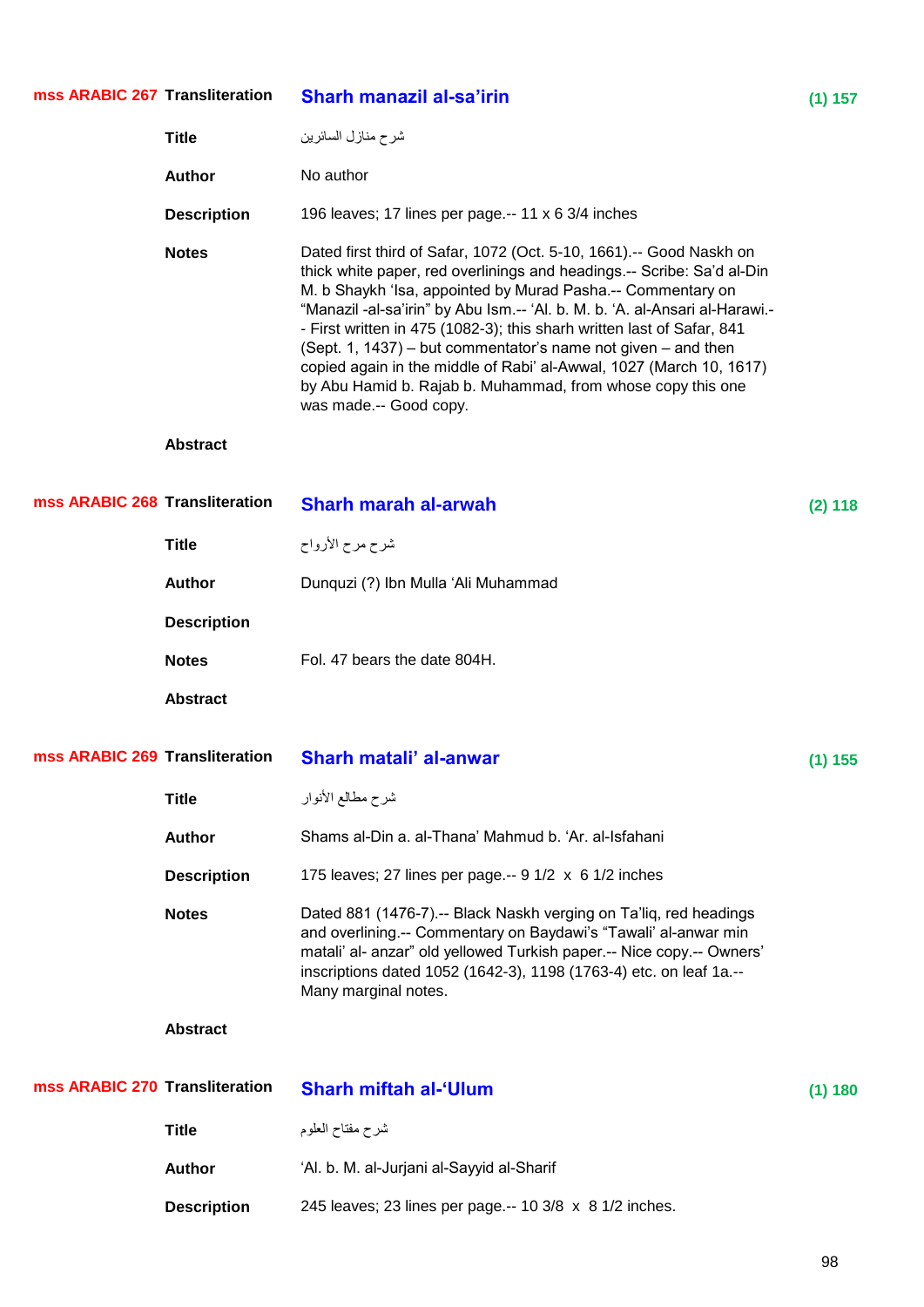| mss ARABIC 267 Transliteration |                    | <b>Sharh manazil al-sa'irin</b>                                                                                                                                                                                                                                                                                                                                                                                                                                                                                                                                                                         | (1) 157   |
|--------------------------------|--------------------|---------------------------------------------------------------------------------------------------------------------------------------------------------------------------------------------------------------------------------------------------------------------------------------------------------------------------------------------------------------------------------------------------------------------------------------------------------------------------------------------------------------------------------------------------------------------------------------------------------|-----------|
|                                | <b>Title</b>       | شرح منازل السائرين                                                                                                                                                                                                                                                                                                                                                                                                                                                                                                                                                                                      |           |
|                                | <b>Author</b>      | No author                                                                                                                                                                                                                                                                                                                                                                                                                                                                                                                                                                                               |           |
|                                | <b>Description</b> | 196 leaves; 17 lines per page.-- 11 x 6 3/4 inches                                                                                                                                                                                                                                                                                                                                                                                                                                                                                                                                                      |           |
|                                | <b>Notes</b>       | Dated first third of Safar, 1072 (Oct. 5-10, 1661).-- Good Naskh on<br>thick white paper, red overlinings and headings.-- Scribe: Sa'd al-Din<br>M. b Shaykh 'Isa, appointed by Murad Pasha.-- Commentary on<br>"Manazil -al-sa'irin" by Abu Ism.-- 'Al. b. M. b. 'A. al-Ansari al-Harawi.-<br>- First written in 475 (1082-3); this sharh written last of Safar, 841<br>(Sept. 1, 1437) – but commentator's name not given – and then<br>copied again in the middle of Rabi' al-Awwal, 1027 (March 10, 1617)<br>by Abu Hamid b. Rajab b. Muhammad, from whose copy this one<br>was made .-- Good copy. |           |
|                                | <b>Abstract</b>    |                                                                                                                                                                                                                                                                                                                                                                                                                                                                                                                                                                                                         |           |
| mss ARABIC 268 Transliteration |                    | <b>Sharh marah al-arwah</b>                                                                                                                                                                                                                                                                                                                                                                                                                                                                                                                                                                             | (2) 118   |
|                                | <b>Title</b>       | شرح مرح الأرواح                                                                                                                                                                                                                                                                                                                                                                                                                                                                                                                                                                                         |           |
|                                | <b>Author</b>      | Dunquzi (?) Ibn Mulla 'Ali Muhammad                                                                                                                                                                                                                                                                                                                                                                                                                                                                                                                                                                     |           |
|                                | <b>Description</b> |                                                                                                                                                                                                                                                                                                                                                                                                                                                                                                                                                                                                         |           |
|                                | <b>Notes</b>       | Fol. 47 bears the date 804H.                                                                                                                                                                                                                                                                                                                                                                                                                                                                                                                                                                            |           |
|                                | <b>Abstract</b>    |                                                                                                                                                                                                                                                                                                                                                                                                                                                                                                                                                                                                         |           |
| mss ARABIC 269 Transliteration |                    | Sharh matali' al-anwar                                                                                                                                                                                                                                                                                                                                                                                                                                                                                                                                                                                  | $(1)$ 155 |
|                                | <b>Title</b>       | شرح مطالع الأنوار                                                                                                                                                                                                                                                                                                                                                                                                                                                                                                                                                                                       |           |
|                                | <b>Author</b>      | Shams al-Din a. al-Thana' Mahmud b. 'Ar. al-Isfahani                                                                                                                                                                                                                                                                                                                                                                                                                                                                                                                                                    |           |
|                                | <b>Description</b> | 175 leaves; 27 lines per page.-- $9 \frac{1}{2} \times 6 \frac{1}{2}$ inches                                                                                                                                                                                                                                                                                                                                                                                                                                                                                                                            |           |
|                                | <b>Notes</b>       | Dated 881 (1476-7).-- Black Naskh verging on Ta'liq, red headings<br>and overlining.-- Commentary on Baydawi's "Tawali' al-anwar min<br>matali' al- anzar" old yellowed Turkish paper.-- Nice copy.-- Owners'<br>inscriptions dated 1052 (1642-3), 1198 (1763-4) etc. on leaf 1a .--<br>Many marginal notes.                                                                                                                                                                                                                                                                                            |           |
|                                | <b>Abstract</b>    |                                                                                                                                                                                                                                                                                                                                                                                                                                                                                                                                                                                                         |           |
| mss ARABIC 270 Transliteration |                    | <b>Sharh miftah al-'Ulum</b>                                                                                                                                                                                                                                                                                                                                                                                                                                                                                                                                                                            | (1) 180   |
|                                | <b>Title</b>       | شرح مفتاح العلوم                                                                                                                                                                                                                                                                                                                                                                                                                                                                                                                                                                                        |           |
|                                | <b>Author</b>      | 'Al. b. M. al-Jurjani al-Sayyid al-Sharif                                                                                                                                                                                                                                                                                                                                                                                                                                                                                                                                                               |           |
|                                | <b>Description</b> | 245 leaves; 23 lines per page.-- 10 3/8 x 8 1/2 inches.                                                                                                                                                                                                                                                                                                                                                                                                                                                                                                                                                 |           |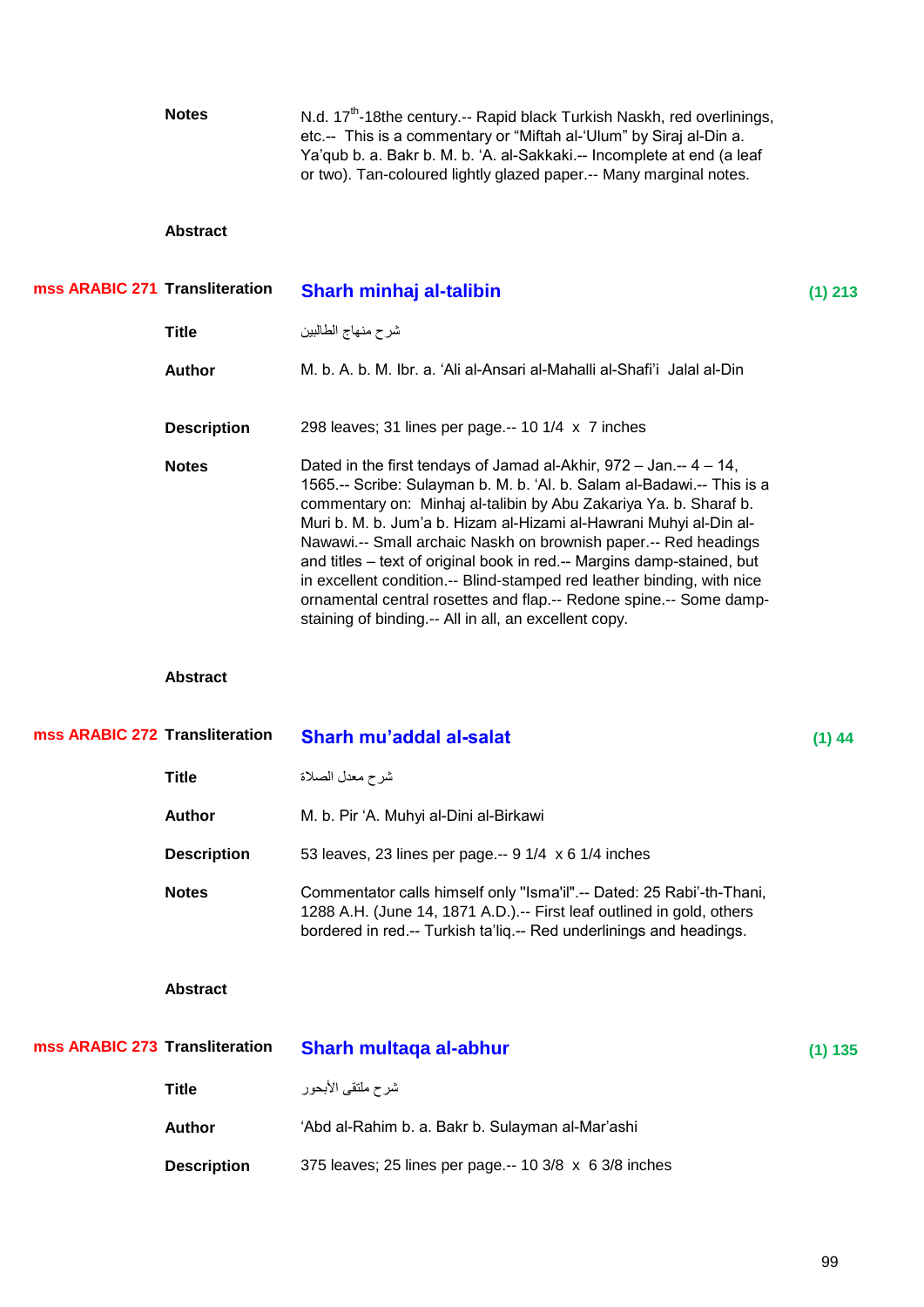|                                | <b>Notes</b>       | N.d. 17 <sup>th</sup> -18the century.-- Rapid black Turkish Naskh, red overlinings,<br>etc.-- This is a commentary or "Miftah al-'Ulum" by Siraj al-Din a.<br>Ya'qub b. a. Bakr b. M. b. 'A. al-Sakkaki.-- Incomplete at end (a leaf<br>or two). Tan-coloured lightly glazed paper.-- Many marginal notes.                                                                                                                                                                                                                                                                                                                                       |           |
|--------------------------------|--------------------|--------------------------------------------------------------------------------------------------------------------------------------------------------------------------------------------------------------------------------------------------------------------------------------------------------------------------------------------------------------------------------------------------------------------------------------------------------------------------------------------------------------------------------------------------------------------------------------------------------------------------------------------------|-----------|
|                                | <b>Abstract</b>    |                                                                                                                                                                                                                                                                                                                                                                                                                                                                                                                                                                                                                                                  |           |
| mss ARABIC 271 Transliteration |                    | Sharh minhaj al-talibin                                                                                                                                                                                                                                                                                                                                                                                                                                                                                                                                                                                                                          | $(1)$ 213 |
|                                | <b>Title</b>       | شرح منهاج الطالبين                                                                                                                                                                                                                                                                                                                                                                                                                                                                                                                                                                                                                               |           |
|                                | <b>Author</b>      | M. b. A. b. M. Ibr. a. 'Ali al-Ansari al-Mahalli al-Shafi'i Jalal al-Din                                                                                                                                                                                                                                                                                                                                                                                                                                                                                                                                                                         |           |
|                                | <b>Description</b> | 298 leaves; 31 lines per page.-- 10 1/4 x 7 inches                                                                                                                                                                                                                                                                                                                                                                                                                                                                                                                                                                                               |           |
|                                | <b>Notes</b>       | Dated in the first tendays of Jamad al-Akhir, $972 - Jan. - 4 - 14$ ,<br>1565.-- Scribe: Sulayman b. M. b. 'Al. b. Salam al-Badawi.-- This is a<br>commentary on: Minhaj al-talibin by Abu Zakariya Ya. b. Sharaf b.<br>Muri b. M. b. Jum'a b. Hizam al-Hizami al-Hawrani Muhyi al-Din al-<br>Nawawi.-- Small archaic Naskh on brownish paper.-- Red headings<br>and titles - text of original book in red.-- Margins damp-stained, but<br>in excellent condition.-- Blind-stamped red leather binding, with nice<br>ornamental central rosettes and flap.-- Redone spine.-- Some damp-<br>staining of binding.-- All in all, an excellent copy. |           |
|                                |                    |                                                                                                                                                                                                                                                                                                                                                                                                                                                                                                                                                                                                                                                  |           |
|                                | <b>Abstract</b>    |                                                                                                                                                                                                                                                                                                                                                                                                                                                                                                                                                                                                                                                  |           |
| mss ARABIC 272 Transliteration |                    | Sharh mu'addal al-salat                                                                                                                                                                                                                                                                                                                                                                                                                                                                                                                                                                                                                          | $(1)$ 44  |
|                                | <b>Title</b>       | شرح معدل الصلاة                                                                                                                                                                                                                                                                                                                                                                                                                                                                                                                                                                                                                                  |           |
|                                | <b>Author</b>      | M. b. Pir 'A. Muhyi al-Dini al-Birkawi                                                                                                                                                                                                                                                                                                                                                                                                                                                                                                                                                                                                           |           |
|                                | <b>Description</b> | 53 leaves, 23 lines per page.-- 9 1/4 x 6 1/4 inches                                                                                                                                                                                                                                                                                                                                                                                                                                                                                                                                                                                             |           |
|                                | <b>Notes</b>       | Commentator calls himself only "Isma'il".-- Dated: 25 Rabi'-th-Thani,<br>1288 A.H. (June 14, 1871 A.D.) .-- First leaf outlined in gold, others<br>bordered in red.-- Turkish ta'liq.-- Red underlinings and headings.                                                                                                                                                                                                                                                                                                                                                                                                                           |           |
|                                | <b>Abstract</b>    |                                                                                                                                                                                                                                                                                                                                                                                                                                                                                                                                                                                                                                                  |           |
| mss ARABIC 273 Transliteration |                    | Sharh multaqa al-abhur                                                                                                                                                                                                                                                                                                                                                                                                                                                                                                                                                                                                                           | (1) 135   |
|                                | <b>Title</b>       | شرح ملتقى الأبحور                                                                                                                                                                                                                                                                                                                                                                                                                                                                                                                                                                                                                                |           |
|                                | <b>Author</b>      | 'Abd al-Rahim b. a. Bakr b. Sulayman al-Mar'ashi                                                                                                                                                                                                                                                                                                                                                                                                                                                                                                                                                                                                 |           |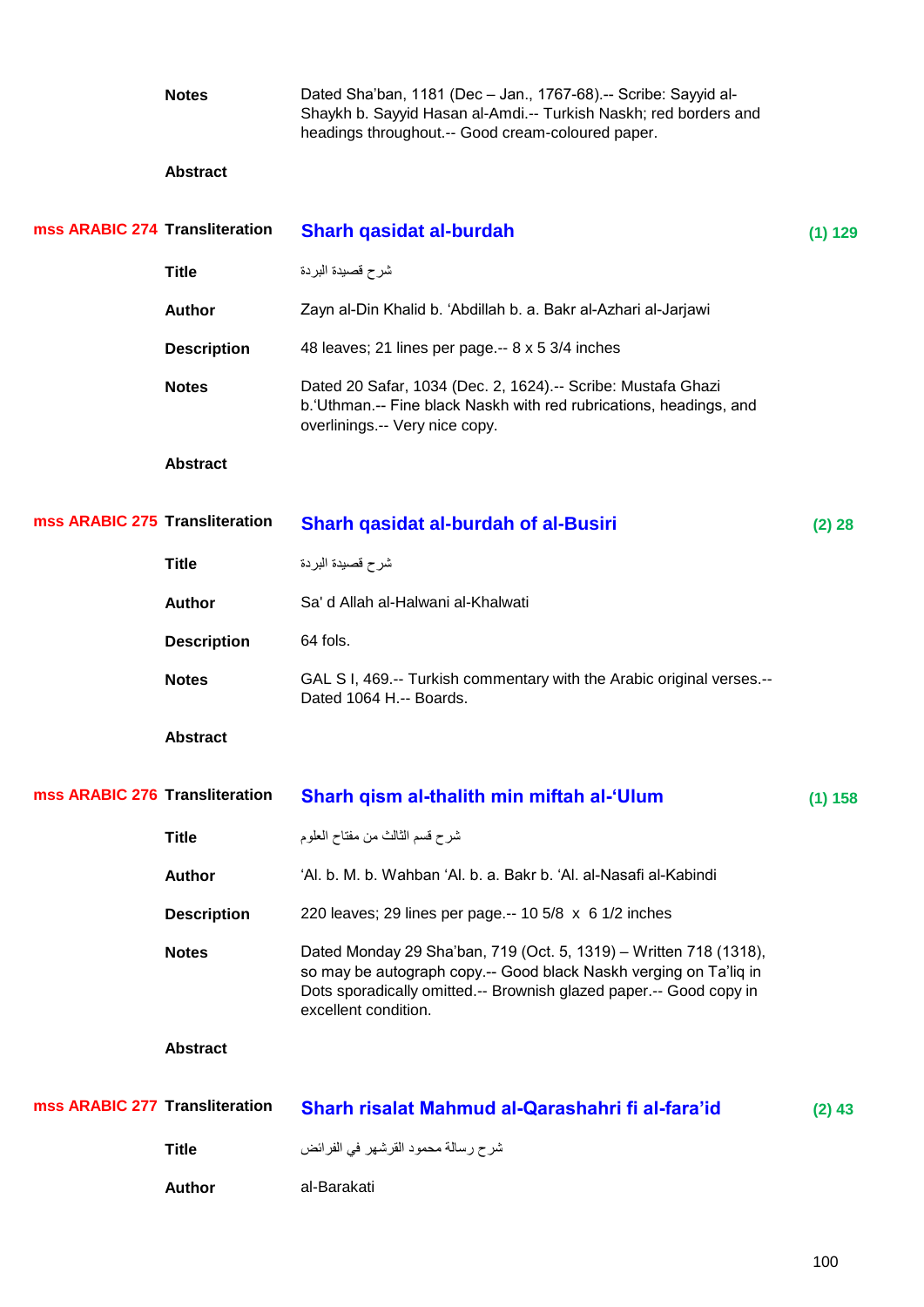|                                | <b>Notes</b>       | Dated Sha'ban, 1181 (Dec - Jan., 1767-68).-- Scribe: Sayyid al-<br>Shaykh b. Sayyid Hasan al-Amdi.-- Turkish Naskh; red borders and<br>headings throughout.-- Good cream-coloured paper.                                             |          |
|--------------------------------|--------------------|--------------------------------------------------------------------------------------------------------------------------------------------------------------------------------------------------------------------------------------|----------|
|                                | <b>Abstract</b>    |                                                                                                                                                                                                                                      |          |
| mss ARABIC 274 Transliteration |                    | Sharh qasidat al-burdah                                                                                                                                                                                                              | (1) 129  |
|                                | <b>Title</b>       | شرح قصيدة البردة                                                                                                                                                                                                                     |          |
|                                | <b>Author</b>      | Zayn al-Din Khalid b. 'Abdillah b. a. Bakr al-Azhari al-Jarjawi                                                                                                                                                                      |          |
|                                | <b>Description</b> | 48 leaves; 21 lines per page.-- 8 x 5 3/4 inches                                                                                                                                                                                     |          |
|                                | <b>Notes</b>       | Dated 20 Safar, 1034 (Dec. 2, 1624).-- Scribe: Mustafa Ghazi<br>b. 'Uthman.-- Fine black Naskh with red rubrications, headings, and<br>overlinings.-- Very nice copy.                                                                |          |
|                                | <b>Abstract</b>    |                                                                                                                                                                                                                                      |          |
| mss ARABIC 275 Transliteration |                    | <b>Sharh qasidat al-burdah of al-Busiri</b>                                                                                                                                                                                          | (2) 28   |
|                                | <b>Title</b>       | شرح قصيدة البردة                                                                                                                                                                                                                     |          |
|                                | <b>Author</b>      | Sa' d Allah al-Halwani al-Khalwati                                                                                                                                                                                                   |          |
|                                | <b>Description</b> | 64 fols.                                                                                                                                                                                                                             |          |
|                                | <b>Notes</b>       | GAL S I, 469 .-- Turkish commentary with the Arabic original verses .--<br>Dated 1064 H.-- Boards.                                                                                                                                   |          |
|                                | <b>Abstract</b>    |                                                                                                                                                                                                                                      |          |
| mss ARABIC 276 Transliteration |                    | Sharh qism al-thalith min miftah al-'Ulum                                                                                                                                                                                            | (1) 158  |
|                                | <b>Title</b>       | شرح قسم الثالث من مفتاح العلوم                                                                                                                                                                                                       |          |
|                                | <b>Author</b>      | 'Al. b. M. b. Wahban 'Al. b. a. Bakr b. 'Al. al-Nasafi al-Kabindi                                                                                                                                                                    |          |
|                                | <b>Description</b> | 220 leaves; 29 lines per page.-- 10 5/8 x 6 1/2 inches                                                                                                                                                                               |          |
|                                | <b>Notes</b>       | Dated Monday 29 Sha'ban, 719 (Oct. 5, 1319) - Written 718 (1318),<br>so may be autograph copy.-- Good black Naskh verging on Ta'liq in<br>Dots sporadically omitted.-- Brownish glazed paper.-- Good copy in<br>excellent condition. |          |
|                                | <b>Abstract</b>    |                                                                                                                                                                                                                                      |          |
| mss ARABIC 277 Transliteration |                    | Sharh risalat Mahmud al-Qarashahri fi al-fara'id                                                                                                                                                                                     | $(2)$ 43 |
|                                | <b>Title</b>       | شرح رسالة محمود القرشهر في الفرائض                                                                                                                                                                                                   |          |
|                                | <b>Author</b>      | al-Barakati                                                                                                                                                                                                                          |          |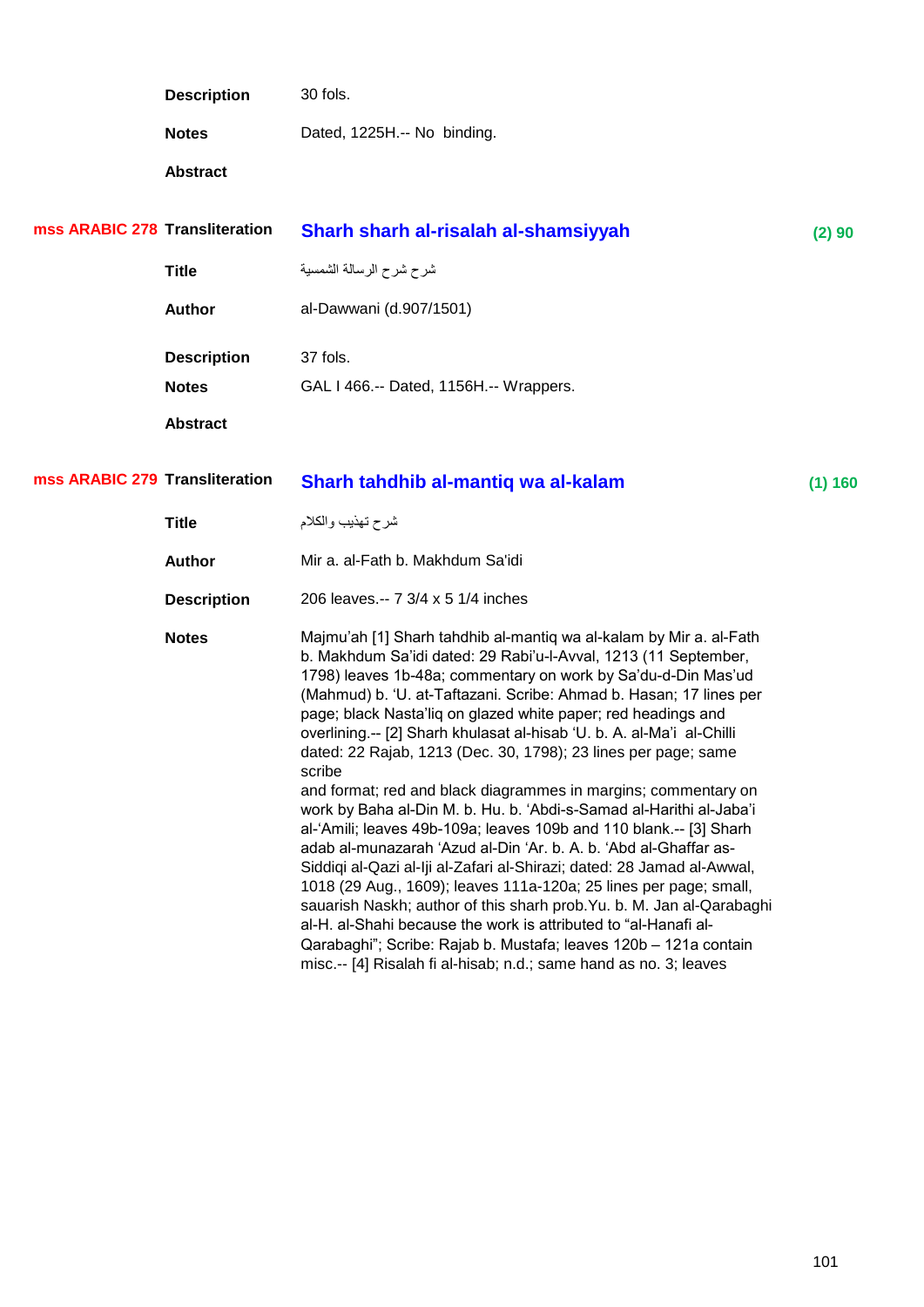| <b>Description</b>                | 30 fols.                               |         |
|-----------------------------------|----------------------------------------|---------|
| <b>Notes</b>                      | Dated, 1225H.-- No binding.            |         |
| <b>Abstract</b>                   |                                        |         |
| <b>ARABIC 278 Transliteration</b> | Sharh sharh al-risalah al-shamsiyyah   | (2) 90  |
| <b>Title</b>                      | شرح شرح الرسالة الشمسية                |         |
| <b>Author</b>                     | al-Dawwani (d.907/1501)                |         |
| <b>Description</b>                | 37 fols.                               |         |
| <b>Notes</b>                      | GAL I 466.-- Dated, 1156H.-- Wrappers. |         |
| <b>Abstract</b>                   |                                        |         |
| <b>ARABIC 279 Transliteration</b> | Sharh tahdhib al-mantiq wa al-kalam    | (1) 160 |
| <b>Title</b>                      | شرح تهذيب والكلام                      |         |

mss

mss

| <b>Author</b>      | Mir a. al-Fath b. Makhdum Sa'idi                                                                                                                                                                                                                                                                                                                                                                                                                                                                                                                                                                                                                                                                                                                                                                                                                                                                                                                                                                                                                                                                                                                                                                                          |
|--------------------|---------------------------------------------------------------------------------------------------------------------------------------------------------------------------------------------------------------------------------------------------------------------------------------------------------------------------------------------------------------------------------------------------------------------------------------------------------------------------------------------------------------------------------------------------------------------------------------------------------------------------------------------------------------------------------------------------------------------------------------------------------------------------------------------------------------------------------------------------------------------------------------------------------------------------------------------------------------------------------------------------------------------------------------------------------------------------------------------------------------------------------------------------------------------------------------------------------------------------|
| <b>Description</b> | 206 leaves.-- 7 3/4 x 5 1/4 inches                                                                                                                                                                                                                                                                                                                                                                                                                                                                                                                                                                                                                                                                                                                                                                                                                                                                                                                                                                                                                                                                                                                                                                                        |
| <b>Notes</b>       | Majmu'ah [1] Sharh tahdhib al-mantiq wa al-kalam by Mir a. al-Fath<br>b. Makhdum Sa'idi dated: 29 Rabi'u-l-Avval, 1213 (11 September,<br>1798) leaves 1b-48a; commentary on work by Sa'du-d-Din Mas'ud<br>(Mahmud) b. 'U. at-Taftazani. Scribe: Ahmad b. Hasan; 17 lines per<br>page; black Nasta'liq on glazed white paper; red headings and<br>overlining.-- [2] Sharh khulasat al-hisab 'U. b. A. al-Ma'i al-Chilli<br>dated: 22 Rajab, 1213 (Dec. 30, 1798); 23 lines per page; same<br>scribe<br>and format; red and black diagrammes in margins; commentary on<br>work by Baha al-Din M. b. Hu. b. 'Abdi-s-Samad al-Harithi al-Jaba'i<br>al-'Amili; leaves 49b-109a; leaves 109b and 110 blank.-- [3] Sharh<br>adab al-munazarah 'Azud al-Din 'Ar. b. A. b. 'Abd al-Ghaffar as-<br>Siddigi al-Qazi al-Iji al-Zafari al-Shirazi; dated: 28 Jamad al-Awwal,<br>1018 (29 Aug., 1609); leaves 111a-120a; 25 lines per page; small,<br>sauarish Naskh; author of this sharh prob. Yu. b. M. Jan al-Qarabaghi<br>al-H, al-Shahi because the work is attributed to "al-Hanafi al-<br>Qarabaghi"; Scribe: Rajab b. Mustafa; leaves 120b - 121a contain<br>misc.-- [4] Risalah fi al-hisab; n.d.; same hand as no. 3; leaves |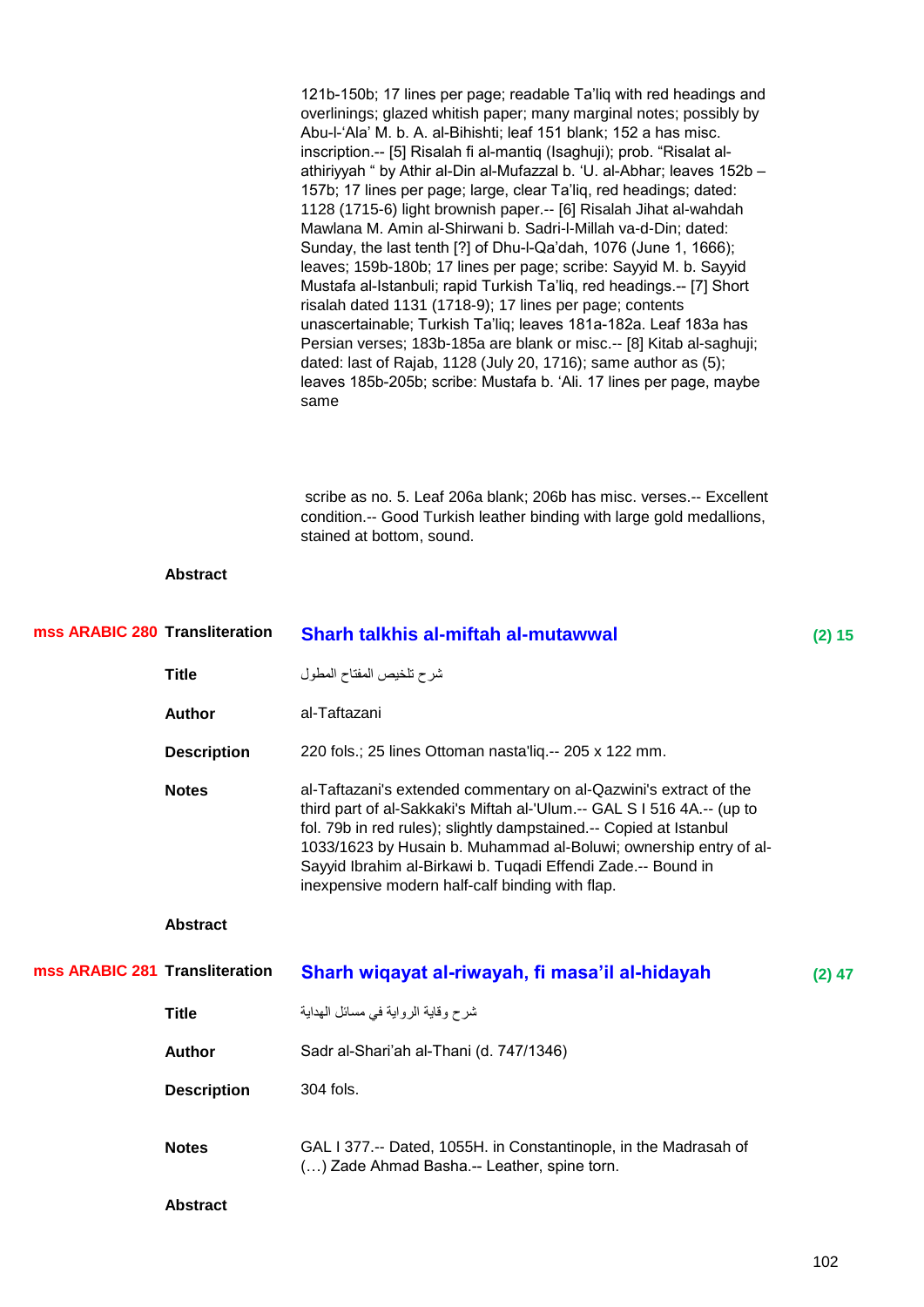|                                |                    | 121b-150b; 17 lines per page; readable Ta'liq with red headings and<br>overlinings; glazed whitish paper; many marginal notes; possibly by<br>Abu-l-'Ala' M. b. A. al-Bihishti; leaf 151 blank; 152 a has misc.<br>inscription.-- [5] Risalah fi al-mantiq (Isaghuji); prob. "Risalat al-<br>athiriyyah " by Athir al-Din al-Mufazzal b. 'U. al-Abhar; leaves 152b -<br>157b; 17 lines per page; large, clear Ta'liq, red headings; dated:<br>1128 (1715-6) light brownish paper.-- [6] Risalah Jihat al-wahdah<br>Mawlana M. Amin al-Shirwani b. Sadri-l-Millah va-d-Din; dated:<br>Sunday, the last tenth [?] of Dhu-I-Qa'dah, 1076 (June 1, 1666);<br>leaves; 159b-180b; 17 lines per page; scribe: Sayyid M. b. Sayyid<br>Mustafa al-Istanbuli; rapid Turkish Ta'liq, red headings.-- [7] Short<br>risalah dated 1131 (1718-9); 17 lines per page; contents<br>unascertainable; Turkish Ta'liq; leaves 181a-182a. Leaf 183a has<br>Persian verses; 183b-185a are blank or misc.-- [8] Kitab al-saghuji;<br>dated: last of Rajab, 1128 (July 20, 1716); same author as (5);<br>leaves 185b-205b; scribe: Mustafa b. 'Ali. 17 lines per page, maybe<br>same |          |
|--------------------------------|--------------------|---------------------------------------------------------------------------------------------------------------------------------------------------------------------------------------------------------------------------------------------------------------------------------------------------------------------------------------------------------------------------------------------------------------------------------------------------------------------------------------------------------------------------------------------------------------------------------------------------------------------------------------------------------------------------------------------------------------------------------------------------------------------------------------------------------------------------------------------------------------------------------------------------------------------------------------------------------------------------------------------------------------------------------------------------------------------------------------------------------------------------------------------------------------|----------|
|                                |                    | scribe as no. 5. Leaf 206a blank; 206b has misc. verses.-- Excellent<br>condition.-- Good Turkish leather binding with large gold medallions,<br>stained at bottom, sound.                                                                                                                                                                                                                                                                                                                                                                                                                                                                                                                                                                                                                                                                                                                                                                                                                                                                                                                                                                                    |          |
|                                | <b>Abstract</b>    |                                                                                                                                                                                                                                                                                                                                                                                                                                                                                                                                                                                                                                                                                                                                                                                                                                                                                                                                                                                                                                                                                                                                                               |          |
| mss ARABIC 280 Transliteration |                    | <b>Sharh talkhis al-miftah al-mutawwal</b>                                                                                                                                                                                                                                                                                                                                                                                                                                                                                                                                                                                                                                                                                                                                                                                                                                                                                                                                                                                                                                                                                                                    | (2) 15   |
|                                | <b>Title</b>       | شرح تلخيص المفتاح المطول                                                                                                                                                                                                                                                                                                                                                                                                                                                                                                                                                                                                                                                                                                                                                                                                                                                                                                                                                                                                                                                                                                                                      |          |
|                                | <b>Author</b>      | al-Taftazani                                                                                                                                                                                                                                                                                                                                                                                                                                                                                                                                                                                                                                                                                                                                                                                                                                                                                                                                                                                                                                                                                                                                                  |          |
|                                | <b>Description</b> | 220 fols.; 25 lines Ottoman nasta'liq.-- 205 x 122 mm.                                                                                                                                                                                                                                                                                                                                                                                                                                                                                                                                                                                                                                                                                                                                                                                                                                                                                                                                                                                                                                                                                                        |          |
|                                | <b>Notes</b>       | al-Taftazani's extended commentary on al-Qazwini's extract of the<br>third part of al-Sakkaki's Miftah al-'Ulum.-- GAL S I 516 4A.-- (up to<br>fol. 79b in red rules); slightly dampstained.-- Copied at Istanbul<br>1033/1623 by Husain b. Muhammad al-Boluwi; ownership entry of al-<br>Sayyid Ibrahim al-Birkawi b. Tuqadi Effendi Zade.-- Bound in<br>inexpensive modern half-calf binding with flap.                                                                                                                                                                                                                                                                                                                                                                                                                                                                                                                                                                                                                                                                                                                                                     |          |
|                                | <b>Abstract</b>    |                                                                                                                                                                                                                                                                                                                                                                                                                                                                                                                                                                                                                                                                                                                                                                                                                                                                                                                                                                                                                                                                                                                                                               |          |
| mss ARABIC 281 Transliteration |                    | Sharh wiqayat al-riwayah, fi masa'il al-hidayah                                                                                                                                                                                                                                                                                                                                                                                                                                                                                                                                                                                                                                                                                                                                                                                                                                                                                                                                                                                                                                                                                                               | $(2)$ 47 |
|                                | <b>Title</b>       | شرح وقاية الرواية في مسائل المهداية                                                                                                                                                                                                                                                                                                                                                                                                                                                                                                                                                                                                                                                                                                                                                                                                                                                                                                                                                                                                                                                                                                                           |          |
|                                | <b>Author</b>      | Sadr al-Shari'ah al-Thani (d. 747/1346)                                                                                                                                                                                                                                                                                                                                                                                                                                                                                                                                                                                                                                                                                                                                                                                                                                                                                                                                                                                                                                                                                                                       |          |
|                                | <b>Description</b> | 304 fols.                                                                                                                                                                                                                                                                                                                                                                                                                                                                                                                                                                                                                                                                                                                                                                                                                                                                                                                                                                                                                                                                                                                                                     |          |
|                                | <b>Notes</b>       | GAL I 377.-- Dated, 1055H. in Constantinople, in the Madrasah of<br>() Zade Ahmad Basha.-- Leather, spine torn.                                                                                                                                                                                                                                                                                                                                                                                                                                                                                                                                                                                                                                                                                                                                                                                                                                                                                                                                                                                                                                               |          |
|                                | <b>Abstract</b>    |                                                                                                                                                                                                                                                                                                                                                                                                                                                                                                                                                                                                                                                                                                                                                                                                                                                                                                                                                                                                                                                                                                                                                               |          |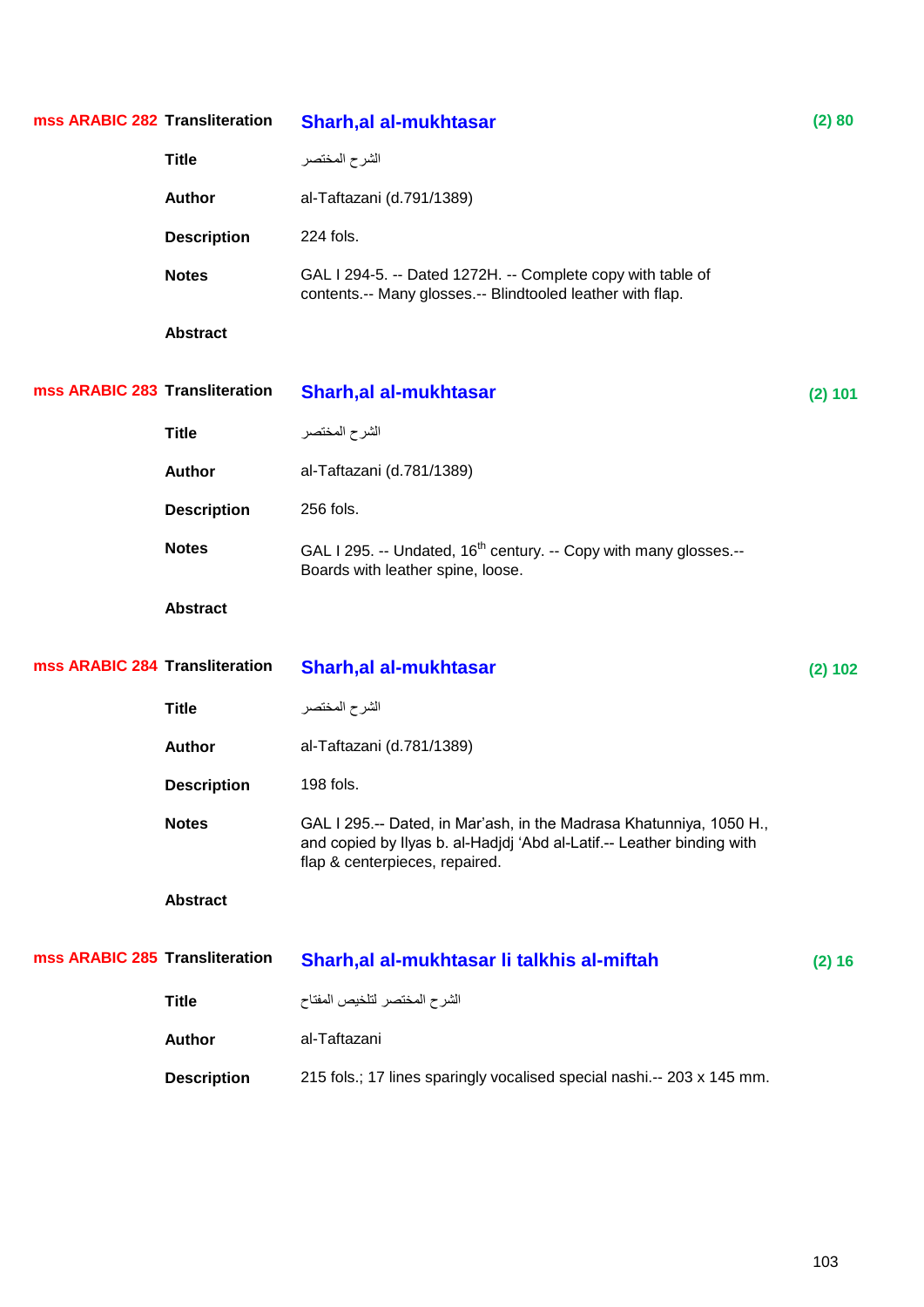| mss ARABIC 282 Transliteration |                    | <b>Sharh, al al-mukhtasar</b>                                                                                                                                                   | (2) 80  |
|--------------------------------|--------------------|---------------------------------------------------------------------------------------------------------------------------------------------------------------------------------|---------|
|                                | <b>Title</b>       | الشرح المختصر                                                                                                                                                                   |         |
|                                | <b>Author</b>      | al-Taftazani (d.791/1389)                                                                                                                                                       |         |
|                                | <b>Description</b> | 224 fols.                                                                                                                                                                       |         |
|                                | <b>Notes</b>       | GAL I 294-5. -- Dated 1272H. -- Complete copy with table of<br>contents.-- Many glosses.-- Blindtooled leather with flap.                                                       |         |
|                                | <b>Abstract</b>    |                                                                                                                                                                                 |         |
| mss ARABIC 283 Transliteration |                    | <b>Sharh, al al-mukhtasar</b>                                                                                                                                                   | (2) 101 |
|                                | <b>Title</b>       | الشرح المختصر                                                                                                                                                                   |         |
|                                | <b>Author</b>      | al-Taftazani (d.781/1389)                                                                                                                                                       |         |
|                                | <b>Description</b> | 256 fols.                                                                                                                                                                       |         |
|                                | <b>Notes</b>       | GAL I 295. -- Undated, 16 <sup>th</sup> century. -- Copy with many glosses.--<br>Boards with leather spine, loose.                                                              |         |
|                                | <b>Abstract</b>    |                                                                                                                                                                                 |         |
| mss ARABIC 284 Transliteration |                    | <b>Sharh, al al-mukhtasar</b>                                                                                                                                                   | (2) 102 |
|                                | <b>Title</b>       | الشرح المختصر                                                                                                                                                                   |         |
|                                | <b>Author</b>      | al-Taftazani (d.781/1389)                                                                                                                                                       |         |
|                                | <b>Description</b> | 198 fols.                                                                                                                                                                       |         |
|                                | <b>Notes</b>       | GAL I 295.-- Dated, in Mar'ash, in the Madrasa Khatunniya, 1050 H.,<br>and copied by Ilyas b. al-Hadjdj 'Abd al-Latif.-- Leather binding with<br>flap & centerpieces, repaired. |         |
|                                | <b>Abstract</b>    |                                                                                                                                                                                 |         |
| mss ARABIC 285 Transliteration |                    | Sharh, al al-mukhtasar li talkhis al-miftah                                                                                                                                     | (2) 16  |
|                                | <b>Title</b>       | الشرح المختصر لتلخيص المفتاح                                                                                                                                                    |         |
|                                | <b>Author</b>      | al-Taftazani                                                                                                                                                                    |         |
|                                | <b>Description</b> | 215 fols.; 17 lines sparingly vocalised special nashi.-- 203 x 145 mm.                                                                                                          |         |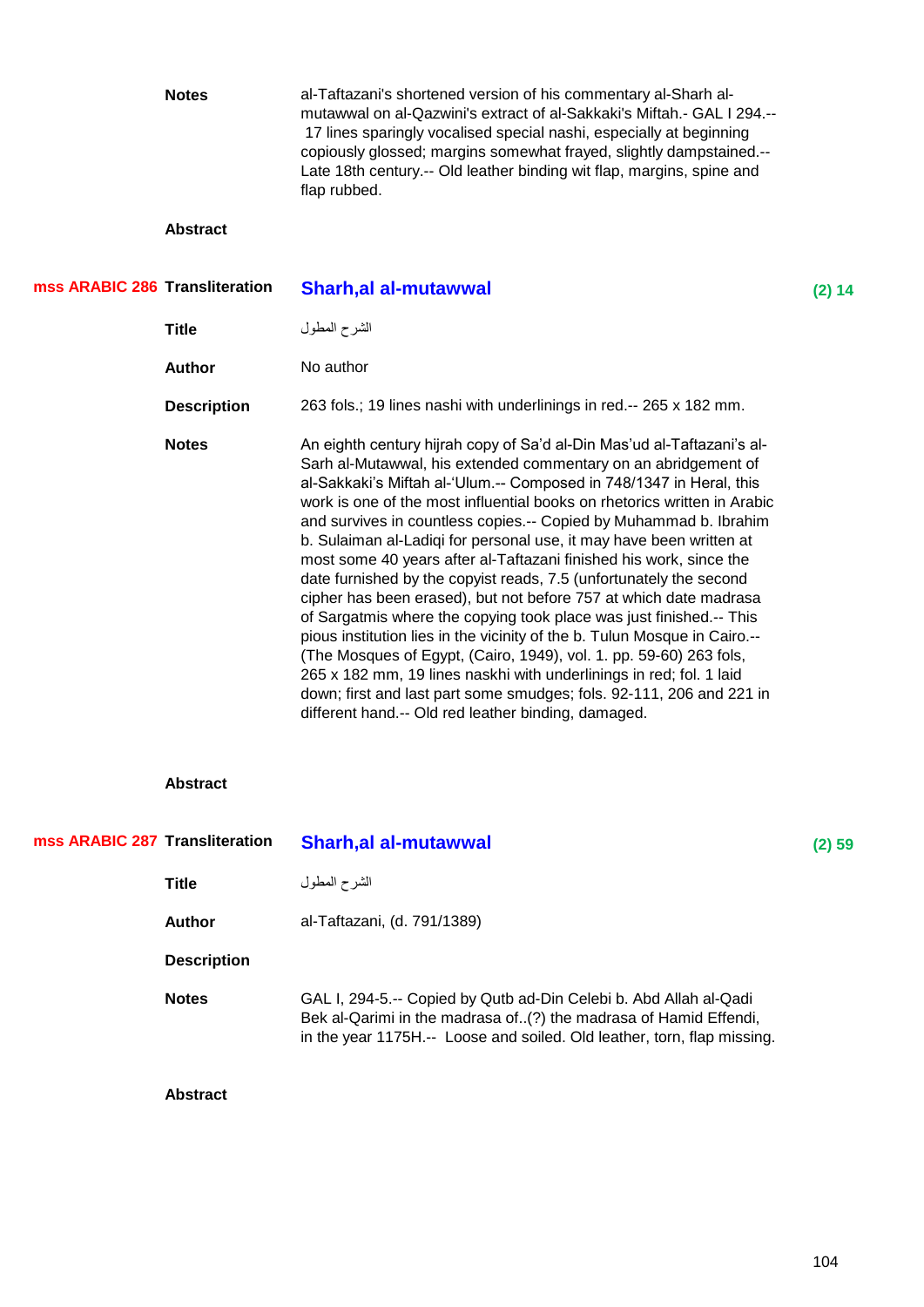|                                | <b>Notes</b>       | al-Taftazani's shortened version of his commentary al-Sharh al-<br>mutawwal on al-Qazwini's extract of al-Sakkaki's Miftah.- GAL I 294.--<br>17 lines sparingly vocalised special nashi, especially at beginning<br>copiously glossed; margins somewhat frayed, slightly dampstained.--<br>Late 18th century.-- Old leather binding wit flap, margins, spine and<br>flap rubbed.                                                                                                                                                                                                                                                                                                                                                                                                                                                                                                                                                                                                                                                                                                         |        |
|--------------------------------|--------------------|------------------------------------------------------------------------------------------------------------------------------------------------------------------------------------------------------------------------------------------------------------------------------------------------------------------------------------------------------------------------------------------------------------------------------------------------------------------------------------------------------------------------------------------------------------------------------------------------------------------------------------------------------------------------------------------------------------------------------------------------------------------------------------------------------------------------------------------------------------------------------------------------------------------------------------------------------------------------------------------------------------------------------------------------------------------------------------------|--------|
|                                | <b>Abstract</b>    |                                                                                                                                                                                                                                                                                                                                                                                                                                                                                                                                                                                                                                                                                                                                                                                                                                                                                                                                                                                                                                                                                          |        |
| mss ARABIC 286 Transliteration |                    | <b>Sharh, al al-mutawwal</b>                                                                                                                                                                                                                                                                                                                                                                                                                                                                                                                                                                                                                                                                                                                                                                                                                                                                                                                                                                                                                                                             | (2) 14 |
|                                | <b>Title</b>       | الشرح المطول                                                                                                                                                                                                                                                                                                                                                                                                                                                                                                                                                                                                                                                                                                                                                                                                                                                                                                                                                                                                                                                                             |        |
|                                | <b>Author</b>      | No author                                                                                                                                                                                                                                                                                                                                                                                                                                                                                                                                                                                                                                                                                                                                                                                                                                                                                                                                                                                                                                                                                |        |
|                                | <b>Description</b> | 263 fols.; 19 lines nashi with underlinings in red.-- 265 x 182 mm.                                                                                                                                                                                                                                                                                                                                                                                                                                                                                                                                                                                                                                                                                                                                                                                                                                                                                                                                                                                                                      |        |
|                                | <b>Notes</b>       | An eighth century hijrah copy of Sa'd al-Din Mas'ud al-Taftazani's al-<br>Sarh al-Mutawwal, his extended commentary on an abridgement of<br>al-Sakkaki's Miftah al-'Ulum.-- Composed in 748/1347 in Heral, this<br>work is one of the most influential books on rhetorics written in Arabic<br>and survives in countless copies.-- Copied by Muhammad b. Ibrahim<br>b. Sulaiman al-Ladiqi for personal use, it may have been written at<br>most some 40 years after al-Taftazani finished his work, since the<br>date furnished by the copyist reads, 7.5 (unfortunately the second<br>cipher has been erased), but not before 757 at which date madrasa<br>of Sargatmis where the copying took place was just finished.-- This<br>pious institution lies in the vicinity of the b. Tulun Mosque in Cairo.--<br>(The Mosques of Egypt, (Cairo, 1949), vol. 1. pp. 59-60) 263 fols,<br>265 x 182 mm, 19 lines naskhi with underlinings in red; fol. 1 laid<br>down; first and last part some smudges; fols. 92-111, 206 and 221 in<br>different hand.-- Old red leather binding, damaged. |        |
|                                | <b>Abstract</b>    |                                                                                                                                                                                                                                                                                                                                                                                                                                                                                                                                                                                                                                                                                                                                                                                                                                                                                                                                                                                                                                                                                          |        |
| mss ARABIC 287 Transliteration |                    | <b>Sharh, al al-mutawwal</b>                                                                                                                                                                                                                                                                                                                                                                                                                                                                                                                                                                                                                                                                                                                                                                                                                                                                                                                                                                                                                                                             | (2) 59 |
|                                | <b>Title</b>       | الشرح المطول                                                                                                                                                                                                                                                                                                                                                                                                                                                                                                                                                                                                                                                                                                                                                                                                                                                                                                                                                                                                                                                                             |        |
|                                | <b>Author</b>      | al-Taftazani, (d. 791/1389)                                                                                                                                                                                                                                                                                                                                                                                                                                                                                                                                                                                                                                                                                                                                                                                                                                                                                                                                                                                                                                                              |        |
|                                | <b>Description</b> |                                                                                                                                                                                                                                                                                                                                                                                                                                                                                                                                                                                                                                                                                                                                                                                                                                                                                                                                                                                                                                                                                          |        |
|                                | <b>Notes</b>       | GAL I, 294-5.-- Copied by Qutb ad-Din Celebi b. Abd Allah al-Qadi<br>Bek al-Qarimi in the madrasa of(?) the madrasa of Hamid Effendi,<br>in the year 1175H.-- Loose and soiled. Old leather, torn, flap missing.                                                                                                                                                                                                                                                                                                                                                                                                                                                                                                                                                                                                                                                                                                                                                                                                                                                                         |        |
|                                | <b>Abstract</b>    |                                                                                                                                                                                                                                                                                                                                                                                                                                                                                                                                                                                                                                                                                                                                                                                                                                                                                                                                                                                                                                                                                          |        |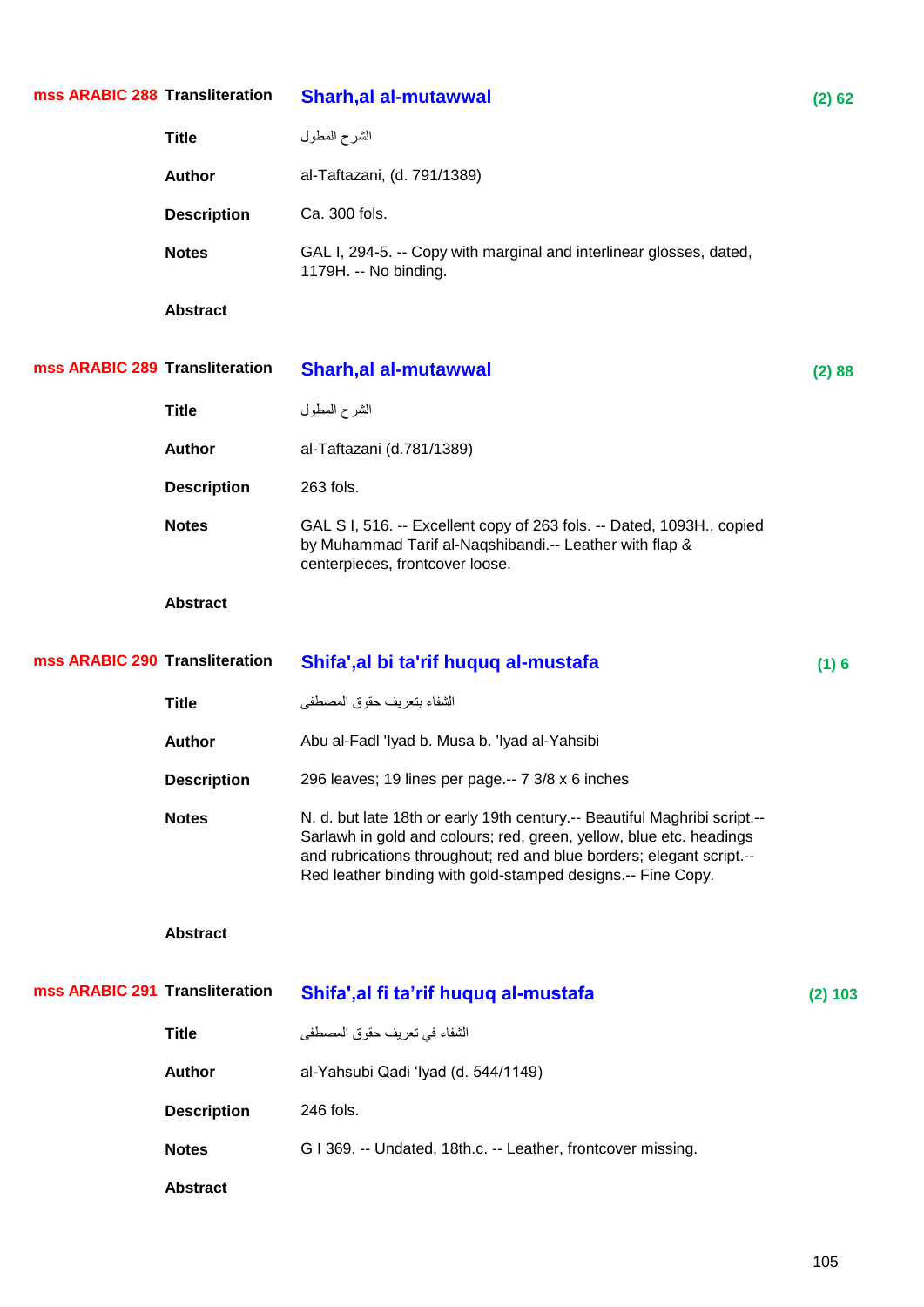| mss ARABIC 288 Transliteration |                    | <b>Sharh, al al-mutawwal</b>                                                                                                                                                                                                                                                             | (2) 62  |
|--------------------------------|--------------------|------------------------------------------------------------------------------------------------------------------------------------------------------------------------------------------------------------------------------------------------------------------------------------------|---------|
|                                | <b>Title</b>       | الشرح المطول                                                                                                                                                                                                                                                                             |         |
|                                | <b>Author</b>      | al-Taftazani, (d. 791/1389)                                                                                                                                                                                                                                                              |         |
|                                | <b>Description</b> | Ca. 300 fols.                                                                                                                                                                                                                                                                            |         |
|                                | <b>Notes</b>       | GAL I, 294-5. -- Copy with marginal and interlinear glosses, dated,<br>1179H. -- No binding.                                                                                                                                                                                             |         |
|                                | <b>Abstract</b>    |                                                                                                                                                                                                                                                                                          |         |
| mss ARABIC 289 Transliteration |                    | <b>Sharh, al al-mutawwal</b>                                                                                                                                                                                                                                                             | (2) 88  |
|                                | <b>Title</b>       | الشرح المطول                                                                                                                                                                                                                                                                             |         |
|                                | <b>Author</b>      | al-Taftazani (d.781/1389)                                                                                                                                                                                                                                                                |         |
|                                | <b>Description</b> | 263 fols.                                                                                                                                                                                                                                                                                |         |
|                                | <b>Notes</b>       | GAL S I, 516. -- Excellent copy of 263 fols. -- Dated, 1093H., copied<br>by Muhammad Tarif al-Naqshibandi.-- Leather with flap &<br>centerpieces, frontcover loose.                                                                                                                      |         |
|                                | <b>Abstract</b>    |                                                                                                                                                                                                                                                                                          |         |
|                                |                    |                                                                                                                                                                                                                                                                                          |         |
| mss ARABIC 290 Transliteration |                    | Shifa', al bi ta'rif huquq al-mustafa                                                                                                                                                                                                                                                    | (1)6    |
|                                | <b>Title</b>       | الشفاء بتعريف حقوق المصطفى                                                                                                                                                                                                                                                               |         |
|                                | <b>Author</b>      | Abu al-Fadl 'Iyad b. Musa b. 'Iyad al-Yahsibi                                                                                                                                                                                                                                            |         |
|                                | <b>Description</b> | 296 leaves; 19 lines per page.-- 7 3/8 x 6 inches                                                                                                                                                                                                                                        |         |
|                                | <b>Notes</b>       | N. d. but late 18th or early 19th century.-- Beautiful Maghribi script.--<br>Sarlawh in gold and colours; red, green, yellow, blue etc. headings<br>and rubrications throughout; red and blue borders; elegant script .--<br>Red leather binding with gold-stamped designs.-- Fine Copy. |         |
|                                | <b>Abstract</b>    |                                                                                                                                                                                                                                                                                          |         |
| mss ARABIC 291 Transliteration |                    | Shifa', al fi ta'rif huquq al-mustafa                                                                                                                                                                                                                                                    | (2) 103 |
|                                | <b>Title</b>       | الشفاء في تعريف حقوق المصطفى                                                                                                                                                                                                                                                             |         |
|                                | <b>Author</b>      | al-Yahsubi Qadi 'Iyad (d. 544/1149)                                                                                                                                                                                                                                                      |         |
|                                | <b>Description</b> | 246 fols.                                                                                                                                                                                                                                                                                |         |
|                                | <b>Notes</b>       | G I 369. -- Undated, 18th.c. -- Leather, frontcover missing.                                                                                                                                                                                                                             |         |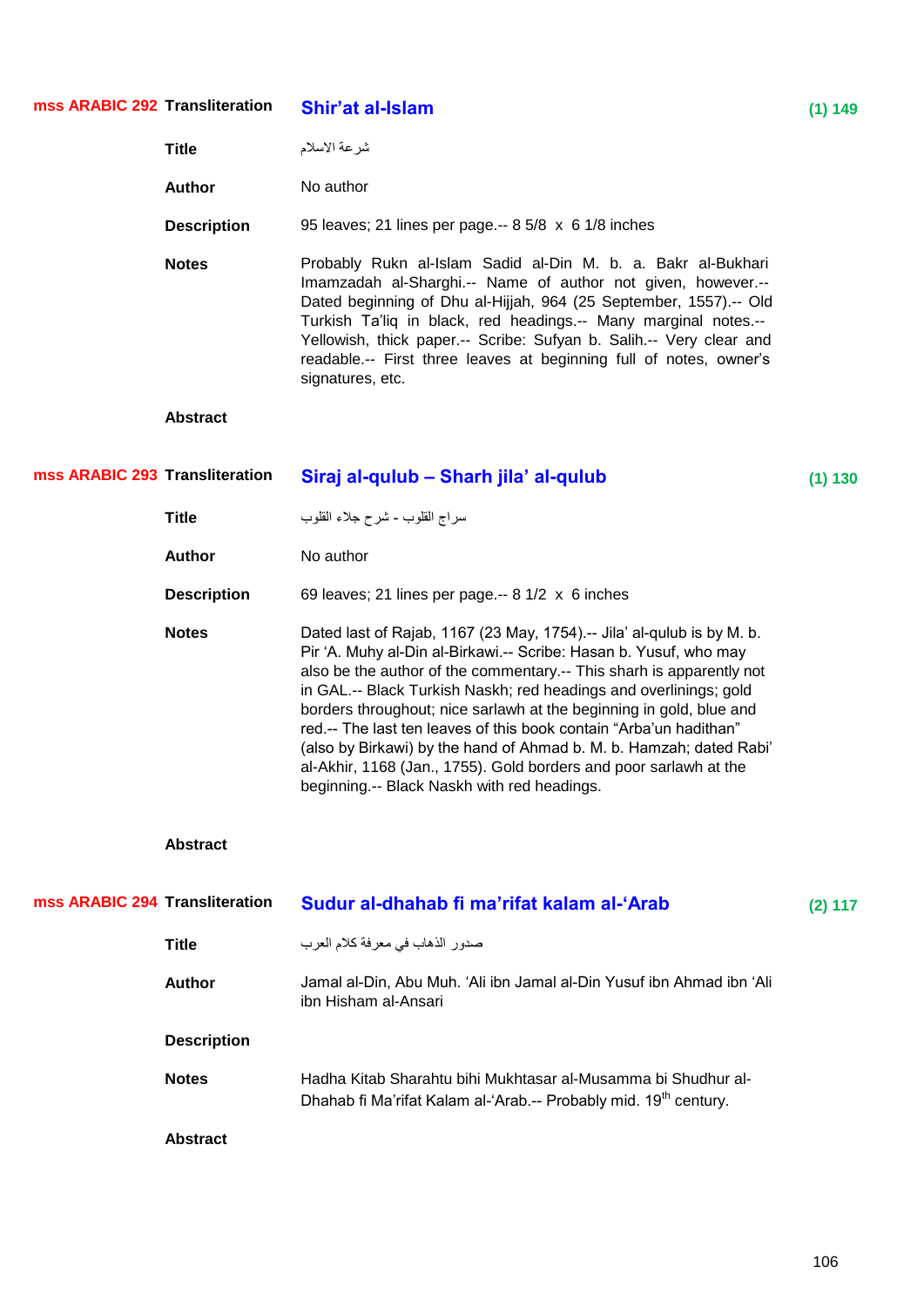| mss ARABIC 292 Transliteration |                    | Shir'at al-Islam                                                                                                                                                                                                                                                                                                                                                                                                                                                                                                                                                                                                                 | (1) 149 |
|--------------------------------|--------------------|----------------------------------------------------------------------------------------------------------------------------------------------------------------------------------------------------------------------------------------------------------------------------------------------------------------------------------------------------------------------------------------------------------------------------------------------------------------------------------------------------------------------------------------------------------------------------------------------------------------------------------|---------|
|                                | <b>Title</b>       | شرعة الاسلام                                                                                                                                                                                                                                                                                                                                                                                                                                                                                                                                                                                                                     |         |
|                                | <b>Author</b>      | No author                                                                                                                                                                                                                                                                                                                                                                                                                                                                                                                                                                                                                        |         |
|                                | <b>Description</b> | 95 leaves; 21 lines per page. -- 8 5/8 x 6 1/8 inches                                                                                                                                                                                                                                                                                                                                                                                                                                                                                                                                                                            |         |
|                                | <b>Notes</b>       | Probably Rukn al-Islam Sadid al-Din M. b. a. Bakr al-Bukhari<br>Imamzadah al-Sharghi.-- Name of author not given, however.--<br>Dated beginning of Dhu al-Hijjah, 964 (25 September, 1557).-- Old<br>Turkish Ta'liq in black, red headings.-- Many marginal notes.--<br>Yellowish, thick paper.-- Scribe: Sufyan b. Salih.-- Very clear and<br>readable.-- First three leaves at beginning full of notes, owner's<br>signatures, etc.                                                                                                                                                                                            |         |
|                                | <b>Abstract</b>    |                                                                                                                                                                                                                                                                                                                                                                                                                                                                                                                                                                                                                                  |         |
| mss ARABIC 293 Transliteration |                    | Siraj al-qulub - Sharh jila' al-qulub                                                                                                                                                                                                                                                                                                                                                                                                                                                                                                                                                                                            | (1) 130 |
|                                | <b>Title</b>       | سراج القلوب - شرح جلاء القلوب                                                                                                                                                                                                                                                                                                                                                                                                                                                                                                                                                                                                    |         |
|                                | <b>Author</b>      | No author                                                                                                                                                                                                                                                                                                                                                                                                                                                                                                                                                                                                                        |         |
|                                | <b>Description</b> | 69 leaves; 21 lines per page.-- 8 1/2 x 6 inches                                                                                                                                                                                                                                                                                                                                                                                                                                                                                                                                                                                 |         |
|                                | <b>Notes</b>       | Dated last of Rajab, 1167 (23 May, 1754).-- Jila' al-qulub is by M. b.<br>Pir 'A. Muhy al-Din al-Birkawi.-- Scribe: Hasan b. Yusuf, who may<br>also be the author of the commentary.-- This sharh is apparently not<br>in GAL.-- Black Turkish Naskh; red headings and overlinings; gold<br>borders throughout; nice sarlawh at the beginning in gold, blue and<br>red.-- The last ten leaves of this book contain "Arba'un hadithan"<br>(also by Birkawi) by the hand of Ahmad b. M. b. Hamzah; dated Rabi'<br>al-Akhir, 1168 (Jan., 1755). Gold borders and poor sarlawh at the<br>beginning.-- Black Naskh with red headings. |         |
|                                | <b>Abstract</b>    |                                                                                                                                                                                                                                                                                                                                                                                                                                                                                                                                                                                                                                  |         |
| mss ARABIC 294 Transliteration |                    | Sudur al-dhahab fi ma'rifat kalam al-'Arab                                                                                                                                                                                                                                                                                                                                                                                                                                                                                                                                                                                       | (2) 117 |
|                                | <b>Title</b>       | صدور الذهاب في معرفة كلام العرب                                                                                                                                                                                                                                                                                                                                                                                                                                                                                                                                                                                                  |         |
|                                | <b>Author</b>      | Jamal al-Din, Abu Muh. 'Ali ibn Jamal al-Din Yusuf ibn Ahmad ibn 'Ali<br>ibn Hisham al-Ansari                                                                                                                                                                                                                                                                                                                                                                                                                                                                                                                                    |         |
|                                | <b>Description</b> |                                                                                                                                                                                                                                                                                                                                                                                                                                                                                                                                                                                                                                  |         |
|                                | <b>Notes</b>       | Hadha Kitab Sharahtu bihi Mukhtasar al-Musamma bi Shudhur al-<br>Dhahab fi Ma'rifat Kalam al-'Arab.-- Probably mid. 19 <sup>th</sup> century.                                                                                                                                                                                                                                                                                                                                                                                                                                                                                    |         |
|                                | <b>Abstract</b>    |                                                                                                                                                                                                                                                                                                                                                                                                                                                                                                                                                                                                                                  |         |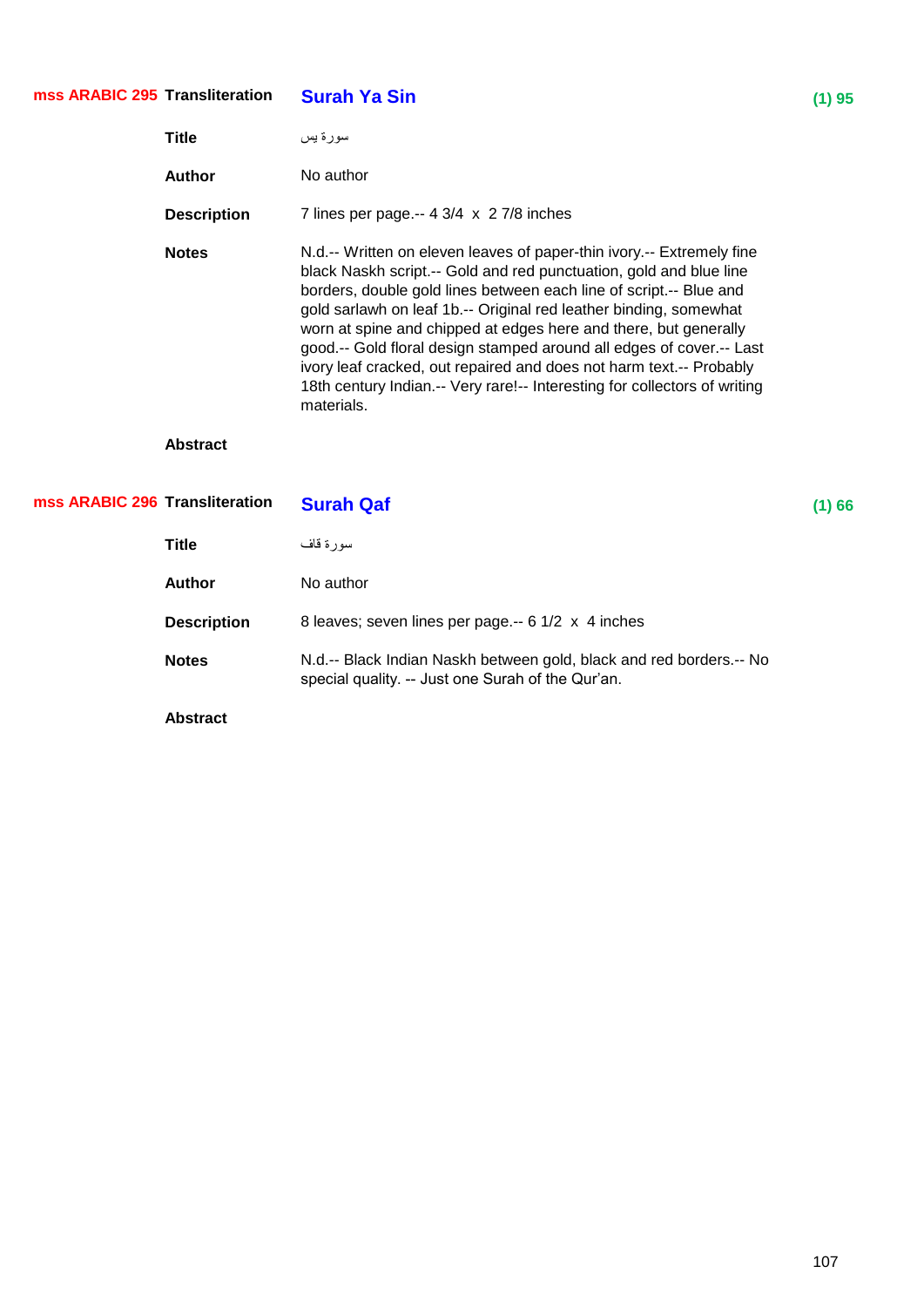#### **Surah Ya Sin** (1) 95 **mss ARABIC 295**

| Title              | سور ۃ پس                                                                                                                                                                                                                                                                                                                                                                                                                                                                                                                                                                                             |
|--------------------|------------------------------------------------------------------------------------------------------------------------------------------------------------------------------------------------------------------------------------------------------------------------------------------------------------------------------------------------------------------------------------------------------------------------------------------------------------------------------------------------------------------------------------------------------------------------------------------------------|
| <b>Author</b>      | No author                                                                                                                                                                                                                                                                                                                                                                                                                                                                                                                                                                                            |
| <b>Description</b> | 7 lines per page.-- $4 \frac{3}{4} \times 2 \frac{7}{8}$ inches                                                                                                                                                                                                                                                                                                                                                                                                                                                                                                                                      |
| <b>Notes</b>       | N.d.-- Written on eleven leaves of paper-thin ivory.-- Extremely fine<br>black Naskh script.-- Gold and red punctuation, gold and blue line<br>borders, double gold lines between each line of script.-- Blue and<br>gold sarlawh on leaf 1b.-- Original red leather binding, somewhat<br>worn at spine and chipped at edges here and there, but generally<br>good.-- Gold floral design stamped around all edges of cover.-- Last<br>ivory leaf cracked, out repaired and does not harm text.-- Probably<br>18th century Indian.-- Very rare!-- Interesting for collectors of writing<br>materials. |

| mss ARABIC 296 Transliteration |                    | <b>Surah Qaf</b>                                                                                                         | (1)66 |
|--------------------------------|--------------------|--------------------------------------------------------------------------------------------------------------------------|-------|
|                                | Title              | سورة قاف                                                                                                                 |       |
|                                | <b>Author</b>      | No author                                                                                                                |       |
|                                | <b>Description</b> | 8 leaves; seven lines per page -- 6 1/2 x 4 inches                                                                       |       |
|                                | <b>Notes</b>       | N.d.-- Black Indian Naskh between gold, black and red borders.-- No<br>special quality. -- Just one Surah of the Qur'an. |       |
|                                | <b>Abstract</b>    |                                                                                                                          |       |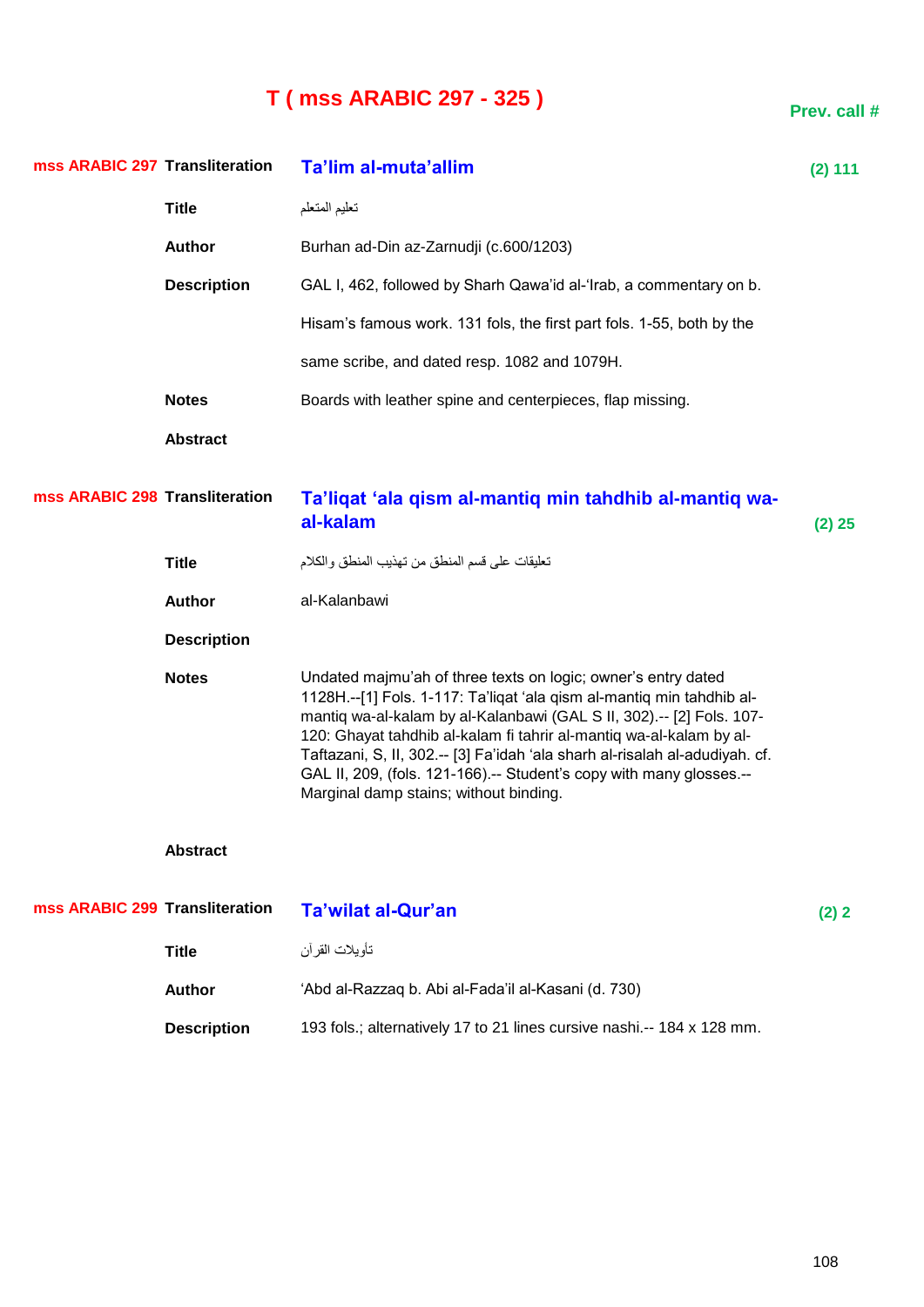# **T ( mss ARABIC 297 - 325 )**

| mss ARABIC 297 Transliteration |                    | Ta'lim al-muta'allim                                                                                                                                                                                                                                                                                                                                                                                                                                                                   | $(2)$ 111 |
|--------------------------------|--------------------|----------------------------------------------------------------------------------------------------------------------------------------------------------------------------------------------------------------------------------------------------------------------------------------------------------------------------------------------------------------------------------------------------------------------------------------------------------------------------------------|-----------|
|                                | <b>Title</b>       | تعليم المتعلم                                                                                                                                                                                                                                                                                                                                                                                                                                                                          |           |
|                                | <b>Author</b>      | Burhan ad-Din az-Zarnudji (c.600/1203)                                                                                                                                                                                                                                                                                                                                                                                                                                                 |           |
|                                | <b>Description</b> | GAL I, 462, followed by Sharh Qawa'id al-'Irab, a commentary on b.                                                                                                                                                                                                                                                                                                                                                                                                                     |           |
|                                |                    | Hisam's famous work. 131 fols, the first part fols. 1-55, both by the                                                                                                                                                                                                                                                                                                                                                                                                                  |           |
|                                |                    | same scribe, and dated resp. 1082 and 1079H.                                                                                                                                                                                                                                                                                                                                                                                                                                           |           |
|                                | <b>Notes</b>       | Boards with leather spine and centerpieces, flap missing.                                                                                                                                                                                                                                                                                                                                                                                                                              |           |
|                                | <b>Abstract</b>    |                                                                                                                                                                                                                                                                                                                                                                                                                                                                                        |           |
| mss ARABIC 298 Transliteration |                    | Ta'ligat 'ala gism al-mantig min tahdhib al-mantig wa-<br>al-kalam                                                                                                                                                                                                                                                                                                                                                                                                                     | (2) 25    |
|                                | <b>Title</b>       | تعليقات على قسم المنطق من تهذيب المنطق والكلام                                                                                                                                                                                                                                                                                                                                                                                                                                         |           |
|                                | <b>Author</b>      | al-Kalanbawi                                                                                                                                                                                                                                                                                                                                                                                                                                                                           |           |
|                                | <b>Description</b> |                                                                                                                                                                                                                                                                                                                                                                                                                                                                                        |           |
|                                | <b>Notes</b>       | Undated majmu'ah of three texts on logic; owner's entry dated<br>1128H.--[1] Fols. 1-117: Ta'liqat 'ala qism al-mantiq min tahdhib al-<br>mantiq wa-al-kalam by al-Kalanbawi (GAL S II, 302).-- [2] Fols. 107-<br>120: Ghayat tahdhib al-kalam fi tahrir al-mantiq wa-al-kalam by al-<br>Taftazani, S, II, 302 .-- [3] Fa'idah 'ala sharh al-risalah al-adudiyah. cf.<br>GAL II, 209, (fols. 121-166).-- Student's copy with many glosses.--<br>Marginal damp stains; without binding. |           |
|                                | <b>Abstract</b>    |                                                                                                                                                                                                                                                                                                                                                                                                                                                                                        |           |
| mss ARABIC 299 Transliteration |                    | <b>Ta'wilat al-Qur'an</b>                                                                                                                                                                                                                                                                                                                                                                                                                                                              | (2) 2     |
|                                | <b>Title</b>       | تأويلات القرأن                                                                                                                                                                                                                                                                                                                                                                                                                                                                         |           |
|                                | <b>Author</b>      | 'Abd al-Razzaq b. Abi al-Fada'il al-Kasani (d. 730)                                                                                                                                                                                                                                                                                                                                                                                                                                    |           |
|                                | <b>Description</b> | 193 fols.; alternatively 17 to 21 lines cursive nashi.-- 184 x 128 mm.                                                                                                                                                                                                                                                                                                                                                                                                                 |           |

**Prev. call #**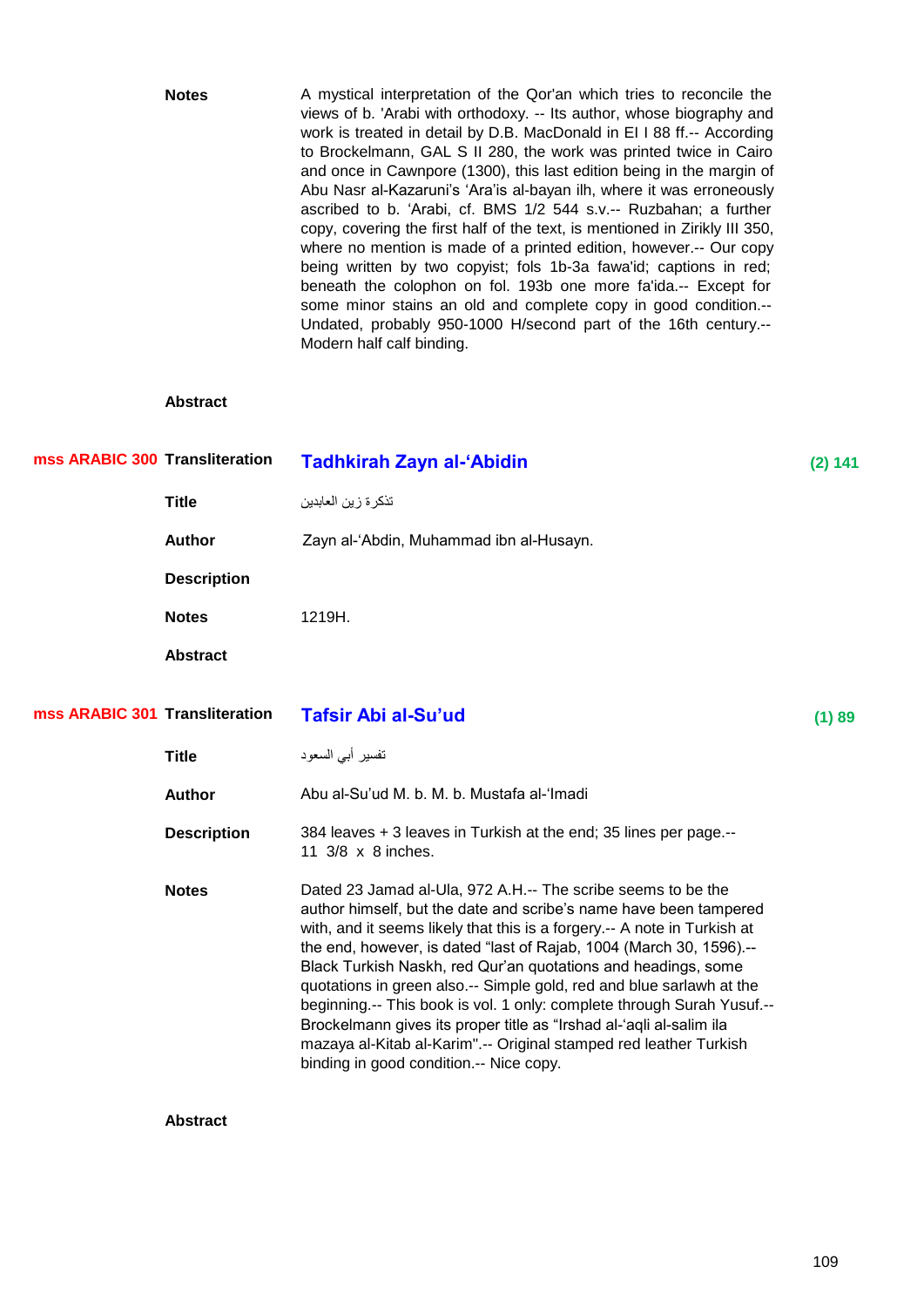| <b>Notes</b> | A mystical interpretation of the Qor'an which tries to reconcile the        |
|--------------|-----------------------------------------------------------------------------|
|              | views of b. 'Arabi with orthodoxy. -- Its author, whose biography and       |
|              | work is treated in detail by D.B. MacDonald in El I 88 ff.-- According      |
|              | to Brockelmann, GAL S II 280, the work was printed twice in Cairo           |
|              | and once in Cawnpore (1300), this last edition being in the margin of       |
|              | Abu Nasr al-Kazaruni's 'Ara'is al-bayan ilh, where it was erroneously       |
|              | ascribed to b. 'Arabi, cf. BMS 1/2 544 s.v.-- Ruzbahan; a further           |
|              | copy, covering the first half of the text, is mentioned in Zirikly III 350, |
|              | where no mention is made of a printed edition, however.-- Our copy          |
|              | being written by two copyist; fols 1b-3a fawa'id; captions in red;          |
|              | beneath the colophon on fol. 193b one more fa'ida.-- Except for             |
|              | some minor stains an old and complete copy in good condition.--             |
|              | Undated, probably 950-1000 H/second part of the 16th century.--             |
|              | Modern half calf binding.                                                   |
|              |                                                                             |

## **Abstract**

| mss ARABIC 300 Transliteration |                    | <b>Tadhkirah Zayn al-'Abidin</b>                                                                                                                                                                                                                                                                                                                                                                                                                                                                                                                                                                                                                                                               | (2) 141 |
|--------------------------------|--------------------|------------------------------------------------------------------------------------------------------------------------------------------------------------------------------------------------------------------------------------------------------------------------------------------------------------------------------------------------------------------------------------------------------------------------------------------------------------------------------------------------------------------------------------------------------------------------------------------------------------------------------------------------------------------------------------------------|---------|
|                                | <b>Title</b>       | تذكر ة ز ين العابدين                                                                                                                                                                                                                                                                                                                                                                                                                                                                                                                                                                                                                                                                           |         |
|                                | <b>Author</b>      | Zayn al-'Abdin, Muhammad ibn al-Husayn.                                                                                                                                                                                                                                                                                                                                                                                                                                                                                                                                                                                                                                                        |         |
|                                | <b>Description</b> |                                                                                                                                                                                                                                                                                                                                                                                                                                                                                                                                                                                                                                                                                                |         |
|                                | <b>Notes</b>       | 1219H.                                                                                                                                                                                                                                                                                                                                                                                                                                                                                                                                                                                                                                                                                         |         |
|                                | <b>Abstract</b>    |                                                                                                                                                                                                                                                                                                                                                                                                                                                                                                                                                                                                                                                                                                |         |
| mss ARABIC 301 Transliteration |                    | <b>Tafsir Abi al-Su'ud</b>                                                                                                                                                                                                                                                                                                                                                                                                                                                                                                                                                                                                                                                                     | (1) 89  |
|                                | <b>Title</b>       | تفسير أبي السعود                                                                                                                                                                                                                                                                                                                                                                                                                                                                                                                                                                                                                                                                               |         |
|                                | <b>Author</b>      | Abu al-Su'ud M. b. M. b. Mustafa al-'Imadi                                                                                                                                                                                                                                                                                                                                                                                                                                                                                                                                                                                                                                                     |         |
|                                | <b>Description</b> | 384 leaves + 3 leaves in Turkish at the end; 35 lines per page.--<br>11 3/8 x 8 inches.                                                                                                                                                                                                                                                                                                                                                                                                                                                                                                                                                                                                        |         |
|                                | <b>Notes</b>       | Dated 23 Jamad al-Ula, 972 A.H.-- The scribe seems to be the<br>author himself, but the date and scribe's name have been tampered<br>with, and it seems likely that this is a forgery.-- A note in Turkish at<br>the end, however, is dated "last of Rajab, 1004 (March 30, 1596).--<br>Black Turkish Naskh, red Qur'an quotations and headings, some<br>quotations in green also.-- Simple gold, red and blue sarlawh at the<br>beginning.-- This book is vol. 1 only: complete through Surah Yusuf.--<br>Brockelmann gives its proper title as "Irshad al-'aqli al-salim ila<br>mazaya al-Kitab al-Karim".-- Original stamped red leather Turkish<br>binding in good condition.-- Nice copy. |         |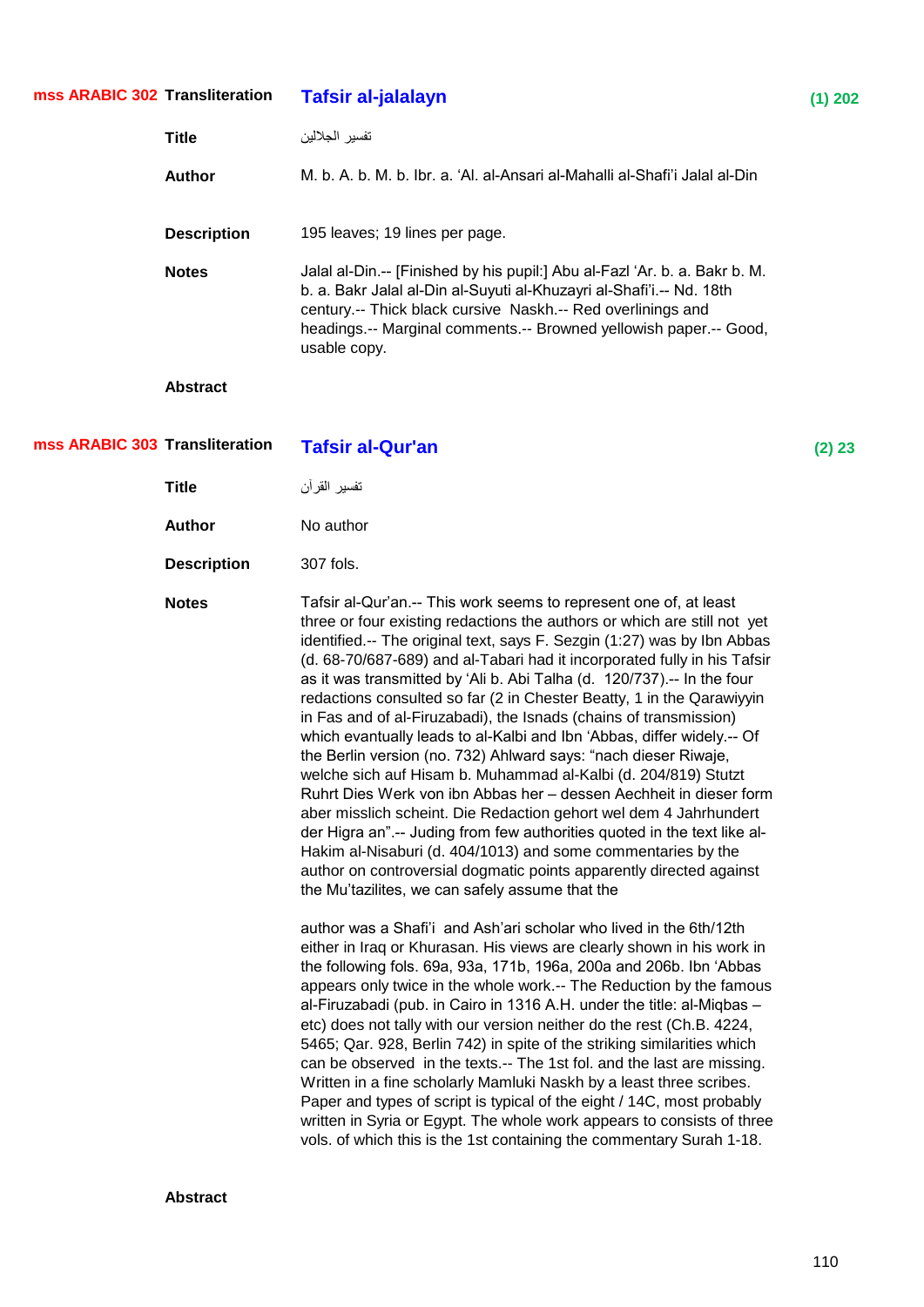| mss ARABIC 302 Transliteration |                    | <b>Tafsir al-jalalayn</b>                                                                                                                                                                                                                                                                                                                                                                                                                                                                                                                                                                                                                                                                                                                                                                                                                                                                                                                                                                                                                                                                                                                                                                                                                                                                                                                                                                                                                                                                                                                                                                                                                                                                | $(1)$ 202 |
|--------------------------------|--------------------|------------------------------------------------------------------------------------------------------------------------------------------------------------------------------------------------------------------------------------------------------------------------------------------------------------------------------------------------------------------------------------------------------------------------------------------------------------------------------------------------------------------------------------------------------------------------------------------------------------------------------------------------------------------------------------------------------------------------------------------------------------------------------------------------------------------------------------------------------------------------------------------------------------------------------------------------------------------------------------------------------------------------------------------------------------------------------------------------------------------------------------------------------------------------------------------------------------------------------------------------------------------------------------------------------------------------------------------------------------------------------------------------------------------------------------------------------------------------------------------------------------------------------------------------------------------------------------------------------------------------------------------------------------------------------------------|-----------|
|                                | <b>Title</b>       | تفسير الجلالين                                                                                                                                                                                                                                                                                                                                                                                                                                                                                                                                                                                                                                                                                                                                                                                                                                                                                                                                                                                                                                                                                                                                                                                                                                                                                                                                                                                                                                                                                                                                                                                                                                                                           |           |
|                                | <b>Author</b>      | M. b. A. b. M. b. Ibr. a. 'Al. al-Ansari al-Mahalli al-Shafi'i Jalal al-Din                                                                                                                                                                                                                                                                                                                                                                                                                                                                                                                                                                                                                                                                                                                                                                                                                                                                                                                                                                                                                                                                                                                                                                                                                                                                                                                                                                                                                                                                                                                                                                                                              |           |
|                                | <b>Description</b> | 195 leaves; 19 lines per page.                                                                                                                                                                                                                                                                                                                                                                                                                                                                                                                                                                                                                                                                                                                                                                                                                                                                                                                                                                                                                                                                                                                                                                                                                                                                                                                                                                                                                                                                                                                                                                                                                                                           |           |
|                                | <b>Notes</b>       | Jalal al-Din.-- [Finished by his pupil:] Abu al-Fazl 'Ar. b. a. Bakr b. M.<br>b. a. Bakr Jalal al-Din al-Suyuti al-Khuzayri al-Shafi'i.-- Nd. 18th<br>century.-- Thick black cursive Naskh.-- Red overlinings and<br>headings.-- Marginal comments.-- Browned yellowish paper.-- Good,<br>usable copy.                                                                                                                                                                                                                                                                                                                                                                                                                                                                                                                                                                                                                                                                                                                                                                                                                                                                                                                                                                                                                                                                                                                                                                                                                                                                                                                                                                                   |           |
|                                | <b>Abstract</b>    |                                                                                                                                                                                                                                                                                                                                                                                                                                                                                                                                                                                                                                                                                                                                                                                                                                                                                                                                                                                                                                                                                                                                                                                                                                                                                                                                                                                                                                                                                                                                                                                                                                                                                          |           |
| mss ARABIC 303 Transliteration |                    | <b>Tafsir al-Qur'an</b>                                                                                                                                                                                                                                                                                                                                                                                                                                                                                                                                                                                                                                                                                                                                                                                                                                                                                                                                                                                                                                                                                                                                                                                                                                                                                                                                                                                                                                                                                                                                                                                                                                                                  | (2) 23    |
|                                | <b>Title</b>       | تفسير القرآن                                                                                                                                                                                                                                                                                                                                                                                                                                                                                                                                                                                                                                                                                                                                                                                                                                                                                                                                                                                                                                                                                                                                                                                                                                                                                                                                                                                                                                                                                                                                                                                                                                                                             |           |
|                                | <b>Author</b>      | No author                                                                                                                                                                                                                                                                                                                                                                                                                                                                                                                                                                                                                                                                                                                                                                                                                                                                                                                                                                                                                                                                                                                                                                                                                                                                                                                                                                                                                                                                                                                                                                                                                                                                                |           |
|                                | <b>Description</b> | 307 fols.                                                                                                                                                                                                                                                                                                                                                                                                                                                                                                                                                                                                                                                                                                                                                                                                                                                                                                                                                                                                                                                                                                                                                                                                                                                                                                                                                                                                                                                                                                                                                                                                                                                                                |           |
|                                | <b>Notes</b>       | Tafsir al-Qur'an.-- This work seems to represent one of, at least<br>three or four existing redactions the authors or which are still not yet<br>identified.-- The original text, says F. Sezgin (1:27) was by Ibn Abbas<br>(d. 68-70/687-689) and al-Tabari had it incorporated fully in his Tafsir<br>as it was transmitted by 'Ali b. Abi Talha (d. 120/737).-- In the four<br>redactions consulted so far (2 in Chester Beatty, 1 in the Qarawiyyin<br>in Fas and of al-Firuzabadi), the Isnads (chains of transmission)<br>which evantually leads to al-Kalbi and Ibn 'Abbas, differ widely.-- Of<br>the Berlin version (no. 732) Ahlward says: "nach dieser Riwaje,<br>welche sich auf Hisam b. Muhammad al-Kalbi (d. 204/819) Stutzt<br>Ruhrt Dies Werk von ibn Abbas her - dessen Aechheit in dieser form<br>aber misslich scheint. Die Redaction gehort wel dem 4 Jahrhundert<br>der Higra an".-- Juding from few authorities quoted in the text like al-<br>Hakim al-Nisaburi (d. 404/1013) and some commentaries by the<br>author on controversial dogmatic points apparently directed against<br>the Mu'tazilites, we can safely assume that the<br>author was a Shafi'i and Ash'ari scholar who lived in the 6th/12th<br>either in Iraq or Khurasan. His views are clearly shown in his work in<br>the following fols. 69a, 93a, 171b, 196a, 200a and 206b. Ibn 'Abbas<br>appears only twice in the whole work.-- The Reduction by the famous<br>al-Firuzabadi (pub. in Cairo in 1316 A.H. under the title: al-Miqbas -<br>etc) does not tally with our version neither do the rest (Ch.B. 4224,<br>5465; Qar. 928, Berlin 742) in spite of the striking similarities which |           |
|                                |                    | can be observed in the texts.-- The 1st fol. and the last are missing.<br>Written in a fine scholarly Mamluki Naskh by a least three scribes.<br>Paper and types of script is typical of the eight / 14C, most probably<br>written in Syria or Egypt. The whole work appears to consists of three<br>vols. of which this is the 1st containing the commentary Surah 1-18.                                                                                                                                                                                                                                                                                                                                                                                                                                                                                                                                                                                                                                                                                                                                                                                                                                                                                                                                                                                                                                                                                                                                                                                                                                                                                                                |           |
|                                |                    |                                                                                                                                                                                                                                                                                                                                                                                                                                                                                                                                                                                                                                                                                                                                                                                                                                                                                                                                                                                                                                                                                                                                                                                                                                                                                                                                                                                                                                                                                                                                                                                                                                                                                          |           |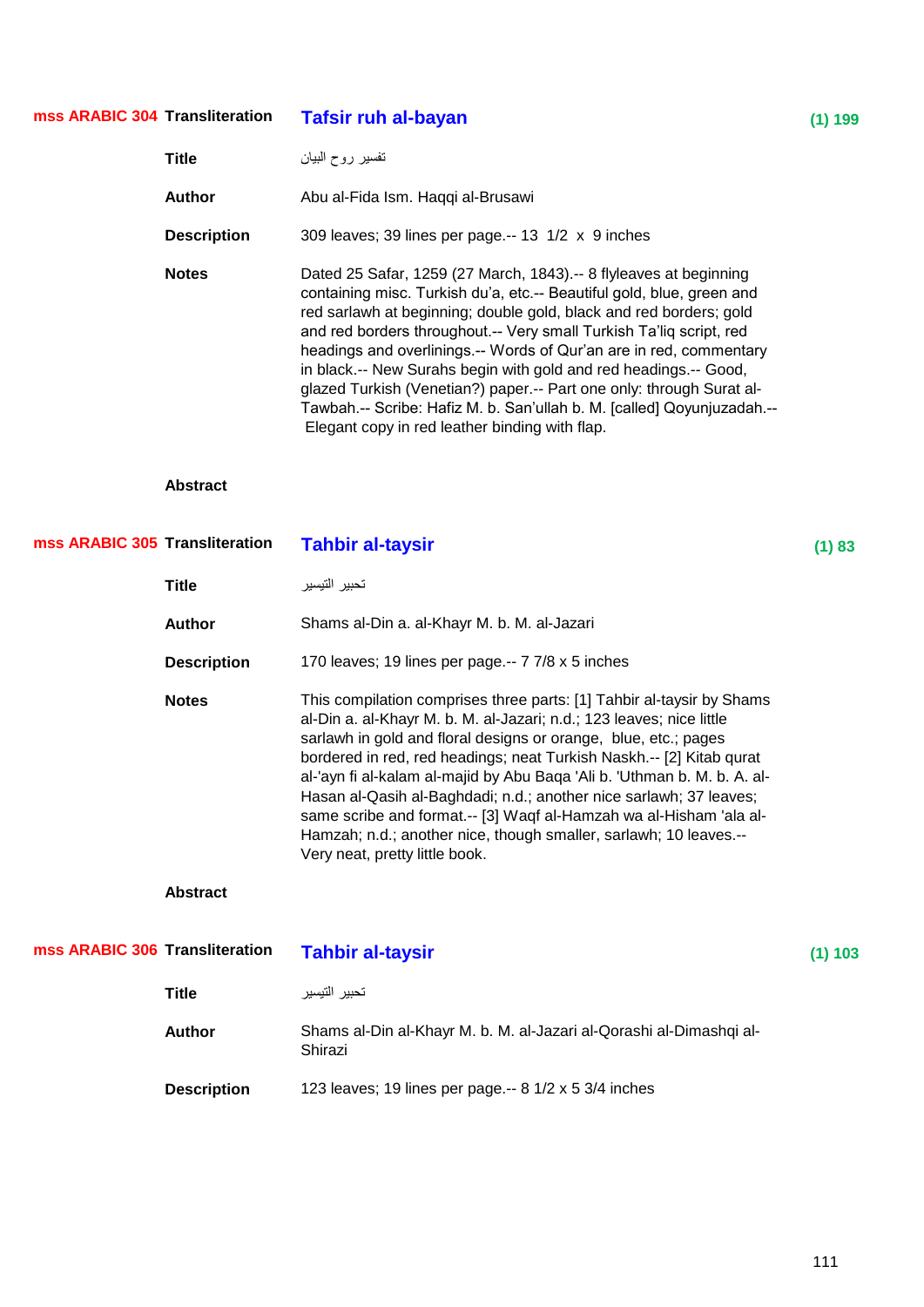| mss ARABIC 304 Transliteration |                    | <b>Tafsir ruh al-bayan</b>                                                                                                                                                                                                                                                                                                                                                                                                                                                                                                                                                                                                            | $(1)$ 199 |
|--------------------------------|--------------------|---------------------------------------------------------------------------------------------------------------------------------------------------------------------------------------------------------------------------------------------------------------------------------------------------------------------------------------------------------------------------------------------------------------------------------------------------------------------------------------------------------------------------------------------------------------------------------------------------------------------------------------|-----------|
|                                | <b>Title</b>       | نفسير روح البيان                                                                                                                                                                                                                                                                                                                                                                                                                                                                                                                                                                                                                      |           |
|                                | <b>Author</b>      | Abu al-Fida Ism. Haqqi al-Brusawi                                                                                                                                                                                                                                                                                                                                                                                                                                                                                                                                                                                                     |           |
|                                | <b>Description</b> | 309 leaves; 39 lines per page.-- 13 1/2 x 9 inches                                                                                                                                                                                                                                                                                                                                                                                                                                                                                                                                                                                    |           |
|                                | <b>Notes</b>       | Dated 25 Safar, 1259 (27 March, 1843).-- 8 flyleaves at beginning<br>containing misc. Turkish du'a, etc.-- Beautiful gold, blue, green and<br>red sarlawh at beginning; double gold, black and red borders; gold<br>and red borders throughout.-- Very small Turkish Ta'liq script, red<br>headings and overlinings.-- Words of Qur'an are in red, commentary<br>in black.-- New Surahs begin with gold and red headings.-- Good,<br>glazed Turkish (Venetian?) paper.-- Part one only: through Surat al-<br>Tawbah.-- Scribe: Hafiz M. b. San'ullah b. M. [called] Qoyunjuzadah.--<br>Elegant copy in red leather binding with flap. |           |
|                                | <b>Abstract</b>    |                                                                                                                                                                                                                                                                                                                                                                                                                                                                                                                                                                                                                                       |           |
| mss ARABIC 305 Transliteration |                    | <b>Tahbir al-taysir</b>                                                                                                                                                                                                                                                                                                                                                                                                                                                                                                                                                                                                               | (1) 83    |
|                                | <b>Title</b>       | تحبير التيسير                                                                                                                                                                                                                                                                                                                                                                                                                                                                                                                                                                                                                         |           |
|                                | <b>Author</b>      | Shams al-Din a. al-Khayr M. b. M. al-Jazari                                                                                                                                                                                                                                                                                                                                                                                                                                                                                                                                                                                           |           |
|                                | <b>Description</b> | 170 leaves; 19 lines per page.-- 7 7/8 x 5 inches                                                                                                                                                                                                                                                                                                                                                                                                                                                                                                                                                                                     |           |
|                                | <b>Notes</b>       | This compilation comprises three parts: [1] Tahbir al-taysir by Shams<br>al-Din a. al-Khayr M. b. M. al-Jazari; n.d.; 123 leaves; nice little<br>sarlawh in gold and floral designs or orange, blue, etc.; pages<br>bordered in red, red headings; neat Turkish Naskh.-- [2] Kitab qurat<br>al-'ayn fi al-kalam al-majid by Abu Baga 'Ali b. 'Uthman b. M. b. A. al-<br>Hasan al-Qasih al-Baghdadi; n.d.; another nice sarlawh; 37 leaves;<br>same scribe and format.-- [3] Waqf al-Hamzah wa al-Hisham 'ala al-<br>Hamzah; n.d.; another nice, though smaller, sarlawh; 10 leaves.--<br>Very neat, pretty little book.               |           |
|                                | <b>Abstract</b>    |                                                                                                                                                                                                                                                                                                                                                                                                                                                                                                                                                                                                                                       |           |
| mss ARABIC 306 Transliteration |                    | <b>Tahbir al-taysir</b>                                                                                                                                                                                                                                                                                                                                                                                                                                                                                                                                                                                                               | (1) 103   |
|                                | <b>Title</b>       | تحبير التيسير                                                                                                                                                                                                                                                                                                                                                                                                                                                                                                                                                                                                                         |           |
|                                | <b>Author</b>      | Shams al-Din al-Khayr M. b. M. al-Jazari al-Qorashi al-Dimashqi al-<br>Shirazi                                                                                                                                                                                                                                                                                                                                                                                                                                                                                                                                                        |           |
|                                | <b>Description</b> | 123 leaves; 19 lines per page.-- 8 1/2 x 5 3/4 inches                                                                                                                                                                                                                                                                                                                                                                                                                                                                                                                                                                                 |           |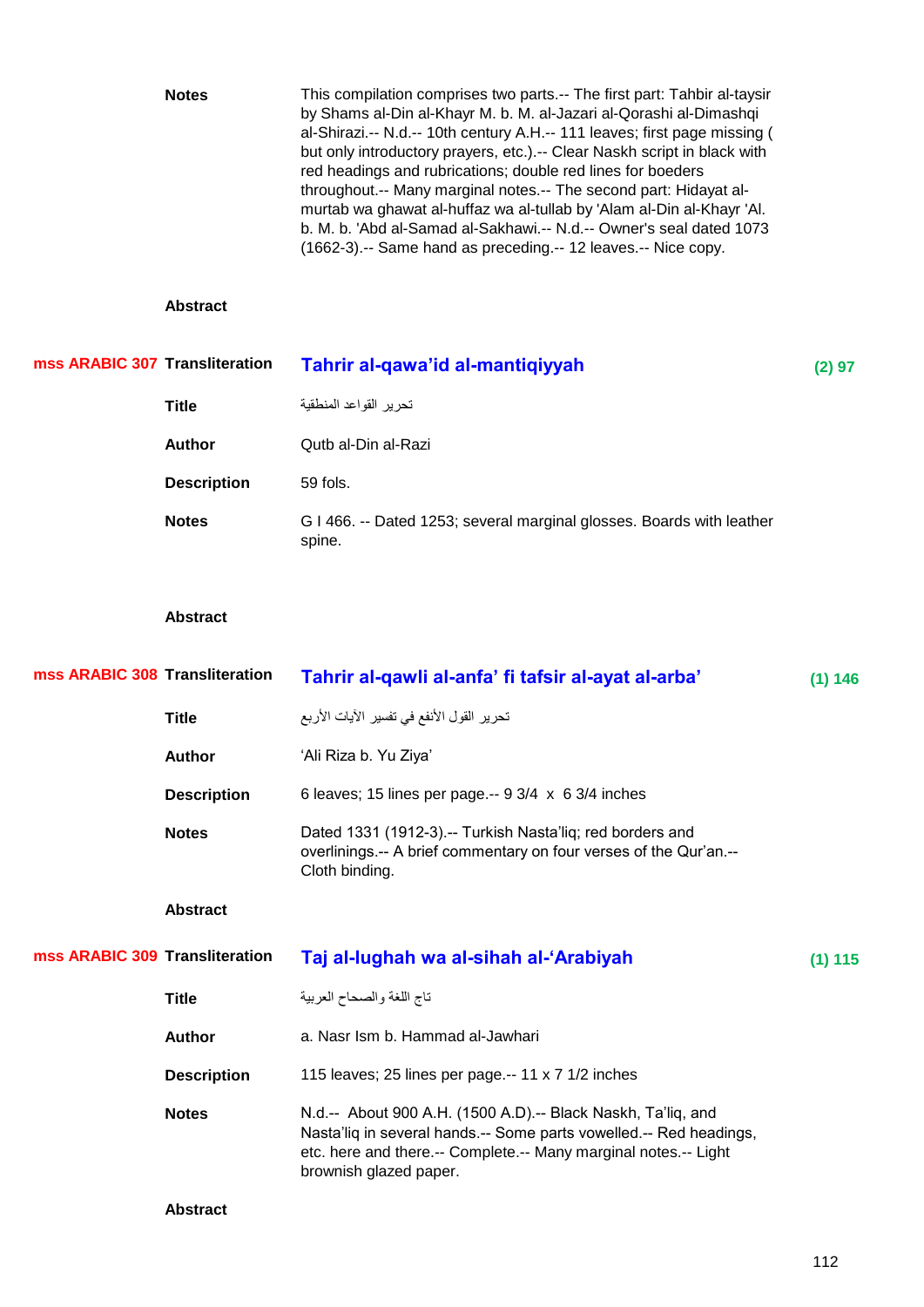|                                | <b>Notes</b>       | This compilation comprises two parts.-- The first part: Tahbir al-taysir<br>by Shams al-Din al-Khayr M. b. M. al-Jazari al-Qorashi al-Dimashqi<br>al-Shirazi.-- N.d.-- 10th century A.H.-- 111 leaves; first page missing (<br>but only introductory prayers, etc.).-- Clear Naskh script in black with<br>red headings and rubrications; double red lines for boeders<br>throughout.-- Many marginal notes.-- The second part: Hidayat al-<br>murtab wa ghawat al-huffaz wa al-tullab by 'Alam al-Din al-Khayr 'Al.<br>b. M. b. 'Abd al-Samad al-Sakhawi.-- N.d.-- Owner's seal dated 1073<br>(1662-3).-- Same hand as preceding.-- 12 leaves.-- Nice copy. |         |
|--------------------------------|--------------------|--------------------------------------------------------------------------------------------------------------------------------------------------------------------------------------------------------------------------------------------------------------------------------------------------------------------------------------------------------------------------------------------------------------------------------------------------------------------------------------------------------------------------------------------------------------------------------------------------------------------------------------------------------------|---------|
|                                | <b>Abstract</b>    |                                                                                                                                                                                                                                                                                                                                                                                                                                                                                                                                                                                                                                                              |         |
| mss ARABIC 307 Transliteration |                    | Tahrir al-qawa'id al-mantiqiyyah                                                                                                                                                                                                                                                                                                                                                                                                                                                                                                                                                                                                                             | (2) 97  |
|                                | <b>Title</b>       | تحرير القواعد المنطقية                                                                                                                                                                                                                                                                                                                                                                                                                                                                                                                                                                                                                                       |         |
|                                | <b>Author</b>      | Qutb al-Din al-Razi                                                                                                                                                                                                                                                                                                                                                                                                                                                                                                                                                                                                                                          |         |
|                                | <b>Description</b> | 59 fols.                                                                                                                                                                                                                                                                                                                                                                                                                                                                                                                                                                                                                                                     |         |
|                                | <b>Notes</b>       | G I 466. -- Dated 1253; several marginal glosses. Boards with leather<br>spine.                                                                                                                                                                                                                                                                                                                                                                                                                                                                                                                                                                              |         |
|                                | <b>Abstract</b>    |                                                                                                                                                                                                                                                                                                                                                                                                                                                                                                                                                                                                                                                              |         |
| mss ARABIC 308 Transliteration |                    | Tahrir al-qawli al-anfa' fi tafsir al-ayat al-arba'                                                                                                                                                                                                                                                                                                                                                                                                                                                                                                                                                                                                          | (1) 146 |
|                                | <b>Title</b>       | تحرير القول الأنفع في تفسير الآيات الأربع                                                                                                                                                                                                                                                                                                                                                                                                                                                                                                                                                                                                                    |         |
|                                | <b>Author</b>      | 'Ali Riza b. Yu Ziya'                                                                                                                                                                                                                                                                                                                                                                                                                                                                                                                                                                                                                                        |         |
|                                | <b>Description</b> | 6 leaves; 15 lines per page.-- 9 3/4 x 6 3/4 inches                                                                                                                                                                                                                                                                                                                                                                                                                                                                                                                                                                                                          |         |
|                                | <b>Notes</b>       | Dated 1331 (1912-3).-- Turkish Nasta'liq; red borders and<br>overlinings.-- A brief commentary on four verses of the Qur'an.--<br>Cloth binding.                                                                                                                                                                                                                                                                                                                                                                                                                                                                                                             |         |
|                                | <b>Abstract</b>    |                                                                                                                                                                                                                                                                                                                                                                                                                                                                                                                                                                                                                                                              |         |
| mss ARABIC 309 Transliteration |                    | Taj al-lughah wa al-sihah al-'Arabiyah                                                                                                                                                                                                                                                                                                                                                                                                                                                                                                                                                                                                                       | (1) 115 |
|                                | <b>Title</b>       | تاج اللغة والصحاح العربية                                                                                                                                                                                                                                                                                                                                                                                                                                                                                                                                                                                                                                    |         |
|                                | <b>Author</b>      | a. Nasr Ism b. Hammad al-Jawhari                                                                                                                                                                                                                                                                                                                                                                                                                                                                                                                                                                                                                             |         |
|                                | <b>Description</b> | 115 leaves; 25 lines per page.-- 11 x 7 1/2 inches                                                                                                                                                                                                                                                                                                                                                                                                                                                                                                                                                                                                           |         |
|                                | <b>Notes</b>       | N.d.-- About 900 A.H. (1500 A.D).-- Black Naskh, Ta'liq, and<br>Nasta'liq in several hands.-- Some parts vowelled.-- Red headings,<br>etc. here and there.-- Complete.-- Many marginal notes.-- Light<br>brownish glazed paper.                                                                                                                                                                                                                                                                                                                                                                                                                              |         |
|                                | <b>Abstract</b>    |                                                                                                                                                                                                                                                                                                                                                                                                                                                                                                                                                                                                                                                              |         |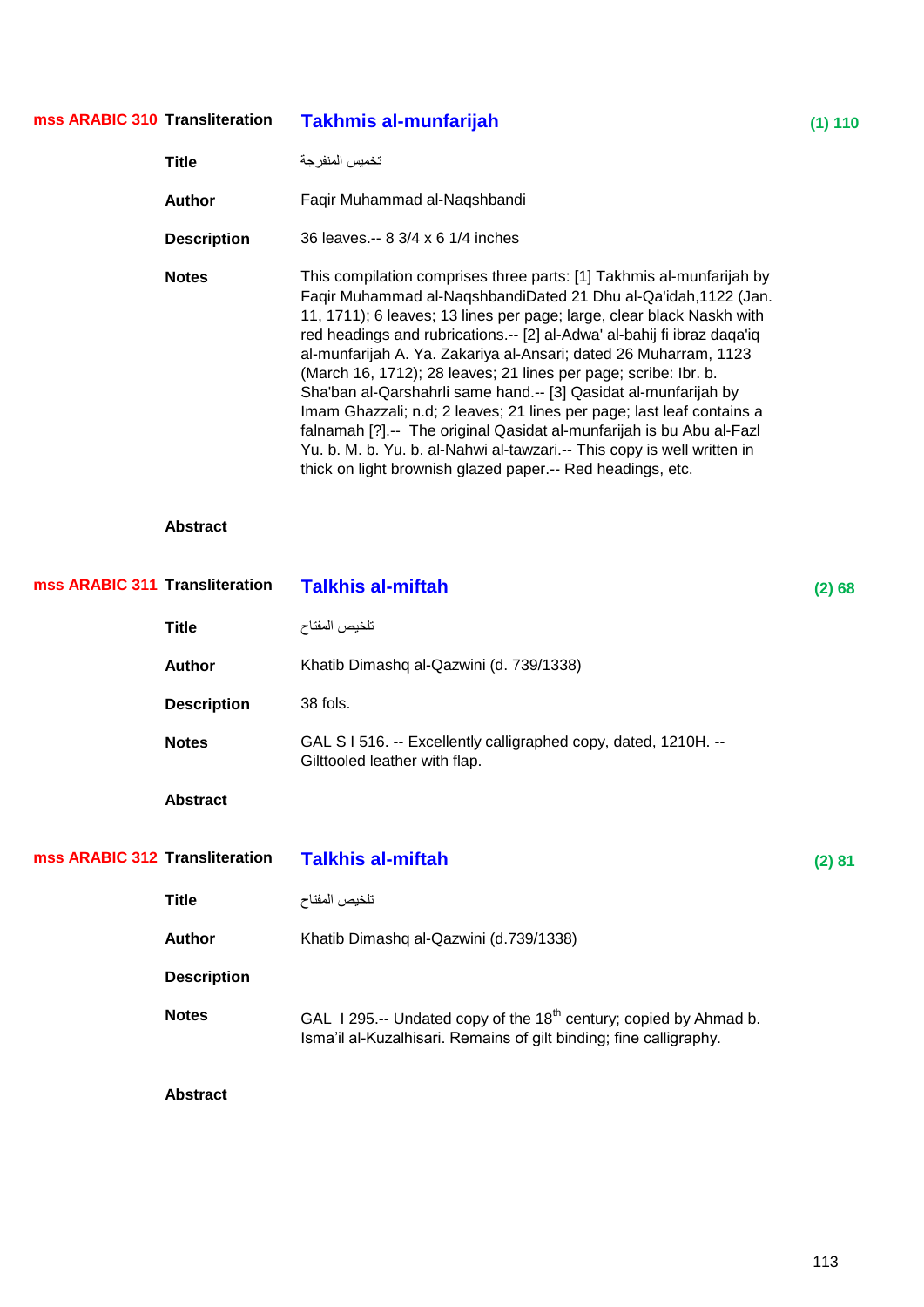| mss ARABIC 310 Transliteration |                    | <b>Takhmis al-munfarijah</b>                                                                                                                                                                                                                                                                                                                                                                                                                                                                                                                                                                                                                                                                                                                                                                     | $(1)$ 110 |
|--------------------------------|--------------------|--------------------------------------------------------------------------------------------------------------------------------------------------------------------------------------------------------------------------------------------------------------------------------------------------------------------------------------------------------------------------------------------------------------------------------------------------------------------------------------------------------------------------------------------------------------------------------------------------------------------------------------------------------------------------------------------------------------------------------------------------------------------------------------------------|-----------|
|                                | <b>Title</b>       | تخميس المنفرجة                                                                                                                                                                                                                                                                                                                                                                                                                                                                                                                                                                                                                                                                                                                                                                                   |           |
|                                | <b>Author</b>      | Faqir Muhammad al-Naqshbandi                                                                                                                                                                                                                                                                                                                                                                                                                                                                                                                                                                                                                                                                                                                                                                     |           |
|                                | <b>Description</b> | 36 leaves.-- 8 3/4 x 6 1/4 inches                                                                                                                                                                                                                                                                                                                                                                                                                                                                                                                                                                                                                                                                                                                                                                |           |
|                                | <b>Notes</b>       | This compilation comprises three parts: [1] Takhmis al-munfarijah by<br>Faqir Muhammad al-NaqshbandiDated 21 Dhu al-Qa'idah, 1122 (Jan.<br>11, 1711); 6 leaves; 13 lines per page; large, clear black Naskh with<br>red headings and rubrications.-- [2] al-Adwa' al-bahij fi ibraz daqa'iq<br>al-munfarijah A. Ya. Zakariya al-Ansari; dated 26 Muharram, 1123<br>(March 16, 1712); 28 leaves; 21 lines per page; scribe: Ibr. b.<br>Sha'ban al-Qarshahrli same hand.-- [3] Qasidat al-munfarijah by<br>Imam Ghazzali; n.d; 2 leaves; 21 lines per page; last leaf contains a<br>falnamah [?] .-- The original Qasidat al-munfarijah is bu Abu al-Fazl<br>Yu. b. M. b. Yu. b. al-Nahwi al-tawzari.-- This copy is well written in<br>thick on light brownish glazed paper.-- Red headings, etc. |           |
|                                | <b>Abstract</b>    |                                                                                                                                                                                                                                                                                                                                                                                                                                                                                                                                                                                                                                                                                                                                                                                                  |           |
| mss ARABIC 311 Transliteration |                    | <b>Talkhis al-miftah</b>                                                                                                                                                                                                                                                                                                                                                                                                                                                                                                                                                                                                                                                                                                                                                                         | (2) 68    |
|                                | <b>Title</b>       | تلخيص المفتاح                                                                                                                                                                                                                                                                                                                                                                                                                                                                                                                                                                                                                                                                                                                                                                                    |           |
|                                | <b>Author</b>      | Khatib Dimashq al-Qazwini (d. 739/1338)                                                                                                                                                                                                                                                                                                                                                                                                                                                                                                                                                                                                                                                                                                                                                          |           |
|                                | <b>Description</b> | 38 fols.                                                                                                                                                                                                                                                                                                                                                                                                                                                                                                                                                                                                                                                                                                                                                                                         |           |
|                                | <b>Notes</b>       | GAL S I 516. -- Excellently calligraphed copy, dated, 1210H. --<br>Gilttooled leather with flap.                                                                                                                                                                                                                                                                                                                                                                                                                                                                                                                                                                                                                                                                                                 |           |
|                                | <b>Abstract</b>    |                                                                                                                                                                                                                                                                                                                                                                                                                                                                                                                                                                                                                                                                                                                                                                                                  |           |
| mss ARABIC 312 Transliteration |                    | <b>Talkhis al-miftah</b>                                                                                                                                                                                                                                                                                                                                                                                                                                                                                                                                                                                                                                                                                                                                                                         | (2) 81    |
|                                | <b>Title</b>       | تلخيص المفتاح                                                                                                                                                                                                                                                                                                                                                                                                                                                                                                                                                                                                                                                                                                                                                                                    |           |
|                                | <b>Author</b>      | Khatib Dimashq al-Qazwini (d.739/1338)                                                                                                                                                                                                                                                                                                                                                                                                                                                                                                                                                                                                                                                                                                                                                           |           |
|                                | <b>Description</b> |                                                                                                                                                                                                                                                                                                                                                                                                                                                                                                                                                                                                                                                                                                                                                                                                  |           |
|                                | <b>Notes</b>       | GAL 1295.-- Undated copy of the 18 <sup>th</sup> century; copied by Ahmad b.<br>Isma'il al-Kuzalhisari. Remains of gilt binding; fine calligraphy.                                                                                                                                                                                                                                                                                                                                                                                                                                                                                                                                                                                                                                               |           |
|                                | <b>Abstract</b>    |                                                                                                                                                                                                                                                                                                                                                                                                                                                                                                                                                                                                                                                                                                                                                                                                  |           |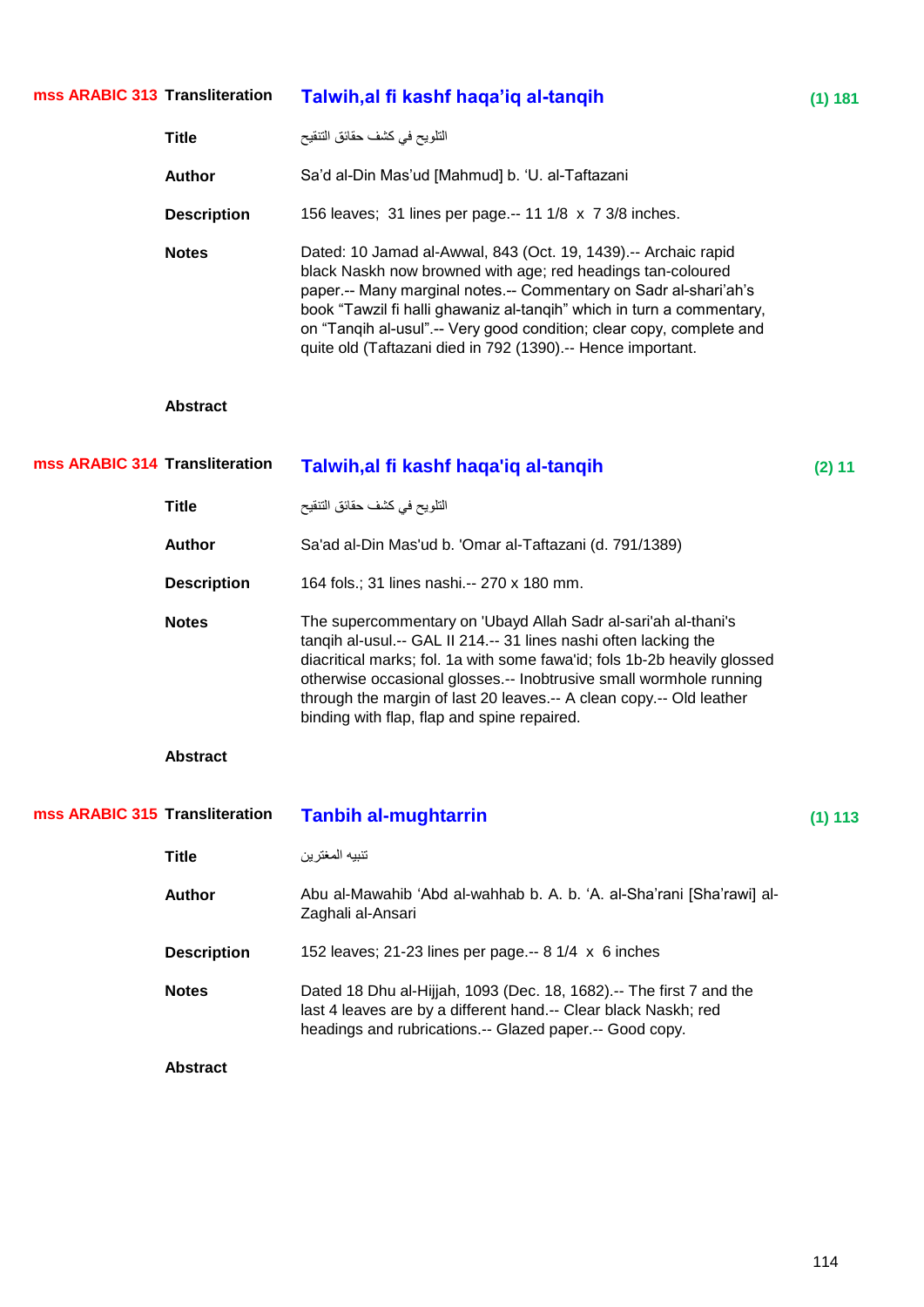#### **Talwih,al fi kashf haqa'iq al-tanqih (1)** 181 **mss ARABIC 313**

| <b>Title</b>       | التلويح في كشف حقائق التنقيح                                                                                                                                                                                                                                                                                                                                                                                      |
|--------------------|-------------------------------------------------------------------------------------------------------------------------------------------------------------------------------------------------------------------------------------------------------------------------------------------------------------------------------------------------------------------------------------------------------------------|
| Author             | Sa'd al-Din Mas'ud [Mahmud] b. 'U. al-Taftazani                                                                                                                                                                                                                                                                                                                                                                   |
| <b>Description</b> | 156 leaves; 31 lines per page.-- 11 1/8 x 7 3/8 inches.                                                                                                                                                                                                                                                                                                                                                           |
| <b>Notes</b>       | Dated: 10 Jamad al-Awwal, 843 (Oct. 19, 1439).-- Archaic rapid<br>black Naskh now browned with age; red headings tan-coloured<br>paper.-- Many marginal notes.-- Commentary on Sadr al-shari'ah's<br>book "Tawzil fi halli ghawaniz al-tangih" which in turn a commentary,<br>on "Tangih al-usul".-- Very good condition; clear copy, complete and<br>quite old (Taftazani died in 792 (1390).-- Hence important. |

| mss ARABIC 314 Transliteration |                    | Talwih, al fi kashf haqa'iq al-tanqih                                                                                                                                                                                                                                                                                                                                                                       | (2) 11  |
|--------------------------------|--------------------|-------------------------------------------------------------------------------------------------------------------------------------------------------------------------------------------------------------------------------------------------------------------------------------------------------------------------------------------------------------------------------------------------------------|---------|
|                                | <b>Title</b>       | التلويح في كشف حقائق التنقيح                                                                                                                                                                                                                                                                                                                                                                                |         |
|                                | <b>Author</b>      | Sa'ad al-Din Mas'ud b. 'Omar al-Taftazani (d. 791/1389)                                                                                                                                                                                                                                                                                                                                                     |         |
|                                | <b>Description</b> | 164 fols.; 31 lines nashi.-- 270 x 180 mm.                                                                                                                                                                                                                                                                                                                                                                  |         |
|                                | <b>Notes</b>       | The supercommentary on 'Ubayd Allah Sadr al-sari'ah al-thani's<br>tanqih al-usul.-- GAL II 214.-- 31 lines nashi often lacking the<br>diacritical marks; fol. 1a with some fawa'id; fols 1b-2b heavily glossed<br>otherwise occasional glosses .-- Inobtrusive small wormhole running<br>through the margin of last 20 leaves.-- A clean copy.-- Old leather<br>binding with flap, flap and spine repaired. |         |
|                                | <b>Abstract</b>    |                                                                                                                                                                                                                                                                                                                                                                                                             |         |
|                                |                    |                                                                                                                                                                                                                                                                                                                                                                                                             |         |
| mss ARABIC 315 Transliteration |                    | <b>Tanbih al-mughtarrin</b>                                                                                                                                                                                                                                                                                                                                                                                 | (1) 113 |
|                                | <b>Title</b>       | تنبيه المغترين                                                                                                                                                                                                                                                                                                                                                                                              |         |
|                                | <b>Author</b>      | Abu al-Mawahib 'Abd al-wahhab b. A. b. 'A. al-Sha'rani [Sha'rawi] al-<br>Zaghali al-Ansari                                                                                                                                                                                                                                                                                                                  |         |
|                                | <b>Description</b> | 152 leaves; 21-23 lines per page.-- $8 \frac{1}{4} \times 6$ inches                                                                                                                                                                                                                                                                                                                                         |         |
|                                | <b>Notes</b>       | Dated 18 Dhu al-Hijjah, 1093 (Dec. 18, 1682).-- The first 7 and the<br>last 4 leaves are by a different hand.-- Clear black Naskh; red<br>headings and rubrications.-- Glazed paper.-- Good copy.                                                                                                                                                                                                           |         |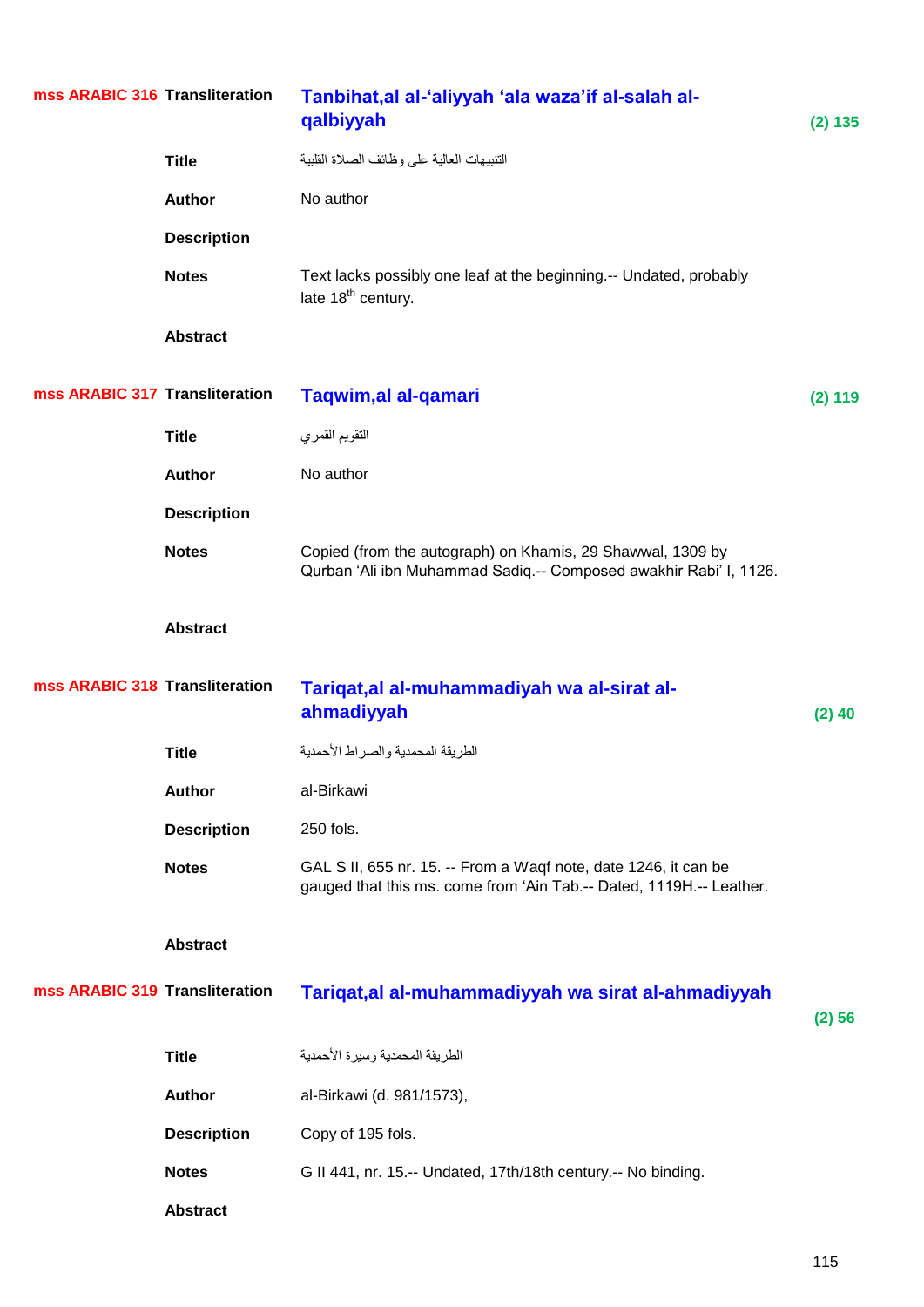|                                | mss ARABIC 316 Transliteration | Tanbihat, al al-'aliyyah 'ala waza'if al-salah al-<br>qalbiyyah                                                                        | (2) 135  |
|--------------------------------|--------------------------------|----------------------------------------------------------------------------------------------------------------------------------------|----------|
|                                | <b>Title</b>                   | التنبيهات العالية على وظائف الصلاة القلبية                                                                                             |          |
|                                | <b>Author</b>                  | No author                                                                                                                              |          |
|                                | <b>Description</b>             |                                                                                                                                        |          |
|                                | <b>Notes</b>                   | Text lacks possibly one leaf at the beginning.-- Undated, probably<br>late 18 <sup>th</sup> century.                                   |          |
|                                | <b>Abstract</b>                |                                                                                                                                        |          |
| mss ARABIC 317 Transliteration |                                | Taqwim, al al-qamari                                                                                                                   | (2) 119  |
|                                | <b>Title</b>                   | التقويم القمري                                                                                                                         |          |
|                                | Author                         | No author                                                                                                                              |          |
|                                | <b>Description</b>             |                                                                                                                                        |          |
|                                | <b>Notes</b>                   | Copied (from the autograph) on Khamis, 29 Shawwal, 1309 by<br>Qurban 'Ali ibn Muhammad Sadiq.-- Composed awakhir Rabi' I, 1126.        |          |
|                                | <b>Abstract</b>                |                                                                                                                                        |          |
|                                |                                |                                                                                                                                        |          |
| mss ARABIC 318 Transliteration |                                | Tariqat, al al-muhammadiyah wa al-sirat al-<br>ahmadiyyah                                                                              | $(2)$ 40 |
|                                | <b>Title</b>                   | الطريقة المحمدية والصراط الأحمدية                                                                                                      |          |
|                                | <b>Author</b>                  | al-Birkawi                                                                                                                             |          |
|                                | <b>Description</b>             | 250 fols.                                                                                                                              |          |
|                                | <b>Notes</b>                   | GAL S II, 655 nr. 15. -- From a Waqf note, date 1246, it can be<br>gauged that this ms. come from 'Ain Tab.-- Dated, 1119H.-- Leather. |          |
|                                | <b>Abstract</b>                |                                                                                                                                        |          |
| mss ARABIC 319 Transliteration |                                | Tariqat, al al-muhammadiyyah wa sirat al-ahmadiyyah                                                                                    | (2) 56   |
|                                | <b>Title</b>                   | الطريقة المحمدية وسيرة الأحمدية                                                                                                        |          |
|                                | <b>Author</b>                  | al-Birkawi (d. 981/1573),                                                                                                              |          |
|                                | <b>Description</b>             | Copy of 195 fols.                                                                                                                      |          |
|                                | <b>Notes</b>                   | G II 441, nr. 15.-- Undated, 17th/18th century.-- No binding.                                                                          |          |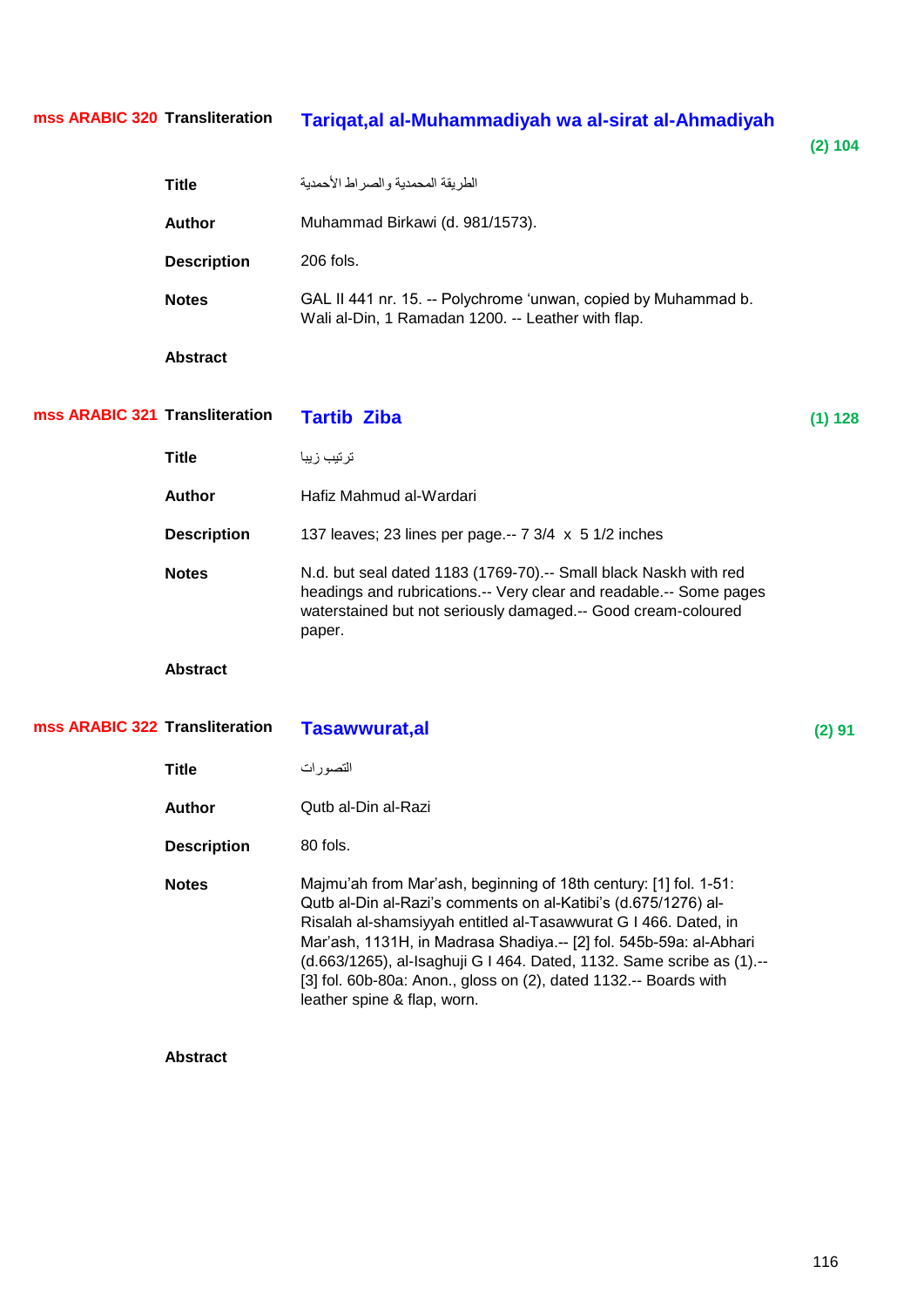**mss ARABIC 320**

## **Transliteration Tariqat,al al-Muhammadiyah wa al-sirat al-Ahmadiyah**

|                                | <b>Title</b>       | الطريقة المحمدية والصراط الأحمدية                                                                                                                                                                                                                                                                                                                                                                                                                       |         |
|--------------------------------|--------------------|---------------------------------------------------------------------------------------------------------------------------------------------------------------------------------------------------------------------------------------------------------------------------------------------------------------------------------------------------------------------------------------------------------------------------------------------------------|---------|
|                                | <b>Author</b>      | Muhammad Birkawi (d. 981/1573).                                                                                                                                                                                                                                                                                                                                                                                                                         |         |
|                                | <b>Description</b> | 206 fols.                                                                                                                                                                                                                                                                                                                                                                                                                                               |         |
|                                | <b>Notes</b>       | GAL II 441 nr. 15. -- Polychrome 'unwan, copied by Muhammad b.<br>Wali al-Din, 1 Ramadan 1200. -- Leather with flap.                                                                                                                                                                                                                                                                                                                                    |         |
|                                | <b>Abstract</b>    |                                                                                                                                                                                                                                                                                                                                                                                                                                                         |         |
| mss ARABIC 321 Transliteration |                    | <b>Tartib Ziba</b>                                                                                                                                                                                                                                                                                                                                                                                                                                      | (1) 128 |
|                                | <b>Title</b>       | ترتيب زيبا                                                                                                                                                                                                                                                                                                                                                                                                                                              |         |
|                                | <b>Author</b>      | Hafiz Mahmud al-Wardari                                                                                                                                                                                                                                                                                                                                                                                                                                 |         |
|                                | <b>Description</b> | 137 leaves; 23 lines per page .-- 7 3/4 x 5 1/2 inches                                                                                                                                                                                                                                                                                                                                                                                                  |         |
|                                | <b>Notes</b>       | N.d. but seal dated 1183 (1769-70).-- Small black Naskh with red<br>headings and rubrications.-- Very clear and readable.-- Some pages<br>waterstained but not seriously damaged.-- Good cream-coloured<br>paper.                                                                                                                                                                                                                                       |         |
|                                | <b>Abstract</b>    |                                                                                                                                                                                                                                                                                                                                                                                                                                                         |         |
| mss ARABIC 322 Transliteration |                    | Tasawwurat,al                                                                                                                                                                                                                                                                                                                                                                                                                                           | (2) 91  |
|                                | <b>Title</b>       | التصور ات                                                                                                                                                                                                                                                                                                                                                                                                                                               |         |
|                                | <b>Author</b>      | Qutb al-Din al-Razi                                                                                                                                                                                                                                                                                                                                                                                                                                     |         |
|                                | <b>Description</b> | 80 fols.                                                                                                                                                                                                                                                                                                                                                                                                                                                |         |
|                                | <b>Notes</b>       | Majmu'ah from Mar'ash, beginning of 18th century: [1] fol. 1-51:<br>Qutb al-Din al-Razi's comments on al-Katibi's (d.675/1276) al-<br>Risalah al-shamsiyyah entitled al-Tasawwurat G I 466. Dated, in<br>Mar'ash, 1131H, in Madrasa Shadiya.-- [2] fol. 545b-59a: al-Abhari<br>(d.663/1265), al-Isaghuji G I 464. Dated, 1132. Same scribe as (1).--<br>[3] fol. 60b-80a: Anon., gloss on (2), dated 1132.-- Boards with<br>leather spine & flap, worn. |         |

**Abstract**

**(2) 104**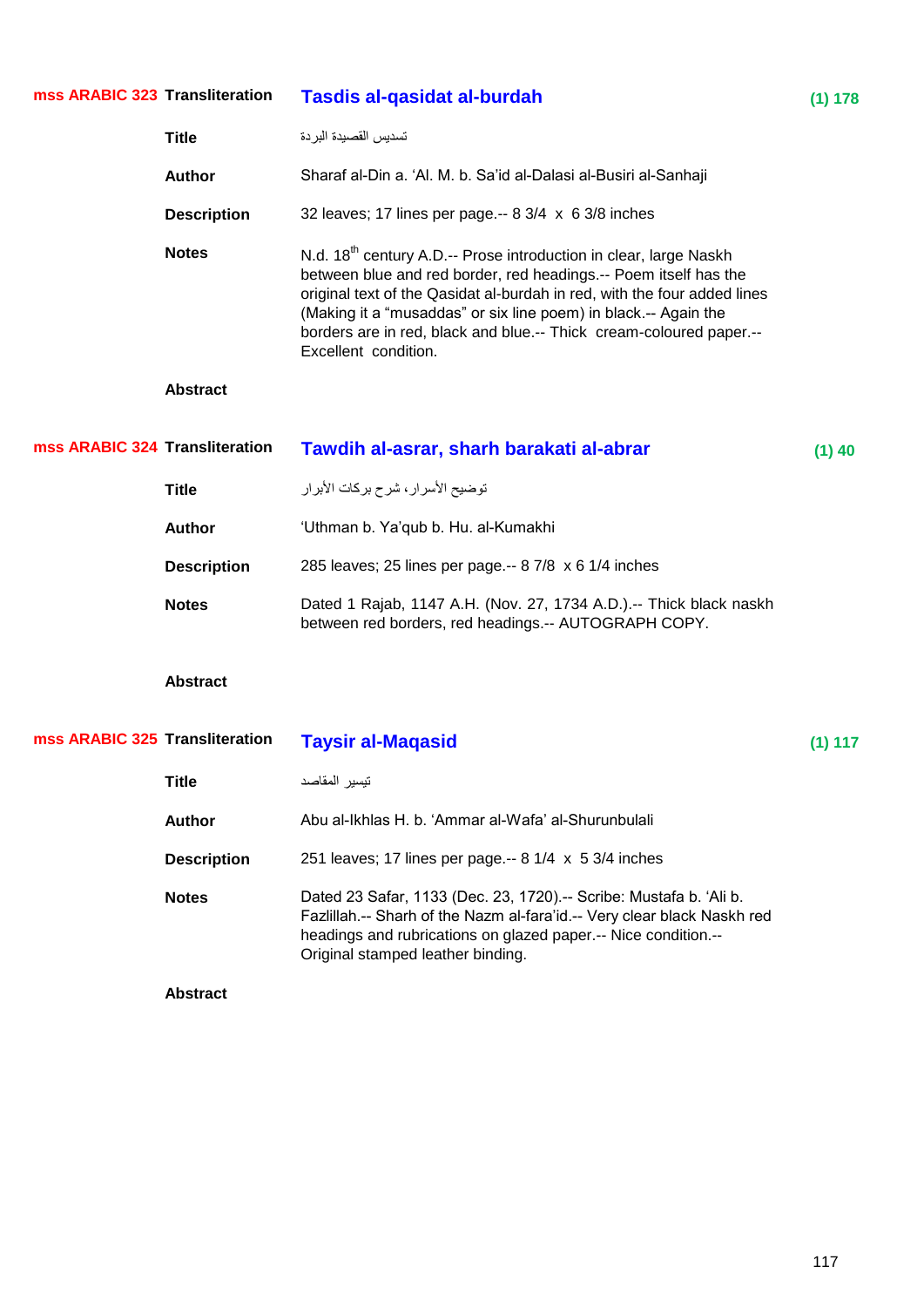| mss ARABIC 323 Transliteration |                    | Tasdis al-qasidat al-burdah                                                                                                                                                                                                                                                                                                                                                                     | (1) 178  |
|--------------------------------|--------------------|-------------------------------------------------------------------------------------------------------------------------------------------------------------------------------------------------------------------------------------------------------------------------------------------------------------------------------------------------------------------------------------------------|----------|
|                                | <b>Title</b>       | تسديس القصبدة البردة                                                                                                                                                                                                                                                                                                                                                                            |          |
|                                | <b>Author</b>      | Sharaf al-Din a. 'Al. M. b. Sa'id al-Dalasi al-Busiri al-Sanhaji                                                                                                                                                                                                                                                                                                                                |          |
|                                | <b>Description</b> | 32 leaves; 17 lines per page.-- 8 3/4 x 6 3/8 inches                                                                                                                                                                                                                                                                                                                                            |          |
|                                | <b>Notes</b>       | N.d. 18 <sup>th</sup> century A.D.-- Prose introduction in clear, large Naskh<br>between blue and red border, red headings.-- Poem itself has the<br>original text of the Qasidat al-burdah in red, with the four added lines<br>(Making it a "musaddas" or six line poem) in black.-- Again the<br>borders are in red, black and blue.-- Thick cream-coloured paper.--<br>Excellent condition. |          |
|                                | <b>Abstract</b>    |                                                                                                                                                                                                                                                                                                                                                                                                 |          |
| mss ARABIC 324 Transliteration |                    | Tawdih al-asrar, sharh barakati al-abrar                                                                                                                                                                                                                                                                                                                                                        | $(1)$ 40 |
|                                | <b>Title</b>       | توضيح الأسرار ، شرح بركات الأبرار                                                                                                                                                                                                                                                                                                                                                               |          |
|                                | Author             | 'Uthman b. Ya'qub b. Hu. al-Kumakhi                                                                                                                                                                                                                                                                                                                                                             |          |
|                                | <b>Description</b> | 285 leaves; 25 lines per page.-- 8 7/8 x 6 1/4 inches                                                                                                                                                                                                                                                                                                                                           |          |
|                                | <b>Notes</b>       | Dated 1 Rajab, 1147 A.H. (Nov. 27, 1734 A.D.).-- Thick black naskh<br>between red borders, red headings.-- AUTOGRAPH COPY.                                                                                                                                                                                                                                                                      |          |
|                                | <b>Abstract</b>    |                                                                                                                                                                                                                                                                                                                                                                                                 |          |
| mss ARABIC 325 Transliteration |                    | <b>Taysir al-Magasid</b>                                                                                                                                                                                                                                                                                                                                                                        | (1) 117  |
|                                | Title              | تيسير المقاصد                                                                                                                                                                                                                                                                                                                                                                                   |          |
|                                | <b>Author</b>      | Abu al-Ikhlas H. b. 'Ammar al-Wafa' al-Shurunbulali                                                                                                                                                                                                                                                                                                                                             |          |
|                                | <b>Description</b> | 251 leaves; 17 lines per page.-- $8 \frac{1}{4} \times 5 \frac{3}{4}$ inches                                                                                                                                                                                                                                                                                                                    |          |
|                                | <b>Notes</b>       | Dated 23 Safar, 1133 (Dec. 23, 1720).-- Scribe: Mustafa b. 'Ali b.<br>Fazlillah.-- Sharh of the Nazm al-fara'id.-- Very clear black Naskh red<br>headings and rubrications on glazed paper.-- Nice condition.--<br>Original stamped leather binding.                                                                                                                                            |          |
|                                | <b>Abstract</b>    |                                                                                                                                                                                                                                                                                                                                                                                                 |          |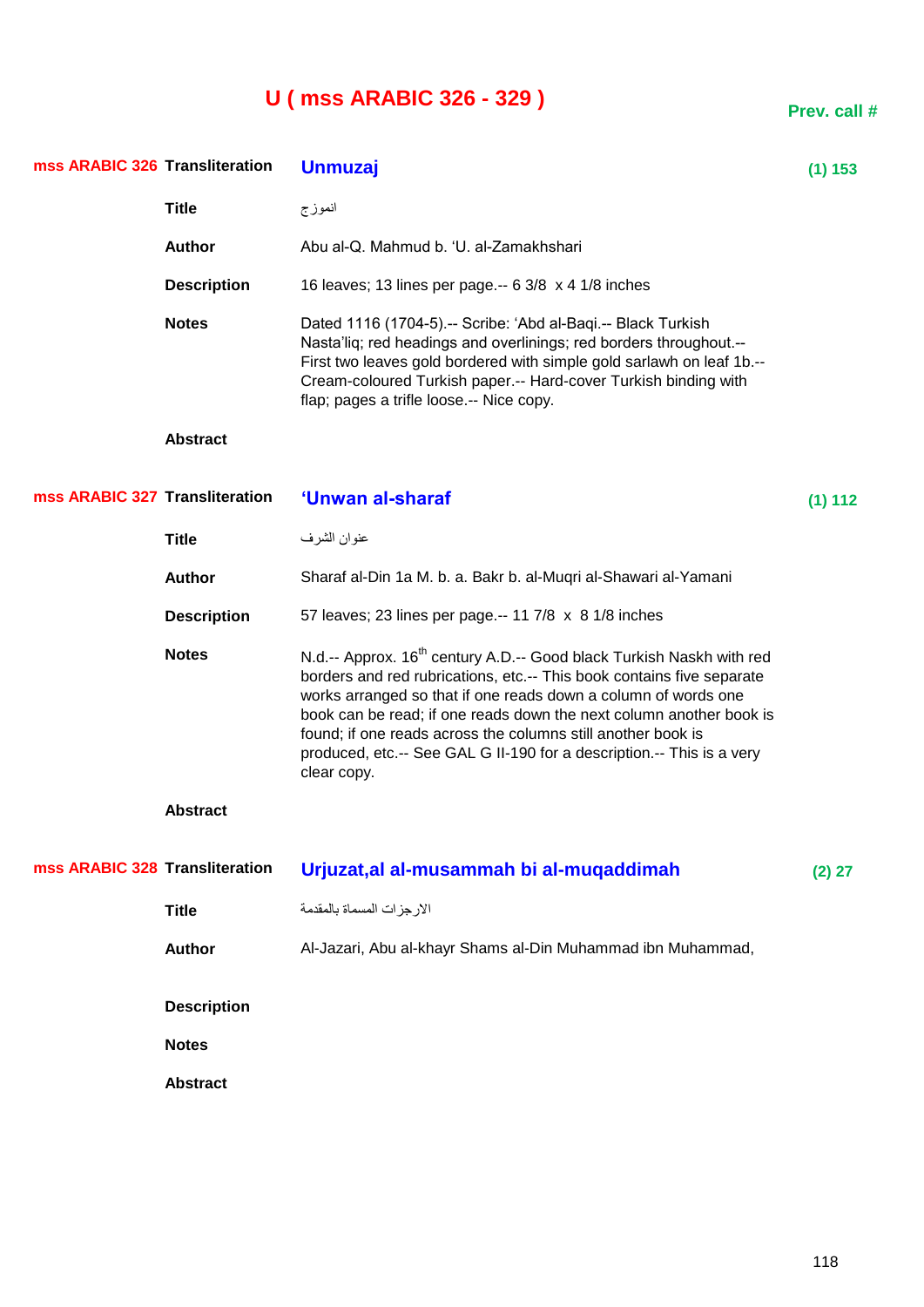# **U ( mss ARABIC 326 - 329 )**

| mss ARABIC 326 Transliteration |                    | <b>Unmuzaj</b>                                                                                                                                                                                                                                                                                                                                                                                                                                             | $(1)$ 153 |
|--------------------------------|--------------------|------------------------------------------------------------------------------------------------------------------------------------------------------------------------------------------------------------------------------------------------------------------------------------------------------------------------------------------------------------------------------------------------------------------------------------------------------------|-----------|
|                                | <b>Title</b>       | انموزج                                                                                                                                                                                                                                                                                                                                                                                                                                                     |           |
|                                | <b>Author</b>      | Abu al-Q. Mahmud b. 'U. al-Zamakhshari                                                                                                                                                                                                                                                                                                                                                                                                                     |           |
|                                | <b>Description</b> | 16 leaves; 13 lines per page.-- 6 3/8 x 4 1/8 inches                                                                                                                                                                                                                                                                                                                                                                                                       |           |
|                                | <b>Notes</b>       | Dated 1116 (1704-5).-- Scribe: 'Abd al-Baqi.-- Black Turkish<br>Nasta'liq; red headings and overlinings; red borders throughout.--<br>First two leaves gold bordered with simple gold sarlawh on leaf 1b.--<br>Cream-coloured Turkish paper.-- Hard-cover Turkish binding with<br>flap; pages a trifle loose.-- Nice copy.                                                                                                                                 |           |
|                                | <b>Abstract</b>    |                                                                                                                                                                                                                                                                                                                                                                                                                                                            |           |
| mss ARABIC 327 Transliteration |                    | 'Unwan al-sharaf                                                                                                                                                                                                                                                                                                                                                                                                                                           | (1) 112   |
|                                | <b>Title</b>       | عنوان الشرف                                                                                                                                                                                                                                                                                                                                                                                                                                                |           |
|                                | Author             | Sharaf al-Din 1a M. b. a. Bakr b. al-Muqri al-Shawari al-Yamani                                                                                                                                                                                                                                                                                                                                                                                            |           |
|                                | <b>Description</b> | 57 leaves; 23 lines per page.-- 11 7/8 x 8 1/8 inches                                                                                                                                                                                                                                                                                                                                                                                                      |           |
|                                | <b>Notes</b>       | N.d.-- Approx. 16 <sup>th</sup> century A.D.-- Good black Turkish Naskh with red<br>borders and red rubrications, etc.-- This book contains five separate<br>works arranged so that if one reads down a column of words one<br>book can be read; if one reads down the next column another book is<br>found; if one reads across the columns still another book is<br>produced, etc.-- See GAL G II-190 for a description.-- This is a very<br>clear copy. |           |
|                                | <b>Abstract</b>    |                                                                                                                                                                                                                                                                                                                                                                                                                                                            |           |
| mss ARABIC 328 Transliteration |                    | Urjuzat, al al-musammah bi al-muqaddimah                                                                                                                                                                                                                                                                                                                                                                                                                   | $(2)$ 27  |
|                                | <b>Title</b>       | الارجزات المسماة بالمقدمة                                                                                                                                                                                                                                                                                                                                                                                                                                  |           |
|                                | <b>Author</b>      | Al-Jazari, Abu al-khayr Shams al-Din Muhammad ibn Muhammad,                                                                                                                                                                                                                                                                                                                                                                                                |           |
|                                | <b>Description</b> |                                                                                                                                                                                                                                                                                                                                                                                                                                                            |           |
|                                | <b>Notes</b>       |                                                                                                                                                                                                                                                                                                                                                                                                                                                            |           |
|                                | <b>Abstract</b>    |                                                                                                                                                                                                                                                                                                                                                                                                                                                            |           |
|                                |                    |                                                                                                                                                                                                                                                                                                                                                                                                                                                            |           |

**Prev. call #**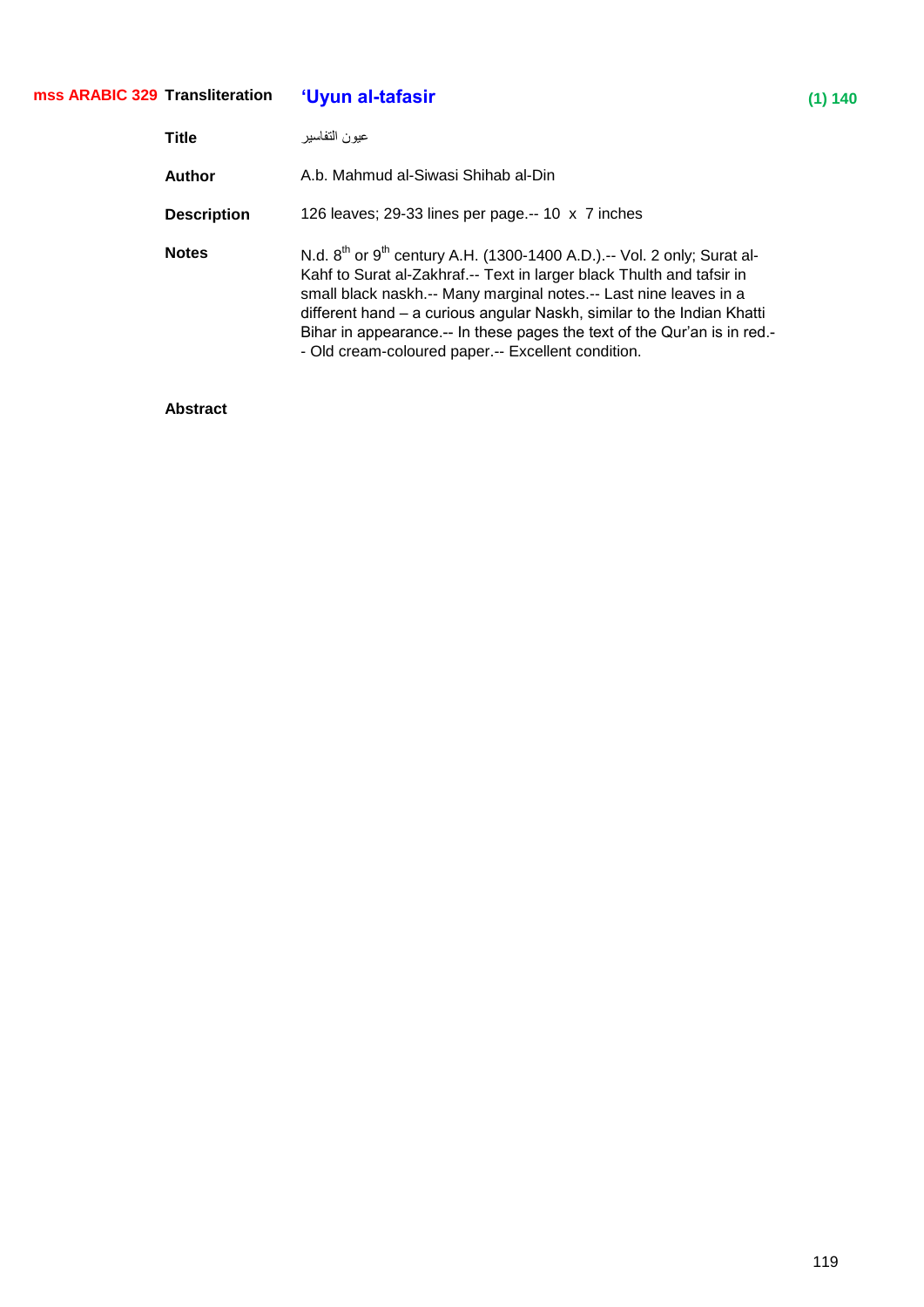| mss ARABIC 329 Transliteration |                    | 'Uyun al-tafasir                                                                                                                                                                                                                                                                                                                                                                                                                            | (1) 140 |
|--------------------------------|--------------------|---------------------------------------------------------------------------------------------------------------------------------------------------------------------------------------------------------------------------------------------------------------------------------------------------------------------------------------------------------------------------------------------------------------------------------------------|---------|
|                                | <b>Title</b>       | عيون التفاسير                                                                                                                                                                                                                                                                                                                                                                                                                               |         |
|                                | Author             | A.b. Mahmud al-Siwasi Shihab al-Din                                                                                                                                                                                                                                                                                                                                                                                                         |         |
|                                | <b>Description</b> | 126 leaves; 29-33 lines per page.-- 10 x 7 inches                                                                                                                                                                                                                                                                                                                                                                                           |         |
|                                | <b>Notes</b>       | N.d. $8^{th}$ or $9^{th}$ century A.H. (1300-1400 A.D.).-- Vol. 2 only; Surat al-<br>Kahf to Surat al-Zakhraf.-- Text in larger black Thulth and tafsir in<br>small black naskh.-- Many marginal notes.-- Last nine leaves in a<br>different hand – a curious angular Naskh, similar to the Indian Khatti<br>Bihar in appearance.-- In these pages the text of the Qur'an is in red.-<br>- Old cream-coloured paper.-- Excellent condition. |         |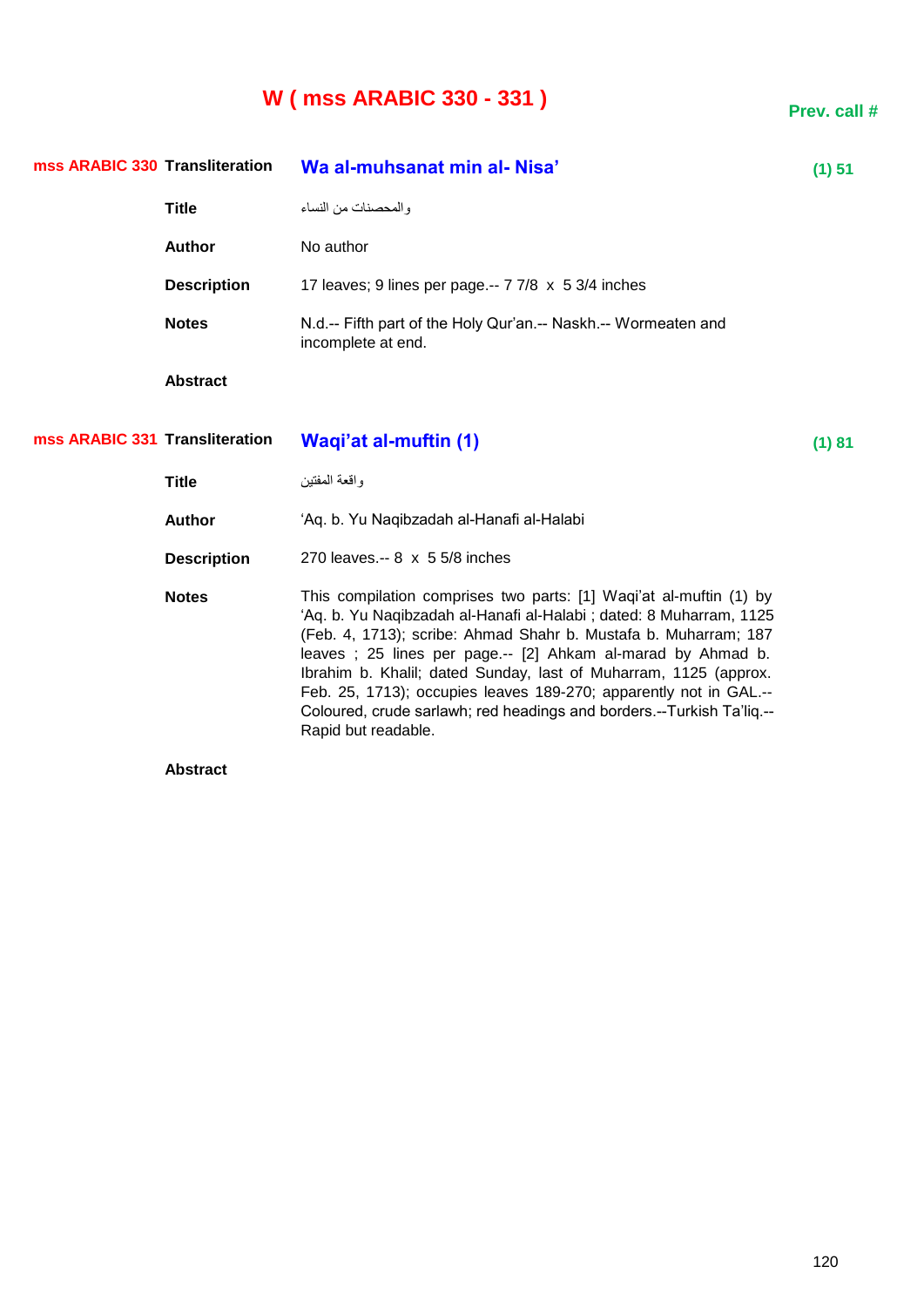# **W ( mss ARABIC 330 - 331 )**

**Prev. call #**

| mss ARABIC 330 Transliteration |                    | Wa al-muhsanat min al- Nisa'                                                                                                                                                                                                                                                                                                                                                                                                                                                                                        | (1) 51 |
|--------------------------------|--------------------|---------------------------------------------------------------------------------------------------------------------------------------------------------------------------------------------------------------------------------------------------------------------------------------------------------------------------------------------------------------------------------------------------------------------------------------------------------------------------------------------------------------------|--------|
|                                | <b>Title</b>       | والمحصنات من النساء                                                                                                                                                                                                                                                                                                                                                                                                                                                                                                 |        |
|                                | <b>Author</b>      | No author                                                                                                                                                                                                                                                                                                                                                                                                                                                                                                           |        |
|                                | <b>Description</b> | 17 leaves; 9 lines per page.-- 7 7/8 x 5 3/4 inches                                                                                                                                                                                                                                                                                                                                                                                                                                                                 |        |
|                                | <b>Notes</b>       | N.d.-- Fifth part of the Holy Qur'an.-- Naskh.-- Wormeaten and<br>incomplete at end.                                                                                                                                                                                                                                                                                                                                                                                                                                |        |
|                                | <b>Abstract</b>    |                                                                                                                                                                                                                                                                                                                                                                                                                                                                                                                     |        |
| mss ARABIC 331 Transliteration |                    | <b>Waqi'at al-muftin (1)</b>                                                                                                                                                                                                                                                                                                                                                                                                                                                                                        | (1) 81 |
|                                | <b>Title</b>       | واقعة المفتين                                                                                                                                                                                                                                                                                                                                                                                                                                                                                                       |        |
|                                | <b>Author</b>      | 'Aq. b. Yu Naqibzadah al-Hanafi al-Halabi                                                                                                                                                                                                                                                                                                                                                                                                                                                                           |        |
|                                | <b>Description</b> | 270 leaves.-- 8 x 5 5/8 inches                                                                                                                                                                                                                                                                                                                                                                                                                                                                                      |        |
|                                | <b>Notes</b>       | This compilation comprises two parts: [1] Waqi'at al-muftin (1) by<br>'Aq. b. Yu Naqibzadah al-Hanafi al-Halabi; dated: 8 Muharram, 1125<br>(Feb. 4, 1713); scribe: Ahmad Shahr b. Mustafa b. Muharram; 187<br>leaves; 25 lines per page.-- [2] Ahkam al-marad by Ahmad b.<br>Ibrahim b. Khalil; dated Sunday, last of Muharram, 1125 (approx.<br>Feb. 25, 1713); occupies leaves 189-270; apparently not in GAL.--<br>Coloured, crude sarlawh; red headings and borders.--Turkish Ta'liq.--<br>Rapid but readable. |        |
|                                |                    |                                                                                                                                                                                                                                                                                                                                                                                                                                                                                                                     |        |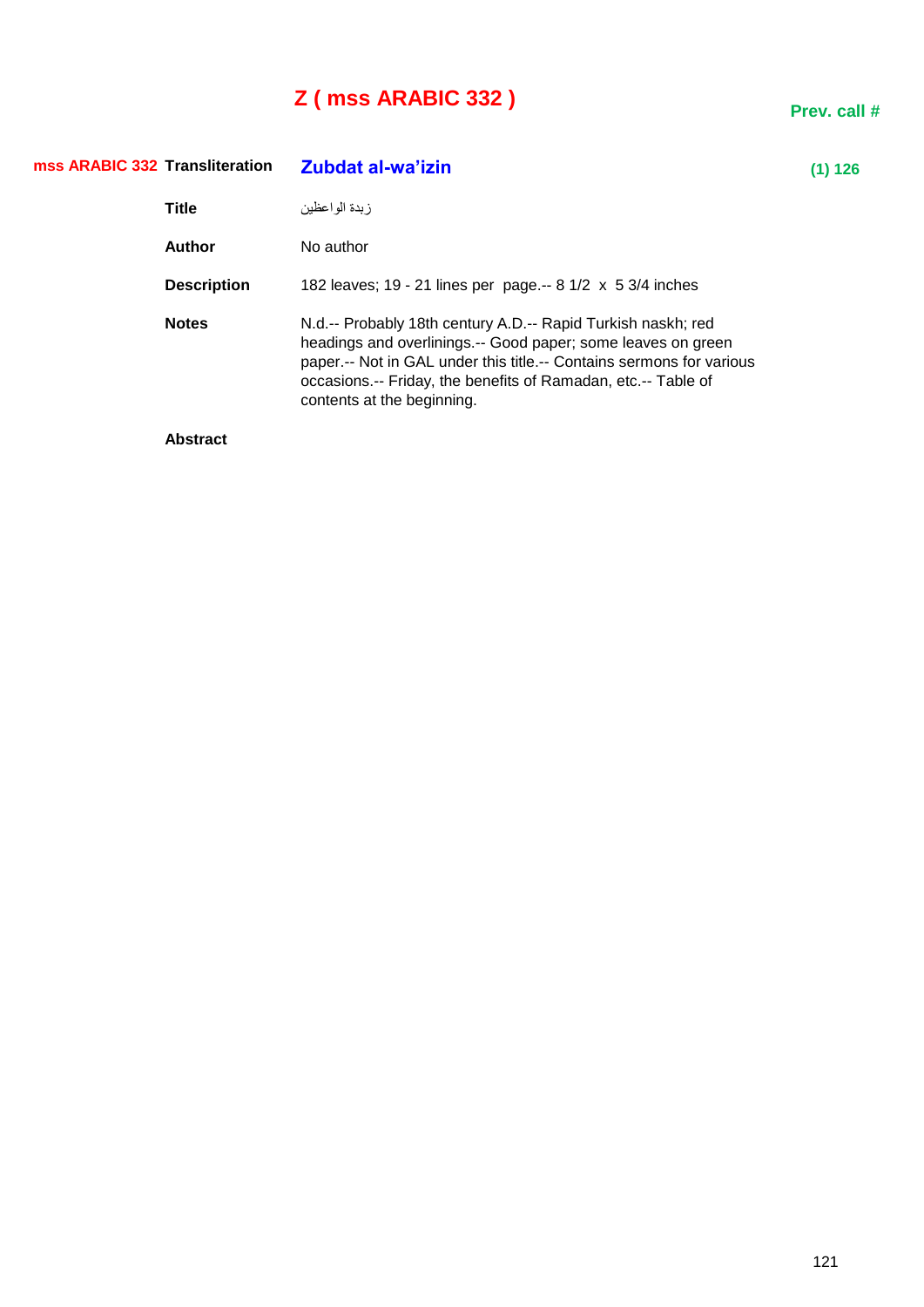# **Z ( mss ARABIC 332 )**

| mss ARABIC 332 Transliteration |                    | Zubdat al-wa'izin                                                                                                                                                                                                                                                                                     | (1) 126 |
|--------------------------------|--------------------|-------------------------------------------------------------------------------------------------------------------------------------------------------------------------------------------------------------------------------------------------------------------------------------------------------|---------|
|                                | <b>Title</b>       | ز بدة الو اعظبن                                                                                                                                                                                                                                                                                       |         |
|                                | <b>Author</b>      | No author                                                                                                                                                                                                                                                                                             |         |
|                                | <b>Description</b> | 182 leaves; 19 - 21 lines per page.-- 8 1/2 x 5 3/4 inches                                                                                                                                                                                                                                            |         |
|                                | <b>Notes</b>       | N.d.-- Probably 18th century A.D.-- Rapid Turkish naskh; red<br>headings and overlinings.-- Good paper; some leaves on green<br>paper .-- Not in GAL under this title .-- Contains sermons for various<br>occasions.-- Friday, the benefits of Ramadan, etc.-- Table of<br>contents at the beginning. |         |
|                                | .                  |                                                                                                                                                                                                                                                                                                       |         |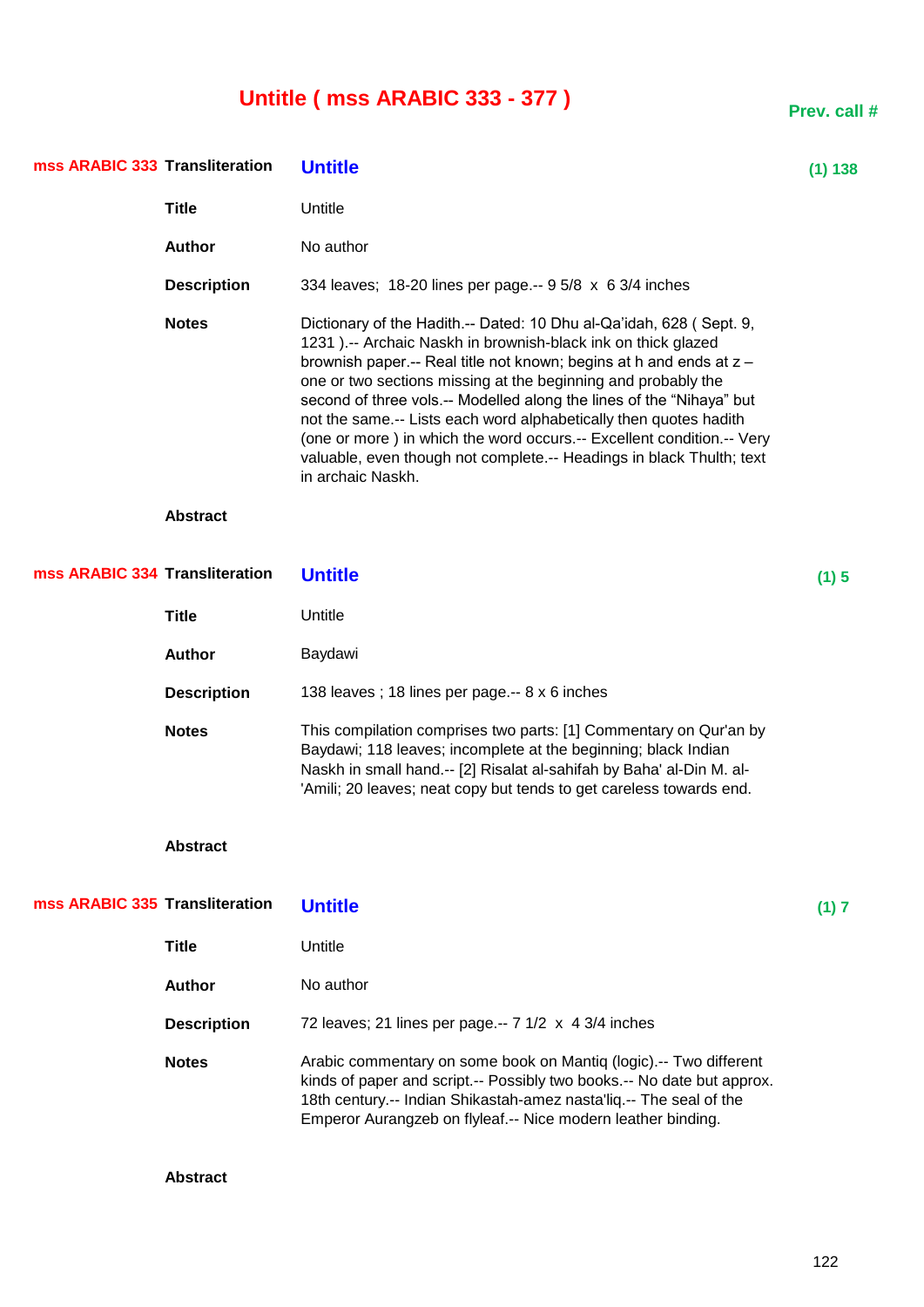# **Untitle ( mss ARABIC 333 - 377 )**

| mss ARABIC 333 Transliteration |                    | <b>Untitle</b>                                                                                                                                                                                                                                                                                                                                                                                                                                                                                                                                                                                  | (1) 138 |
|--------------------------------|--------------------|-------------------------------------------------------------------------------------------------------------------------------------------------------------------------------------------------------------------------------------------------------------------------------------------------------------------------------------------------------------------------------------------------------------------------------------------------------------------------------------------------------------------------------------------------------------------------------------------------|---------|
|                                | <b>Title</b>       | Untitle                                                                                                                                                                                                                                                                                                                                                                                                                                                                                                                                                                                         |         |
|                                | <b>Author</b>      | No author                                                                                                                                                                                                                                                                                                                                                                                                                                                                                                                                                                                       |         |
|                                | <b>Description</b> | 334 leaves; 18-20 lines per page.-- 9 5/8 x 6 3/4 inches                                                                                                                                                                                                                                                                                                                                                                                                                                                                                                                                        |         |
|                                | <b>Notes</b>       | Dictionary of the Hadith.-- Dated: 10 Dhu al-Qa'idah, 628 (Sept. 9,<br>1231 ).-- Archaic Naskh in brownish-black ink on thick glazed<br>brownish paper.-- Real title not known; begins at h and ends at z -<br>one or two sections missing at the beginning and probably the<br>second of three vols.-- Modelled along the lines of the "Nihaya" but<br>not the same.-- Lists each word alphabetically then quotes hadith<br>(one or more) in which the word occurs.-- Excellent condition.-- Very<br>valuable, even though not complete.-- Headings in black Thulth; text<br>in archaic Naskh. |         |
|                                | <b>Abstract</b>    |                                                                                                                                                                                                                                                                                                                                                                                                                                                                                                                                                                                                 |         |
| mss ARABIC 334 Transliteration |                    | <b>Untitle</b>                                                                                                                                                                                                                                                                                                                                                                                                                                                                                                                                                                                  | (1) 5   |
|                                | <b>Title</b>       | Untitle                                                                                                                                                                                                                                                                                                                                                                                                                                                                                                                                                                                         |         |
|                                | <b>Author</b>      | Baydawi                                                                                                                                                                                                                                                                                                                                                                                                                                                                                                                                                                                         |         |
|                                | <b>Description</b> | 138 leaves; 18 lines per page.-- 8 x 6 inches                                                                                                                                                                                                                                                                                                                                                                                                                                                                                                                                                   |         |
|                                | <b>Notes</b>       | This compilation comprises two parts: [1] Commentary on Qur'an by<br>Baydawi; 118 leaves; incomplete at the beginning; black Indian<br>Naskh in small hand.-- [2] Risalat al-sahifah by Baha' al-Din M. al-<br>'Amili; 20 leaves; neat copy but tends to get careless towards end.                                                                                                                                                                                                                                                                                                              |         |
|                                | <b>Abstract</b>    |                                                                                                                                                                                                                                                                                                                                                                                                                                                                                                                                                                                                 |         |
| mss ARABIC 335 Transliteration |                    | <b>Untitle</b>                                                                                                                                                                                                                                                                                                                                                                                                                                                                                                                                                                                  | (1) 7   |
|                                | <b>Title</b>       | Untitle                                                                                                                                                                                                                                                                                                                                                                                                                                                                                                                                                                                         |         |
|                                | <b>Author</b>      | No author                                                                                                                                                                                                                                                                                                                                                                                                                                                                                                                                                                                       |         |
|                                | <b>Description</b> | 72 leaves; 21 lines per page.-- $7 \frac{1}{2} \times 4 \frac{3}{4}$ inches                                                                                                                                                                                                                                                                                                                                                                                                                                                                                                                     |         |
|                                | <b>Notes</b>       | Arabic commentary on some book on Mantiq (logic).-- Two different<br>kinds of paper and script.-- Possibly two books.-- No date but approx.<br>18th century.-- Indian Shikastah-amez nasta'liq.-- The seal of the<br>Emperor Aurangzeb on flyleaf.-- Nice modern leather binding.                                                                                                                                                                                                                                                                                                               |         |

**Prev. call #**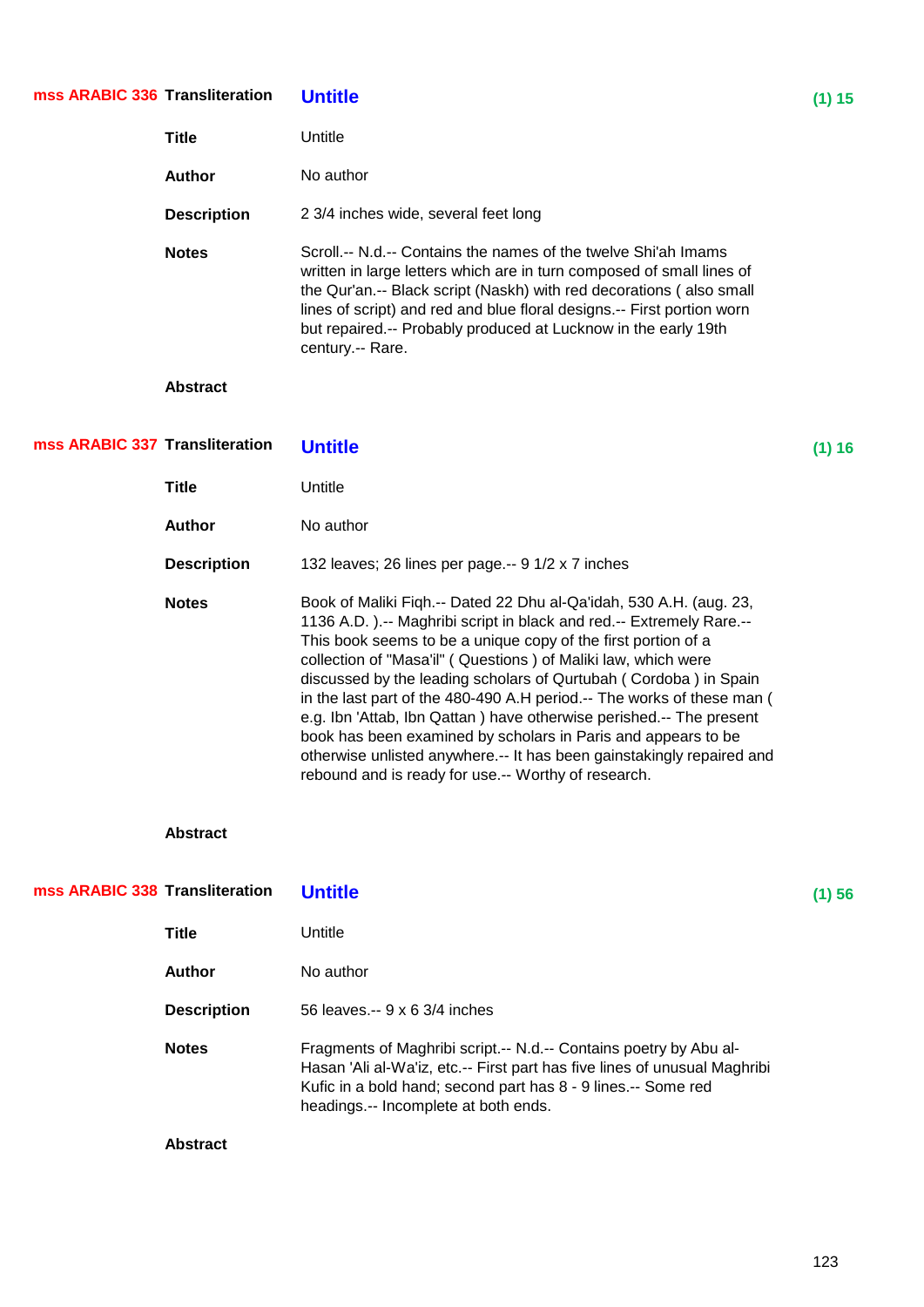| mss ARABIC 336 Transliteration |                    | <b>Untitle</b>                                                                                                                                                                                                                                                                                                                                                                                                                                                                                                                                                                                                                                                                                     | (1) 15 |
|--------------------------------|--------------------|----------------------------------------------------------------------------------------------------------------------------------------------------------------------------------------------------------------------------------------------------------------------------------------------------------------------------------------------------------------------------------------------------------------------------------------------------------------------------------------------------------------------------------------------------------------------------------------------------------------------------------------------------------------------------------------------------|--------|
|                                | <b>Title</b>       | Untitle                                                                                                                                                                                                                                                                                                                                                                                                                                                                                                                                                                                                                                                                                            |        |
|                                | <b>Author</b>      | No author                                                                                                                                                                                                                                                                                                                                                                                                                                                                                                                                                                                                                                                                                          |        |
|                                | <b>Description</b> | 2 3/4 inches wide, several feet long                                                                                                                                                                                                                                                                                                                                                                                                                                                                                                                                                                                                                                                               |        |
|                                | <b>Notes</b>       | Scroll.-- N.d.-- Contains the names of the twelve Shi'ah Imams<br>written in large letters which are in turn composed of small lines of<br>the Qur'an.-- Black script (Naskh) with red decorations (also small<br>lines of script) and red and blue floral designs.-- First portion worn<br>but repaired.-- Probably produced at Lucknow in the early 19th<br>century.-- Rare.                                                                                                                                                                                                                                                                                                                     |        |
|                                | <b>Abstract</b>    |                                                                                                                                                                                                                                                                                                                                                                                                                                                                                                                                                                                                                                                                                                    |        |
| mss ARABIC 337 Transliteration |                    | <b>Untitle</b>                                                                                                                                                                                                                                                                                                                                                                                                                                                                                                                                                                                                                                                                                     | (1) 16 |
|                                | <b>Title</b>       | Untitle                                                                                                                                                                                                                                                                                                                                                                                                                                                                                                                                                                                                                                                                                            |        |
|                                | <b>Author</b>      | No author                                                                                                                                                                                                                                                                                                                                                                                                                                                                                                                                                                                                                                                                                          |        |
|                                | <b>Description</b> | 132 leaves; 26 lines per page.-- 9 1/2 x 7 inches                                                                                                                                                                                                                                                                                                                                                                                                                                                                                                                                                                                                                                                  |        |
|                                | <b>Notes</b>       | Book of Maliki Fiqh.-- Dated 22 Dhu al-Qa'idah, 530 A.H. (aug. 23,<br>1136 A.D.).-- Maghribi script in black and red.-- Extremely Rare.--<br>This book seems to be a unique copy of the first portion of a<br>collection of "Masa'il" (Questions) of Maliki law, which were<br>discussed by the leading scholars of Qurtubah (Cordoba) in Spain<br>in the last part of the 480-490 A.H period.-- The works of these man (<br>e.g. Ibn 'Attab, Ibn Qattan) have otherwise perished.-- The present<br>book has been examined by scholars in Paris and appears to be<br>otherwise unlisted anywhere.-- It has been gainstakingly repaired and<br>rebound and is ready for use .-- Worthy of research. |        |
|                                | <b>Abstract</b>    |                                                                                                                                                                                                                                                                                                                                                                                                                                                                                                                                                                                                                                                                                                    |        |
| mss ARABIC 338 Transliteration |                    | <b>Untitle</b>                                                                                                                                                                                                                                                                                                                                                                                                                                                                                                                                                                                                                                                                                     | (1) 56 |
|                                | <b>Title</b>       | Untitle                                                                                                                                                                                                                                                                                                                                                                                                                                                                                                                                                                                                                                                                                            |        |
|                                | <b>Author</b>      | No author                                                                                                                                                                                                                                                                                                                                                                                                                                                                                                                                                                                                                                                                                          |        |
|                                | <b>Description</b> | 56 leaves.-- 9 x 6 3/4 inches                                                                                                                                                                                                                                                                                                                                                                                                                                                                                                                                                                                                                                                                      |        |
|                                | <b>Notes</b>       | Fragments of Maghribi script.-- N.d.-- Contains poetry by Abu al-<br>Hasan 'Ali al-Wa'iz, etc.-- First part has five lines of unusual Maghribi                                                                                                                                                                                                                                                                                                                                                                                                                                                                                                                                                     |        |

Kufic in a bold hand; second part has 8 - 9 lines.-- Some red

headings.-- Incomplete at both ends.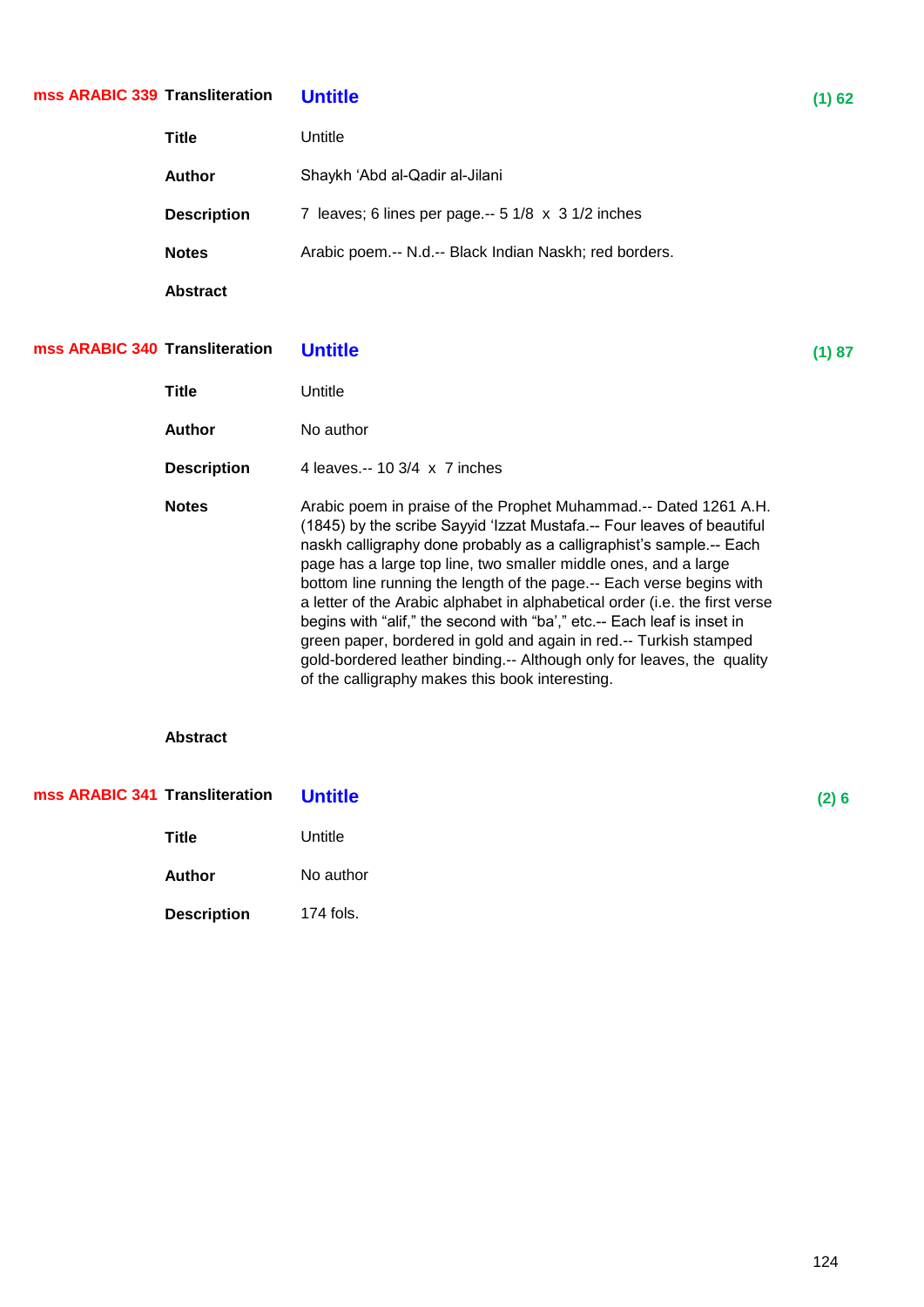## **Transliteration Untitle (1) 62 mss ARABIC 339**

| <b>Title</b>       | Untitle                                                                   |
|--------------------|---------------------------------------------------------------------------|
| <b>Author</b>      | Shaykh 'Abd al-Qadir al-Jilani                                            |
| <b>Description</b> | 7 leaves; 6 lines per page.-- $5 \frac{1}{8} \times 3 \frac{1}{2}$ inches |
| <b>Notes</b>       | Arabic poem.-- N.d.-- Black Indian Naskh; red borders.                    |
| <b>Abstract</b>    |                                                                           |

## **Transliteration Untitle (1) 87 mss ARABIC 340**

| Title              | Untitle                                                                                                                                                                                                                                                                                                                                                                                                                                                                                                                                                                                                                                                                                                                  |
|--------------------|--------------------------------------------------------------------------------------------------------------------------------------------------------------------------------------------------------------------------------------------------------------------------------------------------------------------------------------------------------------------------------------------------------------------------------------------------------------------------------------------------------------------------------------------------------------------------------------------------------------------------------------------------------------------------------------------------------------------------|
| Author             | No author                                                                                                                                                                                                                                                                                                                                                                                                                                                                                                                                                                                                                                                                                                                |
| <b>Description</b> | 4 leaves -- 10 3/4 x 7 inches                                                                                                                                                                                                                                                                                                                                                                                                                                                                                                                                                                                                                                                                                            |
| <b>Notes</b>       | Arabic poem in praise of the Prophet Muhammad.-- Dated 1261 A.H.<br>(1845) by the scribe Sayyid 'Izzat Mustafa.-- Four leaves of beautiful<br>naskh calligraphy done probably as a calligraphist's sample.-- Each<br>page has a large top line, two smaller middle ones, and a large<br>bottom line running the length of the page.-- Each verse begins with<br>a letter of the Arabic alphabet in alphabetical order (i.e. the first verse<br>begins with "alif," the second with "ba'," etc.-- Each leaf is inset in<br>green paper, bordered in gold and again in red.-- Turkish stamped<br>gold-bordered leather binding.-- Although only for leaves, the quality<br>of the calligraphy makes this book interesting. |

| mss ARABIC 341 Transliteration | <b>Untitle</b> | (2)6 |
|--------------------------------|----------------|------|
| <b>Title</b>                   | Untitle        |      |
| <b>Author</b>                  | No author      |      |
| <b>Description</b>             | 174 fols.      |      |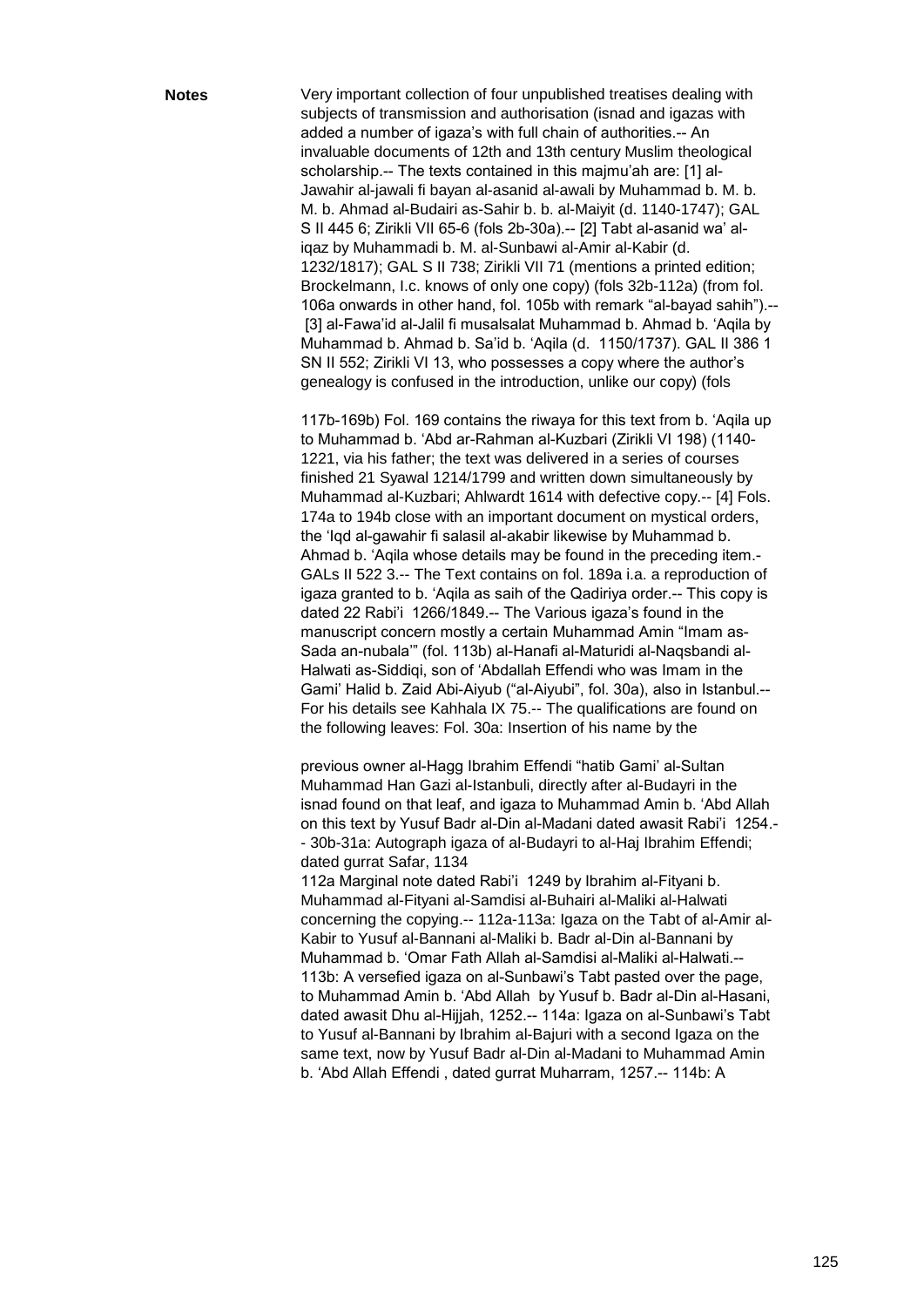**Notes** Very important collection of four unpublished treatises dealing with subjects of transmission and authorisation (isnad and igazas with added a number of igaza's with full chain of authorities.-- An invaluable documents of 12th and 13th century Muslim theological scholarship.-- The texts contained in this majmu'ah are: [1] al-Jawahir al-jawali fi bayan al-asanid al-awali by Muhammad b. M. b. M. b. Ahmad al-Budairi as-Sahir b. b. al-Maiyit (d. 1140-1747); GAL S II 445 6; Zirikli VII 65-6 (fols 2b-30a).-- [2] Tabt al-asanid wa' aliqaz by Muhammadi b. M. al-Sunbawi al-Amir al-Kabir (d. 1232/1817); GAL S II 738; Zirikli VII 71 (mentions a printed edition; Brockelmann, I.c. knows of only one copy) (fols 32b-112a) (from fol. 106a onwards in other hand, fol. 105b with remark "al-bayad sahih").--[3] al-Fawa'id al-Jalil fi musalsalat Muhammad b. Ahmad b. 'Aqila by Muhammad b. Ahmad b. Sa'id b. ‗Aqila (d. 1150/1737). GAL II 386 1 SN II 552; Zirikli VI 13, who possesses a copy where the author's genealogy is confused in the introduction, unlike our copy) (fols

> 117b-169b) Fol. 169 contains the riwaya for this text from b. ‗Aqila up to Muhammad b. ‗Abd ar-Rahman al-Kuzbari (Zirikli VI 198) (1140- 1221, via his father; the text was delivered in a series of courses finished 21 Syawal 1214/1799 and written down simultaneously by Muhammad al-Kuzbari; Ahlwardt 1614 with defective copy.-- [4] Fols. 174a to 194b close with an important document on mystical orders, the 'Iqd al-gawahir fi salasil al-akabir likewise by Muhammad b. Ahmad b. 'Agila whose details may be found in the preceding item.-GALs II 522 3.-- The Text contains on fol. 189a i.a. a reproduction of igaza granted to b. 'Aqila as saih of the Qadiriya order.-- This copy is dated 22 Rabi'i 1266/1849.-- The Various igaza's found in the manuscript concern mostly a certain Muhammad Amin "Imam as-Sada an-nubala" (fol. 113b) al-Hanafi al-Maturidi al-Naqsbandi al-Halwati as-Siddiqi, son of 'Abdallah Effendi who was Imam in the Gami' Halid b. Zaid Abi-Aiyub ("al-Aiyubi", fol. 30a), also in Istanbul.--For his details see Kahhala IX 75.-- The qualifications are found on the following leaves: Fol. 30a: Insertion of his name by the

previous owner al-Hagg Ibrahim Effendi "hatib Gami' al-Sultan Muhammad Han Gazi al-Istanbuli, directly after al-Budayri in the isnad found on that leaf, and igaza to Muhammad Amin b. 'Abd Allah on this text by Yusuf Badr al-Din al-Madani dated awasit Rabi'i 1254.- - 30b-31a: Autograph igaza of al-Budayri to al-Haj Ibrahim Effendi; dated gurrat Safar, 1134

112a Marginal note dated Rabi'i 1249 by Ibrahim al-Fityani b. Muhammad al-Fityani al-Samdisi al-Buhairi al-Maliki al-Halwati concerning the copying.-- 112a-113a: Igaza on the Tabt of al-Amir al-Kabir to Yusuf al-Bannani al-Maliki b. Badr al-Din al-Bannani by Muhammad b. ‗Omar Fath Allah al-Samdisi al-Maliki al-Halwati.-- 113b: A versefied igaza on al-Sunbawi's Tabt pasted over the page, to Muhammad Amin b. 'Abd Allah by Yusuf b. Badr al-Din al-Hasani, dated awasit Dhu al-Hijjah, 1252.-- 114a: Igaza on al-Sunbawi's Tabt to Yusuf al-Bannani by Ibrahim al-Bajuri with a second Igaza on the same text, now by Yusuf Badr al-Din al-Madani to Muhammad Amin b. ‗Abd Allah Effendi , dated gurrat Muharram, 1257.-- 114b: A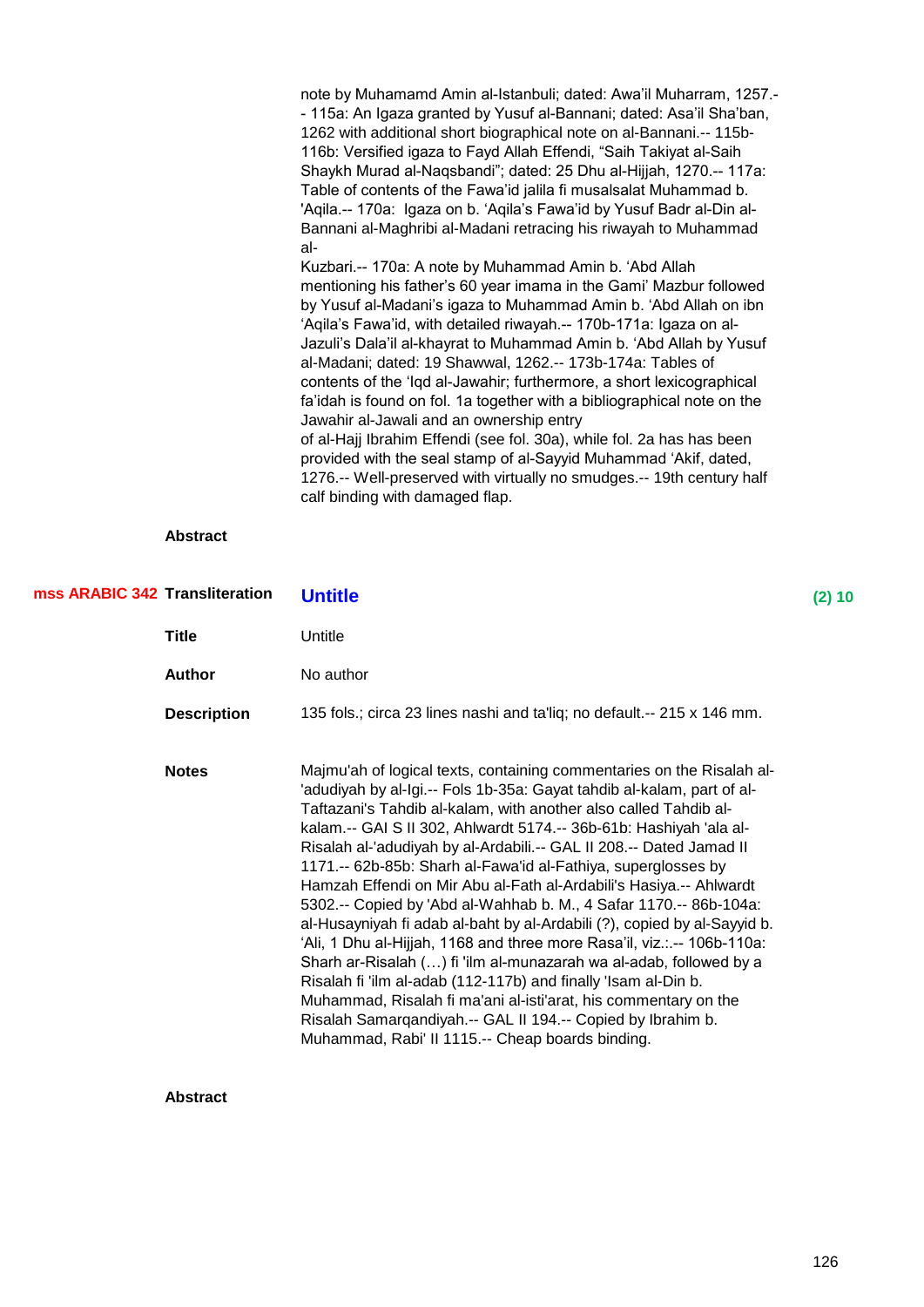note by Muhamamd Amin al-Istanbuli; dated: Awa'il Muharram, 1257.- - 115a: An Igaza granted by Yusuf al-Bannani; dated: Asa'il Sha'ban, 1262 with additional short biographical note on al-Bannani.-- 115b-116b: Versified igaza to Fayd Allah Effendi, "Saih Takiyat al-Saih Shaykh Murad al-Naqsbandi"; dated: 25 Dhu al-Hijjah, 1270.-- 117a: Table of contents of the Fawa'id jalila fi musalsalat Muhammad b. 'Agila.-- 170a: Igaza on b. 'Agila's Fawa'id by Yusuf Badr al-Din al-Bannani al-Maghribi al-Madani retracing his riwayah to Muhammad al-Kuzbari.-- 170a: A note by Muhammad Amin b. 'Abd Allah mentioning his father's 60 year imama in the Gami' Mazbur followed by Yusuf al-Madani's igaza to Muhammad Amin b. 'Abd Allah on ibn ‗Aqila's Fawa'id, with detailed riwayah.-- 170b-171a: Igaza on al-Jazuli's Dala'il al-khayrat to Muhammad Amin b. ‗Abd Allah by Yusuf al-Madani; dated: 19 Shawwal, 1262.-- 173b-174a: Tables of contents of the 'Iqd al-Jawahir; furthermore, a short lexicographical fa'idah is found on fol. 1a together with a bibliographical note on the Jawahir al-Jawali and an ownership entry of al-Hajj Ibrahim Effendi (see fol. 30a), while fol. 2a has has been provided with the seal stamp of al-Sayyid Muhammad 'Akif, dated,

1276.-- Well-preserved with virtually no smudges.-- 19th century half

#### **Abstract**

| mss ARABIC 342 Transliteration |                    | <b>Untitle</b>                                                                                                                                                                                                                                                                                                                                                                                                                                                                                                                                                                                                                                                                                                                                                                                                                                                                                                                                                                                                                                                     | $(2)$ 10 |
|--------------------------------|--------------------|--------------------------------------------------------------------------------------------------------------------------------------------------------------------------------------------------------------------------------------------------------------------------------------------------------------------------------------------------------------------------------------------------------------------------------------------------------------------------------------------------------------------------------------------------------------------------------------------------------------------------------------------------------------------------------------------------------------------------------------------------------------------------------------------------------------------------------------------------------------------------------------------------------------------------------------------------------------------------------------------------------------------------------------------------------------------|----------|
|                                | Title              | Untitle                                                                                                                                                                                                                                                                                                                                                                                                                                                                                                                                                                                                                                                                                                                                                                                                                                                                                                                                                                                                                                                            |          |
|                                | <b>Author</b>      | No author                                                                                                                                                                                                                                                                                                                                                                                                                                                                                                                                                                                                                                                                                                                                                                                                                                                                                                                                                                                                                                                          |          |
|                                | <b>Description</b> | 135 fols.; circa 23 lines nashi and ta'liq; no default.-- 215 x 146 mm.                                                                                                                                                                                                                                                                                                                                                                                                                                                                                                                                                                                                                                                                                                                                                                                                                                                                                                                                                                                            |          |
|                                | <b>Notes</b>       | Majmu'ah of logical texts, containing commentaries on the Risalah al-<br>'adudiyah by al-Igi.-- Fols 1b-35a: Gayat tahdib al-kalam, part of al-<br>Taftazani's Tahdib al-kalam, with another also called Tahdib al-<br>kalam.-- GAI S II 302, Ahlwardt 5174.-- 36b-61b: Hashiyah 'ala al-<br>Risalah al-'adudiyah by al-Ardabili.-- GAL II 208.-- Dated Jamad II<br>1171 .-- 62b-85b: Sharh al-Fawa'id al-Fathiya, superglosses by<br>Hamzah Effendi on Mir Abu al-Fath al-Ardabili's Hasiya.-- Ahlwardt<br>5302.-- Copied by 'Abd al-Wahhab b. M., 4 Safar 1170.-- 86b-104a:<br>al-Husayniyah fi adab al-baht by al-Ardabili (?), copied by al-Sayyid b.<br>'Ali, 1 Dhu al-Hijjah, 1168 and three more Rasa'il, viz.:.-- 106b-110a:<br>Sharh ar-Risalah () fi 'ilm al-munazarah wa al-adab, followed by a<br>Risalah fi 'ilm al-adab (112-117b) and finally 'Isam al-Din b.<br>Muhammad, Risalah fi ma'ani al-isti'arat, his commentary on the<br>Risalah Samarqandiyah.-- GAL II 194.-- Copied by Ibrahim b.<br>Muhammad, Rabi' II 1115.-- Cheap boards binding. |          |

calf binding with damaged flap.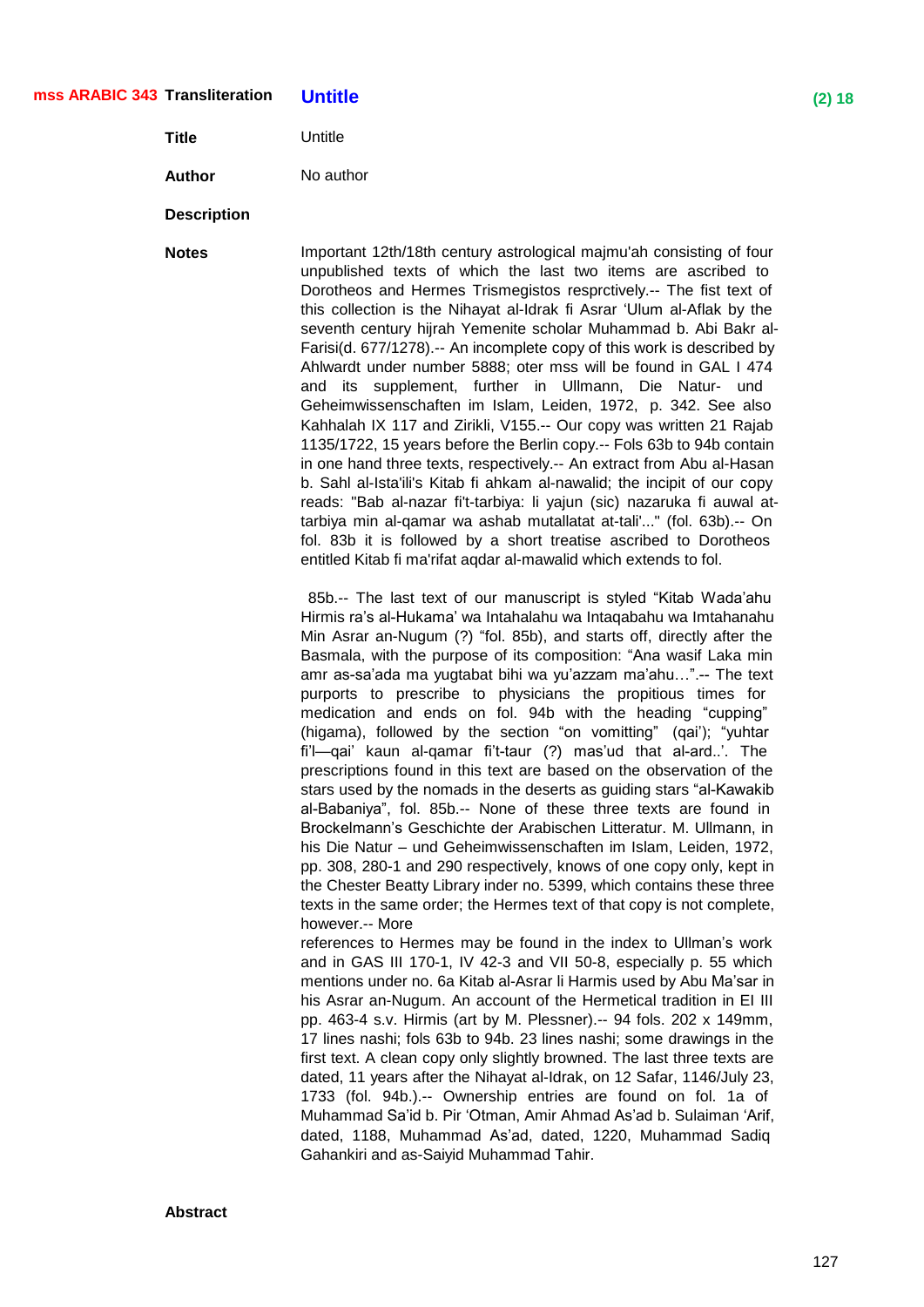## **Transliteration Untitle (2) 18 mss ARABIC 343**

**Title** Untitle

**Author** No author

#### **Description**

**Notes** Important 12th/18th century astrological maimu'ah consisting of four unpublished texts of which the last two items are ascribed to Dorotheos and Hermes Trismegistos resprctively.-- The fist text of this collection is the Nihayat al-Idrak fi Asrar ‗Ulum al-Aflak by the seventh century hijrah Yemenite scholar Muhammad b. Abi Bakr al-Farisi(d. 677/1278).-- An incomplete copy of this work is described by Ahlwardt under number 5888; oter mss will be found in GAL I 474 and its supplement, further in Ullmann, Die Natur- und Geheimwissenschaften im Islam, Leiden, 1972, p. 342. See also Kahhalah IX 117 and Zirikli, V155.-- Our copy was written 21 Rajab 1135/1722, 15 years before the Berlin copy.-- Fols 63b to 94b contain in one hand three texts, respectively.-- An extract from Abu al-Hasan b. Sahl al-Ista'ili's Kitab fi ahkam al-nawalid; the incipit of our copy reads: "Bab al-nazar fi't-tarbiya: li yajun (sic) nazaruka fi auwal attarbiya min al-qamar wa ashab mutallatat at-tali'..." (fol. 63b).-- On fol. 83b it is followed by a short treatise ascribed to Dorotheos entitled Kitab fi ma'rifat aqdar al-mawalid which extends to fol.

> 85b.-- The last text of our manuscript is styled "Kitab Wada'ahu Hirmis ra's al-Hukama' wa Intahalahu wa Intaqabahu wa Imtahanahu Min Asrar an-Nugum (?) "fol. 85b), and starts off, directly after the Basmala, with the purpose of its composition: "Ana wasif Laka min amr as-sa'ada ma yugtabat bihi wa yu'azzam ma'ahu…‖.-- The text purports to prescribe to physicians the propitious times for medication and ends on fol. 94b with the heading "cupping" (higama), followed by the section "on vomitting" (qai'); "yuhtar fi'l—qai' kaun al-qamar fi't-taur (?) mas'ud that al-ard..'. The prescriptions found in this text are based on the observation of the stars used by the nomads in the deserts as guiding stars "al-Kawakib al-Babaniya", fol. 85b.-- None of these three texts are found in Brockelmann's Geschichte der Arabischen Litteratur. M. Ullmann, in his Die Natur – und Geheimwissenschaften im Islam, Leiden, 1972, pp. 308, 280-1 and 290 respectively, knows of one copy only, kept in the Chester Beatty Library inder no. 5399, which contains these three texts in the same order; the Hermes text of that copy is not complete, however.-- More

> references to Hermes may be found in the index to Ullman's work and in GAS III 170-1, IV 42-3 and VII 50-8, especially p. 55 which mentions under no. 6a Kitab al-Asrar li Harmis used by Abu Ma'sar in his Asrar an-Nugum. An account of the Hermetical tradition in EI III pp. 463-4 s.v. Hirmis (art by M. Plessner).-- 94 fols. 202 x 149mm, 17 lines nashi; fols 63b to 94b. 23 lines nashi; some drawings in the first text. A clean copy only slightly browned. The last three texts are dated, 11 years after the Nihayat al-Idrak, on 12 Safar, 1146/July 23, 1733 (fol. 94b.).-- Ownership entries are found on fol. 1a of Muhammad Sa'id b. Pir 'Otman, Amir Ahmad As'ad b. Sulaiman 'Arif, dated, 1188, Muhammad As'ad, dated, 1220, Muhammad Sadiq Gahankiri and as-Saiyid Muhammad Tahir.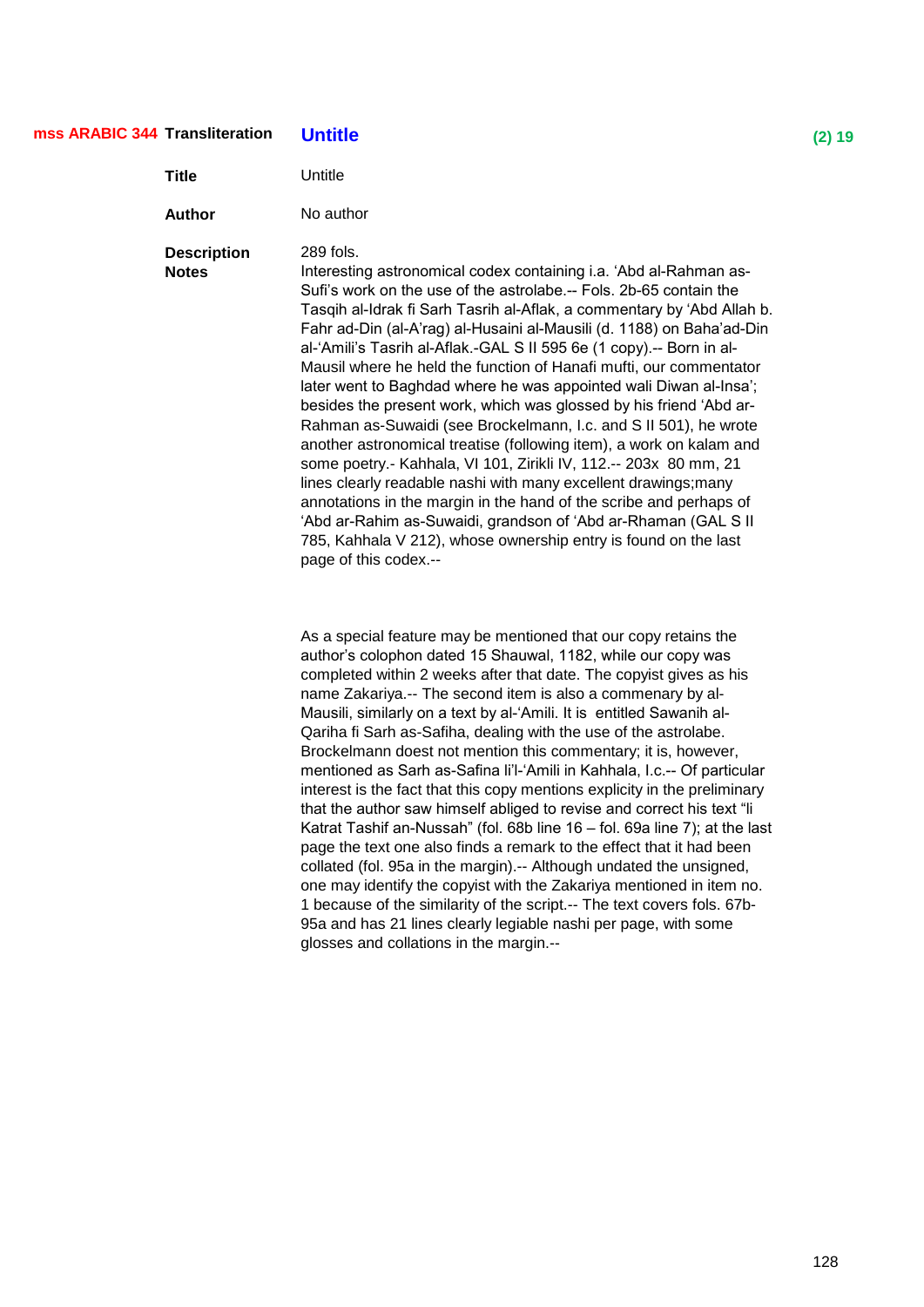## **Transliteration Untitle (2) 19 mss ARABIC 344**

| Title                              | Untitle                                                                                                                                                                                                                                                                                                                                                                                                                                                                                                                                                                                                                                                                                                                                                                                                                                                                                                                                                                                                                                                                                                                |
|------------------------------------|------------------------------------------------------------------------------------------------------------------------------------------------------------------------------------------------------------------------------------------------------------------------------------------------------------------------------------------------------------------------------------------------------------------------------------------------------------------------------------------------------------------------------------------------------------------------------------------------------------------------------------------------------------------------------------------------------------------------------------------------------------------------------------------------------------------------------------------------------------------------------------------------------------------------------------------------------------------------------------------------------------------------------------------------------------------------------------------------------------------------|
| Author                             | No author                                                                                                                                                                                                                                                                                                                                                                                                                                                                                                                                                                                                                                                                                                                                                                                                                                                                                                                                                                                                                                                                                                              |
| <b>Description</b><br><b>Notes</b> | 289 fols.<br>Interesting astronomical codex containing i.a. 'Abd al-Rahman as-<br>Sufi's work on the use of the astrolabe.-- Fols. 2b-65 contain the<br>Tasqih al-Idrak fi Sarh Tasrih al-Aflak, a commentary by 'Abd Allah b.<br>Fahr ad-Din (al-A'rag) al-Husaini al-Mausili (d. 1188) on Baha'ad-Din<br>al-'Amili's Tasrih al-Aflak.-GAL S II 595 6e (1 copy).-- Born in al-<br>Mausil where he held the function of Hanafi mufti, our commentator<br>later went to Baghdad where he was appointed wali Diwan al-Insa';<br>besides the present work, which was glossed by his friend 'Abd ar-<br>Rahman as-Suwaidi (see Brockelmann, I.c. and S II 501), he wrote<br>another astronomical treatise (following item), a work on kalam and<br>some poetry.- Kahhala, VI 101, Zirikli IV, 112.-- 203x 80 mm, 21<br>lines clearly readable nashi with many excellent drawings; many<br>annotations in the margin in the hand of the scribe and perhaps of<br>'Abd ar-Rahim as-Suwaidi, grandson of 'Abd ar-Rhaman (GAL S II<br>785, Kahhala V 212), whose ownership entry is found on the last<br>page of this codex.-- |
|                                    |                                                                                                                                                                                                                                                                                                                                                                                                                                                                                                                                                                                                                                                                                                                                                                                                                                                                                                                                                                                                                                                                                                                        |

As a special feature may be mentioned that our copy retains the author's colophon dated 15 Shauwal, 1182, while our copy was completed within 2 weeks after that date. The copyist gives as his name Zakariya.-- The second item is also a commenary by al-Mausili, similarly on a text by al-'Amili. It is entitled Sawanih al-Qariha fi Sarh as-Safiha, dealing with the use of the astrolabe. Brockelmann doest not mention this commentary; it is, however, mentioned as Sarh as-Safina li'l-‗Amili in Kahhala, I.c.-- Of particular interest is the fact that this copy mentions explicity in the preliminary that the author saw himself abliged to revise and correct his text "li Katrat Tashif an-Nussah" (fol. 68b line 16 – fol. 69a line 7); at the last page the text one also finds a remark to the effect that it had been collated (fol. 95a in the margin).-- Although undated the unsigned, one may identify the copyist with the Zakariya mentioned in item no. 1 because of the similarity of the script.-- The text covers fols. 67b-95a and has 21 lines clearly legiable nashi per page, with some glosses and collations in the margin.--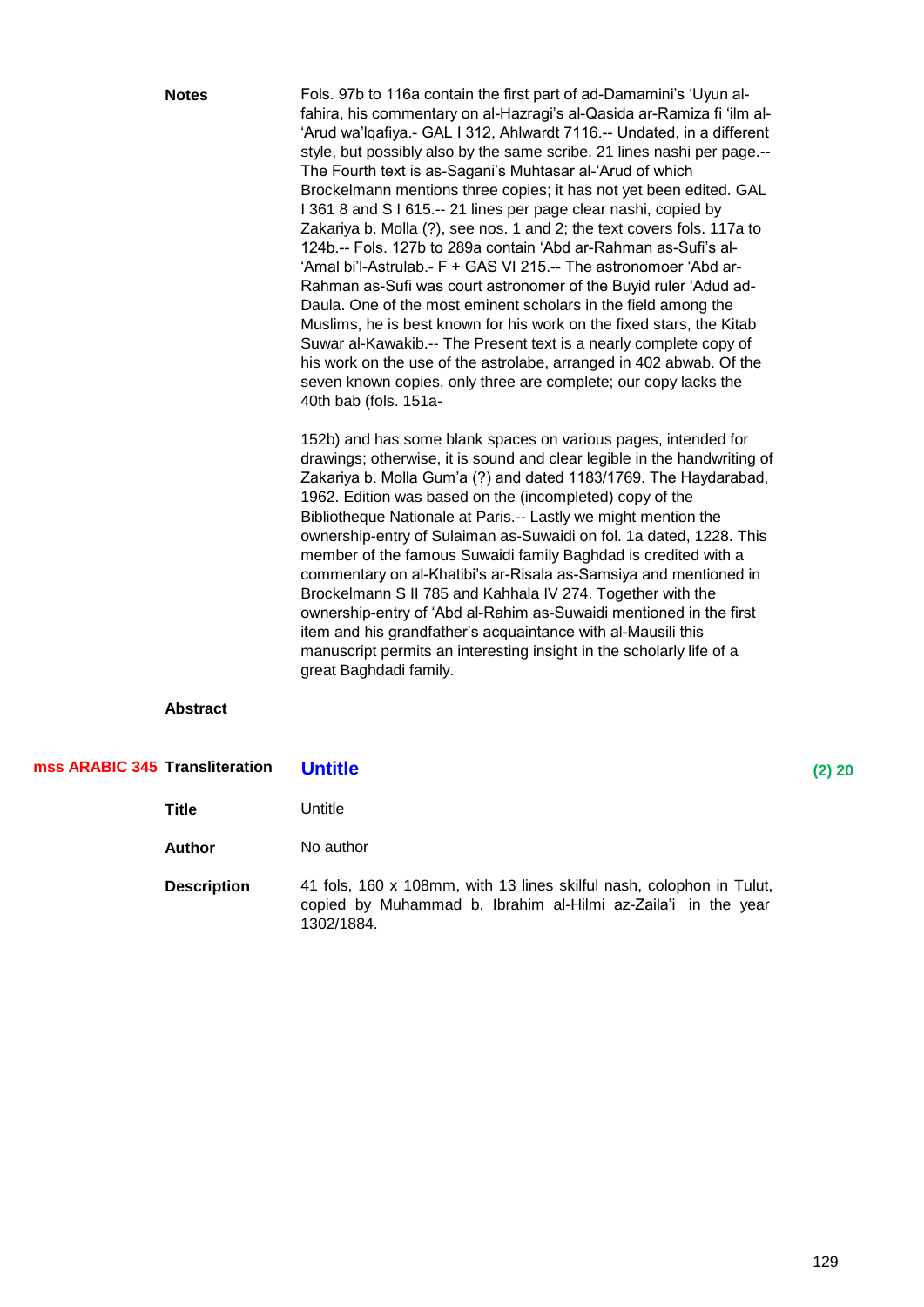|                                | <b>Notes</b>    | Fols. 97b to 116a contain the first part of ad-Damamini's 'Uyun al-<br>fahira, his commentary on al-Hazragi's al-Qasida ar-Ramiza fi 'ilm al-<br>'Arud wa'lqafiya.- GAL I 312, Ahlwardt 7116.-- Undated, in a different<br>style, but possibly also by the same scribe. 21 lines nashi per page.--<br>The Fourth text is as-Sagani's Muhtasar al-'Arud of which<br>Brockelmann mentions three copies; it has not yet been edited. GAL<br>I 361 8 and S I 615.-- 21 lines per page clear nashi, copied by<br>Zakariya b. Molla (?), see nos. 1 and 2; the text covers fols. 117a to<br>124b.-- Fols. 127b to 289a contain 'Abd ar-Rahman as-Sufi's al-<br>'Amal bi'l-Astrulab.- F + GAS VI 215.-- The astronomoer 'Abd ar-<br>Rahman as-Sufi was court astronomer of the Buyid ruler 'Adud ad-<br>Daula. One of the most eminent scholars in the field among the<br>Muslims, he is best known for his work on the fixed stars, the Kitab<br>Suwar al-Kawakib.-- The Present text is a nearly complete copy of<br>his work on the use of the astrolabe, arranged in 402 abwab. Of the<br>seven known copies, only three are complete; our copy lacks the<br>40th bab (fols. 151a- |        |
|--------------------------------|-----------------|---------------------------------------------------------------------------------------------------------------------------------------------------------------------------------------------------------------------------------------------------------------------------------------------------------------------------------------------------------------------------------------------------------------------------------------------------------------------------------------------------------------------------------------------------------------------------------------------------------------------------------------------------------------------------------------------------------------------------------------------------------------------------------------------------------------------------------------------------------------------------------------------------------------------------------------------------------------------------------------------------------------------------------------------------------------------------------------------------------------------------------------------------------------------------------|--------|
|                                |                 | 152b) and has some blank spaces on various pages, intended for<br>drawings; otherwise, it is sound and clear legible in the handwriting of<br>Zakariya b. Molla Gum'a (?) and dated 1183/1769. The Haydarabad,<br>1962. Edition was based on the (incompleted) copy of the<br>Bibliotheque Nationale at Paris.-- Lastly we might mention the<br>ownership-entry of Sulaiman as-Suwaidi on fol. 1a dated, 1228. This<br>member of the famous Suwaidi family Baghdad is credited with a<br>commentary on al-Khatibi's ar-Risala as-Samsiya and mentioned in<br>Brockelmann S II 785 and Kahhala IV 274. Together with the<br>ownership-entry of 'Abd al-Rahim as-Suwaidi mentioned in the first<br>item and his grandfather's acquaintance with al-Mausili this<br>manuscript permits an interesting insight in the scholarly life of a<br>great Baghdadi family.                                                                                                                                                                                                                                                                                                                 |        |
|                                | <b>Abstract</b> |                                                                                                                                                                                                                                                                                                                                                                                                                                                                                                                                                                                                                                                                                                                                                                                                                                                                                                                                                                                                                                                                                                                                                                                 |        |
| mss ARABIC 345 Transliteration |                 | <b>Untitle</b>                                                                                                                                                                                                                                                                                                                                                                                                                                                                                                                                                                                                                                                                                                                                                                                                                                                                                                                                                                                                                                                                                                                                                                  | (2) 20 |
|                                | <b>Title</b>    | Untitle                                                                                                                                                                                                                                                                                                                                                                                                                                                                                                                                                                                                                                                                                                                                                                                                                                                                                                                                                                                                                                                                                                                                                                         |        |
|                                |                 |                                                                                                                                                                                                                                                                                                                                                                                                                                                                                                                                                                                                                                                                                                                                                                                                                                                                                                                                                                                                                                                                                                                                                                                 |        |

**Description** 41 fols, 160 x 108mm, with 13 lines skilful nash, colophon in Tulut, copied by Muhammad b. Ibrahim al-Hilmi az-Zaila'i in the year 1302/1884.

**Author** No author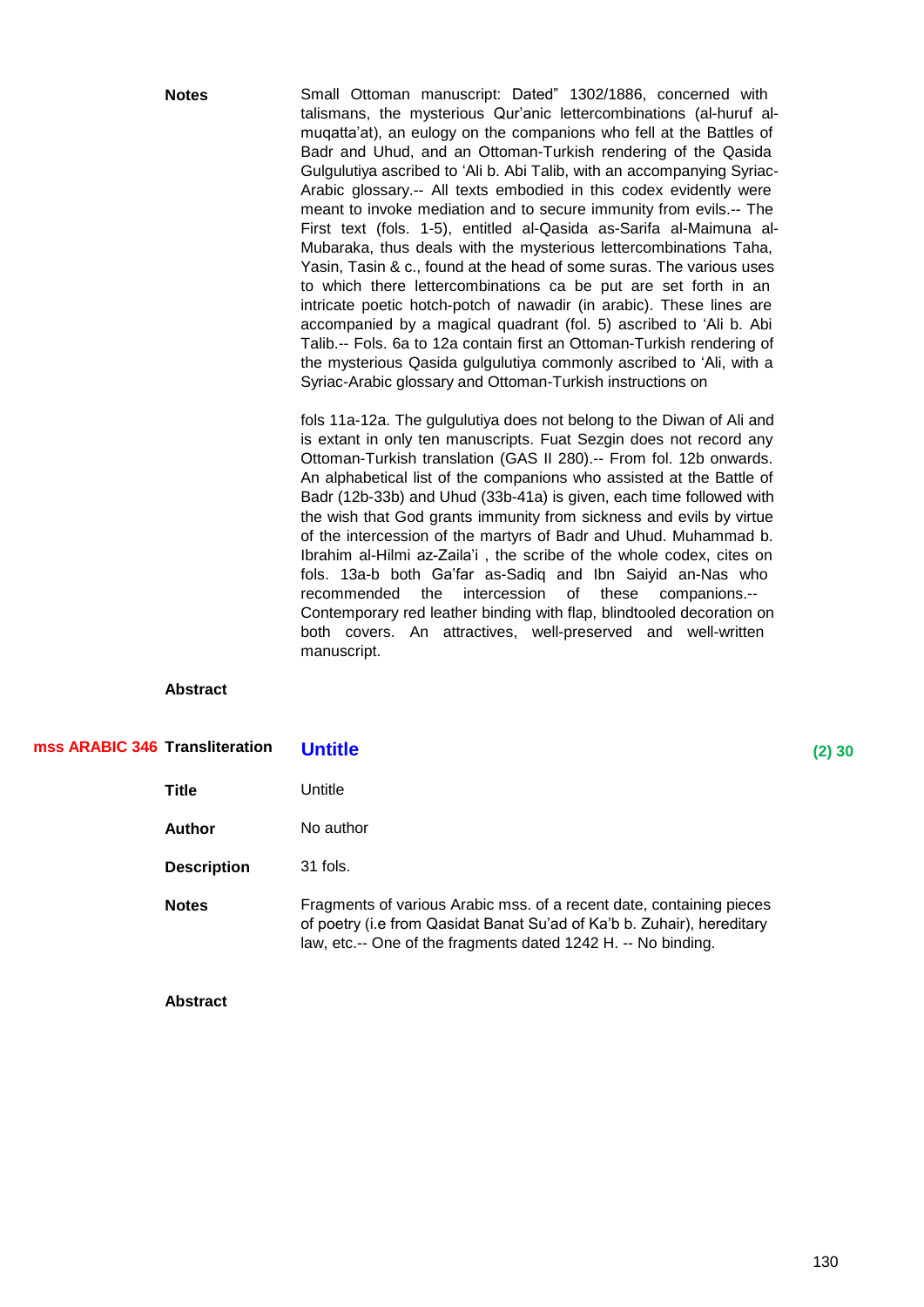**Notes** Small Ottoman manuscript: Dated" 1302/1886, concerned with talismans, the mysterious Qur'anic lettercombinations (al-huruf almuqatta'at), an eulogy on the companions who fell at the Battles of Badr and Uhud, and an Ottoman-Turkish rendering of the Qasida Gulgulutiya ascribed to 'Ali b. Abi Talib, with an accompanying Syriac-Arabic glossary.-- All texts embodied in this codex evidently were meant to invoke mediation and to secure immunity from evils.-- The First text (fols. 1-5), entitled al-Qasida as-Sarifa al-Maimuna al-Mubaraka, thus deals with the mysterious lettercombinations Taha, Yasin, Tasin & c., found at the head of some suras. The various uses to which there lettercombinations ca be put are set forth in an intricate poetic hotch-potch of nawadir (in arabic). These lines are accompanied by a magical quadrant (fol. 5) ascribed to 'Ali b. Abi Talib.-- Fols. 6a to 12a contain first an Ottoman-Turkish rendering of the mysterious Qasida gulgulutiya commonly ascribed to 'Ali, with a Syriac-Arabic glossary and Ottoman-Turkish instructions on

> fols 11a-12a. The gulgulutiya does not belong to the Diwan of Ali and is extant in only ten manuscripts. Fuat Sezgin does not record any Ottoman-Turkish translation (GAS II 280).-- From fol. 12b onwards. An alphabetical list of the companions who assisted at the Battle of Badr (12b-33b) and Uhud (33b-41a) is given, each time followed with the wish that God grants immunity from sickness and evils by virtue of the intercession of the martyrs of Badr and Uhud. Muhammad b. Ibrahim al-Hilmi az-Zaila'i , the scribe of the whole codex, cites on fols. 13a-b both Ga'far as-Sadiq and Ibn Saiyid an-Nas who recommended the intercession of these companions.-- Contemporary red leather binding with flap, blindtooled decoration on both covers. An attractives, well-preserved and well-written manuscript.

#### **Abstract**

| mss ARABIC 346 Transliteration | <b>Untitle</b>                                                                                                                                                                                                  | $(2)$ 30 |
|--------------------------------|-----------------------------------------------------------------------------------------------------------------------------------------------------------------------------------------------------------------|----------|
| Title                          | Untitle                                                                                                                                                                                                         |          |
| <b>Author</b>                  | No author                                                                                                                                                                                                       |          |
| <b>Description</b>             | $31$ fols.                                                                                                                                                                                                      |          |
| <b>Notes</b>                   | Fragments of various Arabic mss. of a recent date, containing pieces<br>of poetry (i.e from Qasidat Banat Su'ad of Ka'b b. Zuhair), hereditary<br>law, etc.-- One of the fragments dated 1242 H. -- No binding. |          |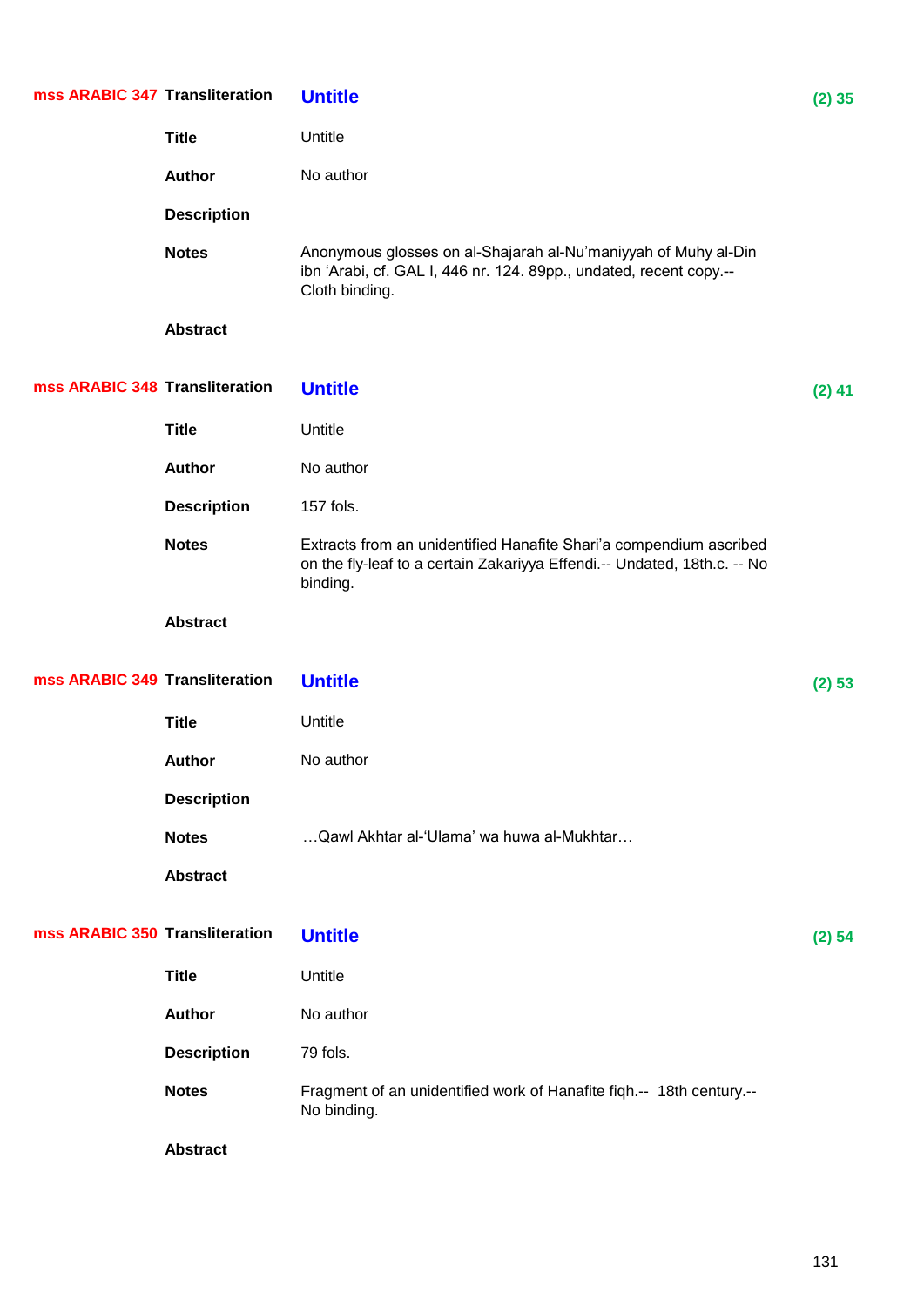| mss ARABIC 347 Transliteration |                    | <b>Untitle</b>                                                                                                                                             | $(2)$ 35 |
|--------------------------------|--------------------|------------------------------------------------------------------------------------------------------------------------------------------------------------|----------|
|                                | <b>Title</b>       | Untitle                                                                                                                                                    |          |
|                                | Author             | No author                                                                                                                                                  |          |
|                                | <b>Description</b> |                                                                                                                                                            |          |
|                                | <b>Notes</b>       | Anonymous glosses on al-Shajarah al-Nu'maniyyah of Muhy al-Din<br>ibn 'Arabi, cf. GAL I, 446 nr. 124. 89pp., undated, recent copy.--<br>Cloth binding.     |          |
|                                | <b>Abstract</b>    |                                                                                                                                                            |          |
| mss ARABIC 348 Transliteration |                    | <b>Untitle</b>                                                                                                                                             | $(2)$ 41 |
|                                | <b>Title</b>       | Untitle                                                                                                                                                    |          |
|                                | Author             | No author                                                                                                                                                  |          |
|                                | <b>Description</b> | 157 fols.                                                                                                                                                  |          |
|                                | <b>Notes</b>       | Extracts from an unidentified Hanafite Shari'a compendium ascribed<br>on the fly-leaf to a certain Zakariyya Effendi.-- Undated, 18th.c. -- No<br>binding. |          |
|                                | <b>Abstract</b>    |                                                                                                                                                            |          |
| mss ARABIC 349 Transliteration |                    | <b>Untitle</b>                                                                                                                                             | (2) 53   |
|                                | <b>Title</b>       | Untitle                                                                                                                                                    |          |
|                                | <b>Author</b>      | No author                                                                                                                                                  |          |
|                                | <b>Description</b> |                                                                                                                                                            |          |
|                                | <b>Notes</b>       | Qawl Akhtar al-'Ulama' wa huwa al-Mukhtar                                                                                                                  |          |
|                                | <b>Abstract</b>    |                                                                                                                                                            |          |
| mss ARABIC 350 Transliteration |                    | <b>Untitle</b>                                                                                                                                             | (2) 54   |
|                                | <b>Title</b>       | Untitle                                                                                                                                                    |          |
|                                | Author             | No author                                                                                                                                                  |          |
|                                | <b>Description</b> | 79 fols.                                                                                                                                                   |          |
|                                | <b>Notes</b>       | Fragment of an unidentified work of Hanafite figh.-- 18th century.--<br>No binding.                                                                        |          |
|                                | <b>Abstract</b>    |                                                                                                                                                            |          |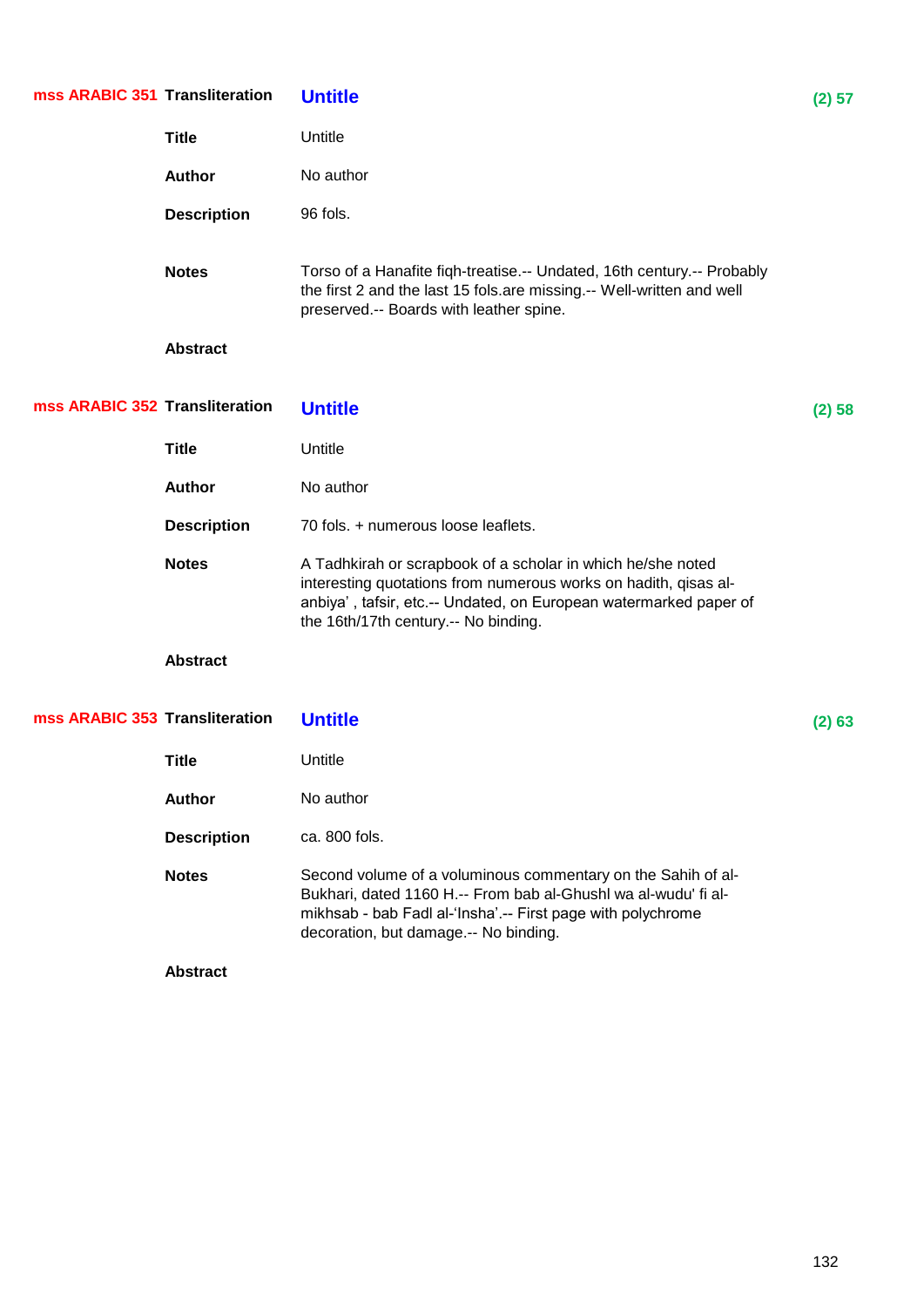| mss ARABIC 351 Transliteration |                    | <b>Untitle</b>                                                                                                                                                                                                                              | (2) 57 |
|--------------------------------|--------------------|---------------------------------------------------------------------------------------------------------------------------------------------------------------------------------------------------------------------------------------------|--------|
|                                | <b>Title</b>       | Untitle                                                                                                                                                                                                                                     |        |
|                                | <b>Author</b>      | No author                                                                                                                                                                                                                                   |        |
|                                | <b>Description</b> | 96 fols.                                                                                                                                                                                                                                    |        |
|                                | <b>Notes</b>       | Torso of a Hanafite fiqh-treatise.-- Undated, 16th century.-- Probably<br>the first 2 and the last 15 fols.are missing.-- Well-written and well<br>preserved.-- Boards with leather spine.                                                  |        |
|                                | <b>Abstract</b>    |                                                                                                                                                                                                                                             |        |
| mss ARABIC 352 Transliteration |                    | <b>Untitle</b>                                                                                                                                                                                                                              | (2) 58 |
|                                | <b>Title</b>       | Untitle                                                                                                                                                                                                                                     |        |
|                                | <b>Author</b>      | No author                                                                                                                                                                                                                                   |        |
|                                | <b>Description</b> | 70 fols. + numerous loose leaflets.                                                                                                                                                                                                         |        |
|                                | <b>Notes</b>       | A Tadhkirah or scrapbook of a scholar in which he/she noted<br>interesting quotations from numerous works on hadith, qisas al-<br>anbiya', tafsir, etc.-- Undated, on European watermarked paper of<br>the 16th/17th century.-- No binding. |        |
|                                | <b>Abstract</b>    |                                                                                                                                                                                                                                             |        |
| mss ARABIC 353 Transliteration |                    | <b>Untitle</b>                                                                                                                                                                                                                              | (2) 63 |
|                                | <b>Title</b>       | Untitle                                                                                                                                                                                                                                     |        |
|                                | <b>Author</b>      | No author                                                                                                                                                                                                                                   |        |
|                                | <b>Description</b> | ca. 800 fols.                                                                                                                                                                                                                               |        |
|                                | <b>Notes</b>       | Second volume of a voluminous commentary on the Sahih of al-<br>Bukhari, dated 1160 H .-- From bab al-Ghushl wa al-wudu' fi al-<br>mikhsab - bab Fadl al-'Insha'.-- First page with polychrome<br>decoration, but damage .-- No binding.    |        |
|                                | <b>Abstract</b>    |                                                                                                                                                                                                                                             |        |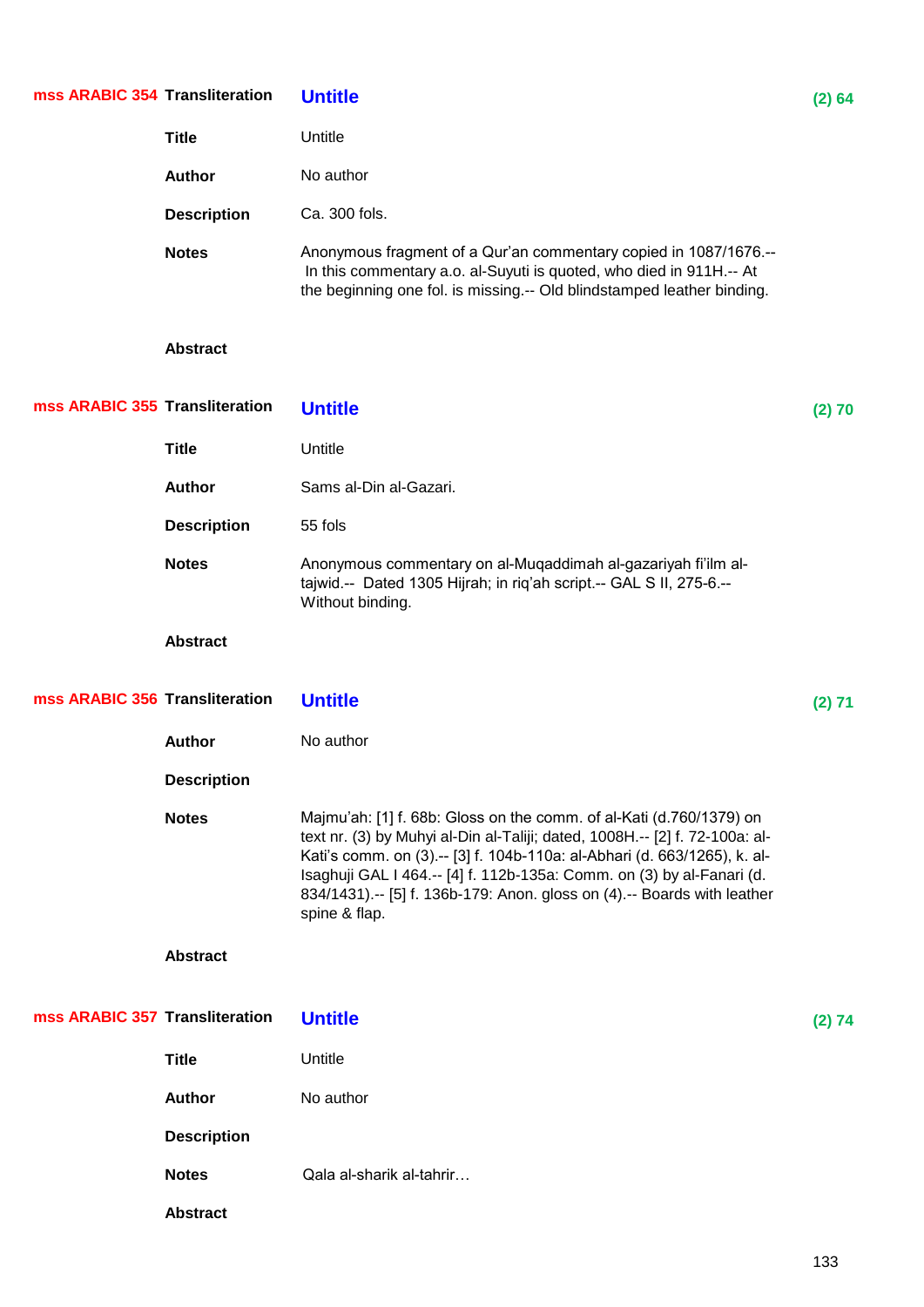| mss ARABIC 354 Transliteration |                    | <b>Untitle</b>                                                                                                                                                                                                                                                                                                                                                                                         | (2) 64 |
|--------------------------------|--------------------|--------------------------------------------------------------------------------------------------------------------------------------------------------------------------------------------------------------------------------------------------------------------------------------------------------------------------------------------------------------------------------------------------------|--------|
|                                | <b>Title</b>       | Untitle                                                                                                                                                                                                                                                                                                                                                                                                |        |
|                                | Author             | No author                                                                                                                                                                                                                                                                                                                                                                                              |        |
|                                | <b>Description</b> | Ca. 300 fols.                                                                                                                                                                                                                                                                                                                                                                                          |        |
|                                | <b>Notes</b>       | Anonymous fragment of a Qur'an commentary copied in 1087/1676.--<br>In this commentary a.o. al-Suyuti is quoted, who died in 911H.-- At<br>the beginning one fol. is missing.-- Old blindstamped leather binding.                                                                                                                                                                                      |        |
|                                | <b>Abstract</b>    |                                                                                                                                                                                                                                                                                                                                                                                                        |        |
| mss ARABIC 355 Transliteration |                    | <b>Untitle</b>                                                                                                                                                                                                                                                                                                                                                                                         | (2) 70 |
|                                | <b>Title</b>       | Untitle                                                                                                                                                                                                                                                                                                                                                                                                |        |
|                                | <b>Author</b>      | Sams al-Din al-Gazari.                                                                                                                                                                                                                                                                                                                                                                                 |        |
|                                | <b>Description</b> | 55 fols                                                                                                                                                                                                                                                                                                                                                                                                |        |
|                                | <b>Notes</b>       | Anonymous commentary on al-Muqaddimah al-gazariyah fi'ilm al-<br>tajwid .-- Dated 1305 Hijrah; in riq'ah script .-- GAL S II, 275-6 .--<br>Without binding.                                                                                                                                                                                                                                            |        |
|                                | <b>Abstract</b>    |                                                                                                                                                                                                                                                                                                                                                                                                        |        |
| mss ARABIC 356 Transliteration |                    | <b>Untitle</b>                                                                                                                                                                                                                                                                                                                                                                                         | (2) 71 |
|                                | <b>Author</b>      | No author                                                                                                                                                                                                                                                                                                                                                                                              |        |
|                                | <b>Description</b> |                                                                                                                                                                                                                                                                                                                                                                                                        |        |
|                                | <b>Notes</b>       | Majmu'ah: [1] f. 68b: Gloss on the comm. of al-Kati (d.760/1379) on<br>text nr. (3) by Muhyi al-Din al-Taliji; dated, 1008H.-- [2] f. 72-100a: al-<br>Kati's comm. on (3).-- [3] f. 104b-110a: al-Abhari (d. 663/1265), k. al-<br>Isaghuji GAL I 464 .-- [4] f. 112b-135a: Comm. on (3) by al-Fanari (d.<br>834/1431) .-- [5] f. 136b-179: Anon. gloss on (4) .-- Boards with leather<br>spine & flap. |        |
|                                | <b>Abstract</b>    |                                                                                                                                                                                                                                                                                                                                                                                                        |        |
| mss ARABIC 357 Transliteration |                    | <b>Untitle</b>                                                                                                                                                                                                                                                                                                                                                                                         | (2) 74 |
|                                | <b>Title</b>       | Untitle                                                                                                                                                                                                                                                                                                                                                                                                |        |
|                                | <b>Author</b>      | No author                                                                                                                                                                                                                                                                                                                                                                                              |        |
|                                | <b>Description</b> |                                                                                                                                                                                                                                                                                                                                                                                                        |        |
|                                | <b>Notes</b>       | Qala al-sharik al-tahrir                                                                                                                                                                                                                                                                                                                                                                               |        |
|                                | <b>Abstract</b>    |                                                                                                                                                                                                                                                                                                                                                                                                        |        |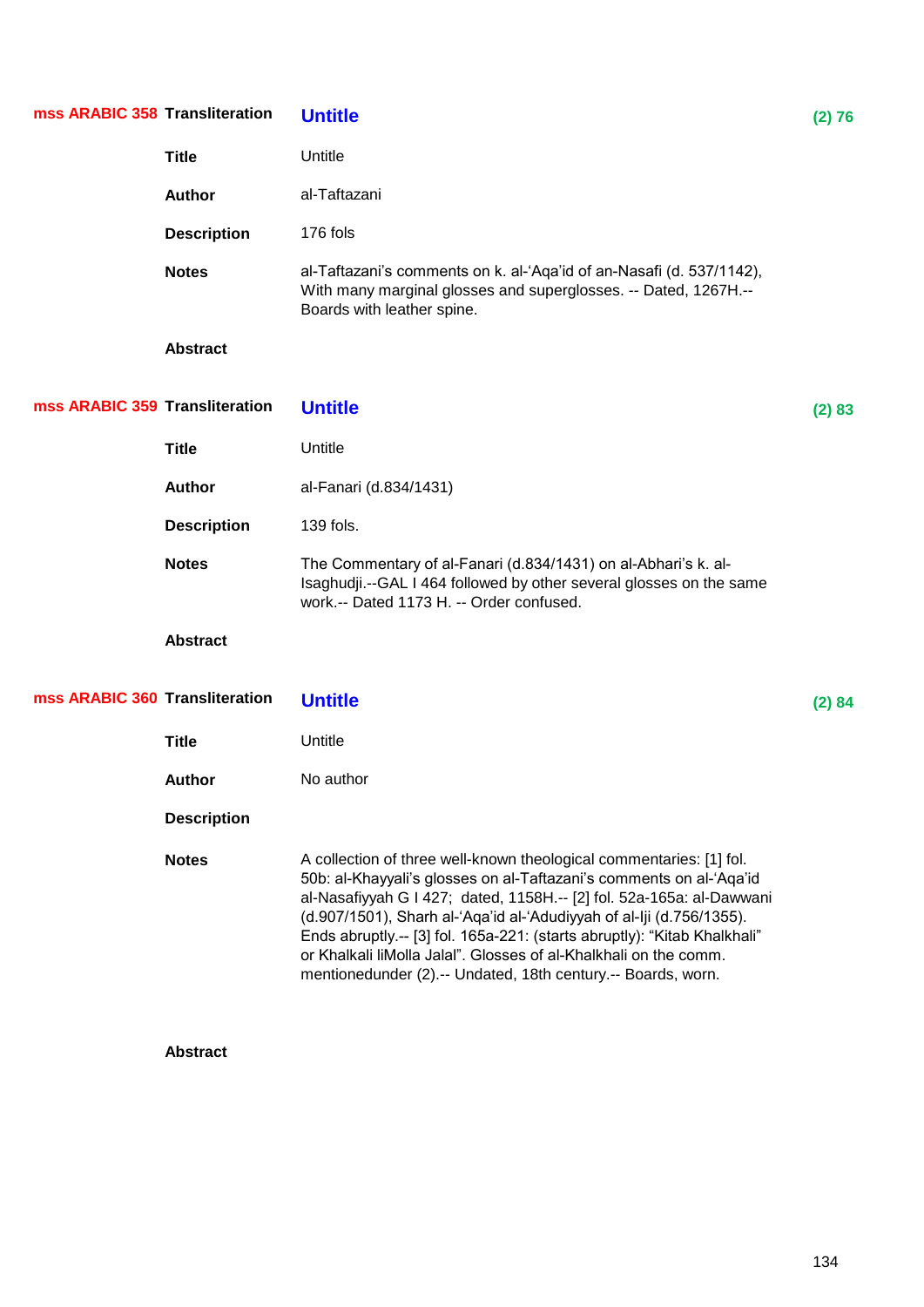| mss ARABIC 358 Transliteration |                    | <b>Untitle</b>                                                                                                                                                                                                                                                                                                                                                                                                                                                                                              | (2) 76 |
|--------------------------------|--------------------|-------------------------------------------------------------------------------------------------------------------------------------------------------------------------------------------------------------------------------------------------------------------------------------------------------------------------------------------------------------------------------------------------------------------------------------------------------------------------------------------------------------|--------|
|                                | <b>Title</b>       | Untitle                                                                                                                                                                                                                                                                                                                                                                                                                                                                                                     |        |
|                                | Author             | al-Taftazani                                                                                                                                                                                                                                                                                                                                                                                                                                                                                                |        |
|                                | <b>Description</b> | 176 fols                                                                                                                                                                                                                                                                                                                                                                                                                                                                                                    |        |
|                                | <b>Notes</b>       | al-Taftazani's comments on k. al-'Aqa'id of an-Nasafi (d. 537/1142),<br>With many marginal glosses and superglosses. -- Dated, 1267H.--<br>Boards with leather spine.                                                                                                                                                                                                                                                                                                                                       |        |
|                                | <b>Abstract</b>    |                                                                                                                                                                                                                                                                                                                                                                                                                                                                                                             |        |
| mss ARABIC 359 Transliteration |                    | <b>Untitle</b>                                                                                                                                                                                                                                                                                                                                                                                                                                                                                              | (2) 83 |
|                                | <b>Title</b>       | Untitle                                                                                                                                                                                                                                                                                                                                                                                                                                                                                                     |        |
|                                | <b>Author</b>      | al-Fanari (d.834/1431)                                                                                                                                                                                                                                                                                                                                                                                                                                                                                      |        |
|                                | <b>Description</b> | 139 fols.                                                                                                                                                                                                                                                                                                                                                                                                                                                                                                   |        |
|                                | <b>Notes</b>       | The Commentary of al-Fanari (d.834/1431) on al-Abhari's k. al-<br>Isaghudji.--GAL I 464 followed by other several glosses on the same<br>work.-- Dated 1173 H. -- Order confused.                                                                                                                                                                                                                                                                                                                           |        |
|                                | <b>Abstract</b>    |                                                                                                                                                                                                                                                                                                                                                                                                                                                                                                             |        |
| mss ARABIC 360 Transliteration |                    | <b>Untitle</b>                                                                                                                                                                                                                                                                                                                                                                                                                                                                                              | (2) 84 |
|                                | <b>Title</b>       | Untitle                                                                                                                                                                                                                                                                                                                                                                                                                                                                                                     |        |
|                                | <b>Author</b>      | No author                                                                                                                                                                                                                                                                                                                                                                                                                                                                                                   |        |
|                                | <b>Description</b> |                                                                                                                                                                                                                                                                                                                                                                                                                                                                                                             |        |
|                                | <b>Notes</b>       | A collection of three well-known theological commentaries: [1] fol.<br>50b: al-Khayyali's glosses on al-Taftazani's comments on al-'Aqa'id<br>al-Nasafiyyah G I 427; dated, 1158H .-- [2] fol. 52a-165a: al-Dawwani<br>(d.907/1501), Sharh al-'Aqa'id al-'Adudiyyah of al-Iji (d.756/1355).<br>Ends abruptly.-- [3] fol. 165a-221: (starts abruptly): "Kitab Khalkhali"<br>or Khalkali liMolla Jalal". Glosses of al-Khalkhali on the comm.<br>mentionedunder (2).-- Undated, 18th century.-- Boards, worn. |        |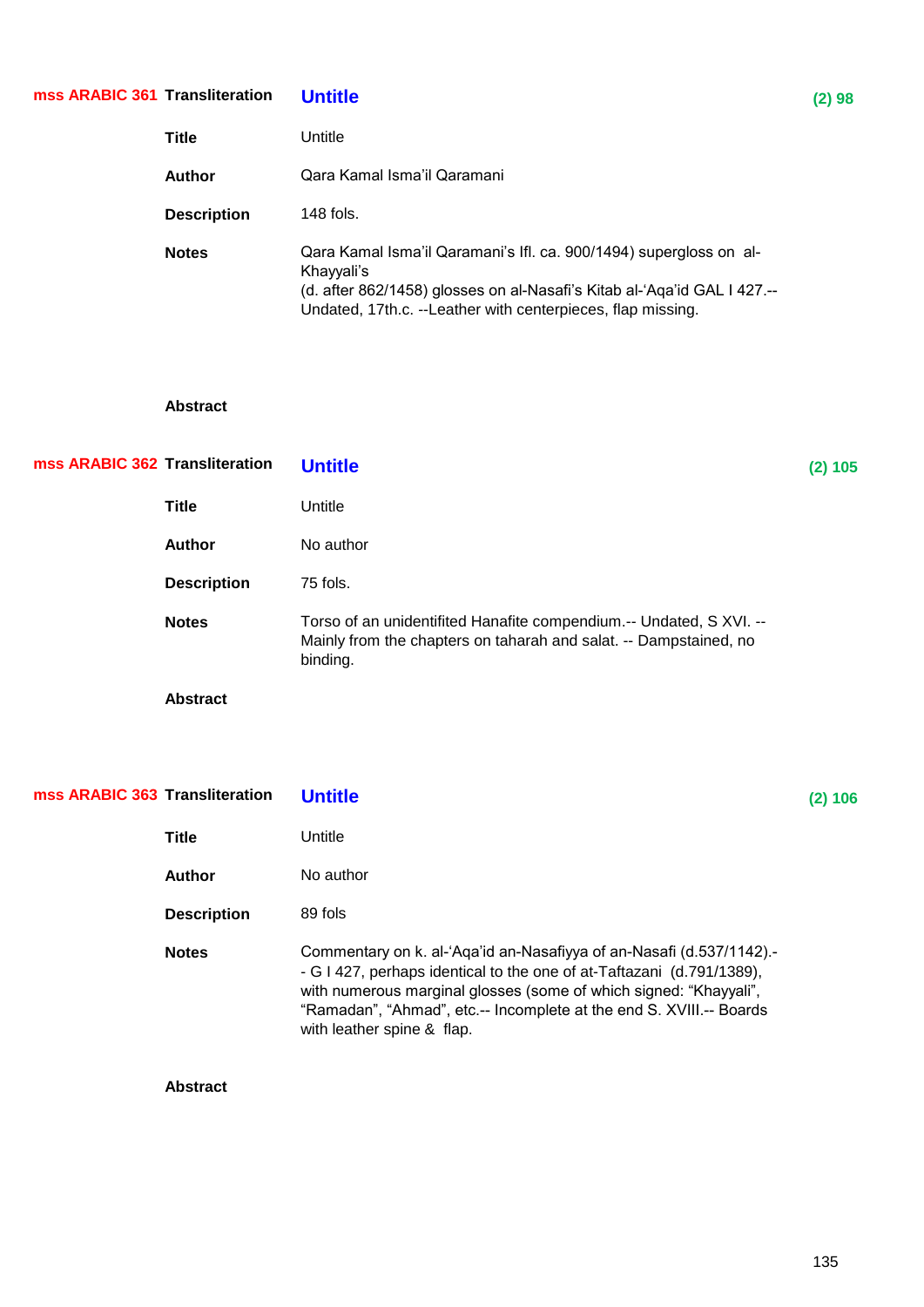## **Transliteration Untitle (2) 98 mss ARABIC 361**

| <b>Title</b>       | Untitle                                                                                                                                                                                                                     |
|--------------------|-----------------------------------------------------------------------------------------------------------------------------------------------------------------------------------------------------------------------------|
| Author             | Qara Kamal Isma'il Qaramani                                                                                                                                                                                                 |
| <b>Description</b> | $148$ fols.                                                                                                                                                                                                                 |
| <b>Notes</b>       | Qara Kamal Isma'il Qaramani's Ifl. ca. 900/1494) supergloss on al-<br>Khayyali's<br>(d. after 862/1458) glosses on al-Nasafi's Kitab al-'Aqa'id GAL I 427.--<br>Undated, 17th.c. --Leather with centerpieces, flap missing. |

## **Abstract**

| mss ARABIC 362 Transliteration |                    | <b>Untitle</b>                                                                                                                                       | $(2)$ 105 |
|--------------------------------|--------------------|------------------------------------------------------------------------------------------------------------------------------------------------------|-----------|
|                                | <b>Title</b>       | Untitle                                                                                                                                              |           |
|                                | <b>Author</b>      | No author                                                                                                                                            |           |
|                                | <b>Description</b> | 75 fols.                                                                                                                                             |           |
|                                | <b>Notes</b>       | Torso of an unidentifited Hanafite compendium.-- Undated, S XVI. --<br>Mainly from the chapters on taharah and salat. -- Dampstained, no<br>binding. |           |
|                                | <b>Abstract</b>    |                                                                                                                                                      |           |

| mss ARABIC 363 Transliteration |                    | <b>Untitle</b>                                                                                                                                                                                                                                                                                                          | (2) 106 |
|--------------------------------|--------------------|-------------------------------------------------------------------------------------------------------------------------------------------------------------------------------------------------------------------------------------------------------------------------------------------------------------------------|---------|
|                                | <b>Title</b>       | Untitle                                                                                                                                                                                                                                                                                                                 |         |
|                                | Author             | No author                                                                                                                                                                                                                                                                                                               |         |
|                                | <b>Description</b> | 89 fols                                                                                                                                                                                                                                                                                                                 |         |
|                                | <b>Notes</b>       | Commentary on k. al-'Aqa'id an-Nasafiyya of an-Nasafi (d.537/1142).-<br>- G I 427, perhaps identical to the one of at-Taftazani (d.791/1389),<br>with numerous marginal glosses (some of which signed: "Khayyali",<br>"Ramadan", "Ahmad", etc.-- Incomplete at the end S. XVIII.-- Boards<br>with leather spine & flap. |         |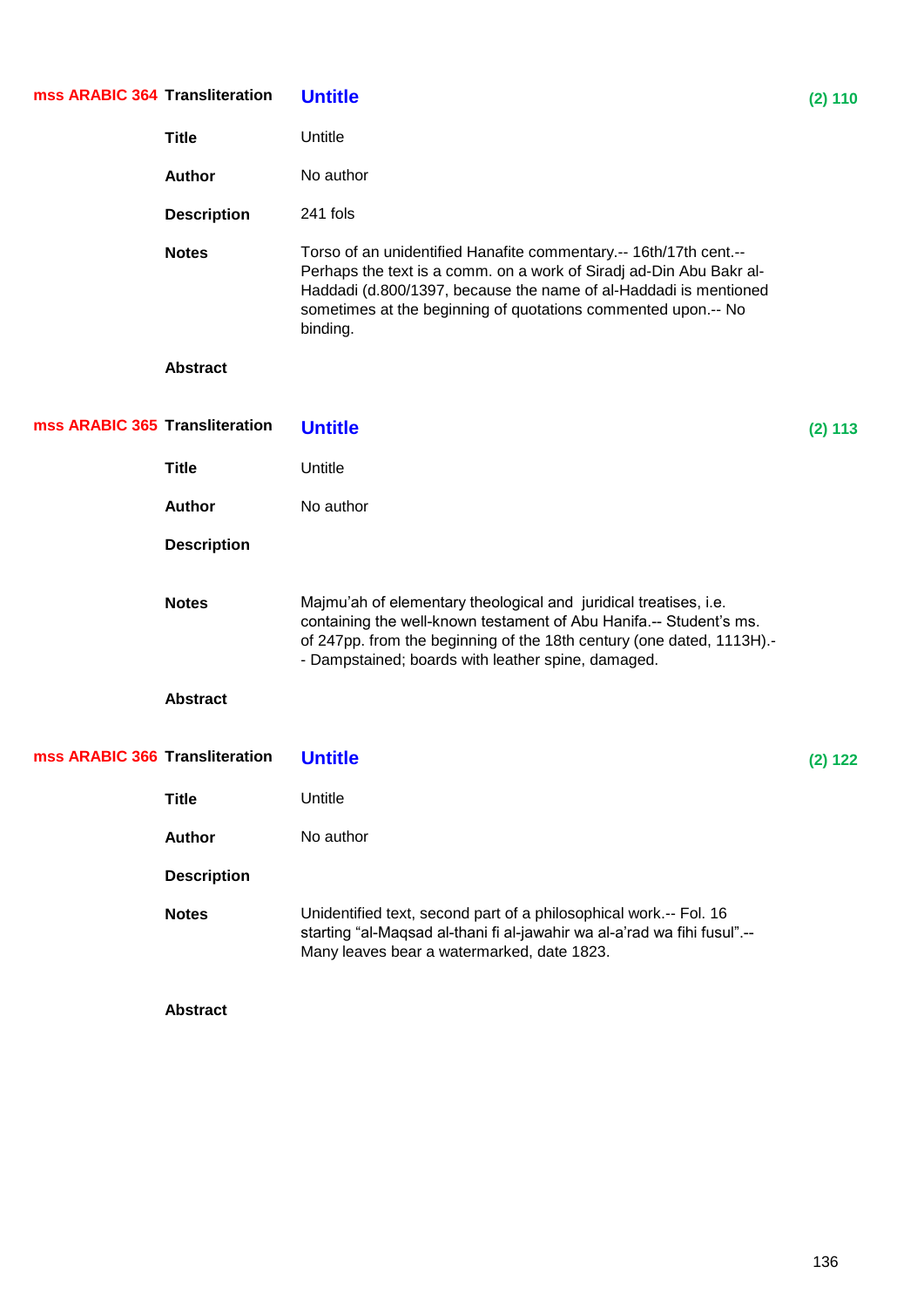| mss ARABIC 364 Transliteration |                    | <b>Untitle</b>                                                                                                                                                                                                                                                                            | (2) 110 |
|--------------------------------|--------------------|-------------------------------------------------------------------------------------------------------------------------------------------------------------------------------------------------------------------------------------------------------------------------------------------|---------|
|                                | <b>Title</b>       | Untitle                                                                                                                                                                                                                                                                                   |         |
|                                | <b>Author</b>      | No author                                                                                                                                                                                                                                                                                 |         |
|                                | <b>Description</b> | 241 fols                                                                                                                                                                                                                                                                                  |         |
|                                | <b>Notes</b>       | Torso of an unidentified Hanafite commentary.-- 16th/17th cent.--<br>Perhaps the text is a comm. on a work of Siradj ad-Din Abu Bakr al-<br>Haddadi (d.800/1397, because the name of al-Haddadi is mentioned<br>sometimes at the beginning of quotations commented upon.-- No<br>binding. |         |
|                                | <b>Abstract</b>    |                                                                                                                                                                                                                                                                                           |         |
| mss ARABIC 365 Transliteration |                    | <b>Untitle</b>                                                                                                                                                                                                                                                                            | (2) 113 |
|                                | <b>Title</b>       | Untitle                                                                                                                                                                                                                                                                                   |         |
|                                | <b>Author</b>      | No author                                                                                                                                                                                                                                                                                 |         |
|                                | <b>Description</b> |                                                                                                                                                                                                                                                                                           |         |
|                                | <b>Notes</b>       | Majmu'ah of elementary theological and juridical treatises, i.e.<br>containing the well-known testament of Abu Hanifa.-- Student's ms.<br>of 247pp. from the beginning of the 18th century (one dated, 1113H).-<br>- Dampstained; boards with leather spine, damaged.                     |         |
|                                | <b>Abstract</b>    |                                                                                                                                                                                                                                                                                           |         |
| mss ARABIC 366 Transliteration |                    | <b>Untitle</b>                                                                                                                                                                                                                                                                            | (2) 122 |
|                                | <b>Title</b>       | Untitle                                                                                                                                                                                                                                                                                   |         |
|                                | <b>Author</b>      | No author                                                                                                                                                                                                                                                                                 |         |
|                                | <b>Description</b> |                                                                                                                                                                                                                                                                                           |         |
|                                | <b>Notes</b>       | Unidentified text, second part of a philosophical work.-- Fol. 16<br>starting "al-Maqsad al-thani fi al-jawahir wa al-a'rad wa fihi fusul" .--<br>Many leaves bear a watermarked, date 1823.                                                                                              |         |
|                                | <b>Abstract</b>    |                                                                                                                                                                                                                                                                                           |         |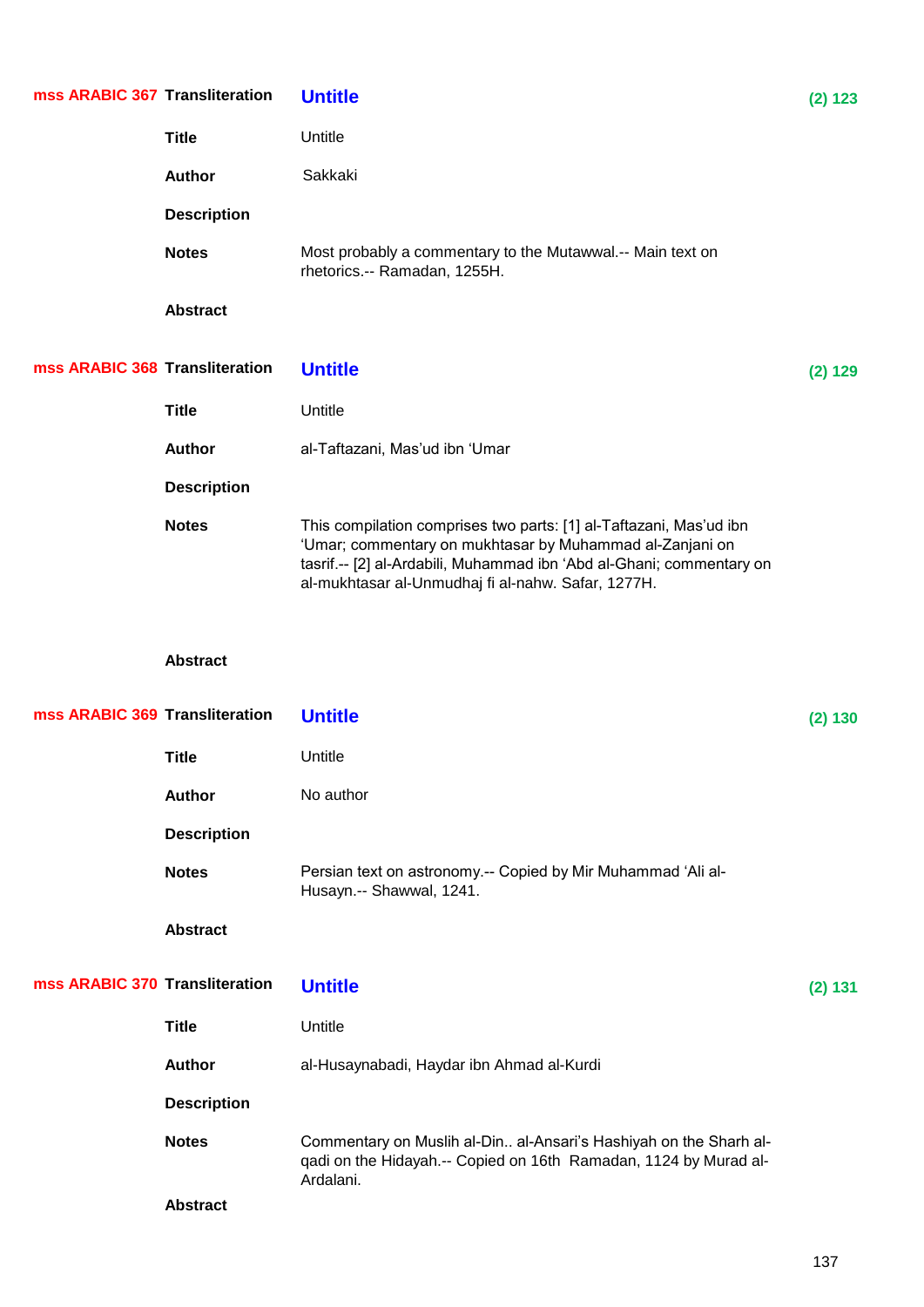| mss ARABIC 367 Transliteration |                    | <b>Untitle</b>                                                                                                                                                                                                                                               | (2) 123 |
|--------------------------------|--------------------|--------------------------------------------------------------------------------------------------------------------------------------------------------------------------------------------------------------------------------------------------------------|---------|
|                                | <b>Title</b>       | Untitle                                                                                                                                                                                                                                                      |         |
|                                | Author             | Sakkaki                                                                                                                                                                                                                                                      |         |
|                                | <b>Description</b> |                                                                                                                                                                                                                                                              |         |
|                                | <b>Notes</b>       | Most probably a commentary to the Mutawwal.-- Main text on<br>rhetorics.-- Ramadan, 1255H.                                                                                                                                                                   |         |
|                                | <b>Abstract</b>    |                                                                                                                                                                                                                                                              |         |
| mss ARABIC 368 Transliteration |                    | <b>Untitle</b>                                                                                                                                                                                                                                               | (2) 129 |
|                                | <b>Title</b>       | Untitle                                                                                                                                                                                                                                                      |         |
|                                | <b>Author</b>      | al-Taftazani, Mas'ud ibn 'Umar                                                                                                                                                                                                                               |         |
|                                | <b>Description</b> |                                                                                                                                                                                                                                                              |         |
|                                | <b>Notes</b>       | This compilation comprises two parts: [1] al-Taftazani, Mas'ud ibn<br>'Umar; commentary on mukhtasar by Muhammad al-Zanjani on<br>tasrif.-- [2] al-Ardabili, Muhammad ibn 'Abd al-Ghani; commentary on<br>al-mukhtasar al-Unmudhaj fi al-nahw. Safar, 1277H. |         |
|                                |                    |                                                                                                                                                                                                                                                              |         |
|                                | <b>Abstract</b>    |                                                                                                                                                                                                                                                              |         |
| mss ARABIC 369 Transliteration |                    | <b>Untitle</b>                                                                                                                                                                                                                                               | (2) 130 |
|                                | <b>Title</b>       | Untitle                                                                                                                                                                                                                                                      |         |
|                                | <b>Author</b>      | No author                                                                                                                                                                                                                                                    |         |
|                                | <b>Description</b> |                                                                                                                                                                                                                                                              |         |
|                                | <b>Notes</b>       | Persian text on astronomy.-- Copied by Mir Muhammad 'Ali al-<br>Husayn.-- Shawwal, 1241.                                                                                                                                                                     |         |
|                                | <b>Abstract</b>    |                                                                                                                                                                                                                                                              |         |
| mss ARABIC 370 Transliteration |                    | <b>Untitle</b>                                                                                                                                                                                                                                               | (2) 131 |
|                                | <b>Title</b>       | Untitle                                                                                                                                                                                                                                                      |         |
|                                | <b>Author</b>      | al-Husaynabadi, Haydar ibn Ahmad al-Kurdi                                                                                                                                                                                                                    |         |
|                                | <b>Description</b> |                                                                                                                                                                                                                                                              |         |
|                                | <b>Notes</b>       | Commentary on Muslih al-Din al-Ansari's Hashiyah on the Sharh al-<br>qadi on the Hidayah.-- Copied on 16th Ramadan, 1124 by Murad al-<br>Ardalani.                                                                                                           |         |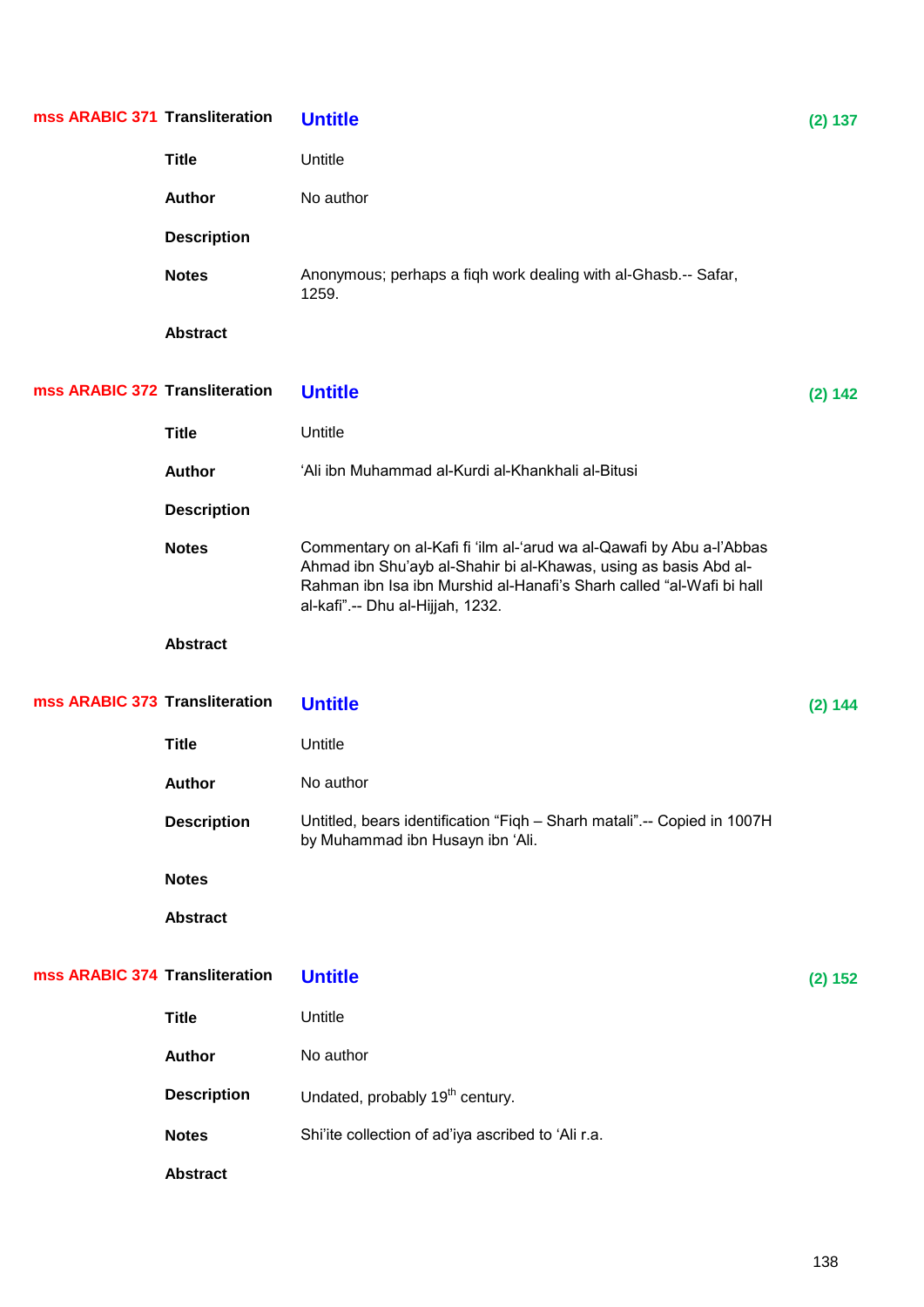| mss ARABIC 371 Transliteration |                    | <b>Untitle</b>                                                                                                                                                                                                                                        | (2) 137 |
|--------------------------------|--------------------|-------------------------------------------------------------------------------------------------------------------------------------------------------------------------------------------------------------------------------------------------------|---------|
|                                | <b>Title</b>       | Untitle                                                                                                                                                                                                                                               |         |
|                                | <b>Author</b>      | No author                                                                                                                                                                                                                                             |         |
|                                | <b>Description</b> |                                                                                                                                                                                                                                                       |         |
|                                | <b>Notes</b>       | Anonymous; perhaps a fiqh work dealing with al-Ghasb.-- Safar,<br>1259.                                                                                                                                                                               |         |
|                                | <b>Abstract</b>    |                                                                                                                                                                                                                                                       |         |
| mss ARABIC 372 Transliteration |                    | <b>Untitle</b>                                                                                                                                                                                                                                        | (2) 142 |
|                                | <b>Title</b>       | Untitle                                                                                                                                                                                                                                               |         |
|                                | <b>Author</b>      | 'Ali ibn Muhammad al-Kurdi al-Khankhali al-Bitusi                                                                                                                                                                                                     |         |
|                                | <b>Description</b> |                                                                                                                                                                                                                                                       |         |
|                                | <b>Notes</b>       | Commentary on al-Kafi fi 'ilm al-'arud wa al-Qawafi by Abu a-l'Abbas<br>Ahmad ibn Shu'ayb al-Shahir bi al-Khawas, using as basis Abd al-<br>Rahman ibn Isa ibn Murshid al-Hanafi's Sharh called "al-Wafi bi hall<br>al-kafi" .-- Dhu al-Hijjah, 1232. |         |
|                                | <b>Abstract</b>    |                                                                                                                                                                                                                                                       |         |
| mss ARABIC 373 Transliteration |                    | <b>Untitle</b>                                                                                                                                                                                                                                        | (2) 144 |
|                                | <b>Title</b>       | Untitle                                                                                                                                                                                                                                               |         |
|                                | <b>Author</b>      | No author                                                                                                                                                                                                                                             |         |
|                                | <b>Description</b> | Untitled, bears identification "Figh - Sharh matali".-- Copied in 1007H<br>by Muhammad ibn Husayn ibn 'Ali.                                                                                                                                           |         |
|                                | <b>Notes</b>       |                                                                                                                                                                                                                                                       |         |
|                                | <b>Abstract</b>    |                                                                                                                                                                                                                                                       |         |
| mss ARABIC 374 Transliteration |                    | <b>Untitle</b>                                                                                                                                                                                                                                        | (2) 152 |
|                                | <b>Title</b>       | Untitle                                                                                                                                                                                                                                               |         |
|                                | <b>Author</b>      | No author                                                                                                                                                                                                                                             |         |
|                                | <b>Description</b> | Undated, probably 19 <sup>th</sup> century.                                                                                                                                                                                                           |         |
|                                | <b>Notes</b>       | Shi'ite collection of ad'iya ascribed to 'Ali r.a.                                                                                                                                                                                                    |         |
|                                | <b>Abstract</b>    |                                                                                                                                                                                                                                                       |         |